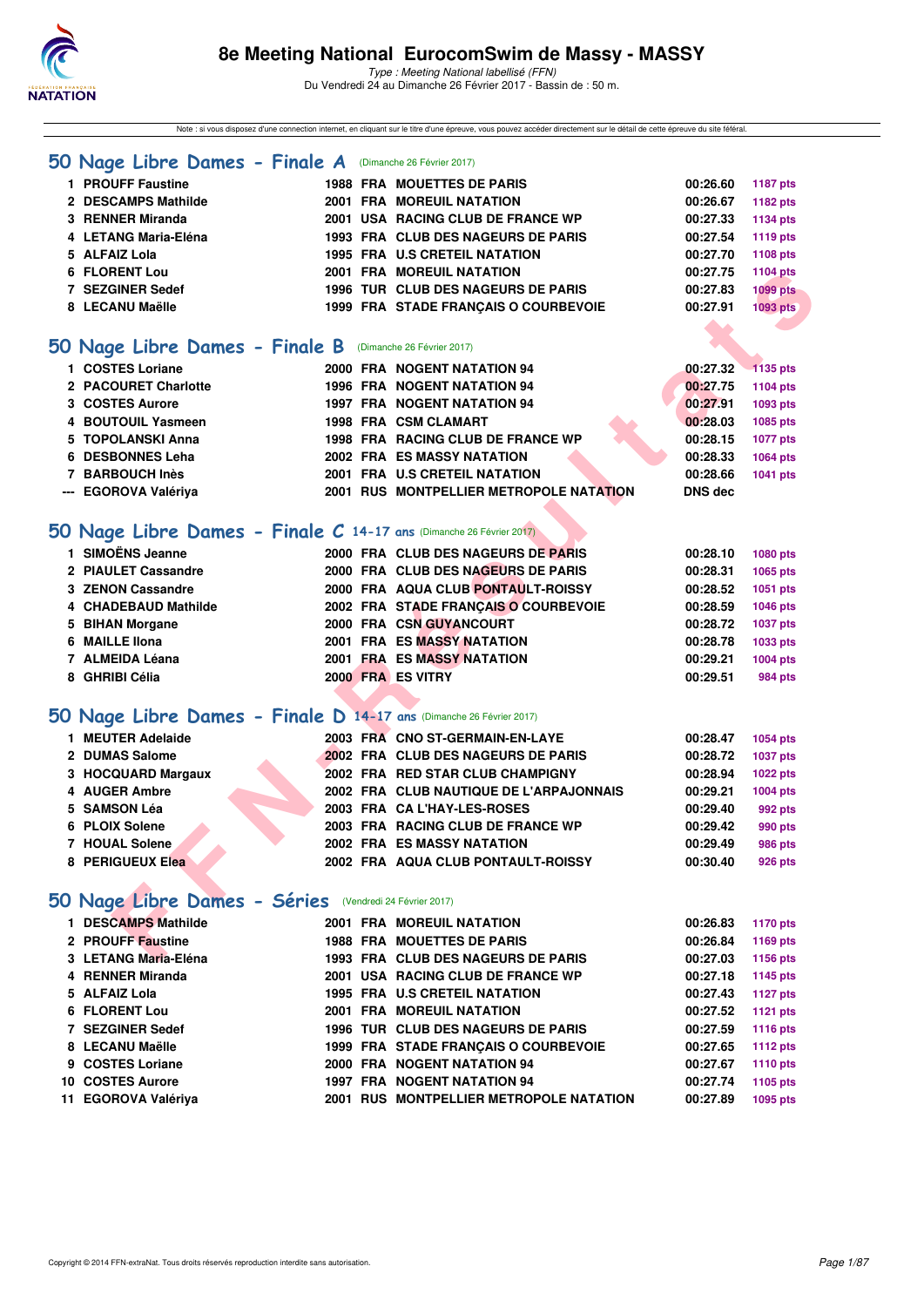

Note : si vous disposez d'une connection internet, en cliquant sur le titre d'une épreuve, vous pouvez accéder directement sur le détail de cette épreuve du site féféral.

#### **[50 Nage Libre Dames - Finale A](http://www.ffnatation.fr/webffn/resultats.php?idact=nat&go=epr&idcpt=42801&idepr=1)** (Dimanche 26 Février 2017)

| 1 PROUFF Faustine    |  | <b>1988 FRA MOUETTES DE PARIS</b>    | 00:26.60 | <b>1187 pts</b> |
|----------------------|--|--------------------------------------|----------|-----------------|
| 2 DESCAMPS Mathilde  |  | <b>2001 FRA MOREUIL NATATION</b>     | 00:26.67 | 1182 pts        |
| 3 RENNER Miranda     |  | 2001 USA RACING CLUB DE FRANCE WP    | 00:27.33 | 1134 pts        |
| 4 LETANG Maria-Eléna |  | 1993 FRA CLUB DES NAGEURS DE PARIS   | 00:27.54 | 1119 pts        |
| 5 ALFAIZ Lola        |  | <b>1995 FRA U.S CRETEIL NATATION</b> | 00:27.70 | 1108 pts        |
| 6 FLORENT Lou        |  | <b>2001 FRA MOREUIL NATATION</b>     | 00:27.75 | 1104 pts        |
| 7 SEZGINER Sedef     |  | 1996 TUR CLUB DES NAGEURS DE PARIS   | 00:27.83 | <b>1099 pts</b> |
| 8 LECANU Maëlle      |  | 1999 FRA STADE FRANCAIS O COURBEVOIE | 00:27.91 | 1093 pts        |
|                      |  |                                      |          |                 |

#### **[50 Nage Libre Dames - Finale B](http://www.ffnatation.fr/webffn/resultats.php?idact=nat&go=epr&idcpt=42801&idepr=1)** (Dimanche 26 Février 2017)

| 1 COSTES Loriane     |  | 2000 FRA NOGENT NATATION 94             | 00:27.32       | 1135 pts |
|----------------------|--|-----------------------------------------|----------------|----------|
| 2 PACOURET Charlotte |  | <b>1996 FRA NOGENT NATATION 94</b>      | 00:27.75       | 1104 pts |
| 3 COSTES Aurore      |  | 1997 FRA NOGENT NATATION 94             | 00:27.91       | 1093 pts |
| 4 BOUTOUIL Yasmeen   |  | <b>1998 FRA CSM CLAMART</b>             | 00:28.03       | 1085 pts |
| 5 TOPOLANSKI Anna    |  | 1998 FRA RACING CLUB DE FRANCE WP       | 00:28.15       | 1077 pts |
| 6 DESBONNES Leha     |  | <b>2002 FRA ES MASSY NATATION</b>       | 00:28.33       | 1064 pts |
| 7 BARBOUCH Inès      |  | 2001 FRA U.S CRETEIL NATATION           | 00:28.66       | 1041 pts |
| --- EGOROVA Valériya |  | 2001 RUS MONTPELLIER METROPOLE NATATION | <b>DNS</b> dec |          |
|                      |  |                                         |                |          |

### **[50 Nage Libre Dames - Finale C](http://www.ffnatation.fr/webffn/resultats.php?idact=nat&go=epr&idcpt=42801&idepr=1) 14-17 ans** (Dimanche 26 Février 2017)

| <b>6 FLORENT Lou</b>                                               | 2001 FRA MOREUIL NATATION                      | 00:27.75       | 1104 pts        |
|--------------------------------------------------------------------|------------------------------------------------|----------------|-----------------|
| 7 SEZGINER Sedef                                                   | 1996 TUR CLUB DES NAGEURS DE PARIS             | 00:27.83       | <b>1099 pts</b> |
| 8 LECANU Maëlle                                                    | 1999 FRA STADE FRANÇAIS O COURBEVOIE           | 00:27.91       | <b>1093 pts</b> |
|                                                                    |                                                |                |                 |
| O Nage Libre Dames - Finale B (Dimanche 26 Février 2017)           |                                                |                |                 |
| 1 COSTES Loriane                                                   | 2000 FRA NOGENT NATATION 94                    | 00:27.32       | $-1135$ pts     |
| 2 PACOURET Charlotte                                               | 1996 FRA NOGENT NATATION 94                    | 00:27.75       | <b>1104 pts</b> |
| 3 COSTES Aurore                                                    | <b>1997 FRA NOGENT NATATION 94</b>             | 00:27.91       | 1093 pts        |
| 4 BOUTOUIL Yasmeen                                                 | <b>1998 FRA CSM CLAMART</b>                    | 00:28.03       | 1085 pts        |
| 5 TOPOLANSKI Anna                                                  | 1998 FRA RACING CLUB DE FRANCE WP              | 00:28.15       | 1077 pts        |
| 6 DESBONNES Leha                                                   | <b>2002 FRA ES MASSY NATATION</b>              | 00:28.33       | 1064 pts        |
| 7 BARBOUCH Inès                                                    | 2001 FRA U.S CRETEIL NATATION                  | 00:28.66       | 1041 pts        |
| --- EGOROVA Valériya                                               | <b>2001 RUS MONTPELLIER METROPOLE NATATION</b> | <b>DNS dec</b> |                 |
|                                                                    |                                                |                |                 |
| O Nage Libre Dames - Finale C 14-17 ans (Dimanche 26 Février 2017) |                                                |                |                 |
| 1 SIMOËNS Jeanne                                                   | 2000 FRA CLUB DES NAGEURS DE PARIS             | 00:28.10       | 1080 pts        |
| 2 PIAULET Cassandre                                                | 2000 FRA CLUB DES NAGEURS DE PARIS             | 00:28.31       | 1065 pts        |
| 3 ZENON Cassandre                                                  | 2000 FRA AQUA CLUB PONTAULT-ROISSY             | 00:28.52       | 1051 pts        |
| 4 CHADEBAUD Mathilde                                               | 2002 FRA STADE FRANÇAIS O COURBEVOIE           | 00:28.59       | 1046 pts        |
| 5 BIHAN Morgane                                                    | 2000 FRA CSN GUYANCOURT                        | 00:28.72       | 1037 pts        |
| 6 MAILLE IIona                                                     | <b>2001 FRA ES MASSY NATATION</b>              | 00:28.78       | 1033 pts        |
| 7 ALMEIDA Léana                                                    | <b>2001 FRA ES MASSY NATATION</b>              | 00:29.21       | 1004 pts        |
| 8 GHRIBI Célia                                                     | 2000 FRA ES VITRY                              | 00:29.51       | <b>984 pts</b>  |
|                                                                    |                                                |                |                 |
| O Nage Libre Dames - Finale D 14-17 ans (Dimanche 26 Février 2017) |                                                |                |                 |
| 1 MEUTER Adelaide                                                  | 2003 FRA CNO ST-GERMAIN-EN-LAYE                | 00:28.47       | 1054 pts        |
| 2 DUMAS Salome                                                     | 2002 FRA CLUB DES NAGEURS DE PARIS             | 00:28.72       | 1037 pts        |
| 3 HOCQUARD Margaux                                                 | 2002 FRA RED STAR CLUB CHAMPIGNY               | 00:28.94       | 1022 pts        |
| 4 AUGER Ambre                                                      | 2002 FRA CLUB NAUTIQUE DE L'ARPAJONNAIS        | 00:29.21       | 1004 pts        |
| 5 SAMSON Léa                                                       | 2003 FRA CA L'HAY-LES-ROSES                    | 00:29.40       | 992 pts         |
| 6 PLOIX Solene                                                     | 2003 FRA RACING CLUB DE FRANCE WP              | 00:29.42       | 990 pts         |
| 7 HOUAL Solene                                                     | <b>2002 FRA ES MASSY NATATION</b>              | 00:29.49       | <b>986 pts</b>  |
| 8 PERIGUEUX Elea                                                   | 2002 FRA AQUA CLUB PONTAULT-ROISSY             | 00:30.40       | <b>926 pts</b>  |
|                                                                    |                                                |                |                 |
| O Nage Libre Dames - Séries (Vendredi 24 Février 2017)             |                                                |                |                 |
| 1 DESCAMPS Mathilde                                                | 2001 FRA MOREUIL NATATION                      | 00:26.83       | <b>1170 pts</b> |
| 2 PROUFF Faustine                                                  | <b>1988 FRA MOUETTES DE PARIS</b>              | 00:26.84       | 1169 pts        |
| 3 LETANG Maria-Eléna                                               | 1993 FRA CLUB DES NAGEURS DE PARIS             | 00:27.03       | 1156 pts        |

### **[50 Nage Libre Dames - Finale D](http://www.ffnatation.fr/webffn/resultats.php?idact=nat&go=epr&idcpt=42801&idepr=1) 14-17 ans** (Dimanche 26 Février 2017)

| 1 MEUTER Adelaide  |  | 2003 FRA CNO ST-GERMAIN-EN-LAYE         | 00:28.47 | 1054 pts        |
|--------------------|--|-----------------------------------------|----------|-----------------|
| 2 DUMAS Salome     |  | 2002 FRA CLUB DES NAGEURS DE PARIS      | 00:28.72 | <b>1037 pts</b> |
| 3 HOCQUARD Margaux |  | 2002 FRA RED STAR CLUB CHAMPIGNY        | 00:28.94 | <b>1022 pts</b> |
| 4 AUGER Ambre      |  | 2002 FRA CLUB NAUTIQUE DE L'ARPAJONNAIS | 00:29.21 | 1004 pts        |
| 5 SAMSON Léa       |  | 2003 FRA CA L'HAY-LES-ROSES             | 00:29.40 | 992 pts         |
| 6 PLOIX Solene     |  | 2003 FRA RACING CLUB DE FRANCE WP       | 00:29.42 | 990 pts         |
| 7 HOUAL Solene     |  | <b>2002 FRA ES MASSY NATATION</b>       | 00:29.49 | <b>986 pts</b>  |
| 8 PERIGUEUX Elea   |  | 2002 FRA AQUA CLUB PONTAULT-ROISSY      | 00:30.40 | 926 pts         |
|                    |  |                                         |          |                 |

# **[50 Nage Libre Dames - Séries](http://www.ffnatation.fr/webffn/resultats.php?idact=nat&go=epr&idcpt=42801&idepr=1)** (Vendredi 24 Février 2017)

| 1 DESCAMPS Mathilde  |  | 2001 FRA MOREUIL NATATION               | 00:26.83 | <b>1170 pts</b> |
|----------------------|--|-----------------------------------------|----------|-----------------|
| 2 PROUFF Faustine    |  | <b>1988 FRA MOUETTES DE PARIS</b>       | 00:26.84 | <b>1169 pts</b> |
| 3 LETANG Maria-Eléna |  | 1993 FRA CLUB DES NAGEURS DE PARIS      | 00:27.03 | 1156 pts        |
| 4 RENNER Miranda     |  | 2001 USA RACING CLUB DE FRANCE WP       | 00:27.18 | 1145 pts        |
| 5 ALFAIZ Lola        |  | <b>1995 FRA U.S CRETEIL NATATION</b>    | 00:27.43 | <b>1127 pts</b> |
| 6 FLORENT Lou        |  | <b>2001 FRA MOREUIL NATATION</b>        | 00:27.52 | 1121 pts        |
| 7 SEZGINER Sedef     |  | 1996 TUR CLUB DES NAGEURS DE PARIS      | 00:27.59 | 1116 pts        |
| 8 LECANU Maëlle      |  | 1999 FRA STADE FRANCAIS O COURBEVOIE    | 00:27.65 | <b>1112 pts</b> |
| 9 COSTES Loriane     |  | 2000 FRA NOGENT NATATION 94             | 00:27.67 | <b>1110 pts</b> |
| 10 COSTES Aurore     |  | <b>1997 FRA NOGENT NATATION 94</b>      | 00:27.74 | 1105 pts        |
| 11 EGOROVA Valériya  |  | 2001 RUS MONTPELLIER METROPOLE NATATION | 00:27.89 | 1095 pts        |
|                      |  |                                         |          |                 |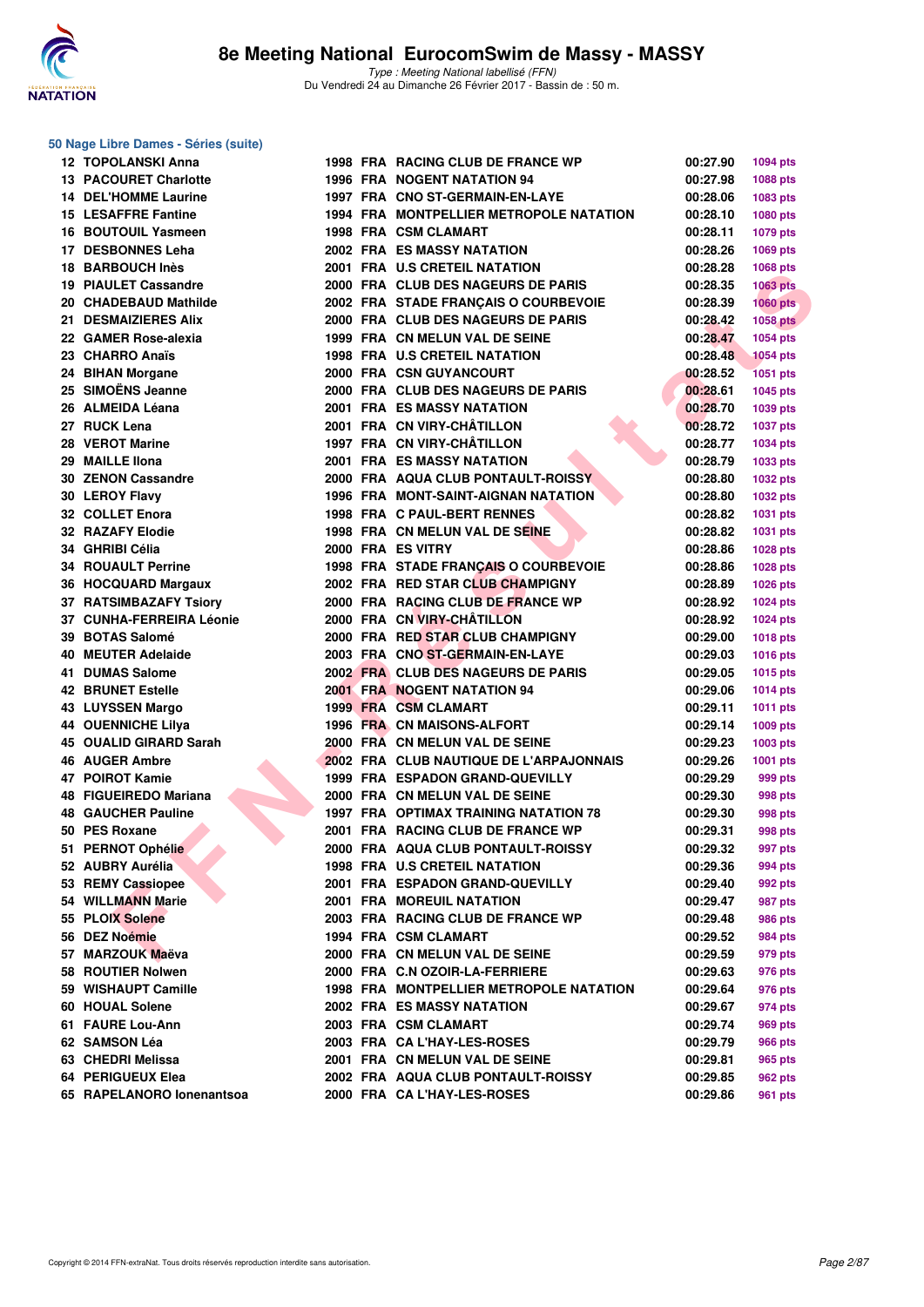

#### **50 Nage Libre Dames - Séries (suite)**

| <b>12 TOPOLANSKI Anna</b>    |  | 1998 FRA RACING CLUB DE FRANCE WP            | 00:27.90 | <b>1094 pts</b> |
|------------------------------|--|----------------------------------------------|----------|-----------------|
| <b>13 PACOURET Charlotte</b> |  | 1996 FRA NOGENT NATATION 94                  | 00:27.98 | 1088 pts        |
| <b>14 DEL'HOMME Laurine</b>  |  | 1997 FRA CNO ST-GERMAIN-EN-LAYE              | 00:28.06 | 1083 pts        |
| <b>15 LESAFFRE Fantine</b>   |  | 1994 FRA MONTPELLIER METROPOLE NATATION      | 00:28.10 | 1080 pts        |
| 16 BOUTOUIL Yasmeen          |  | <b>1998 FRA CSM CLAMART</b>                  | 00:28.11 | 1079 pts        |
| 17 DESBONNES Leha            |  | <b>2002 FRA ES MASSY NATATION</b>            | 00:28.26 | 1069 pts        |
| 18 BARBOUCH Inès             |  | 2001 FRA U.S CRETEIL NATATION                | 00:28.28 | <b>1068 pts</b> |
| <b>19 PIAULET Cassandre</b>  |  | 2000 FRA CLUB DES NAGEURS DE PARIS           | 00:28.35 | <b>1063 pts</b> |
| 20 CHADEBAUD Mathilde        |  | 2002 FRA STADE FRANÇAIS O COURBEVOIE         | 00:28.39 | <b>1060 pts</b> |
| 21 DESMAIZIERES Alix         |  | 2000 FRA CLUB DES NAGEURS DE PARIS           | 00:28.42 | <b>1058 pts</b> |
| 22 GAMER Rose-alexia         |  | 1999 FRA CN MELUN VAL DE SEINE               | 00:28.47 | 1054 pts        |
| 23 CHARRO Anaïs              |  | 1998 FRA U.S CRETEIL NATATION                | 00:28.48 | <b>1054 pts</b> |
| 24 BIHAN Morgane             |  | 2000 FRA CSN GUYANCOURT                      | 00:28.52 | <b>1051 pts</b> |
| 25 SIMOËNS Jeanne            |  | 2000 FRA CLUB DES NAGEURS DE PARIS           | 00:28.61 | <b>1045 pts</b> |
| 26 ALMEIDA Léana             |  | <b>2001 FRA ES MASSY NATATION</b>            | 00:28.70 | 1039 pts        |
| 27 RUCK Lena                 |  | 2001 FRA CN VIRY-CHÂTILLON                   | 00:28.72 | <b>1037 pts</b> |
| 28 VEROT Marine              |  | 1997 FRA CN VIRY-CHÂTILLON                   | 00:28.77 | <b>1034 pts</b> |
| 29 MAILLE IIona              |  | <b>2001 FRA ES MASSY NATATION</b>            | 00:28.79 | 1033 pts        |
| 30 ZENON Cassandre           |  | 2000 FRA AQUA CLUB PONTAULT-ROISSY           | 00:28.80 | <b>1032 pts</b> |
| 30 LEROY Flavy               |  | <b>1996 FRA MONT-SAINT-AIGNAN NATATION</b>   | 00:28.80 |                 |
| 32 COLLET Enora              |  | 1998 FRA C PAUL-BERT RENNES                  |          | <b>1032 pts</b> |
|                              |  | 1998 FRA CN MELUN VAL DE SEINE               | 00:28.82 | <b>1031 pts</b> |
| 32 RAZAFY Elodie             |  |                                              | 00:28.82 | 1031 pts        |
| 34 GHRIBI Célia              |  | 2000 FRA ES VITRY                            | 00:28.86 | 1028 pts        |
| <b>34 ROUAULT Perrine</b>    |  | 1998 FRA STADE FRANÇAIS O COURBEVOIE         | 00:28.86 | 1028 pts        |
| 36 HOCQUARD Margaux          |  | 2002 FRA RED STAR CLUB CHAMPIGNY             | 00:28.89 | <b>1026 pts</b> |
| 37 RATSIMBAZAFY Tsiory       |  | 2000 FRA RACING CLUB DE FRANCE WP            | 00:28.92 | <b>1024 pts</b> |
| 37 CUNHA-FERREIRA Léonie     |  | 2000 FRA CN VIRY-CHÂTILLON                   | 00:28.92 | <b>1024 pts</b> |
| 39 BOTAS Salomé              |  | 2000 FRA RED STAR CLUB CHAMPIGNY             | 00:29.00 | <b>1018 pts</b> |
| 40 MEUTER Adelaide           |  | 2003 FRA CNO ST-GERMAIN-EN-LAYE              | 00:29.03 | <b>1016 pts</b> |
| 41 DUMAS Salome              |  | 2002 FRA CLUB DES NAGEURS DE PARIS           | 00:29.05 | <b>1015 pts</b> |
| <b>42 BRUNET Estelle</b>     |  | 2001 FRA NOGENT NATATION 94                  | 00:29.06 | <b>1014 pts</b> |
| 43 LUYSSEN Margo             |  | 1999 FRA CSM CLAMART                         | 00:29.11 | <b>1011 pts</b> |
| <b>44 OUENNICHE Lilya</b>    |  | 1996 FRA CN MAISONS-ALFORT                   | 00:29.14 | 1009 pts        |
| 45 OUALID GIRARD Sarah       |  | 2000 FRA CN MELUN VAL DE SEINE               | 00:29.23 | 1003 pts        |
| <b>46 AUGER Ambre</b>        |  | 2002 FRA CLUB NAUTIQUE DE L'ARPAJONNAIS      | 00:29.26 | 1001 pts        |
| 47 POIROT Kamie              |  | 1999 FRA ESPADON GRAND-QUEVILLY              | 00:29.29 | 999 pts         |
| 48 FIGUEIREDO Mariana        |  | 2000 FRA CN MELUN VAL DE SEINE               | 00:29.30 | 998 pts         |
| <b>48 GAUCHER Pauline</b>    |  | <b>1997 FRA OPTIMAX TRAINING NATATION 78</b> | 00:29.30 | 998 pts         |
| 50 PES Roxane                |  | 2001 FRA RACING CLUB DE FRANCE WP            | 00:29.31 | 998 pts         |
| 51 PERNOT Ophélie            |  | 2000 FRA AQUA CLUB PONTAULT-ROISSY           | 00:29.32 | 997 pts         |
| 52 AUBRY Aurélia             |  | 1998 FRA U.S CRETEIL NATATION                | 00:29.36 | 994 pts         |
| 53 REMY Cassiopee            |  | 2001 FRA ESPADON GRAND-QUEVILLY              | 00:29.40 | 992 pts         |
| 54 WILLMANN Marie            |  | 2001 FRA MOREUIL NATATION                    | 00:29.47 | 987 pts         |
| 55 PLOIX Solene              |  | 2003 FRA RACING CLUB DE FRANCE WP            | 00:29.48 | 986 pts         |
| 56 DEZ Noémie                |  | 1994 FRA CSM CLAMART                         | 00:29.52 | 984 pts         |
| 57 MARZOUK Maëva             |  | 2000 FRA CN MELUN VAL DE SEINE               | 00:29.59 | 979 pts         |
| 58 ROUTIER Nolwen            |  | 2000 FRA C.N OZOIR-LA-FERRIERE               | 00:29.63 | 976 pts         |
| 59 WISHAUPT Camille          |  | 1998 FRA MONTPELLIER METROPOLE NATATION      | 00:29.64 | 976 pts         |
| 60 HOUAL Solene              |  | 2002 FRA ES MASSY NATATION                   | 00:29.67 | 974 pts         |
| 61 FAURE Lou-Ann             |  | 2003 FRA CSM CLAMART                         | 00:29.74 | 969 pts         |
| 62 SAMSON Léa                |  | 2003 FRA CA L'HAY-LES-ROSES                  | 00:29.79 | 966 pts         |
| 63 CHEDRI Melissa            |  | 2001 FRA CN MELUN VAL DE SEINE               | 00:29.81 | 965 pts         |
| 64 PERIGUEUX Elea            |  | 2002 FRA AQUA CLUB PONTAULT-ROISSY           | 00:29.85 | 962 pts         |
| 65 RAPELANORO lonenantsoa    |  | 2000 FRA CA L'HAY-LES-ROSES                  | 00:29.86 | 961 pts         |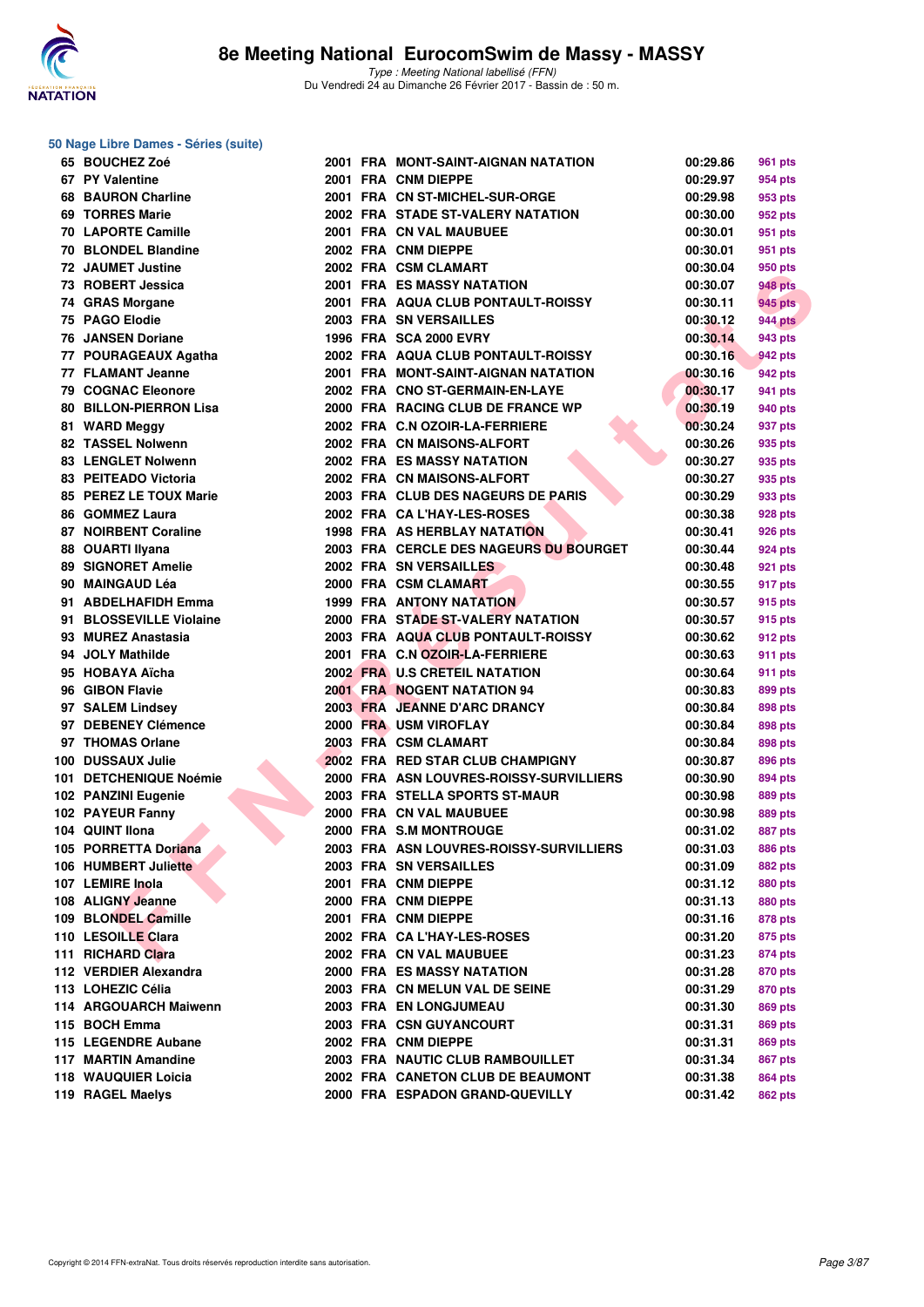

**50 Nage Libre Dames - Séries (suite)**

| 65 BOUCHEZ Zoé                         |  | 2001 FRA MONT-SAINT-AIGNAN NATATION     | 00:29.86             | <b>961 pts</b> |
|----------------------------------------|--|-----------------------------------------|----------------------|----------------|
| 67 PY Valentine                        |  | 2001 FRA CNM DIEPPE                     | 00:29.97             | 954 pts        |
| <b>68 BAURON Charline</b>              |  | 2001 FRA CN ST-MICHEL-SUR-ORGE          | 00:29.98             | 953 pts        |
| 69 TORRES Marie                        |  | 2002 FRA STADE ST-VALERY NATATION       | 00:30.00             | 952 pts        |
| <b>70 LAPORTE Camille</b>              |  | 2001 FRA CN VAL MAUBUEE                 | 00:30.01             | 951 pts        |
| 70 BLONDEL Blandine                    |  | 2002 FRA CNM DIEPPE                     | 00:30.01             | 951 pts        |
| 72 JAUMET Justine                      |  | 2002 FRA CSM CLAMART                    | 00:30.04             | 950 pts        |
| 73 ROBERT Jessica                      |  | 2001 FRA ES MASSY NATATION              | 00:30.07             | <b>948 pts</b> |
| 74 GRAS Morgane                        |  | 2001 FRA AQUA CLUB PONTAULT-ROISSY      | 00:30.11             | 945 pts        |
| 75 PAGO Elodie                         |  | 2003 FRA SN VERSAILLES                  | 00:30.12             | <b>944 pts</b> |
| <b>76 JANSEN Doriane</b>               |  | 1996 FRA SCA 2000 EVRY                  | 00:30.14             | 943 pts        |
| 77 POURAGEAUX Agatha                   |  | 2002 FRA AQUA CLUB PONTAULT-ROISSY      | 00:30.16             | 942 pts        |
| 77 FLAMANT Jeanne                      |  | 2001 FRA MONT-SAINT-AIGNAN NATATION     | 00:30.16             | 942 pts        |
| <b>79 COGNAC Eleonore</b>              |  | 2002 FRA CNO ST-GERMAIN-EN-LAYE         | 00:30.17             | 941 pts        |
| <b>80 BILLON-PIERRON Lisa</b>          |  | 2000 FRA RACING CLUB DE FRANCE WP       | 00:30.19             | 940 pts        |
| 81 WARD Meggy                          |  | 2002 FRA C.N OZOIR-LA-FERRIERE          | 00:30.24             | 937 pts        |
| 82 TASSEL Nolwenn                      |  | 2002 FRA CN MAISONS-ALFORT              | 00:30.26             | 935 pts        |
| <b>83 LENGLET Nolwenn</b>              |  | 2002 FRA ES MASSY NATATION              | 00:30.27             | 935 pts        |
| 83 PEITEADO Victoria                   |  | 2002 FRA CN MAISONS-ALFORT              | 00:30.27             | 935 pts        |
| 85 PEREZ LE TOUX Marie                 |  | 2003 FRA CLUB DES NAGEURS DE PARIS      | 00:30.29             | 933 pts        |
| 86 GOMMEZ Laura                        |  | 2002 FRA CA L'HAY-LES-ROSES             | 00:30.38             | 928 pts        |
| 87 NOIRBENT Coraline                   |  | 1998 FRA AS HERBLAY NATATION            | 00:30.41             |                |
|                                        |  | 2003 FRA CERCLE DES NAGEURS DU BOURGET  |                      | 926 pts        |
| 88 OUARTI Ilyana<br>89 SIGNORET Amelie |  |                                         | 00:30.44<br>00:30.48 | 924 pts        |
|                                        |  | 2002 FRA SN VERSAILLES                  |                      | 921 pts        |
| 90 MAINGAUD Léa                        |  | 2000 FRA CSM CLAMART                    | 00:30.55             | 917 pts        |
| 91 ABDELHAFIDH Emma                    |  | <b>1999 FRA ANTONY NATATION</b>         | 00:30.57             | 915 pts        |
| 91 BLOSSEVILLE Violaine                |  | 2000 FRA STADE ST-VALERY NATATION       | 00:30.57             | 915 pts        |
| 93 MUREZ Anastasia                     |  | 2003 FRA AQUA CLUB PONTAULT-ROISSY      | 00:30.62             | 912 pts        |
| 94 JOLY Mathilde                       |  | 2001 FRA C.N OZOIR-LA-FERRIERE          | 00:30.63             | 911 pts        |
| 95 HOBAYA Aïcha                        |  | 2002 FRA U.S CRETEIL NATATION           | 00:30.64             | 911 pts        |
| 96 GIBON Flavie                        |  | <b>2001 FRA NOGENT NATATION 94</b>      | 00:30.83             | 899 pts        |
| 97 SALEM Lindsey                       |  | 2003 FRA JEANNE D'ARC DRANCY            | 00:30.84             | 898 pts        |
| 97 DEBENEY Clémence                    |  | 2000 FRA USM VIROFLAY                   | 00:30.84             | 898 pts        |
| 97 THOMAS Orlane                       |  | 2003 FRA CSM CLAMART                    | 00:30.84             | 898 pts        |
| 100 DUSSAUX Julie                      |  | 2002 FRA RED STAR CLUB CHAMPIGNY        | 00:30.87             | 896 pts        |
| 101 DETCHENIQUE Noémie                 |  | 2000 FRA ASN LOUVRES-ROISSY-SURVILLIERS | 00:30.90             | 894 pts        |
| 102 PANZINI Eugenie                    |  | 2003 FRA STELLA SPORTS ST-MAUR          | 00:30.98             | 889 pts        |
| 102 PAYEUR Fanny                       |  | 2000 FRA CN VAL MAUBUEE                 | 00:30.98             | 889 pts        |
| 104 QUINT Ilona                        |  | 2000 FRA S.M MONTROUGE                  | 00:31.02             | 887 pts        |
| 105 PORRETTA Doriana                   |  | 2003 FRA ASN LOUVRES-ROISSY-SURVILLIERS | 00:31.03             | 886 pts        |
| 106 HUMBERT Juliette                   |  | 2003 FRA SN VERSAILLES                  | 00:31.09             | <b>882 pts</b> |
| 107 LEMIRE Inola                       |  | 2001 FRA CNM DIEPPE                     | 00:31.12             | 880 pts        |
| 108 ALIGNY Jeanne                      |  | 2000 FRA CNM DIEPPE                     | 00:31.13             | 880 pts        |
| 109 BLONDEL Camille                    |  | 2001 FRA CNM DIEPPE                     | 00:31.16             | 878 pts        |
| 110 LESOILLE Clara                     |  | 2002 FRA CA L'HAY-LES-ROSES             | 00:31.20             | 875 pts        |
| 111 RICHARD Clara                      |  | 2002 FRA CN VAL MAUBUEE                 | 00:31.23             | 874 pts        |
| 112 VERDIER Alexandra                  |  | <b>2000 FRA ES MASSY NATATION</b>       | 00:31.28             | 870 pts        |
| 113 LOHEZIC Célia                      |  | 2003 FRA CN MELUN VAL DE SEINE          | 00:31.29             | 870 pts        |
| 114 ARGOUARCH Maiwenn                  |  | 2003 FRA EN LONGJUMEAU                  | 00:31.30             | 869 pts        |
| 115 BOCH Emma                          |  | 2003 FRA CSN GUYANCOURT                 | 00:31.31             | 869 pts        |
| 115 LEGENDRE Aubane                    |  | 2002 FRA CNM DIEPPE                     | 00:31.31             | 869 pts        |
| 117 MARTIN Amandine                    |  | 2003 FRA NAUTIC CLUB RAMBOUILLET        | 00:31.34             | 867 pts        |
| 118 WAUQUIER Loicia                    |  | 2002 FRA CANETON CLUB DE BEAUMONT       | 00:31.38             | 864 pts        |
| 119 RAGEL Maelys                       |  | 2000 FRA ESPADON GRAND-QUEVILLY         | 00:31.42             | 862 pts        |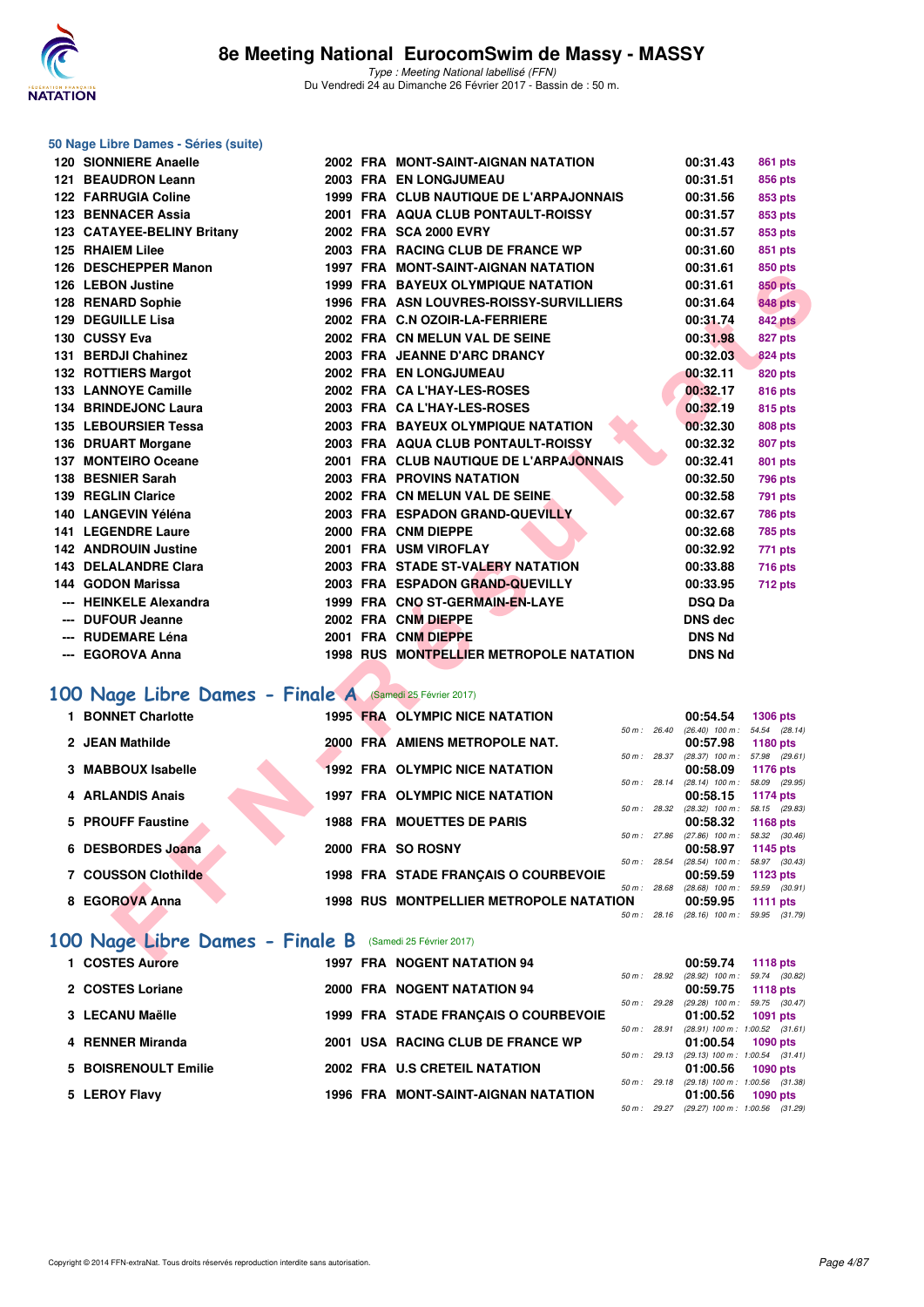

| 50 Nage Libre Dames - Séries (suite)                     |  |                                                |              |                                                      |                 |
|----------------------------------------------------------|--|------------------------------------------------|--------------|------------------------------------------------------|-----------------|
| 120 SIONNIERE Anaelle                                    |  | 2002 FRA MONT-SAINT-AIGNAN NATATION            |              | 00:31.43                                             | 861 pts         |
| 121 BEAUDRON Leann                                       |  | 2003 FRA EN LONGJUMEAU                         |              | 00:31.51                                             | 856 pts         |
| <b>122 FARRUGIA Coline</b>                               |  | 1999 FRA CLUB NAUTIQUE DE L'ARPAJONNAIS        |              | 00:31.56                                             | 853 pts         |
| 123 BENNACER Assia                                       |  | 2001 FRA AQUA CLUB PONTAULT-ROISSY             |              | 00:31.57                                             | 853 pts         |
| 123 CATAYEE-BELINY Britany                               |  | 2002 FRA SCA 2000 EVRY                         |              | 00:31.57                                             | 853 pts         |
| 125 RHAIEM Lilee                                         |  | 2003 FRA RACING CLUB DE FRANCE WP              |              | 00:31.60                                             | 851 pts         |
| 126 DESCHEPPER Manon                                     |  | 1997 FRA MONT-SAINT-AIGNAN NATATION            |              | 00:31.61                                             | 850 pts         |
| 126 LEBON Justine                                        |  | 1999 FRA BAYEUX OLYMPIQUE NATATION             |              | 00:31.61                                             | <b>850 pts</b>  |
| 128 RENARD Sophie                                        |  | 1996 FRA ASN LOUVRES-ROISSY-SURVILLIERS        |              | 00:31.64                                             | <b>848 pts</b>  |
| 129 DEGUILLE Lisa                                        |  | 2002 FRA C.N OZOIR-LA-FERRIERE                 |              | 00:31.74                                             | <b>842 pts</b>  |
| 130 CUSSY Eva                                            |  | 2002 FRA CN MELUN VAL DE SEINE                 |              | 00:31.98                                             | <b>827 pts</b>  |
| 131 BERDJI Chahinez                                      |  | 2003 FRA JEANNE D'ARC DRANCY                   |              | 00:32.03                                             | <b>824 pts</b>  |
| 132 ROTTIERS Margot                                      |  | 2002 FRA EN LONGJUMEAU                         |              | 00:32.11                                             | 820 pts         |
| 133 LANNOYE Camille                                      |  | 2002 FRA CA L'HAY-LES-ROSES                    |              | 00:32.17                                             | 816 pts         |
| 134 BRINDEJONC Laura                                     |  | 2003 FRA CA L'HAY-LES-ROSES                    |              | 00:32.19                                             | 815 pts         |
| 135 LEBOURSIER Tessa                                     |  | 2003 FRA BAYEUX OLYMPIQUE NATATION             |              | 00:32.30                                             | 808 pts         |
| 136 DRUART Morgane                                       |  | 2003 FRA AQUA CLUB PONTAULT-ROISSY             |              | 00:32.32                                             | 807 pts         |
| 137 MONTEIRO Oceane                                      |  | 2001 FRA CLUB NAUTIQUE DE L'ARPAJONNAIS        |              | 00:32.41                                             | 801 pts         |
| 138 BESNIER Sarah                                        |  | <b>2003 FRA PROVINS NATATION</b>               |              | 00:32.50                                             | <b>796 pts</b>  |
| 139 REGLIN Clarice                                       |  | 2002 FRA CN MELUN VAL DE SEINE                 |              | 00:32.58                                             | <b>791 pts</b>  |
| 140 LANGEVIN Yéléna                                      |  | 2003 FRA ESPADON GRAND-QUEVILLY                |              | 00:32.67                                             | 786 pts         |
| <b>141 LEGENDRE Laure</b>                                |  | 2000 FRA CNM DIEPPE                            |              | 00:32.68                                             | 785 pts         |
| <b>142 ANDROUIN Justine</b>                              |  | 2001 FRA USM VIROFLAY                          |              | 00:32.92                                             | 771 pts         |
| 143 DELALANDRE Clara                                     |  | 2003 FRA STADE ST-VALERY NATATION              |              | 00:33.88                                             | <b>716 pts</b>  |
| 144 GODON Marissa                                        |  | 2003 FRA ESPADON GRAND-QUEVILLY                |              | 00:33.95                                             | 712 pts         |
| <b>HEINKELE Alexandra</b>                                |  | 1999 FRA CNO ST-GERMAIN-EN-LAYE                |              | <b>DSQ Da</b>                                        |                 |
| <b>DUFOUR Jeanne</b>                                     |  | 2002 FRA CNM DIEPPE                            |              | <b>DNS dec</b>                                       |                 |
| <b>RUDEMARE Léna</b>                                     |  | 2001 FRA CNM DIEPPE                            |              | <b>DNS Nd</b>                                        |                 |
| --- EGOROVA Anna                                         |  | 1998 RUS MONTPELLIER METROPOLE NATATION        |              | <b>DNS Nd</b>                                        |                 |
| 100 Nage Libre Dames - Finale A (Samedi 25 Février 2017) |  |                                                |              |                                                      |                 |
| 1 BONNET Charlotte                                       |  | 1995 FRA OLYMPIC NICE NATATION                 |              | 00:54.54                                             | <b>1306 pts</b> |
|                                                          |  |                                                | 50 m : 26.40 | $(26.40)$ 100 m : 54.54 $(28.14)$                    |                 |
| 2 JEAN Mathilde                                          |  | 2000 FRA AMIENS METROPOLE NAT.                 |              | 00:57.98                                             | 1180 pts        |
| 3 MABBOUX Isabelle                                       |  | <b>1992 FRA OLYMPIC NICE NATATION</b>          |              | 50 m: 28.37 (28.37) 100 m: 57.98 (29.61)<br>00:58.09 | 1176 pts        |
|                                                          |  |                                                | 50 m : 28.14 | (28.14) 100 m: 58.09 (29.95)                         |                 |
| 4 ARLANDIS Anais                                         |  | <b>1997 FRA OLYMPIC NICE NATATION</b>          |              | 00:58.15                                             | 1174 pts        |
| 5 PROUFF Faustine                                        |  | <b>1988 FRA MOUETTES DE PARIS</b>              | 50 m : 28.32 | (28.32) 100 m : 58.15 (29.83)<br>00:58.32            | 1168 pts        |
|                                                          |  |                                                |              | 50 m : 27.86 (27.86) 100 m : 58.32 (30.46)           |                 |
| 6 DESBORDES Joana                                        |  | 2000 FRA SO ROSNY                              |              | 00:58.97                                             | 1145 pts        |
| 7 COUSSON Clothilde                                      |  | 1998 FRA STADE FRANÇAIS O COURBEVOIE           | 50 m : 28.54 | (28.54) 100 m : 58.97 (30.43)<br>00:59.59            | 1123 pts        |
|                                                          |  |                                                | 50 m : 28.68 | $(28.68)$ 100 m : 59.59 $(30.91)$                    |                 |
| 8 EGOROVA Anna                                           |  | <b>1998 RUS MONTPELLIER METROPOLE NATATION</b> |              | 00:59.95                                             | <b>1111 pts</b> |
|                                                          |  |                                                |              | 50 m : 28.16 (28.16) 100 m : 59.95 (31.79)           |                 |
| 100 Nage Libre Dames - Finale B (Samedi 25 Février 2017) |  |                                                |              |                                                      |                 |
| $\sim$                                                   |  | 1007 EDA NOCENT NATATION 04                    |              | 00.EO 74                                             |                 |

# **[100 Nage Libre Dames - Finale A](http://www.ffnatation.fr/webffn/resultats.php?idact=nat&go=epr&idcpt=42801&idepr=2)** (Samedi 25 Février 2017)

| 1 BONNET Charlotte  |  | 1995 FRA OLYMPIC NICE NATATION          |                        |             | 00:54.54                          | <b>1306 pts</b> |
|---------------------|--|-----------------------------------------|------------------------|-------------|-----------------------------------|-----------------|
|                     |  |                                         | $50 \text{ m}$ : 26.40 |             | $(26.40)$ 100 m : 54.54 $(28.14)$ |                 |
| 2 JEAN Mathilde     |  | 2000 FRA AMIENS METROPOLE NAT.          |                        |             | 00:57.98                          | <b>1180 pts</b> |
|                     |  |                                         | 50 m: 28.37            |             | (28.37) 100 m: 57.98 (29.61)      |                 |
| 3 MABBOUX Isabelle  |  | 1992 FRA OLYMPIC NICE NATATION          |                        |             | 00:58.09                          | 1176 pts        |
|                     |  |                                         |                        | 50 m: 28.14 | (28.14) 100 m: 58.09 (29.95)      |                 |
| 4 ARLANDIS Anais    |  | <b>1997 FRA OLYMPIC NICE NATATION</b>   |                        |             | 00:58.15                          | 1174 pts        |
|                     |  |                                         |                        | 50 m: 28.32 | (28.32) 100 m : 58.15 (29.83)     |                 |
| 5 PROUFF Faustine   |  | <b>1988 FRA MOUETTES DE PARIS</b>       |                        |             | 00:58.32                          | 1168 $pts$      |
|                     |  |                                         |                        | 50 m: 27.86 | $(27.86)$ 100 m : 58.32 $(30.46)$ |                 |
| 6 DESBORDES Joana   |  | 2000 FRA SO ROSNY                       |                        |             | 00:58.97                          | 1145 pts        |
|                     |  |                                         | 50 m: 28.54            |             | $(28.54)$ 100 m : 58.97 $(30.43)$ |                 |
| 7 COUSSON Clothilde |  | 1998 FRA STADE FRANCAIS O COURBEVOIE    |                        |             | 00:59.59                          | 1123 $p$ ts     |
|                     |  |                                         | 50 m: 28.68            |             | $(28.68)$ 100 m :                 | 59.59 (30.91)   |
| 8 EGOROVA Anna      |  | 1998 RUS MONTPELLIER METROPOLE NATATION |                        |             | 00:59.95                          | 1111 $pts$      |
|                     |  |                                         | 50 m: 28.16            |             | $(28.16)$ 100 m : 59.95 $(31.79)$ |                 |

### **[100 Nage Libre Dames - Finale B](http://www.ffnatation.fr/webffn/resultats.php?idact=nat&go=epr&idcpt=42801&idepr=2)** (Samedi 25 Février 2017)

| 1 COSTES Aurore      |  | <b>1997 FRA NOGENT NATATION 94</b>   |                        |                | 00:59.74                            | 1118 pts        |         |
|----------------------|--|--------------------------------------|------------------------|----------------|-------------------------------------|-----------------|---------|
|                      |  |                                      | $50 \text{ m}$ : 28.92 |                | $(28.92)$ 100 m :                   | 59.74 (30.82)   |         |
| 2 COSTES Loriane     |  | 2000 FRA NOGENT NATATION 94          |                        |                | 00:59.75                            | 1118 $pts$      |         |
|                      |  |                                      | 50 m: 29.28            |                | $(29.28)$ 100 m : 59.75 $(30.47)$   |                 |         |
| 3 LECANU Maëlle      |  | 1999 FRA STADE FRANCAIS O COURBEVOIE |                        |                | 01:00.52                            | <b>1091 pts</b> |         |
|                      |  |                                      | 50 m: 28.91            |                | $(28.91)$ 100 m : 1:00.52 $(31.61)$ |                 |         |
| 4 RENNER Miranda     |  | 2001 USA RACING CLUB DE FRANCE WP    |                        |                | 01:00.54                            | 1090 pts        |         |
|                      |  |                                      | 50 m: 29.13            |                | $(29.13)$ 100 m : 1:00.54 $(31.41)$ |                 |         |
| 5 BOISRENOULT Emilie |  | 2002 FRA U.S CRETEIL NATATION        |                        |                | 01:00.56                            | 1090 pts        |         |
|                      |  |                                      |                        | $50 m$ : 29.18 | $(29.18)$ 100 m : 1:00.56 $(31.38)$ |                 |         |
| 5 LEROY Flavy        |  | 1996 FRA MONT-SAINT-AIGNAN NATATION  |                        |                | 01:00.56                            | 1090 pts        |         |
|                      |  |                                      | $50 \text{ m}$ : 29.27 |                | $(29.27)$ 100 m : 1:00.56           |                 | (31.29) |
|                      |  |                                      |                        |                |                                     |                 |         |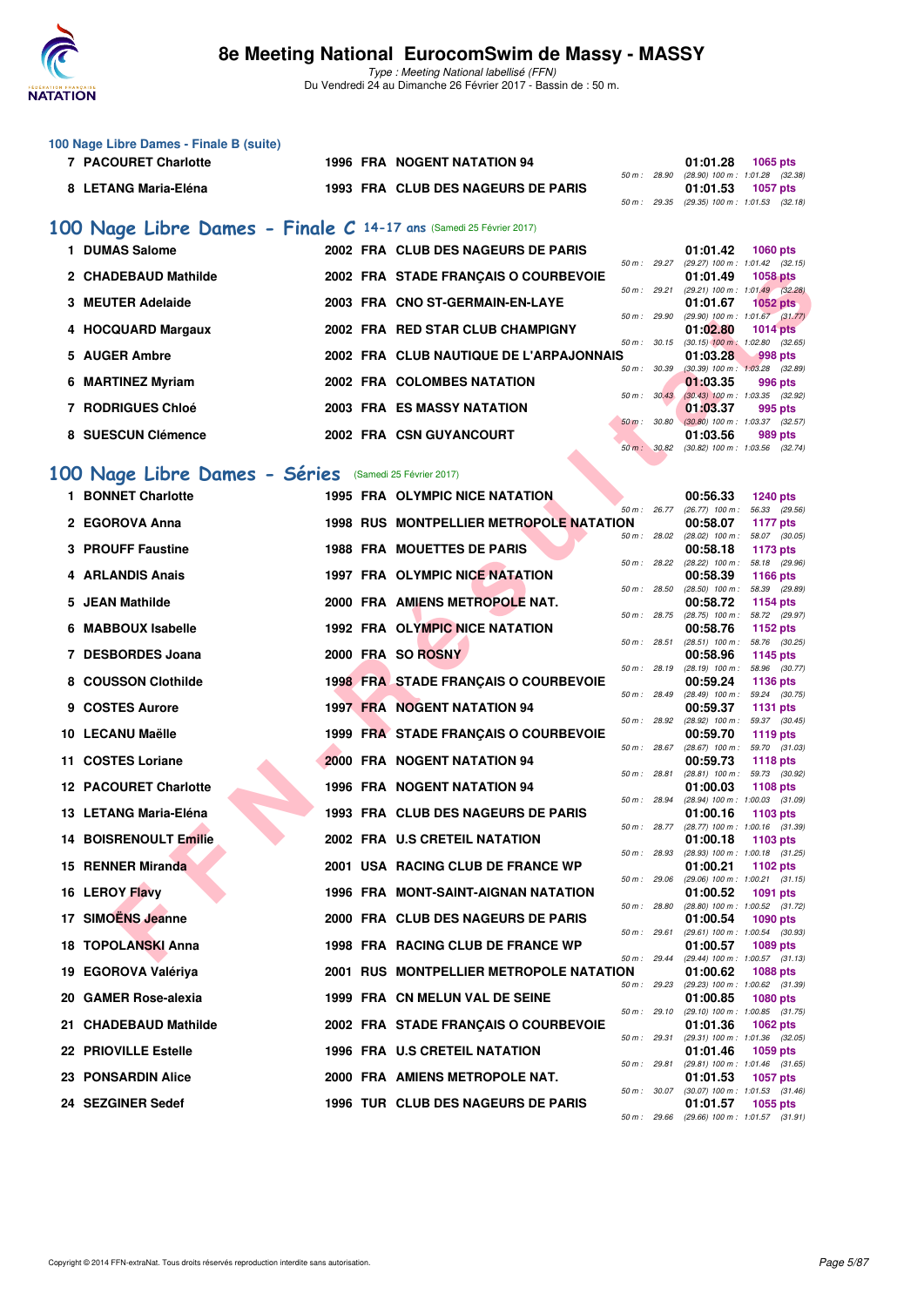

Type : Meeting National labellisé (FFN) Du Vendredi 24 au Dimanche 26 Février 2017 - Bassin de : 50 m.

| 100 Nage Libre Dames - Finale B (suite) |                                    |                                              |
|-----------------------------------------|------------------------------------|----------------------------------------------|
| 7 PACOURET Charlotte                    | <b>1996 FRA NOGENT NATATION 94</b> | 01:01.28<br>1065 pts                         |
|                                         |                                    | 50 m : 28.90 (28.90) 100 m : 1:01.28 (32.38) |
| 8 LETANG Maria-Eléna                    | 1993 FRA CLUB DES NAGEURS DE PARIS |                                              |
|                                         |                                    | 50 m: 29.35 (29.35) 100 m: 1:01.53 (32.18)   |
| $\cdots$                                |                                    |                                              |

#### **[100 Nage Libre Dames - Finale C](http://www.ffnatation.fr/webffn/resultats.php?idact=nat&go=epr&idcpt=42801&idepr=2) 14-17 ans** (Samedi 25 Février 2017)

| <b>DUMAS Salome</b>      |  | 2002 FRA CLUB DES NAGEURS DE PARIS      |                  | 01:01.42                                        | <b>1060 pts</b> |  |
|--------------------------|--|-----------------------------------------|------------------|-------------------------------------------------|-----------------|--|
| 2 CHADEBAUD Mathilde     |  | 2002 FRA STADE FRANCAIS O COURBEVOIE    | $50 m$ : 29.27   | $(29.27)$ 100 m : 1:01.42 $(32.15)$<br>01:01.49 | <b>1058 pts</b> |  |
| 3 MEUTER Adelaide        |  | 2003 FRA CNO ST-GERMAIN-EN-LAYE         | $50 m$ : 29.21   | $(29.21)$ 100 m : 1:01.49 $(32.28)$<br>01:01.67 | $1052$ pts      |  |
|                          |  |                                         | 50 m: 29.90      | $(29.90)$ 100 m : 1:01.67 $(31.77)$             |                 |  |
| 4 HOCQUARD Margaux       |  | 2002 FRA RED STAR CLUB CHAMPIGNY        | $50 m$ : $30.15$ | 01:02.80<br>$(30.15)$ 100 m : 1:02.80 $(32.65)$ | $1014$ pts      |  |
| 5 AUGER Ambre            |  | 2002 FRA CLUB NAUTIQUE DE L'ARPAJONNAIS | 50 m: 30.39      | 01:03.28<br>$(30.39)$ 100 m : 1:03.28 $(32.89)$ | 998 pts         |  |
| 6 MARTINEZ Myriam        |  | 2002 FRA COLOMBES NATATION              |                  | 01:03.35                                        | 996 pts         |  |
| <b>7 RODRIGUES Chloé</b> |  | <b>2003 FRA ES MASSY NATATION</b>       | 50 m: 30.43      | $(30.43)$ 100 m : 1:03.35 $(32.92)$<br>01:03.37 | 995 pts         |  |
| 8 SUESCUN Clémence       |  | 2002 FRA CSN GUYANCOURT                 | 50 m: 30.80      | $(30.80)$ 100 m : 1:03.37 $(32.57)$<br>01:03.56 | 989 pts         |  |
|                          |  |                                         | 50 m: 30.82      | $(30.82)$ 100 m : 1:03.56 $(32.74)$             |                 |  |

# **[100 Nage Libre Dames - Séries](http://www.ffnatation.fr/webffn/resultats.php?idact=nat&go=epr&idcpt=42801&idepr=2)** (Samedi 25 Février 2017)

| 2 CHADEBAUD Mathilde                                   |  | 2002 FRA STADE FRANÇAIS O COURBEVOIE           |              |              | 01:01.49                      | <b>1058 pts</b>                                                                       |
|--------------------------------------------------------|--|------------------------------------------------|--------------|--------------|-------------------------------|---------------------------------------------------------------------------------------|
| 3 MEUTER Adelaide                                      |  | 2003 FRA CNO ST-GERMAIN-EN-LAYE                |              | 50 m : 29.21 | 01:01.67                      | (29.21) 100 m: 1:01.49 (32.28)<br>1052 pts                                            |
| 4 HOCQUARD Margaux                                     |  | 2002 FRA RED STAR CLUB CHAMPIGNY               | 50 m : 29.90 |              | 01:02.80                      | $(29.90)$ 100 m : 1:01.67 $(31.77)$<br>1014 $pts$                                     |
| 5 AUGER Ambre                                          |  | 2002 FRA CLUB NAUTIQUE DE L'ARPAJONNAIS        | 50 m: 30.15  |              | 01:03.28                      | $(30.15)$ 100 m : 1:02.80 $(32.65)$<br>998 pts                                        |
| 6 MARTINEZ Myriam                                      |  | 2002 FRA COLOMBES NATATION                     | 50 m : 30.39 |              | 01:03.35                      | $(30.39)$ 100 m : 1:03.28 $(32.89)$<br>996 pts                                        |
| 7 RODRIGUES Chloé                                      |  | 2003 FRA ES MASSY NATATION                     |              | 50 m : 30.43 | 01:03.37                      | $(30.43)$ 100 m : 1:03.35 $(32.92)$<br>995 pts                                        |
| 8 SUESCUN Clémence                                     |  | 2002 FRA CSN GUYANCOURT                        | 50 m: 30.82  | 50 m : 30.80 | 01:03.56                      | $(30.80)$ 100 m : 1:03.37 $(32.57)$<br>989 pts<br>$(30.82)$ 100 m : 1:03.56 $(32.74)$ |
| .00 Nage Libre Dames - Séries (Samedi 25 Février 2017) |  |                                                |              |              |                               |                                                                                       |
| 1 BONNET Charlotte                                     |  | 1995 FRA OLYMPIC NICE NATATION                 |              |              | 00:56.33                      | <b>1240 pts</b>                                                                       |
|                                                        |  |                                                | 50 m : 26.77 |              | $(26.77)$ 100 m :             | 56.33 (29.56)                                                                         |
| 2 EGOROVA Anna                                         |  | <b>1998 RUS MONTPELLIER METROPOLE NATATION</b> |              | 50 m : 28.02 | 00:58.07<br>$(28.02)$ 100 m : | <b>1177 pts</b><br>58.07 (30.05)                                                      |
| 3 PROUFF Faustine                                      |  | <b>1988 FRA MOUETTES DE PARIS</b>              |              |              | 00:58.18                      | 1173 pts                                                                              |
| 4 ARLANDIS Anais                                       |  | 1997 FRA OLYMPIC NICE NATATION                 |              | 50 m : 28.22 | 00:58.39                      | (28.22) 100 m: 58.18 (29.96)<br>1166 pts                                              |
|                                                        |  |                                                | 50 m : 28.50 |              | $(28.50)$ 100 m :             | 58.39 (29.89)                                                                         |
| 5 JEAN Mathilde                                        |  | 2000 FRA AMIENS METROPOLE NAT.                 |              | 50 m : 28.75 | 00:58.72                      | 1154 pts<br>(28.75) 100 m: 58.72 (29.97)                                              |
| 6 MABBOUX Isabelle                                     |  | 1992 FRA OLYMPIC NICE NATATION                 |              |              | 00:58.76                      | 1152 pts                                                                              |
| 7 DESBORDES Joana                                      |  | 2000 FRA SO ROSNY                              | 50 m : 28.51 |              | $(28.51)$ 100 m :<br>00:58.96 | 58.76 (30.25)<br><b>1145 pts</b>                                                      |
|                                                        |  |                                                | 50 m : 28.19 |              | $(28.19)$ 100 m :             | 58.96 (30.77)                                                                         |
| 8 COUSSON Clothilde                                    |  | 1998 FRA STADE FRANÇAIS O COURBEVOIE           | 50 m : 28.49 |              | 00:59.24<br>$(28.49)$ 100 m : | 1136 pts<br>59.24 (30.75)                                                             |
| 9 COSTES Aurore                                        |  | <b>1997 FRA NOGENT NATATION 94</b>             |              |              | 00:59.37                      | <b>1131 pts</b>                                                                       |
| 10 LECANU Maëlle                                       |  | 1999 FRA STADE FRANÇAIS O COURBEVOIE           |              | 50 m : 28.92 | 00:59.70                      | (28.92) 100 m: 59.37 (30.45)<br>1119 pts                                              |
| 11 COSTES Loriane                                      |  | <b>2000 FRA NOGENT NATATION 94</b>             |              | 50 m : 28.67 | 00:59.73                      | $(28.67)$ 100 m : 59.70 $(31.03)$<br><b>1118 pts</b>                                  |
| <b>12 PACOURET Charlotte</b>                           |  | 1996 FRA NOGENT NATATION 94                    |              | 50 m : 28.81 | 01:00.03                      | (28.81) 100 m: 59.73 (30.92)<br><b>1108 pts</b>                                       |
|                                                        |  |                                                | 50 m : 28.94 |              |                               | (28.94) 100 m: 1:00.03 (31.09)                                                        |
| 13 LETANG Maria-Eléna                                  |  | 1993 FRA CLUB DES NAGEURS DE PARIS             | 50 m : 28.77 |              | 01:00.16                      | 1103 pts<br>(28.77) 100 m : 1:00.16 (31.39)                                           |
| <b>14 BOISRENOULT Emilie</b>                           |  | 2002 FRA U.S CRETEIL NATATION                  |              |              | 01:00.18                      | 1103 pts                                                                              |
| 15 RENNER Miranda                                      |  | 2001 USA RACING CLUB DE FRANCE WP              | 50 m : 28.93 |              | 01:00.21                      | (28.93) 100 m: 1:00.18 (31.25)<br>1102 pts                                            |
| 16 LEROY Flavy                                         |  | 1996 FRA MONT-SAINT-AIGNAN NATATION            | 50 m: 29.06  |              | 01:00.52                      | (29.06) 100 m: 1:00.21 (31.15)<br>1091 pts                                            |
|                                                        |  |                                                |              | 50 m : 28.80 |                               | (28.80) 100 m : 1:00.52 (31.72)                                                       |
| 17 SIMOËNS Jeanne                                      |  | 2000 FRA CLUB DES NAGEURS DE PARIS             |              | 50 m : 29.61 | 01:00.54                      | 1090 pts<br>(29.61) 100 m: 1:00.54 (30.93)                                            |
| 18 TOPOLANSKI Anna                                     |  | 1998 FRA RACING CLUB DE FRANCE WP              |              |              | 01:00.57                      | 1089 pts                                                                              |
| 19 EGOROVA Valériya                                    |  | 2001 RUS MONTPELLIER METROPOLE NATATION        |              |              | 01:00.62                      | 50 m: 29.44 (29.44) 100 m: 1:00.57 (31.13)<br>1088 pts                                |
| 20 GAMER Rose-alexia                                   |  | 1999 FRA CN MELUN VAL DE SEINE                 | 50 m : 29.23 |              |                               | (29.23) 100 m: 1:00.62 (31.39)                                                        |
|                                                        |  |                                                | 50 m : 29.10 |              | 01:00.85                      | 1080 pts<br>(29.10) 100 m: 1:00.85 (31.75)                                            |
| 21 CHADEBAUD Mathilde                                  |  | 2002 FRA STADE FRANÇAIS O COURBEVOIE           | 50 m : 29.31 |              | 01:01.36                      | <b>1062 pts</b><br>(29.31) 100 m: 1:01.36 (32.05)                                     |
| <b>22 PRIOVILLE Estelle</b>                            |  | 1996 FRA U.S CRETEIL NATATION                  |              |              | 01:01.46                      | 1059 pts                                                                              |
| 23 PONSARDIN Alice                                     |  | 2000 FRA AMIENS METROPOLE NAT.                 |              | 50 m : 29.81 | 01:01.53                      | (29.81) 100 m: 1:01.46 (31.65)<br>1057 pts                                            |
|                                                        |  |                                                |              | 50 m : 30.07 |                               | $(30.07)$ 100 m : 1:01.53 $(31.46)$                                                   |
| 24 SEZGINER Sedef                                      |  | 1996 TUR CLUB DES NAGEURS DE PARIS             |              | 50 m : 29.66 | 01:01.57                      | 1055 pts<br>$(29.66)$ 100 m : 1:01.57 $(31.91)$                                       |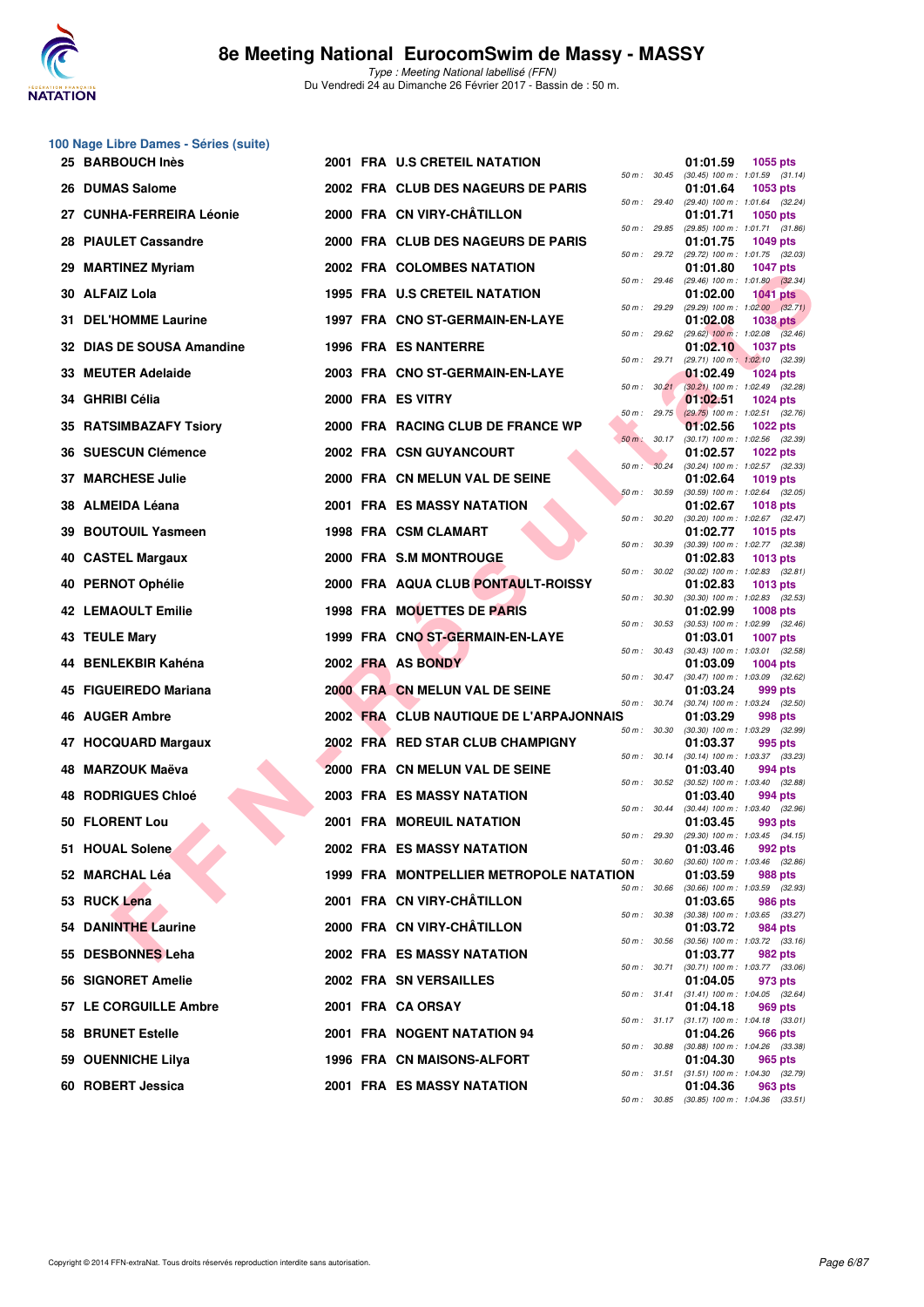

**100 Nage Libre Dames - Séries (suite)**

Du Vendredi 24 au Dimanche 26 Février 2017 - Bassin de : 50 m.

|     | 25 BARBOUCH Inès            |  | <b>2001 FRA U.S CRETEIL NATATION</b>    |                |                  | 01:01.59 | 1055 pts                                                |
|-----|-----------------------------|--|-----------------------------------------|----------------|------------------|----------|---------------------------------------------------------|
|     | 26 DUMAS Salome             |  | 2002 FRA CLUB DES NAGEURS DE PARIS      |                | 50 m : 30.45     | 01:01.64 | $(30.45)$ 100 m : 1:01.59 $(31.14)$<br>1053 pts         |
|     | 27 CUNHA-FERREIRA Léonie    |  | 2000 FRA CN VIRY-CHÂTILLON              |                | 50 m : 29.40     | 01:01.71 | (29.40) 100 m: 1:01.64 (32.24)<br><b>1050 pts</b>       |
|     | 28 PIAULET Cassandre        |  | 2000 FRA CLUB DES NAGEURS DE PARIS      | 50 m : 29.85   |                  | 01:01.75 | (29.85) 100 m: 1:01.71 (31.86)<br><b>1049 pts</b>       |
| 29. | <b>MARTINEZ Myriam</b>      |  | 2002 FRA COLOMBES NATATION              | $50 m$ : 29.72 |                  | 01:01.80 | (29.72) 100 m: 1:01.75 (32.03)<br><b>1047 pts</b>       |
|     | 30 ALFAIZ Lola              |  | 1995 FRA U.S CRETEIL NATATION           | 50 m: 29.46    |                  | 01:02.00 | $(29.46)$ 100 m : 1:01.80 $(32.34)$<br><b>1041 pts</b>  |
|     | <b>31 DEL'HOMME Laurine</b> |  | 1997 FRA CNO ST-GERMAIN-EN-LAYE         | 50 m: 29.29    |                  | 01:02.08 | $(29.29)$ 100 m : 1:02.00 $(32.71)$<br><b>1038 pts</b>  |
|     | 32 DIAS DE SOUSA Amandine   |  | 1996 FRA ES NANTERRE                    |                | 50 m : 29.62     | 01:02.10 | $(29.62)$ 100 m : 1:02.08 $(32.46)$<br><b>1037 pts</b>  |
|     | 33 MEUTER Adelaide          |  | 2003 FRA CNO ST-GERMAIN-EN-LAYE         |                | 50 m : 29.71     | 01:02.49 | $(29.71)$ 100 m : 1:02.10 $(32.39)$<br><b>1024 pts</b>  |
|     | 34 GHRIBI Célia             |  | 2000 FRA ES VITRY                       |                | 50 m: 30.21      | 01:02.51 | $(30.21)$ 100 m : 1:02.49 $(32.28)$<br><b>1024 pts</b>  |
|     | 35 RATSIMBAZAFY Tsiory      |  | 2000 FRA RACING CLUB DE FRANCE WP       | 50 m: 29.75    |                  | 01:02.56 | $(29.75)$ 100 m : 1:02.51 $(32.76)$<br><b>1022 pts</b>  |
|     | 36 SUESCUN Clémence         |  | 2002 FRA CSN GUYANCOURT                 |                | $50 m$ : $30.17$ | 01:02.57 | $(30.17)$ 100 m : 1:02.56 $(32.39)$<br><b>1022 pts</b>  |
|     | 37 MARCHESE Julie           |  | 2000 FRA CN MELUN VAL DE SEINE          | 50 m: 30.24    |                  | 01:02.64 | (30.24) 100 m: 1:02.57 (32.33)<br><b>1019 pts</b>       |
|     | 38 ALMEIDA Léana            |  | <b>2001 FRA ES MASSY NATATION</b>       | 50 m: 30.59    |                  | 01:02.67 | $(30.59)$ 100 m : 1:02.64 $(32.05)$<br><b>1018 pts</b>  |
|     | 39 BOUTOUIL Yasmeen         |  | 1998 FRA CSM CLAMART                    | 50 m: 30.20    |                  | 01:02.77 | $(30.20)$ 100 m : 1:02.67 $(32.47)$<br><b>1015 pts</b>  |
|     | 40 CASTEL Margaux           |  | 2000 FRA S.M MONTROUGE                  | 50 m : 30.39   |                  | 01:02.83 | $(30.39)$ 100 m : 1:02.77 $(32.38)$<br>1013 pts         |
|     | 40 PERNOT Ophélie           |  | 2000 FRA AQUA CLUB PONTAULT-ROISSY      | 50 m: 30.02    |                  | 01:02.83 | $(30.02)$ 100 m : 1:02.83 $(32.81)$<br><b>1013 pts</b>  |
|     | <b>42 LEMAOULT Emilie</b>   |  | 1998 FRA MOUETTES DE PARIS              | 50 m: 30.30    |                  | 01:02.99 | $(30.30)$ 100 m : 1:02.83 $(32.53)$<br><b>1008 pts</b>  |
|     | 43 TEULE Mary               |  | 1999 FRA CNO ST-GERMAIN-EN-LAYE         | 50 m: 30.53    |                  | 01:03.01 | $(30.53)$ 100 m : 1:02.99 $(32.46)$<br><b>1007 pts</b>  |
|     | 44 BENLEKBIR Kahéna         |  | 2002 FRA AS BONDY                       | 50 m: 30.43    |                  | 01:03.09 | $(30.43)$ 100 m : 1:03.01 $(32.58)$<br><b>1004 pts</b>  |
|     | 45 FIGUEIREDO Mariana       |  | 2000 FRA CN MELUN VAL DE SEINE          |                | 50 m : 30.47     | 01:03.24 | $(30.47)$ 100 m : 1:03.09 $(32.62)$<br>999 pts          |
|     | <b>46 AUGER Ambre</b>       |  | 2002 FRA CLUB NAUTIQUE DE L'ARPAJONNAIS | 50 m: 30.74    |                  | 01:03.29 | $(30.74)$ 100 m : 1:03.24 $(32.50)$<br>998 pts          |
|     | 47 HOCQUARD Margaux         |  | 2002 FRA RED STAR CLUB CHAMPIGNY        | 50 m: 30.30    |                  | 01:03.37 | (30.30) 100 m: 1:03.29 (32.99)<br>995 pts               |
| 48  | <b>MARZOUK Maëva</b>        |  | 2000 FRA CN MELUN VAL DE SEINE          |                | 50 m : 30.14     | 01:03.40 | $(30.14)$ 100 m : 1:03.37 $(33.23)$<br>994 pts          |
|     | 48 RODRIGUES Chloé          |  | <b>2003 FRA ES MASSY NATATION</b>       |                | 50 m : 30.52     | 01:03.40 | $(30.52)$ 100 m : 1:03.40 $(32.88)$<br>994 pts          |
|     | 50 FLORENT Lou              |  | 2001 FRA MOREUIL NATATION               |                | 50 m : 30.44     | 01:03.45 | (30.44) 100 m: 1:03.40 (32.96)<br>993 pts               |
|     | 51 HOUAL Solene             |  | 2002 FRA ES MASSY NATATION              | 50 m: 29.30    |                  | 01:03.46 | (29.30) 100 m: 1:03.45 (34.15)<br>992 pts               |
|     | 52 MARCHAL Léa              |  | 1999 FRA MONTPELLIER METROPOLE NATATION |                |                  | 01:03.59 | 50 m : 30.60 (30.60) 100 m : 1:03.46 (32.86)<br>988 pts |
|     | 53 RUCK Lena                |  | 2001 FRA CN VIRY-CHÂTILLON              |                | 50 m : 30.66     | 01:03.65 | $(30.66)$ 100 m : 1:03.59 $(32.93)$<br>986 pts          |
|     | <b>54 DANINTHE Laurine</b>  |  | 2000 FRA CN VIRY-CHÂTILLON              |                | 50 m : 30.38     | 01:03.72 | (30.38) 100 m: 1:03.65 (33.27)<br>984 pts               |
|     | 55 DESBONNES Leha           |  | <b>2002 FRA ES MASSY NATATION</b>       |                | 50 m : 30.56     | 01:03.77 | $(30.56)$ 100 m : 1:03.72 $(33.16)$<br>982 pts          |
|     | 56 SIGNORET Amelie          |  | 2002 FRA SN VERSAILLES                  |                | 50 m : 30.71     | 01:04.05 | $(30.71)$ 100 m : 1:03.77 $(33.06)$<br>973 pts          |
|     | 57 LE CORGUILLE Ambre       |  | 2001 FRA CA ORSAY                       |                |                  | 01:04.18 | 50 m: 31.41 (31.41) 100 m: 1:04.05 (32.64)<br>969 pts   |
|     | 58 BRUNET Estelle           |  | 2001 FRA NOGENT NATATION 94             |                |                  | 01:04.26 | 50 m: 31.17 (31.17) 100 m: 1:04.18 (33.01)<br>966 pts   |
|     | 59 OUENNICHE Lilya          |  | 1996 FRA CN MAISONS-ALFORT              |                |                  | 01:04.30 | 50 m : 30.88 (30.88) 100 m : 1:04.26 (33.38)<br>965 pts |
|     | 60 ROBERT Jessica           |  | 2001 FRA ES MASSY NATATION              |                |                  | 01:04.36 | 50 m: 31.51 (31.51) 100 m: 1:04.30 (32.79)<br>963 pts   |
|     |                             |  |                                         |                |                  |          | 50 m : 30.85 (30.85) 100 m : 1:04.36 (33.51)            |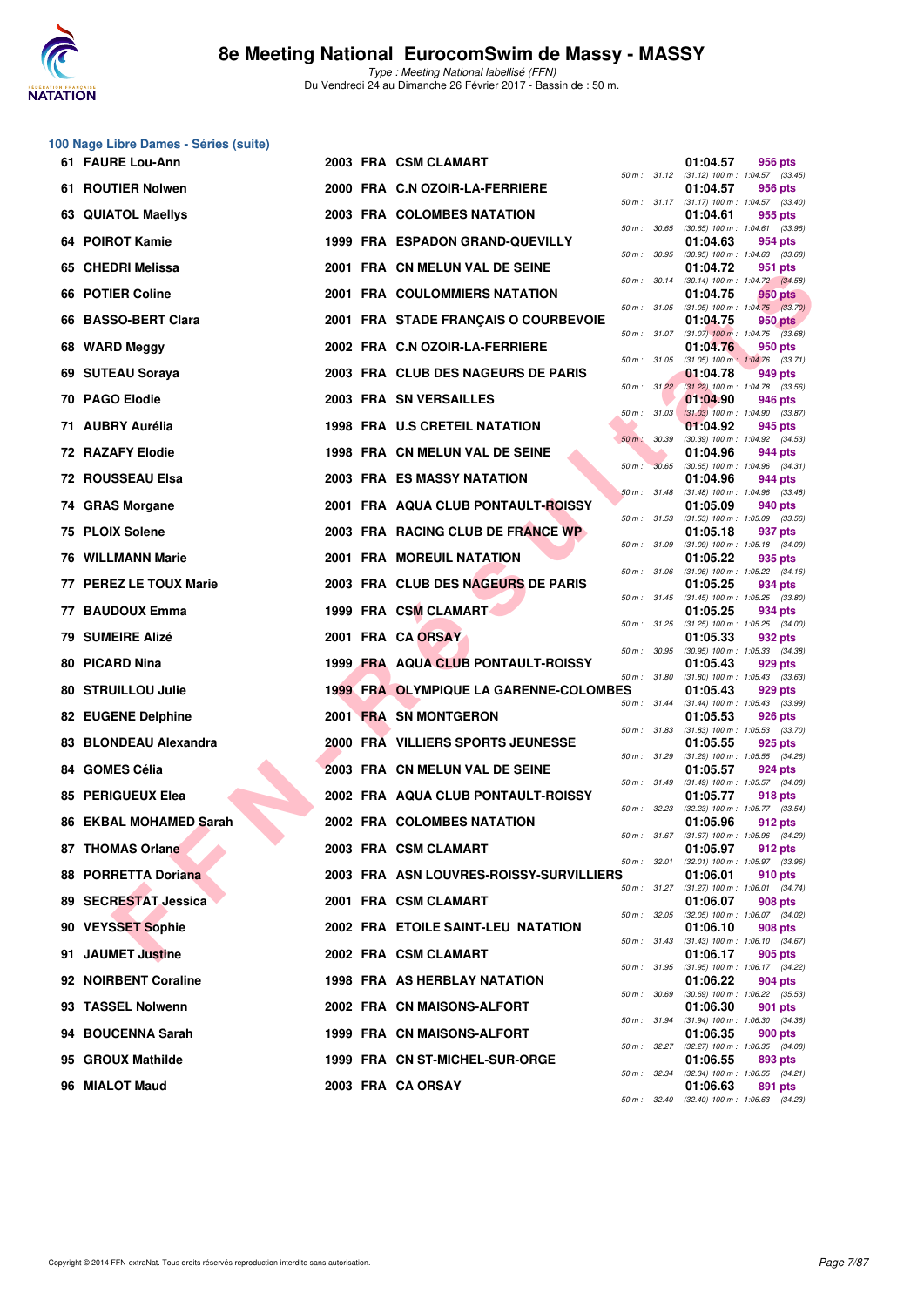

|    | 100 Nage Libre Dames - Séries (suite) |  |                                               |              |              |                                                                                               |         |  |
|----|---------------------------------------|--|-----------------------------------------------|--------------|--------------|-----------------------------------------------------------------------------------------------|---------|--|
|    | 61 FAURE Lou-Ann                      |  | 2003 FRA CSM CLAMART                          |              |              | 01:04.57<br>50 m: 31.12 (31.12) 100 m: 1:04.57 (33.45)                                        | 956 pts |  |
|    | 61 ROUTIER Nolwen                     |  | 2000 FRA C.N OZOIR-LA-FERRIERE                |              |              | 01:04.57<br>50 m: 31.17 (31.17) 100 m: 1:04.57 (33.40)                                        | 956 pts |  |
|    | 63 QUIATOL Maellys                    |  | 2003 FRA COLOMBES NATATION                    |              |              | 01:04.61                                                                                      | 955 pts |  |
|    | 64 POIROT Kamie                       |  | 1999 FRA ESPADON GRAND-QUEVILLY               | 50 m : 30.65 |              | $(30.65)$ 100 m : 1:04.61 $(33.96)$<br>01:04.63                                               | 954 pts |  |
|    | 65 CHEDRI Melissa                     |  | 2001 FRA CN MELUN VAL DE SEINE                | 50 m : 30.95 |              | $(30.95)$ 100 m : 1:04.63 $(33.68)$<br>01:04.72                                               | 951 pts |  |
|    | 66 POTIER Coline                      |  | <b>2001 FRA COULOMMIERS NATATION</b>          | 50 m : 30.14 |              | (30.14) 100 m : 1:04.72 (34.58)<br>01:04.75                                                   | 950 pts |  |
| 66 | <b>BASSO-BERT Clara</b>               |  | 2001 FRA STADE FRANÇAIS O COURBEVOIE          |              | 50 m : 31.05 | $(31.05)$ 100 m : 1:04.75 $(33.70)$<br>01:04.75                                               | 950 pts |  |
|    | 68 WARD Meggy                         |  | 2002 FRA C.N OZOIR-LA-FERRIERE                |              |              | 50 m: 31.07 (31.07) 100 m: 1:04.75 (33.68)<br>01:04.76<br>$(31.05)$ 100 m : 1:04.76 $(33.71)$ | 950 pts |  |
|    | 69 SUTEAU Soraya                      |  | 2003 FRA CLUB DES NAGEURS DE PARIS            | 50 m : 31.05 |              | 01:04.78                                                                                      | 949 pts |  |
|    | 70 PAGO Elodie                        |  | 2003 FRA SN VERSAILLES                        |              |              | 50 m : 31.22 (31.22) 100 m : 1:04.78 (33.56)<br>01:04.90                                      | 946 pts |  |
|    | 71 AUBRY Aurélia                      |  | 1998 FRA U.S CRETEIL NATATION                 | 50 m: 31.03  |              | $(31.03)$ 100 m : 1:04.90 $(33.87)$<br>01:04.92                                               | 945 pts |  |
|    | 72 RAZAFY Elodie                      |  | 1998 FRA CN MELUN VAL DE SEINE                | $50 m$ :     | 30.39        | (30.39) 100 m: 1:04.92 (34.53)<br>01:04.96                                                    | 944 pts |  |
|    | 72 ROUSSEAU Elsa                      |  | 2003 FRA ES MASSY NATATION                    | 50 m: 30.65  |              | $(30.65)$ 100 m : 1:04.96 $(34.31)$<br>01:04.96                                               | 944 pts |  |
|    | 74 GRAS Morgane                       |  | 2001 FRA AQUA CLUB PONTAULT-ROISSY            | 50 m: 31.48  |              | $(31.48)$ 100 m : 1:04.96 $(33.48)$<br>01:05.09                                               | 940 pts |  |
|    | 75 PLOIX Solene                       |  | 2003 FRA RACING CLUB DE FRANCE WP             |              |              | 50 m: 31.53 (31.53) 100 m: 1:05.09 (33.56)<br>01:05.18                                        | 937 pts |  |
|    | <b>76 WILLMANN Marie</b>              |  | <b>2001 FRA MOREUIL NATATION</b>              | 50 m : 31.09 |              | $(31.09)$ 100 m : 1:05.18 $(34.09)$<br>01:05.22                                               | 935 pts |  |
|    | 77 PEREZ LE TOUX Marie                |  | 2003 FRA CLUB DES NAGEURS DE PARIS            | 50 m : 31.06 |              | $(31.06)$ 100 m : 1:05.22 $(34.16)$<br>01:05.25                                               | 934 pts |  |
| 77 | <b>BAUDOUX Emma</b>                   |  | 1999 FRA CSM CLAMART                          | 50 m : 31.45 |              | $(31.45)$ 100 m : 1:05.25 $(33.80)$<br>01:05.25                                               | 934 pts |  |
| 79 | <b>SUMEIRE Alizé</b>                  |  | 2001 FRA CA ORSAY                             |              | 50 m : 31.25 | $(31.25)$ 100 m : 1:05.25 $(34.00)$<br>01:05.33                                               | 932 pts |  |
|    | 80 PICARD Nina                        |  | 1999 FRA AQUA CLUB PONTAULT-ROISSY            |              | 50 m : 30.95 | $(30.95)$ 100 m : 1:05.33 $(34.38)$<br>01:05.43                                               | 929 pts |  |
|    | 80 STRUILLOU Julie                    |  | <b>1999 FRA OLYMPIQUE LA GARENNE-COLOMBES</b> | 50 m : 31.80 |              | $(31.80)$ 100 m : 1:05.43 $(33.63)$<br>01:05.43                                               | 929 pts |  |
|    | 82 EUGENE Delphine                    |  | 2001 FRA SN MONTGERON                         |              | 50 m : 31.44 | $(31.44)$ 100 m : 1:05.43 $(33.99)$<br>01:05.53                                               | 926 pts |  |
|    | 83 BLONDEAU Alexandra                 |  | 2000 FRA VILLIERS SPORTS JEUNESSE             | 50 m: 31.83  |              | $(31.83)$ 100 m : 1:05.53 $(33.70)$<br>01:05.55                                               | 925 pts |  |
|    | 84 GOMES Célia                        |  | 2003 FRA CN MELUN VAL DE SEINE                | 50 m: 31.29  |              | (31.29) 100 m: 1:05.55 (34.26)<br>01:05.57                                                    | 924 pts |  |
|    | 85 PERIGUEUX Elea                     |  | 2002 FRA AQUA CLUB PONTAULT-ROISSY            |              |              | 50 m: 31.49 (31.49) 100 m: 1:05.57 (34.08)<br>01:05.77                                        | 918 pts |  |
|    | <b>86 EKBAL MOHAMED Sarah</b>         |  | 2002 FRA COLOMBES NATATION                    | 50 m: 32.23  |              | $(32.23)$ 100 m : 1:05.77 $(33.54)$<br>01:05.96                                               | 912 pts |  |
|    | 87 THOMAS Orlane                      |  | 2003 FRA CSM CLAMART                          |              |              | 50 m : 31.67 (31.67) 100 m : 1:05.96 (34.29)<br>01:05.97                                      | 912 pts |  |
|    | 88 PORRETTA Doriana                   |  | 2003 FRA ASN LOUVRES-ROISSY-SURVILLIERS       | 50 m: 32.01  |              | (32.01) 100 m: 1:05.97 (33.96)<br>01:06.01                                                    | 910 pts |  |
|    | 89 SECRESTAT Jessica                  |  | 2001 FRA CSM CLAMART                          | 50 m: 31.27  |              | $(31.27)$ 100 m : 1:06.01 $(34.74)$<br>01:06.07                                               | 908 pts |  |
|    | 90 VEYSSET Sophie                     |  | 2002 FRA ETOILE SAINT-LEU NATATION            | 50 m : 32.05 |              | (32.05) 100 m: 1:06.07 (34.02)<br>01:06.10                                                    | 908 pts |  |
|    | 91 JAUMET Justine                     |  | 2002 FRA CSM CLAMART                          |              | 50 m : 31.43 | $(31.43)$ 100 m : 1:06.10 $(34.67)$<br>01:06.17                                               | 905 pts |  |
|    | 92 NOIRBENT Coraline                  |  | 1998 FRA AS HERBLAY NATATION                  | 50 m : 31.95 |              | (31.95) 100 m: 1:06.17 (34.22)<br>01:06.22                                                    | 904 pts |  |
|    | 93 TASSEL Nolwenn                     |  | 2002 FRA CN MAISONS-ALFORT                    | 50 m : 30.69 |              | (30.69) 100 m: 1:06.22 (35.53)<br>01:06.30                                                    | 901 pts |  |
|    | 94 BOUCENNA Sarah                     |  | 1999 FRA CN MAISONS-ALFORT                    | 50 m : 31.94 |              | $(31.94)$ 100 m : 1:06.30 $(34.36)$<br>01:06.35                                               | 900 pts |  |
|    | 95 GROUX Mathilde                     |  | 1999 FRA CN ST-MICHEL-SUR-ORGE                | 50 m: 32.27  |              | (32.27) 100 m: 1:06.35 (34.08)<br>01:06.55                                                    | 893 pts |  |
|    | 96 MIALOT Maud                        |  | 2003 FRA CA ORSAY                             | 50 m : 32.34 |              | (32.34) 100 m: 1:06.55 (34.21)<br>01:06.63                                                    | 891 pts |  |
|    |                                       |  |                                               |              |              | 50 m: 32.40 (32.40) 100 m: 1:06.63 (34.23)                                                    |         |  |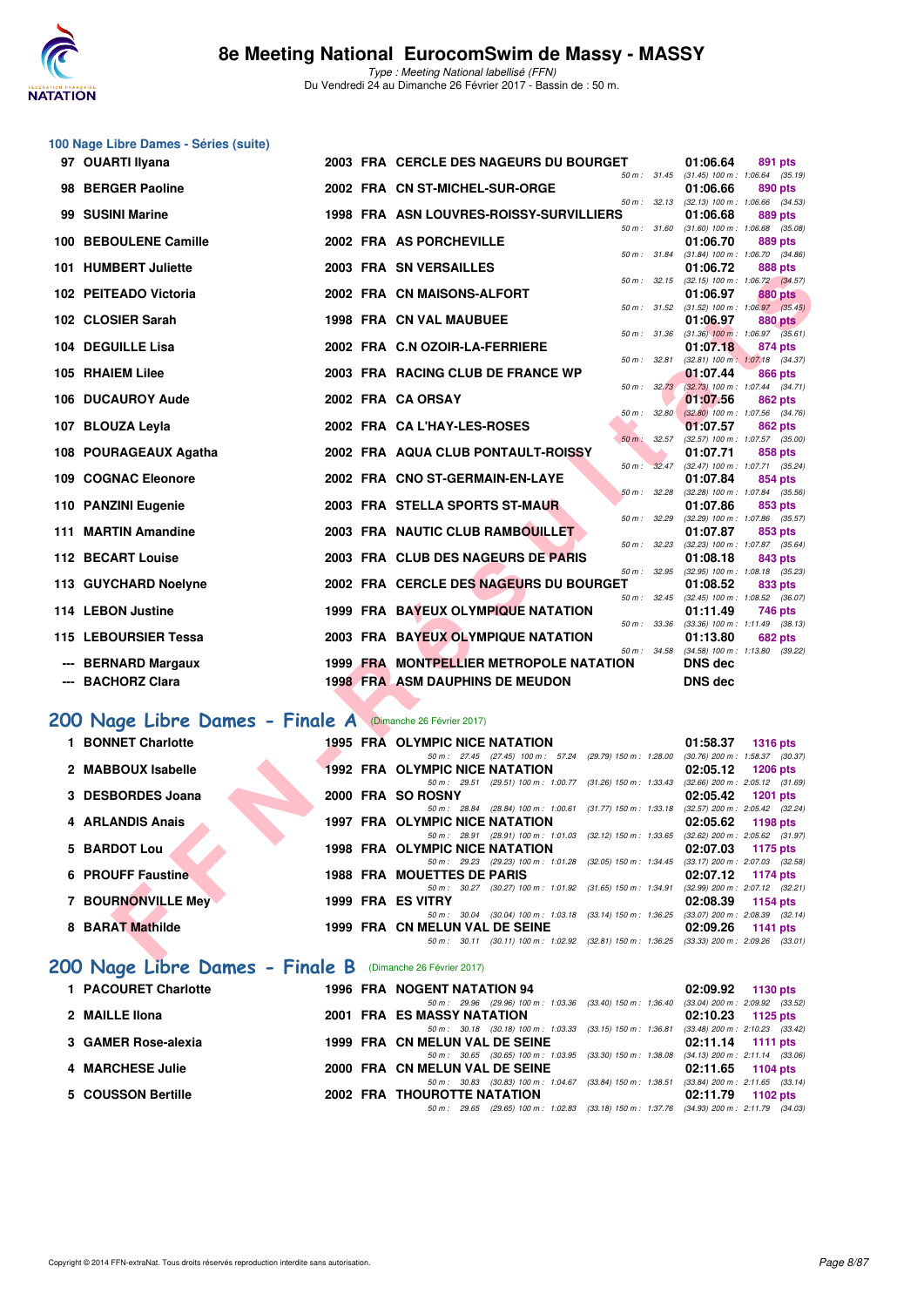

| 100 Nage Libre Dames - Séries (suite)                      |  |                                                                                                    |                                                                    |
|------------------------------------------------------------|--|----------------------------------------------------------------------------------------------------|--------------------------------------------------------------------|
| 97 OUARTI Ilyana                                           |  | 2003 FRA CERCLE DES NAGEURS DU BOURGET                                                             | 01:06.64<br>891 pts                                                |
| 98 BERGER Paoline                                          |  | 2002 FRA CN ST-MICHEL-SUR-ORGE                                                                     | 50 m: 31.45 (31.45) 100 m: 1:06.64 (35.19)<br>01:06.66<br>890 pts  |
| 99 SUSINI Marine                                           |  | 1998 FRA ASN LOUVRES-ROISSY-SURVILLIERS                                                            | 50 m: 32.13 (32.13) 100 m: 1:06.66 (34.53)<br>01:06.68<br>889 pts  |
| 100 BEBOULENE Camille                                      |  | 50 m : 31.60<br>2002 FRA AS PORCHEVILLE                                                            | $(31.60)$ 100 m : 1:06.68 $(35.08)$<br>01:06.70<br>889 pts         |
| 101 HUMBERT Juliette                                       |  | 50 m : 31.84<br>2003 FRA SN VERSAILLES                                                             | $(31.84)$ 100 m : 1:06.70 $(34.86)$<br>01:06.72<br>888 pts         |
|                                                            |  | 2002 FRA CN MAISONS-ALFORT                                                                         | 50 m: 32.15 (32.15) 100 m: 1:06.72 (34.57)                         |
| 102 PEITEADO Victoria                                      |  | 50 m : 31.52                                                                                       | 01:06.97<br>880 pts<br>$(31.52)$ 100 m : 1:06.97 $(35.45)$         |
| 102 CLOSIER Sarah                                          |  | <b>1998 FRA CN VAL MAUBUEE</b><br>50 m : 31.36                                                     | 01:06.97<br><b>880 pts</b><br>$(31.36)$ 100 m : 1:06.97 $(35.61)$  |
| 104 DEGUILLE Lisa                                          |  | 2002 FRA C.N OZOIR-LA-FERRIERE<br>50 m : 32.81                                                     | 01:07.18<br>874 pts<br>(32.81) 100 m: 1:07.18 (34.37)              |
| 105 RHAIEM Lilee                                           |  | 2003 FRA RACING CLUB DE FRANCE WP                                                                  | 01:07.44<br>866 pts                                                |
| 106 DUCAUROY Aude                                          |  | 50 m: 32.73<br>2002 FRA CA ORSAY                                                                   | $(32.73)$ 100 m : 1:07.44 $(34.71)$<br>01:07.56<br>862 pts         |
| 107 BLOUZA Leyla                                           |  | 50 m: 32.80<br>2002 FRA CA L'HAY-LES-ROSES                                                         | $(32.80)$ 100 m : 1:07.56 $(34.76)$<br>01:07.57<br>862 pts         |
|                                                            |  | 50 m : 32.57                                                                                       | (32.57) 100 m: 1:07.57 (35.00)                                     |
| 108 POURAGEAUX Agatha                                      |  | 2002 FRA AQUA CLUB PONTAULT-ROISSY<br>50 m : 32.47                                                 | 01:07.71<br>858 pts<br>(32.47) 100 m: 1:07.71 (35.24)              |
| 109 COGNAC Eleonore                                        |  | 2002 FRA CNO ST-GERMAIN-EN-LAYE<br>50 m: 32.28                                                     | 01:07.84<br>854 pts<br>(32.28) 100 m: 1:07.84 (35.56)              |
| 110 PANZINI Eugenie                                        |  | 2003 FRA STELLA SPORTS ST-MAUR                                                                     | 01:07.86<br>853 pts                                                |
| 111 MARTIN Amandine                                        |  | 50 m : 32.29<br>2003 FRA NAUTIC CLUB RAMBOUILLET                                                   | $(32.29)$ 100 m : 1:07.86 $(35.57)$<br>01:07.87<br>853 pts         |
| 112 BECART Louise                                          |  | 50 m : 32.23<br>2003 FRA CLUB DES NAGEURS DE PARIS                                                 | (32.23) 100 m: 1:07.87 (35.64)<br>01:08.18<br>843 pts              |
|                                                            |  | 50 m : 32.95                                                                                       | (32.95) 100 m: 1:08.18 (35.23)                                     |
| 113 GUYCHARD Noelyne                                       |  | 2002 FRA CERCLE DES NAGEURS DU BOURGET<br>50 m: 32.45                                              | 01:08.52<br>833 pts<br>(32.45) 100 m : 1:08.52 (36.07)             |
| 114 LEBON Justine                                          |  | 1999 FRA BAYEUX OLYMPIQUE NATATION<br>50 m : 33.36                                                 | 01:11.49<br>746 pts<br>$(33.36)$ 100 m : 1:11.49 $(38.13)$         |
| 115 LEBOURSIER Tessa                                       |  | 2003 FRA BAYEUX OLYMPIQUE NATATION                                                                 | 01:13.80<br><b>682 pts</b>                                         |
| <b>BERNARD Margaux</b>                                     |  | 50 m : 34.58<br>1999 FRA MONTPELLIER METROPOLE NATATION                                            | (34.58) 100 m: 1:13.80 (39.22)<br><b>DNS dec</b>                   |
| --- BACHORZ Clara                                          |  | <b>1998 FRA ASM DAUPHINS DE MEUDON</b>                                                             | <b>DNS dec</b>                                                     |
|                                                            |  |                                                                                                    |                                                                    |
| 200 Nage Libre Dames - Finale A (Dimanche 26 Février 2017) |  |                                                                                                    |                                                                    |
| 1 BONNET Charlotte                                         |  | <b>1995 FRA OLYMPIC NICE NATATION</b><br>50 m: 27.45 (27.45) 100 m: 57.24 (29.79) 150 m: 1:28.00   | 01:58.37<br><b>1316 pts</b><br>(30.76) 200 m : 1:58.37 (30.37)     |
| 2 MABBOUX Isabelle                                         |  | <b>1992 FRA OLYMPIC NICE NATATION</b>                                                              | 02:05.12<br><b>1206 pts</b>                                        |
| 3 DESBORDES Joana                                          |  | 50 m: 29.51 (29.51) 100 m: 1:00.77 (31.26) 150 m: 1:33.43<br>2000 FRA SO ROSNY                     | $(32.66)$ 200 m : 2:05.12 $(31.69)$<br>02:05.42<br><b>1201 pts</b> |
| 4 ARLANDIS Anais                                           |  | 50 m: 28.84 (28.84) 100 m: 1:00.61 (31.77) 150 m: 1:33.18<br>1997 FRA OLYMPIC NICE NATATION        | (32.57) 200 m : 2:05.42 (32.24)<br>02:05.62<br>1198 pts            |
| 5 BARDOT Lou                                               |  | 50 m: 28.91 (28.91) 100 m: 1:01.03 (32.12) 150 m: 1:33.65<br><b>1998 FRA OLYMPIC NICE NATATION</b> | $(32.62)$ 200 m : $2.05.62$ $(31.97)$<br>02:07.03<br>1175 pts      |
|                                                            |  | 50 m: 29.23 (29.23) 100 m: 1:01.28 (32.05) 150 m: 1:34.45 (33.17) 200 m: 2:07.03 (32.58)           |                                                                    |
| <b>6 PROUFF Faustine</b>                                   |  | <b>1988 FRA MOUETTES DE PARIS</b><br>50 m: 30.27 (30.27) 100 m: 1:01.92 (31.65) 150 m: 1:34.91     | 02:07.12<br>1174 pts<br>(32.99) 200 m : 2:07.12 (32.21)            |
| 7 BOURNONVILLE Mey                                         |  | 1999 FRA ES VITRY<br>50 m : 30.04 (30.04) 100 m : 1:03.18 (33.14) 150 m : 1:36.25                  | 02:08.39<br>1154 pts<br>$(33.07)$ 200 m : 2:08.39 $(32.14)$        |
| 8 BARAT Mathilde                                           |  | 1999 FRA CN MELUN VAL DE SEINE                                                                     | 02:09.26<br>1141 pts                                               |
|                                                            |  | 50 m : 30.11 (30.11) 100 m : 1:02.92 (32.81) 150 m : 1:36.25                                       | $(33.33)$ 200 m : 2:09.26 $(33.01)$                                |

| 2 MABBOUX Isabelle                                         | <b>1992 FRA OLYMPIC NICE NATATION</b> |                                                     | 02:05.12                            | $1206$ pts |  |
|------------------------------------------------------------|---------------------------------------|-----------------------------------------------------|-------------------------------------|------------|--|
|                                                            | 50 m : 29.51                          | (29.51) 100 m: 1:00.77 (31.26) 150 m: 1:33.43       | $(32.66)$ 200 m : 2:05.12 $(31.69)$ |            |  |
| 3 DESBORDES Joana                                          | 2000 FRA SO ROSNY                     |                                                     | 02:05.42                            | 1201 $pts$ |  |
|                                                            | 50 m : 28.84                          | (28.84) 100 m : 1:00.61 (31.77) 150 m : 1:33.18     | $(32.57)$ 200 m : 2:05.42 $(32.24)$ |            |  |
| 4 ARLANDIS Anais                                           | 1997 FRA OLYMPIC NICE NATATION        |                                                     | 02:05.62                            | 1198 pts   |  |
|                                                            | 50 m: 28.91 (28.91) 100 m: 1:01.03    | (32.12) 150 m : 1:33.65                             | $(32.62)$ 200 m : 2:05.62 $(31.97)$ |            |  |
| 5 BARDOT Lou                                               | <b>1998 FRA OLYMPIC NICE NATATION</b> |                                                     | 02:07.03                            | 1175 pts   |  |
|                                                            | 50 m: 29.23 (29.23) 100 m: 1:01.28    | $(32.05)$ 150 m : 1:34.45                           | $(33.17)$ 200 m : 2:07.03 $(32.58)$ |            |  |
| 6 PROUFF Faustine                                          | <b>1988 FRA MOUETTES DE PARIS</b>     |                                                     | 02:07.12                            | 1174 pts   |  |
|                                                            | 30.27<br>50 m :                       | (30.27) 100 m : 1:01.92 (31.65) 150 m : 1:34.91     | $(32.99)$ 200 m : 2:07.12 $(32.21)$ |            |  |
| <b>7 BOURNONVILLE Mey</b>                                  | 1999 FRA ES VITRY                     |                                                     | 02:08.39                            | 1154 pts   |  |
|                                                            | 50 m : 30.04                          | $(30.04)$ 100 m : 1:03.18 $(33.14)$ 150 m : 1:36.25 | $(33.07)$ 200 m : 2:08.39 $(32.14)$ |            |  |
| 8 BARAT Mathilde                                           | 1999 FRA CN MELUN VAL DE SEINE        |                                                     | 02:09.26                            | 1141 pts   |  |
|                                                            | 50 m : 30.11                          | $(30.11)$ 100 m : 1:02.92 $(32.81)$ 150 m : 1:36.25 | $(33.33)$ 200 m : 2:09.26 $(33.01)$ |            |  |
|                                                            |                                       |                                                     |                                     |            |  |
| 200 Nage Libre Dames - Finale B (Dimanche 26 Février 2017) |                                       |                                                     |                                     |            |  |
|                                                            |                                       |                                                     |                                     |            |  |
| 1 PACOURET Charlotte                                       | <b>1996 FRA NOGENT NATATION 94</b>    |                                                     | 02:09.92                            | 1130 pts   |  |

| T PACOURET Chanolle   |  | 1990 FRA NUGENINAIAIUN 94          |  |                                                                                          | UZ.09.92 1130 DIS   |  |
|-----------------------|--|------------------------------------|--|------------------------------------------------------------------------------------------|---------------------|--|
|                       |  |                                    |  | 50 m: 29.96 (29.96) 100 m: 1:03.36 (33.40) 150 m: 1:36.40 (33.04) 200 m: 2:09.92 (33.52) |                     |  |
| 2 MAILLE IIona        |  | 2001 FRA ES MASSY NATATION         |  |                                                                                          | $02:10.23$ 1125 pts |  |
|                       |  |                                    |  | 50 m: 30.18 (30.18) 100 m: 1:03.33 (33.15) 150 m: 1:36.81 (33.48) 200 m: 2:10.23 (33.42) |                     |  |
| 3   GAMER Rose-alexia |  | 1999 FRA CN MELUN VAL DE SEINE     |  |                                                                                          | $02:11.14$ 1111 pts |  |
|                       |  |                                    |  | 50 m: 30.65 (30.65) 100 m: 1:03.95 (33.30) 150 m: 1:38.08 (34.13) 200 m: 2:11.14 (33.06) |                     |  |
| 4 MARCHESE Julie      |  | 2000 FRA CN MELUN VAL DE SEINE     |  |                                                                                          | $02:11.65$ 1104 pts |  |
|                       |  |                                    |  | 50 m: 30.83 (30.83) 100 m: 1:04.67 (33.84) 150 m: 1:38.51 (33.84) 200 m: 2:11.65 (33.14) |                     |  |
| 5 COUSSON Bertille    |  | <b>2002 FRA THOUROTTE NATATION</b> |  |                                                                                          | $02:11.79$ 1102 pts |  |
|                       |  |                                    |  | 50 m: 29.65 (29.65) 100 m: 1:02.83 (33.18) 150 m: 1:37.76 (34.93) 200 m: 2:11.79 (34.03) |                     |  |
|                       |  |                                    |  |                                                                                          |                     |  |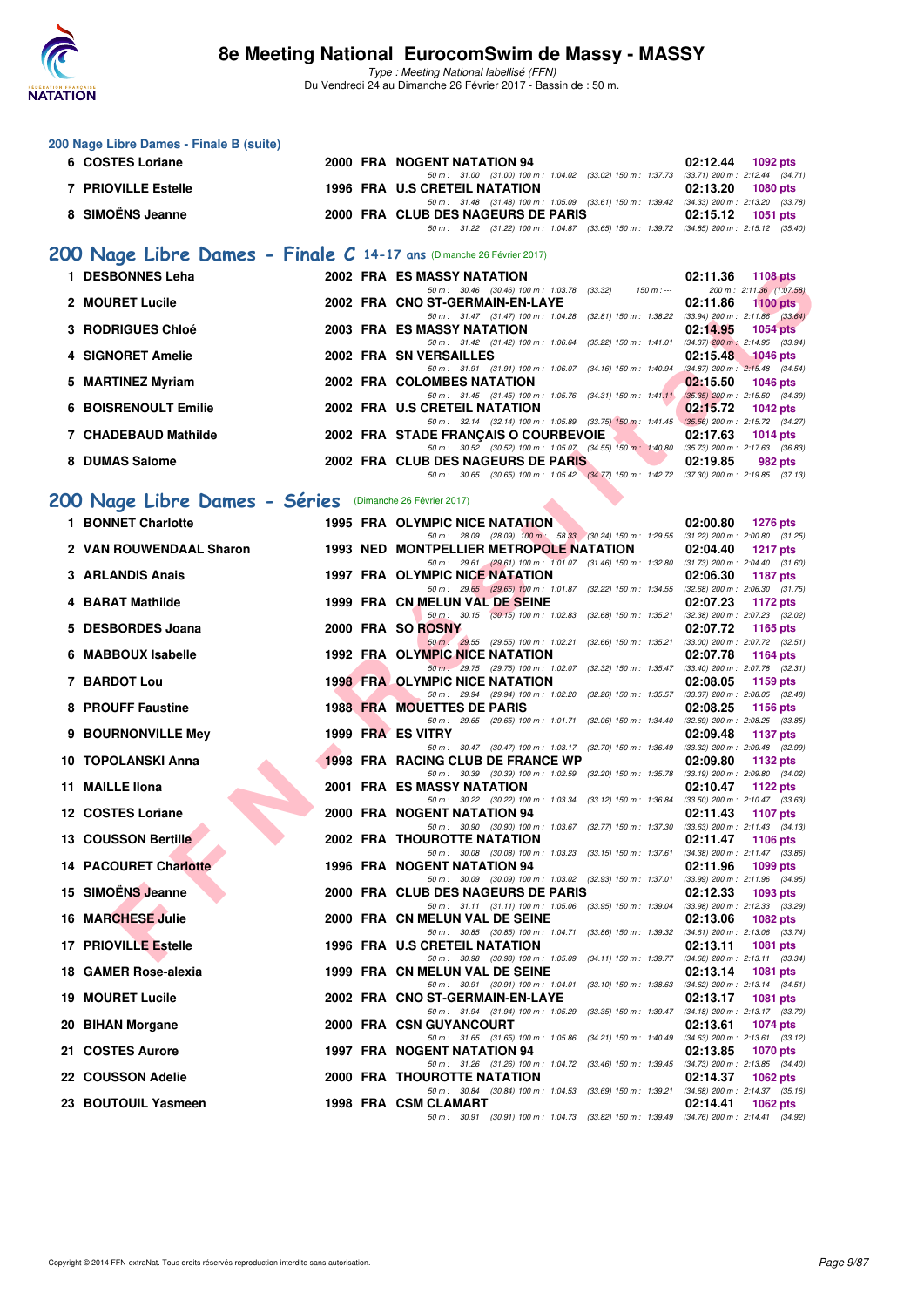

|   | 200 Nage Libre Dames - Finale B (suite)                              |  |                                                                                                                                                                                                                            |                                                                    |
|---|----------------------------------------------------------------------|--|----------------------------------------------------------------------------------------------------------------------------------------------------------------------------------------------------------------------------|--------------------------------------------------------------------|
|   | 6 COSTES Loriane                                                     |  | 2000 FRA NOGENT NATATION 94                                                                                                                                                                                                | 02:12.44<br>1092 pts                                               |
|   | <b>7 PRIOVILLE Estelle</b>                                           |  | 50 m: 31.00 (31.00) 100 m: 1:04.02 (33.02) 150 m: 1:37.73 (33.71) 200 m: 2:12.44 (34.71)<br>1996 FRA U.S CRETEIL NATATION                                                                                                  | 02:13.20<br><b>1080 pts</b>                                        |
|   | 8 SIMOËNS Jeanne                                                     |  | 50 m: 31.48 (31.48) 100 m: 1:05.09 (33.61) 150 m: 1:39.42 (34.33) 200 m: 2:13.20 (33.78)<br>2000 FRA CLUB DES NAGEURS DE PARIS<br>50 m: 31.22 (31.22) 100 m: 1:04.87 (33.65) 150 m: 1:39.72 (34.85) 200 m: 2:15.12 (35.40) | 02:15.12<br>1051 pts                                               |
|   | 200 Nage Libre Dames - Finale C 14-17 ans (Dimanche 26 Février 2017) |  |                                                                                                                                                                                                                            |                                                                    |
|   | 1 DESBONNES Leha                                                     |  | 2002 FRA ES MASSY NATATION                                                                                                                                                                                                 | 02:11.36<br><b>1108 pts</b>                                        |
|   | 2 MOURET Lucile                                                      |  | 50 m: 30.46 (30.46) 100 m: 1:03.78 (33.32)<br>$150 m : -$<br>2002 FRA CNO ST-GERMAIN-EN-LAYE                                                                                                                               | 200 m: 2:11.36 (1:07.58)<br>02:11.86<br>1100 $pts$                 |
|   | <b>3 RODRIGUES Chloé</b>                                             |  | 50 m: 31.47 (31.47) 100 m: 1:04.28 (32.81) 150 m: 1:38.22 (33.94) 200 m: 2:11.86 (33.64)<br>2003 FRA ES MASSY NATATION                                                                                                     | 02:14.95<br><b>1054 pts</b>                                        |
|   | 4 SIGNORET Amelie                                                    |  | 50 m: 31.42 (31.42) 100 m: 1:06.64 (35.22) 150 m: 1:41.01 (34.37) 200 m: 2:14.95 (33.94)<br>2002 FRA SN VERSAILLES                                                                                                         | 02:15.48<br>$-1046$ pts                                            |
|   | 5 MARTINEZ Myriam                                                    |  | 50 m: 31.91 (31.91) 100 m: 1:06.07 (34.16) 150 m: 1:40.94 (34.87) 200 m: 2:15.48 (34.54)<br>2002 FRA COLOMBES NATATION                                                                                                     | 02:15.50<br><b>1046 pts</b>                                        |
|   | <b>6 BOISRENOULT Emilie</b>                                          |  | 50 m: 31.45 (31.45) 100 m: 1:05.76 (34.31) 150 m: 1:41.11 (35.35) 200 m: 2:15.50 (34.39)<br>2002 FRA U.S CRETEIL NATATION                                                                                                  | 02:15.72<br><b>1042 pts</b>                                        |
|   | 7 CHADEBAUD Mathilde                                                 |  | 50 m: 32.14 (32.14) 100 m: 1:05.89 (33.75) 150 m: 1:41.45 (35.56) 200 m: 2:15.72 (34.27)<br>2002 FRA STADE FRANÇAIS O COURBEVOIE                                                                                           | 02:17.63<br>1014 $pts$                                             |
|   | 8 DUMAS Salome                                                       |  | 50 m: 30.52 (30.52) 100 m: 1:05.07 (34.55) 150 m: 1:40.80 (35.73) 200 m: 2:17.63 (36.83)<br>2002 FRA CLUB DES NAGEURS DE PARIS                                                                                             | 02:19.85<br>982 pts                                                |
|   |                                                                      |  | 50 m: 30.65 (30.65) 100 m: 1:05.42 (34.77) 150 m: 1:42.72 (37.30) 200 m: 2:19.85 (37.13)                                                                                                                                   |                                                                    |
|   | 200 Nage Libre Dames - Séries (Dimanche 26 Février 2017)             |  |                                                                                                                                                                                                                            |                                                                    |
|   | 1 BONNET Charlotte                                                   |  | 1995 FRA OLYMPIC NICE NATATION<br>50 m: 28.09 (28.09) 100 m: 58.33 (30.24) 150 m: 1:29.55 (31.22) 200 m: 2:00.80 (31.25)                                                                                                   | 02:00.80<br><b>1276 pts</b>                                        |
|   | 2 VAN ROUWENDAAL Sharon                                              |  | <b>1993 NED MONTPELLIER METROPOLE NATATION</b>                                                                                                                                                                             | 02:04.40<br><b>1217 pts</b>                                        |
|   | 3 ARLANDIS Anais                                                     |  | 50 m: 29.61 (29.61) 100 m: 1:01.07 (31.46) 150 m: 1:32.80 (31.73) 200 m: 2:04.40 (31.60)<br>1997 FRA OLYMPIC NICE NATATION                                                                                                 | 02:06.30<br><b>1187 pts</b>                                        |
|   | 4 BARAT Mathilde                                                     |  | 50 m: 29.65 (29.65) 100 m: 1:01.87 (32.22) 150 m: 1:34.55 (32.68) 200 m: 2:06.30 (31.75)<br>1999 FRA CN MELUN VAL DE SEINE                                                                                                 | 02:07.23<br><b>1172 pts</b>                                        |
|   | 5 DESBORDES Joana                                                    |  | 50 m: 30.15 (30.15) 100 m: 1:02.83 (32.68) 150 m: 1:35.21<br>2000 FRA SO ROSNY                                                                                                                                             | (32.38) 200 m : 2:07.23 (32.02)<br>02:07.72<br>1165 pts            |
| 6 | <b>MABBOUX Isabelle</b>                                              |  | 50 m : 29.55 (29.55) 100 m : 1:02.21 (32.66) 150 m : 1:35.21<br>1992 FRA OLYMPIC NICE NATATION                                                                                                                             | $(33.00)$ 200 m : 2:07.72 $(32.51)$<br>02:07.78<br>1164 pts        |
|   | 7 BARDOT Lou                                                         |  | 50 m: 29.75 (29.75) 100 m: 1:02.07 (32.32) 150 m: 1:35.47 (33.40) 200 m: 2:07.78 (32.31)<br><b>1998 FRA OLYMPIC NICE NATATION</b>                                                                                          | 02:08.05<br>1159 pts                                               |
|   | 8 PROUFF Faustine                                                    |  | 50 m: 29.94 (29.94) 100 m: 1:02.20 (32.26) 150 m: 1:35.57 (33.37) 200 m: 2:08.05 (32.48)<br><b>1988 FRA MOUETTES DE PARIS</b>                                                                                              | 02:08.25<br>1156 pts                                               |
|   | 9 BOURNONVILLE Mey                                                   |  | 50 m : 29.65 (29.65) 100 m : 1:01.71 (32.06) 150 m : 1:34.40<br>1999 FRA ES VITRY                                                                                                                                          | $(32.69)$ 200 m : 2:08.25 $(33.85)$<br>02:09.48<br><b>1137 pts</b> |
|   | <b>10 TOPOLANSKI Anna</b>                                            |  | 50 m : 30.47 (30.47) 100 m : 1:03.17 (32.70) 150 m : 1:36.49<br>1998 FRA RACING CLUB DE FRANCE WP                                                                                                                          | $(33.32)$ 200 m : 2:09.48 $(32.99)$                                |
|   |                                                                      |  | 50 m: 30.39 (30.39) 100 m: 1:02.59 (32.20) 150 m: 1:35.78 (33.19) 200 m: 2:09.80 (34.02)                                                                                                                                   | 02:09.80<br>1132 pts                                               |
|   | 11 MAILLE Ilona                                                      |  | <b>2001 FRA ES MASSY NATATION</b><br>50 m: 30.22 (30.22) 100 m: 1:03.34 (33.12) 150 m: 1:36.84 (33.50) 200 m: 2:10.47 (33.63)                                                                                              | 02:10.47<br>1122 $pts$                                             |
|   | 12 COSTES Loriane                                                    |  | 2000 FRA NOGENT NATATION 94<br>50 m : 30.90 (30.90) 100 m : 1:03.67 (32.77) 150 m : 1:37.30 (33.63) 200 m : 2:11.43 (34.13)                                                                                                | 02:11.43<br>1107 pts                                               |
|   | <b>13 COUSSON Bertille</b>                                           |  | 2002 FRA THOUROTTE NATATION<br>50 m: 30.08 (30.08) 100 m: 1:03.23 (33.15) 150 m: 1:37.61                                                                                                                                   | 02:11.47<br><b>1106 pts</b><br>$(34.38)$ 200 m : 2:11.47 $(33.86)$ |
|   | <b>14 PACOURET Charlotte</b>                                         |  | 1996 FRA NOGENT NATATION 94                                                                                                                                                                                                | 02:11.96<br>1099 pts                                               |
|   | 15 SIMOËNS Jeanne                                                    |  | 50 m : 30.09 (30.09) 100 m : 1:03.02 (32.93) 150 m : 1:37.01<br>2000 FRA CLUB DES NAGEURS DE PARIS                                                                                                                         | (33.99) 200 m : 2:11.96 (34.95)<br>02:12.33<br>1093 pts            |
|   | <b>16 MARCHESE Julie</b>                                             |  | 50 m: 31.11 (31.11) 100 m: 1:05.06 (33.95) 150 m: 1:39.04<br>2000 FRA CN MELUN VAL DE SEINE                                                                                                                                | (33.98) 200 m : 2:12.33 (33.29)<br>02:13.06<br>1082 pts            |
|   | <b>17 PRIOVILLE Estelle</b>                                          |  | 50 m: 30.85 (30.85) 100 m: 1:04.71 (33.86) 150 m: 1:39.32<br><b>1996 FRA U.S CRETEIL NATATION</b>                                                                                                                          | $(34.61)$ 200 m : 2:13.06 $(33.74)$<br>02:13.11<br>1081 pts        |
|   | 18 GAMER Rose-alexia                                                 |  | 50 m: 30.98 (30.98) 100 m: 1:05.09 (34.11) 150 m: 1:39.77<br>1999 FRA CN MELUN VAL DE SEINE                                                                                                                                | $(34.68)$ 200 m : 2:13.11 $(33.34)$<br>02:13.14<br><b>1081 pts</b> |
|   | <b>19 MOURET Lucile</b>                                              |  | 50 m: 30.91 (30.91) 100 m: 1:04.01 (33.10) 150 m: 1:38.63<br>2002 FRA CNO ST-GERMAIN-EN-LAYE                                                                                                                               | $(34.62)$ 200 m : 2:13.14 $(34.51)$<br>02:13.17<br>1081 pts        |
|   | 20 BIHAN Morgane                                                     |  | 50 m: 31.94 (31.94) 100 m: 1:05.29 (33.35) 150 m: 1:39.47 (34.18) 200 m: 2:13.17 (33.70)<br>2000 FRA CSN GUYANCOURT                                                                                                        | 02:13.61<br><b>1074 pts</b>                                        |
|   | 21 COSTES Aurore                                                     |  | 50 m: 31.65 (31.65) 100 m: 1:05.86 (34.21) 150 m: 1:40.49<br>1997 FRA NOGENT NATATION 94                                                                                                                                   | $(34.63)$ 200 m : 2:13.61 $(33.12)$<br>02:13.85<br>1070 pts        |
|   | 22 COUSSON Adelie                                                    |  | 50 m : 31.26 (31.26) 100 m : 1:04.72 (33.46) 150 m : 1:39.45<br>2000 FRA THOUROTTE NATATION                                                                                                                                | $(34.73)$ 200 m : 2:13.85 $(34.40)$<br>02:14.37<br>1062 pts        |
|   | 23 BOUTOUIL Yasmeen                                                  |  | 50 m: 30.84 (30.84) 100 m: 1:04.53 (33.69) 150 m: 1:39.21<br>1998 FRA CSM CLAMART                                                                                                                                          | $(34.68)$ 200 m : 2:14.37 $(35.16)$<br>02:14.41<br>1062 pts        |
|   |                                                                      |  | 50 m: 30.91 (30.91) 100 m: 1:04.73 (33.82) 150 m: 1:39.49 (34.76) 200 m: 2:14.41 (34.92)                                                                                                                                   |                                                                    |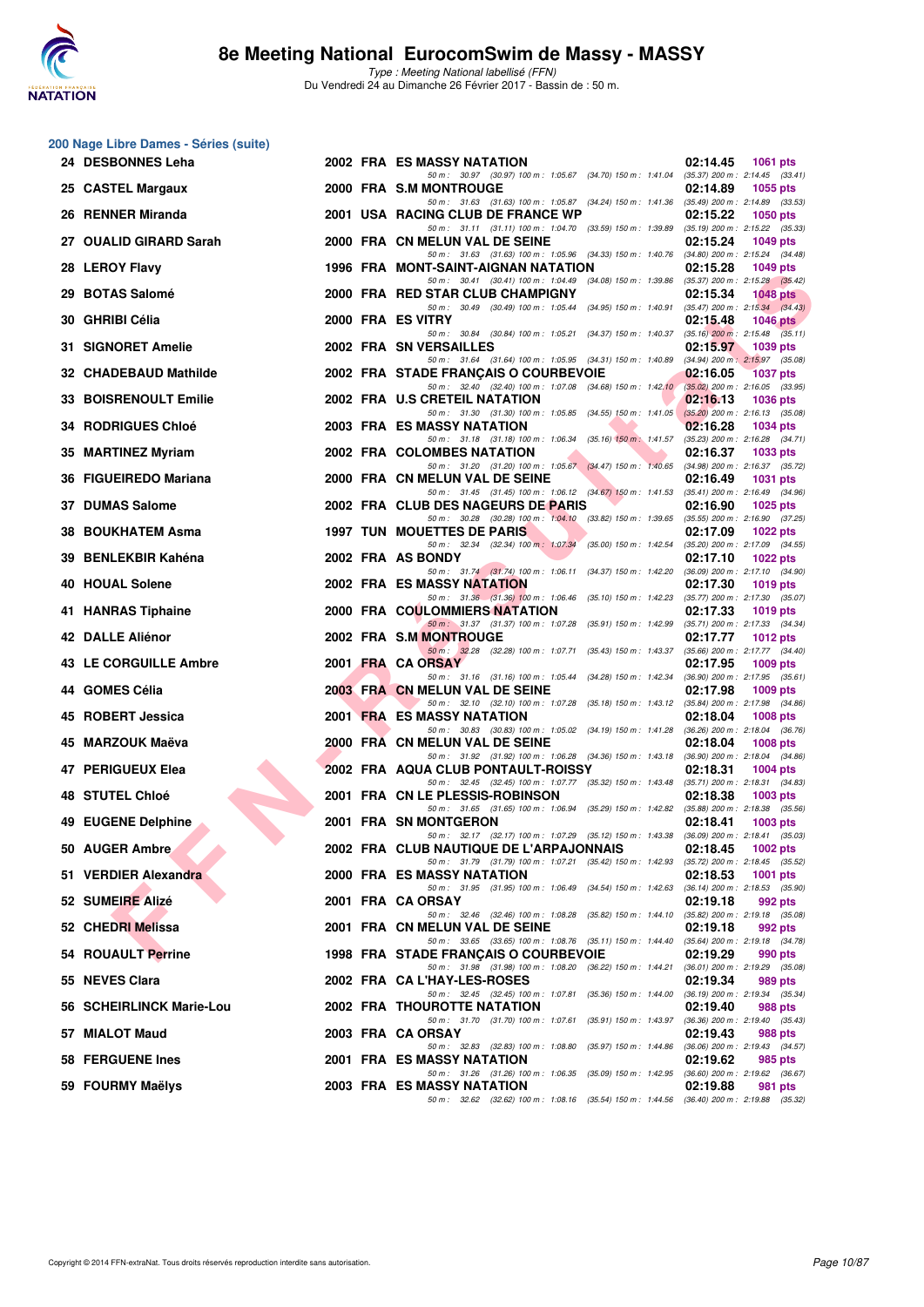

|     | 200 Nage Libre Dames - Séries (suite) |  |                                                                                                                                         |                                                                    |
|-----|---------------------------------------|--|-----------------------------------------------------------------------------------------------------------------------------------------|--------------------------------------------------------------------|
|     | 24 DESBONNES Leha                     |  | 2002 FRA ES MASSY NATATION<br>50 m: 30.97 (30.97) 100 m: 1:05.67 (34.70) 150 m: 1:41.04 (35.37) 200 m: 2:14.45 (33.41)                  | 02:14.45<br><b>1061 pts</b>                                        |
|     | 25 CASTEL Margaux                     |  | 2000 FRA S.M MONTROUGE                                                                                                                  | 02:14.89<br>1055 pts                                               |
|     | 26 RENNER Miranda                     |  | 50 m: 31.63 (31.63) 100 m: 1:05.87 (34.24) 150 m: 1:41.36 (35.49) 200 m: 2:14.89 (33.53)<br>2001 USA RACING CLUB DE FRANCE WP           | 02:15.22<br><b>1050 pts</b>                                        |
|     | 27 OUALID GIRARD Sarah                |  | 50 m: 31.11 (31.11) 100 m: 1:04.70 (33.59) 150 m: 1:39.89 (35.19) 200 m: 2:15.22 (35.33)<br>2000 FRA CN MELUN VAL DE SEINE              | 02:15.24<br>1049 pts                                               |
|     | 28 LEROY Flavy                        |  | 50 m: 31.63 (31.63) 100 m: 1:05.96 (34.33) 150 m: 1:40.76 (34.80) 200 m: 2:15.24 (34.48)<br>1996 FRA MONT-SAINT-AIGNAN NATATION         | 02:15.28<br><b>1049 pts</b>                                        |
|     | 29 BOTAS Salomé                       |  | 50 m: 30.41 (30.41) 100 m: 1:04.49 (34.08) 150 m: 1:39.86 (35.37) 200 m: 2:15.28 (35.42)<br>2000 FRA RED STAR CLUB CHAMPIGNY            | 02:15.34<br><b>1048 pts</b>                                        |
|     | 30 GHRIBI Célia                       |  | 50 m : 30.49 (30.49) 100 m : 1:05.44 (34.95) 150 m : 1:40.91<br>2000 FRA ES VITRY                                                       | $(35.47)$ 200 m : 2:15.34 $(34.43)$<br>02:15.48<br>1046 $pts$      |
|     | 31 SIGNORET Amelie                    |  | 50 m: 30.84 (30.84) 100 m: 1:05.21 (34.37) 150 m: 1:40.37 (35.16) 200 m: 2:15.48 (35.11)<br>2002 FRA SN VERSAILLES                      | 02:15.97<br>1039 pts                                               |
|     | 32 CHADEBAUD Mathilde                 |  | 50 m: 31.64 (31.64) 100 m: 1:05.95 (34.31) 150 m: 1:40.89 (34.94) 200 m: 2:15.97 (35.08)<br>2002 FRA STADE FRANCAIS O COURBEVOIE        | 02:16.05<br><b>1037 pts</b>                                        |
| 33. | <b>BOISRENOULT Emilie</b>             |  | 50 m: 32.40 (32.40) 100 m: 1:07.08 (34.68) 150 m: 1:42.10 (35.02) 200 m: 2:16.05 (33.95)<br>2002 FRA U.S CRETEIL NATATION               | 02:16.13<br><b>1036 pts</b>                                        |
|     | <b>34 RODRIGUES Chloé</b>             |  | 50 m: 31.30 (31.30) 100 m: 1:05.85 (34.55) 150 m: 1:41.05<br>2003 FRA ES MASSY NATATION                                                 | $(35.20)$ 200 m : 2:16.13 $(35.08)$<br>02:16.28<br>1034 pts        |
|     | 35 MARTINEZ Myriam                    |  | 50 m: 31.18 (31.18) 100 m: 1:06.34 (35.16) 150 m: 1:41.57<br>2002 FRA COLOMBES NATATION                                                 | $(35.23)$ 200 m : 2:16.28 $(34.71)$<br>02:16.37<br>1033 pts        |
|     | 36 FIGUEIREDO Mariana                 |  | 50 m: 31.20 (31.20) 100 m: 1:05.67 (34.47) 150 m: 1:40.65 (34.98) 200 m: 2:16.37 (35.72)<br>2000 FRA CN MELUN VAL DE SEINE              | 02:16.49<br><b>1031 pts</b>                                        |
|     | 37 DUMAS Salome                       |  | 50 m: 31.45 (31.45) 100 m: 1:06.12 (34.67) 150 m: 1:41.53 (35.41) 200 m: 2:16.49 (34.96)<br>2002 FRA CLUB DES NAGEURS DE PARIS          | 02:16.90<br>$1025$ pts                                             |
|     |                                       |  | 50 m: 30.28 (30.28) 100 m: 1:04.10 (33.82) 150 m: 1:39.65 (35.55) 200 m: 2:16.90 (37.25)                                                |                                                                    |
|     | 38 BOUKHATEM Asma                     |  | <b>1997 TUN MOUETTES DE PARIS</b><br>50 m: 32.34 (32.34) 100 m: 1:07.34 (35.00) 150 m: 1:42.54                                          | 02:17.09<br><b>1022 pts</b><br>$(35.20)$ 200 m : 2:17.09 $(34.55)$ |
|     | 39 BENLEKBIR Kahéna                   |  | 2002 FRA AS BONDY<br>50 m: 31.74 (31.74) 100 m: 1:06.11 (34.37) 150 m: 1:42.20                                                          | 02:17.10<br><b>1022 pts</b><br>$(36.09)$ 200 m : 2:17.10 $(34.90)$ |
|     | 40 HOUAL Solene                       |  | 2002 FRA ES MASSY NATATION<br>50 m: 31.36 (31.36) 100 m: 1:06.46 (35.10) 150 m: 1:42.23                                                 | 02:17.30<br>1019 pts<br>$(35.77)$ 200 m : 2:17.30 $(35.07)$        |
|     | 41 HANRAS Tiphaine                    |  | 2000 FRA COULOMMIERS NATATION<br>50 m: 31.37 (31.37) 100 m: 1:07.28 (35.91) 150 m: 1:42.99 (35.71) 200 m: 2:17.33 (34.34)               | 02:17.33<br>1019 pts                                               |
|     | 42 DALLE Aliénor                      |  | 2002 FRA S.M MONTROUGE                                                                                                                  | 02:17.77<br>1012 pts                                               |
|     | 43 LE CORGUILLE Ambre                 |  | 50 m: 32.28 (32.28) 100 m: 1:07.71 (35.43) 150 m: 1:43.37 (35.66) 200 m: 2:17.77 (34.40)<br>2001 FRA CA ORSAY                           | 02:17.95<br>$1009$ pts                                             |
|     | 44 GOMES Célia                        |  | 50 m: 31.16 (31.16) 100 m: 1:05.44 (34.28) 150 m: 1:42.34<br>2003 FRA CN MELUN VAL DE SEINE                                             | $(36.90)$ 200 m : 2:17.95 $(35.61)$<br>02:17.98<br>1009 pts        |
|     | 45 ROBERT Jessica                     |  | 50 m: 32.10 (32.10) 100 m: 1:07.28 (35.18) 150 m: 1:43.12 (35.84) 200 m: 2:17.98 (34.86)<br>2001 FRA ES MASSY NATATION                  | 02:18.04<br><b>1008 pts</b>                                        |
|     | 45 MARZOUK Maëva                      |  | 50 m: 30.83 (30.83) 100 m: 1:05.02 (34.19) 150 m: 1:41.28<br>2000 FRA CN MELUN VAL DE SEINE                                             | $(36.26)$ 200 m : 2:18.04 $(36.76)$<br>02:18.04<br><b>1008 pts</b> |
|     | 47 PERIGUEUX Elea                     |  | 50 m: 31.92 (31.92) 100 m: 1:06.28 (34.36) 150 m: 1:43.18 (36.90) 200 m: 2:18.04 (34.86)<br>2002 FRA AQUA CLUB PONTAULT-ROISSY          | 02:18.31<br><b>1004 pts</b>                                        |
|     | 48 STUTEL Chloé                       |  | 50 m: 32.45 (32.45) 100 m: 1:07.77 (35.32) 150 m: 1:43.48 (35.71) 200 m: 2:18.31 (34.83)<br>2001 FRA CN LE PLESSIS-ROBINSON             | 02:18.38<br>1003 pts                                               |
|     | 49 EUGENE Delphine                    |  | 50 m: 31.65 (31.65) 100 m: 1:06.94 (35.29) 150 m: 1:42.82<br>2001 FRA SN MONTGERON                                                      | $(35.88) 200$ m : $2:18.38$ $(35.56)$<br>02:18.41<br>1003 pts      |
|     | 50 AUGER Ambre                        |  | 50 m : 32.17 (32.17) 100 m : 1:07.29 (35.12) 150 m : 1:43.38 (36.09) 200 m : 2:18.41 (35.03)<br>2002 FRA CLUB NAUTIQUE DE L'ARPAJONNAIS | 02:18.45<br><b>1002 pts</b>                                        |
|     | 51 VERDIER Alexandra                  |  | 50 m: 31.79 (31.79) 100 m: 1:07.21 (35.42) 150 m: 1:42.93 (35.72) 200 m: 2:18.45 (35.52)<br><b>2000 FRA ES MASSY NATATION</b>           | 02:18.53<br><b>1001 pts</b>                                        |
|     | 52 SUMEIRE Alizé                      |  | 50 m : 31.95 (31.95) 100 m : 1:06.49 (34.54) 150 m : 1:42.63<br>2001 FRA CA ORSAY                                                       | $(36.14)$ 200 m : 2:18.53 $(35.90)$<br>02:19.18<br>992 pts         |
|     | 52 CHEDRI Melissa                     |  | 50 m : 32.46 (32.46) 100 m : 1:08.28 (35.82) 150 m : 1:44.10<br>2001 FRA CN MELUN VAL DE SEINE                                          | (35.82) 200 m : 2:19.18 (35.08)<br>02:19.18<br>992 pts             |
|     | 54 ROUAULT Perrine                    |  | 50 m: 33.65 (33.65) 100 m: 1:08.76 (35.11) 150 m: 1:44.40 (35.64) 200 m: 2:19.18 (34.78)<br>1998 FRA STADE FRANÇAIS O COURBEVOIE        | 02:19.29<br>990 pts                                                |
|     | 55 NEVES Clara                        |  | 50 m : 31.98 (31.98) 100 m : 1:08.20 (36.22) 150 m : 1:44.21<br>2002 FRA CA L'HAY-LES-ROSES                                             | $(36.01)$ 200 m : 2:19.29 $(35.08)$<br>02:19.34<br>989 pts         |
|     | 56 SCHEIRLINCK Marie-Lou              |  | 50 m: 32.45 (32.45) 100 m: 1:07.81 (35.36) 150 m: 1:44.00 (36.19) 200 m: 2:19.34 (35.34)<br><b>2002 FRA THOUROTTE NATATION</b>          | 02:19.40<br>988 pts                                                |
|     | 57 MIALOT Maud                        |  | 50 m: 31.70 (31.70) 100 m: 1:07.61 (35.91) 150 m: 1:43.97<br>2003 FRA CA ORSAY                                                          | $(36.36)$ 200 m : 2:19.40 $(35.43)$<br>02:19.43<br>988 pts         |
|     | 58 FERGUENE Ines                      |  | 50 m : 32.83 (32.83) 100 m : 1:08.80 (35.97) 150 m : 1:44.86<br>2001 FRA ES MASSY NATATION                                              | (36.06) 200 m : 2:19.43 (34.57)<br>02:19.62<br>985 pts             |
|     |                                       |  | 50 m: 31.26 (31.26) 100 m: 1:06.35 (35.09) 150 m: 1:42.95 (36.60) 200 m: 2:19.62 (36.67)                                                |                                                                    |
|     | 59 FOURMY Maëlys                      |  | 2003 FRA ES MASSY NATATION<br>50 m: 32.62 (32.62) 100 m: 1:08.16 (35.54) 150 m: 1:44.56 (36.40) 200 m: 2:19.88 (35.32)                  | 02:19.88<br>981 pts                                                |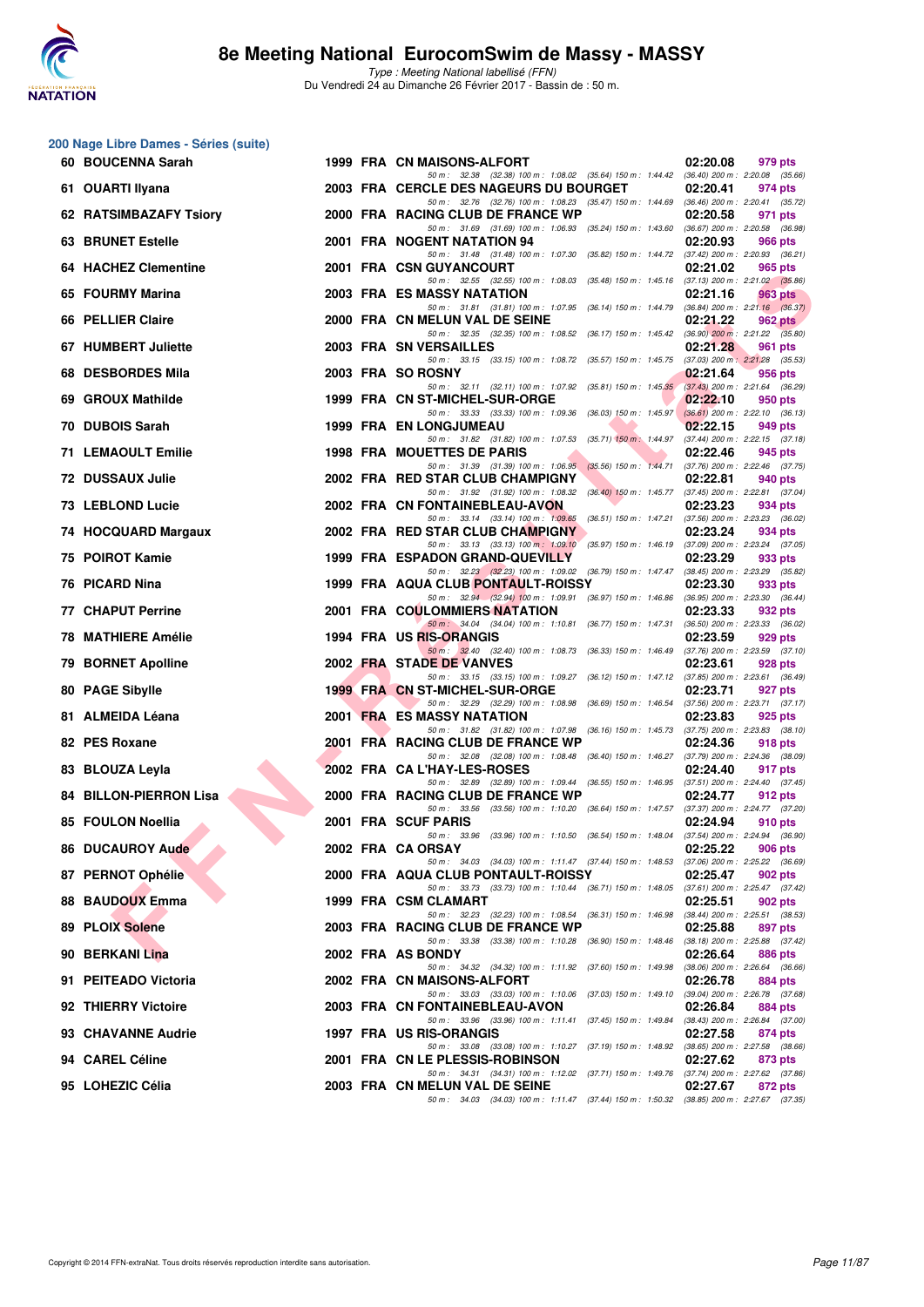

|    | 200 Nage Libre Dames - Séries (suite) |  |                                                                                                                                                                                                                             |          |                                                                                       |
|----|---------------------------------------|--|-----------------------------------------------------------------------------------------------------------------------------------------------------------------------------------------------------------------------------|----------|---------------------------------------------------------------------------------------|
|    | 60 BOUCENNA Sarah                     |  | 1999 FRA CN MAISONS-ALFORT<br>50 m: 32.38 (32.38) 100 m: 1:08.02 (35.64) 150 m: 1:44.42 (36.40) 200 m: 2:20.08 (35.66)                                                                                                      | 02:20.08 | 979 pts                                                                               |
|    | 61 OUARTI Ilyana                      |  | 2003 FRA CERCLE DES NAGEURS DU BOURGET<br>50 m: 32.76 (32.76) 100 m: 1:08.23 (35.47) 150 m: 1:44.69 (36.46) 200 m: 2:20.41 (35.72)                                                                                          | 02:20.41 | 974 pts                                                                               |
|    | 62 RATSIMBAZAFY Tsiory                |  | 2000 FRA RACING CLUB DE FRANCE WP                                                                                                                                                                                           | 02:20.58 | 971 pts<br>(36.67) 200 m : 2:20.58 (36.98)                                            |
|    | <b>63 BRUNET Estelle</b>              |  | 50 m: 31.69 (31.69) 100 m: 1:06.93 (35.24) 150 m: 1:43.60<br>2001 FRA NOGENT NATATION 94                                                                                                                                    | 02:20.93 | 966 pts                                                                               |
|    | 64 HACHEZ Clementine                  |  | 50 m : 31.48 (31.48) 100 m : 1:07.30 (35.82) 150 m : 1:44.72<br>2001 FRA CSN GUYANCOURT                                                                                                                                     | 02:21.02 | $(37.42)$ 200 m : 2:20.93 $(36.21)$<br>965 pts                                        |
|    | 65 FOURMY Marina                      |  | 50 m: 32.55 (32.55) 100 m: 1:08.03 (35.48) 150 m: 1:45.16 (37.13) 200 m: 2:21.02 (35.86)<br>2003 FRA ES MASSY NATATION                                                                                                      | 02:21.16 | 963 pts                                                                               |
|    | 66 PELLIER Claire                     |  | 50 m: 31.81 (31.81) 100 m: 1:07.95 (36.14) 150 m: 1:44.79<br>2000 FRA CN MELUN VAL DE SEINE                                                                                                                                 | 02:21.22 | $(36.84)$ 200 m : 2:21.16 $(36.37)$<br>962 pts                                        |
|    | 67 HUMBERT Juliette                   |  | 50 m: 32.35 (32.35) 100 m: 1:08.52 (36.17) 150 m: 1:45.42 (36.90) 200 m: 2:21.22 (35.80)<br>2003 FRA SN VERSAILLES<br>50 m: 33.15 (33.15) 100 m: 1:08.72 (35.57) 150 m: 1:45.75 (37.03) 200 m: 2:21.28 (35.53)              | 02:21.28 | 961 pts                                                                               |
|    | 68 DESBORDES Mila                     |  | 2003 FRA SO ROSNY<br>50 m: 32.11 (32.11) 100 m: 1:07.92 (35.81) 150 m: 1:45.35                                                                                                                                              | 02:21.64 | 956 pts<br>$(37.43)$ 200 m : 2:21.64 $(36.29)$                                        |
|    | 69 GROUX Mathilde                     |  | 1999 FRA CN ST-MICHEL-SUR-ORGE                                                                                                                                                                                              | 02:22.10 | 950 pts                                                                               |
|    | 70 DUBOIS Sarah                       |  | 50 m: 33.33 (33.33) 100 m: 1:09.36 (36.03) 150 m: 1:45.97<br>1999 FRA EN LONGJUMEAU                                                                                                                                         | 02:22.15 | $(36.61)$ 200 m : 2:22.10 $(36.13)$<br>949 pts                                        |
|    | 71 LEMAOULT Emilie                    |  | 50 m : 31.82 (31.82) 100 m : 1:07.53 (35.71) 150 m : 1:44.97<br><b>1998 FRA MOUETTES DE PARIS</b>                                                                                                                           | 02:22.46 | $(37.44)$ 200 m : 2:22.15 $(37.18)$<br>945 pts                                        |
|    | 72 DUSSAUX Julie                      |  | 50 m: 31.39 (31.39) 100 m: 1:06.95 (35.56) 150 m: 1:44.71<br>2002 FRA RED STAR CLUB CHAMPIGNY                                                                                                                               | 02:22.81 | $(37.76)$ 200 m : 2:22.46 $(37.75)$<br>940 pts                                        |
|    | 73 LEBLOND Lucie                      |  | 50 m: 31.92 (31.92) 100 m: 1:08.32 (36.40) 150 m: 1:45.77 (37.45) 200 m: 2:22.81 (37.04)<br>2002 FRA CN FONTAINEBLEAU-AVON<br>50 m: 33.14 (33.14) 100 m: 1:09.65 (36.51) 150 m: 1:47.21 (37.56) 200 m: 2:23.23 (36.02)      | 02:23.23 | 934 pts                                                                               |
|    | 74 HOCQUARD Margaux                   |  | 2002 FRA RED STAR CLUB CHAMPIGNY<br>50 m: 33.13 (33.13) 100 m: 1.09.10 (35.97) 150 m: 1.46.19 (37.09) 200 m: 2.23.24 (37.05)                                                                                                | 02:23.24 | 934 pts                                                                               |
|    | 75 POIROT Kamie                       |  | 1999 FRA ESPADON GRAND-QUEVILLY<br>50 m: 32.23 (32.23) 100 m: 1:09.02 (36.79) 150 m: 1:47.47 (38.45) 200 m: 2:23.29 (35.82)                                                                                                 | 02:23.29 | 933 pts                                                                               |
|    | 76 PICARD Nina                        |  | 1999 FRA AQUA CLUB PONTAULT-ROISSY<br>50 m: 32.94 (32.94) 100 m: 1:09.91 (36.97) 150 m: 1:46.86 (36.95) 200 m: 2:23.30 (36.44)                                                                                              | 02:23.30 | 933 pts                                                                               |
|    | <b>77 CHAPUT Perrine</b>              |  | 2001 FRA COULOMMIERS NATATION                                                                                                                                                                                               | 02:23.33 | 932 pts                                                                               |
|    | 78 MATHIERE Amélie                    |  | 50 m : 34.04 (34.04) 100 m : 1:10.81 (36.77) 150 m : 1:47.31<br>1994 FRA US RIS-ORANGIS<br>50 m : 32.40 (32.40) 100 m : 1:08.73 (36.33) 150 m : 1:46.49                                                                     | 02:23.59 | $(36.50)$ 200 m : 2:23.33 $(36.02)$<br>929 pts<br>$(37.76)$ 200 m : 2:23.59 $(37.10)$ |
| 79 | <b>BORNET Apolline</b>                |  | 2002 FRA STADE DE VANVES                                                                                                                                                                                                    | 02:23.61 | 928 pts                                                                               |
|    | 80 PAGE Sibylle                       |  | 50 m: 33.15 (33.15) 100 m: 1:09.27 (36.12) 150 m: 1:47.12 (37.85) 200 m: 2:23.61 (36.49)<br>1999 FRA CN ST-MICHEL-SUR-ORGE<br>50 m: 32.29 (32.29) 100 m: 1:08.98 (36.69) 150 m: 1:46.54 (37.56) 200 m: 2:23.71 (37.17)      | 02:23.71 | 927 pts                                                                               |
|    | 81 ALMEIDA Léana                      |  | 2001 FRA ES MASSY NATATION<br>50 m: 31.82 (31.82) 100 m: 1:07.98 (36.16) 150 m: 1:45.73                                                                                                                                     | 02:23.83 | 925 pts<br>$(37.75)$ 200 m : 2:23.83 $(38.10)$                                        |
|    | 82 PES Roxane                         |  | 2001 FRA RACING CLUB DE FRANCE WP                                                                                                                                                                                           | 02:24.36 | 918 pts                                                                               |
|    | 83 BLOUZA Leyla                       |  | 50 m : 32.08 (32.08) 100 m : 1:08.48 (36.40) 150 m : 1:46.27 (37.79) 200 m : 2:24.36 (38.09)<br>2002 FRA CA L'HAY-LES-ROSES<br>50 m: 32.89 (32.89) 100 m: 1:09.44 (36.55) 150 m: 1:46.95 (37.51) 200 m: 2:24.40 (37.45)     | 02:24.40 | 917 pts                                                                               |
|    | <b>84 BILLON-PIERRON Lisa</b>         |  | 2000 FRA RACING CLUB DE FRANCE WP<br>50 m: 33.56 (33.56) 100 m: 1:10.20 (36.64) 150 m: 1:47.57 (37.37) 200 m: 2:24.77 (37.20)                                                                                               | 02:24.77 | 912 pts                                                                               |
|    | 85 FOULON Noellia                     |  | 2001 FRA SCUF PARIS                                                                                                                                                                                                         | 02:24.94 | 910 pts                                                                               |
|    | 86 DUCAUROY Aude                      |  | 50 m : 33.96 (33.96) 100 m : 1:10.50 (36.54) 150 m : 1:48.04 (37.54) 200 m : 2:24.94 (36.90)<br>2002 FRA CA ORSAY<br>50 m: 34.03 (34.03) 100 m: 1:11.47 (37.44) 150 m: 1:48.53 (37.06) 200 m: 2:25.22 (36.69)               | 02:25.22 | 906 pts                                                                               |
|    | 87 PERNOT Ophélie                     |  | 2000 FRA AQUA CLUB PONTAULT-ROISSY                                                                                                                                                                                          | 02:25.47 | 902 pts                                                                               |
|    | 88 BAUDOUX Emma                       |  | 50 m: 33.73 (33.73) 100 m: 1:10.44 (36.71) 150 m: 1:48.05 (37.61) 200 m: 2:25.47 (37.42)<br>1999 FRA CSM CLAMART                                                                                                            | 02:25.51 | 902 pts                                                                               |
|    | 89 PLOIX Solene                       |  | 50 m: 32.23 (32.23) 100 m: 1:08.54 (36.31) 150 m: 1:46.98<br>2003 FRA RACING CLUB DE FRANCE WP<br>50 m: 33.38 (33.38) 100 m: 1:10.28 (36.90) 150 m: 1:48.46 (38.18) 200 m: 2:25.88 (37.42)                                  | 02:25.88 | (38.44) 200 m : 2:25.51 (38.53)<br>897 pts                                            |
|    | 90 BERKANI Lina                       |  | 2002 FRA AS BONDY<br>50 m: 34.32 (34.32) 100 m: 1:11.92 (37.60) 150 m: 1:49.98                                                                                                                                              | 02:26.64 | 886 pts                                                                               |
|    | 91 PEITEADO Victoria                  |  | 2002 FRA CN MAISONS-ALFORT<br>50 m: 33.03 (33.03) 100 m: 1:10.06 (37.03) 150 m: 1:49.10 (39.04) 200 m: 2:26.78 (37.68)                                                                                                      | 02:26.78 | $(38.06)$ 200 m : 2:26.64 $(36.66)$<br>884 pts                                        |
|    | 92 THIERRY Victoire                   |  | 2003 FRA CN FONTAINEBLEAU-AVON<br>50 m: 33.96 (33.96) 100 m: 1:11.41 (37.45) 150 m: 1:49.84 (38.43) 200 m: 2:26.84 (37.00)                                                                                                  | 02:26.84 | 884 pts                                                                               |
|    | 93 CHAVANNE Audrie                    |  | 1997 FRA US RIS-ORANGIS                                                                                                                                                                                                     | 02:27.58 | 874 pts                                                                               |
|    | 94 CAREL Céline                       |  | 50 m : 33.08 (33.08) 100 m : 1:10.27 (37.19) 150 m : 1:48.92 (38.65) 200 m : 2:27.58 (38.66)<br>2001 FRA CN LE PLESSIS-ROBINSON<br>50 m: 34.31 (34.31) 100 m: 1:12.02 (37.71) 150 m: 1:49.76 (37.74) 200 m: 2:27.62 (37.86) | 02:27.62 | 873 pts                                                                               |
|    | 95 LOHEZIC Célia                      |  | 2003 FRA CN MELUN VAL DE SEINE<br>50 m: 34.03 (34.03) 100 m: 1:11.47 (37.44) 150 m: 1:50.32 (38.85) 200 m: 2:27.67 (37.35)                                                                                                  | 02:27.67 | 872 pts                                                                               |
|    |                                       |  |                                                                                                                                                                                                                             |          |                                                                                       |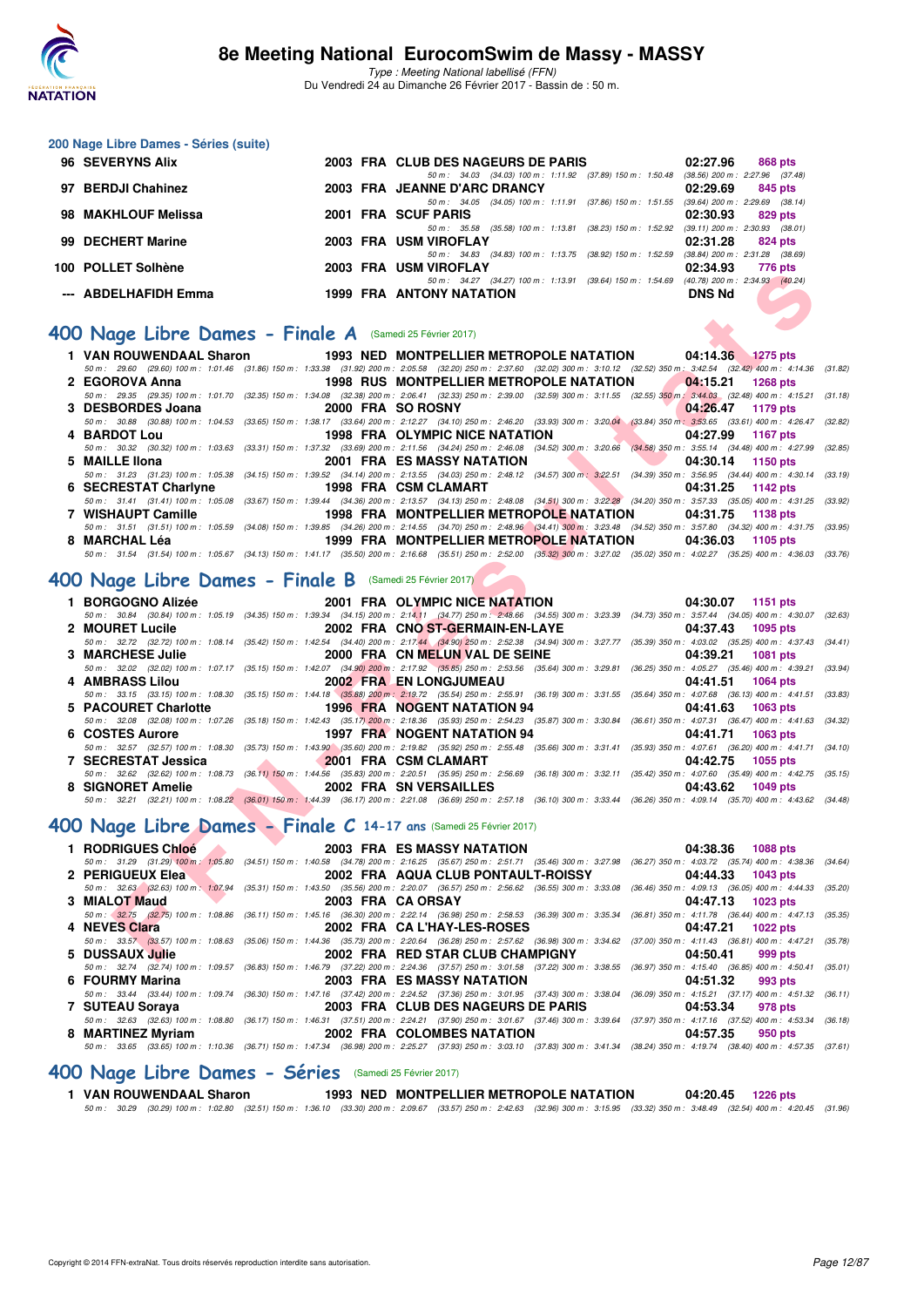

Type : Meeting National labellisé (FFN) Du Vendredi 24 au Dimanche 26 Février 2017 - Bassin de : 50 m.

#### **200 Nage Libre Dames - Séries (suite)**

| 96 SEVERYNS Alix     |  | 2003 FRA CLUB DES NAGEURS DE PARIS                        |                         | 02:27.96      | 868 pts                             |
|----------------------|--|-----------------------------------------------------------|-------------------------|---------------|-------------------------------------|
|                      |  | 50 m: 34.03 (34.03) 100 m: 1:11.92 (37.89) 150 m: 1:50.48 |                         |               | $(38.56)$ 200 m : 2:27.96 $(37.48)$ |
| 97 BERDJI Chahinez   |  | 2003 FRA JEANNE D'ARC DRANCY                              |                         | 02:29.69      | 845 pts                             |
|                      |  | 50 m: 34.05 (34.05) 100 m: 1:11.91 (37.86) 150 m: 1:51.55 |                         |               | $(39.64)$ 200 m : 2:29.69 $(38.14)$ |
| 98 MAKHLOUF Melissa  |  | 2001 FRA SCUF PARIS                                       |                         | 02:30.93      | 829 pts                             |
|                      |  | 50 m : 35.58 (35.58) 100 m : 1:13.81                      | (38.23) 150 m : 1:52.92 |               | $(39.11)$ 200 m : 2:30.93 $(38.01)$ |
| 99 DECHERT Marine    |  | 2003 FRA USM VIROFLAY                                     |                         | 02:31.28      | 824 pts                             |
|                      |  | 50 m: 34.83 (34.83) 100 m: 1:13.75                        | (38.92) 150 m : 1:52.59 |               | $(38.84)$ 200 m : 2:31.28 $(38.69)$ |
| 100 POLLET Solhène   |  | 2003 FRA USM VIROFLAY                                     |                         | 02:34.93      | 776 pts                             |
|                      |  | 50 m: 34.27 (34.27) 100 m: 1:13.91 (39.64) 150 m: 1:54.69 |                         |               | $(40.78)$ 200 m : 2:34.93 $(40.24)$ |
| --- ABDELHAFIDH Emma |  | <b>1999 FRA ANTONY NATATION</b>                           |                         | <b>DNS Nd</b> |                                     |
|                      |  |                                                           |                         |               |                                     |

### **[400 Nage Libre Dames - Finale A](http://www.ffnatation.fr/webffn/resultats.php?idact=nat&go=epr&idcpt=42801&idepr=4)** (Samedi 25 Février 2017)

| JU FULLET JUINGHE                                                 |                               | ZUUJ FRA UJIW VIRUFLAI<br>UZ.J4.JJ<br>779 DIS                                                                                                                                                                                                                 |         |
|-------------------------------------------------------------------|-------------------------------|---------------------------------------------------------------------------------------------------------------------------------------------------------------------------------------------------------------------------------------------------------------|---------|
| --- ABDELHAFIDH Emma                                              |                               | 50 m: 34.27 (34.27) 100 m: 1:13.91 (39.64) 150 m: 1:54.69 (40.78) 200 m: 2:34.93 (40.24)<br>1999 FRA ANTONY NATATION<br><b>DNS Nd</b>                                                                                                                         |         |
| JO Nage Libre Dames - Finale A (Samedi 25 Février 2017)           |                               |                                                                                                                                                                                                                                                               |         |
| 1 VAN ROUWENDAAL Sharon                                           |                               | 1993 NED MONTPELLIER METROPOLE NATATION<br>04:14.36 1275 pts                                                                                                                                                                                                  |         |
|                                                                   |                               | 50 m: 29.60 (29.60) 100 m: 1:01.46 (31.86) 150 m: 1:33.38 (31.92) 200 m: 2:05.58 (32.20) 250 m: 2:37.60 (32.02) 300 m: 3:10.12 (32.52) 350 m; 3:42.54 (32.42) 400 m: 4:14.36 (31.82)                                                                          |         |
| 2 EGOROVA Anna                                                    |                               | <b>1998 RUS MONTPELLIER METROPOLE NATATION</b><br>04:15.21<br><b>1268 pts</b>                                                                                                                                                                                 |         |
|                                                                   |                               | 50 m : 29.35 (29.35) 100 m : 1:01.70 (32.35) 150 m : 1:34.08 (32.38) 200 m : 2:06.41 (32.33) 250 m : 2:39.00 (32.59) 300 m : 3:11.55 (32.55) 350 m : 3:44.03 (32.48) 400 m : 4:15.21                                                                          | (31.18) |
| 3 DESBORDES Joana                                                 |                               | 2000 FRA SO ROSNY<br>04:26.47<br>1179 pts                                                                                                                                                                                                                     |         |
|                                                                   |                               | 50 m: 30.88 (30.88) 100 m: 1:04.53 (33.65) 150 m: 1:38.17 (33.64) 200 m: 2:12.27 (34.10) 250 m: 2:46.20 (33.93) 300 m: 3:20.04 (33.84) 350 m: 3:53.65 (33.61) 400 m: 4:26.47 (32.82)<br><b>1998 FRA OLYMPIC NICE NATATION</b>                                 |         |
| 4 BARDOT Lou                                                      |                               | 04:27.99<br><b>1167 pts</b><br>50 m : 30.32 (30.32) 100 m : 1:03.63 (33.31) 150 m : 1:37.32 (33.69) 200 m : 2:11.56 (34.24) 250 m : 2:46.08 (34.52) 300 m : 3:20.66 (34.58) 350 m : 3:55.14 (34.48) 400 m : 4:27.99 (32.85)                                   |         |
| 5 MAILLE IIona                                                    |                               | <b>Service</b><br>2001 FRA ES MASSY NATATION<br>04:30.14<br>1150 pts                                                                                                                                                                                          |         |
|                                                                   |                               | 50 m: 31.23 (31.23) 100 m: 1:05.38 (34.15) 150 m: 1:39.52 (34.14) 200 m: 2:13.55 (34.03) 250 m: 2:48.12 (34.57) 300 m: 3:22.51 (34.39) 350 m: 3:56.95 (34.44) 400 m: 4:30.14 (33.19)                                                                          |         |
| 6 SECRESTAT Charlyne                                              |                               | 1998 FRA CSM CLAMART<br>04:31.25<br>1142 pts                                                                                                                                                                                                                  |         |
|                                                                   |                               | 50 m: 31.41 (31.41) 100 m: 1:05.08 (33.67) 150 m: 1:39.44 (34.36) 200 m: 2:13.57 (34.13) 250 m: 2:48.08 (34.51) 300 m: 3:22.28 (34.20) 350 m: 3:57.33 (35.05) 400 m: 4:31.25 (33.92)                                                                          |         |
| 7 WISHAUPT Camille                                                |                               | 1998 FRA MONTPELLIER METROPOLE NATATION<br>04:31.75<br>1138 pts                                                                                                                                                                                               |         |
|                                                                   |                               | 50 m: 31.51 (31.51) 100 m: 1:05.59 (34.08) 150 m: 1:39.85 (34.26) 200 m: 2:14.55 (34.70) 250 m: 2:48.96 (34.41) 300 m: 3:23.48 (34.52) 350 m: 3:57.80 (34.32) 400 m: 4:31.75 (33.95)                                                                          |         |
| 8 MARCHAL Léa                                                     |                               | 1999 FRA MONTPELLIER METROPOLE NATATION<br>04:36.03<br>1105 pts                                                                                                                                                                                               |         |
|                                                                   |                               | 50 m: 31.54 (31.54) 100 m: 1:05.67 (34.13) 150 m: 1:41.17 (35.50) 200 m: 2:16.68 (35.51) 250 m: 2:52.00 (35.32) 300 m: 3:27.02 (35.02) 350 m: 4:02.27 (35.25) 400 m: 4:36.03 (33.76)                                                                          |         |
| JO Nage Libre Dames - Finale B (Samedi 25 Février 2017)           |                               |                                                                                                                                                                                                                                                               |         |
| 1 BORGOGNO Alizée                                                 |                               | 2001 FRA OLYMPIC NICE NATATION<br>04:30.07 1151 pts                                                                                                                                                                                                           |         |
|                                                                   |                               | 50 m: 30.84 (30.84) 100 m: 1:05.19 (34.35) 150 m: 1:39.34 (34.15) 200 m: 2:14.11 (34.77) 250 m: 2:48.66 (34.55) 300 m: 3:23.39 (34.73) 350 m: 3:57.44 (34.05) 400 m: 4:30.07 (32.63)                                                                          |         |
| 2 MOURET Lucile                                                   |                               | 2002 FRA CNO ST-GERMAIN-EN-LAYE<br>04:37.43<br>1095 pts                                                                                                                                                                                                       |         |
|                                                                   |                               | 50 m: 32.72 (32.72) 100 m: 1:08.14 (35.42) 150 m: 1:42.54 (34.40) 200 m: 2:17.44 (34.90) 250 m: 2:52.38 (34.94) 300 m: 3:27.77 (35.39) 350 m: 4:03.02 (35.25) 400 m: 4:37.43 (34.41)                                                                          |         |
| <b>3 MARCHESE Julie</b>                                           |                               | 2000 FRA CN MELUN VAL DE SEINE<br>04:39.21<br><b>1081 pts</b><br>50 m : 32.02 (32.02) 100 m : 1:07.17 (35.15) 150 m : 1:42.07 (34.90) 200 m : 2:17.92 (35.85) 250 m : 2:53.56 (35.64) 300 m : 3:29.81 (36.25) 350 m : 4:05.27 (35.46) 400 m : 4:39.21 (33.94) |         |
| 4 AMBRASS Lilou                                                   |                               | 2002 FRA EN LONGJUMEAU<br>04:41.51<br>1064 pts                                                                                                                                                                                                                |         |
|                                                                   |                               | 50 m: 33.15 (33.15) 100 m: 1:08.30 (35.15) 150 m: 1:44.18 (35.88) 200 m: 2:19.72 (35.54) 250 m: 2:55.91 (36.19) 300 m: 3:31.55 (35.64) 350 m: 4:07.68 (36.13) 400 m: 4:41.51                                                                                  | (33.83) |
| 5 PACOURET Charlotte                                              |                               | 1996 FRA NOGENT NATATION 94<br>04:41.63<br>1063 pts                                                                                                                                                                                                           |         |
|                                                                   |                               | 50 m: 32.08 (32.08) 100 m: 1:07.26 (35.18) 150 m: 1:42.43 (35.17) 200 m: 2:18.36 (35.93) 250 m: 2:54.23 (35.87) 300 m: 3:30.84 (36.61) 350 m: 4:07.31 (36.47) 400 m: 4:41.63 (34.32)                                                                          |         |
| 6 COSTES Aurore                                                   |                               | 1997 FRA NOGENT NATATION 94<br>04:41.71<br><b>1063 pts</b>                                                                                                                                                                                                    |         |
|                                                                   |                               | 50 m: 32.57 (32.57) 100 m: 1:08.30 (35.73) 150 m: 1:43.90 (35.60) 200 m: 2:19.82 (35.92) 250 m: 2:55.48 (35.66) 300 m: 3:31.41 (35.93) 350 m: 4:07.61 (36.20) 400 m: 4:41.71 (34.10)                                                                          |         |
| 7 SECRESTAT Jessica                                               |                               | 2001 FRA CSM CLAMART<br>04:42.75<br>1055 pts                                                                                                                                                                                                                  |         |
|                                                                   |                               | 50 m: 32.62 (32.62) 100 m: 1:08.73 (36.11) 150 m: 1:44.56 (35.83) 200 m: 2:20.51 (35.95) 250 m: 2:56.69 (36.18) 300 m: 3:32.11 (35.42) 350 m: 4:07.60 (35.49) 400 m: 4:42.75 (35.15)                                                                          |         |
| 8 SIGNORET Amelie                                                 | <b>The Contract of Street</b> | 2002 FRA SN VERSAILLES<br>04:43.62<br>1049 pts                                                                                                                                                                                                                |         |
|                                                                   |                               | 50 m: 32.21 (32.21) 100 m: 1:08.22 (36.01) 150 m: 1:44.39 (36.17) 200 m: 2:21.08 (36.69) 250 m: 2:57.18 (36.10) 300 m: 3:33.44 (36.26) 350 m: 4:09.14 (35.70) 400 m: 4:43.62 (34.48)                                                                          |         |
| JO Nage Libre Dames - Finale C 14-17 ans (Samedi 25 Février 2017) |                               |                                                                                                                                                                                                                                                               |         |
| 1 RODRIGUES Chloé                                                 |                               | 2003 FRA ES MASSY NATATION<br>04:38.36<br><b>1088 pts</b>                                                                                                                                                                                                     |         |
|                                                                   |                               | 50 m: 31.29 (31.29) 100 m: 1:05.80 (34.51) 150 m: 1:40.58 (34.78) 200 m: 2:16.25 (35.67) 250 m: 2:51.71 (35.46) 300 m: 3:27.98 (36.27) 350 m: 4:03.72 (35.74) 400 m: 4:38.36 (34.64)                                                                          |         |
| 2 PERIGUEUX Elea                                                  |                               | 2002 FRA AQUA CLUB PONTAULT-ROISSY<br>04:44.33<br>1043 pts                                                                                                                                                                                                    |         |
|                                                                   |                               | 50 m : 32.63 (32.63) 100 m : 1:07.94 (35.31) 150 m : 1:43.50 (35.56) 200 m : 2:20.07 (36.57) 250 m : 2:56.62 (36.55) 300 m : 3:33.08 (36.46) 350 m : 4:09.13 (36.05) 400 m : 4:44.33 (35.20)                                                                  |         |
| 3 MIALOT Maud<br>$\overline{\phantom{a}}$                         |                               | 2003 FRA CA ORSAY<br>04:47.13<br>1023 pts                                                                                                                                                                                                                     |         |
|                                                                   |                               | 50 m: 32.75 (32.75) 100 m: 1:08.86 (36.11) 150 m: 1:45.16 (36.30) 200 m: 2:22.14 (36.98) 250 m: 2:58.53 (36.39) 300 m: 3:35.34 (36.81) 350 m: 4:11.78 (36.44) 400 m: 4:47.13 (35.35)                                                                          |         |
| 4 NEVES Clara                                                     |                               | 2002 FRA CA L'HAY-LES-ROSES<br>04:47.21<br><b>1022 pts</b><br>50 m: 33.57 (33.57) 100 m: 1:08.63 (35.06) 150 m: 1:44.36 (35.73) 200 m: 2:20.64 (36.28) 250 m: 2:57.62 (36.98) 300 m: 3:34.62 (37.00) 350 m: 4:11.43 (36.81) 400 m: 4:47.21 (35.78)            |         |
| 5 DUSSAUX Julie                                                   |                               | 2002 FRA RED STAR CLUB CHAMPIGNY<br>04:50.41<br>999 pts                                                                                                                                                                                                       |         |
|                                                                   |                               |                                                                                                                                                                                                                                                               |         |

## **[400 Nage Libre Dames - Finale B](http://www.ffnatation.fr/webffn/resultats.php?idact=nat&go=epr&idcpt=42801&idepr=4)** (Samedi 25 Février 2017)

| 1 BORGOGNO Alizée    | 2001 FRA OLYMPIC NICE NATATION     | 04:30.07 1151 pts                                                                                                                                                                            |
|----------------------|------------------------------------|----------------------------------------------------------------------------------------------------------------------------------------------------------------------------------------------|
|                      |                                    | 50 m: 30.84 (30.84) 100 m: 1:05.19 (34.35) 150 m: 1:39.34 (34.15) 200 m: 2:14.11 (34.77) 250 m: 2:48.66 (34.55) 300 m: 3:23.39 (34.73) 350 m: 3:57.44 (34.05) 400 m: 4:30.07 (32.63)         |
| 2 MOURET Lucile      | 2002 FRA CNO ST-GERMAIN-EN-LAYE    | 04:37.43 1095 pts                                                                                                                                                                            |
|                      |                                    | 50 m : 32.72 (32.72) 100 m : 1:08.14 (35.42) 150 m : 1:42.54 (34.40) 200 m : 2:17.44 (34.90) 250 m : 2:52.38 (34.94) 300 m : 3:27.77 (35.39) 350 m : 4:03.02 (35.25) 400 m : 4:37.43 (34.41) |
| 3 MARCHESE Julie     | 2000 FRA CN MELUN VAL DE SEINE     | 04:39.21 1081 pts                                                                                                                                                                            |
|                      |                                    | 50 m : 32.02 (32.02) 100 m : 1:07.17 (35.15) 150 m : 1:42.07 (34.90) 200 m : 2:17.92 (35.85) 250 m : 2:53.56 (35.64) 300 m : 3:29.81 (36.25) 350 m : 4:05.27 (35.46) 400 m : 4:39.21 (33.94) |
| 4 AMBRASS Lilou      | 2002 FRA EN LONGJUMEAU             | 04:41.51 1064 pts                                                                                                                                                                            |
|                      |                                    | 50 m: 33.15 (33.15) 100 m: 1:08.30 (35.15) 150 m: 1:44.18 (35.88) 200 m: 2:19.72 (35.54) 250 m: 2:55.91 (36.19) 300 m: 3:31.55 (35.64) 350 m: 4:07.68 (36.13) 400 m: 4:41.51 (33.83)         |
| 5 PACOURET Charlotte | <b>1996 FRA NOGENT NATATION 94</b> | 04:41.63 1063 pts                                                                                                                                                                            |
|                      |                                    | 50 m : 32.08 (32.08) 100 m : 1:07.26 (35.18) 150 m : 1:42.43 (35.17) 200 m : 2:18.36 (35.93) 250 m : 2:54.23 (35.87) 300 m : 3:30.84 (36.61) 350 m : 4:07.31 (36.47) 400 m : 4:41.63 (34.32) |
| 6 COSTES Aurore      | 1997 FRA NOGENT NATATION 94        | 04:41.71 1063 pts                                                                                                                                                                            |
|                      |                                    | 50 m: 32.57 (32.57) 100 m: 1:08.30 (35.73) 150 m: 1:43.90 (35.60) 200 m: 2:19.82 (35.92) 250 m: 2:55.48 (35.66) 300 m: 3:31.41 (35.93) 350 m: 4:07.61 (36.20) 400 m: 4:41.71 (34.10)         |
| 7 SECRESTAT Jessica  | 2001 FRA CSM CLAMART               | 04:42.75 1055 pts                                                                                                                                                                            |
|                      |                                    | 50 m: 32.62 (32.62) 100 m: 1:08.73 (36.11) 150 m: 1:44.56 (35.83) 200 m: 2:20.51 (35.95) 250 m: 2:56.69 (36.18) 300 m: 3:32.11 (35.42) 350 m: 4:07.60 (35.49) 400 m: 4:42.75 (35.15)         |
| 8 SIGNORET Amelie    | 2002 FRA SN VERSAILLES             | 04:43.62 1049 pts                                                                                                                                                                            |
|                      |                                    | 50 m : 32.21 (32.21) 100 m : 1:08.22 (36.01) 150 m : 1:44.39 (36.17) 200 m : 2:21.08 (36.69) 250 m : 2:57.18 (36.10) 300 m : 3:33.44 (36.26) 350 m : 4:09.14 (35.70) 400 m : 4:43.62 (34.48) |

#### **[400 Nage Libre Dames - Finale C](http://www.ffnatation.fr/webffn/resultats.php?idact=nat&go=epr&idcpt=42801&idepr=4) 14-17 ans** (Samedi 25 Février 2017)

| 1 RODRIGUES Chloé | 2003 FRA ES MASSY NATATION                                                                                                                                                                   | 04:38.36 1088 pts                                             |
|-------------------|----------------------------------------------------------------------------------------------------------------------------------------------------------------------------------------------|---------------------------------------------------------------|
|                   | 50 m: 31.29 (31.29) 100 m: 1:05.80 (34.51) 150 m: 1:40.58 (34.78) 200 m: 2:16.25 (35.67) 250 m: 2:51.71 (35.46) 300 m: 3:27.98 (36.27) 350 m: 4:03.72 (35.74) 400 m: 4:38.36 (34.64)         |                                                               |
| 2 PERIGUEUX Elea  | 2002 FRA AQUA CLUB PONTAULT-ROISSY                                                                                                                                                           | 04:44.33 1043 pts                                             |
|                   | 50 m: 32.63 (32.63) 100 m: 1:07.94 (35.31) 150 m: 1:43.50 (35.56) 200 m: 2:20.07 (36.57) 250 m: 2:56.62 (36.55) 300 m: 3:33.08 (36.46) 350 m: 4:09.13 (36.05) 400 m: 4:44.33 (35.20)         |                                                               |
| 3 MIALOT Maud     | 2003 FRA CA ORSAY                                                                                                                                                                            | 04:47.13 1023 pts                                             |
|                   | 50 m: (32.75 (32.75) 100 m: 1:08.86 (36.11) 150 m: 1:45.16 (36.30) 200 m: 2:22.14 (36.98) 250 m: 2:58.53 (36.39) 300 m: 3:35.34 (36.81) 350 m: 4:11.78 (36.44) 400 m: 4:47.13 (35.35)        |                                                               |
| 4 NEVES Clara     | 2002 FRA CA L'HAY-LES-ROSES                                                                                                                                                                  | 04:47.21 1022 pts                                             |
|                   | 50 m: 33.57 (33.57) 100 m: 1:08.63 (35.06) 150 m: 1:44.36 (35.73) 200 m: 2:20.64 (36.28) 250 m: 2:57.62 (36.98) 300 m: 3:34.62 (37.00) 350 m: 4:11.43 (36.81) 400 m: 4:47.21 (35.78)         |                                                               |
| 5 DUSSAUX Julie   | 2002 FRA RED STAR CLUB CHAMPIGNY                                                                                                                                                             | 04:50.41 999 pts                                              |
|                   | 50 m: 32.74 (32.74) 100 m: 1:09.57 (36.83) 150 m: 1:46.79 (37.22) 200 m: 2:24.36 (37.57) 250 m: 3:01.58 (37.22) 300 m: 3:38.55 (36.97) 350 m: 4:15.40 (36.85) 400 m: 4:50.41 (35.01)         |                                                               |
| 6 FOURMY Marina   | 2003 FRA ES MASSY NATATION                                                                                                                                                                   | 04:51.32 993 pts                                              |
|                   | 50 m: 33.44 (33.44) 100 m: 1:09.74 (36.30) 150 m: 1:47.16 (37.42) 200 m: 2:24.52 (37.36) 250 m: 3:01.95 (37.43) 300 m: 3:38.04                                                               | $(36.09)$ 350 m : 4:15.21 $(37.17)$ 400 m : 4:51.32 $(36.11)$ |
| 7 SUTEAU Soraya   | 2003 FRA CLUB DES NAGEURS DE PARIS                                                                                                                                                           | 04:53.34<br>978 pts                                           |
|                   | 50 m : 32.63 (32.63) 100 m : 1:08.80 (36.17) 150 m : 1:46.31 (37.51) 200 m : 2:24.21 (37.90) 250 m : 3:01.67 (37.46) 300 m : 3:39.64 (37.97) 350 m : 4:17.16 (37.52) 400 m : 4:53.34 (36.18) |                                                               |
|                   |                                                                                                                                                                                              | 04:57.35<br>950 pts                                           |
| 8 MARTINEZ Myriam | 2002 FRA COLOMBES NATATION                                                                                                                                                                   |                                                               |
|                   | 50 m: 33.65 (33.65) 100 m: 1:10.36 (36.71) 150 m: 1:47.34 (36.98) 200 m: 2:25.27 (37.93) 250 m: 3:03.10 (37.83) 300 m: 3:41.34 (38.24) 350 m: 4:19.74 (38.40) 400 m: 4:57.35 (37.61)         |                                                               |

#### **[400 Nage Libre Dames - Séries](http://www.ffnatation.fr/webffn/resultats.php?idact=nat&go=epr&idcpt=42801&idepr=4)** (Samedi 25 Février 2017)

**1 VAN ROUWENDAAL Sharon 1993 NED MONTPELLIER METROPOLE NATATION 04:20.45 1226 pts**

50 m : 30.29 (30.29) 100 m : 1:02.80 (32.51) 150 m : 1:36.10 (33.30) 200 m : 2:09.67 (33.57) 250 m : 2:42.63 (32.96) 300 m : 3:15.95 (33.32) 350 m : 3:48.49 (32.54) 400 m : 4:20.45 (31.96)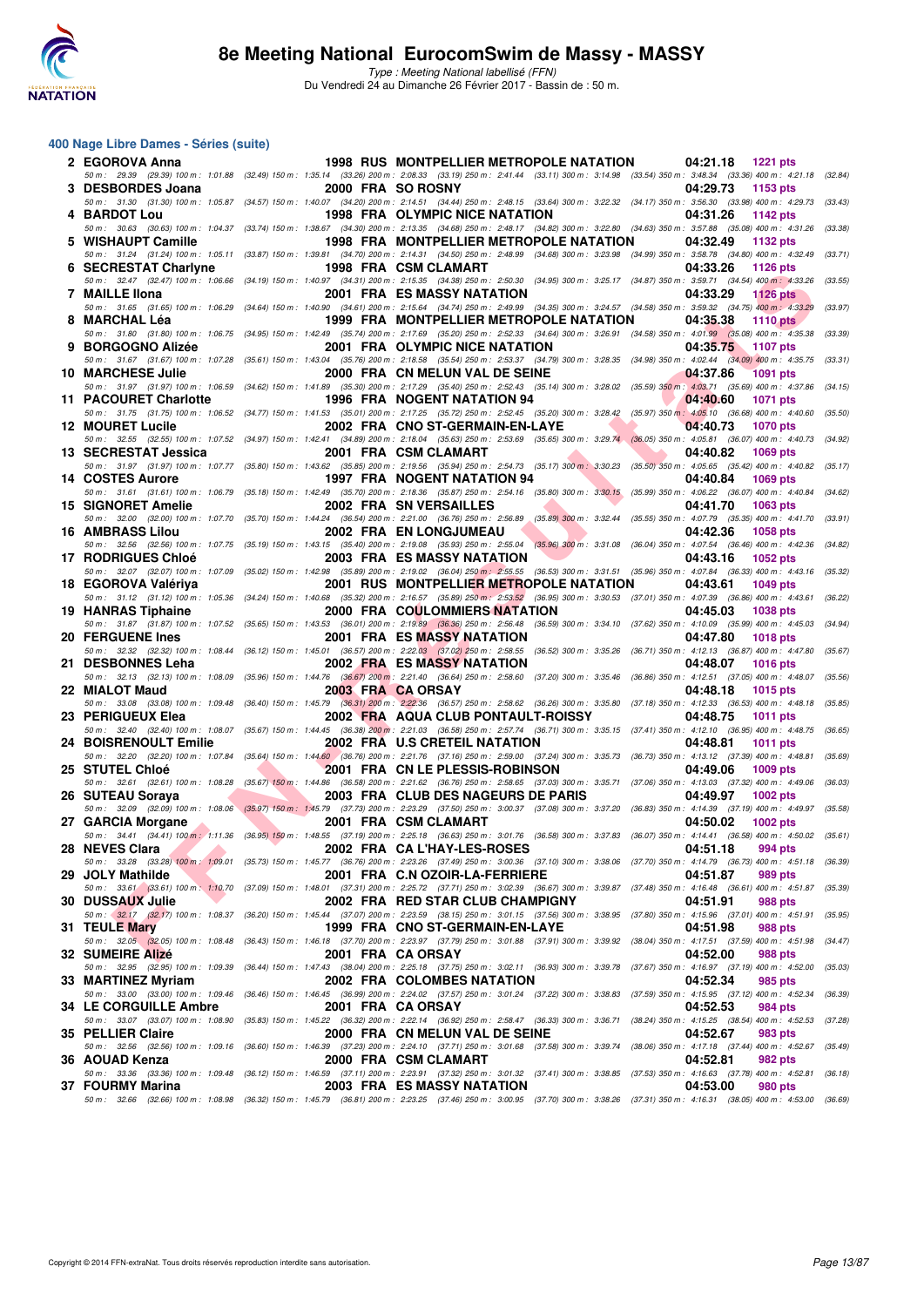

#### **400 Nage Libre Dames - Séries (suite)**

| 2 EGOROVA Anna               |                   | 1998 RUS MONTPELLIER METROPOLE NATATION                                                                                                                                                                                    | 04:21.18<br>1221 pts                                                   |         |
|------------------------------|-------------------|----------------------------------------------------------------------------------------------------------------------------------------------------------------------------------------------------------------------------|------------------------------------------------------------------------|---------|
| 3 DESBORDES Joana            | 2000 FRA SO ROSNY | 50 m : 29.39 (29.39) 100 m : 1:01.88 (32.49) 150 m : 1:35.14 (33.26) 200 m : 2:08.33 (33.19) 250 m : 2:41.44 (33.11) 300 m : 3:14.98 (33.54) 350 m : 3:48.34 (33.36) 400 m : 4:21.18 (32.84)                               | 04:29.73<br>1153 pts                                                   |         |
| 4 BARDOT Lou                 |                   | 50 m: 31.30 (31.30) 100 m: 1:05.87 (34.57) 150 m: 1:40.07 (34.20) 200 m: 2:14.51 (34.44) 250 m: 2:48.15 (33.64) 300 m: 3:22.32 (34.17) 350 m: 3:56.30 (33.98) 400 m: 4:29.73 (33.43)<br>1998 FRA OLYMPIC NICE NATATION     | 04:31.26<br>1142 pts                                                   |         |
| 5 WISHAUPT Camille           |                   | 50 m: 30.63 (30.63) 100 m: 1:04.37 (33.74) 150 m: 1:38.67 (34.30) 200 m: 2:13.35 (34.68) 250 m: 2:48.17 (34.82) 300 m: 3:22.80 (34.63) 350 m: 3:57.88 (35.08) 400 m: 4:31.26<br>1998 FRA MONTPELLIER METROPOLE NATATION    | 04:32.49<br>1132 pts                                                   | (33.38) |
|                              |                   | 50 m : 31.24 (31.24) 100 m : 1:05.11 (33.87) 150 m : 1:39.81 (34.70) 200 m : 2:14.31 (34.50) 250 m : 2:48.99 (34.68) 300 m : 3:23.98 (34.99) 350 m : 3:58.78 (34.80) 400 m : 4:32.49                                       |                                                                        | (33.71) |
| 6 SECRESTAT Charlyne         |                   | 1998 FRA CSM CLAMART<br>50 m: 32.47 (32.47) 100 m: 1:06.66 (34.19) 150 m: 1:40.97 (34.31) 200 m: 2:15.35 (34.38) 250 m: 2:50.30 (34.95) 300 m: 3:25.17 (34.87) 350 m: 3:59.71 (34.54) 400 m: 4:33.26                       | 04:33.26<br>1126 pts                                                   | (33.55) |
| 7 MAILLE IIona               |                   | 2001 FRA ES MASSY NATATION                                                                                                                                                                                                 | 04:33.29<br><b>1126 pts</b>                                            |         |
| 8 MARCHAL Léa                |                   | 50 m: 31.65 (31.65) 100 m: 1:06.29 (34.64) 150 m: 1:40.90 (34.61) 200 m: 2:15.64 (34.74) 250 m: 2:49.99 (34.35) 300 m: 3:24.57 (34.58) 350 m: 3:59.32 (34.75) 400 m; 4:33.29<br>1999 FRA MONTPELLIER METROPOLE NATATION    | 04:35.38<br><b>1110 pts</b>                                            | (33.97) |
|                              |                   | 50 m: 31.80 (31.80) 100 m: 1:06.75 (34.95) 150 m: 1:42.49 (35.74) 200 m: 2:17.69 (35.20) 250 m: 2:52.33 (34.64) 300 m: 3:26.91 (34.58) 350 m: 4:01.99 (35.08) 400 m: 4:35.38 (33.39)                                       |                                                                        |         |
| 9 BORGOGNO Alizée            |                   | 2001 FRA OLYMPIC NICE NATATION<br>50 m: 31.67 (31.67) 100 m: 1:07.28 (35.61) 150 m: 1:43.04 (35.76) 200 m: 2:18.58 (35.54) 250 m: 2:53.37 (34.79) 300 m: 3:28.35 (34.98) 350 m: 4:02.44 (34.09) 400 m: 4:35.75             | 04:35.75<br>$1107$ pts                                                 | (33.31) |
| <b>10 MARCHESE Julie</b>     |                   | 2000 FRA CN MELUN VAL DE SEINE<br>50 m: 31.97 (31.97) 100 m: 1:06.59 (34.62) 150 m: 1:41.89 (35.30) 200 m: 2:17.29 (35.40) 250 m: 2:52.43 (35.14) 300 m: 3:28.02 (35.59) 350 m: 4:03.71 (35.69) 400 m: 4:37.86 (34.15)     | 04:37.86<br><b>1091 pts</b>                                            |         |
| 11 PACOURET Charlotte        |                   | 1996 FRA NOGENT NATATION 94                                                                                                                                                                                                | 04:40.60<br>1071 pts                                                   |         |
|                              |                   | 50 m : 31.75 (31.75) 100 m : 1:06.52 (34.77) 150 m : 1:41.53 (35.01) 200 m : 2:17.25 (35.72) 250 m : 2:52.45 (35.20) 300 m : 3:28.42 (35.97) 350 m : 4:05.10 (36.68) 400 m : 4:40.60<br>2002 FRA CNO ST-GERMAIN-EN-LAYE    | 04:40.73<br><b>1070 pts</b>                                            | (35.50) |
| <b>12 MOURET Lucile</b>      |                   | 50 m : 32.55 (32.55) 100 m : 1:07.52 (34.97) 150 m : 1:42.41 (34.89) 200 m : 2:18.04 (35.63) 250 m : 2:53.69 (35.65) 300 m : 3:29.74 (36.05) 350 m : 4:05.81 (36.07) 400 m : 4:40.73 (34.92)                               |                                                                        |         |
| 13 SECRESTAT Jessica         |                   | 2001 FRA CSM CLAMART                                                                                                                                                                                                       | 04:40.82<br>1069 pts                                                   |         |
| 14 COSTES Aurore             |                   | 50 m: 31.97 (31.97) 100 m: 1:07.77 (35.80) 150 m: 1:43.62 (35.85) 200 m: 2:19.56 (35.94) 250 m: 2:54.73 (35.17) 300 m: 3:30.23 (35.50) 350 m: 4:05.65 (35.42) 400 m: 4:40.82 (35.17)<br><b>1997 FRA NOGENT NATATION 94</b> | 04:40.84<br>1069 pts                                                   |         |
|                              |                   | 50 m : 31.61 (31.61) 100 m : 1:06.79 (35.18) 150 m : 1:42.49 (35.70) 200 m : 2:18.36 (35.87) 250 m : 2:54.16 (35.80) 300 m : 3:30.15 (35.99) 350 m : 4:06.22 (36.07) 400 m : 4:40.84 (34.62)                               |                                                                        |         |
| <b>15 SIGNORET Amelie</b>    |                   | 2002 FRA SN VERSAILLES<br>50 m : 32.00 (32.00) 100 m : 1:07.70 (35.70) 150 m : 1:44.24 (36.54) 200 m : 2:21.00 (36.76) 250 m : 2:56.89 (35.89) 300 m : 3:32.44 (35.55) 350 m : 4:07.79 (35.35) 400 m : 4:41.70 (33.91)     | 04:41.70<br>1063 pts                                                   |         |
| <b>16 AMBRASS Lilou</b>      |                   | <b>2002 FRA EN LONGJUMEAU</b>                                                                                                                                                                                              | 04:42.36<br>1058 pts                                                   |         |
| <b>17 RODRIGUES Chloé</b>    |                   | 50 m : 32.56 (32.56) 100 m : 1:07.75 (35.19) 150 m : 1:43.15 (35.40) 200 m : 2:19.08 (35.93) 250 m : 2:55.04 (35.96) 300 m : 3:31.08 (36.04) 350 m : 4:07.54 (36.46) 400 m : 4:42.36<br><b>2003 FRA ES MASSY NATATION</b>  | 04:43.16<br><b>1052 pts</b>                                            | (34.82) |
|                              |                   | 50 m: 32.07 (32.07) 100 m: 1:07.09 (35.02) 150 m: 1:42.98 (35.89) 200 m: 2:19.02 (36.04) 250 m: 2:55.55 (36.53) 300 m: 3:31.51 (35.96) 350 m: 4:07.84 (36.33) 400 m: 4:43.16                                               |                                                                        | (35.32) |
| 18 EGOROVA Valériya          |                   | 2001 RUS MONTPELLIER METROPOLE NATATION<br>50 m: 31.12 (31.12) 100 m: 1:05.36 (34.24) 150 m: 1:40.68 (35.32) 200 m: 2:16.57 (35.89) 250 m: 2:53.52 (36.95) 300 m: 3:30.53 (37.01) 350 m: 4:07.39 (36.86) 400 m: 4:43.61    | 04:43.61<br>1049 pts                                                   | (36.22) |
| 19 HANRAS Tiphaine           |                   | 2000 FRA COULOMMIERS NATATION                                                                                                                                                                                              | 04:45.03<br><b>1038 pts</b>                                            |         |
| 20 FERGUENE Ines             |                   | 50 m: 31.87 (31.87) 100 m: 1:07.52 (35.65) 150 m: 1:43.53 (36.01) 200 m: 2:19.89 (36.36) 250 m: 2:56.48 (36.59) 300 m: 3:34.10 (37.62) 350 m: 4:10.09 (35.99) 400 m: 4:45.03 (34.94)<br>2001 FRA ES MASSY NATATION         | 04:47.80<br><b>1018 pts</b>                                            |         |
|                              |                   | 50 m: 32.32 (32.32) 100 m: 1:08.44 (36.12) 150 m: 1:45.01 (36.57) 200 m: 2:22.03 (37.02) 250 m: 2:58.55 (36.52) 300 m: 3:35.26 (36.71) 350 m: 4:12.13 (36.87) 400 m: 4:47.80 (35.67)                                       |                                                                        |         |
| 21 DESBONNES Leha            |                   | 2002 FRA ES MASSY NATATION<br>50 m: 32.13 (32.13) 100 m: 1:08.09 (35.96) 150 m: 1:44.76 (36.67) 200 m: 2:21.40 (36.64) 250 m: 2:58.60 (37.20) 300 m: 3:35.46 (36.86) 350 m: 4:12.51 (37.05) 400 m: 4:48.07                 | 04:48.07<br><b>1016 pts</b>                                            | (35.56) |
| 22 MIALOT Maud               |                   | 2003 FRA CA ORSAY                                                                                                                                                                                                          | 04:48.18<br><b>1015 pts</b>                                            |         |
| 23 PERIGUEUX Elea            |                   | 50 m: 33.08 (33.08) 100 m: 1:09.48 (36.40) 150 m: 1:45.79 (36.31) 200 m: 2:22.36 (36.57) 250 m: 2:58.62 (36.26) 300 m: 3:35.80 (37.18) 350 m: 4:12.33 (36.53) 400 m: 4:48.18 (35.85)<br>2002 FRA AQUA CLUB PONTAULT-ROISSY | 04:48.75<br><b>1011 pts</b>                                            |         |
|                              |                   | 50 m: 32.40 (32.40) 100 m: 1:08.07 (35.67) 150 m: 1:44.45 (36.38) 200 m: 2:21.03 (36.58) 250 m: 2:57.74 (36.71) 300 m: 3:35.15 (37.41) 350 m: 4:12.10 (36.95) 400 m: 4:48.75                                               |                                                                        | (36.65) |
| 24 BOISRENOULT Emilie        |                   | 2002 FRA U.S CRETEIL NATATION<br>50 m: 32.20 (32.20) 100 m: 1:07.84 (35.64) 150 m: 1:44.60 (36.76) 200 m: 2:21.76 (37.16) 250 m: 2:59.00 (37.24) 300 m: 3:35.73 (36.73) 350 m: 4:13.12 (37.39) 400 m: 4:48.81 (35.69)      | 04:48.81<br>1011 pts                                                   |         |
| 25 STUTEL Chloé              |                   | 2001 FRA CN LE PLESSIS-ROBINSON                                                                                                                                                                                            | 04:49.06<br>1009 pts                                                   |         |
| 26 SUTEAU Soraya             |                   | 50 m: 32.61 (32.61) 100 m: 1:08.28 (35.67) 150 m: 1:44.86 (36.58) 200 m: 2:21.62 (36.76) 250 m: 2:58.65 (37.03) 300 m: 3:35.71 (37.06) 350 m: 4:13.03 (37.32) 400 m: 4:49.06 (36.03)<br>2003 FRA CLUB DES NAGEURS DE PARIS | 1002 pts<br>04:49.97                                                   |         |
|                              |                   | 50 m: 32.09 (32.09) 100 m: 1:08.06 (35.97) 150 m: 1:45.79 (37.73) 200 m: 2:23.29 (37.50) 250 m: 3:00.37 (37.08) 300 m: 3:37.20 (36.83) 350 m: 4:14.39 (37.19) 400 m: 4:49.97 (35.58)                                       |                                                                        |         |
| 27 GARCIA Morgane            |                   | 2001 FRA CSM CLAMART                                                                                                                                                                                                       | 04:50.02<br><b>1002 pts</b>                                            |         |
| 28 NEVES Clara               |                   | 50 m: 34.41 (34.41) 100 m: 1:11.36 (36.95) 150 m: 1:48.55 (37.19) 200 m: 2:25.18 (36.63) 250 m: 3:01.76 (36.58) 300 m: 3:37.83 (36.07) 350 m: 4:14.41 (36.58) 400 m: 4:50.02 (35.61)<br>2002 FRA CA L'HAY-LES-ROSES        | 04:51.18 994 pts                                                       |         |
|                              |                   | 50 m : 33.28 (33.28) 100 m : 1:09.01 (35.73) 150 m : 1:45.77 (36.76) 200 m : 2:23.26 (37.49) 250 m : 3:00.36 (37.10) 300 m : 3:38.06 (37.70) 350 m : 4:14.79 (36.73) 400 m : 4:51.18 (36.39)                               |                                                                        |         |
| 29 JOLY Mathilde             |                   | 2001 FRA C.N OZOIR-LA-FERRIERE<br>50 m: 33.61 (33.61) 100 m: 1:10.70 (37.09) 150 m: 1:48.01 (37.31) 200 m: 2:25.72 (37.71) 250 m: 3:02.39 (36.67) 300 m: 3:39.87 (37.48) 350 m: 4:16.48 (36.61) 400 m: 4:51.87             | 04:51.87<br>989 pts                                                    | (35.39) |
| 30   DUSSAUX Julie           |                   | 2002 FRA RED STAR CLUB CHAMPIGNY                                                                                                                                                                                           | 04:51.91<br>988 pts                                                    |         |
| 31 TEULE Mary                |                   | 50 m : 32.17 (32.17) 100 m : 1:08.37 (36.20) 150 m : 1:45.44 (37.07) 200 m : 2:23.59 (38.15) 250 m : 3:01.15 (37.56) 300 m : 3:38.95 (37.80) 350 m : 4:15.96 (37.01) 400 m : 4:51.91<br>1999 FRA CNO ST-GERMAIN-EN-LAYE    | 04:51.98<br>988 pts                                                    | (35.95) |
|                              |                   | 50 m: 32.05 (32.05) 100 m: 1:08.48 (36.43) 150 m: 1:46.18 (37.70) 200 m: 2:23.97 (37.79) 250 m: 3:01.88 (37.91) 300 m: 3:39.92 (38.04) 350 m: 4:17.51 (37.59) 400 m: 4:51.98                                               |                                                                        | (34.47) |
| 32 SUMEIRE Alizé             |                   | 2001 FRA CA ORSAY<br>50 m : 32.95 (32.95) 100 m : 1:09.39 (36.44) 150 m : 1:47.43 (38.04) 200 m : 2:25.18 (37.75) 250 m : 3:02.11 (36.93) 300 m : 3:39.78 (37.67) 350 m : 4:16.97 (37.19) 400 m : 4:52.00                  | 04:52.00<br>988 pts                                                    | (35.03) |
| 33 MARTINEZ Myriam           |                   | 2002 FRA COLOMBES NATATION                                                                                                                                                                                                 | 04:52.34<br>985 pts                                                    |         |
| <b>34 LE CORGUILLE Ambre</b> | 2001 FRA CA ORSAY | 50 m : 33.00 (33.00) 100 m : 1:09.46 (36.46) 150 m : 1:46.45 (36.99) 200 m : 2:24.02 (37.57) 250 m : 3:01.24 (37.22) 300 m : 3:38.83                                                                                       | (37.59) 350 m : 4:15.95 (37.12) 400 m : 4:52.34<br>04:52.53<br>984 pts | (36.39) |
|                              |                   | 50 m : 33.07 (33.07) 100 m : 1:08.90 (35.83) 150 m : 1:45.22 (36.32) 200 m : 2:22.14 (36.92) 250 m : 2:58.47 (36.33) 300 m : 3:36.71 (38.24) 350 m : 4:15.25 (38.54) 400 m : 4:52.53                                       |                                                                        | (37.28) |
| 35 PELLIER Claire            |                   | 2000 FRA CN MELUN VAL DE SEINE<br>50 m : 32.56 (32.56) 100 m : 1:09.16 (36.60) 150 m : 1:46.39 (37.23) 200 m : 2:24.10 (37.71) 250 m : 3:01.68 (37.58) 300 m : 3:39.74 (38.06) 350 m : 4:17.18 (37.44) 400 m : 4:52.67     | 04:52.67<br>983 pts                                                    | (35.49) |
| 36   AOUAD Kenza             |                   | 2000 FRA CSMCLAMART                                                                                                                                                                                                        | 04:52.81<br>982 pts                                                    |         |
| 37  FOURMY Marina            |                   | 50 m : 33.36 (33.36) 100 m : 1:09.48 (36.12) 150 m : 1:46.59 (37.11) 200 m : 2:23.91 (37.32) 250 m : 3:01.32 (37.41) 300 m : 3:38.85 (37.53) 350 m : 4:16.63 (37.78) 400 m : 4:52.81 (36.18)<br>2003 FRA ES MASSY NATATION | 04:53.00<br>980 pts                                                    |         |
|                              |                   | 50 m : 32.66 (32.66) 100 m : 1:08.98 (36.32) 150 m : 1:45.79 (36.81) 200 m : 2:23.25 (37.46) 250 m : 3:00.95 (37.70) 300 m : 3:38.26 (37.31) 350 m : 4:16.31 (38.05) 400 m : 4:53.00 (36.69)                               |                                                                        |         |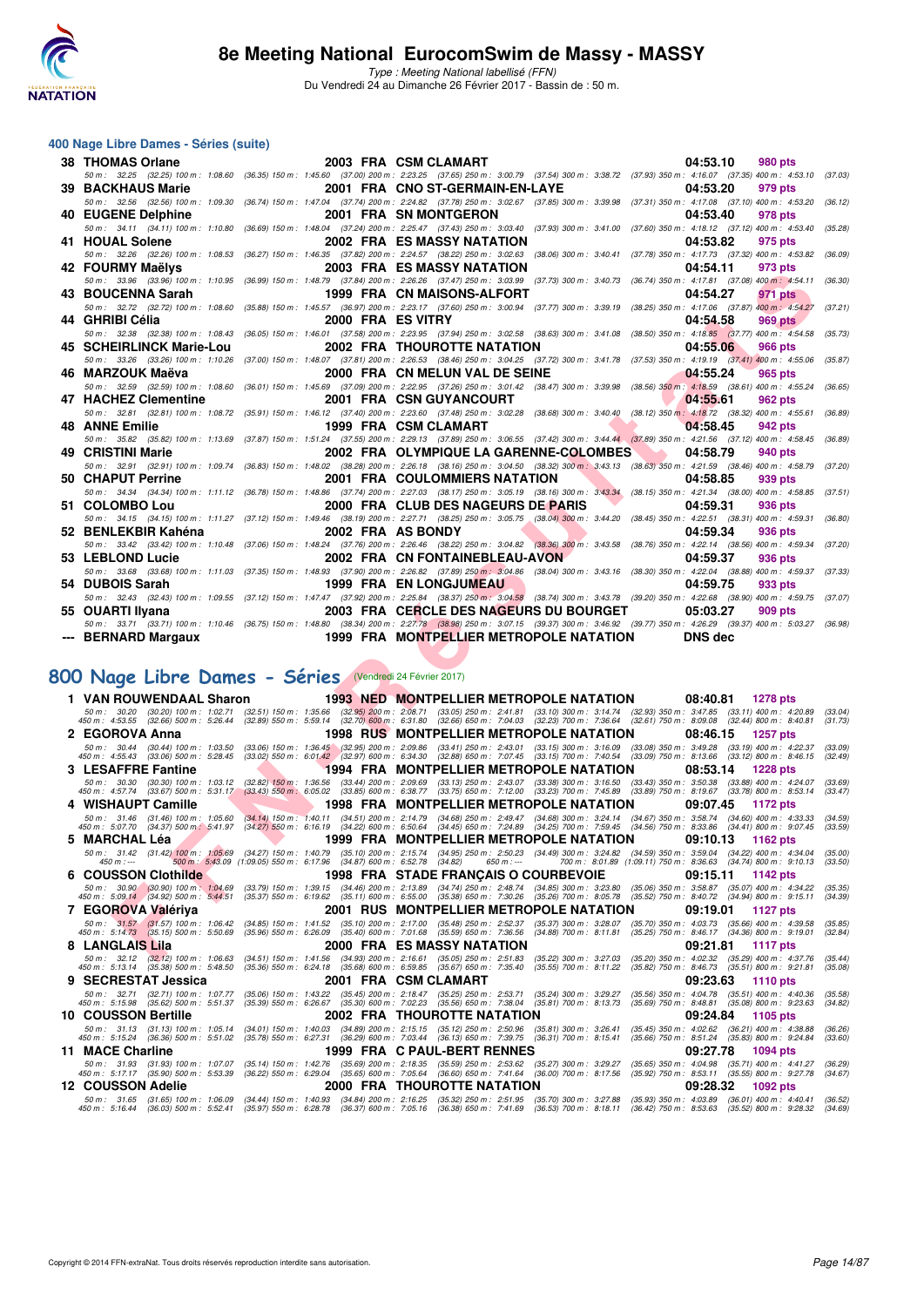

Type : Meeting National labellisé (FFN) Du Vendredi 24 au Dimanche 26 Février 2017 - Bassin de : 50 m.

#### **400 Nage Libre Dames - Séries (suite)**

| 38 THOMAS Orlane                                                                                                                                                                                                                                                       |                   | 2003 FRA CSM CLAMART                                                                                                                            | 04:53.10                                                  | 980 pts         |                    |
|------------------------------------------------------------------------------------------------------------------------------------------------------------------------------------------------------------------------------------------------------------------------|-------------------|-------------------------------------------------------------------------------------------------------------------------------------------------|-----------------------------------------------------------|-----------------|--------------------|
| 50 m: 32.25 (32.25) 100 m: 1:08.60 (36.35) 150 m: 1:45.60 (37.00) 200 m: 2:23.25 (37.65) 250 m: 3:00.79 (37.54) 300 m: 3:38.72 (37.93) 350 m: 4:16.07 (37.35) 400 m: 4:53.10                                                                                           |                   |                                                                                                                                                 |                                                           |                 | (37.03)            |
| <b>39 BACKHAUS Marie</b>                                                                                                                                                                                                                                               |                   | 2001 FRA CNO ST-GERMAIN-EN-LAYE                                                                                                                 | 04:53.20                                                  | 979 pts         |                    |
| 50 m : 32.56 (32.56) 100 m : 1:09.30 (36.74) 150 m : 1:47.04 (37.74) 200 m : 2:24.82 (37.78) 250 m : 3:02.67 (37.85) 300 m : 3:39.98                                                                                                                                   |                   |                                                                                                                                                 | $(37.31)$ 350 m : 4:17.08 $(37.10)$ 400 m : 4:53.20       |                 | (36.12)            |
| 40 EUGENE Delphine                                                                                                                                                                                                                                                     |                   | <b>2001 FRA SN MONTGERON</b>                                                                                                                    | 04:53.40                                                  | 978 pts         |                    |
| 50 m: 34.11 (34.11) 100 m: 1:10.80                                                                                                                                                                                                                                     |                   | (36.69) 150 m: 1:48.04 (37.24) 200 m: 2:25.47 (37.43) 250 m: 3:03.40 (37.93) 300 m: 3:41.00                                                     | $(37.60)$ 350 m : 4:18.12 $(37.12)$ 400 m : 4:53.40       |                 | (35.28)            |
| 41 HOUAL Solene                                                                                                                                                                                                                                                        |                   | 2002 FRA ES MASSY NATATION                                                                                                                      | 04:53.82                                                  | 975 pts         |                    |
| 50 m : 32.26 (32.26) 100 m : 1:08.53 (36.27) 150 m : 1:46.35 (37.82) 200 m : 2:24.57 (38.22) 250 m : 3:02.63 (38.06) 300 m : 3:40.41                                                                                                                                   |                   |                                                                                                                                                 | (37.78) 350 m : 4:17.73 (37.32) 400 m : 4:53.82 (36.09)   |                 |                    |
| 42 FOURMY Maëlys                                                                                                                                                                                                                                                       |                   | 2003 FRA ES MASSY NATATION                                                                                                                      | 04:54.11                                                  | 973 pts         |                    |
| 50 m: 33.96 (33.96) 100 m: 1:10.95                                                                                                                                                                                                                                     |                   | (36.99) 150 m : 1:48.79 (37.84) 200 m : 2:26.26 (37.47) 250 m : 3:03.99 (37.73) 300 m : 3:40.73                                                 | (36.74) 350 m : 4:17.81 (37.08) 400 m : 4:54.11           |                 | (36.30)            |
| 43 BOUCENNA Sarah<br>50 m: 32.72 (32.72) 100 m: 1:08.60                                                                                                                                                                                                                |                   | 1999 FRA CN MAISONS-ALFORT<br>(35.88) 150 m: 1:45.57 (36.97) 200 m: 2:23.17 (37.60) 250 m: 3:00.94 (37.77) 300 m: 3:39.19                       | 04:54.27<br>(38.25) 350 m: 4:17.06 (37.87) 400 m: 4:54.27 | 971 pts         | (37.21)            |
| 44 GHRIBI Célia                                                                                                                                                                                                                                                        | 2000 FRA ES VITRY |                                                                                                                                                 | 04:54.58                                                  | 969 pts         |                    |
| 50 m: 32.38 (32.38) 100 m: 1:08.43 (36.05) 150 m: 1:46.01 (37.58) 200 m: 2:23.95 (37.94) 250 m: 3:02.58 (38.63) 300 m: 3:41.08 (38.50) 350 m: 4:18.85 (37.77) 400 m: 4:54.58                                                                                           |                   |                                                                                                                                                 |                                                           |                 | (35.73)            |
| 45 SCHEIRLINCK Marie-Lou                                                                                                                                                                                                                                               |                   | <b>2002 FRA THOUROTTE NATATION</b>                                                                                                              | 04:55.06                                                  | 966 pts         |                    |
| 50 m: 33.26 (33.26) 100 m: 1:10.26                                                                                                                                                                                                                                     |                   | (37.00) 150 m : 1:48.07 (37.81) 200 m : 2:26.53 (38.46) 250 m : 3:04.25 (37.72) 300 m : 3:41.78 (37.53) 350 m : 4:19.19 (37.41) 400 m : 4:55.06 |                                                           |                 | (35.87)            |
| 46 MARZOUK Maëva                                                                                                                                                                                                                                                       |                   | 2000 FRA CN MELUN VAL DE SEINE                                                                                                                  | 04:55.24                                                  | 965 pts         |                    |
| 50 m : 32.59 (32.59) 100 m : 1:08.60 (36.01) 150 m : 1:45.69 (37.09) 200 m : 2:22.95 (37.26) 250 m : 3:01.42 (38.47) 300 m : 3:39.98 (38.56) 350 m : 4:18.59 (38.61) 400 m : 4:55.24                                                                                   |                   |                                                                                                                                                 |                                                           |                 | (36.65)            |
| 47 HACHEZ Clementine                                                                                                                                                                                                                                                   |                   | 2001 FRA CSN GUYANCOURT                                                                                                                         | 04:55.61                                                  | <b>962 pts</b>  |                    |
| 50 m: 32.81 (32.81) 100 m: 1:08.72 (35.91) 150 m: 1:46.12 (37.40) 200 m: 2:23.60 (37.48) 250 m: 3:02.28 (38.68) 300 m: 3:40.40 (38.12) 350 m: 4:18.72 (38.32) 400 m: 4:55.61                                                                                           |                   |                                                                                                                                                 |                                                           |                 | (36.89)            |
| 48 ANNE Emilie                                                                                                                                                                                                                                                         |                   | 1999 FRA CSM CLAMART                                                                                                                            | 04:58.45                                                  | 942 pts         |                    |
| 50 m: 35.82 (35.82) 100 m: 1:13.69 (37.87) 150 m: 1:51.24 (37.55) 200 m: 2:29.13 (37.89) 250 m: 3:06.55 (37.42) 300 m: 3:44.44 (37.89) 350 m: 4:21.56 (37.12) 400 m: 4:58.45                                                                                           |                   |                                                                                                                                                 |                                                           |                 | (36.89)            |
| 49 CRISTINI Marie                                                                                                                                                                                                                                                      |                   | 2002 FRA OLYMPIQUE LA GARENNE-COLOMBES                                                                                                          | 04:58.79                                                  | 940 pts         |                    |
| 50 m : 32.91 (32.91) 100 m : 1:09.74 (36.83) 150 m : 1:48.02 (38.28) 200 m : 2:26.18 (38.16) 250 m : 3:04.50 (38.32) 300 m : 3:43.13 (38.63) 350 m : 4:21.59 (38.46) 400 m : 4:58.79                                                                                   |                   |                                                                                                                                                 |                                                           |                 | (37.20)            |
| 50 CHAPUT Perrine                                                                                                                                                                                                                                                      |                   | <b>2001 FRA COULOMMIERS NATATION</b>                                                                                                            | 04:58.85                                                  | 939 pts         |                    |
| 50 m: 34.34 (34.34) 100 m: 1:11.12 (36.78) 150 m: 1:48.86 (37.74) 200 m: 2:27.03 (38.17) 250 m: 3:05.19 (38.16) 300 m: 3:43.34 (38.15) 350 m: 4:21.34 (38.00) 400 m: 4:58.85                                                                                           |                   |                                                                                                                                                 |                                                           |                 | (37.51)            |
| 51 COLOMBO Lou                                                                                                                                                                                                                                                         |                   | 2000 FRA CLUB DES NAGEURS DE PARIS                                                                                                              | 04:59.31                                                  | 936 pts         |                    |
| 50 m: 34.15 (34.15) 100 m: 1:11.27 (37.12) 150 m: 1:49.46 (38.19) 200 m: 2:27.71 (38.25) 250 m: 3:05.75 (38.04) 300 m: 3:44.20 (38.45) 350 m: 4:22.51 (38.31) 400 m: 4:59.31                                                                                           |                   |                                                                                                                                                 |                                                           |                 | (36.80)            |
| 52 BENLEKBIR Kahéna                                                                                                                                                                                                                                                    |                   | 2002 FRA AS BONDY                                                                                                                               | 04:59.34                                                  | 936 pts         |                    |
| 50 m : 33.42 (33.42) 100 m : 1:10.48 (37.06) 150 m : 1:48.24 (37.76) 200 m : 2:26.46 (38.22) 250 m : 3:04.82 (38.36) 300 m : 3:43.58 (38.76) 350 m : 4:22.14 (38.56) 400 m : 4:59.34                                                                                   |                   |                                                                                                                                                 |                                                           |                 | (37.20)            |
| 53 LEBLOND Lucie                                                                                                                                                                                                                                                       |                   | 2002 FRA CN FONTAINEBLEAU-AVON                                                                                                                  |                                                           | 936 pts         |                    |
|                                                                                                                                                                                                                                                                        |                   |                                                                                                                                                 | 04:59.37                                                  |                 |                    |
| 50 m : 33.68 (33.68) 100 m : 1:11.03 (37.35) 150 m : 1:48.93 (37.90) 200 m : 2:26.82 (37.89) 250 m : 3:04.86 (38.04) 300 m : 3:43.16 (38.30) 350 m : 4:22.04 (38.88) 400 m : 4:59.37                                                                                   |                   |                                                                                                                                                 |                                                           |                 | (37.33)            |
| 54 DUBOIS Sarah                                                                                                                                                                                                                                                        |                   | <b>1999 FRA EN LONGJUMEAU</b>                                                                                                                   | 04:59.75                                                  | 933 pts         |                    |
| 50 m : 32.43 (32.43) 100 m : 1:09.55 (37.12) 150 m : 1:47.47 (37.92) 200 m : 2:25.84 (38.37) 250 m : 3:04.58 (38.74) 300 m : 3:43.78 (39.20) 350 m : 4:22.68 (38.90) 400 m : 4:59.75 (37.07)                                                                           |                   |                                                                                                                                                 |                                                           |                 |                    |
| 55 OUARTI Ilyana                                                                                                                                                                                                                                                       |                   | 2003 FRA CERCLE DES NAGEURS DU BOURGET                                                                                                          | 05:03.27                                                  | <b>909 pts</b>  |                    |
| 50 m : 33.71 (33.71) 100 m : 1:10.46 (36.75) 150 m : 1:48.80 (38.34) 200 m : 2:27.78 (38.98) 250 m : 3:07.15 (39.37) 300 m : 3:46.92 (39.77) 350 m : 4:26.29 (39.37) 400 m : 5:03.27 (36.98)                                                                           |                   |                                                                                                                                                 |                                                           |                 |                    |
| --- BERNARD Margaux                                                                                                                                                                                                                                                    |                   | 1999 FRA MONTPELLIER METROPOLE NATATION                                                                                                         | <b>DNS</b> dec                                            |                 |                    |
|                                                                                                                                                                                                                                                                        |                   |                                                                                                                                                 |                                                           |                 |                    |
|                                                                                                                                                                                                                                                                        |                   |                                                                                                                                                 |                                                           |                 |                    |
| 00 Nage Libre Dames - Séries (Vendredi 24 Février 2017)                                                                                                                                                                                                                |                   |                                                                                                                                                 |                                                           |                 |                    |
| 1 VAN ROUWENDAAL Sharon                                                                                                                                                                                                                                                |                   | <b>1993 NED MONTPELLIER METROPOLE NATATION</b>                                                                                                  | 08:40.81                                                  | <b>1278 pts</b> |                    |
|                                                                                                                                                                                                                                                                        |                   |                                                                                                                                                 |                                                           |                 | (33.04)            |
| 50 m : 30.20 (30.20) 100 m : 1:02.71 (32.51) 150 m : 1:35.66 (32. <mark>95)</mark> 200 m : 2:08.71 (33.05) 250 m : 2:41.81 (33.10) 300 m : 3:14.74 (32.93) 350 m : 3:47.85 (33.11) 400 m : 4:20.89<br>450 m : 4:53.55 (32.66) 500 m : 5:26.44                          |                   |                                                                                                                                                 |                                                           |                 | (31.73)            |
| 2 EGOROVA Anna                                                                                                                                                                                                                                                         |                   | <b>1998 RUS MONTPELLIER METROPOLE NATATION</b>                                                                                                  | 08:46.15                                                  | <b>1257 pts</b> |                    |
|                                                                                                                                                                                                                                                                        |                   |                                                                                                                                                 |                                                           |                 | (33.09)<br>(32.49) |
| $50\,m:~~30.44~~(30.44)~100\,m:~~1.03.50~~(33.06)~150\,m:~~1.36.45~~(32.95)~200\,m:~~2.09.86~~(33.41)~250\,m:~~2.43.01~~(33.15)~300\,m:~~3.16.09~~(33.08)~350\,m:~~3.49.28~~(33.19)~400\,m:~~4.22.37~450\,m:~~4.55.43~~(33.08)~500\,m:~~5.24.54$<br>3 LESAFFRE Fantine |                   | 1994 FRA MONTPELLIER METROPOLE NATATION                                                                                                         | 08:53.14                                                  | <b>1228 pts</b> |                    |
|                                                                                                                                                                                                                                                                        |                   |                                                                                                                                                 |                                                           |                 | (33.69)            |
| 50 m :   30.30   {30.30) 100 m :  1.03.12    {32.82) <mark>150</mark> m :  1.36.56    {33.44) 200 m    2.09.69    {3.13) 250 m    2.43.07    {33.89) 300 m :  3.15.50    {33.43) 350 m :  3.50.38   (33.88) 400 m :   4.24.07<br>450 m :  4.                           |                   |                                                                                                                                                 |                                                           |                 | (33.47)            |
| 4 WISHAUPT Camille                                                                                                                                                                                                                                                     |                   | 1998 FRA MONTPELLIER METROPOLE NATATION                                                                                                         | 09:07.45                                                  | 1172 pts        |                    |
|                                                                                                                                                                                                                                                                        |                   |                                                                                                                                                 |                                                           |                 | (34.59)            |
| 50 m: 31.46 (31.46) 100 m: 1:05.60 (34.14) 150 m: 1:40.11 (34.51) 200 m: 2:14.79 (34.68) 250 m: 2:49.47 (34.68) 300 m: 3:24.14 (34.67) 350 m: 3:58.74 (34.60) 400 m: 4:33.33<br>450 m: 5:07.70 (34.37) 500 m: 5:41.97 (34.27) 550                                      |                   |                                                                                                                                                 |                                                           |                 | (33.59)            |
| 5 MARCHAL Léa                                                                                                                                                                                                                                                          |                   | 1999 FRA MONTPELLIER METROPOLE NATATION                                                                                                         | 09:10.13                                                  | 1162 pts        |                    |
|                                                                                                                                                                                                                                                                        |                   |                                                                                                                                                 |                                                           |                 | (35.00)<br>(33.50) |
| 6 COUSSON Clothilde                                                                                                                                                                                                                                                    |                   | 1998 FRA STADE FRANÇAIS O COURBEVOIE                                                                                                            | 09:15.11                                                  | 1142 pts        |                    |
| 50 m : 30.90 (30.90) 100 m : 1:04.69 (33.79) 150 m : 1:39.15 (34.46) 200 m : 2:13.89 (34.74) 250 m : 2:48.74 (34.85) 300 m : 3:23.80 (35.06) 350 m : 3:58.87 (35.07) 400 m : 4:34.22                                                                                   |                   |                                                                                                                                                 |                                                           |                 | (35.35)            |
| 450 m : 5:09.14 (34.92) 500 m : 5:44.51 (35.37) 550 m : 6:19.62 (35.11) 600 m : 6:55.00 (35.38) 650 m : 7:30.26 (35.26) 700 m : 8:05.78 (35.52) 750 m : 8:40.72 (34.94) 800 m : 9:15.11                                                                                |                   |                                                                                                                                                 |                                                           |                 | (34.39)            |
| 7 EGOROVA Valériya                                                                                                                                                                                                                                                     |                   | 2001 RUS MONTPELLIER METROPOLE NATATION                                                                                                         | 09:19.01                                                  | 1127 pts        |                    |
| 50 m: 31.57 (31.57) 100 m: 1:06.42 (34.85) 150 m: 1:41.52 (35.10) 200 m: 2:17.00 (35.48) 250 m: 2:52.37 (35.37) 300 m: 3:28.07 (35.70) 350 m: 4:03.73 (35.66) 400 m: 4:39.58<br>450 m: 5:14.73 (35.15) 500 m: 5:50.69 (35.96) 550                                      |                   |                                                                                                                                                 |                                                           |                 | (35.85)<br>(32.84) |
| 8 LANGLAIS Lila                                                                                                                                                                                                                                                        |                   | 2000 FRA ES MASSY NATATION                                                                                                                      | 09:21.81                                                  | 1117 pts        |                    |

# **[800 Nage Libre Dames - Séries](http://www.ffnatation.fr/webffn/resultats.php?idact=nat&go=epr&idcpt=42801&idepr=5)** (Vendredi 24 Février 2017)

|    | 1 VAN ROUWENDAAL Sharon                                                                                                                                                                 |                                                                                                                                                                                      |                                                                           |  |  |                                    |             | <b>1993 NED MONTPELLIER METROPOLE NATATION</b>                                                                                                                                                                                                                                                     |                                                                                                            | 08:40.81 | <b>1278 pts</b> |                    |
|----|-----------------------------------------------------------------------------------------------------------------------------------------------------------------------------------------|--------------------------------------------------------------------------------------------------------------------------------------------------------------------------------------|---------------------------------------------------------------------------|--|--|------------------------------------|-------------|----------------------------------------------------------------------------------------------------------------------------------------------------------------------------------------------------------------------------------------------------------------------------------------------------|------------------------------------------------------------------------------------------------------------|----------|-----------------|--------------------|
|    | 450 m : 4:53.55 (32.66) 500 m : 5:26.44 (32.89) 550 m : 5:59.14 (32.70) 600 m : 6:31.80 (32.66) 650 m : 7:04.03 (32.23) 700 m : 7:36.64 (32.61) 750 m : 8:09.08 (32.44) 800 m : 8:40.81 | 50 m: 30.20 (30.20) 100 m: 1:02.71 (32.51) 150 m: 1:35.66 (32.95) 200 m: 2:08.71 (33.05) 250 m: 2:41.81 (33.10) 300 m: 3:14.74 (32.93) 350 m: 3:47.85 (33.11) 400 m: 4:20.89         |                                                                           |  |  |                                    |             |                                                                                                                                                                                                                                                                                                    |                                                                                                            |          |                 | (33.04)<br>(31.73) |
|    | 2 EGOROVA Anna                                                                                                                                                                          |                                                                                                                                                                                      |                                                                           |  |  |                                    |             | <b>1998 RUS MONTPELLIER METROPOLE NATATION</b>                                                                                                                                                                                                                                                     |                                                                                                            | 08:46.15 | <b>1257 pts</b> |                    |
|    | 450 m : 4:55.43 (33.06) 500 m : 5:28.45                                                                                                                                                 | 50 m: 30.44 (30.44) 100 m: 1:03.50                                                                                                                                                   |                                                                           |  |  |                                    |             | (33.06) 150 m : 1:36.45 (32.95) 200 m : 2:09.86 (33.41) 250 m : 2:43.01 (33.15) 300 m : 3:16.09 (33.08) 350 m : 3:49.28 (33.19) 400 m : 4:22.37<br>(33.02) 550 m : 6:01.42 (32.97) 600 m : 6:34.30 (32.88) 650 m : 7:07.45 (33.15) 700 m : 7:40.54 (33.09) 750 m : 8:13.66 (33.12) 800 m : 8:46.15 |                                                                                                            |          |                 | (33.09)<br>(32.49) |
|    | <b>3 LESAFFRE Fantine</b>                                                                                                                                                               |                                                                                                                                                                                      |                                                                           |  |  |                                    |             | <b>1994 FRA MONTPELLIER METROPOLE NATATION</b>                                                                                                                                                                                                                                                     |                                                                                                            | 08:53.14 | <b>1228 pts</b> |                    |
|    | 450 m : 4:57.74 (33.67) 500 m : 5:31.17 (33.43) 550 m : 6:05.02 (33.85) 600 m : 6:38.77 (33.75) 650 m : 7:12.00 (33.23) 700 m : 7:45.89 (33.89) 750 m : 8:19.67 (33.78) 800 m : 8:53.14 | 50 m : 30.30 (30.30) 100 m : 1:03.12                                                                                                                                                 |                                                                           |  |  |                                    |             | (32.82) 150 m : 1:36.56 (33.44) 200 m : 2:09.69 (33.13) 250 m : 2:43.07 (33.38) 300 m : 3:16.50 (33.43) 350 m : 3:50.38 (33.88) 400 m : 4:24.07                                                                                                                                                    |                                                                                                            |          |                 | (33.69)<br>(33.47) |
|    | 4 WISHAUPT Camille                                                                                                                                                                      |                                                                                                                                                                                      |                                                                           |  |  |                                    |             | 1998 FRA MONTPELLIER METROPOLE NATATION                                                                                                                                                                                                                                                            |                                                                                                            | 09:07.45 | 1172 pts        |                    |
|    | 450 m : 5:07.70 (34.37) 500 m : 5:41.97 (34.27) 550 m : 6:16.19 (34.22) 600 m : 6:50.64 (34.45) 650 m : 7:24.89 (34.25) 700 m : 7:59.45 (34.56) 750 m : 8:33.86 (34.41) 800 m : 9:07.45 | 50 m: 31.46 (31.46) 100 m: 1:05.60 (34.14) 150 m: 1:40.11 (34.51) 200 m: 2:14.79 (34.68) 250 m: 2:49.47 (34.68) 300 m: 3:24.14 (34.67) 350 m: 3:58.74 (34.60) 400 m: 4:33.33         |                                                                           |  |  |                                    |             |                                                                                                                                                                                                                                                                                                    |                                                                                                            |          |                 | (34.59)<br>(33.59) |
| 5. | <b>MARCHAL Léa</b>                                                                                                                                                                      |                                                                                                                                                                                      |                                                                           |  |  |                                    |             | 1999 FRA MONTPELLIER METROPOLE NATATION                                                                                                                                                                                                                                                            |                                                                                                            | 09:10.13 | <b>1162 pts</b> |                    |
|    | $450 m : -$                                                                                                                                                                             | 50 m: 31.42 (31.42) 100 m: 1:05.69 (34.27) 150 m: 1:40.79 (35.10) 200 m: 2:15.74 (34.95) 250 m: 2:50.23 (34.49) 300 m: 3:24.82 (34.59) 350 m: 3:59.04 (34.22) 400 m: 4:34.04         | 500 m : 5:43.09 (1:09.05) 550 m : 6:17.96 (34.87) 600 m : 6:52.78 (34.82) |  |  |                                    | 650 m : --- | 700 m : 8:01.89 (1:09.11) 750 m : 8:36.63 (34.74) 800 m : 9:10.13                                                                                                                                                                                                                                  |                                                                                                            |          |                 | (35.00)<br>(33.50) |
|    | 6 COUSSON Clothilde                                                                                                                                                                     |                                                                                                                                                                                      |                                                                           |  |  |                                    |             | <b>1998 FRA STADE FRANCAIS O COURBEVOIE</b>                                                                                                                                                                                                                                                        |                                                                                                            | 09:15.11 | 1142 pts        |                    |
|    | 450 m : 5:09.14 (34.92) 500 m : 5:44.51                                                                                                                                                 | 50 m : 30.90 (30.90) 100 m : 1:04.69 (33.79) 150 m : 1:39.15 (34.46) 200 m : 2:13.89 (34.74) 250 m : 2:48.74 (34.85) 300 m : 3:23.80 (35.06) 350 m : 3:58.87 (35.07) 400 m : 4:34.22 |                                                                           |  |  |                                    |             | (35.37) 550 m : 6:19.62 (35.11) 600 m : 6:55.00 (35.38) 650 m : 7:30.26 (35.26) 700 m : 8:05.78 (35.52) 750 m : 8:40.72 (34.94) 800 m : 9:15.11                                                                                                                                                    |                                                                                                            |          |                 | (35.35)<br>(34.39) |
|    | 7 EGOROVA Valériva                                                                                                                                                                      |                                                                                                                                                                                      |                                                                           |  |  |                                    |             | 2001 RUS MONTPELLIER METROPOLE NATATION                                                                                                                                                                                                                                                            |                                                                                                            | 09:19.01 | <b>1127 pts</b> |                    |
|    | 450 m : 5:14.73 (35.15) 500 m : 5:50.69 (35.96) 550 m : 6:26.09 (35.40) 600 m : 7:01.68 (35.59) 650 m : 7:36.56 (34.88) 700 m : 8:11.81 (35.25) 750 m : 8:46.17 (34.36) 800 m : 9:19.01 | 50 m: 31.57 (31.57) 100 m: 1:06.42 (34.85) 150 m: 1:41.52 (35.10) 200 m: 2:17.00 (35.48) 250 m: 2:52.37 (35.37) 300 m: 3:28.07 (35.70) 350 m: 4:03.73 (35.66) 400 m: 4:39.58         |                                                                           |  |  |                                    |             |                                                                                                                                                                                                                                                                                                    |                                                                                                            |          |                 | (35.85)<br>(32.84) |
|    | 8 LANGLAIS Lila                                                                                                                                                                         |                                                                                                                                                                                      |                                                                           |  |  | 2000 FRA ES MASSY NATATION         |             |                                                                                                                                                                                                                                                                                                    |                                                                                                            | 09:21.81 | <b>1117 pts</b> |                    |
|    | 450 m : 5:13.14 (35.38) 500 m : 5:48.50                                                                                                                                                 | 50 m : 32.12 (32.12) 100 m : 1:06.63                                                                                                                                                 |                                                                           |  |  |                                    |             | (34.51) 150 m : 1:41.56 (34.93) 200 m : 2:16.61 (35.05) 250 m : 2:51.83 (35.22) 300 m : 3:27.03 (35.20) 350 m : 4:02.32 (35.29) 400 m : 4:37.76<br>$(35.36)$ 550 m $: 6.24.18$ $(35.68)$ 600 m $: 6.59.85$ $(35.67)$ 650 m $: 7.35.40$ $(35.55)$ 700 m $: 8.11.22$                                 | (35.82) 750 m : 8:46.73 (35.51) 800 m : 9:21.81                                                            |          |                 | (35.44)<br>(35.08) |
|    | <b>SECRESTAT Jessica</b>                                                                                                                                                                |                                                                                                                                                                                      |                                                                           |  |  | 2001 FRA CSM CLAMART               |             |                                                                                                                                                                                                                                                                                                    |                                                                                                            | 09:23.63 | <b>1110 pts</b> |                    |
|    | 450 m: 5:15.98 (35.62) 500 m: 5:51.37                                                                                                                                                   | 50 m: 32.71 (32.71) 100 m: 1:07.77                                                                                                                                                   |                                                                           |  |  |                                    |             | (35.06) 150 m : 1:43.22 (35.45) 200 m : 2:18.47 (35.25) 250 m : 2:53.71 (35.24) 300 m : 3:29.27<br>(35.39) 550 m : 6:26.67 (35.30) 600 m : 7:02.23 (35.56) 650 m : 7:38.04 (35.81) 700 m : 8:13.73                                                                                                 | (35.56) 350 m : 4:04.78 (35.51) 400 m : 4:40.36<br>(35.69) 750 m : 8:48.81 (35.08) 800 m : 9:23.63         |          |                 | (35.58)<br>(34.82) |
|    | 10 COUSSON Bertille                                                                                                                                                                     |                                                                                                                                                                                      |                                                                           |  |  | <b>2002 FRA THOUROTTE NATATION</b> |             |                                                                                                                                                                                                                                                                                                    |                                                                                                            | 09:24.84 | 1105 pts        |                    |
|    | 450 m : 5:15.24 (36.36) 500 m : 5:51.02                                                                                                                                                 | 50 m : 31.13 (31.13) 100 m : 1:05.14                                                                                                                                                 |                                                                           |  |  |                                    |             | (34.01) 150 m: 1:40.03 (34.89) 200 m: 2:15.15 (35.12) 250 m: 2:50.96 (35.81) 300 m: 3:26.41<br>(35.78) 550 m : 6:27.31 (36.29) 600 m : 7:03.44 (36.13) 650 m : 7:39.75 (36.31) 700 m : 8:15.41                                                                                                     | $(35.45)$ 350 m : 4:02.62 $(36.21)$ 400 m : 4:38.88<br>(35.66) 750 m : 8:51.24 (35.83) 800 m : 9:24.84     |          |                 | (36.26)<br>(33.60) |
|    | <b>11 MACE Charline</b>                                                                                                                                                                 |                                                                                                                                                                                      |                                                                           |  |  | <b>1999 FRA C PAUL-BERT RENNES</b> |             |                                                                                                                                                                                                                                                                                                    |                                                                                                            | 09:27.78 | <b>1094 pts</b> |                    |
|    | 450 m : 5:17.17 (35.90) 500 m : 5:53.39                                                                                                                                                 | 50 m: 31.93 (31.93) 100 m: 1.07.07                                                                                                                                                   |                                                                           |  |  |                                    |             | (35.14) 150 m : 1:42.76 (35.69) 200 m : 2:18.35 (35.59) 250 m : 2:53.62 (35.27) 300 m : 3:29.27<br>(36.22) 550 m: 6:29.04 (35.65) 600 m: 7:05.64 (36.60) 650 m: 7:41.64 (36.00) 700 m: 8:17.56                                                                                                     | $(35.65)$ 350 m : 4:04.98 $(35.71)$ 400 m : 4:41.27<br>$(35.92)$ 750 m : 8:53.11 $(35.55)$ 800 m : 9:27.78 |          |                 | (36.29)<br>(34.67) |
|    | <b>12 COUSSON Adelie</b>                                                                                                                                                                |                                                                                                                                                                                      |                                                                           |  |  | <b>2000 FRA THOUROTTE NATATION</b> |             |                                                                                                                                                                                                                                                                                                    |                                                                                                            | 09:28.32 | 1092 pts        |                    |
|    | 450 m: 5:16.44 (36.03) 500 m: 5:52.41 (35.97) 550 m: 6:28.78 (36.37) 600 m: 7:05.16 (36.38) 650 m: 7:41.69 (36.53) 700 m: 8:18.11 (36.42) 750 m: 8:53.63 (35.52) 800 m: 9:28.32         | 50 m: 31.65 (31.65) 100 m: 1:06.09 (34.44) 150 m: 1:40.93 (34.84) 200 m: 2:16.25 (35.32) 250 m: 2:51.95 (35.70) 300 m: 3:27.88 (35.93) 350 m: 4:03.89 (36.01) 400 m: 4:40.41         |                                                                           |  |  |                                    |             |                                                                                                                                                                                                                                                                                                    |                                                                                                            |          |                 | (36.52)<br>(34.69) |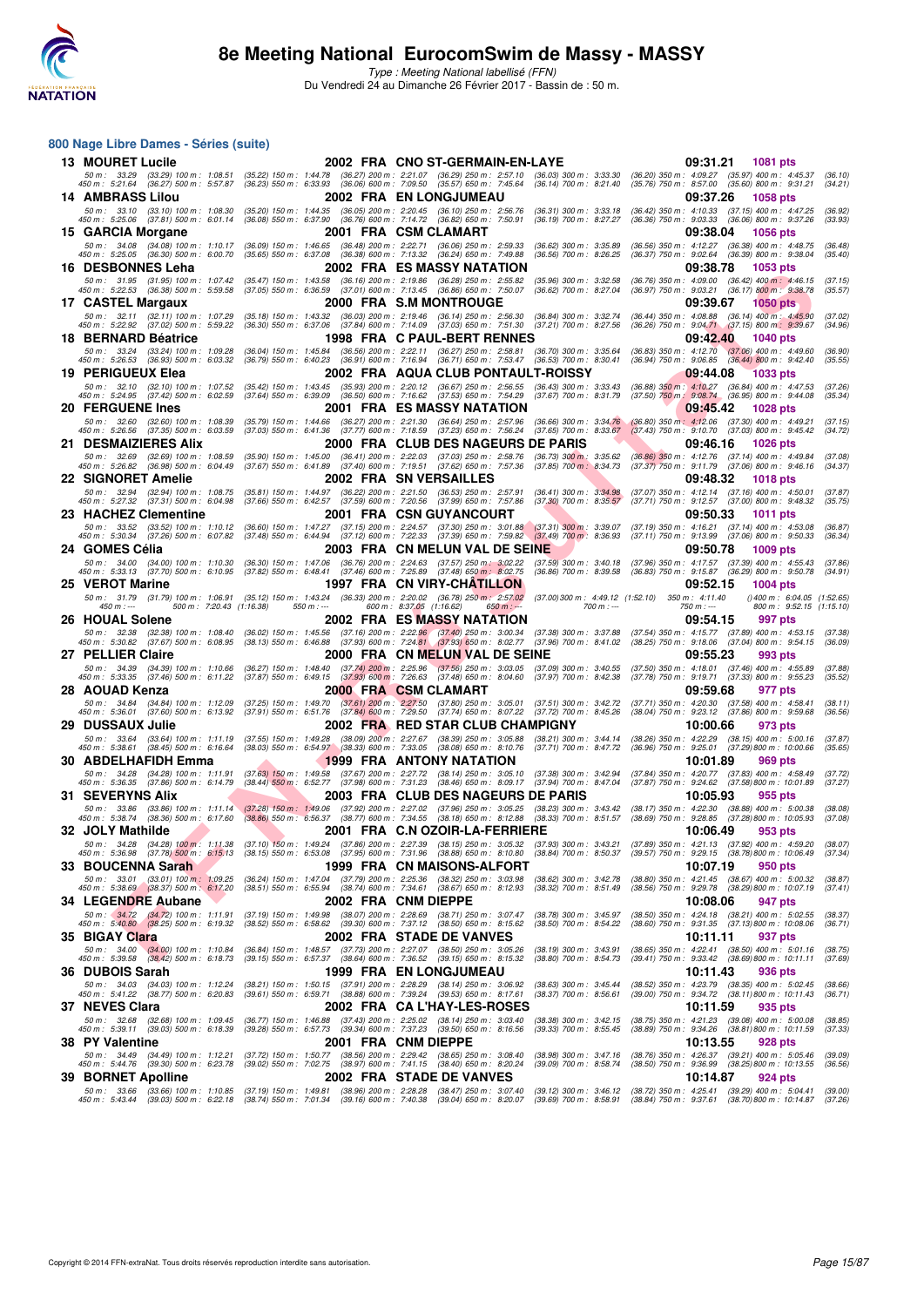

#### **800 Nage Libre Dames - Séries (suite)**

| <b>13 MOURET Lucile</b>                                                         |                                                                                                                                                                                                                                                                                        | 2002 FRA CNO ST-GERMAIN-EN-LAYE                                                                                                                                                                                                                             | 09:31.21<br>1081 pts                                                                                                                                                                                        |                          |
|---------------------------------------------------------------------------------|----------------------------------------------------------------------------------------------------------------------------------------------------------------------------------------------------------------------------------------------------------------------------------------|-------------------------------------------------------------------------------------------------------------------------------------------------------------------------------------------------------------------------------------------------------------|-------------------------------------------------------------------------------------------------------------------------------------------------------------------------------------------------------------|--------------------------|
| 450 m : 5:21.64 (36.27) 500 m : 5:57.87                                         |                                                                                                                                                                                                                                                                                        | 50 m · 33.29 (33.29) 100 m · 1:08.51 (35.22) 150 m · 1:44.78 (36.27) 200 m · 2:21.07 (36.29) 250 m · 2:57.10 (36.03) 300 m · 3:33.30<br>(36.23) 550 m : 6:33.93 (36.06) 600 m : 7:09.50 (35.57) 650 m : 7:45.64 (36.14) 700 m : 8:21.40                     | (36.20) 350 m : 4:09.27 (35.97) 400 m : 4:45.37<br>(35.76) 750 m : 8:57.00 (35.60) 800 m : 9:31.21                                                                                                          | (36.10)<br>(34.21)       |
| 14 AMBRASS Lilou                                                                |                                                                                                                                                                                                                                                                                        | <b>2002 FRA EN LONGJUMEAU</b>                                                                                                                                                                                                                               | 09:37.26<br>1058 pts                                                                                                                                                                                        |                          |
| 50 m: 33.10 (33.10) 100 m: 1:08.30                                              | (35.20) 150 m: 1:44.35 (36.05) 200 m: 2:20.45 (36.10) 250 m: 2:56.76                                                                                                                                                                                                                   |                                                                                                                                                                                                                                                             | (36.42) 350 m: 4:10.33 (37.15) 400 m: 4:47.25<br>$(36.31)$ 300 m : 3:33.18                                                                                                                                  | (36.92)                  |
| 450 m : 5:25.06 (37.81) 500 m : 6:01.14<br>15 GARCIA Morgane                    | $(36.08)$ 550 m : 6:37.90 $(36.76)$ 600 m : 7:14.72 $(36.82)$ 650 m : 7:50.91                                                                                                                                                                                                          | 2001 FRA CSM CLAMART                                                                                                                                                                                                                                        | (36.36) 750 m : 9:03.33 (36.06) 800 m : 9:37.26<br>$(36.19)$ 700 m : 8:27.27<br>09:38.04                                                                                                                    | (33.93)                  |
|                                                                                 | 50 m: 34.08 (34.08) 100 m: 1:10.17 (36.09) 150 m: 1:46.65 (36.48) 200 m: 2:22.71 (36.06) 250 m: 2:59.33                                                                                                                                                                                |                                                                                                                                                                                                                                                             | <b>1056 pts</b><br>(36.56) 350 m: 4:12.27 (36.38) 400 m: 4:48.75<br>$(36.62)$ 300 m : 3:35.89                                                                                                               | (36.48)                  |
| 450 m : 5:25.05 (36.30) 500 m : 6:00.70                                         | (35.65) 550 m: 6:37.08 (36.38) 600 m: 7:13.32 (36.24) 650 m: 7:49.88                                                                                                                                                                                                                   |                                                                                                                                                                                                                                                             | (36.37) 750 m : 9:02.64 (36.39) 800 m : 9:38.04<br>$(36.56)$ 700 m : 8:26.25                                                                                                                                | (35.40)                  |
| <b>16 DESBONNES Leha</b>                                                        |                                                                                                                                                                                                                                                                                        | 2002 FRA ES MASSY NATATION                                                                                                                                                                                                                                  | 09:38.78<br>1053 pts                                                                                                                                                                                        |                          |
| 50 m: 31.95 (31.95) 100 m: 1:07.42<br>450 m : 5:22.53 (36.38) 500 m : 5:59.58   | $\begin{array}{cccc} (35.47) \ 150 \ m \colon \quad 1.43.58 & (36.16) \ 200 \ m \colon \quad 2.19.86 & (36.28) \ 250 \ m \colon \quad 2.55.82 \\ (37.05) \ 550 \ m \colon \quad 6.36.59 & (37.01) \ 600 \ m \colon \quad 7.13.45 & (36.86) \ 650 \ m \colon \quad 7.50.07 \end{array}$ |                                                                                                                                                                                                                                                             | (36.76) 350 m : 4:09.00 (36.42) 400 m : 4:46.15<br>$(35.96)$ 300 m : 3:32.58<br>(36.97) 750 m : 9:03.21 (36.17) 800 m : 9:38.78<br>$(36.62)$ 700 m : 8:27.04                                                | (37.15)<br>(35.57)       |
| 17 CASTEL Margaux                                                               |                                                                                                                                                                                                                                                                                        | 2000 FRA S.M MONTROUGE                                                                                                                                                                                                                                      | 09:39.67<br><b>1050 pts</b>                                                                                                                                                                                 |                          |
| 50 m : 32.11 (32.11) 100 m : 1:07.29<br>450 m : 5:22.92 (37.02) 500 m : 5:59.22 | (35.18) 150 m: 1:43.32 (36.03) 200 m: 2:19.46 (36.14) 250 m: 2:56.30<br>(36.30) 550 m: 6:37.06 (37.84) 600 m: 7:14.09 (37.03) 650 m: 7:51.30                                                                                                                                           |                                                                                                                                                                                                                                                             | (36.44) 350 m : 4:08.88 (36.14) 400 m : 4:45.90<br>(36.84) 300 m : 3:32.74<br>$(37.21)$ 700 m : 8:27.56<br>(36.26) 750 m : 9:04.71 (37.15) 800 m : 9:39.67                                                  | (37.02)<br>(34.96)       |
| 18 BERNARD Béatrice                                                             |                                                                                                                                                                                                                                                                                        | <b>1998 FRA C PAUL-BERT RENNES</b>                                                                                                                                                                                                                          | 09:42.40<br><b>1040 pts</b>                                                                                                                                                                                 |                          |
| 50 m: 33.24 (33.24) 100 m: 1:09.28                                              | (36.04) 150 m : 1:45.84 (36.56) 200 m : 2:22.11 (36.27) 250 m : 2:58.81                                                                                                                                                                                                                |                                                                                                                                                                                                                                                             | $(36.70)$ 300 m : 3:35.64<br>(36.83) 350 m : 4:12.70 (37.06) 400 m : 4:49.60                                                                                                                                | (36.90)                  |
| 450 m: 5:26.53 (36.93) 500 m: 6:03.32<br>19 PERIGUEUX Elea                      | (36.79) 550 m : 6:40.23 (36.91) 600 m : 7:16.94 (36.71) 650 m : 7:53.47                                                                                                                                                                                                                | 2002 FRA AQUA CLUB PONTAULT-ROISSY                                                                                                                                                                                                                          | $(36.53)$ 700 m : 8:30.41<br>(36.94) 750 m : 9:06.85 (36.44) 800 m : 9:42.40<br>09:44.08<br>1033 pts                                                                                                        | (35.55)                  |
| 50 m: 32.10 (32.10) 100 m: 1:07.52                                              | (35.42) 150 m: 1:43.45 (35.93) 200 m: 2:20.12 (36.67) 250 m: 2:56.55                                                                                                                                                                                                                   |                                                                                                                                                                                                                                                             | (36.43) 300 m : 3:33.43<br>(36.88) 350 m : 4:10.27 (36.84) 400 m : 4:47.53                                                                                                                                  | (37.26)                  |
| 450 m: 5:24.95 (37.42) 500 m: 6:02.59                                           | (37.64) 550 m: 6:39.09 (36.50) 600 m: 7:16.62 (37.53) 650 m: 7:54.29                                                                                                                                                                                                                   |                                                                                                                                                                                                                                                             | (37.67) 700 m : 8:31.79<br>$(37.50)$ 750 m : 9:08.74<br>$(36.95)$ 800 m : 9:44.08                                                                                                                           | (35.34)                  |
| <b>20 FERGUENE Ines</b><br>50 m: 32.60 (32.60) 100 m: 1:08.39                   | (35.79) 150 m: 1:44.66 (36.27) 200 m: 2:21.30 (36.64) 250 m: 2:57.96                                                                                                                                                                                                                   | 2001 FRA ES MASSY NATATION                                                                                                                                                                                                                                  | 09:45.42<br><b>1028 pts</b><br>(36.80) 350 m: 4:12.06 (37.30) 400 m: 4:49.21<br>$(36.66)$ 300 m : 3:34.76                                                                                                   | (37.15)                  |
| 450 m: 5:26.56 (37.35) 500 m: 6:03.59                                           | (37.77) 600 m : 7:18.59<br>$(37.03)$ 550 m : 6:41.36                                                                                                                                                                                                                                   | (37.23) 650 m : 7:56.24                                                                                                                                                                                                                                     | $(37.65)$ 700 m : 8:33.67<br>$(37.43)$ 750 m : $9:10.70$ $(37.03)$ 800 m : $9:45.42$                                                                                                                        | (34.72)                  |
| 21 DESMAIZIERES Alix                                                            |                                                                                                                                                                                                                                                                                        | 2000 FRA CLUB DES NAGEURS DE PARIS                                                                                                                                                                                                                          | 09:46.16<br><b>1026 pts</b>                                                                                                                                                                                 |                          |
| 50 m: 32.69 (32.69) 100 m: 1:08.59<br>450 m : 5:26.82 (36.98) 500 m : 6:04.49   | (35.90) 150 m: 1:45.00 (36.41) 200 m: 2:22.03 (37.03) 250 m: 2:58.76<br>(37.67) 550 m: 6:41.89 (37.40) 600 m: 7:19.51 (37.62) 650 m: 7:57.36                                                                                                                                           |                                                                                                                                                                                                                                                             | $(36.73)$ 300 m; 3:35.62<br>(36.86) 350 m: 4:12.76 (37.14) 400 m: 4:49.84<br>$(37.85)$ 700 m : 8:34.73<br>(37.37) 750 m : 9:11.79 (37.06) 800 m : 9:46.16                                                   | (37.08)<br>(34.37)       |
| 22 SIGNORET Amelie                                                              |                                                                                                                                                                                                                                                                                        | <b>2002 FRA SN VERSAILLES</b>                                                                                                                                                                                                                               | 09:48.32<br>1018 pts                                                                                                                                                                                        |                          |
| 50 m: 32.94 (32.94) 100 m: 1:08.75<br>450 m : 5:27.32 (37.31) 500 m : 6:04.98   | (35.81) 150 m: 1:44.97 (36.22) 200 m: 2:21.50 (36.53) 250 m: 2:57.91<br>(37.66) 550 m : 6:42.57 (37.59) 600 m : 7:20.56 (37.99) 650 m : 7:57.86                                                                                                                                        |                                                                                                                                                                                                                                                             | (37.07) 350 m : 4:12.14 (37.16) 400 m : 4:50.01<br>$(36.41)$ 300 m : 3:34.98<br>(37.71) 750 m : 9:12.57 (37.00) 800 m : 9:48.32<br>$(37.30)$ 700 m : 8:35.57                                                | (37.87)<br>(35.75)       |
| 23 HACHEZ Clementine                                                            |                                                                                                                                                                                                                                                                                        | 2001 FRA CSN GUYANCOURT                                                                                                                                                                                                                                     | 09:50.33<br><b>1011 pts</b>                                                                                                                                                                                 |                          |
| 450 m : 5:30.34 (37.26) 500 m : 6:07.82                                         |                                                                                                                                                                                                                                                                                        | 50 m: 33.52 (33.52) 100 m: 1:10.12 (36.60) 150 m: 1:47.27 (37.15) 200 m: 2:24.57 (37.30) 250 m: 3:01.88 (37.31) 300 m: 3:39.07<br>(37.48) 550 m : 6:44.94 (37.12) 600 m : 7:22.33 (37.39) 650 m : 7:59.82 (37.49) 700 m : 8:36.93                           | (37.19) 350 m: 4:16.21 (37.14) 400 m: 4:53.08<br>$(37.11)$ 750 m : $9:13.99$ $(37.06)$ 800 m : $9:50.33$                                                                                                    | (36.87)<br>(36.34)       |
| 24 GOMES Célia                                                                  |                                                                                                                                                                                                                                                                                        | 2003 FRA CN MELUN VAL DE SEINE                                                                                                                                                                                                                              | 09:50.78<br><b>1009 pts</b>                                                                                                                                                                                 |                          |
| 50 m: 34.00 (34.00) 100 m: 1:10.30                                              |                                                                                                                                                                                                                                                                                        | (36.30) 150 m : 1:47.06 (36.76) 200 m : 2:24.63 (37.57) 250 m : 3:02.22 (37.59) 300 m : 3:40.18                                                                                                                                                             | (37.96) 350 m: 4:17.57 (37.39) 400 m: 4:55.43                                                                                                                                                               | (37.86)                  |
| 450 m : 5:33.13 (37.70) 500 m : 6:10.95<br>25 VEROT Marine                      | $(37.82)$ 550 m : 6:48.41 $(37.46)$ 600 m : 7:25.89 $(37.48)$ 650 m : 8:02.75                                                                                                                                                                                                          | 1997 FRA CN VIRY-CHATILLON                                                                                                                                                                                                                                  | (36.83) 750 m : 9:15.87 (36.29) 800 m : 9:50.78<br>$(36.86)$ 700 m : $8:39.58$<br>09:52.15<br><b>1004 pts</b>                                                                                               | (34.91)                  |
|                                                                                 | 50 m: 31.79 (31.79) 100 m: 1:06.91 (35.12) 150 m: 1:43.24 (36.33) 200 m: 2:20.02 (36.78) 250 m: 2:57.02                                                                                                                                                                                |                                                                                                                                                                                                                                                             | $(37.00)300 \text{ m}: 4:49.12 (1:52.10) 350 \text{ m}: 4:11.40$                                                                                                                                            | (1.52.65)                |
| 500 m: 7:20.43 (1:16.38)<br>$450 m: -$                                          | $550 m: -$                                                                                                                                                                                                                                                                             | 600 m: 8:37.05 (1:16.62)<br>$650 m : -$                                                                                                                                                                                                                     | $700 m: -$<br>$750 m: -$                                                                                                                                                                                    | 800 m: 9:52.15 (1:15.10) |
| 26 HOUAL Solene<br>50 m : 32.38<br>(32.38) 100 m : 1:08.40                      |                                                                                                                                                                                                                                                                                        | <b>2002 FRA ES MASSY NATATION</b>                                                                                                                                                                                                                           | 09:54.15<br>997 pts<br>$(37.89)$ 400 m : 4:53.15                                                                                                                                                            | (37.38)                  |
| 450 m : 5:30.82 (37.67) 500 m : 6:08.95                                         |                                                                                                                                                                                                                                                                                        | (36.02) 150 m : 1:45.56 (37.16) 200 m : 2:22. <mark>96 (37.40</mark> ) 250 m : 3:00.34 (37.38) 300 m : 3:37.88 (37.54) 350 m : 4:15.77<br>(38.13) 550 m : 6:46.88 (37.93) 600 m : 7:24. <mark>81 (37.93) 650 m : 8:02.77 (37.96) 700 m : 8:41.02 (38</mark> | (38.25) 750 m : 9:18.06 (37.04) 800 m : 9:54.15                                                                                                                                                             | (36.09)                  |
| 27 PELLIER Claire                                                               |                                                                                                                                                                                                                                                                                        | 2000 FRA CN MELUN VAL DE SEINE                                                                                                                                                                                                                              | 09:55.23<br>993 pts                                                                                                                                                                                         |                          |
| 50 m : 34.39 (34.39) 100 m : 1:10.66<br>450 m : 5:33.35 (37.46) 500 m : 6:11.22 | (36.27) 150 m : 1:48.40 (37.74) 200 m : 2:25.96 (37.56) 250 m : 3:03.05                                                                                                                                                                                                                | (37.87) 550 m : 6:49.15 (37.93) 600 m : 7:26.63 (37.48) 650 m : 8:04.60 (37.97) 700 m : 8:42.38                                                                                                                                                             | (37.09) 300 m : 3:40.55<br>(37.50) 350 m: 4:18.01 (37.46) 400 m: 4:55.89<br>(37.78) 750 m : 9:19.71 (37.33) 800 m : 9:55.23                                                                                 | (37.88)<br>(35.52)       |
| 28 AOUAD Kenza                                                                  |                                                                                                                                                                                                                                                                                        | 2000 FRA CSM CLAMART                                                                                                                                                                                                                                        | 09:59.68<br>977 pts                                                                                                                                                                                         |                          |
| 50 m: 34.84 (34.84) 100 m: 1:12.09<br>450 m : 5:36.01 (37.60) 500 m : 6:13.92   | (37.25) 150 m : 1:49.70                                                                                                                                                                                                                                                                | (37.61) 200 m : 2:27.50 (37.80) 250 m : 3:05.01 (37.51) 300 m : 3:42.72<br>$(37.91)$ 550 m : 6:51.76 $(37.84)$ 600 m : 7:29.50 $(37.74)$ 650 m : 8:07.22 $(37.72)$ 700 m : 8:45.26                                                                          | (37.71) 350 m : 4:20.30 (37.58) 400 m : 4:58.41<br>(38.04) 750 m : 9:23.12 (37.86) 800 m : 9:59.68                                                                                                          | (38.11)<br>(36.56)       |
| 29 DUSSAUX Julie                                                                |                                                                                                                                                                                                                                                                                        | 2002 FRA RED STAR CLUB CHAMPIGNY                                                                                                                                                                                                                            | 10:00.66<br>973 pts                                                                                                                                                                                         |                          |
| 50 m: 33.64 (33.64) 100 m: 1:11.19<br>450 m : 5:38.61 (38.45) 500 m : 6:16.64   | $(38.03)$ 550 m : 6:54.97 $(38.33)$ 600 m : 7:33.05 $(38.08)$ 650 m : 8:10.76                                                                                                                                                                                                          | (37.55) 150 m : 1:49.28 (38.09) 200 m : 2:27.67 (38.39) 250 m : 3:05.88 (38.21) 300 m : 3:44.14                                                                                                                                                             | (38.26) 350 m : 4:22.29 (38.15) 400 m : 5:00.16<br>(36.96) 750 m : 9:25.01<br>(37.71) 700 m : 8:47.72<br>(37.29) 800 m : 10:00.66                                                                           | (37.87)<br>(35.65)       |
| 30 ABDELHAFIDH Emma                                                             |                                                                                                                                                                                                                                                                                        | 1999 FRA ANTONY NATATION                                                                                                                                                                                                                                    | 10:01.89<br>969 pts                                                                                                                                                                                         |                          |
| 50 m: 34.28 (34.28) 100 m: 1:11.91                                              | (37.63) 150 m: 1:49.58 (37.67) 200 m: 2:27.72                                                                                                                                                                                                                                          | $(38.14)$ 250 m : 3:05.10                                                                                                                                                                                                                                   | (37.38) 300 m : 3:42.94<br>(37.84) 350 m : 4:20.77 (37.83) 400 m : 4:58.49                                                                                                                                  | (37.72)                  |
| 450 m : 5:36.35 (37.86) 500 m : 6:14.79<br>31   SEVERYNS Alix                   | $(37.98)$ 600 m : 7:31.23<br>$(38.44)$ 550 m : 6:52.77                                                                                                                                                                                                                                 | $(38.46)$ 650 m : 8:09.17<br>2003 FRA  CLUB DES NAGEURS DE PARIS                                                                                                                                                                                            | $(37.94)$ 700 m : 8:47.04<br>(37.87) 750 m : 9:24.62 (37.58) 800 m : 10:01.89<br>10:05.93<br>955 pts                                                                                                        | (37.27)                  |
|                                                                                 | 50 m: 33.86 (33.86) 100 m: 1:11.14 (37.28) 150 m: 1:49.06 (37.92) 200 m: 2:27.02 (37.96) 250 m: 3:05.25                                                                                                                                                                                |                                                                                                                                                                                                                                                             | (38.17) 350 m : 4:22.30 (38.88) 400 m : 5:00.38<br>$(38.23)$ 300 m : 3:43.42                                                                                                                                | (38.08)                  |
|                                                                                 | 450 m : 5:38.74 (38.36) 500 m : 6:17.60 (38.86) 550 m : 6:56.37 (38.77) 600 m : 7:34.55 (38.18) 650 m : 8:12.88                                                                                                                                                                        |                                                                                                                                                                                                                                                             | $(38.33)$ 700 m : $8:51.57$<br>(38.69) 750 m : 9:28.85 (37.28) 800 m : 10:05.93                                                                                                                             | (37.08)                  |
| 32 JOLY Mathilde                                                                |                                                                                                                                                                                                                                                                                        | 2001 FRA C.N OZOIR-LA-FERRIERE                                                                                                                                                                                                                              | 10:06.49<br>953 pts<br>50 m : 34.28 (34.28) 100 m : 1:11.38 (37.10) 150 m : 1:49.24 (37.86) 200 m : 2:27.39 (38.15) 250 m : 3:05.32 (37.93) 300 m : 3:43.21 (37.89) 350 m : 4:21.13 (37.92) 400 m : 4:59.20 | (38.07)                  |
|                                                                                 |                                                                                                                                                                                                                                                                                        | 450 m : 5:36.98 (37.78) 500 m : 6:15.13 (38.15) 550 m : 6:53.08 (37.95) 600 m : 7:31.96 (38.88) 650 m : 8:10.80 (38.84) 700 m : 8:50.37                                                                                                                     | (39.57) 750 m : 9:29.15 (38.78) 800 m : 10:06.49                                                                                                                                                            | (37.34)                  |
| 33 BOUCENNA Sarah                                                               | (36.24) 150 m : 1:47.04 (37.79) 200 m : 2:25.36 (38.32) 250 m : 3:03.98                                                                                                                                                                                                                | 1999 FRA CN MAISONS-ALFORT                                                                                                                                                                                                                                  | 10:07.19<br>950 pts<br>(38.80) 350 m: 4:21.45 (38.67) 400 m: 5:00.32<br>$(38.62)$ 300 m : 3:42.78                                                                                                           | (38.87)                  |
| 50 m : 33.01 (33.01) 100 m : 1:09.25<br>450 m : 5:38.69 (38.37) 500 m : 6:17.20 | (38.51) 550 m : 6:55.94 (38.74) 600 m : 7:34.61                                                                                                                                                                                                                                        | $(38.67)$ 650 m : 8:12.93                                                                                                                                                                                                                                   | $(38.32)$ 700 m : 8:51.49<br>(38.56) 750 m : 9:29.78 (38.29) 800 m : 10:07.19                                                                                                                               | (37.41)                  |
| 34 LEGENDRE Aubane                                                              |                                                                                                                                                                                                                                                                                        | 2002 FRA CNM DIEPPE                                                                                                                                                                                                                                         | 10:08.06<br>947 pts                                                                                                                                                                                         |                          |
| 50 m : 34.72 (34.72) 100 m : 1:11.91<br>450 m : 5:40.80 (38.25) 500 m : 6:19.32 | (37.19) 150 m: 1:49.98 (38.07) 200 m: 2:28.69 (38.71) 250 m: 3:07.47<br>(38.52) 550 m: 6:58.62 (39.30) 600 m: 7:37.12 (38.50) 650 m: 8:15.62                                                                                                                                           |                                                                                                                                                                                                                                                             | (38.50) 350 m: 4:24.18 (38.21) 400 m: 5:02.55<br>(38.78) 300 m : 3:45.97<br>$(38.50)$ 700 m : 8:54.22<br>(38.60) 750 m: 9:31.35 (37.13) 800 m: 10:08.06                                                     | (38.37)<br>(36.71)       |
| 35 BIGAY Clara                                                                  |                                                                                                                                                                                                                                                                                        | 2002 FRA STADE DE VANVES                                                                                                                                                                                                                                    | 10:11.11<br>937 pts                                                                                                                                                                                         |                          |
| 50 m : 34.00 (34.00) 100 m : 1:10.84<br>450 m : 5:39.58 (38.42) 500 m : 6:18.73 | (36.84) 150 m: 1:48.57 (37.73) 200 m: 2:27.07 (38.50) 250 m: 3:05.26<br>(39.15) 550 m: 6:57.37 (38.64) 600 m: 7:36.52 (39.15) 650 m: 8:15.32                                                                                                                                           |                                                                                                                                                                                                                                                             | (38.65) 350 m: 4:22.41 (38.50) 400 m: 5:01.16<br>$(38.19)$ 300 m : 3:43.91<br>$(38.80)$ 700 m : 8:54.73<br>(39.41) 750 m: 9:33.42 (38.69) 800 m: 10:11.11                                                   | (38.75)<br>(37.69)       |
| 36   DUBOIS Sarah                                                               |                                                                                                                                                                                                                                                                                        | 1999 FRA EN LONGJUMEAU                                                                                                                                                                                                                                      | 10:11.43<br>936 pts                                                                                                                                                                                         |                          |
| 50 m: 34.03 (34.03) 100 m: 1:12.24                                              | (38.21) 150 m: 1:50.15 (37.91) 200 m: 2:28.29 (38.14) 250 m: 3:06.92                                                                                                                                                                                                                   |                                                                                                                                                                                                                                                             | (38.52) 350 m: 4:23.79 (38.35) 400 m: 5:02.45<br>$(38.63)$ 300 m : 3:45.44                                                                                                                                  | (38.66)                  |
| 450 m : 5:41.22 (38.77) 500 m : 6:20.83<br>37 NEVES Clara                       | (39.61) 550 m: 6:59.71 (38.88) 600 m: 7:39.24 (39.53) 650 m: 8:17.61                                                                                                                                                                                                                   | 2002 FRA CA L'HAY-LES-ROSES                                                                                                                                                                                                                                 | $(38.37)$ 700 m : 8:56.61<br>(39.00) 750 m: 9:34.72 (38.11) 800 m: 10:11.43<br>10:11.59<br>935 pts                                                                                                          | (36.71)                  |
|                                                                                 | 50 m: 32.68 (32.68) 100 m: 1:09.45 (36.77) 150 m: 1:46.88 (37.43) 200 m: 2:25.02 (38.14) 250 m: 3:03.40                                                                                                                                                                                |                                                                                                                                                                                                                                                             | (38.75) 350 m: 4:21.23 (39.08) 400 m: 5:00.08<br>(38.38) 300 m : 3:42.15                                                                                                                                    | (38.85)                  |
| 450 m : 5:39.11 (39.03) 500 m : 6:18.39                                         | (39.28) 550 m: 6:57.73 (39.34) 600 m: 7:37.23 (39.50) 650 m: 8:16.56                                                                                                                                                                                                                   |                                                                                                                                                                                                                                                             | $(39.33)$ 700 m : 8:55.45<br>(38.89) 750 m: 9:34.26 (38.81) 800 m: 10:11.59                                                                                                                                 | (37.33)                  |
| 38 PY Valentine<br>50 m: 34.49 (34.49) 100 m: 1:12.21                           | (37.72) 150 m: 1:50.77 (38.56) 200 m: 2:29.42 (38.65) 250 m: 3:08.40                                                                                                                                                                                                                   | 2001 FRA CNM DIEPPE                                                                                                                                                                                                                                         | 10:13.55<br>928 pts<br>(38.76) 350 m: 4:26.37 (39.21) 400 m: 5:05.46<br>$(38.98)$ 300 m : 3:47.16                                                                                                           | (39.09)                  |
| 450 m : 5:44.76 (39.30) 500 m : 6:23.78                                         | (39.02) 550 m : 7:02.75 (38.97) 600 m : 7:41.15 (38.40) 650 m : 8:20.24                                                                                                                                                                                                                |                                                                                                                                                                                                                                                             | (39.09) 700 m : 8:58.74<br>(38.50) 750 m: 9:36.99 (38.25) 800 m: 10:13.55                                                                                                                                   | (36.56)                  |
| 39 BORNET Apolline                                                              | 50 m : 33.66 (33.66) 100 m : 1:10.85 (37.19) 150 m : 1:49.81 (38.96) 200 m : 2:28.28 (38.47) 250 m : 3:07.40                                                                                                                                                                           | 2002 FRA STADE DE VANVES                                                                                                                                                                                                                                    | 10:14.87<br>924 pts<br>(39.12) 300 m : 3:46.12 (38.72) 350 m : 4:25.41 (39.29) 400 m : 5:04.41                                                                                                              | (39.00)                  |
| 450 m : 5:43.44                                                                 | (39.03) 500 m : 6:22.18 (38.74) 550 m : 7:01.34 (39.16) 600 m : 7:40.38 (39.04) 650 m : 8:20.07                                                                                                                                                                                        |                                                                                                                                                                                                                                                             | (39.69) 700 m : 8:58.91<br>(38.84) 750 m : 9:37.61 (38.70) 800 m : 10:14.87 (37.26)                                                                                                                         |                          |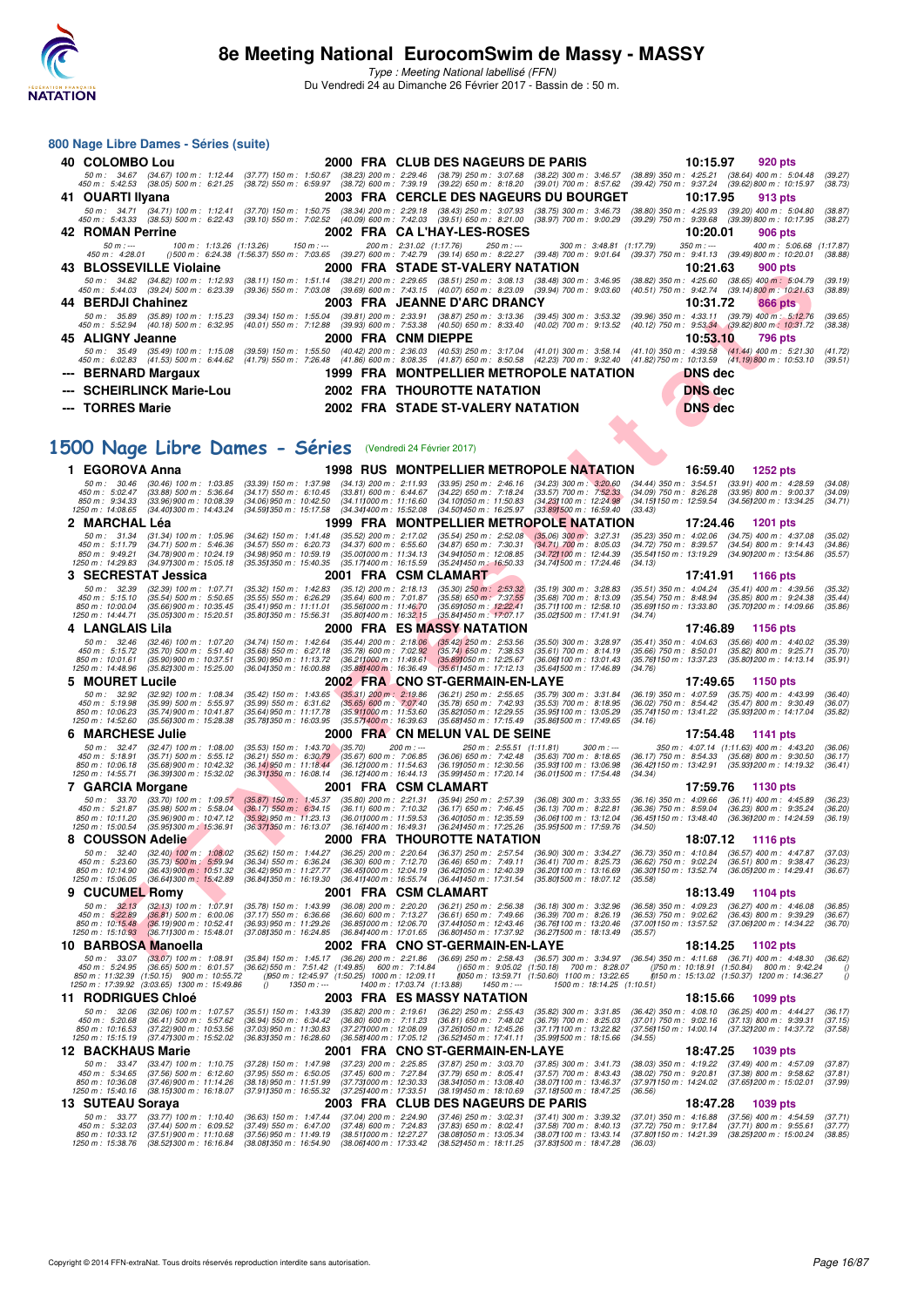

**800 Nage Libre Dames - Séries (suite)**

Type : Meeting National labellisé (FFN) Du Vendredi 24 au Dimanche 26 Février 2017 - Bassin de : 50 m.

**40 COLOMBO Lou 2000 FRA CLUB DES NAGEURS DE PARIS 10:15.97 920 pts**

### **F F N - R é s u l t a t s** .50 m; 34.67 (38.64) 100 m; 1:12.44 (37.77) 150.75 (38.72) 2000 (38.72) 200m; 229.46 (38.73) 300m; 34.6.57 (38.69) 350 m; 425.21 (38.64) 400 m; 5:42.53 (38.05) 500 m; 5:04.25 (38.62) 400 m; 5:04.25 (38.62) 800 m; 5:04.75 ( **41 OUARTI Ilyana 2003 FRA CERCLE DES NAGEURS DU BOURGET 10:17.95 913 pts** 50 m: 34.71 (34.71) 100 m: 1:12.41 (37.70) 150 m: 1:50.75 (38.34) 200 m: 2:29.18 (38.43) 250 m: 3:07.93 (38.75) 300 m: 3:46.73 (38.80) 350 m: 4:25.93 (39.20) 400 m: 5:04.80 (38.87)<br>450 m: 5:43.33 (38.53) 500 m: 6:22.43 (39 **42 ROMAN Perrine 2002 FRA CA L'HAY-LES-ROSES 10:20.01 906 pts** 50 m : --- 100 m : 1:13.26 (1:13.26) 150 m : --- 200 m : 2:31.02 (1:17.76) 250 m : --- 300 m : 3:48.81 (1:17.79) 350 m : --- 400 m : 5:06.68 (1:17.87) 450 m : 4:28.01 ()500 m : 6:24.38 (1:56.37) 550 m : 7:03.65 (39.27) 600 m : 7:42.79 (39.14) 650 m : 8:22.27 (39.48) 700 m : 9:01.64 (39.37) 750 m : 9:41.13 (39.49)800 m : 10:20.01 (38.88) **43 BLOSSEVILLE Violaine 2000 FRA STADE ST-VALERY NATATION 10:21.63 900 pts** 50 m: 34.82 (34.82) 100 m: 1:12.93 (38.11) 150 m: 1:51.14 (38.21) 200 m: 2:29.65 (38.51) 250 m: 3:08.13 (38.48) 300 m: 3:46.95 (38.82) 350 m: 4:25.60 (38.65) 400 m: 5:04.79 (39.19)<br>450 m: 5:44.03 (39.24) 500 m: 6:23.39 (39 **44 BERDJI Chahinez 2003 FRA JEANNE D'ARC DRANCY 10:31.72 866 pts** 50 m; 35.89 (35.89) 100 m; 1:15.23 (39.34) 150 m; 1:55.04 (39.81) 200 m; 2:33.91 (38.87) 250 m; 35.33.00 m; 353.32 (39.96) 35.32 (39.82) 400 m; 552.94 (40.18) 500 m; 51.82.75 (39.62) 400 m; 51.871.72 (38.82) 300 m; 51.871. **45 ALIGNY Jeanne 2000 FRA CNM DIEPPE 10:53.10 796 pts** 50 m: 35.49 (35.49) 100 m: 1:15.08 (39.59) 150 m: 1:55.50 (40.42) 200 m: 2:36.03 (40.53) 250 m: 3:1.04 (41.01) 300 m: 3:58.14 (41.10) 350 m: 4:39.58 (41.44) 400 m: 5:21.30 (41.72)<br>450 m: 6:02.83 (41.53) 500 m: 6:44.62 (41. **--- BERNARD Margaux 1999 FRA MONTPELLIER METROPOLE NATATION DNS dec --- SCHEIRLINCK Marie-Lou 2002 FRA THOUROTTE NATATION DNS dec --- TORRES Marie 2002 FRA STADE ST-VALERY NATATION DNS dec [1500 Nage Libre Dames - Séries](http://www.ffnatation.fr/webffn/resultats.php?idact=nat&go=epr&idcpt=42801&idepr=6)** (Vendredi 24 Février 2017) **1 EGOROVA Anna 1998 RUS MONTPELLIER METROPOLE NATATION 16:59.40 1252 pts** 50 m : 30.46 (30.46) 100 m : 1:03.85 (33.39) 150 m : 1:37.98 (34.13) 200 m : 2:11.93 (33.95) 250 m : 2:46.16 (34.23) 300 m : 3:20.60 (34.44) 350 m : 3:54.51 (33.91) 400 m : 4:26.59 (34.08)<br>450 m : 5:02.47 (33.86) 500 m : 5 **2 MARCHAL Léa** 1999 FRA MONTPELLIER METROPOLE NATATION 17:24.46 1201 pts<br>
50 m: 31.34 (31.34) 100 m: 1:05.96 (34.62) 150 m: 1:41.48 (35.52) 200 m: 2:17.02 (35.54) 250 m: 252.08 (35.06) 300 m: 327.31 (35.23) 350 m: 4:02.06 50 m : 31.34 (31.34) 100 m : 1:05.96 (34.62) 150 m : 1:41.48 (35.52) 200 m : 2:17.02 (35.54) 250 m : 2:52.08 (35.60) 300 m : 3:27.31 (35.23) 350 m : 4:02.06 (34.75) 400 m : 4:37.08 (35.02)<br>450 m : 5:11.79 (34.71) 500 m : 5 **3 SECRESTAT Jessica** 2001 FRA CSM CLAMART 50 m: 32.8.8 (35.51) 350 m: 32.9 (32.39) 100 m: 1:07.71 (35.32) 150 m: 1:42.83 (35.12) 200 m: 2:18.13 (35.30) 250 m: 2:53.32 (35.19) 300 m: 328.83 (35.51) 350 m: 4:04.24 (35.41) 4 50 m : 32.39 (32.39) 100 m : 1.07.71 (35.32) 150 m : 1.42.83 (35.12) 200 m : 2:18.13 (35.19) 2000 : 3.69.92 (35.51) 350 m : 4.42.44 (35.45) 400 m : 4.39.64 (35.45) 400 m : 4.39.48 (35.45) 400 m : 4.39.44 (35.65) 400 m : 4. -850 m : 10:00.04 (35.66)900 m : 10:35.45 (35.61)950 m : 10:1.011 (35.86)00 m : 106,70 m : 12:03.11 (35.11100 m : 12:38.10 (35.701200 m : 14:02.66 (35.86)930 m : 14:02.66 (35.89) (35.89) **4 LANGLAIS Lila 2000 FRA ES MASSY NATATION**<br>
50 m: 32.46 (32.46) 100 m: 1:07.20 (34.74) 150 m: 1:42.64 (35.44) 200 m: 2:18.06 (35.42) 250 m: 2:53.56 (35.50) 300 m: 328.97 (35.41) 350 m: 4:04.63 (35.66) 400 m: 4:40.02<br>
450 50 m : 32.46 (32.46) 100 m : 1:07.20 (34.74) 150 m : 1:42.64 (35.44) 200 m : 2:18.06 (35.42) 250 m : 2:53.56 (35.50) 300 m : 3:28.97 (35.41) 350 m : 4:04.63 (35.66) 400 m : 4:40.02 (35.39)<br>450 m : 10:01.61 (35.90) 900 m : **5 MOURET Lucile 2002 FRA CNO ST-GERMAIN-EN-LAYE 17:49.65 1150 pts**<br>
50 m: 32.92 (32.92) 100 m: 1:08.34 (35.42) 150 m: 1:43.65 (35.31) 200 m: 2:19.86 (36.21) 250 m: 2:55.65 (35.79) 300 m: 3:31.84 (36.19) 350 m: 4:07.59 (35 50 m : 32.92 (32.92) 100 m : 1.08.34 (35.42) 150 m : 1.43.65 (35.31) 200 m 2.19.86 (36.21) 250 m 2.55.65 (35.79) 300 m : 3:31.84 (36.19) 350 m : 4:0.59 (35.75) 400 m : 4:43.99 (36.40)<br>450 m : 5: 850 m : 10:06.23 (35.74)900 m : 10:41.87 (35.64)950 m : 11:7.78 (35.91)000 m : 11:53.60 (35.82)050 m : 12:29.55 (35.951100 m : 13:05.29 (35.741150 m : 13:41.22 (35.931200 m : 14:17.04 (35.82)<br>1250 m : **6 MARCHESE Julie 2000 FRA CN MELUN VAL DE SEINE 17:54.48 1141 pts** 50 m : 3247 (32.47) 100 m : 1:08.00 (35.53) 150 m : 1:43.70 (35.70) 200 m :-- 250 m : 2:55.51 (1:11.81) 300 m :--- 350 m : 4:07.14 (1:11.63) 400 m : 4:43.20 (36.06)<br>450 m : 51.8.91 (35.71) 500 m : 5:55.12 (36.21) 550 m : 6 **7 GARCIA Morgane** 2001 FRA CSM CLAMART 217:59.76 1130 pts<br>
50 m: 33.70 (33.70) 100 m: 1:09.57 (35.87) 150 m: 1:45.37 (35.80) 200 m: 2:21.31 (35.94) 250 m: 2:57.39 (36.08) 300 m: 3:33.55 (36.16) 350 m: 4:09.66 (36.11) 400 50 m : 33.70 (33.70) 100 m : 1:09.57 (35.87) 150 m : 1:45.37 (35.80) 200 m : 2:51.31 (35.94) 250 m : 2:57.39 (36.80) 300 m : 3:33.55 (36.16) 350 m : 4:09.66 (36.11) 400 m : 4:45.89 (36.23)<br>450 m : 5:21.87 (35.98) 500 m : 5 **8 COUSSON Adelie**<br> **8 COUSSON Adelie**<br> **8 COUSSON Adelie**<br> **8 COUSSON Adelie**<br> **8 COUSSON Adelie**<br> **8 COUSSON Adelie**<br> **8 COUSSON Adelie**<br> **8 COUSSON Adelie**<br> **8 COUSSON Adelie**<br> **8 COUSSON 12:07.12 1116 pts**<br> **8 COUSSO** 50 m : 32.40 (32.40) 100 m : 1:08.02 (35.62) 150 m : 1:44.27 (36.25) 200 m : 2:50.64 (36.37) 250 m : 2:57.54 (36.90) 300 m : 3:34.27 (36.73) 350 m : 4:10.84 (36.57) 400 m : 4:47.87 (37.03<br>450 m : 10:14.90 (35.43) 500 m : 5 **9 CUCUMEL Romy**<br> **9 CUCUMEL Romy** 2001 FRA CSM CLAMART 2:56.38 (36.18) 300 m: 3:32.96 (36.58) 350 m: 4:09.23 (36.27) 400 m: 4:46.08<br>
450 m: 522.89 (36.87) 500 m: 6:00.06 (37.71) 550 m: 6:36.66 (36.69) 200 m: 2:30.20 (36.2 50 m : 32.13 (32.13) 100 m : 1:07.91 (35.78) 150 m : 1:43.99 (36.08) 200 m : 2:20.20 (36.21) 250 m : 2:56.38 (36.18) 300 m : 3:32.96 (36.58) 350 m : 4:09.23 (36.27) 400 m : 4:46.08 (36.85) 400 m : 4:46.08 (36.85) 400 m : 4 **10 BARBOSA Manoella** 2002 FRA CNO ST-GERMAIN-EN-LAYE 18:14.25 1102 pts<br>
50 m: 33.07 (33.07) 100 m: 1:08.91 (35.84) 150 m: 1:45.17 (36.26) 200 m: 2:21.86 (36.69) 250 m: 2:58.43 (36.57) 300 m: 3:34.97 (36.54) 350 m: 4:11.6 **11 RODRIGUES Chloé 2003 FRA ES MASSY NATATION** 13:15.66 1099 pts<br>
50 m : 32.06 (32.06) 100 m : 1:07.57 (35.51) 150 m : 1:43.39 (35.82) 200 m : 2:19.61 (36.22) 250 m : 2:55.43 (35.82) 300 m : 3:31.85 (36.42) 350 m : 4:08.1 50 m : 32.06 (32.06) 100 m : 1:07.57 (35.51) 150 m : 1:43.39 (35.82) 200 m : 2:19.61 (36.22) 250 m : 2:55.43 (35.82) 300 m : 3:31.85 (36.42) 350 m : 4:08.10 (36.25) 400 m : 4:44.27 (36.17)<br>150 m : 5:20.68 (36.41) 500 m : 5 **12 BACKHAUS Marie** 2001 FRA CNO ST-GERMAIN-EN-LAYE 18:47.25 1039 pts<br> *50 m*: 33.47 (33.47) 100 m: 1:10.75 (37.28) 150 m: 1:47.98 (37.23) 200 m: 2:25.85 (37.87) 250 m: 3:03.70 (37.85) 300 m: 3:41.73 (38.03) 350 m: 4:19.22 50 m : 3347 (3347) 100 m : 1:10.75 (37.28) 150 m : 1:47.98 (37.23) 200 m : 2:25.85 (37.87) 250 m : 3:43.70 (37.85) 300 m : 3:41.73 (38.03) 350 m : 4:19.22 (37.49) 400 m : 4:57.09 (37.87)<br>450 m : 10:34.65 (37.56) 500 m : 1: **13 SUTEAU Soraya 2003 FRA CLUB DES NAGEURS DE PARIS 18:47.28 1039 pts**<br> **13 SUTEAU Soraya 13:27** 100 m: 1:10.40 (36.63) 150 m: 1:47.44 (37.04) 200 m: 2:24.90 (37.46) 250 m: 3:02.31 (37.41) 300 m: 3:39.32 (37.01) 350 m 50 m : 33.77 (33.77) 100 m : 1:10.40 (36.63) 150 m : 1:47.44 (37.04) 200 m : 2:24.90 (37.46) 250 m : 3:30.31 (37.41) 300 m : 3:39.32 (37.01) 350 m : 4:16.88 (37.56) 400 m : 4:54.59 (37.71)<br>450 m : 10:32.12 (37.44) 500 m :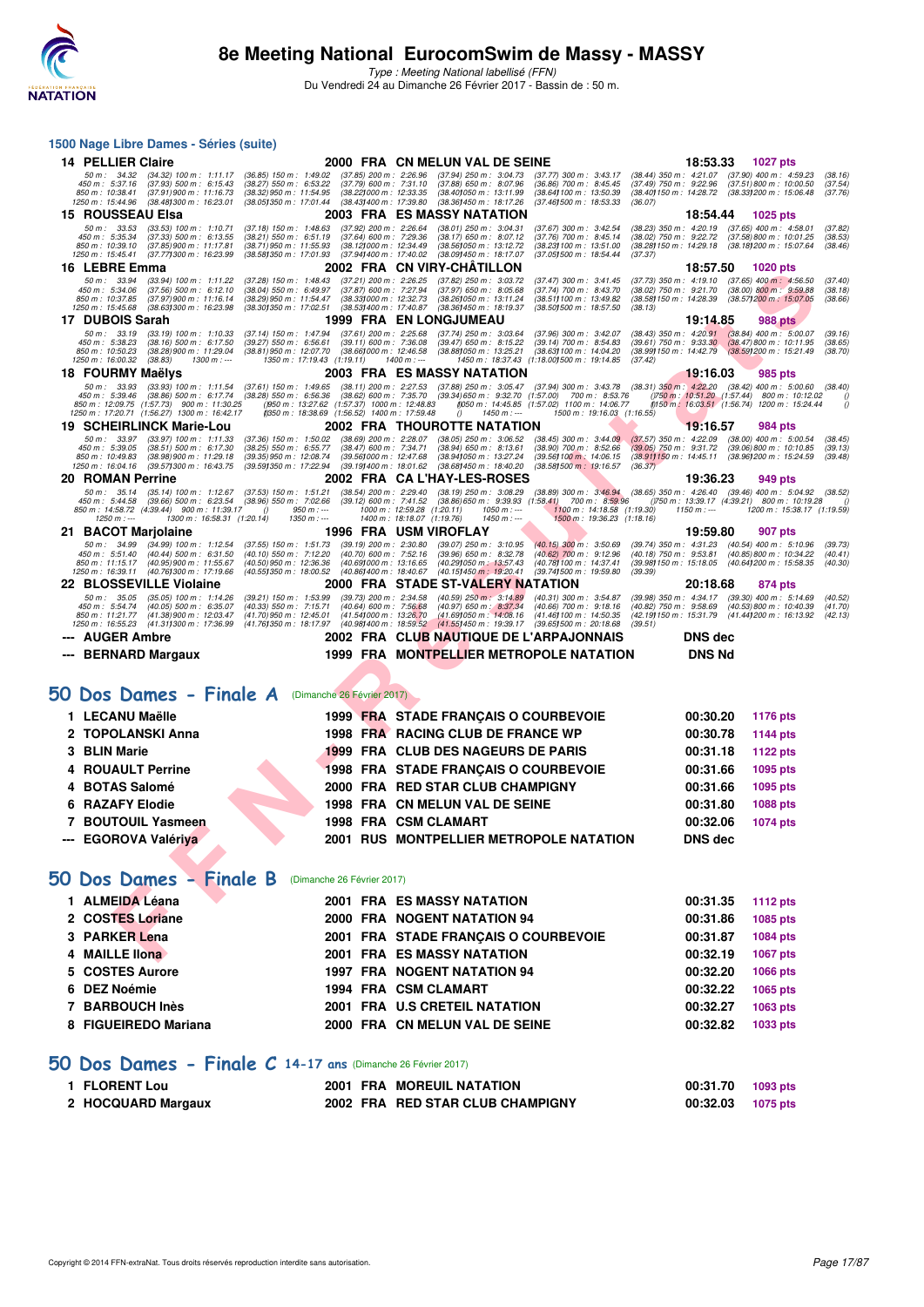

**1500 Nage Libre Dames - Séries (suite)**

|                          | 14 PELLIER Claire                                                                                                                         |                                                                                               | 2000 FRA CN MELUN VAL DE SEINE                                                                                                                                           |                                                                                                                                                |                                                          | 18:53.33         | 1027 pts                                                                                                                      |                               |
|--------------------------|-------------------------------------------------------------------------------------------------------------------------------------------|-----------------------------------------------------------------------------------------------|--------------------------------------------------------------------------------------------------------------------------------------------------------------------------|------------------------------------------------------------------------------------------------------------------------------------------------|----------------------------------------------------------|------------------|-------------------------------------------------------------------------------------------------------------------------------|-------------------------------|
|                          | 50 m: 34.32<br>$(34.32)$ 100 m : 1:11.17<br>450 m: 5:37.16<br>$(37.93)$ 500 m : 6:15.43<br>850 m : 10:38.41<br>$(37.91)$ 900 m : 11:16.73 | $(36.85)$ 150 m : 1:49.02<br>$(38.27)$ 550 m : 6:53.22<br>(38.32) 950 m : 11:54.95            | $(37.85)$ 200 m : 2:26.96<br>$(37.94)$ 250 m : 3:04.73<br>$(37.79)$ 600 m : 7:31.10<br>$(37.88)$ 650 m : 8:07.96<br>(38.22) 000 m : 12:33.35<br>(38.40) 050 m : 13:11.99 | $(37.77)$ 300 m : 3:43.17<br>$(36.86)$ 700 m : 8:45.45<br>(38.64) 100 m : 13:50.39                                                             | (38.40 <b>)</b> 150 m : 14:28.72                         |                  | (38.44) 350 m: 4:21.07 (37.90) 400 m: 4:59.23<br>(37.49) 750 m : 9:22.96 (37.51) 800 m : 10:00.50<br>(38.33) 200 m : 15:06.48 | (38.16)<br>(37.54)<br>(37.76) |
|                          | 1250 m: 15:44.96<br>(38.48) 300 m : 16:23.01<br><b>15 ROUSSEAU Elsa</b>                                                                   | (38.05) 350 m : 17:01.44                                                                      | (38.43) 400 m : 17:39.80<br>(38.36) 450 m : 18:17.26<br>2003 FRA ES MASSY NATATION                                                                                       | (37.46) 500 m : 18:53.33                                                                                                                       | (36.07)                                                  | 18:54.44         | <b>1025 pts</b>                                                                                                               |                               |
|                          | 50 m : 33.53<br>$(33.53)$ 100 m : 1:10.71<br>450 m: 5:35.34                                                                               | $(37.18)$ 150 m : 1:48.63                                                                     | $(37.92)$ 200 m : 2:26.64<br>$(38.01)$ 250 m : 3:04.31<br>$(37.64)$ 600 m : 7:29.36                                                                                      | $(37.67)$ 300 m : 3:42.54<br>$(37.76)$ 700 m : 8:45.14                                                                                         | (38.23) 350 m : 4:20.19<br>$(38.02)$ 750 m : 9:22.72     |                  | (37.65) 400 m : 4:58.01<br>(37.58) 800 m : 10:01.25                                                                           | (37.82)                       |
|                          | $(37.33)$ 500 m : 6:13.55<br>850 m: 10:39.10<br>(37.85) 900 m : 11:17.81<br>1250 m: 15:45.41<br>(37.771300 m: 16:23.99)                   | $(38.21)$ 550 m : 6:51.19<br>(38.71) 950 m: 11:55.93<br>(38.58) 350 m : 17:01.93              | $(38.17)$ 650 m : 8:07.12<br>(38.12) 000 m: 12:34.49<br>(38.56) 050 m : 13:12.72<br>(37.941400 m : 17:40.02<br>(38.09) 450 m : 18:17.07                                  | (38.23) 100 m : 13:51.00<br>(37.051500 m: 18:54.44                                                                                             |                                                          |                  | (38.28) 150 m: 14:29.18 (38.18) 200 m: 15:07.64                                                                               | (38.53)<br>(38.46)            |
|                          | 16 LEBRE Emma                                                                                                                             |                                                                                               | 2002 FRA CN VIRY-CHATILLON                                                                                                                                               |                                                                                                                                                | (37.37)                                                  | 18:57.50         | 1020 pts                                                                                                                      |                               |
|                          | 50 m : 33.94<br>$(33.94)$ 100 m : 1:11.22<br>450 m : 5:34.06<br>(37.56) 500 m : 6:12.10                                                   | $(37.28)$ 150 m : 1:48.43<br>(38.04) 550 m : 6:49.97                                          | $(37.21)$ 200 m : 2:26.25<br>$(37.82)$ 250 m : 3:03.72<br>(37.87) 600 m : 7:27.94<br>$(37.97)$ 650 m : 8:05.68                                                           | $(37.47)$ 300 m : 3:41.45<br>(37.74) 700 m : 8:43.70                                                                                           | (37.73) 350 m : 4:19.10<br>(38.02) 750 m : 9:21.70       |                  | $(37.65)$ 400 m : 4:56.50<br>$(38.00)$ 800 m : 9:59.88                                                                        | (37.40)<br>(38.18)            |
|                          | 850 m: 10:37.85<br>$(37.97)900 \text{ m}$ : 11:16.14<br>1250 m : 15:45.68<br>(38.63) 300 m : 16:23.98                                     | (38.29) 950 m : 11:54.47<br>(38.30) 350 m : 17:02.51                                          | (38.33) 000 m : 12:32.73<br>(38.26) 050 m : 13:11.24<br>$(38.53)400 \text{ m}$ : 17:40.87<br>(38.36) 450 m : 18:19.37                                                    | (38.51) 100 m : 13:49.82<br>(38.50) 500 m : 18:57.50                                                                                           | (38.58) 150 m : 14:28.39<br>(38.13)                      |                  | (38.57) 200 m : 15:07.05                                                                                                      | (38.66)                       |
|                          | 17 DUBOIS Sarah                                                                                                                           |                                                                                               | <b>1999 FRA EN LONGJUMEAU</b>                                                                                                                                            |                                                                                                                                                |                                                          | 19:14.85         | <b>988 pts</b>                                                                                                                |                               |
|                          | 50 m: 33.19<br>$(33.19)$ 100 m : 1:10.33<br>450 m: 5:38.23<br>$(38.16)$ 500 m : 6:17.50                                                   | (37.14) 150 m : 1:47.94<br>$(39.27)$ 550 m : 6:56.61                                          | $(37.61)$ 200 m : 2:25.68<br>$(37.74)$ 250 m : 3:03.64<br>$(39.11)$ 600 m : 7:36.08<br>$(39.47)$ 650 m : 8:15.22                                                         | (37.96) 300 m : 3:42.07<br>(39.14) 700 m : 8:54.83                                                                                             | $(38.43)$ 350 m : 4:20.91<br>$(39.61)$ 750 m : $9:33.30$ |                  | $(38.84)$ 400 m : 5:00.07<br>(38.47) 800 m : 10:11.95                                                                         | (39.16)<br>(38.65)            |
|                          | 850 m : 10:50.23<br>(38.28) 900 m : 11:29.04<br>1250 m: 16:00.32<br>(38.83)<br>1300 m : ---                                               | (38.81) 950 m : 12:07.70<br>1350 m: 17:19.43 (1:19.11)                                        | (38.661000 m : 12:46.58<br>(38.88) 050 m : 13:25.21<br>1400 m : ---                                                                                                      | (38.63) 100 m : 14:04.20<br>1450 m: 18:37.43 (1:18.00) 500 m: 19:14.85                                                                         | (38.99) 150 m : 14:42.79<br>(37.42)                      |                  | (38.59) 200 m : 15:21.49                                                                                                      | (38.70)                       |
|                          | 18 FOURMY Maëlys                                                                                                                          |                                                                                               | 2003 FRA ES MASSY NATATION                                                                                                                                               |                                                                                                                                                |                                                          | <u> 19:16.03</u> | 985 pts                                                                                                                       |                               |
|                          | 50 m: 33.93<br>$(33.93)$ 100 m : 1:11.54<br>450 m : 5:39.46<br>$(38.86)$ 500 m : 6:17.74                                                  | $(37.61)$ 150 m : 1:49.65<br>$(38.28)$ 550 m : 6:56.36                                        | (38.11) 200 m : 2:27.53 (37.88) 250 m : 3:05.47 (37.94) 300 m : 3:43.78 (38.31) 350 m : 4:22.20 (38.42) 400 m : 5:00.60<br>$(38.62)$ 600 m : 7:35.70                     | (39.34) 650 m : 9:32.70 (1:57.00) 700 m : 8:53.76                                                                                              |                                                          |                  | ()750 m : 10:51.20 (1:57.44) 800 m : 10:12.02                                                                                 | (38.40)<br>(                  |
|                          | 850 m: 12:09.75 (1:57.73) 900 m: 11:30.25<br>1250 m: 17:20.71 (1:56.27) 1300 m: 16:42.17                                                  | ()950 m: 13:27.62 (1:57.37) 1000 m: 12:48.83<br>(350 m : 18:38.69 (1:56.52) 1400 m : 17:59.48 | $1450 m : -$<br>0                                                                                                                                                        | (050 m: 14:45.85 (1:57.02) 1100 m: 14:06.77<br>1500 m: 19:16.03 (1:16.55)                                                                      |                                                          |                  | (0150 m: 16:03.51 (1:56.74) 1200 m: 15:24.44                                                                                  | $\left($                      |
|                          | 19 SCHEIRLINCK Marie-Lou                                                                                                                  |                                                                                               | 2002 FRA THOUROTTE NATATION                                                                                                                                              |                                                                                                                                                |                                                          | 19:16.57         | 984 pts                                                                                                                       |                               |
|                          | $(33.97)$ 100 m : 1:11.33<br>50 m : 33.97<br>450 m: 5:39.05<br>$(38.51)$ 500 m : 6:17.30                                                  | $(37.36)$ 150 m : 1:50.02<br>(38.25) 550 m : 6:55.77                                          | $(38.69)$ 200 m : 2:28.07<br>$(38.05)$ 250 m : 3:06.52<br>$(38.47)$ 600 m : 7:34.71<br>$(38.94)$ 650 m : 8:13.61                                                         | $(38.45)$ 300 m : 3:44.09<br>$(38.90)$ 700 m : $8.52.66$                                                                                       | $(37.57)$ 350 m : 4:22.09<br>$(39.05)$ 750 m : 9:31.72   |                  | $(38.00)$ 400 m : 5:00.54<br>$(39.06)$ 800 m : 10:10.85                                                                       | (38.45)<br>(39.13)            |
|                          | 850 m: 10:49.83<br>$(38.98)$ 900 m : 11:29.18<br>1250 m : 16:04.16<br>(39.57) 300 m : 16:43.75                                            | (39.35) 950 m : 12:08.74<br>(39.59) 350 m : 17:22.94                                          | (39.56) 000 m: 12:47.68<br>(38.94) 050 m: 13:27.24<br>(39.19) 400 m : 18:01.62<br>(38.68) 450 m : 18:40.20                                                               | (39.56) 100 m : 14:06.15<br>(38.581500 m : 19:16.57                                                                                            | (38.91) 150 m : 14:45.11<br>(36.37)                      |                  | (38.96) 200 m : 15:24.59                                                                                                      | (39.48)                       |
|                          | 20 ROMAN Perrine                                                                                                                          |                                                                                               | 2002 FRA CAL'HAY-LES-ROSES                                                                                                                                               |                                                                                                                                                |                                                          | 19:36.23         | 949 pts                                                                                                                       |                               |
|                          | 50 m : 35.14<br>$(35.14)$ 100 m : 1:12.67<br>450 m : 5:44.58<br>$(39.66)$ 500 m : 6:23.54                                                 | $(37.53)$ 150 m : 1:51.21<br>(38.96) 550 m : 7:02.66                                          | $(38.54)$ 200 m : 2:29.40<br>$(38.19)$ 250 m : 3:08.29<br>$(39.12)$ 600 m : 7:41.52                                                                                      | $(38.89)$ 300 m : $3:46.94$ $(38.65)$ 350 m : $4:26.40$ $(39.46)$ 400 m : 5:04.92<br>$(38.86) 650$ m : $9:39.93$ $(1.58.41)$ 700 m : $8:59.96$ |                                                          |                  | ()750 m: 13:39.17 (4:39.21) 800 m: 10:19.28                                                                                   | (38.52)                       |
|                          | 850 m : 14:58.72 (4:39.44) 900 m : 11:39.17<br>$1250 m : -$<br>1300 m: 16:58.31 (1:20.14)                                                 | $950 m : -$<br>$\theta$<br>$1350 m : -$                                                       | 1000 m: 12:59.28 (1:20.11)<br>$1050 m$ : ---<br>1400 m: 18:18.07 (1:19.76)<br>$1450 m$ : ---                                                                             | 1100 m: 14:18.58 (1:19.30)<br>1500 m: 19:36.23 (1:18.16)                                                                                       |                                                          | $1150 m: -$      | 1200 m: 15:38.17 (1:19.59)                                                                                                    |                               |
|                          | 21 BACOT Marjolaine                                                                                                                       |                                                                                               | 1996 FRA USM VIROFLAY                                                                                                                                                    |                                                                                                                                                |                                                          | 19:59.80         | 907 pts                                                                                                                       |                               |
|                          | 50 m: 34.99<br>$(34.99)$ 100 m : 1:12.54<br>450 m : 5:51.40<br>$(40.44)$ 500 m : 6:31.50                                                  | $(37.55)$ 150 m : 1:51.73<br>(40.10) 550 m : 7:12.20                                          | $(39.19)$ 200 m : 2:30.80<br>$(39.07)$ 250 m : 3:10.95<br>$(40.70)$ 600 m : 7:52.16<br>$(39.96)$ 650 m : 8:32.78                                                         | $(40.15)$ 300 m : 3:50.69<br>(40.62) 700 m : 9:12.96                                                                                           | $(39.74)$ 350 m : 4:31.23<br>(40.18) 750 m : 9:53.81     |                  | (40.54) 400 m : 5:10.96<br>(40.85) 800 m : 10:34.22                                                                           | (39.73)<br>(40.41)            |
|                          | 850 m: 11:15.17<br>(40.95) 900 m : 11:55.67<br>1250 m : 16:39.11<br>(40.76) 300 m : 17:19.66                                              | (40.50) 950 m : 12:36.36<br>(40.55) 350 m : 18:00.52                                          | (40.69) 000 m: 13:16.65<br>(40.29) 050 m : 13:57.43<br>(40.86) 400 m : 18:40.67<br>(40.15) 450 m : 19:20.41                                                              | (40.78 <b>1</b> 100 m : 14:37.41<br>(39.741500 m: 19.59.80                                                                                     | (39.98) 150 m : 15:18.05<br>(39.39)                      |                  | (40.64) 200 m : 15:58.35                                                                                                      | (40.30)                       |
|                          | 22 BLOSSEVILLE Violaine                                                                                                                   |                                                                                               | 2000 FRA STADE ST-VALERY NATATION                                                                                                                                        |                                                                                                                                                |                                                          | 20:18.68         | 874 pts                                                                                                                       |                               |
|                          | 50 m : 35.05<br>$(35.05)$ 100 m : 1:14.26<br>450 m: 5:54.74<br>$(40.05)$ 500 m : 6:35.07                                                  | $(39.21)$ 150 m : 1:53.99<br>$(40.33)$ 550 m : 7:15.71                                        | $(40.59)$ 250 m : 3:14.89<br>$(39.73)$ 200 m : 2:34.58<br>(40.97) 650 m : 8:37.34<br>$(40.64)$ 600 m : 7:56.68                                                           | $(40.31)$ 300 m : 3:54.87<br>$(40.66)$ 700 m : 9:18.16                                                                                         | (39.98) 350 m : 4:34.17<br>$(40.82)$ 750 m : 9:58.69     |                  | $(39.30)$ 400 m : 5:14.69<br>$(40.53)800 \text{ m}$ : 10:40.39                                                                | (40.52)<br>(41.70)            |
|                          | (41.38) 900 m : 12:03.47<br>850 m : 11:21.77<br>(41.311300 m: 17:36.99)<br>1250 m : 16:55.23                                              | (41.70) 950 m : 12:45.01<br>(41.761350 m : 18:17.97                                           | (41.54) 000 m : 13:26.70<br>(41.69) 050 m : 14:08.16<br>(40.98) 400 m : 18:59.52<br>(41.55) 450 m : 19:39.17                                                             | (41.46) 100 m : 14:50.35<br>(39.651500 m : 20:18.68                                                                                            | (42.19) 150 m : 15:31.79<br>(39.51)                      |                  | (41.441200 m: 16:13.92                                                                                                        | (42.13)                       |
|                          | <b>AUGER Ambre</b>                                                                                                                        |                                                                                               | 2002 FRA CLUB NAUTIQUE DE L'ARPAJONNAIS                                                                                                                                  |                                                                                                                                                |                                                          | <b>DNS</b> dec   |                                                                                                                               |                               |
| $\overline{\phantom{a}}$ | <b>BERNARD Margaux</b>                                                                                                                    |                                                                                               | 1999 FRA MONTPELLIER METROPOLE NATATION                                                                                                                                  |                                                                                                                                                |                                                          | <b>DNS Nd</b>    |                                                                                                                               |                               |
|                          | 50 Dos Dames - Finale A                                                                                                                   | (Dimanche 26 Février 2017)                                                                    |                                                                                                                                                                          |                                                                                                                                                |                                                          |                  |                                                                                                                               |                               |
|                          | 1 LECANU Maëlle                                                                                                                           |                                                                                               | 1999 FRA STADE FRANÇAIS O COURBEVOIE                                                                                                                                     |                                                                                                                                                |                                                          | 00:30.20         | <b>1176 pts</b>                                                                                                               |                               |
|                          | 2 TOPOLANSKI Anna                                                                                                                         |                                                                                               | 1998 FRA RACING CLUB DE FRANCE WP                                                                                                                                        |                                                                                                                                                |                                                          | 00:30.78         | <b>1144 pts</b>                                                                                                               |                               |
| 3                        | <b>BLIN Marie</b>                                                                                                                         |                                                                                               | 1999 FRA CLUB DES NAGEURS DE PARIS                                                                                                                                       |                                                                                                                                                |                                                          | 00:31.18         | 1122 pts                                                                                                                      |                               |
| 4                        | <b>ROUAULT Perrine</b>                                                                                                                    |                                                                                               | <b>1998 FRA STADE FRANÇAIS O COURBEVOIE</b>                                                                                                                              |                                                                                                                                                |                                                          | 00:31.66         | 1095 pts                                                                                                                      |                               |
| 4                        | <b>BOTAS Salomé</b>                                                                                                                       |                                                                                               | 2000 FRA RED STAR CLUB CHAMPIGNY                                                                                                                                         |                                                                                                                                                |                                                          | 00:31.66         | 1095 pts                                                                                                                      |                               |
| 6                        | <b>RAZAFY Elodie</b>                                                                                                                      |                                                                                               | 1998 FRA CN MELUN VAL DE SEINE                                                                                                                                           |                                                                                                                                                |                                                          | 00:31.80         | 1088 pts                                                                                                                      |                               |
|                          | 7 BOUTOUIL Yasmeen                                                                                                                        |                                                                                               | 1998 FRA CSM CLAMART                                                                                                                                                     |                                                                                                                                                |                                                          | 00:32.06         | <b>1074 pts</b>                                                                                                               |                               |
|                          | --- EGOROVA Valériya                                                                                                                      |                                                                                               | 2001 RUS MONTPELLIER METROPOLE NATATION                                                                                                                                  |                                                                                                                                                |                                                          | <b>DNS</b> dec   |                                                                                                                               |                               |
|                          |                                                                                                                                           |                                                                                               |                                                                                                                                                                          |                                                                                                                                                |                                                          |                  |                                                                                                                               |                               |
|                          | 50 Dos Dames - Finale B                                                                                                                   | (Dimanche 26 Février 2017)                                                                    |                                                                                                                                                                          |                                                                                                                                                |                                                          |                  |                                                                                                                               |                               |
|                          | 1 ALMEIDA Léana                                                                                                                           |                                                                                               | <b>2001 FRA ES MASSY NATATION</b>                                                                                                                                        |                                                                                                                                                |                                                          | 00:31.35         | <b>1112 pts</b>                                                                                                               |                               |
|                          | 2 COSTES Loriane                                                                                                                          |                                                                                               | 2000 FRA NOGENT NATATION 94                                                                                                                                              |                                                                                                                                                |                                                          | 00:31.86         | 1085 pts                                                                                                                      |                               |
|                          | 3 PARKER Lena                                                                                                                             |                                                                                               | 2001 FRA STADE FRANCAIS O COURBEVOIE                                                                                                                                     |                                                                                                                                                |                                                          | 00:31.87         | 1084 pts                                                                                                                      |                               |
|                          | 4 MAILLE IIona                                                                                                                            |                                                                                               | <b>2001 FRA ES MASSY NATATION</b>                                                                                                                                        |                                                                                                                                                |                                                          | 00:32.19         | <b>1067 pts</b>                                                                                                               |                               |
|                          | 5 COSTES Aurore                                                                                                                           |                                                                                               | <b>1997 FRA NOGENT NATATION 94</b>                                                                                                                                       |                                                                                                                                                |                                                          | 00:32.20         | 1066 pts                                                                                                                      |                               |
|                          | 6 DEZ Noémie                                                                                                                              |                                                                                               | 1994 FRA CSM CLAMART                                                                                                                                                     |                                                                                                                                                |                                                          | 00:32.22         | 1065 pts                                                                                                                      |                               |
|                          | 7 BARBOUCH Inès                                                                                                                           |                                                                                               | 2001 FRA U.S CRETEIL NATATION                                                                                                                                            |                                                                                                                                                |                                                          | 00:32.27         | 1063 pts                                                                                                                      |                               |
|                          | 8 FIGUEIREDO Mariana                                                                                                                      |                                                                                               | 2000 FRA CN MELUN VAL DE SEINE                                                                                                                                           |                                                                                                                                                |                                                          | 00:32.82         | 1033 pts                                                                                                                      |                               |
|                          |                                                                                                                                           |                                                                                               |                                                                                                                                                                          |                                                                                                                                                |                                                          |                  |                                                                                                                               |                               |
|                          | 50 Dos Dames - Finale $C$ 14-17 ans (Dimanche 26 Février 2017)                                                                            |                                                                                               |                                                                                                                                                                          |                                                                                                                                                |                                                          |                  |                                                                                                                               |                               |
|                          | 1 FLORENT Lou                                                                                                                             |                                                                                               | 2001 FRA MOREUIL NATATION                                                                                                                                                |                                                                                                                                                |                                                          | 00:31.70         | 1093 pts                                                                                                                      |                               |
|                          | 2 HOCQUARD Margaux                                                                                                                        |                                                                                               | 2002 FRA RED STAR CLUB CHAMPIGNY                                                                                                                                         |                                                                                                                                                |                                                          | 00:32.03         | 1075 pts                                                                                                                      |                               |
|                          |                                                                                                                                           |                                                                                               |                                                                                                                                                                          |                                                                                                                                                |                                                          |                  |                                                                                                                               |                               |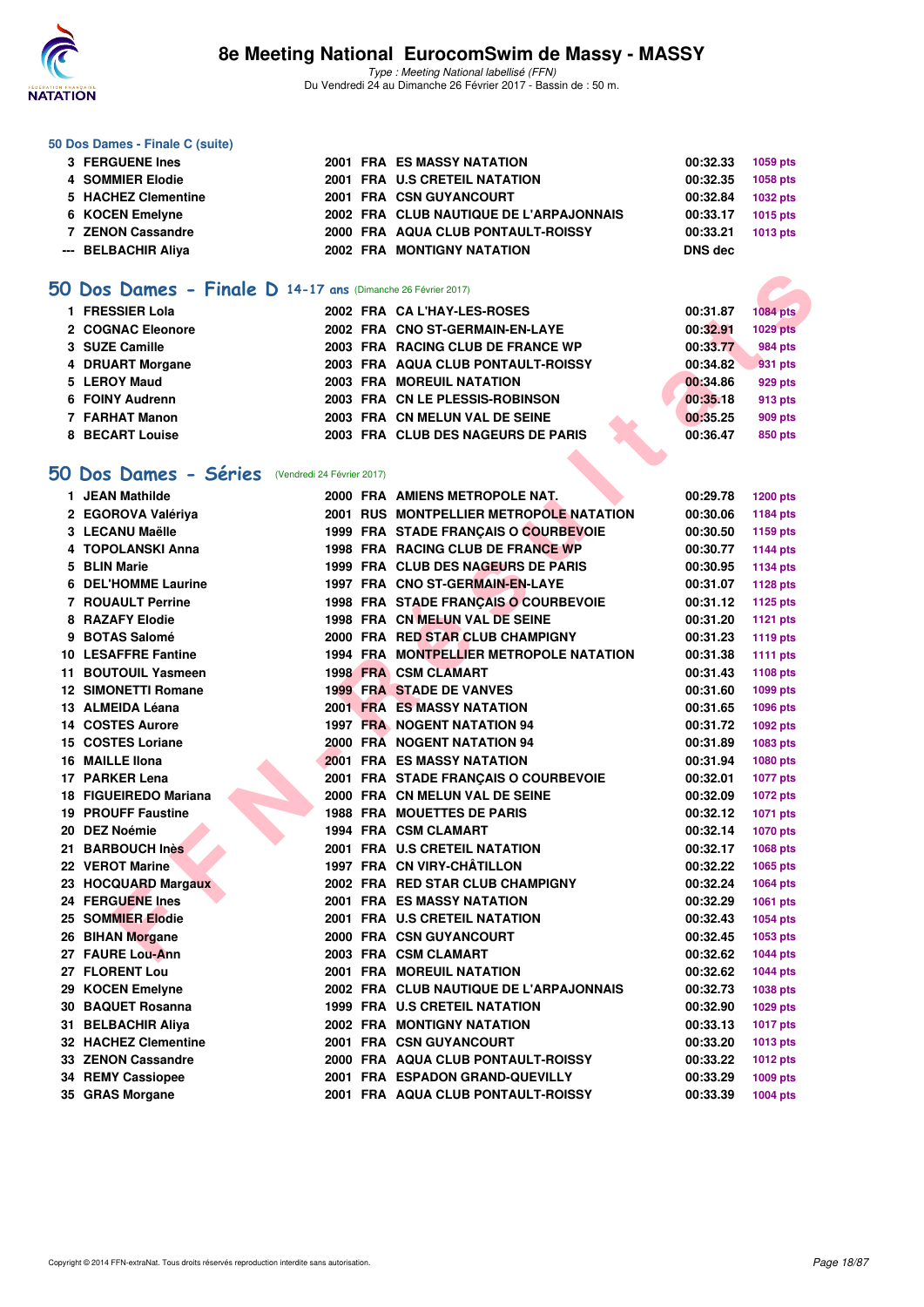

Type : Meeting National labellisé (FFN) Du Vendredi 24 au Dimanche 26 Février 2017 - Bassin de : 50 m.

#### **50 Dos Dames - Finale C (suite)**

| 3 FERGUENE Ines     |  | <b>2001 FRA ES MASSY NATATION</b>       | 00:32.33 | 1059 pts        |
|---------------------|--|-----------------------------------------|----------|-----------------|
| 4 SOMMIER Elodie    |  | 2001 FRA U.S CRETEIL NATATION           | 00:32.35 | 1058 pts        |
| 5 HACHEZ Clementine |  | 2001 FRA CSN GUYANCOURT                 | 00:32.84 | <b>1032 pts</b> |
| 6 KOCEN Emelyne     |  | 2002 FRA CLUB NAUTIQUE DE L'ARPAJONNAIS | 00:33.17 | 1015 pts        |
| 7 ZENON Cassandre   |  | 2000 FRA AQUA CLUB PONTAULT-ROISSY      | 00:33.21 | 1013 pts        |
| --- BELBACHIR Aliva |  | <b>2002 FRA MONTIGNY NATATION</b>       | DNS dec  |                 |

### **[50 Dos Dames - Finale D](http://www.ffnatation.fr/webffn/resultats.php?idact=nat&go=epr&idcpt=42801&idepr=11) 14-17 ans** (Dimanche 26 Février 2017)

| 1 FRESSIER Lola   | 2002 FRA CAL'HAY-LES-ROSES         | 00:31.87 | 1084 pts        |
|-------------------|------------------------------------|----------|-----------------|
| 2 COGNAC Eleonore | 2002 FRA CNO ST-GERMAIN-EN-LAYE    | 00:32.91 | <b>1029 pts</b> |
| 3 SUZE Camille    | 2003 FRA RACING CLUB DE FRANCE WP  | 00:33.77 | <b>984 pts</b>  |
| 4 DRUART Morgane  | 2003 FRA AQUA CLUB PONTAULT-ROISSY | 00:34.82 | 931 pts         |
| 5 LEROY Maud      | 2003 FRA MOREUIL NATATION          | 00:34.86 | 929 pts         |
| 6 FOINY Audrenn   | 2003 FRA CN LE PLESSIS-ROBINSON    | 00:35.18 | 913 pts         |
| 7 FARHAT Manon    | 2003 FRA CN MELUN VAL DE SEINE     | 00:35.25 | 909 pts         |
| 8 BECART Louise   | 2003 FRA CLUB DES NAGEURS DE PARIS | 00:36.47 | 850 pts         |

### **[50 Dos Dames - Séries](http://www.ffnatation.fr/webffn/resultats.php?idact=nat&go=epr&idcpt=42801&idepr=11)** (Vendredi 24 Février 2017)

| O Dos Dames - Finale D 14-17 ans (Dimanche 26 Février 2017) |  |                                         |          |                 |
|-------------------------------------------------------------|--|-----------------------------------------|----------|-----------------|
| 1 FRESSIER Lola                                             |  | 2002 FRA CA L'HAY-LES-ROSES             | 00:31.87 | <b>1084 pts</b> |
| 2 COGNAC Eleonore                                           |  | 2002 FRA CNO ST-GERMAIN-EN-LAYE         | 00:32.91 | <b>1029 pts</b> |
| 3 SUZE Camille                                              |  | 2003 FRA RACING CLUB DE FRANCE WP       | 00:33.77 | <b>984 pts</b>  |
| 4 DRUART Morgane                                            |  | 2003 FRA AQUA CLUB PONTAULT-ROISSY      | 00:34.82 | 931 pts         |
| 5 LEROY Maud                                                |  | <b>2003 FRA MOREUIL NATATION</b>        | 00:34.86 | <b>929 pts</b>  |
| 6 FOINY Audrenn                                             |  | 2003 FRA CN LE PLESSIS-ROBINSON         | 00:35.18 | 913 pts         |
| 7 FARHAT Manon                                              |  | 2003 FRA CN MELUN VAL DE SEINE          | 00:35.25 | 909 pts         |
| 8 BECART Louise                                             |  | 2003 FRA CLUB DES NAGEURS DE PARIS      | 00:36.47 | <b>850 pts</b>  |
|                                                             |  |                                         |          |                 |
| O Dos Dames - Séries (Vendredi 24 Février 2017)             |  |                                         |          |                 |
| 1 JEAN Mathilde                                             |  | 2000 FRA AMIENS METROPOLE NAT.          | 00:29.78 | <b>1200 pts</b> |
| 2 EGOROVA Valériya                                          |  | 2001 RUS MONTPELLIER METROPOLE NATATION | 00:30.06 | 1184 pts        |
| 3 LECANU Maëlle                                             |  | 1999 FRA STADE FRANÇAIS O COURBEVOIE    | 00:30.50 | 1159 pts        |
| 4 TOPOLANSKI Anna                                           |  | 1998 FRA RACING CLUB DE FRANCE WP       | 00:30.77 | <b>1144 pts</b> |
| 5 BLIN Marie                                                |  | 1999 FRA CLUB DES NAGEURS DE PARIS      | 00:30.95 | <b>1134 pts</b> |
| 6 DEL'HOMME Laurine                                         |  | 1997 FRA CNO ST-GERMAIN-EN-LAYE         | 00:31.07 | <b>1128 pts</b> |
| 7 ROUAULT Perrine                                           |  | 1998 FRA STADE FRANÇAIS O COURBEVOIE    | 00:31.12 | 1125 pts        |
| 8 RAZAFY Elodie                                             |  | 1998 FRA CN MELUN VAL DE SEINE          | 00:31.20 | 1121 pts        |
| 9 BOTAS Salomé                                              |  | 2000 FRA RED STAR CLUB CHAMPIGNY        | 00:31.23 | 1119 pts        |
| <b>10 LESAFFRE Fantine</b>                                  |  | 1994 FRA MONTPELLIER METROPOLE NATATION | 00:31.38 | <b>1111 pts</b> |
| 11 BOUTOUIL Yasmeen                                         |  | <b>1998 FRA CSM CLAMART</b>             | 00:31.43 | 1108 pts        |
| <b>12 SIMONETTI Romane</b>                                  |  | <b>1999 FRA STADE DE VANVES</b>         | 00:31.60 | <b>1099 pts</b> |
| 13 ALMEIDA Léana                                            |  | <b>2001 FRA ES MASSY NATATION</b>       | 00:31.65 | 1096 pts        |
| <b>14 COSTES Aurore</b>                                     |  | <b>1997 FRA NOGENT NATATION 94</b>      | 00:31.72 | 1092 pts        |
| 15 COSTES Loriane                                           |  | 2000 FRA NOGENT NATATION 94             | 00:31.89 | 1083 pts        |
| 16 MAILLE Ilona                                             |  | <b>2001 FRA ES MASSY NATATION</b>       | 00:31.94 | 1080 pts        |
| 17 PARKER Lena                                              |  | 2001 FRA STADE FRANÇAIS O COURBEVOIE    | 00:32.01 | <b>1077 pts</b> |
| 18 FIGUEIREDO Mariana                                       |  | 2000 FRA CN MELUN VAL DE SEINE          | 00:32.09 | <b>1072 pts</b> |
| <b>19 PROUFF Faustine</b>                                   |  | <b>1988 FRA MOUETTES DE PARIS</b>       | 00:32.12 |                 |
| 20 DEZ Noémie                                               |  | <b>1994 FRA CSM CLAMART</b>             | 00:32.14 | <b>1071 pts</b> |
|                                                             |  | 2001 FRA U.S CRETEIL NATATION           |          | <b>1070 pts</b> |
| 21 BARBOUCH Inès                                            |  |                                         | 00:32.17 | 1068 pts        |
| 22 VEROT Marine                                             |  | 1997 FRA CN VIRY-CHÂTILLON              | 00:32.22 | 1065 pts        |
| 23 HOCQUARD Margaux                                         |  | 2002 FRA RED STAR CLUB CHAMPIGNY        | 00:32.24 | 1064 pts        |
| 24 FERGUENE Ines                                            |  | <b>2001 FRA ES MASSY NATATION</b>       | 00:32.29 | 1061 pts        |
| 25 SOMMIER Elodie                                           |  | 2001 FRA U.S CRETEIL NATATION           | 00:32.43 | <b>1054 pts</b> |
| 26 BIHAN Morgane                                            |  | 2000 FRA CSN GUYANCOURT                 | 00:32.45 | 1053 pts        |
| 27 FAURE Lou-Ann                                            |  | 2003 FRA CSM CLAMART                    | 00:32.62 | <b>1044 pts</b> |
| 27 FLORENT Lou                                              |  | <b>2001 FRA MOREUIL NATATION</b>        | 00:32.62 | <b>1044 pts</b> |
| 29 KOCEN Emelyne                                            |  | 2002 FRA CLUB NAUTIQUE DE L'ARPAJONNAIS | 00:32.73 | 1038 pts        |
| 30 BAQUET Rosanna                                           |  | 1999 FRA U.S CRETEIL NATATION           | 00:32.90 | 1029 pts        |
| 31 BELBACHIR Aliya                                          |  | 2002 FRA MONTIGNY NATATION              | 00:33.13 | 1017 pts        |
| 32 HACHEZ Clementine                                        |  | <b>2001 FRA CSN GUYANCOURT</b>          | 00:33.20 | 1013 pts        |
| 33 ZENON Cassandre                                          |  | 2000 FRA AQUA CLUB PONTAULT-ROISSY      | 00:33.22 | <b>1012 pts</b> |
| <b>34 REMY Cassiopee</b>                                    |  | 2001 FRA ESPADON GRAND-QUEVILLY         | 00:33.29 | 1009 pts        |
| 35 GRAS Morgane                                             |  | 2001 FRA AQUA CLUB PONTAULT-ROISSY      | 00:33.39 | <b>1004 pts</b> |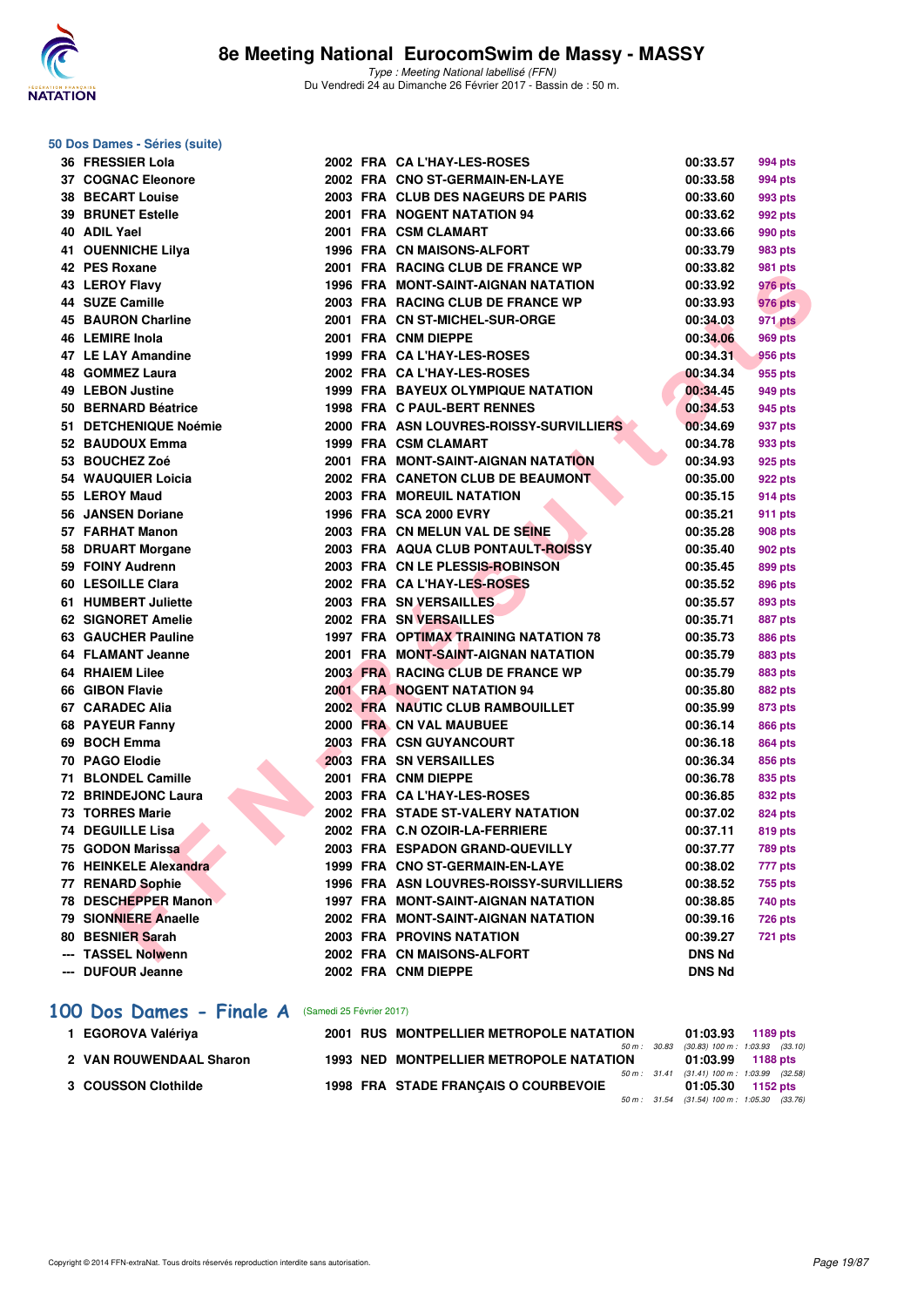

#### **50 Dos Dames - Séries (suite)**

| 36 FRESSIER Lola          |  | 2002 FRA CA L'HAY-LES-ROSES                | 00:33.57      | 994 pts        |
|---------------------------|--|--------------------------------------------|---------------|----------------|
| <b>37 COGNAC Eleonore</b> |  | 2002 FRA CNO ST-GERMAIN-EN-LAYE            | 00:33.58      | 994 pts        |
| <b>38 BECART Louise</b>   |  | 2003 FRA CLUB DES NAGEURS DE PARIS         | 00:33.60      | 993 pts        |
| <b>39 BRUNET Estelle</b>  |  | 2001 FRA NOGENT NATATION 94                | 00:33.62      | 992 pts        |
| 40 ADIL Yael              |  | 2001 FRA CSM CLAMART                       | 00:33.66      | 990 pts        |
| <b>41 OUENNICHE Lilya</b> |  | 1996 FRA CN MAISONS-ALFORT                 | 00:33.79      | 983 pts        |
| 42 PES Roxane             |  | 2001 FRA RACING CLUB DE FRANCE WP          | 00:33.82      | 981 pts        |
| 43 LEROY Flavy            |  | <b>1996 FRA MONT-SAINT-AIGNAN NATATION</b> | 00:33.92      | 976 pts        |
| 44 SUZE Camille           |  | 2003 FRA RACING CLUB DE FRANCE WP          | 00:33.93      | 976 pts        |
| <b>45 BAURON Charline</b> |  | 2001 FRA CN ST-MICHEL-SUR-ORGE             | 00:34.03      | 971 pts        |
| 46 LEMIRE Inola           |  | 2001 FRA CNM DIEPPE                        | 00:34.06      | 969 pts        |
| 47 LE LAY Amandine        |  | 1999 FRA CA L'HAY-LES-ROSES                | 00:34.31      | 956 pts        |
| 48 GOMMEZ Laura           |  | 2002 FRA CA L'HAY-LES-ROSES                | 00:34.34      | 955 pts        |
| 49 LEBON Justine          |  | 1999 FRA BAYEUX OLYMPIQUE NATATION         | 00:34.45      | 949 pts        |
| 50 BERNARD Béatrice       |  | 1998 FRA C PAUL-BERT RENNES                | 00:34.53      | 945 pts        |
| 51 DETCHENIQUE Noémie     |  | 2000 FRA ASN LOUVRES-ROISSY-SURVILLIERS    | 00:34.69      | 937 pts        |
| 52 BAUDOUX Emma           |  | 1999 FRA CSM CLAMART                       | 00:34.78      | 933 pts        |
| 53 BOUCHEZ Zoé            |  | 2001 FRA MONT-SAINT-AIGNAN NATATION        | 00:34.93      | 925 pts        |
| 54 WAUQUIER Loicia        |  | 2002 FRA CANETON CLUB DE BEAUMONT          | 00:35.00      | 922 pts        |
| 55 LEROY Maud             |  | <b>2003 FRA MOREUIL NATATION</b>           | 00:35.15      | 914 pts        |
| 56 JANSEN Doriane         |  | 1996 FRA SCA 2000 EVRY                     | 00:35.21      | 911 pts        |
| 57 FARHAT Manon           |  | 2003 FRA CN MELUN VAL DE SEINE             | 00:35.28      | 908 pts        |
| 58 DRUART Morgane         |  | 2003 FRA AQUA CLUB PONTAULT-ROISSY         | 00:35.40      | 902 pts        |
| 59 FOINY Audrenn          |  | 2003 FRA CN LE PLESSIS-ROBINSON            | 00:35.45      | 899 pts        |
| 60 LESOILLE Clara         |  | 2002 FRA CAL'HAY-LES-ROSES                 | 00:35.52      | 896 pts        |
| 61 HUMBERT Juliette       |  | 2003 FRA SN VERSAILLES                     | 00:35.57      | 893 pts        |
| 62 SIGNORET Amelie        |  | 2002 FRA SN VERSAILLES                     | 00:35.71      | 887 pts        |
| 63 GAUCHER Pauline        |  | 1997 FRA OPTIMAX TRAINING NATATION 78      | 00:35.73      | 886 pts        |
| 64 FLAMANT Jeanne         |  | 2001 FRA MONT-SAINT-AIGNAN NATATION        | 00:35.79      | 883 pts        |
| 64 RHAIEM Lilee           |  | 2003 FRA RACING CLUB DE FRANCE WP          | 00:35.79      | <b>883 pts</b> |
| 66 GIBON Flavie           |  | <b>2001 FRA NOGENT NATATION 94</b>         | 00:35.80      | 882 pts        |
| 67 CARADEC Alia           |  | 2002 FRA NAUTIC CLUB RAMBOUILLET           | 00:35.99      | 873 pts        |
| 68 PAYEUR Fanny           |  | 2000 FRA CN VAL MAUBUEE                    | 00:36.14      | 866 pts        |
| 69 BOCH Emma              |  | <b>2003 FRA CSN GUYANCOURT</b>             | 00:36.18      | 864 pts        |
| 70 PAGO Elodie            |  | 2003 FRA SN VERSAILLES                     | 00:36.34      | 856 pts        |
| 71 BLONDEL Camille        |  | 2001 FRA CNM DIEPPE                        | 00:36.78      | 835 pts        |
| 72 BRINDEJONC Laura       |  | 2003 FRA CA L'HAY-LES-ROSES                | 00:36.85      | 832 pts        |
| 73 TORRES Marie           |  | 2002 FRA STADE ST-VALERY NATATION          | 00:37.02      | 824 pts        |
| 74 DEGUILLE Lisa          |  | 2002 FRA C.N OZOIR-LA-FERRIERE             | 00:37.11      | 819 pts        |
| 75 GODON Marissa          |  | 2003 FRA ESPADON GRAND-QUEVILLY            | 00:37.77      | <b>789 pts</b> |
| 76 HEINKELE Alexandra     |  | 1999 FRA CNO ST-GERMAIN-EN-LAYE            | 00:38.02      | 777 pts        |
| 77 RENARD Sophie          |  | 1996 FRA ASN LOUVRES-ROISSY-SURVILLIERS    | 00:38.52      | 755 pts        |
| 78 DESCHEPPER Manon       |  | 1997 FRA MONT-SAINT-AIGNAN NATATION        | 00:38.85      | 740 pts        |
| 79 SIONNIERE Anaelle      |  | 2002 FRA MONT-SAINT-AIGNAN NATATION        | 00:39.16      | <b>726 pts</b> |
| 80 BESNIER Sarah          |  | 2003 FRA PROVINS NATATION                  | 00:39.27      | <b>721 pts</b> |
| --- TASSEL Nolwenn        |  | 2002 FRA CN MAISONS-ALFORT                 | <b>DNS Nd</b> |                |
| --- DUFOUR Jeanne         |  | 2002 FRA CNM DIEPPE                        | <b>DNS Nd</b> |                |
|                           |  |                                            |               |                |

#### [100 Dos Dames - Finale A](http://www.ffnatation.fr/webffn/resultats.php?idact=nat&go=epr&idcpt=42801&idepr=12) (Samedi 25 Février 2017)

| 1 EGOROVA Valériya      |  | 2001 RUS MONTPELLIER METROPOLE NATATION        | 01:03.93 1189 pts                         |  |
|-------------------------|--|------------------------------------------------|-------------------------------------------|--|
|                         |  |                                                | 50 m: 30.83 (30.83) 100 m: 1:03.93 (33.10 |  |
| 2 VAN ROUWENDAAL Sharon |  | <b>1993 NED MONTPELLIER METROPOLE NATATION</b> | 01:03.99 1188 pts                         |  |
|                         |  |                                                | 50 m: 31.41 (31.41) 100 m: 1:03.99 (32.58 |  |
| 3 COUSSON Clothilde     |  | 1998 FRA STADE FRANCAIS O COURBEVOIE           | 01:05.30 1152 pts                         |  |
|                         |  |                                                | 50 m: 31.54 (31.54) 100 m: 1:05.30 (33.76 |  |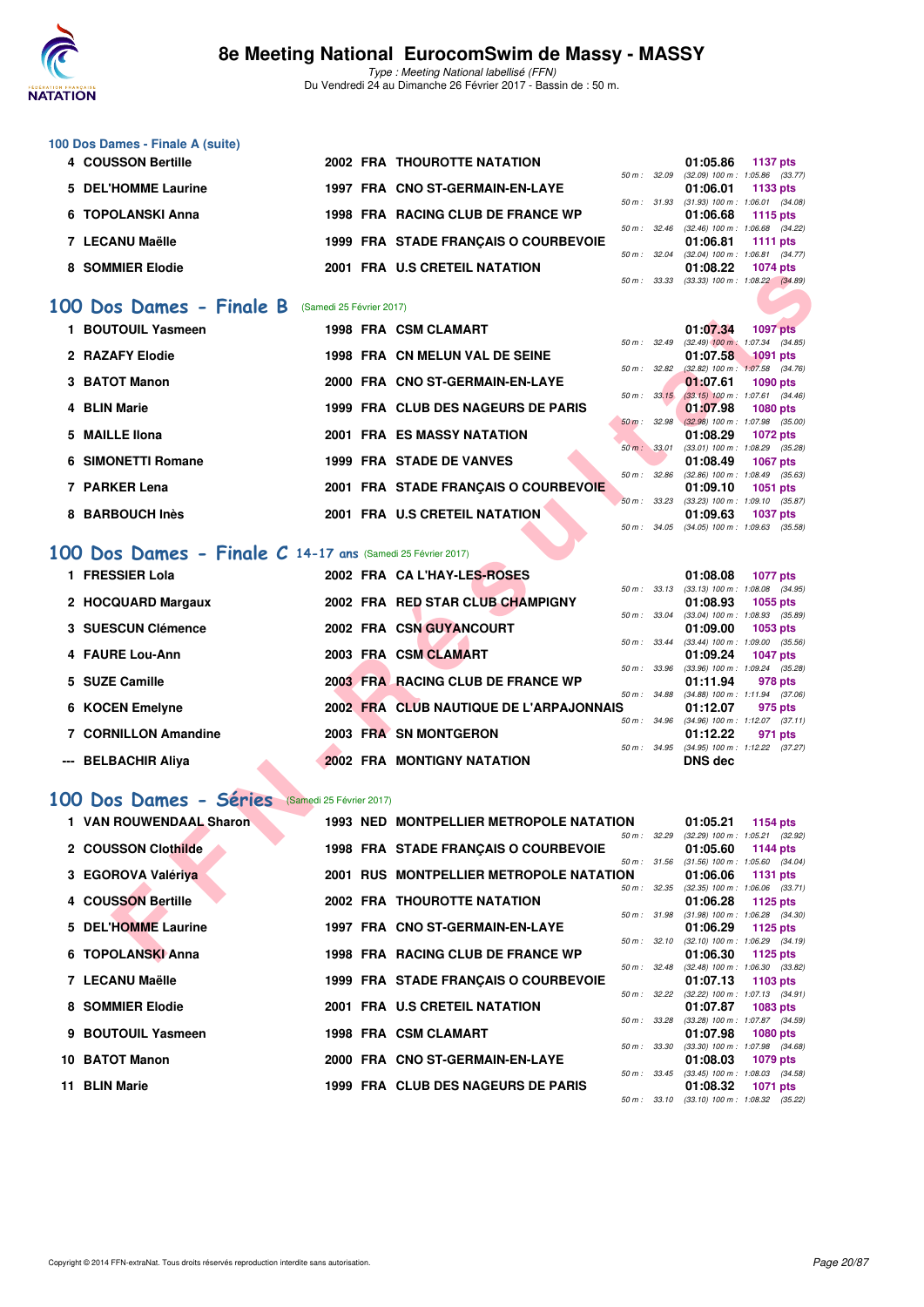

Type : Meeting National labellisé (FFN) Du Vendredi 24 au Dimanche 26 Février 2017 - Bassin de : 50 m.

| 100 Dos Dames - Finale A (suite) |                                      |                        |                          |          |                                     |
|----------------------------------|--------------------------------------|------------------------|--------------------------|----------|-------------------------------------|
| 4 COUSSON Bertille               | <b>2002 FRA THOUROTTE NATATION</b>   |                        |                          | 01:05.86 | 1137 pts                            |
|                                  |                                      | 50 m: 32.09            |                          |          | $(32.09)$ 100 m : 1:05.86 $(33.77)$ |
| 5 DEL'HOMME Laurine              | 1997 FRA CNO ST-GERMAIN-EN-LAYE      |                        |                          | 01:06.01 | 1133 pts                            |
|                                  |                                      |                        | $50 \text{ m}$ : $31.93$ |          | $(31.93)$ 100 m : 1:06.01 $(34.08)$ |
| 6 TOPOLANSKI Anna                | 1998 FRA RACING CLUB DE FRANCE WP    |                        |                          | 01:06.68 | 1115 $pts$                          |
|                                  |                                      |                        | $50 \text{ m}$ : 32.46   |          | $(32.46)$ 100 m : 1:06.68 $(34.22)$ |
| 7 LECANU Maëlle                  | 1999 FRA STADE FRANCAIS O COURBEVOIE |                        |                          | 01:06.81 | 1111 $pts$                          |
|                                  |                                      | $50 \text{ m}$ : 32.04 |                          |          | $(32.04)$ 100 m : 1:06.81 $(34.77)$ |
| 8 SOMMIER Elodie                 | 2001 FRA U.S CRETEIL NATATION        |                        |                          | 01:08.22 | <b>1074 pts</b>                     |
|                                  |                                      | 50 m :                 | 33.33                    |          | $(33.33)$ 100 m : 1:08.22 $(34.89)$ |
|                                  |                                      |                        |                          |          |                                     |

### **[100 Dos Dames - Finale B](http://www.ffnatation.fr/webffn/resultats.php?idact=nat&go=epr&idcpt=42801&idepr=12)** (Samedi 25 Février 2017)

| <b>JUMMILA LIUGIC</b>                                      |  |                                                |                  |              | 0 I .UG.ZZ                                             | <del>טטן ד</del> וטו |  |
|------------------------------------------------------------|--|------------------------------------------------|------------------|--------------|--------------------------------------------------------|----------------------|--|
|                                                            |  |                                                | 50 m : 33.33     |              | $(33.33)$ 100 m : 1:08.22 $(34.89)$                    |                      |  |
| 00 Dos Dames - Finale B (Samedi 25 Février 2017)           |  |                                                |                  |              |                                                        |                      |  |
| 1 BOUTOUIL Yasmeen                                         |  | <b>1998 FRA CSM CLAMART</b>                    |                  |              | 01:07.34                                               | <b>1097 pts</b>      |  |
|                                                            |  |                                                | 50 m: 32.49      |              | $(32.49)$ 100 m : 1:07.34 $(34.85)$                    |                      |  |
| 2 RAZAFY Elodie                                            |  | 1998 FRA CN MELUN VAL DE SEINE                 |                  |              | 01:07.58                                               | <b>1091 pts</b>      |  |
|                                                            |  |                                                | 50 m: 32.82      |              | $(32.82)$ 100 m : 1:07.58 $(34.76)$                    |                      |  |
| 3 BATOT Manon                                              |  | 2000 FRA CNO ST-GERMAIN-EN-LAYE                | $50 m$ : $33.15$ |              | 01:07.61<br>$(33.15)$ 100 m : 1:07.61 $(34.46)$        | <b>1090 pts</b>      |  |
| 4 BLIN Marie                                               |  | 1999 FRA CLUB DES NAGEURS DE PARIS             |                  |              | 01:07.98                                               | <b>1080 pts</b>      |  |
|                                                            |  |                                                | 50 m: 32.98      |              | $(32.98)$ 100 m : 1:07.98 (35.00)                      |                      |  |
| 5 MAILLE Ilona                                             |  | 2001 FRA ES MASSY NATATION                     |                  |              | 01:08.29                                               | <b>1072 pts</b>      |  |
|                                                            |  |                                                | 50 m: 33.01      |              | $(33.01)$ 100 m : 1:08.29 $(35.28)$                    |                      |  |
| <b>6 SIMONETTI Romane</b>                                  |  | <b>1999 FRA STADE DE VANVES</b>                |                  |              | 01:08.49                                               | <b>1067 pts</b>      |  |
|                                                            |  |                                                | 50 m : 32.86     |              | $(32.86)$ 100 m : 1:08.49 $(35.63)$                    |                      |  |
| 7 PARKER Lena                                              |  | 2001 FRA STADE FRANÇAIS O COURBEVOIE           |                  |              | 01:09.10<br>50 m: 33.23 (33.23) 100 m: 1:09.10 (35.87) | <b>1051 pts</b>      |  |
| 8 BARBOUCH Inès                                            |  | 2001 FRA U.S CRETEIL NATATION                  |                  |              | 01:09.63                                               | <b>1037 pts</b>      |  |
|                                                            |  |                                                | 50 m : 34.05     |              | $(34.05)$ 100 m : 1:09.63 $(35.58)$                    |                      |  |
|                                                            |  |                                                |                  |              |                                                        |                      |  |
| 00 Dos Dames - Finale C 14-17 ans (Samedi 25 Février 2017) |  |                                                |                  |              |                                                        |                      |  |
| 1 FRESSIER Lola                                            |  | 2002 FRA CAL'HAY-LES-ROSES                     |                  |              | 01:08.08                                               | <b>1077 pts</b>      |  |
|                                                            |  |                                                |                  |              | 50 m: 33.13 (33.13) 100 m: 1:08.08 (34.95)             |                      |  |
| 2 HOCQUARD Margaux                                         |  | 2002 FRA RED STAR CLUB CHAMPIGNY               |                  |              | 01:08.93                                               | 1055 pts             |  |
|                                                            |  |                                                | 50 m: 33.04      |              | $(33.04)$ 100 m : 1:08.93 $(35.89)$                    |                      |  |
| 3 SUESCUN Clémence                                         |  | 2002 FRA CSN GUYANCOURT                        |                  |              | 01:09.00                                               | 1053 pts             |  |
|                                                            |  |                                                | 50 m : 33.44     |              | $(33.44)$ 100 m : 1:09.00 $(35.56)$                    |                      |  |
| 4 FAURE Lou-Ann                                            |  | 2003 FRA CSM CLAMART                           |                  |              | 01:09.24                                               | <b>1047 pts</b>      |  |
| 5 SUZE Camille                                             |  | 2003 FRA RACING CLUB DE FRANCE WP              | 50 m : 33.96     |              | $(33.96)$ 100 m : 1:09.24 $(35.28)$<br>01:11.94        | 978 pts              |  |
|                                                            |  |                                                | 50 m : 34.88     |              | $(34.88)$ 100 m : 1:11.94 $(37.06)$                    |                      |  |
| 6 KOCEN Emelyne                                            |  | 2002 FRA CLUB NAUTIQUE DE L'ARPAJONNAIS        |                  |              | 01:12.07                                               | 975 pts              |  |
|                                                            |  |                                                | 50 m : 34.96     |              | $(34.96)$ 100 m : 1:12.07 $(37.11)$                    |                      |  |
| 7 CORNILLON Amandine                                       |  | 2003 FRA SN MONTGERON                          |                  |              | 01:12.22                                               | 971 pts              |  |
|                                                            |  |                                                | $50 m$ : $34.95$ |              | $(34.95)$ 100 m : 1:12.22 $(37.27)$                    |                      |  |
| --- BELBACHIR Aliya                                        |  | <b>2002 FRA MONTIGNY NATATION</b>              |                  |              | <b>DNS dec</b>                                         |                      |  |
|                                                            |  |                                                |                  |              |                                                        |                      |  |
| 00 Dos Dames - Séries<br>(Samedi 25 Février 2017)          |  |                                                |                  |              |                                                        |                      |  |
|                                                            |  |                                                |                  |              |                                                        |                      |  |
| 1 VAN ROUWENDAAL Sharon                                    |  | 1993 NED MONTPELLIER METROPOLE NATATION        |                  |              | 01:05.21                                               | <b>1154 pts</b>      |  |
| 2 COUSSON Clothilde                                        |  | 1998 FRA STADE FRANÇAIS O COURBEVOIE           |                  | 50 m : 32.29 | $(32.29)$ 100 m : 1:05.21 $(32.92)$<br>01:05.60        | 1144 pts             |  |
|                                                            |  |                                                | 50 m: 31.56      |              | $(31.56)$ 100 m : 1:05.60 $(34.04)$                    |                      |  |
| 3 EGOROVA Valériya                                         |  | <b>2001 RUS MONTPELLIER METROPOLE NATATION</b> |                  |              | 01:06.06                                               | <b>1131 pts</b>      |  |
|                                                            |  |                                                | 50 m : 32.35     |              | $(32.35)$ 100 m : 1:06.06 $(33.71)$                    |                      |  |
| 4 COUSSON Bertille                                         |  | <b>2002 FRA THOUROTTE NATATION</b>             |                  |              | 01:06.28                                               | 1125 pts             |  |
|                                                            |  |                                                |                  | 50 m : 31.98 | $(31.98)$ 100 m : 1:06.28 $(34.30)$                    |                      |  |
| 5 DEL'HOMME Laurine                                        |  | 1997 FRA CNO ST-GERMAIN-EN-LAYE                |                  |              | 01:06.29                                               | 1125 pts             |  |
|                                                            |  |                                                |                  | 50 m : 32.10 | $(32.10)$ 100 m : 1:06.29 $(34.19)$                    |                      |  |
| 6 TOPOLANSKI Anna                                          |  | 1998 FRA RACING CLUB DE FRANCE WP              |                  |              | 01:06.30                                               | 1125 pts             |  |

### **[100 Dos Dames - Finale C](http://www.ffnatation.fr/webffn/resultats.php?idact=nat&go=epr&idcpt=42801&idepr=12) 14-17 ans** (Samedi 25 Février 2017)

| 1 FRESSIER Lola      | 2002 FRA CAL'HAY-LES-ROSES              | 01:08.08       | <b>1077 pts</b>                     |
|----------------------|-----------------------------------------|----------------|-------------------------------------|
|                      | $50 m$ : $33.13$                        |                | $(33.13)$ 100 m : 1:08.08 $(34.95)$ |
| 2 HOCQUARD Margaux   | 2002 FRA RED STAR CLUB CHAMPIGNY        | 01:08.93       | 1055 pts                            |
|                      | 50 m: 33.04                             |                | $(33.04)$ 100 m : 1:08.93 $(35.89)$ |
| 3 SUESCUN Clémence   | 2002 FRA CSN GUYANCOURT                 | 01:09.00       | 1053 pts                            |
|                      | 50 m : 33.44                            |                | $(33.44)$ 100 m : 1:09.00 $(35.56)$ |
| 4 FAURE Lou-Ann      | 2003 FRA CSM CLAMART                    | 01:09.24       | <b>1047 pts</b>                     |
|                      | 50 m: 33.96                             |                | $(33.96)$ 100 m : 1:09.24 $(35.28)$ |
| 5 SUZE Camille       | 2003 FRA RACING CLUB DE FRANCE WP       | 01:11.94       | 978 pts                             |
|                      | 50 m: 34.88                             |                | $(34.88)$ 100 m : 1:11.94 $(37.06)$ |
| 6 KOCEN Emelyne      | 2002 FRA CLUB NAUTIQUE DE L'ARPAJONNAIS | 01:12.07       | 975 pts                             |
|                      | 50 m : 34.96                            |                | $(34.96)$ 100 m : 1:12.07 $(37.11)$ |
| 7 CORNILLON Amandine | 2003 FRA SN MONTGERON                   | 01:12.22       | 971 pts                             |
|                      | 50 m : 34.95                            |                | $(34.95)$ 100 m : 1:12.22 $(37.27)$ |
| --- BELBACHIR Aliya  | <b>2002 FRA MONTIGNY NATATION</b>       | <b>DNS</b> dec |                                     |

### [100 Dos Dames - Séries](http://www.ffnatation.fr/webffn/resultats.php?idact=nat&go=epr&idcpt=42801&idepr=12) (Samedi 25 Février 2017)

| 1 VAN ROUWENDAAL Sharon |  | <b>1993 NED MONTPELLIER METROPOLE NATATION</b> |                          | 01:05.21                                     | 1154 $pts$      |  |
|-------------------------|--|------------------------------------------------|--------------------------|----------------------------------------------|-----------------|--|
|                         |  |                                                | 50 m: 32.29              | $(32.29)$ 100 m : 1:05.21 $(32.92)$          |                 |  |
| 2 COUSSON Clothilde     |  | 1998 FRA STADE FRANCAIS O COURBEVOIE           |                          | 01:05.60                                     | 1144 pts        |  |
|                         |  |                                                | $50 m$ : $31.56$         | $(31.56)$ 100 m : 1:05.60 $(34.04)$          |                 |  |
| 3 EGOROVA Valériya      |  | <b>2001 RUS MONTPELLIER METROPOLE NATATION</b> |                          | 01:06.06                                     | 1131 $pts$      |  |
|                         |  |                                                | 50 m: 32.35              | $(32.35)$ 100 m : 1:06.06 $(33.71)$          |                 |  |
| 4 COUSSON Bertille      |  | <b>2002 FRA THOUROTTE NATATION</b>             |                          | 01:06.28                                     | 1125 pts        |  |
|                         |  |                                                | 50 m: 31.98              | $(31.98)$ 100 m : 1:06.28 $(34.30)$          |                 |  |
| 5 DEL'HOMME Laurine     |  | 1997 FRA CNO ST-GERMAIN-EN-LAYE                |                          | $01:06.29$ 1125 pts                          |                 |  |
|                         |  |                                                | 50 m: 32.10              | $(32.10)$ 100 m : 1:06.29 $(34.19)$          |                 |  |
| 6 TOPOLANSKI Anna       |  | 1998 FRA RACING CLUB DE FRANCE WP              |                          | 01:06.30                                     | 1125 pts        |  |
|                         |  |                                                | 50 m : 32.48             | $(32.48)$ 100 m : 1:06.30 $(33.82)$          |                 |  |
| 7 LECANU Maëlle         |  | 1999 FRA STADE FRANCAIS O COURBEVOIE           |                          | 01:07.13                                     | 1103 pts        |  |
|                         |  |                                                | 50 m: 32.22              | (32.22) 100 m: 1:07.13 (34.91)               |                 |  |
| 8 SOMMIER Elodie        |  | 2001 FRA U.S CRETEIL NATATION                  |                          | 01:07.87                                     | <b>1083 pts</b> |  |
|                         |  |                                                | 50 m: 33.28              | (33.28) 100 m: 1:07.87 (34.59)               |                 |  |
| 9 BOUTOUIL Yasmeen      |  | 1998 FRA CSM CLAMART                           |                          | 01:07.98                                     | <b>1080 pts</b> |  |
|                         |  |                                                | 50 m : 33.30             | $(33.30)$ 100 m : 1:07.98 $(34.68)$          |                 |  |
| 10 BATOT Manon          |  | 2000 FRA CNO ST-GERMAIN-EN-LAYE                |                          | 01:08.03                                     | 1079 pts        |  |
|                         |  |                                                | $50 \text{ m}$ : $33.45$ | $(33.45)$ 100 m : 1:08.03 $(34.58)$          |                 |  |
| 11 BLIN Marie           |  | 1999 FRA CLUB DES NAGEURS DE PARIS             |                          | 01:08.32                                     | 1071 pts        |  |
|                         |  |                                                |                          | 50 m : 33.10 (33.10) 100 m : 1:08.32 (35.22) |                 |  |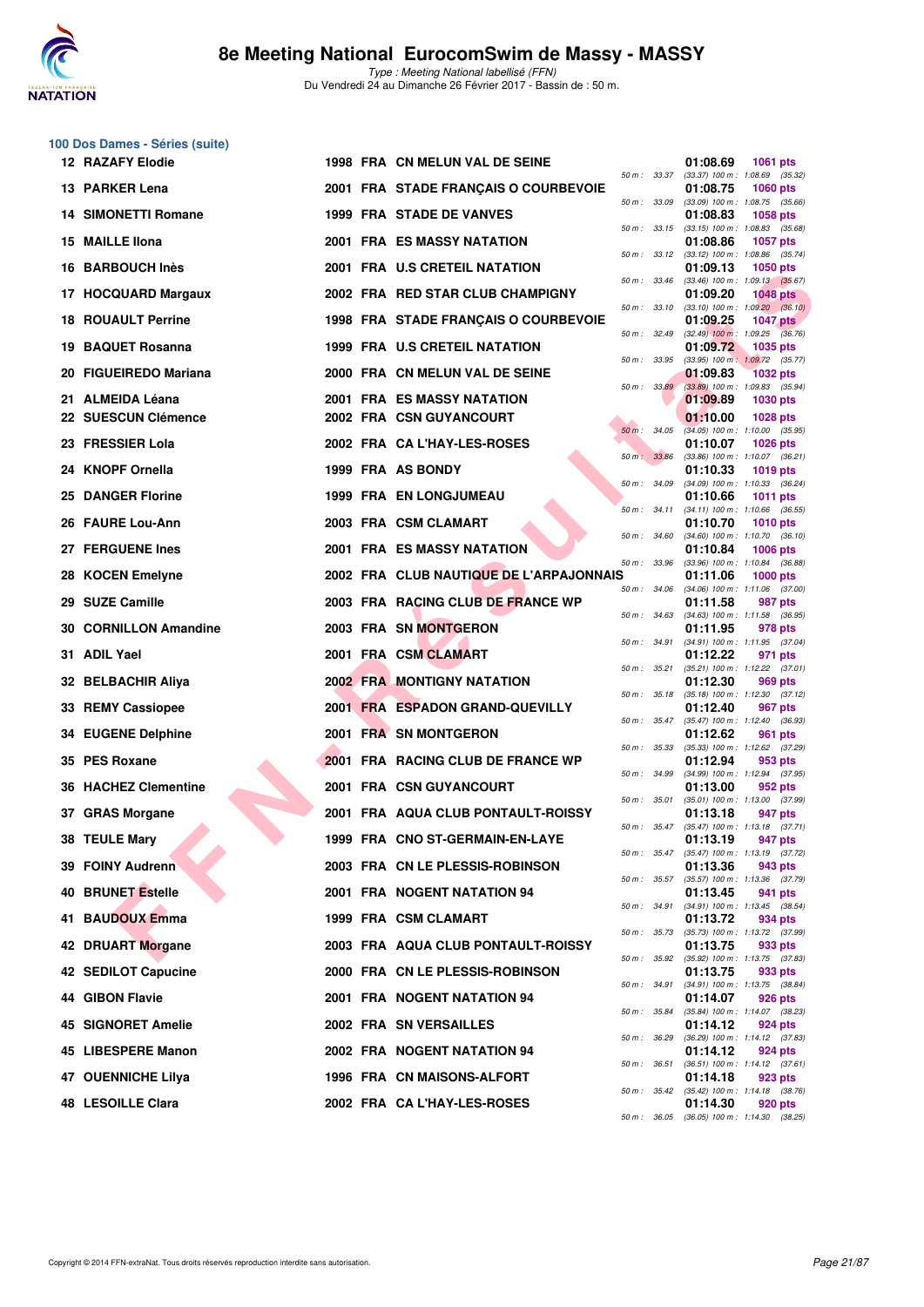

**100 Dos Dames - Séries (suite)**

| <b>12 RAZAFY Elodie</b>                 | 1998 FRA CN MELUN VAL DE SEINE                        |                  | 01:08.69<br><b>1061 pts</b>                                        |
|-----------------------------------------|-------------------------------------------------------|------------------|--------------------------------------------------------------------|
| 13 PARKER Lena                          | 2001 FRA STADE FRANÇAIS O COURBEVOIE                  | 50 m : 33.37     | $(33.37)$ 100 m : 1:08.69 $(35.32)$<br>01:08.75<br><b>1060 pts</b> |
| <b>14 SIMONETTI Romane</b>              | <b>1999 FRA STADE DE VANVES</b>                       | 50 m : 33.09     | $(33.09)$ 100 m : 1:08.75 $(35.66)$<br>01:08.83<br>1058 pts        |
| 15 MAILLE IIona                         | 2001 FRA ES MASSY NATATION                            | 50 m : 33.15     | $(33.15)$ 100 m : 1:08.83 $(35.68)$<br>01:08.86<br><b>1057 pts</b> |
| <b>BARBOUCH Inès</b><br>16              | 2001 FRA U.S CRETEIL NATATION                         | 50 m: 33.12      | (33.12) 100 m: 1:08.86 (35.74)<br>01:09.13<br><b>1050 pts</b>      |
| <b>HOCQUARD Margaux</b><br>17           | 2002 FRA RED STAR CLUB CHAMPIGNY                      | 50 m : 33.46     | $(33.46)$ 100 m : 1:09.13 $(35.67)$<br>01:09.20<br><b>1048 pts</b> |
| <b>ROUAULT Perrine</b><br>18.           | 1998 FRA STADE FRANÇAIS O COURBEVOIE                  | 50 m : 33.10     | $(33.10)$ 100 m : 1:09.20 $(36.10)$<br>01:09.25<br><b>1047 pts</b> |
| 19 BAQUET Rosanna                       | <b>1999 FRA U.S CRETEIL NATATION</b>                  | 50 m: 32.49      | $(32.49)$ 100 m : 1:09.25 $(36.76)$<br>01:09.72<br><b>1035 pts</b> |
| 20 FIGUEIREDO Mariana                   | 2000 FRA CN MELUN VAL DE SEINE                        | 50 m : 33.95     | (33.95) 100 m: 1:09.72 (35.77)                                     |
|                                         |                                                       | 50 m: 33.89      | 01:09.83<br><b>1032 pts</b><br>$(33.89)$ 100 m : 1:09.83 $(35.94)$ |
| 21 ALMEIDA Léana<br>22 SUESCUN Clémence | 2001 FRA ES MASSY NATATION<br>2002 FRA CSN GUYANCOURT |                  | 01:09.89<br><b>1030 pts</b><br>01:10.00<br><b>1028 pts</b>         |
| 23 FRESSIER Lola                        | 2002 FRA CA L'HAY-LES-ROSES                           | 50 m: 34.05      | $(34.05)$ 100 m : 1:10.00 $(35.95)$<br>01:10.07<br><b>1026 pts</b> |
| <b>KNOPF Ornella</b><br>24              | 1999 FRA AS BONDY                                     | 50 m: 33.86      | (33.86) 100 m: 1:10.07 (36.21)<br>01:10.33<br><b>1019 pts</b>      |
| <b>DANGER Florine</b><br>25             | <b>1999 FRA EN LONGJUMEAU</b>                         | 50 m : 34.09     | $(34.09)$ 100 m : 1:10.33 $(36.24)$<br>01:10.66<br>1011 pts        |
|                                         |                                                       | 50 m: 34.11      | $(34.11)$ 100 m : 1:10.66 $(36.55)$                                |
| 26 FAURE Lou-Ann                        | 2003 FRA CSM CLAMART                                  | 50 m: 34.60      | 01:10.70<br><b>1010 pts</b><br>$(34.60)$ 100 m : 1:10.70 $(36.10)$ |
| 27 FERGUENE Ines                        | 2001 FRA ES MASSY NATATION                            | 50 m : 33.96     | 01:10.84<br><b>1006 pts</b><br>(33.96) 100 m: 1:10.84 (36.88)      |
| 28 KOCEN Emelyne                        | 2002 FRA CLUB NAUTIQUE DE L'ARPAJONNAIS               | 50 m : 34.06     | 01:11.06<br><b>1000 pts</b><br>$(34.06)$ 100 m : 1:11.06 $(37.00)$ |
| <b>SUZE Camille</b><br>29               | 2003 FRA RACING CLUB DE FRANCE WP                     | 50 m : 34.63     | 01:11.58<br>987 pts<br>$(34.63)$ 100 m : 1:11.58 $(36.95)$         |
| 30 CORNILLON Amandine                   | 2003 FRA SN MONTGERON                                 | 50 m : 34.91     | 01:11.95<br>978 pts<br>$(34.91)$ 100 m : 1:11.95 $(37.04)$         |
| 31 ADIL Yael                            | 2001 FRA CSM CLAMART                                  | 50 m : 35.21     | 01:12.22<br>971 pts<br>$(35.21)$ 100 m : 1:12.22 $(37.01)$         |
| 32 BELBACHIR Aliya                      | <b>2002 FRA MONTIGNY NATATION</b>                     | 50 m: 35.18      | 01:12.30<br>969 pts<br>$(35.18)$ 100 m : 1:12.30 $(37.12)$         |
| 33 REMY Cassiopee                       | 2001 FRA ESPADON GRAND-QUEVILLY                       | 50 m : 35.47     | 01:12.40<br>967 pts<br>(35.47) 100 m : 1:12.40 (36.93)             |
| <b>EUGENE Delphine</b>                  | 2001 FRA SN MONTGERON                                 |                  | 01:12.62<br>961 pts                                                |
| 35 PES Roxane                           | 2001 FRA RACING CLUB DE FRANCE WP                     | 50 m : 35.33     | $(35.33)$ 100 m : 1:12.62 $(37.29)$<br>01:12.94<br>953 pts         |
| <b>HACHEZ Clementine</b><br>36.         | 2001 FRA CSN GUYANCOURT                               | 50 m : 34.99     | (34.99) 100 m: 1:12.94 (37.95)<br>01:13.00<br>952 pts              |
| 37 GRAS Morgane                         | 2001 FRA AQUA CLUB PONTAULT-ROISSY                    | 50 m : 35.01     | $(35.01)$ 100 m : 1:13.00 $(37.99)$<br>01:13.18<br>947 pts         |
| 38 TEULE Mary                           | 1999 FRA CNO ST-GERMAIN-EN-LAYE                       |                  | 50 m: 35.47 (35.47) 100 m: 1:13.18 (37.71)<br>01:13.19<br>947 pts  |
| 39 FOINY Audrenn                        | 2003 FRA CN LE PLESSIS-ROBINSON                       | 50 m :<br>35.47  | (35.47) 100 m: 1:13.19 (37.72)<br>01:13.36<br>943 pts              |
| <b>40 BRUNET Estelle</b>                | 2001 FRA NOGENT NATATION 94                           | $50 m$ : $35.57$ | $(35.57)$ 100 m : 1:13.36 $(37.79)$<br>01:13.45<br>941 pts         |
| 41 BAUDOUX Emma                         | 1999 FRA CSM CLAMART                                  | 50 m : 34.91     | $(34.91)$ 100 m : 1:13.45 $(38.54)$<br>01:13.72<br>934 pts         |
| 42 DRUART Morgane                       | 2003 FRA AQUA CLUB PONTAULT-ROISSY                    | 50 m : 35.73     | (35.73) 100 m : 1:13.72 (37.99)<br>01:13.75<br>933 pts             |
|                                         |                                                       | 50 m : 35.92     | (35.92) 100 m: 1:13.75 (37.83)                                     |
| 42 SEDILOT Capucine                     | 2000 FRA CN LE PLESSIS-ROBINSON                       | 50 m : 34.91     | 01:13.75<br>933 pts<br>$(34.91)$ 100 m : 1:13.75 $(38.84)$         |
| 44 GIBON Flavie                         | 2001 FRA NOGENT NATATION 94                           | 50 m : 35.84     | 01:14.07<br>926 pts<br>(35.84) 100 m: 1:14.07 (38.23)              |
| <b>45 SIGNORET Amelie</b>               | 2002 FRA SN VERSAILLES                                | 50 m : 36.29     | 01:14.12<br>924 pts<br>(36.29) 100 m: 1:14.12 (37.83)              |
| 45 LIBESPERE Manon                      | 2002 FRA NOGENT NATATION 94                           | 50 m : 36.51     | 01:14.12<br>924 pts<br>$(36.51)$ 100 m : 1:14.12 $(37.61)$         |
| <b>47 OUENNICHE Lilya</b>               | 1996 FRA CN MAISONS-ALFORT                            |                  | 01:14.18<br>923 pts<br>50 m: 35.42 (35.42) 100 m: 1:14.18 (38.76)  |
| <b>48 LESOILLE Clara</b>                | 2002 FRA CA L'HAY-LES-ROSES                           |                  | 01:14.30<br>920 pts<br>50 m: 36.05 (36.05) 100 m: 1:14.30 (38.25)  |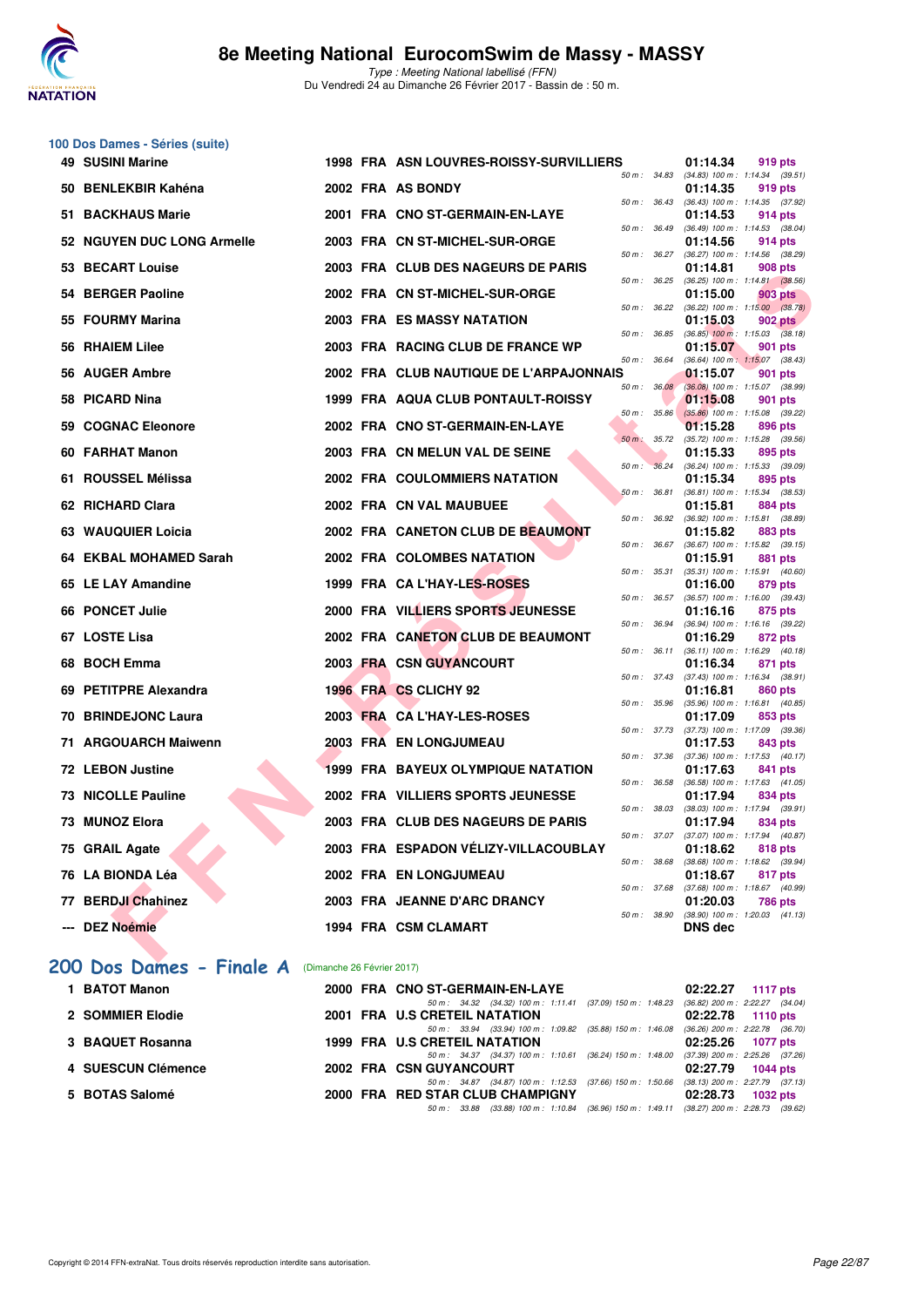

| 100 Dos Dames - Séries (suite) |                            |                                                                                                                           |                |                                                         |
|--------------------------------|----------------------------|---------------------------------------------------------------------------------------------------------------------------|----------------|---------------------------------------------------------|
| <b>49 SUSINI Marine</b>        |                            | 1998 FRA ASN LOUVRES-ROISSY-SURVILLIERS                                                                                   | 01:14.34       | 919 pts                                                 |
| 50 BENLEKBIR Kahéna            |                            | 2002 FRA AS BONDY                                                                                                         | 01:14.35       | 50 m: 34.83 (34.83) 100 m: 1:14.34 (39.51)<br>919 pts   |
| 51 BACKHAUS Marie              |                            | 50 m : 36.43<br>2001 FRA CNO ST-GERMAIN-EN-LAYE                                                                           | 01:14.53       | $(36.43)$ 100 m : 1:14.35 $(37.92)$<br>914 pts          |
| 52 NGUYEN DUC LONG Armelle     |                            | 50 m : 36.49<br>2003 FRA CN ST-MICHEL-SUR-ORGE                                                                            | 01:14.56       | (36.49) 100 m: 1:14.53 (38.04)<br>914 pts               |
| 53 BECART Louise               |                            | 50 m: 36.27<br>2003 FRA CLUB DES NAGEURS DE PARIS                                                                         | 01:14.81       | (36.27) 100 m: 1:14.56 (38.29)<br>908 pts               |
| 54 BERGER Paoline              |                            | 50 m : 36.25<br>2002 FRA CN ST-MICHEL-SUR-ORGE                                                                            | 01:15.00       | $(36.25)$ 100 m : 1:14.81 $(38.56)$<br>903 pts          |
| 55 FOURMY Marina               |                            | 50 m : 36.22<br><b>2003 FRA ES MASSY NATATION</b>                                                                         | 01:15.03       | $(36.22)$ 100 m : 1:15.00 $(38.78)$<br><b>902 pts</b>   |
| 56 RHAIEM Lilee                |                            | 50 m : 36.85<br>2003 FRA RACING CLUB DE FRANCE WP                                                                         | 01:15.07       | $(36.85)$ 100 m : 1:15.03 $(38.18)$<br>901 pts          |
| 56 AUGER Ambre                 |                            | 50 m : 36.64<br>2002 FRA CLUB NAUTIQUE DE L'ARPAJONNAIS                                                                   | 01:15.07       | (36.64) 100 m: 1:15.07 (38.43)                          |
|                                |                            | 50 m : 36.08                                                                                                              |                | 901 pts<br>(36.08) 100 m: 1:15.07 (38.99)               |
| 58 PICARD Nina                 |                            | 1999 FRA AQUA CLUB PONTAULT-ROISSY<br>50 m : 35.86                                                                        | 01:15.08       | 901 pts<br>$(35.86)$ 100 m : 1:15.08 $(39.22)$          |
| 59 COGNAC Eleonore             |                            | 2002 FRA CNO ST-GERMAIN-EN-LAYE<br>$50 m$ :<br>35.72                                                                      | 01:15.28       | 896 pts<br>(35.72) 100 m: 1:15.28 (39.56)               |
| 60 FARHAT Manon                |                            | 2003 FRA CN MELUN VAL DE SEINE<br>50 m : 36.24                                                                            | 01:15.33       | 895 pts<br>(36.24) 100 m: 1:15.33 (39.09)               |
| 61 ROUSSEL Mélissa             |                            | 2002 FRA COULOMMIERS NATATION<br>$50 m$ : $36.81$                                                                         | 01:15.34       | 895 pts<br>(36.81) 100 m: 1:15.34 (38.53)               |
| 62 RICHARD Clara               |                            | 2002 FRA CN VAL MAUBUEE<br>50 m : 36.92                                                                                   | 01:15.81       | 884 pts<br>(36.92) 100 m: 1:15.81 (38.89)               |
| 63 WAUQUIER Loicia             |                            | 2002 FRA CANETON CLUB DE BEAUMONT                                                                                         | 01:15.82       | 883 pts                                                 |
| 64 EKBAL MOHAMED Sarah         |                            | 50 m : 36.67<br>2002 FRA COLOMBES NATATION                                                                                | 01:15.91       | $(36.67)$ 100 m : 1:15.82 $(39.15)$<br>881 pts          |
| 65 LE LAY Amandine             |                            | 50 m : 35.31<br>1999 FRA CA L'HAY-LES-ROSES                                                                               | 01:16.00       | (35.31) 100 m: 1:15.91 (40.60)<br>879 pts               |
| 66 PONCET Julie                |                            | 50 m: 36.57<br>2000 FRA VILLIERS SPORTS JEUNESSE                                                                          | 01:16.16       | (36.57) 100 m: 1:16.00 (39.43)<br>875 pts               |
| 67 LOSTE Lisa                  |                            | 50 m : 36.94<br>2002 FRA CANETON CLUB DE BEAUMONT                                                                         | 01:16.29       | (36.94) 100 m: 1:16.16 (39.22)<br>872 pts               |
| 68 BOCH Emma                   |                            | 2003 FRA CSN GUYANCOURT                                                                                                   | 01:16.34       | 50 m: 36.11 (36.11) 100 m: 1:16.29 (40.18)<br>871 pts   |
| 69 PETITPRE Alexandra          |                            | 50 m : 37.43<br>1996 FRA CS CLICHY 92                                                                                     | 01:16.81       | $(37.43)$ 100 m : 1:16.34 $(38.91)$<br>860 pts          |
| <b>70 BRINDEJONC Laura</b>     |                            | 50 m : 35.96<br>2003 FRA CA L'HAY-LES-ROSES                                                                               | 01:17.09       | $(35.96)$ 100 m : 1:16.81 $(40.85)$<br>853 pts          |
| 71 ARGOUARCH Maiwenn           |                            | 50 m : 37.73<br><b>2003 FRA EN LONGJUMEAU</b>                                                                             | 01:17.53       | (37.73) 100 m: 1:17.09 (39.36)<br>843 pts               |
| 72 LEBON Justine               |                            | 50 m : 37.36<br>1999 FRA BAYEUX OLYMPIQUE NATATION                                                                        |                | (37.36) 100 m: 1:17.53 (40.17)                          |
|                                |                            | 50 m : 36.58                                                                                                              | 01:17.63       | 841 pts<br>$(36.58)$ 100 m : 1:17.63 $(41.05)$          |
| <b>73 NICOLLE Pauline</b>      |                            | 2002 FRA VILLIERS SPORTS JEUNESSE<br>50 m : 38.03                                                                         | 01:17.94       | 834 pts<br>$(38.03)$ 100 m : 1:17.94 $(39.91)$          |
| 73 MUNOZ Elora                 |                            | 2003 FRA CLUB DES NAGEURS DE PARIS                                                                                        | 01:17.94       | 834 pts<br>50 m : 37.07 (37.07) 100 m : 1:17.94 (40.87) |
| 75 GRAIL Agate                 |                            | 2003 FRA ESPADON VÉLIZY-VILLACOUBLAY<br>50 m : 38.68                                                                      | 01:18.62       | 818 pts<br>$(38.68)$ 100 m : 1:18.62 $(39.94)$          |
| 76 LA BIONDA Léa               |                            | 2002 FRA EN LONGJUMEAU<br>50 m : 37.68                                                                                    | 01:18.67       | 817 pts<br>$(37.68)$ 100 m : 1:18.67 $(40.99)$          |
| 77 BERDJI Chahinez             |                            | 2003 FRA JEANNE D'ARC DRANCY                                                                                              | 01:20.03       | 786 pts<br>50 m: 38.90 (38.90) 100 m: 1:20.03 (41.13)   |
| --- DEZ Noémie                 |                            | 1994 FRA CSM CLAMART                                                                                                      | <b>DNS</b> dec |                                                         |
| 200 Dos Dames - Finale A       | (Dimanche 26 Février 2017) |                                                                                                                           |                |                                                         |
| 1 BATOT Manon                  |                            | 2000 FRA CNO ST-GERMAIN-EN-LAYE                                                                                           | 02:22.27       | <b>1117 pts</b>                                         |
| 2 SOMMIER Elodie               |                            | 50 m: 34.32 (34.32) 100 m: 1:11.41 (37.09) 150 m: 1:48.23 (36.82) 200 m: 2:22.27 (34.04)<br>2001 FRA U.S CRETEIL NATATION | 02:22.78       | 1110 pts                                                |
| 3 BAQUET Rosanna               |                            | 50 m: 33.94 (33.94) 100 m: 1:09.82 (35.88) 150 m: 1:46.08 (36.26) 200 m: 2:22.78 (36.70)<br>1999 FRA U.S CRETEIL NATATION | 02:25.26       | 1077 pts                                                |
|                                |                            | 50 m: 34.37 (34.37) 100 m: 1:10.61 (36.24) 150 m: 1:48.00                                                                 |                | $(37.39)$ 200 m : 2:25.26 $(37.26)$                     |
| 4 SUESCUN Clémence             |                            | 2002 FRA CSN GUYANCOURT<br>50 m: 34.87 (34.87) 100 m: 1:12.53 (37.66) 150 m: 1:50.66 (38.13) 200 m: 2:27.79 (37.13)       | 02:27.79       | 1044 pts                                                |

**5 BOTAS Salomé 2000 FRA RED STAR CLUB CHAMPIGNY 02:28.73 1032 pts** 50 m : 33.88 (33.88) 100 m : 1:10.84 (36.96) 150 m : 1:49.11 (38.27) 200 m : 2:28.73 (39.62)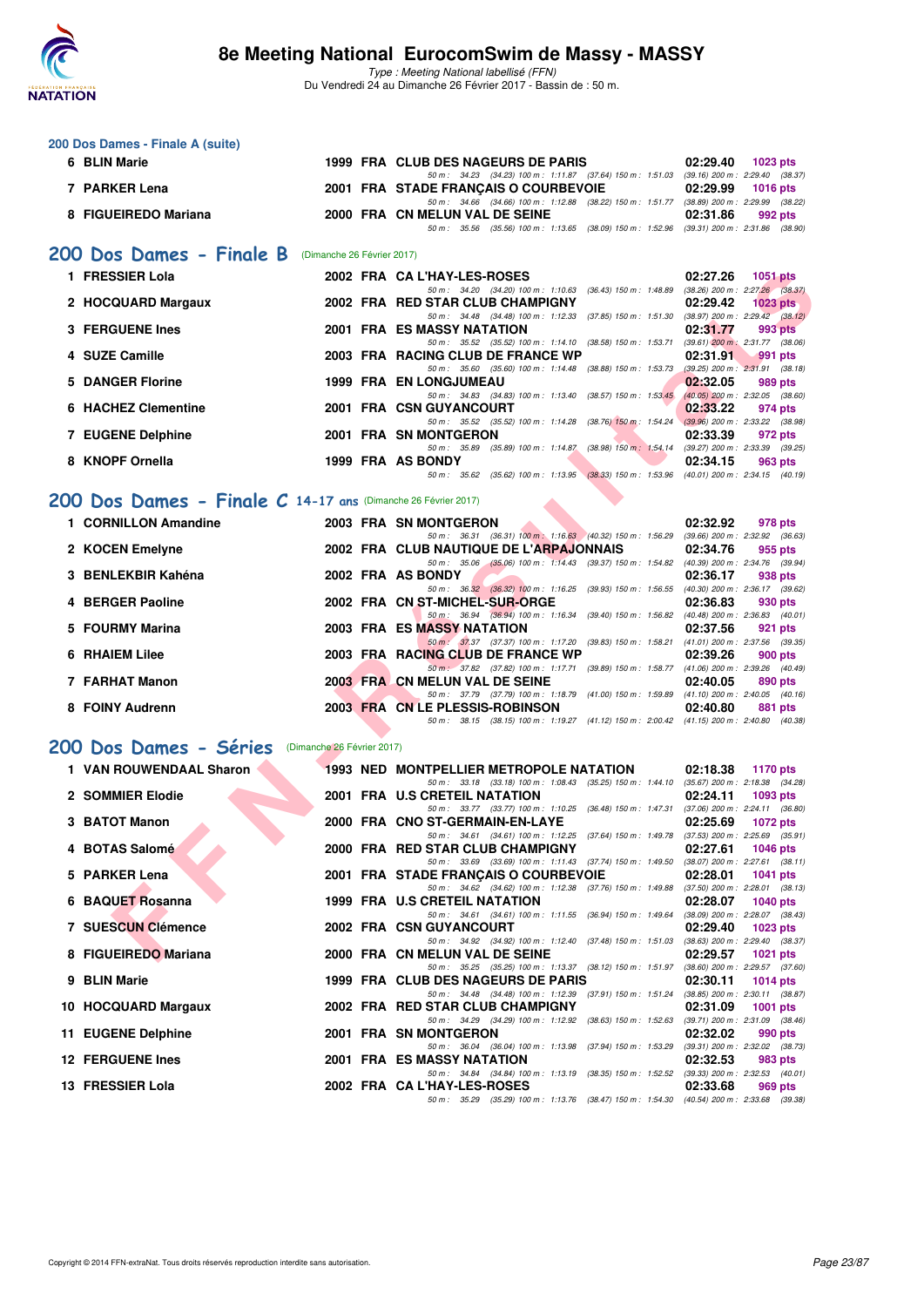

**200 Dos Dames - Finale A (suite)**

### **8e Meeting National EurocomSwim de Massy - MASSY**

| 6 BLIN Marie                                                  |  | 1999 FRA CLUB DES NAGEURS DE PARIS                                                                                                  | 02:29.40<br>1023 pts                                                |
|---------------------------------------------------------------|--|-------------------------------------------------------------------------------------------------------------------------------------|---------------------------------------------------------------------|
| 7 PARKER Lena                                                 |  | 50 m: 34.23 (34.23) 100 m: 1:11.87 (37.64) 150 m: 1:51.03 (39.16) 200 m: 2:29.40 (38.37)<br>2001 FRA STADE FRANCAIS O COURBEVOIE    | 02:29.99<br>1016 pts                                                |
| 8 FIGUEIREDO Mariana                                          |  | 50 m: 34.66 (34.66) 100 m: 1:12.88 (38.22) 150 m: 1:51.77 (38.89) 200 m: 2:29.99 (38.22)<br>2000 FRA CN MELUN VAL DE SEINE          | 02:31.86<br>992 pts                                                 |
|                                                               |  | 50 m: 35.56 (35.56) 100 m: 1:13.65 (38.09) 150 m: 1:52.96 (39.31) 200 m: 2:31.86 (38.90)                                            |                                                                     |
| 200 Dos Dames - Finale B (Dimanche 26 Février 2017)           |  |                                                                                                                                     |                                                                     |
| 1 FRESSIER Lola                                               |  | 2002 FRA CAL'HAY-LES-ROSES                                                                                                          | 02:27.26<br><b>1051 pts</b>                                         |
| 2 HOCQUARD Margaux                                            |  | 50 m: 34.20 (34.20) 100 m: 1:10.63 (36.43) 150 m: 1:48.89 (38.26) 200 m: 2:27.26 (38.37)<br>2002 FRA RED STAR CLUB CHAMPIGNY        | 02:29.42<br>$1023$ pts                                              |
|                                                               |  | 50 m: 34.48 (34.48) 100 m: 1:12.33 (37.85) 150 m: 1:51.30 (38.97) 200 m: 2:29.42 (38.12)                                            |                                                                     |
| <b>3 FERGUENE Ines</b>                                        |  | <b>2001 FRA ES MASSY NATATION</b><br>50 m: 35.52 (35.52) 100 m: 1:14.10 (38.58) 150 m: 1:53.71 (39.61) 200 m: 2:31.77 (38.06)       | 02:31.77<br>993 pts                                                 |
| 4 SUZE Camille                                                |  | 2003 FRA RACING CLUB DE FRANCE WP<br>50 m: 35.60 (35.60) 100 m: 1:14.48 (38.88) 150 m: 1:53.73 (39.25) 200 m: 2:31.91 (38.18)       | 02:31.91<br>991 pts                                                 |
| 5 DANGER Florine                                              |  | 1999 FRA EN LONGJUMEAU                                                                                                              | 02:32.05<br>989 pts                                                 |
| 6 HACHEZ Clementine                                           |  | 50 m: 34.83 (34.83) 100 m: 1:13.40 (38.57) 150 m: 1:53.45 (40.05) 200 m: 2:32.05 (38.60)<br>2001 FRA CSN GUYANCOURT                 | 02:33.22<br>974 pts                                                 |
| 7 EUGENE Delphine                                             |  | 50 m: 35.52 (35.52) 100 m: 1:14.28 (38.76) 150 m: 1:54.24 (39.96) 200 m: 2:33.22 (38.98)<br>2001 FRA SN MONTGERON                   | 02:33.39                                                            |
|                                                               |  | 50 m: 35.89 (35.89) 100 m: 1:14.87 (38.98) 150 m: 1:54.14 (39.27) 200 m: 2:33.39 (39.25)                                            | 972 pts                                                             |
| 8 KNOPF Ornella                                               |  | 1999 FRA AS BONDY<br>50 m: 35.62 (35.62) 100 m: 1:13.95 (38.33) 150 m: 1:53.96 (40.01) 200 m: 2:34.15 (40.19)                       | 02:34.15<br>963 pts                                                 |
| 200 Dos Dames - Finale C 14-17 ans (Dimanche 26 Février 2017) |  |                                                                                                                                     |                                                                     |
|                                                               |  |                                                                                                                                     |                                                                     |
| 1 CORNILLON Amandine                                          |  | 2003 FRA SN MONTGERON<br>50 m: 36.31 (36.31) 100 m: 1:16.63 (40.32) 150 m: 1:56.29 (39.66) 200 m: 2:32.92 (36.63)                   | 02:32.92<br>978 pts                                                 |
| 2 KOCEN Emelyne                                               |  | 2002 FRA CLUB NAUTIQUE DE L'ARPAJONNAIS<br>50 m: 35.06 (35.06) 100 m: 1:14.43 (39.37) 150 m: 1:54.82 (40.39) 200 m: 2:34.76 (39.94) | 02:34.76<br>955 pts                                                 |
| 3 BENLEKBIR Kahéna                                            |  | 2002 FRA AS BONDY                                                                                                                   | 02:36.17<br>938 pts                                                 |
| 4 BERGER Paoline                                              |  | 50 m: 36.32 (36.32) 100 m: 1:16.25 (39.93) 150 m: 1:56.55 (40.30) 200 m: 2:36.17 (39.62)<br>2002 FRA CN ST-MICHEL-SUR-ORGE          | 02:36.83<br>930 pts                                                 |
| 5 FOURMY Marina                                               |  | 50 m: 36.94 (36.94) 100 m: 1:16.34 (39.40) 150 m: 1:56.82 (40.48) 200 m: 2:36.83 (40.01)<br><b>2003 FRA ES MASSY NATATION</b>       | 02:37.56                                                            |
|                                                               |  | 50 m: 37.37 (37.37) 100 m: 1:17.20 (39.83) 150 m: 1:58.21 (41.01) 200 m: 2:37.56 (39.35)                                            | 921 pts                                                             |
| <b>6 RHAIEM Lilee</b>                                         |  | 2003 FRA RACING CLUB DE FRANCE WP<br>50 m: 37.82 (37.82) 100 m: 1:17.71 (39.89) 150 m: 1:58.77 (41.06) 200 m: 2:39.26 (40.49)       | 02:39.26<br>900 pts                                                 |
| 7 FARHAT Manon                                                |  | 2003 FRA CN MELUN VAL DE SEINE                                                                                                      | 02:40.05<br>890 pts                                                 |
| 8 FOINY Audrenn                                               |  | 50 m: 37.79 (37.79) 100 m: 1:18.79 (41.00) 150 m: 1:59.89 (41.10) 200 m: 2:40.05 (40.16)<br>2003 FRA CN LE PLESSIS-ROBINSON         | 02:40.80<br>881 pts                                                 |
|                                                               |  | 50 m: 38.15 (38.15) 100 m: 1:19.27 (41.12) 150 m: 2:00.42 (41.15) 200 m: 2:40.80 (40.38)                                            |                                                                     |
| 200 Dos Dames - Séries (Dimanche 26 Février 2017)             |  |                                                                                                                                     |                                                                     |
| 1 VAN ROUWENDAAL Sharon                                       |  | 1993 NED MONTPELLIER METROPOLE NATATION                                                                                             | 02:18.38<br>1170 pts                                                |
| 2 SOMMIER Elodie                                              |  | 50 m: 33.18 (33.18) 100 m: 1:08.43 (35.25) 150 m: 1:44.10 (35.67) 200 m: 2:18.38 (34.28)<br>2001 FRA U.S CRETEIL NATATION           | 02:24.11<br>1093 pts                                                |
| 3 BATOT Manon                                                 |  | 50 m: 33.77 (33.77) 100 m: 1:10.25 (36.48) 150 m: 1:47.31 (37.06) 200 m: 2:24.11 (36.80)<br>2000 FRA CNO ST-GERMAIN-EN-LAYE         |                                                                     |
|                                                               |  | 50 m: 34.61 (34.61) 100 m: 1:12.25 (37.64) 150 m: 1:49.78 (37.53) 200 m: 2:25.69 (35.91)                                            | 02:25.69<br>1072 pts                                                |
| 4 BOTAS Salomé                                                |  | 2000 FRA RED STAR CLUB CHAMPIGNY<br>50 m: 33.69 (33.69) 100 m: 1:11.43 (37.74) 150 m: 1:49.50                                       | 02:27.61<br><b>1046 pts</b><br>$(38.07)$ 200 m : 2:27.61 $(38.11)$  |
| 5 PARKER Lena                                                 |  | 2001 FRA STADE FRANÇAIS O COURBEVOIE                                                                                                | 02:28.01<br><b>1041 pts</b>                                         |
| 6 BAQUET Rosanna                                              |  | 50 m: 34.62 (34.62) 100 m: 1:12.38 (37.76) 150 m: 1:49.88 (37.50) 200 m: 2:28.01 (38.13)<br>1999 FRA U.S CRETEIL NATATION           | 02:28.07<br>1040 pts                                                |
| 7 SUESCUN Clémence                                            |  | 50 m: 34.61 (34.61) 100 m: 1:11.55 (36.94) 150 m: 1:49.64 (38.09) 200 m: 2:28.07 (38.43)<br>2002 FRA CSN GUYANCOURT                 | 02:29.40<br>1023 pts                                                |
|                                                               |  | 50 m: 34.92 (34.92) 100 m: 1:12.40 (37.48) 150 m: 1:51.03 (38.63) 200 m: 2:29.40 (38.37)                                            |                                                                     |
| 8 FIGUEIREDO Mariana                                          |  | 2000 FRA CN MELUN VAL DE SEINE<br>50 m: 35.25 (35.25) 100 m: 1:13.37 (38.12) 150 m: 1:51.97 (38.60) 200 m: 2:29.57 (37.60)          | 02:29.57<br>1021 pts                                                |
| 9 BLIN Marie                                                  |  | 1999 FRA CLUB DES NAGEURS DE PARIS                                                                                                  | 02:30.11<br><b>1014 pts</b>                                         |
| 10 HOCQUARD Margaux                                           |  | 50 m : 34.48 (34.48) 100 m : 1:12.39 (37.91) 150 m : 1:51.24<br>2002 FRA RED STAR CLUB CHAMPIGNY                                    | $(38.85) 200 \text{ m}$ : 2:30.11 $(38.87)$<br>02:31.09<br>1001 pts |
| 11 EUGENE Delphine                                            |  | 50 m: 34.29 (34.29) 100 m: 1:12.92 (38.63) 150 m: 1:52.63 (39.71) 200 m: 2:31.09 (38.46)<br>2001 FRA SN MONTGERON                   | 02:32.02<br>990 pts                                                 |
|                                                               |  | 50 m : 36.04 (36.04) 100 m : 1:13.98 (37.94) 150 m : 1:53.29                                                                        | $(39.31)$ 200 m : 2:32.02 $(38.73)$                                 |
| <b>12 FERGUENE Ines</b>                                       |  | 2001 FRA ES MASSY NATATION<br>50 m: 34.84 (34.84) 100 m: 1:13.19 (38.35) 150 m: 1:52.52 (39.33) 200 m: 2:32.53 (40.01)              | 02:32.53<br>983 pts                                                 |
| 13 FRESSIER Lola                                              |  | 2002 FRA CA L'HAY-LES-ROSES                                                                                                         | 02:33.68<br>969 pts                                                 |
|                                                               |  | 50 m: 35.29 (35.29) 100 m: 1:13.76 (38.47) 150 m: 1:54.30 (40.54) 200 m: 2:33.68 (39.38)                                            |                                                                     |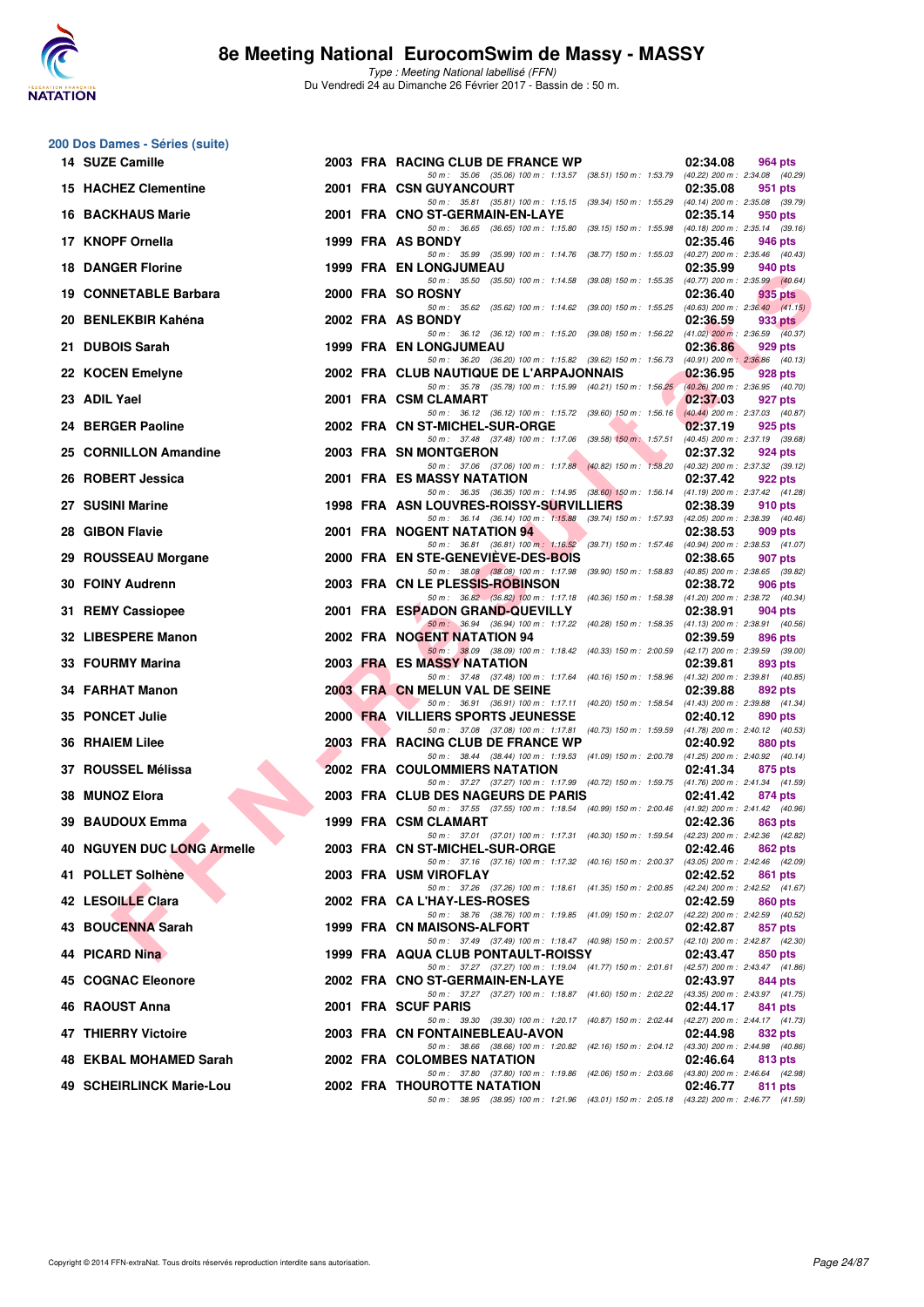

|    | 200 Dos Dames - Séries (suite) |  |                                                                                                                                     |                                                 |         |         |
|----|--------------------------------|--|-------------------------------------------------------------------------------------------------------------------------------------|-------------------------------------------------|---------|---------|
|    | 14 SUZE Camille                |  | 2003 FRA RACING CLUB DE FRANCE WP                                                                                                   | 02:34.08                                        | 964 pts |         |
|    | <b>15 HACHEZ Clementine</b>    |  | 50 m: 35.06 (35.06) 100 m: 1:13.57 (38.51) 150 m: 1:53.79 (40.22) 200 m: 2:34.08 (40.29)<br>2001 FRA CSN GUYANCOURT                 | 02:35.08                                        | 951 pts |         |
|    | <b>16 BACKHAUS Marie</b>       |  | 50 m: 35.81 (35.81) 100 m: 1:15.15 (39.34) 150 m: 1:55.29 (40.14) 200 m: 2:35.08 (39.79)<br>2001 FRA CNO ST-GERMAIN-EN-LAYE         | 02:35.14                                        | 950 pts |         |
|    | 17 KNOPF Ornella               |  | 50 m: 36.65 (36.65) 100 m: 1:15.80 (39.15) 150 m: 1:55.98<br>1999 FRA AS BONDY                                                      | $(40.18)$ 200 m : 2:35.14 $(39.16)$<br>02:35.46 | 946 pts |         |
|    | <b>18 DANGER Florine</b>       |  | 50 m: 35.99 (35.99) 100 m: 1:14.76 (38.77) 150 m: 1:55.03<br>1999 FRA EN LONGJUMEAU                                                 | (40.27) 200 m : 2:35.46 (40.43)<br>02:35.99     | 940 pts |         |
|    | 19 CONNETABLE Barbara          |  | 50 m: 35.50 (35.50) 100 m: 1:14.58 (39.08) 150 m: 1:55.35<br>2000 FRA SO ROSNY                                                      | (40.77) 200 m : 2:35.99 (40.64)<br>02:36.40     |         |         |
|    |                                |  | 50 m : 35.62 (35.62) 100 m : 1:14.62 (39.00) 150 m : 1:55.25                                                                        | $(40.63)$ 200 m : 2:36.40 $(41.15)$             | 935 pts |         |
|    | 20 BENLEKBIR Kahéna            |  | 2002 FRA AS BONDY<br>50 m: 36.12 (36.12) 100 m: 1:15.20 (39.08) 150 m: 1:56.22 (41.02) 200 m: 2:36.59 (40.37)                       | 02:36.59                                        |         | 933 pts |
|    | 21 DUBOIS Sarah                |  | <b>1999 FRA EN LONGJUMEAU</b><br>50 m: 36.20 (36.20) 100 m: 1:15.82 (39.62) 150 m: 1:56.73 (40.91) 200 m: 2:36.86 (40.13)           | 02:36.86                                        | 929 pts |         |
|    | 22 KOCEN Emelyne               |  | 2002 FRA CLUB NAUTIQUE DE L'ARPAJONNAIS<br>50 m: 35.78 (35.78) 100 m: 1:15.99 (40.21) 150 m: 1:56.25                                | 02:36.95<br>(40.26) 200 m : 2:36.95 (40.70)     | 928 pts |         |
|    | 23 ADIL Yael                   |  | 2001 FRA CSM CLAMART<br>50 m: 36.12 (36.12) 100 m: 1:15.72 (39.60) 150 m: 1:56.16                                                   | 02:37.03<br>$(40.44)$ 200 m : 2:37.03 $(40.87)$ | 927 pts |         |
|    | 24 BERGER Paoline              |  | 2002 FRA CN ST-MICHEL-SUR-ORGE                                                                                                      | 02:37.19                                        | 925 pts |         |
|    | 25 CORNILLON Amandine          |  | 50 m: 37.48 (37.48) 100 m: 1:17.06 (39.58) 150 m: 1:57.51<br>2003 FRA SN MONTGERON                                                  | (40.45) 200 m : 2:37.19 (39.68)<br>02:37.32     | 924 pts |         |
|    | 26 ROBERT Jessica              |  | 50 m: 37.06 (37.06) 100 m: 1:17.88 (40.82) 150 m: 1:58.20 (40.32) 200 m: 2:37.32 (39.12)<br>2001 FRA ES MASSY NATATION              | 02:37.42                                        | 922 pts |         |
|    | 27 SUSINI Marine               |  | 50 m: 36.35 (36.35) 100 m: 1:14.95 (38.60) 150 m: 1:56.14 (41.19) 200 m: 2:37.42 (41.28)<br>1998 FRA ASN LOUVRES-ROISSY-SURVILLIERS | 02:38.39                                        | 910 pts |         |
|    | 28 GIBON Flavie                |  | 50 m: 36.14 (36.14) 100 m: 1:15.88 (39.74) 150 m: 1:57.93 (42.05) 200 m: 2:38.39 (40.46)<br>2001 FRA NOGENT NATATION 94             | 02:38.53                                        | 909 pts |         |
|    | 29 ROUSSEAU Morgane            |  | 50 m: 36.81 (36.81) 100 m: 1:16.52 (39.71) 150 m: 1:57.46 (40.94) 200 m: 2:38.53 (41.07)<br>2000 FRA EN STE-GENEVIEVE-DES-BOIS      | 02:38.65                                        | 907 pts |         |
|    | 30 FOINY Audrenn               |  | 50 m: 38.08 (38.08) 100 m: 1:17.98 (39.90) 150 m: 1:58.83<br>2003 FRA CN LE PLESSIS-ROBINSON                                        | (40.85) 200 m : 2:38.65 (39.82)                 | 906 pts |         |
|    |                                |  | 50 m : 36.82 (36.82) 100 m : 1:17.18 (40.36) 150 m : 1:58.38                                                                        | 02:38.72<br>(41.20) 200 m : 2:38.72 (40.34)     |         |         |
|    | 31 REMY Cassiopee              |  | 2001 FRA ESPADON GRAND-QUEVILLY<br>50 m: 36.94 (36.94) 100 m: 1:17.22 (40.28) 150 m: 1:58.35 (41.13) 200 m: 2:38.91 (40.56)         | 02:38.91                                        | 904 pts |         |
|    | 32 LIBESPERE Manon             |  | 2002 FRA NOGENT NATATION 94<br>50 m: 38.09 (38.09) 100 m: 1:18.42 (40.33) 150 m: 2:00.59 (42.17) 200 m: 2:39.59 (39.00)             | 02:39.59                                        | 896 pts |         |
|    | 33 FOURMY Marina               |  | 2003 FRA ES MASSY NATATION<br>50 m: 37.48 (37.48) 100 m: 1:17.64 (40.16) 150 m: 1:58.96 (41.32) 200 m: 2:39.81 (40.85)              | 02:39.81                                        | 893 pts |         |
|    | 34 FARHAT Manon                |  | 2003 FRA CN MELUN VAL DE SEINE<br>50 m: 36.91 (36.91) 100 m: 1:17.11 (40.20) 150 m: 1:58.54 (41.43) 200 m: 2:39.88 (41.34)          | 02:39.88                                        | 892 pts |         |
|    | 35 PONCET Julie                |  | 2000 FRA VILLIERS SPORTS JEUNESSE                                                                                                   | 02:40.12                                        | 890 pts |         |
|    | 36 RHAIEM Lilee                |  | 50 m: 37.08 (37.08) 100 m: 1:17.81 (40.73) 150 m: 1:59.59<br>2003 FRA RACING CLUB DE FRANCE WP                                      | (41.78) 200 m : 2:40.12 (40.53)<br>02:40.92     | 880 pts |         |
| 37 | <b>ROUSSEL Mélissa</b>         |  | 50 m: 38.44 (38.44) 100 m: 1:19.53 (41.09) 150 m: 2:00.78 (41.25) 200 m: 2:40.92 (40.14)<br><b>2002 FRA COULOMMIERS NATATION</b>    | 02:41.34                                        | 875 pts |         |
| 38 | <b>MUNOZ Elora</b>             |  | 50 m: 37.27 (37.27) 100 m: 1:17.99 (40.72) 150 m: 1:59.75 (41.76) 200 m: 2:41.34 (41.59)<br>2003 FRA CLUB DES NAGEURS DE PARIS      | 02:41.42                                        | 874 pts |         |
|    | 39 BAUDOUX Emma                |  | 50 m: 37.55 (37.55) 100 m: 1:18.54 (40.99) 150 m: 2:00.46 (41.92) 200 m: 2:41.42 (40.96)<br>1999 FRA CSM CLAMART                    | 02:42.36                                        | 863 pts |         |
|    | 40 NGUYEN DUC LONG Armelle     |  | 50 m : 37.01 (37.01) 100 m : 1:17.31 (40.30) 150 m : 1:59.54 (42.23) 200 m : 2:42.36 (42.82)<br>2003 FRA CN ST-MICHEL-SUR-ORGE      | 02:42.46                                        | 862 pts |         |
|    | 41 POLLET Solhène              |  | 50 m: 37.16 (37.16) 100 m: 1:17.32 (40.16) 150 m: 2:00.37 (43.05) 200 m: 2:42.46 (42.09)<br>2003 FRA USM VIROFLAY                   | 02:42.52                                        |         |         |
|    |                                |  | 50 m: 37.26 (37.26) 100 m: 1:18.61 (41.35) 150 m: 2:00.85 (42.24) 200 m: 2:42.52 (41.67)                                            |                                                 | 861 pts |         |
|    | 42 LESOILLE Clara              |  | 2002 FRA CAL'HAY-LES-ROSES<br>50 m: 38.76 (38.76) 100 m: 1:19.85 (41.09) 150 m: 2:02.07 (42.22) 200 m: 2:42.59 (40.52)              | 02:42.59                                        | 860 pts |         |
|    | 43 BOUCENNA Sarah              |  | 1999 FRA CN MAISONS-ALFORT<br>50 m: 37.49 (37.49) 100 m: 1:18.47 (40.98) 150 m: 2:00.57 (42.10) 200 m: 2:42.87 (42.30)              | 02:42.87                                        | 857 pts |         |
|    | 44 PICARD Nina                 |  | 1999 FRA AQUA CLUB PONTAULT-ROISSY<br>50 m: 37.27 (37.27) 100 m: 1:19.04 (41.77) 150 m: 2:01.61 (42.57) 200 m: 2:43.47 (41.86)      | 02:43.47                                        | 850 pts |         |
|    | 45 COGNAC Eleonore             |  | 2002 FRA CNO ST-GERMAIN-EN-LAYE<br>50 m: 37.27 (37.27) 100 m: 1:18.87 (41.60) 150 m: 2:02.22 (43.35) 200 m: 2:43.97 (41.75)         | 02:43.97                                        | 844 pts |         |
|    | 46 RAOUST Anna                 |  | 2001 FRA SCUF PARIS                                                                                                                 | 02:44.17                                        | 841 pts |         |
|    | 47 THIERRY Victoire            |  | 50 m: 39.30 (39.30) 100 m: 1:20.17 (40.87) 150 m: 2:02.44 (42.27) 200 m: 2:44.17 (41.73)<br>2003 FRA CN FONTAINEBLEAU-AVON          | 02:44.98                                        | 832 pts |         |
|    | 48 EKBAL MOHAMED Sarah         |  | 50 m: 38.66 (38.66) 100 m: 1:20.82 (42.16) 150 m: 2:04.12 (43.30) 200 m: 2:44.98 (40.86)<br>2002 FRA COLOMBES NATATION              | 02:46.64                                        | 813 pts |         |
|    | 49 SCHEIRLINCK Marie-Lou       |  | 50 m: 37.80 (37.80) 100 m: 1:19.86 (42.06) 150 m: 2:03.66 (43.80) 200 m: 2:46.64 (42.98)<br>2002 FRA THOUROTTE NATATION             | 02:46.77                                        | 811 pts |         |
|    |                                |  | 50 m: 38.95 (38.95) 100 m: 1:21.96 (43.01) 150 m: 2:05.18 (43.22) 200 m: 2:46.77 (41.59)                                            |                                                 |         |         |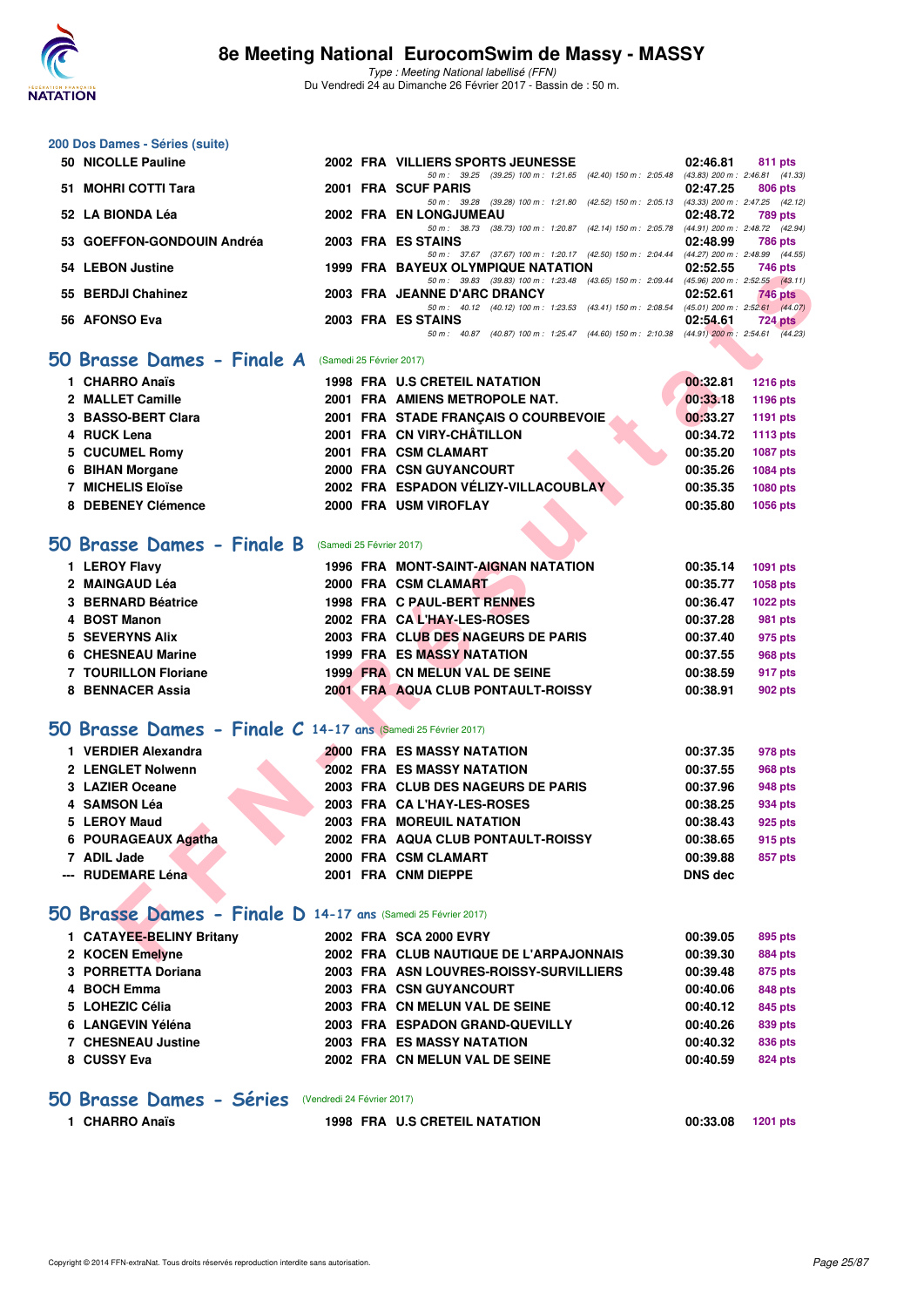

Type : Meeting National labellisé (FFN) Du Vendredi 24 au Dimanche 26 Février 2017 - Bassin de : 50 m.

| 200 Dos Dames - Séries (suite)                                |                          |                                                                                                                                |                             |
|---------------------------------------------------------------|--------------------------|--------------------------------------------------------------------------------------------------------------------------------|-----------------------------|
| 50 NICOLLE Pauline                                            |                          | 2002 FRA VILLIERS SPORTS JEUNESSE                                                                                              | 02:46.81<br>811 pts         |
| 51 MOHRI COTTI Tara                                           |                          | 50 m: 39.25 (39.25) 100 m: 1:21.65 (42.40) 150 m: 2:05.48 (43.83) 200 m: 2:46.81 (41.33)<br>2001 FRA SCUF PARIS                | 02:47.25<br>806 pts         |
| 52 LA BIONDA Léa                                              |                          | 50 m: 39.28 (39.28) 100 m: 1:21.80 (42.52) 150 m: 2:05.13 (43.33) 200 m: 2:47.25 (42.12)<br>2002 FRA EN LONGJUMEAU             | 02:48.72<br>789 pts         |
| 53 GOEFFON-GONDOUIN Andréa                                    |                          | 50 m: 38.73 (38.73) 100 m: 1:20.87 (42.14) 150 m: 2:05.78 (44.91) 200 m: 2:48.72 (42.94)<br>2003 FRA ES STAINS                 | 02:48.99<br>786 pts         |
| 54 LEBON Justine                                              |                          | 50 m: 37.67 (37.67) 100 m: 1:20.17 (42.50) 150 m: 2:04.44 (44.27) 200 m: 2:48.99 (44.55)<br>1999 FRA BAYEUX OLYMPIQUE NATATION | 02:52.55                    |
|                                                               |                          | 50 m: 39.83 (39.83) 100 m: 1:23.48 (43.65) 150 m: 2:09.44 (45.96) 200 m: 2:52.55 (43.11)                                       | 746 pts                     |
| 55 BERDJI Chahinez                                            |                          | 2003 FRA JEANNE D'ARC DRANCY<br>50 m: 40.12 (40.12) 100 m: 1:23.53 (43.41) 150 m: 2:08.54 (45.01) 200 m: 2:52.61 (44.07)       | 02:52.61<br>746 pts         |
| 56 AFONSO Eva                                                 |                          | 2003 FRA ES STAINS<br>50 m: 40.87 (40.87) 100 m: 1:25.47 (44.60) 150 m: 2:10.38 (44.91) 200 m: 2:54.61 (44.23)                 | 02:54.61<br><b>724 pts</b>  |
| 50 Brasse Dames - Finale A                                    | (Samedi 25 Février 2017) |                                                                                                                                |                             |
| 1 CHARRO Anaïs                                                |                          | <b>1998 FRA U.S CRETEIL NATATION</b>                                                                                           | 00:32.81<br><b>1216 pts</b> |
| 2 MALLET Camille                                              |                          | 2001 FRA AMIENS METROPOLE NAT.                                                                                                 | 00:33.18<br>1196 pts        |
| 3 BASSO-BERT Clara                                            |                          | 2001 FRA STADE FRANCAIS O COURBEVOIE                                                                                           | 00:33.27                    |
| 4 RUCK Lena                                                   |                          | 2001 FRA CN VIRY-CHÂTILLON                                                                                                     | 1191 pts<br>00:34.72        |
| 5 CUCUMEL Romy                                                |                          |                                                                                                                                | <b>1113 pts</b>             |
|                                                               |                          | 2001 FRA CSM CLAMART                                                                                                           | 00:35.20<br>1087 pts        |
| 6 BIHAN Morgane                                               |                          | 2000 FRA CSN GUYANCOURT                                                                                                        | 00:35.26<br>1084 pts        |
| 7 MICHELIS Eloïse                                             |                          | 2002 FRA ESPADON VÉLIZY-VILLACOUBLAY                                                                                           | 00:35.35<br>1080 pts        |
| 8 DEBENEY Clémence                                            |                          | 2000 FRA USM VIROFLAY                                                                                                          | 00:35.80<br><b>1056 pts</b> |
| 50 Brasse Dames - Finale B                                    | (Samedi 25 Février 2017) |                                                                                                                                |                             |
| 1 LEROY Flavy                                                 |                          | 1996 FRA MONT-SAINT-AIGNAN NATATION                                                                                            | 00:35.14<br>1091 pts        |
| 2 MAINGAUD Léa                                                |                          | 2000 FRA CSM CLAMART                                                                                                           | 00:35.77<br>1058 pts        |
| 3 BERNARD Béatrice                                            |                          | 1998 FRA C PAUL-BERT RENNES                                                                                                    | 00:36.47<br><b>1022 pts</b> |
| 4 BOST Manon                                                  |                          | 2002 FRA CAL'HAY-LES-ROSES                                                                                                     | 00:37.28<br>981 pts         |
| 5 SEVERYNS Alix                                               |                          | 2003 FRA CLUB DES NAGEURS DE PARIS                                                                                             | 00:37.40<br>975 pts         |
| 6 CHESNEAU Marine                                             |                          | <b>1999 FRA ES MASSY NATATION</b>                                                                                              | 00:37.55<br>968 pts         |
| <b>7 TOURILLON Floriane</b>                                   |                          | 1999 FRA CN MELUN VAL DE SEINE                                                                                                 | 00:38.59<br>917 pts         |
| 8 BENNACER Assia                                              |                          | 2001 FRA AQUA CLUB PONTAULT-ROISSY                                                                                             | 00:38.91<br>902 pts         |
|                                                               |                          |                                                                                                                                |                             |
| 50 Brasse Dames - Finale C 14-17 ans (Samedi 25 Février 2017) |                          |                                                                                                                                |                             |
| 1 VERDIER Alexandra                                           |                          | 2000 FRA ES MASSY NATATION                                                                                                     | 00:37.35<br>978 pts         |
| 2 LENGLET Nolwenn                                             |                          | <b>2002 FRA ES MASSY NATATION</b>                                                                                              | 00:37.55<br>968 pts         |
| 3 LAZIER Oceane                                               |                          | 2003 FRA CLUB DES NAGEURS DE PARIS                                                                                             | 00:37.96<br>948 pts         |
| 4 SAMSON Léa                                                  |                          | 2003 FRA CAL'HAY-LES-ROSES                                                                                                     | 00:38.25<br>934 pts         |
| 5 LEROY Maud                                                  |                          | 2003 FRA MOREUIL NATATION                                                                                                      | 00:38.43<br>925 pts         |
| 6 POURAGEAUX Agatha                                           |                          | 2002 FRA AQUA CLUB PONTAULT-ROISSY                                                                                             | 00:38.65<br>915 pts         |
| 7 ADIL Jade                                                   |                          | 2000 FRA CSM CLAMART                                                                                                           | 00:39.88<br>857 pts         |
| --- RUDEMARE Léna                                             |                          | 2001 FRA CNM DIEPPE                                                                                                            | <b>DNS dec</b>              |
| 50 Brasse Dames - Finale D 14-17 ans (Samedi 25 Février 2017) |                          |                                                                                                                                |                             |
|                                                               |                          |                                                                                                                                |                             |
| 1 CATAYEE-BELINY Britany                                      |                          | 2002 FRA SCA 2000 EVRY                                                                                                         | 00:39.05<br>895 pts         |
| 2 KOCEN Emelyne                                               |                          | 2002 FRA CLUB NAUTIQUE DE L'ARPAJONNAIS                                                                                        | 00:39.30<br>884 pts         |
| 3 PORRETTA Doriana                                            |                          | 2003 FRA ASN LOUVRES-ROISSY-SURVILLIERS                                                                                        | 00:39.48<br>875 pts         |
| 4 BOCH Emma                                                   |                          | <b>2003 FRA CSN GUYANCOURT</b>                                                                                                 | 00:40.06<br>848 pts         |
| 5 LOHEZIC Célia                                               |                          | 2003 FRA CN MELUN VAL DE SEINE                                                                                                 | 00:40.12<br>845 pts         |
| 6 LANGEVIN Yéléna                                             |                          | 2003 FRA ESPADON GRAND-QUEVILLY                                                                                                | 00:40.26<br>839 pts         |
| <b>7 CHESNEAU Justine</b>                                     |                          | 2003 FRA ES MASSY NATATION                                                                                                     | 00:40.32<br>836 pts         |
| 8 CUSSY Eva                                                   |                          | 2002 FRA CN MELUN VAL DE SEINE                                                                                                 | 00:40.59<br>824 pts         |
| 50 Brasse Dames - Séries (Vendredi 24 Février 2017)           |                          |                                                                                                                                |                             |

**1 CHARRO Anaïs 1998 FRA U.S CRETEIL NATATION 00:33.08 1201 pts**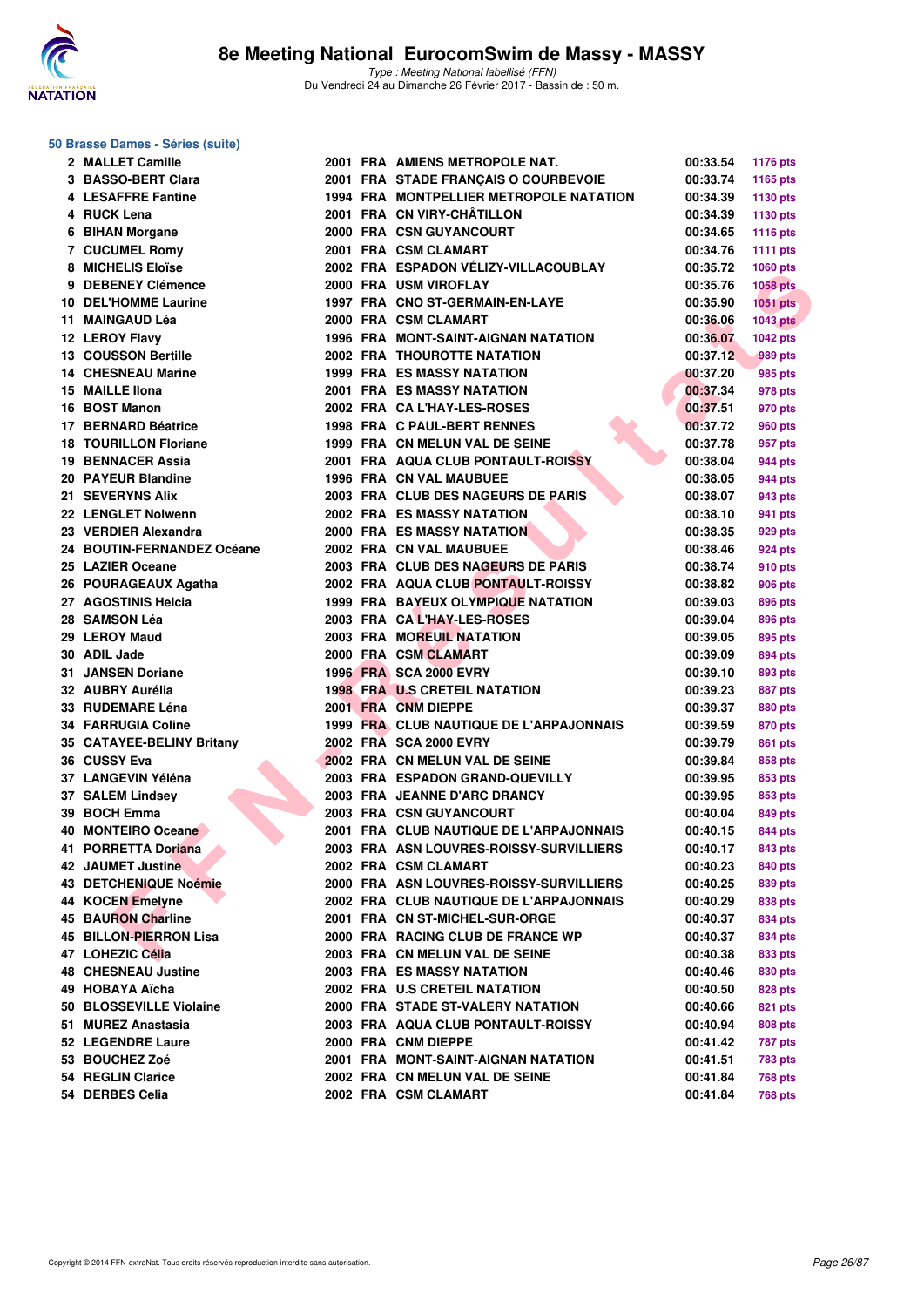

| 50 Brasse Dames - Séries (suite) |  |  |  |
|----------------------------------|--|--|--|
|----------------------------------|--|--|--|

| 2 MALLET Camille                         |  | 2001 FRA AMIENS METROPOLE NAT.                 | 00:33.54             | 1176 pts        |
|------------------------------------------|--|------------------------------------------------|----------------------|-----------------|
| 3 BASSO-BERT Clara                       |  | 2001 FRA STADE FRANÇAIS O COURBEVOIE           | 00:33.74             | 1165 pts        |
| 4 LESAFFRE Fantine                       |  | <b>1994 FRA MONTPELLIER METROPOLE NATATION</b> | 00:34.39             | 1130 pts        |
| 4 RUCK Lena                              |  | 2001 FRA CN VIRY-CHÂTILLON                     | 00:34.39             | 1130 pts        |
| 6 BIHAN Morgane                          |  | 2000 FRA CSN GUYANCOURT                        | 00:34.65             | <b>1116 pts</b> |
| 7 CUCUMEL Romy                           |  | 2001 FRA CSM CLAMART                           | 00:34.76             | 1111 $pts$      |
| 8 MICHELIS Eloïse                        |  | 2002 FRA ESPADON VÉLIZY-VILLACOUBLAY           | 00:35.72             | 1060 pts        |
| 9 DEBENEY Clémence                       |  | 2000 FRA USM VIROFLAY                          | 00:35.76             | <b>1058 pts</b> |
| 10 DEL'HOMME Laurine                     |  | 1997 FRA CNO ST-GERMAIN-EN-LAYE                | 00:35.90             | $1051$ pts      |
| 11 MAINGAUD Léa                          |  | 2000 FRA CSM CLAMART                           | 00:36.06             | 1043 pts        |
| 12 LEROY Flavy                           |  | 1996 FRA MONT-SAINT-AIGNAN NATATION            | 00:36.07             | 1042 pts        |
| 13 COUSSON Bertille                      |  | <b>2002 FRA THOUROTTE NATATION</b>             | 00:37.12             | <b>989 pts</b>  |
| <b>14 CHESNEAU Marine</b>                |  | <b>1999 FRA ES MASSY NATATION</b>              | 00:37.20             | 985 pts         |
| 15 MAILLE IIona                          |  | <b>2001 FRA ES MASSY NATATION</b>              | 00:37.34             | 978 pts         |
| 16 BOST Manon                            |  | 2002 FRA CA L'HAY-LES-ROSES                    | 00:37.51             | 970 pts         |
| 17 BERNARD Béatrice                      |  | 1998 FRA C PAUL-BERT RENNES                    | 00:37.72             | 960 pts         |
| <b>18 TOURILLON Floriane</b>             |  | 1999 FRA CN MELUN VAL DE SEINE                 | 00:37.78             | 957 pts         |
| 19 BENNACER Assia                        |  | 2001 FRA AQUA CLUB PONTAULT-ROISSY             | 00:38.04             | 944 pts         |
| 20 PAYEUR Blandine                       |  | <b>1996 FRA CN VAL MAUBUEE</b>                 | 00:38.05             | 944 pts         |
| 21 SEVERYNS Alix                         |  | 2003 FRA CLUB DES NAGEURS DE PARIS             | 00:38.07             | 943 pts         |
| 22 LENGLET Nolwenn                       |  | <b>2002 FRA ES MASSY NATATION</b>              | 00:38.10             | 941 pts         |
| 23 VERDIER Alexandra                     |  | <b>2000 FRA ES MASSY NATATION</b>              | 00:38.35             | 929 pts         |
| 24 BOUTIN-FERNANDEZ Océane               |  | 2002 FRA CN VAL MAUBUEE                        | 00:38.46             | 924 pts         |
| 25 LAZIER Oceane                         |  | 2003 FRA CLUB DES NAGEURS DE PARIS             | 00:38.74             | 910 pts         |
| 26 POURAGEAUX Agatha                     |  | 2002 FRA AQUA CLUB PONTAULT-ROISSY             | 00:38.82             | 906 pts         |
| 27 AGOSTINIS Helcia                      |  | 1999 FRA BAYEUX OLYMPIQUE NATATION             | 00:39.03             | <b>896 pts</b>  |
| 28   SAMSON Léa                          |  | 2003 FRA CAL'HAY-LES-ROSES                     | 00:39.04             | 896 pts         |
| 29 LEROY Maud                            |  | 2003 FRA MOREUIL NATATION                      | 00:39.05             | 895 pts         |
| 30 ADIL Jade                             |  | 2000 FRA CSM CLAMART                           | 00:39.09             | 894 pts         |
| <b>31 JANSEN Doriane</b>                 |  | <b>1996 FRA SCA 2000 EVRY</b>                  | 00:39.10             | 893 pts         |
| 32 AUBRY Aurélia                         |  | <b>1998 FRA U.S CRETEIL NATATION</b>           | 00:39.23             | 887 pts         |
| 33   RUDEMARE Léna                       |  | 2001 FRA CNM DIEPPE                            | 00:39.37             | 880 pts         |
| 34 FARRUGIA Coline                       |  | 1999 FRA CLUB NAUTIQUE DE L'ARPAJONNAIS        | 00:39.59             | 870 pts         |
| 35 CATAYEE-BELINY Britany                |  | 2002 FRA SCA 2000 EVRY                         | 00:39.79             | 861 pts         |
| 36   CUSSY Eva                           |  | 2002 FRA CN MELUN VAL DE SEINE                 | 00:39.84             | 858 pts         |
| 37 LANGEVIN Yéléna                       |  | 2003 FRA ESPADON GRAND-QUEVILLY                | 00:39.95             | 853 pts         |
| 37 SALEM Lindsey                         |  | 2003 FRA JEANNE D'ARC DRANCY                   | 00:39.95             | 853 pts         |
| 39 BOCH Emma                             |  | 2003 FRA CSN GUYANCOURT                        | 00:40.04             | 849 pts         |
| 40 MONTEIRO Oceane                       |  | 2001 FRA CLUB NAUTIQUE DE L'ARPAJONNAIS        | 00:40.15             | 844 pts         |
| 41 PORRETTA Doriana                      |  | 2003 FRA ASN LOUVRES-ROISSY-SURVILLIERS        | 00:40.17             | 843 pts         |
| 42 JAUMET Justine                        |  | 2002 FRA CSM CLAMART                           | 00:40.23             | 840 pts         |
| 43 DETCHENIQUE Noémie                    |  | 2000 FRA ASN LOUVRES-ROISSY-SURVILLIERS        | 00:40.25             | 839 pts         |
| 44 KOCEN Emelyne                         |  | 2002 FRA CLUB NAUTIQUE DE L'ARPAJONNAIS        | 00:40.29             | 838 pts         |
| 45 BAURON Charline                       |  | 2001 FRA CN ST-MICHEL-SUR-ORGE                 | 00:40.37             | 834 pts         |
| 45 BILLON-PIERRON Lisa                   |  | 2000 FRA RACING CLUB DE FRANCE WP              | 00:40.37             | 834 pts         |
| 47 LOHEZIC Célia                         |  | 2003 FRA CN MELUN VAL DE SEINE                 | 00:40.38             |                 |
|                                          |  | <b>2003 FRA ES MASSY NATATION</b>              |                      | 833 pts         |
| 48 CHESNEAU Justine<br>49   HOBAYA Aïcha |  | 2002 FRA U.S CRETEIL NATATION                  | 00:40.46<br>00:40.50 | 830 pts         |
|                                          |  |                                                |                      | 828 pts         |
| 50 BLOSSEVILLE Violaine                  |  | 2000 FRA STADE ST-VALERY NATATION              | 00:40.66             | 821 pts         |
| 51 MUREZ Anastasia                       |  | 2003 FRA AQUA CLUB PONTAULT-ROISSY             | 00:40.94             | 808 pts         |
| 52 LEGENDRE Laure                        |  | 2000 FRA CNM DIEPPE                            | 00:41.42             | <b>787 pts</b>  |
| 53 BOUCHEZ Zoé                           |  | 2001 FRA MONT-SAINT-AIGNAN NATATION            | 00:41.51             | 783 pts         |
| 54 REGLIN Clarice                        |  | 2002 FRA CN MELUN VAL DE SEINE                 | 00:41.84             | <b>768 pts</b>  |
| 54 DERBES Celia                          |  | 2002 FRA CSM CLAMART                           | 00:41.84             | <b>768 pts</b>  |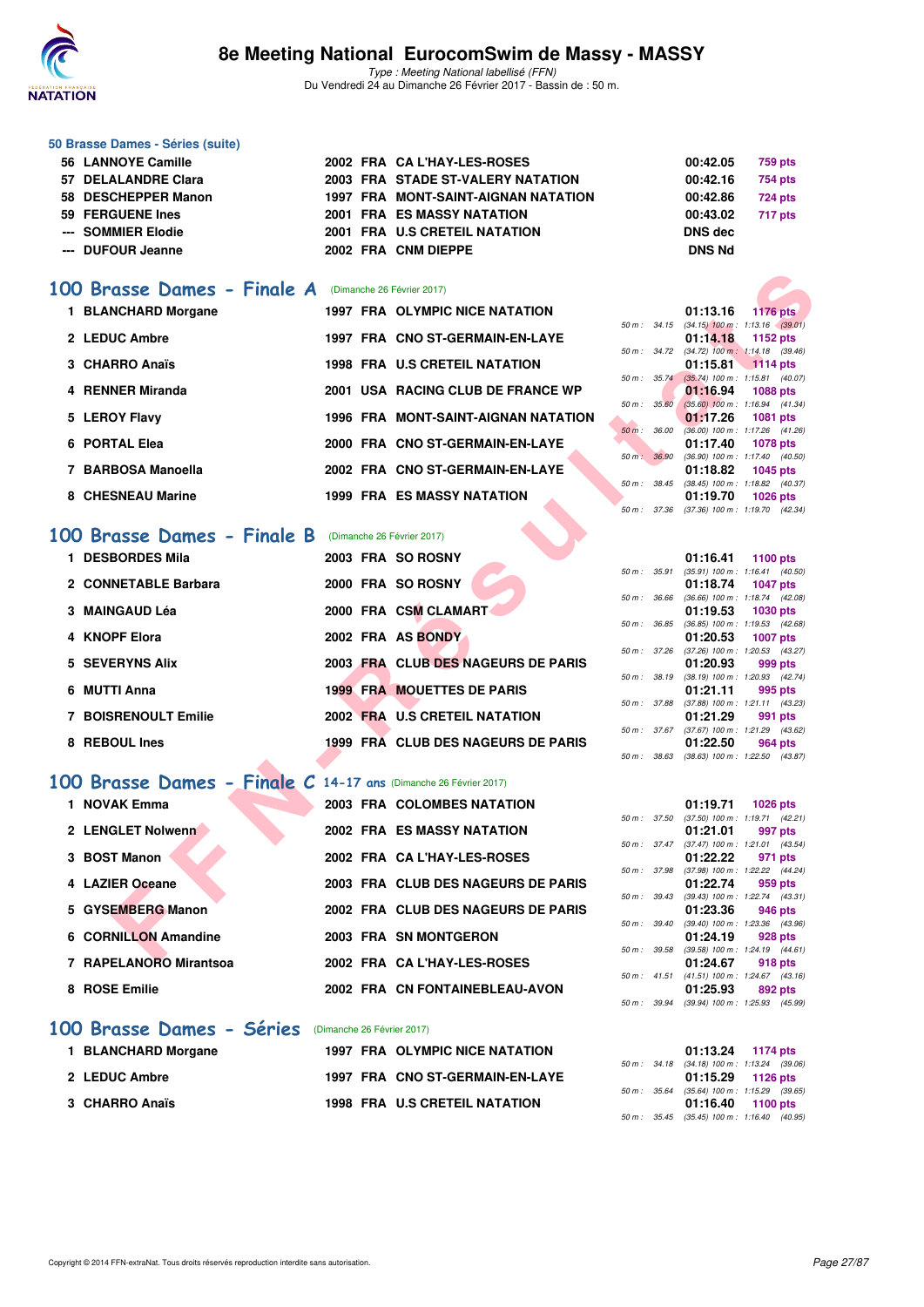

Type : Meeting National labellisé (FFN) Du Vendredi 24 au Dimanche 26 Février 2017 - Bassin de : 50 m.

#### **50 Brasse Dames - Séries (suite)**

| 56 LANNOYE Camille  |  | 2002 FRA CA L'HAY-LES-ROSES         | 00:42.05      | 759 pts |
|---------------------|--|-------------------------------------|---------------|---------|
| 57 DELALANDRE Clara |  | 2003 FRA STADE ST-VALERY NATATION   | 00:42.16      | 754 pts |
| 58 DESCHEPPER Manon |  | 1997 FRA MONT-SAINT-AIGNAN NATATION | 00:42.86      | 724 pts |
| 59 FERGUENE Ines    |  | <b>2001 FRA ES MASSY NATATION</b>   | 00:43.02      | 717 pts |
| --- SOMMIER Elodie  |  | 2001 FRA U.S CRETEIL NATATION       | DNS dec       |         |
| --- DUFOUR Jeanne   |  | 2002 FRA CNM DIEPPE                 | <b>DNS Nd</b> |         |

### [100 Brasse Dames - Finale A](http://www.ffnatation.fr/webffn/resultats.php?idact=nat&go=epr&idcpt=42801&idepr=22) (Dimanche 26 Février 2017)

| 1 BLANCHARD Morgane |  | 1997 FRA OLYMPIC NICE NATATION             |          |                  | 01:13.16                                | <b>1176 pts</b> |  |
|---------------------|--|--------------------------------------------|----------|------------------|-----------------------------------------|-----------------|--|
|                     |  |                                            |          |                  | 50 m: 34.15 (34.15) 100 m: 1:13.16 (39. |                 |  |
| 2 LEDUC Ambre       |  | 1997 FRA CNO ST-GERMAIN-EN-LAYE            |          |                  | 01:14.18                                | 1152 pts        |  |
|                     |  |                                            |          |                  | 50 m: 34.72 (34.72) 100 m: 1:14.18 (39. |                 |  |
| 3 CHARRO Anaïs      |  | <b>1998 FRA U.S CRETEIL NATATION</b>       |          |                  | $01:15.81$ 1114 pts                     |                 |  |
|                     |  |                                            |          |                  | 50 m: 35.74 (35.74) 100 m: 1:15.81 (40. |                 |  |
| 4 RENNER Miranda    |  | 2001 USA RACING CLUB DE FRANCE WP          |          |                  | 01:16.94 1088 pts                       |                 |  |
|                     |  |                                            |          | $50 m$ : $35.60$ | $(35.60)$ 100 m : 1:16.94 (41.          |                 |  |
| 5 LEROY Flavy       |  | <b>1996 FRA MONT-SAINT-AIGNAN NATATION</b> |          |                  | 01:17.26                                | <b>1081 pts</b> |  |
|                     |  |                                            | $50 m$ : | 36.00            | $(36.00)$ 100 m : 1:17.26 (41.          |                 |  |
| 6 PORTAL Elea       |  | 2000 FRA CNO ST-GERMAIN-EN-LAYE            |          |                  | 01:17.40                                | 1078 pts        |  |
|                     |  | 2002 FRA CNO ST-GERMAIN-EN-LAYE            | $50 m$ : | 36.90            | $(36.90)$ 100 m : 1:17.40 (40.          |                 |  |
| 7 BARBOSA Manoella  |  |                                            |          |                  | 01:18.82                                | 1045 pts        |  |
| 8 CHESNEAU Marine   |  | <b>1999 FRA ES MASSY NATATION</b>          |          | 50 m : 38.45     | $(38.45)$ 100 m : 1:18.82 (40.          |                 |  |
|                     |  |                                            |          |                  | 01:19.70                                | 1026 pts        |  |

# **[100 Brasse Dames - Finale B](http://www.ffnatation.fr/webffn/resultats.php?idact=nat&go=epr&idcpt=42801&idepr=22)** (Dimanche 26 Février 2017)

| 00 Brasse Dames - Finale A                                      | (Dimanche 26 Février 2017) |                                       |                          |          |                                                        |
|-----------------------------------------------------------------|----------------------------|---------------------------------------|--------------------------|----------|--------------------------------------------------------|
| 1 BLANCHARD Morgane                                             |                            | <b>1997 FRA OLYMPIC NICE NATATION</b> |                          | 01:13.16 | <b>1176 pts</b>                                        |
|                                                                 |                            |                                       | 50 m: 34.15              |          | $(34.15)$ 100 m : 1:13.16 $(39.01)$                    |
| 2 LEDUC Ambre                                                   |                            | 1997 FRA CNO ST-GERMAIN-EN-LAYE       |                          | 01:14.18 | 1152 pts                                               |
| 3 CHARRO Anaïs                                                  |                            | <b>1998 FRA U.S CRETEIL NATATION</b>  | 50 m : 34.72             | 01:15.81 | $(34.72)$ 100 m : 1:14.18 $(39.46)$<br><b>1114 pts</b> |
|                                                                 |                            |                                       | $50 m$ : $35.74$         |          | $(35.74)$ 100 m : 1:15.81 $(40.07)$                    |
| 4 RENNER Miranda                                                |                            | 2001 USA RACING CLUB DE FRANCE WP     |                          | 01:16.94 | <b>1088 pts</b>                                        |
| 5 LEROY Flavy                                                   |                            | 1996 FRA MONT-SAINT-AIGNAN NATATION   | 50 m: 35.60              | 01:17.26 | $(35.60)$ 100 m : 1:16.94 $(41.34)$<br><b>1081 pts</b> |
|                                                                 |                            |                                       | $50 \text{ m}$ : $36.00$ |          | $(36.00)$ 100 m : 1:17.26 $(41.26)$                    |
| 6 PORTAL Elea                                                   |                            | 2000 FRA CNO ST-GERMAIN-EN-LAYE       |                          | 01:17.40 | <b>1078 pts</b>                                        |
|                                                                 |                            |                                       | 50 m: 36.90              |          | $(36.90)$ 100 m : 1:17.40 $(40.50)$                    |
| 7 BARBOSA Manoella                                              |                            | 2002 FRA CNO ST-GERMAIN-EN-LAYE       | 50 m : 38.45             | 01:18.82 | <b>1045 pts</b><br>$(38.45)$ 100 m : 1:18.82 $(40.37)$ |
| 8 CHESNEAU Marine                                               |                            | <b>1999 FRA ES MASSY NATATION</b>     |                          | 01:19.70 | <b>1026 pts</b>                                        |
|                                                                 |                            |                                       | 50 m: 37.36              |          | $(37.36)$ 100 m : 1:19.70 $(42.34)$                    |
| <b>Brasse Dames - Finale B</b><br>00                            | (Dimanche 26 Février 2017) |                                       |                          |          |                                                        |
| 1 DESBORDES Mila                                                | 2003 FRA SO ROSNY          |                                       |                          | 01:16.41 | <b>1100 pts</b>                                        |
|                                                                 |                            |                                       | 50 m : 35.91             |          | $(35.91)$ 100 m : 1:16.41 $(40.50)$                    |
| 2 CONNETABLE Barbara                                            | 2000 FRA SO ROSNY          |                                       |                          | 01:18.74 | <b>1047 pts</b>                                        |
|                                                                 |                            |                                       | 50 m: 36.66              |          | $(36.66)$ 100 m : 1:18.74 $(42.08)$                    |
| 3 MAINGAUD Léa                                                  | 2000 FRA CSM CLAMART       |                                       | 50 m : 36.85             | 01:19.53 | <b>1030 pts</b><br>$(36.85)$ 100 m : 1:19.53 $(42.68)$ |
| 4 KNOPF Elora                                                   | 2002 FRA AS BONDY          |                                       |                          | 01:20.53 | <b>1007 pts</b>                                        |
|                                                                 |                            |                                       | 50 m : 37.26             |          | $(37.26)$ 100 m : 1:20.53 $(43.27)$                    |
| 5 SEVERYNS Alix                                                 |                            | 2003 FRA CLUB DES NAGEURS DE PARIS    |                          | 01:20.93 | 999 pts                                                |
| 6 MUTTI Anna                                                    |                            | <b>1999 FRA MOUETTES DE PARIS</b>     | 50 m: 38.19              | 01:21.11 | (38.19) 100 m: 1:20.93 (42.74)<br>995 pts              |
|                                                                 |                            |                                       | 50 m : 37.88             |          | $(37.88)$ 100 m : 1:21.11 $(43.23)$                    |
| <b>7 BOISRENOULT Emilie</b>                                     |                            | 2002 FRA U.S CRETEIL NATATION         |                          | 01:21.29 | 991 pts                                                |
|                                                                 |                            | 1999 FRA CLUB DES NAGEURS DE PARIS    | 50 m: 37.67              |          | $(37.67)$ 100 m : 1:21.29 $(43.62)$                    |
| 8 REBOUL Ines                                                   |                            |                                       | 50 m : 38.63             | 01:22.50 | 964 pts<br>$(38.63)$ 100 m : 1:22.50 $(43.87)$         |
|                                                                 |                            |                                       |                          |          |                                                        |
| 00 Brasse Dames - Finale C 14-17 ans (Dimanche 26 Février 2017) |                            |                                       |                          |          |                                                        |
| 1 NOVAK Emma                                                    |                            | 2003 FRA COLOMBES NATATION            |                          | 01:19.71 | <b>1026 pts</b>                                        |
|                                                                 |                            |                                       | 50 m : 37.50             |          | $(37.50)$ 100 m : 1:19.71 $(42.21)$                    |
| 2 LENGLET Nolwenn                                               |                            | 2002 FRA ES MASSY NATATION            |                          | 01:21.01 | 997 pts                                                |
| 3 BOST Manon                                                    |                            | 2002 FRA CAL'HAY-LES-ROSES            | 50 m : 37.47             | 01:22.22 | $(37.47)$ 100 m : 1:21.01 $(43.54)$<br>971 pts         |
|                                                                 |                            |                                       | 50 m: 37.98              |          | (37.98) 100 m: 1:22.22 (44.24)                         |
| 4 LAZIER Oceane                                                 |                            | 2003 FRA CLUB DES NAGEURS DE PARIS    |                          | 01:22.74 | 959 pts                                                |
|                                                                 |                            |                                       | 50 m: 39.43              |          | $(39.43)$ 100 m : 1:22.74 $(43.31)$                    |
| 5 GYSEMBERG Manon                                               |                            | 2002 FRA CLUB DES NAGEURS DE PARIS    | 50 m : 39.40             | 01:23.36 | 946 pts<br>$(39.40)$ 100 m : 1:23.36 $(43.96)$         |
| <b>6 CORNILLON Amandine</b>                                     | 2003 FRA SN MONTGERON      |                                       |                          | 01:24.19 | 928 pts                                                |
| <b>7. DADEL ANODO Missolace</b>                                 |                            | $2002$ EDA, $CM$ FUAVIES DOSES        | 50 m : 39.58             | 04.04.07 | $(39.58)$ 100 m : 1:24.19 $(44.61)$                    |
|                                                                 |                            |                                       |                          |          | 0.40 <sub>1</sub>                                      |

# **[100 Brasse Dames - Finale C](http://www.ffnatation.fr/webffn/resultats.php?idact=nat&go=epr&idcpt=42801&idepr=22) 14-17 ans** (Dimanche 26 Février 2017)

| 1 NOVAK Emma           | 2003 FRA COLOMBES NATATION         |                | 01:19.71<br>1026 pts                                           |
|------------------------|------------------------------------|----------------|----------------------------------------------------------------|
| 2 LENGLET Nolwenn      | 2002 FRA ES MASSY NATATION         |                | 50 m: 37.50 (37.50) 100 m: 1:19.71 (42.<br>01:21.01<br>997 pts |
| 3 BOST Manon           | 2002 FRA CA L'HAY-LES-ROSES        |                | 50 m: 37.47 (37.47) 100 m: 1:21.01 (43.<br>01:22.22<br>971 pts |
| 4 LAZIER Oceane        | 2003 FRA CLUB DES NAGEURS DE PARIS | 50 m : 37.98   | (37.98) 100 m : 1:22.22 (44.<br>01:22.74<br>959 pts            |
| 5 GYSEMBERG Manon      | 2002 FRA CLUB DES NAGEURS DE PARIS |                | 50 m: 39.43 (39.43) 100 m: 1:22.74 (43.<br>01:23.36<br>946 pts |
| 6 CORNILLON Amandine   | 2003 FRA SN MONTGERON              |                | 50 m: 39.40 (39.40) 100 m: 1:23.36 (43.<br>01:24.19<br>928 pts |
| 7 RAPELANORO Mirantsoa | 2002 FRA CAL'HAY-LES-ROSES         |                | 50 m: 39.58 (39.58) 100 m: 1:24.19 (44.<br>01:24.67<br>918 pts |
| 8 ROSE Emilie          | 2002 FRA CN FONTAINEBLEAU-AVON     | $50 m$ : 41.51 | $(41.51)$ 100 m : 1:24.67 (43.<br>01:25.93<br>892 pts          |
|                        |                                    | 50 m : 39.94   | (39.94) 100 m : 1:25.93 (45.                                   |

#### **[100 Brasse Dames - Séries](http://www.ffnatation.fr/webffn/resultats.php?idact=nat&go=epr&idcpt=42801&idepr=22)** (Dimanche 26 Février 2017)

| 1 BLANCHARD Morgane | 1997 FRA OLYMPIC NICE NATATION       |  | 01:13.24 1174 pts                         |          |  |
|---------------------|--------------------------------------|--|-------------------------------------------|----------|--|
|                     |                                      |  | 50 m : 34.18 (34.18) 100 m : 1:13.24 (39. |          |  |
| 2 LEDUC Ambre       | 1997 FRA CNO ST-GERMAIN-EN-LAYE      |  | 01:15.29 1126 pts                         |          |  |
|                     |                                      |  | 50 m : 35.64 (35.64) 100 m : 1:15.29 (39. |          |  |
| 3 CHARRO Anaïs      | <b>1998 FRA U.S CRETEIL NATATION</b> |  | 01:16.40                                  | 1100 pts |  |
|                     |                                      |  |                                           |          |  |

|                  |       | 01:13.16          | 1176 pts            |
|------------------|-------|-------------------|---------------------|
| $50 m$ :         | 34.15 | $(34.15) 100 m$ : | $1:13.16$ (39.01)   |
|                  |       | 01:14.18          | 1152 pts            |
| $50 m$ : 34.72   |       | $(34.72)$ 100 m : | $1:14.18$ (39.46)   |
|                  |       | 01:15.81          | $1114$ pts          |
| $50 m$ :         | 35.74 | $(35.74) 100 m$ : | $1:15.81$ (40.07)   |
|                  |       | 01:16.94          | <b>1088 pts</b>     |
| $50 m$ : $35.60$ |       | $(35.60)$ 100 m : | $1:16.94$ $(41.34)$ |
|                  |       | 01:17.26          | 1081 pts            |
| $50 m$ :         | 36.00 | $(36.00)$ 100 m : | $1:17.26$ $(41.26)$ |
|                  |       | 01:17.40          | 1078 pts            |
| $50 m$ :         | 36.90 | $(36.90)$ 100 m : | $1:17.40$ $(40.50)$ |
|                  |       | 01:18.82          | 1045 pts            |
| $50 m$ : $38.45$ |       | $(38.45)$ 100 m : | $1:18.82$ $(40.37)$ |
|                  |       | 01:19.70          | 1026 pts            |
| 50 m : 37.36     |       | $(37.36)$ 100 m : | $1:19.70$ $(42.34)$ |

|                |              | 01:16.41          | $1100$ pts          |
|----------------|--------------|-------------------|---------------------|
|                | 50 m : 35.91 | $(35.91)$ 100 m : | $1:16.41$ (40.50)   |
|                |              | 01:18.74          | 1047 pts            |
| $50 m$ : 36.66 |              | $(36.66)$ 100 m : | $1:18.74$ $(42.08)$ |
|                |              | 01:19.53          | 1030 pts            |
| 50 m: 36.85    |              | $(36.85)$ 100 m : | $1:19.53$ $(42.68)$ |
|                |              | 01:20.53          | 1007 pts            |
| 50 m :         | 37.26        | $(37.26)$ 100 m : | 1:20.53 (43.27)     |
|                |              |                   |                     |
|                |              | 01:20.93          | 999 pts             |
| 50 m: 38.19    |              | $(38.19) 100 m$ : | $1:20.93$ $(42.74)$ |
|                |              | 01:21.11          | 995 pts             |
| 50 m: 37.88    |              | $(37.88) 100 m$ : | $1:21.11$ $(43.23)$ |
|                |              | 01:21.29          | 991 pts             |
| 50 m: 37.67    |              | $(37.67)$ 100 m : | 1:21.29 (43.62)     |
|                |              | 01:22.50          | 964 pts             |

|                  |                  | 01:19.71                            | $1026$ pts          |  |
|------------------|------------------|-------------------------------------|---------------------|--|
| 50 m: 37.50      |                  | $(37.50)$ 100 m :                   | $1:19.71$ $(42.21)$ |  |
|                  |                  | 01:21.01 997 pts                    |                     |  |
| 50 m: 37.47      |                  | $(37.47)$ 100 m :                   | $1:21.01$ $(43.54)$ |  |
|                  |                  | 01:22.22                            | 971 pts             |  |
| 50 m: 37.98      |                  | $(37.98)$ 100 m :                   | 1:22.22 (44.24)     |  |
|                  |                  | 01:22.74 959 pts                    |                     |  |
| $50 m$ : $39.43$ |                  | $(39.43) 100 m$ :                   | 1:22.74 (43.31)     |  |
|                  |                  | 01:23.36 946 pts                    |                     |  |
| 50 m : 39.40     |                  | $(39.40)$ 100 m :                   | 1:23.36 (43.96)     |  |
|                  |                  | 01:24.19                            | 928 pts             |  |
| 50 m: 39.58      |                  | $(39.58)$ 100 m :                   | $1:24.19$ $(44.61)$ |  |
|                  |                  | 01:24.67 918 pts                    |                     |  |
|                  | $50 m$ : $41.51$ | $(41.51)$ 100 m : 1:24.67 $(43.16)$ |                     |  |
|                  |                  | 01:25.93 892 pts                    |                     |  |
|                  |                  | 50 m : 39.94 (39.94) 100 m :        | 1:25.93 (45.99)     |  |

|  |                                            | 01:13.24 1174 pts |
|--|--------------------------------------------|-------------------|
|  | 50 m: 34.18 (34.18) 100 m: 1:13.24 (39.06) |                   |
|  |                                            | 01:15.29 1126 pts |
|  | 50 m: 35.64 (35.64) 100 m: 1:15.29 (39.65) |                   |
|  |                                            | 01:16.40 1100 pts |
|  | 50 m: 35.45 (35.45) 100 m: 1:16.40 (40.95) |                   |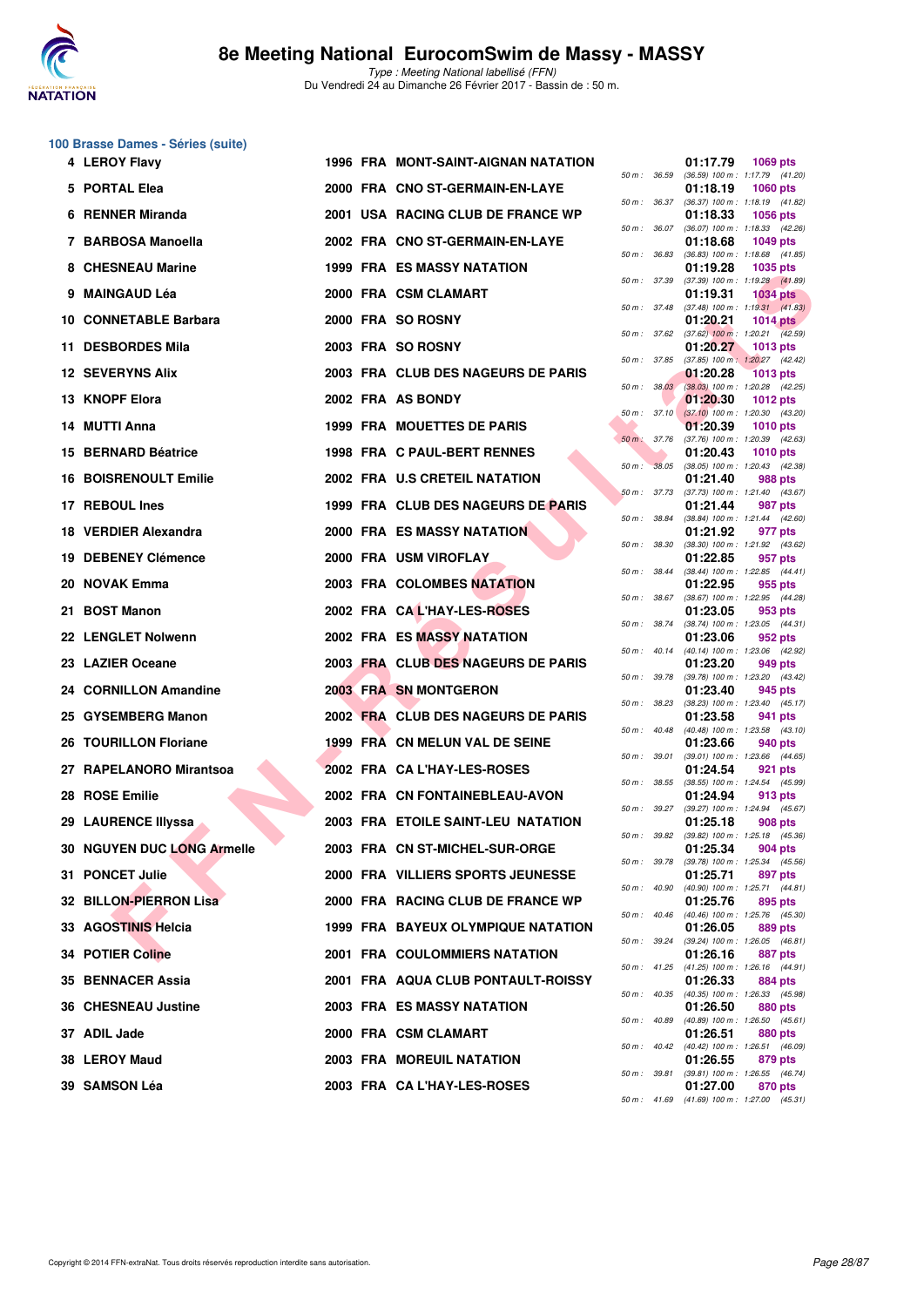

# **100 Brasse Dames - Séries (suite)**

| 4 LEROY Flavy                |  | <b>1996 FRA MONT-SAINT-AIGNAN NATATION</b> |              |                                          | 01:17.79<br>1069 pts                                                      |  |
|------------------------------|--|--------------------------------------------|--------------|------------------------------------------|---------------------------------------------------------------------------|--|
| 5 PORTAL Elea                |  | 2000 FRA CNO ST-GERMAIN-EN-LAYE            |              |                                          | 50 m: 36.59 (36.59) 100 m: 1:17.79 (41.20)<br>01:18.19<br><b>1060 pts</b> |  |
| 6 RENNER Miranda             |  | 2001 USA RACING CLUB DE FRANCE WP          |              | 50 m : 36.37                             | (36.37) 100 m: 1:18.19 (41.82)<br>01:18.33<br><b>1056 pts</b>             |  |
| 7 BARBOSA Manoella           |  | 2002 FRA CNO ST-GERMAIN-EN-LAYE            |              | 50 m : 36.07                             | (36.07) 100 m: 1:18.33 (42.26)<br>01:18.68<br><b>1049 pts</b>             |  |
| 8 CHESNEAU Marine            |  | 1999 FRA ES MASSY NATATION                 |              | 50 m : 36.83                             | $(36.83)$ 100 m : 1:18.68 $(41.85)$<br>01:19.28<br><b>1035 pts</b>        |  |
| 9 MAINGAUD Léa               |  | 2000 FRA CSM CLAMART                       | 50 m : 37.39 |                                          | $(37.39)$ 100 m : 1:19.28 $(41.89)$<br>01:19.31<br><b>1034 pts</b>        |  |
| 10 CONNETABLE Barbara        |  | 2000 FRA SO ROSNY                          |              | 50 m: 37.48                              | $(37.48)$ 100 m : 1:19.31 $(41.83)$<br>01:20.21<br><b>1014 pts</b>        |  |
| 11 DESBORDES Mila            |  | 2003 FRA SO ROSNY                          |              | 50 m : 37.62                             | $(37.62)$ 100 m : 1:20.21 $(42.59)$<br>01:20.27<br>1013 pts               |  |
| <b>12 SEVERYNS Alix</b>      |  | 2003 FRA CLUB DES NAGEURS DE PARIS         |              | 50 m: 37.85                              | $(37.85)$ 100 m : 1:20.27 $(42.42)$<br>01:20.28<br><b>1013 pts</b>        |  |
| 13 KNOPF Elora               |  | 2002 FRA AS BONDY                          |              | 50 m : 38.03                             | $(38.03)$ 100 m : 1:20.28 $(42.25)$<br>01:20.30<br><b>1012 pts</b>        |  |
| 14 MUTTI Anna                |  | 1999 FRA MOUETTES DE PARIS                 |              | 50 m: 37.10                              | $(37.10)$ 100 m : 1:20.30 $(43.20)$<br>01:20.39<br>1010 $pts$             |  |
| 15 BERNARD Béatrice          |  | 1998 FRA C PAUL-BERT RENNES                | 50 m: 37.76  |                                          | $(37.76)$ 100 m : 1:20.39 $(42.63)$<br>01:20.43<br>1010 pts               |  |
| <b>16 BOISRENOULT Emilie</b> |  | 2002 FRA U.S CRETEIL NATATION              |              | 50 m: 38.05                              | $(38.05)$ 100 m : 1:20.43 $(42.38)$<br>01:21.40<br>988 pts                |  |
| 17 REBOUL Ines               |  | 1999 FRA CLUB DES NAGEURS DE PARIS         |              | 50 m: 37.73                              | $(37.73)$ 100 m : 1:21.40 $(43.67)$<br>01:21.44<br>987 pts                |  |
| 18 VERDIER Alexandra         |  | <b>2000 FRA ES MASSY NATATION</b>          |              | 50 m : 38.84                             | $(38.84)$ 100 m : 1:21.44 $(42.60)$<br>01:21.92<br>977 pts                |  |
| 19 DEBENEY Clémence          |  | 2000 FRA USM VIROFLAY                      |              | 50 m : 38.30                             | (38.30) 100 m: 1:21.92 (43.62)<br>01:22.85<br>957 pts                     |  |
| 20 NOVAK Emma                |  | 2003 FRA COLOMBES NATATION                 |              | 50 m : 38.44                             | $(38.44)$ 100 m : 1:22.85 $(44.41)$<br>01:22.95<br>955 pts                |  |
| 21 BOST Manon                |  | 2002 FRA CAL'HAY-LES-ROSES                 |              | 50 m : 38.67                             | $(38.67)$ 100 m : 1:22.95 $(44.28)$<br>01:23.05<br>953 pts                |  |
| 22 LENGLET Nolwenn           |  | 2002 FRA ES MASSY NATATION                 |              | 50 m : 38.74                             | $(38.74)$ 100 m : 1:23.05 $(44.31)$<br>01:23.06<br>952 pts                |  |
| 23 LAZIER Oceane             |  | 2003 FRA CLUB DES NAGEURS DE PARIS         |              | 50 m: 40.14                              | (40.14) 100 m: 1:23.06 (42.92)<br>01:23.20<br>949 pts                     |  |
| 24 CORNILLON Amandine        |  | 2003 FRA SN MONTGERON                      |              | 50 m : 39.78                             | (39.78) 100 m: 1:23.20 (43.42)<br>01:23.40<br>945 pts                     |  |
| 25 GYSEMBERG Manon           |  | 2002 FRA CLUB DES NAGEURS DE PARIS         |              | 50 m : 38.23                             | $(38.23)$ 100 m : 1:23.40 $(45.17)$<br>01:23.58<br>941 pts                |  |
| 26 TOURILLON Floriane        |  | 1999 FRA CN MELUN VAL DE SEINE             |              | 50 m : 40.48                             | (40.48) 100 m: 1:23.58 (43.10)<br>01:23.66<br>940 pts                     |  |
| 27 RAPELANORO Mirantsoa      |  | 2002 FRA CA L'HAY-LES-ROSES                |              | 50 m: 39.01                              | (39.01) 100 m : 1:23.66 (44.65)<br>01:24.54<br>921 pts                    |  |
| 28 ROSE Emilie               |  | 2002 FRA CN FONTAINEBLEAU-AVON             |              | 50 m : 38.55                             | (38.55) 100 m : 1:24.54 (45.99)<br>01:24.94<br>913 pts                    |  |
| 29 LAURENCE Illyssa          |  | 2003 FRA ETOILE SAINT-LEU NATATION         |              |                                          | 50 m: 39.27 (39.27) 100 m: 1:24.94 (45.67)<br>01:25.18<br>908 pts         |  |
| 30 NGUYEN DUC LONG Armelle   |  | 2003 FRA CN ST-MICHEL-SUR-ORGE             |              |                                          | 50 m: 39.82 (39.82) 100 m: 1:25.18 (45.36)<br>01:25.34<br>904 pts         |  |
| 31 PONCET Julie              |  | 2000 FRA VILLIERS SPORTS JEUNESSE          |              |                                          | 50 m: 39.78 (39.78) 100 m: 1:25.34 (45.56)<br>01:25.71<br>897 pts         |  |
| 32 BILLON-PIERRON Lisa       |  | 2000 FRA RACING CLUB DE FRANCE WP          |              | 50 m : 40.90<br>$50 \text{ m}$ : $40.46$ | (40.90) 100 m: 1:25.71 (44.81)<br>01:25.76<br>895 pts                     |  |
| 33 AGOSTINIS Helcia          |  | <b>1999 FRA BAYEUX OLYMPIQUE NATATION</b>  |              |                                          | (40.46) 100 m: 1:25.76 (45.30)<br>01:26.05<br>889 pts                     |  |
| <b>34 POTIER Coline</b>      |  | <b>2001 FRA COULOMMIERS NATATION</b>       |              |                                          | 50 m : 39.24 (39.24) 100 m : 1:26.05 (46.81)<br>01:26.16<br>887 pts       |  |
| 35 BENNACER Assia            |  | 2001 FRA AQUA CLUB PONTAULT-ROISSY         |              | 50 m : 41.25                             | (41.25) 100 m: 1:26.16 (44.91)<br>01:26.33<br>884 pts                     |  |
| 36 CHESNEAU Justine          |  | 2003 FRA ES MASSY NATATION                 |              | 50 m : 40.35                             | (40.35) 100 m : 1:26.33 (45.98)<br>01:26.50<br>880 pts                    |  |
| 37 ADIL Jade                 |  | 2000 FRA CSM CLAMART                       |              |                                          | 50 m : 40.89 (40.89) 100 m : 1:26.50 (45.61)<br>01:26.51<br>880 pts       |  |
| 38 LEROY Maud                |  | 2003 FRA MOREUIL NATATION                  |              |                                          | 50 m: 40.42 (40.42) 100 m: 1:26.51 (46.09)<br>01:26.55<br>879 pts         |  |
| 39 SAMSON Léa                |  | 2003 FRA CA L'HAY-LES-ROSES                |              |                                          | 50 m : 39.81 (39.81) 100 m : 1:26.55 (46.74)<br>01:27.00<br>870 pts       |  |
|                              |  |                                            |              |                                          | 50 m: 41.69 (41.69) 100 m: 1:27.00 (45.31)                                |  |

|          |       | 01:17.79                      | 1069 pts                              |
|----------|-------|-------------------------------|---------------------------------------|
| $50 m$ : | 36.59 | $(36.59)$ 100 m :<br>01:18.19 | 1:17.79<br>(41.20)<br>1060 pts        |
| 50 m :   | 36.37 | $(36.37) 100 m$ :             | 1:18.19<br>(41.82)                    |
| $50 m$ : | 36.07 | 01:18.33                      | 1056 pts<br>1:18.33                   |
|          |       | $(36.07)$ 100 m :<br>01:18.68 | (42.26)<br>1049 pts                   |
| $50 m$ : | 36.83 | $(36.83) 100 m$ :             | 1:18.68<br>(41.85)                    |
| 50 m :   | 37.39 | 01:19.28<br>$(37.39) 100 m$ : | 1035 pts<br>(41.89)<br>1:19.28        |
|          |       | 01:19.31                      | <b>1034 pts</b>                       |
| 50 m :   | 37.48 | $(37.48) 100 m$ :             | 1:19.31<br>(41.83)                    |
| $50 m$ : | 37.62 | 01:20.21<br>$(37.62)$ 100 m : | <b>1014 pts</b><br>1:20.21<br>(42.59) |
|          |       | 01:20.27                      | 1013 pts                              |
| $50 m$ : | 37.85 | $(37.85)$ 100 m :<br>01:20.28 | 1:20.27<br>(42.42)<br><b>1013 pts</b> |
| 50 m :   | 38.03 | $(38.03)$ 100 m :             | 1:20.28<br>(42.25)                    |
| $50 m$ : | 37.10 | 01:20.30<br>$(37.10) 100 m$ : | 1012 pts                              |
|          |       | 01:20.39                      | 1:20.30<br>(43.20)<br><b>1010 pts</b> |
| 50 m :   | 37.76 | $(37.76) 100 m$ :             | 1:20.39<br>(42.63)                    |
| $50 m$ : | 38.05 | 01:20.43<br>$(38.05) 100 m$ : | 1010 pts<br>1:20.43<br>(42.38)        |
|          |       | 01:21.40                      | 988 pts                               |
| $50 m$ : | 37.73 | $(37.73) 100 m$ :<br>01:21.44 | 1:21.40<br>(43.67)                    |
| 50 m :   | 38.84 | (38.84) 100 m :               | <b>987 pts</b><br>1:21.44<br>(42.60)  |
|          |       | 01:21.92                      | 977 pts                               |
| $50 m$ : | 38.30 | $(38.30)$ 100 m :<br>01:22.85 | 1:21.92<br>(43.62)<br>957 pts         |
| $50 m$ : | 38.44 | $(38.44) 100 m$ :             | 1:22.85<br>(44.41)                    |
| 50 m :   | 38.67 | 01:22.95<br>$(38.67) 100 m$ : | 955 pts<br>1:22.95<br>(44.28)         |
|          |       | 01:23.05                      | 953 pts                               |
| $50 m$ : | 38.74 | (38.74) 100 m :               | 1:23.05<br>(44.31)                    |
| $50 m$ : | 40.14 | 01:23.06<br>$(40.14) 100 m$ : | 952 pts<br>1:23.06<br>(42.92)         |
|          |       | 01:23.20                      | 949 pts                               |
| 50 m :   | 39.78 | $(39.78) 100 m$ :<br>01:23.40 | 1:23.20<br>(43.42)<br>945 pts         |
| $50 m$ : | 38.23 | $(38.23)$ 100 m :             | 1:23.40<br>(45.17)                    |
| $50 m$ : | 40.48 | 01:23.58                      | 941<br>pts                            |
|          |       | $(40.48) 100 m$ :<br>01:23.66 | 1:23.58<br>(43.10)<br>940 pts         |
| $50 m$ : | 39.01 | $(39.01)$ 100 m :             | 1:23.66<br>(44.65)                    |
| $50 m$ : | 38.55 | 01:24.54<br>$(38.55)$ 100 m : | 921 pts<br>1:24.54<br>(45.99)         |
|          |       | 01:24.94                      | 913 pts                               |
| $50 m$ : | 39.27 | (39.27) 100 m :<br>01:25.18   | 1:24.94<br>(45.67)<br><b>908 pts</b>  |
| $50 m$ : | 39.82 | $(39.82)$ 100 m :             | 1:25.18<br>(45.36)                    |
|          |       | 01:25.34                      | 904 pts                               |
| $50 m$ : | 39.78 | (39.78) 100 m :<br>01:25.71   | 1:25.34<br>(45.56)<br>897<br>pts      |
| $50 m$ : | 40.90 | $(40.90)$ 100 m :             | 1:25.71<br>(44.81)                    |
| 50 m :   | 40.46 | 01:25.76<br>$(40.46) 100 m$ : | 895 pts<br>1:25.76<br>(45.30)         |
|          |       | 01:26.05                      | <b>889 pts</b>                        |
| $50 m$ : | 39.24 | (39.24) 100 m :<br>01:26.16   | 1:26.05<br>(46.81)                    |
| $50 m$ : | 41.25 | $(41.25)$ 100 m :             | 887 pts<br>1:26.16<br>(44.91)         |
|          |       | 01:26.33                      | 884 pts                               |
| $50 m$ : | 40.35 | (40.35) 100 m :<br>01:26.50   | 1:26.33<br>(45.98)<br>880 pts         |
| $50 m$ : | 40.89 | (40.89) 100 m :               | 1:26.50<br>(45.61)                    |
| $50 m$ : | 40.42 | 01:26.51<br>(40.42) 100 m :   | <b>880 pts</b><br>1:26.51<br>(46.09)  |
|          |       | 01:26.55                      | 879 pts                               |
| 50 m :   | 39.81 | $(39.81)$ 100 m :             | 1:26.55<br>(46.74)                    |
| $50 m$ : | 41.69 | 01:27.00<br>(41.69) 100 m:    | 870 pts<br>1:27.00<br>(45.31)         |
|          |       |                               |                                       |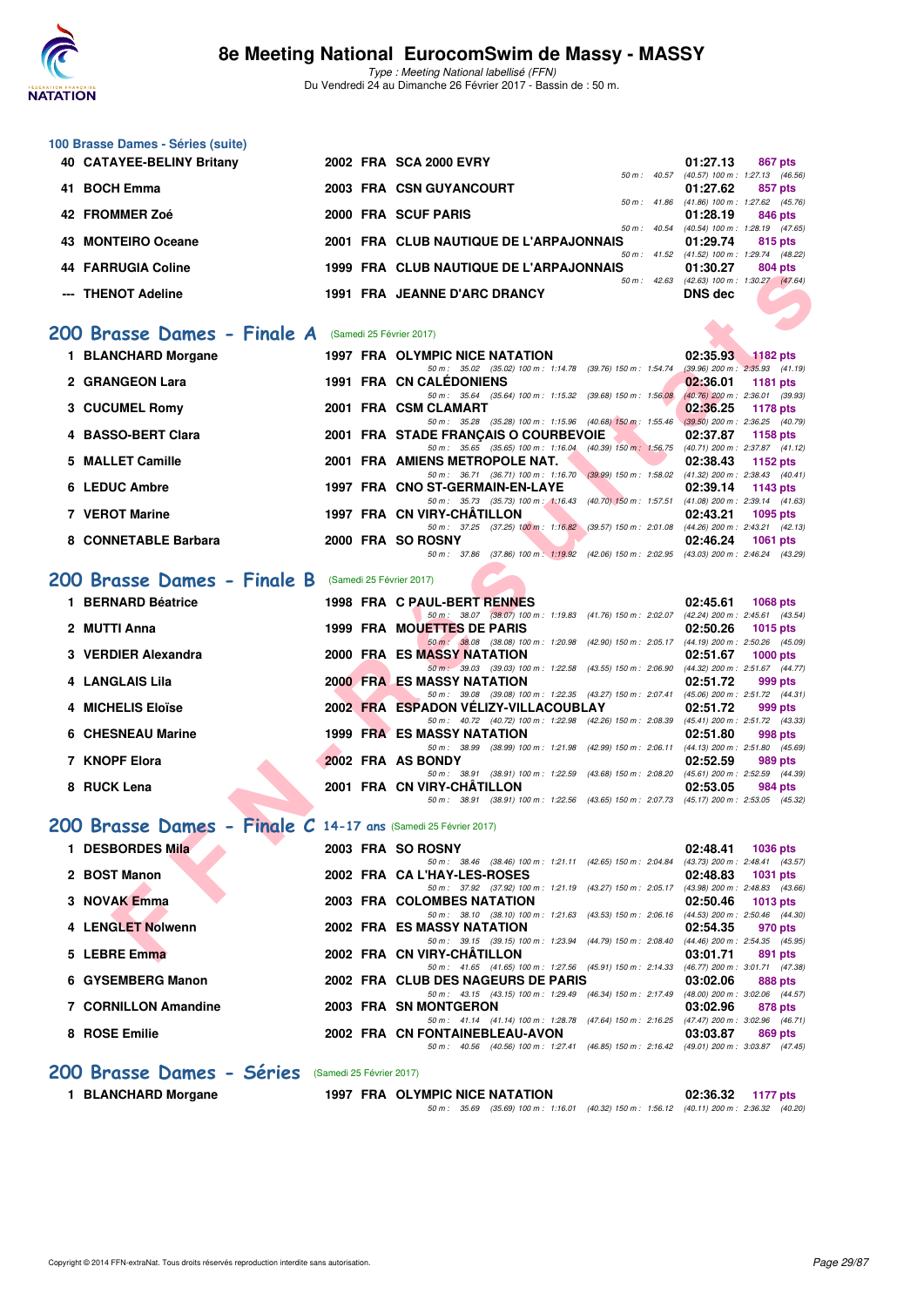

Type : Meeting National labellisé (FFN) Du Vendredi 24 au Dimanche 26 Février 2017 - Bassin de : 50 m.

|                      |                                                                                                                                                                                                                                                                                                                                                                                                                                                                                                                                                                                  |                                                                                                                                                                                                                            | 01:27.13<br>867 pts<br>50 m: 40.57 (40.57) 100 m: 1:27.13 (46.56)                                                                                                                                                                                                                                                                                                                                                                                                                                                                                                                                                                                                                                                                                                                                                                                                                                                                                                                                                                                                                                                                                                                                                                                                                                                                                                                                                                                                                                                                                                                                                                                                                                                                                                                                                                                                                                                                                                                                                                                                                                                                                                                                                                                                                                                                                                                                                                                                                            |
|----------------------|----------------------------------------------------------------------------------------------------------------------------------------------------------------------------------------------------------------------------------------------------------------------------------------------------------------------------------------------------------------------------------------------------------------------------------------------------------------------------------------------------------------------------------------------------------------------------------|----------------------------------------------------------------------------------------------------------------------------------------------------------------------------------------------------------------------------|----------------------------------------------------------------------------------------------------------------------------------------------------------------------------------------------------------------------------------------------------------------------------------------------------------------------------------------------------------------------------------------------------------------------------------------------------------------------------------------------------------------------------------------------------------------------------------------------------------------------------------------------------------------------------------------------------------------------------------------------------------------------------------------------------------------------------------------------------------------------------------------------------------------------------------------------------------------------------------------------------------------------------------------------------------------------------------------------------------------------------------------------------------------------------------------------------------------------------------------------------------------------------------------------------------------------------------------------------------------------------------------------------------------------------------------------------------------------------------------------------------------------------------------------------------------------------------------------------------------------------------------------------------------------------------------------------------------------------------------------------------------------------------------------------------------------------------------------------------------------------------------------------------------------------------------------------------------------------------------------------------------------------------------------------------------------------------------------------------------------------------------------------------------------------------------------------------------------------------------------------------------------------------------------------------------------------------------------------------------------------------------------------------------------------------------------------------------------------------------------|
|                      |                                                                                                                                                                                                                                                                                                                                                                                                                                                                                                                                                                                  |                                                                                                                                                                                                                            | 01:27.62<br>857 pts<br>50 m: 41.86 (41.86) 100 m: 1:27.62 (45.76)                                                                                                                                                                                                                                                                                                                                                                                                                                                                                                                                                                                                                                                                                                                                                                                                                                                                                                                                                                                                                                                                                                                                                                                                                                                                                                                                                                                                                                                                                                                                                                                                                                                                                                                                                                                                                                                                                                                                                                                                                                                                                                                                                                                                                                                                                                                                                                                                                            |
|                      |                                                                                                                                                                                                                                                                                                                                                                                                                                                                                                                                                                                  |                                                                                                                                                                                                                            | 01:28.19<br>846 pts                                                                                                                                                                                                                                                                                                                                                                                                                                                                                                                                                                                                                                                                                                                                                                                                                                                                                                                                                                                                                                                                                                                                                                                                                                                                                                                                                                                                                                                                                                                                                                                                                                                                                                                                                                                                                                                                                                                                                                                                                                                                                                                                                                                                                                                                                                                                                                                                                                                                          |
|                      |                                                                                                                                                                                                                                                                                                                                                                                                                                                                                                                                                                                  |                                                                                                                                                                                                                            | (40.54) 100 m: 1:28.19 (47.65)<br>01:29.74<br>815 pts                                                                                                                                                                                                                                                                                                                                                                                                                                                                                                                                                                                                                                                                                                                                                                                                                                                                                                                                                                                                                                                                                                                                                                                                                                                                                                                                                                                                                                                                                                                                                                                                                                                                                                                                                                                                                                                                                                                                                                                                                                                                                                                                                                                                                                                                                                                                                                                                                                        |
|                      |                                                                                                                                                                                                                                                                                                                                                                                                                                                                                                                                                                                  |                                                                                                                                                                                                                            | 50 m: 41.52 (41.52) 100 m: 1:29.74 (48.22)<br>01:30.27<br>804 pts                                                                                                                                                                                                                                                                                                                                                                                                                                                                                                                                                                                                                                                                                                                                                                                                                                                                                                                                                                                                                                                                                                                                                                                                                                                                                                                                                                                                                                                                                                                                                                                                                                                                                                                                                                                                                                                                                                                                                                                                                                                                                                                                                                                                                                                                                                                                                                                                                            |
|                      |                                                                                                                                                                                                                                                                                                                                                                                                                                                                                                                                                                                  |                                                                                                                                                                                                                            | 50 m: 42.63 (42.63) 100 m: 1:30.27 (47.64)<br><b>DNS</b> dec                                                                                                                                                                                                                                                                                                                                                                                                                                                                                                                                                                                                                                                                                                                                                                                                                                                                                                                                                                                                                                                                                                                                                                                                                                                                                                                                                                                                                                                                                                                                                                                                                                                                                                                                                                                                                                                                                                                                                                                                                                                                                                                                                                                                                                                                                                                                                                                                                                 |
|                      |                                                                                                                                                                                                                                                                                                                                                                                                                                                                                                                                                                                  |                                                                                                                                                                                                                            |                                                                                                                                                                                                                                                                                                                                                                                                                                                                                                                                                                                                                                                                                                                                                                                                                                                                                                                                                                                                                                                                                                                                                                                                                                                                                                                                                                                                                                                                                                                                                                                                                                                                                                                                                                                                                                                                                                                                                                                                                                                                                                                                                                                                                                                                                                                                                                                                                                                                                              |
|                      |                                                                                                                                                                                                                                                                                                                                                                                                                                                                                                                                                                                  |                                                                                                                                                                                                                            |                                                                                                                                                                                                                                                                                                                                                                                                                                                                                                                                                                                                                                                                                                                                                                                                                                                                                                                                                                                                                                                                                                                                                                                                                                                                                                                                                                                                                                                                                                                                                                                                                                                                                                                                                                                                                                                                                                                                                                                                                                                                                                                                                                                                                                                                                                                                                                                                                                                                                              |
|                      |                                                                                                                                                                                                                                                                                                                                                                                                                                                                                                                                                                                  |                                                                                                                                                                                                                            | 02:35.93<br><b>1182 pts</b>                                                                                                                                                                                                                                                                                                                                                                                                                                                                                                                                                                                                                                                                                                                                                                                                                                                                                                                                                                                                                                                                                                                                                                                                                                                                                                                                                                                                                                                                                                                                                                                                                                                                                                                                                                                                                                                                                                                                                                                                                                                                                                                                                                                                                                                                                                                                                                                                                                                                  |
|                      |                                                                                                                                                                                                                                                                                                                                                                                                                                                                                                                                                                                  |                                                                                                                                                                                                                            | $(39.96)$ 200 m : 2:35.93 $(41.19)$<br>02:36.01<br><b>1181 pts</b>                                                                                                                                                                                                                                                                                                                                                                                                                                                                                                                                                                                                                                                                                                                                                                                                                                                                                                                                                                                                                                                                                                                                                                                                                                                                                                                                                                                                                                                                                                                                                                                                                                                                                                                                                                                                                                                                                                                                                                                                                                                                                                                                                                                                                                                                                                                                                                                                                           |
|                      |                                                                                                                                                                                                                                                                                                                                                                                                                                                                                                                                                                                  |                                                                                                                                                                                                                            | (40.76) 200 m : 2:36.01 (39.93)<br>02:36.25<br><b>1178 pts</b>                                                                                                                                                                                                                                                                                                                                                                                                                                                                                                                                                                                                                                                                                                                                                                                                                                                                                                                                                                                                                                                                                                                                                                                                                                                                                                                                                                                                                                                                                                                                                                                                                                                                                                                                                                                                                                                                                                                                                                                                                                                                                                                                                                                                                                                                                                                                                                                                                               |
|                      |                                                                                                                                                                                                                                                                                                                                                                                                                                                                                                                                                                                  |                                                                                                                                                                                                                            | 02:37.87<br>1158 pts                                                                                                                                                                                                                                                                                                                                                                                                                                                                                                                                                                                                                                                                                                                                                                                                                                                                                                                                                                                                                                                                                                                                                                                                                                                                                                                                                                                                                                                                                                                                                                                                                                                                                                                                                                                                                                                                                                                                                                                                                                                                                                                                                                                                                                                                                                                                                                                                                                                                         |
|                      |                                                                                                                                                                                                                                                                                                                                                                                                                                                                                                                                                                                  |                                                                                                                                                                                                                            | 02:38.43<br>1152 pts                                                                                                                                                                                                                                                                                                                                                                                                                                                                                                                                                                                                                                                                                                                                                                                                                                                                                                                                                                                                                                                                                                                                                                                                                                                                                                                                                                                                                                                                                                                                                                                                                                                                                                                                                                                                                                                                                                                                                                                                                                                                                                                                                                                                                                                                                                                                                                                                                                                                         |
|                      |                                                                                                                                                                                                                                                                                                                                                                                                                                                                                                                                                                                  |                                                                                                                                                                                                                            |                                                                                                                                                                                                                                                                                                                                                                                                                                                                                                                                                                                                                                                                                                                                                                                                                                                                                                                                                                                                                                                                                                                                                                                                                                                                                                                                                                                                                                                                                                                                                                                                                                                                                                                                                                                                                                                                                                                                                                                                                                                                                                                                                                                                                                                                                                                                                                                                                                                                                              |
|                      |                                                                                                                                                                                                                                                                                                                                                                                                                                                                                                                                                                                  | 50 m: 35.73 (35.73) 100 m: 1:16.43 (40.70) 150 m: 1:57.51                                                                                                                                                                  | 02:39.14<br>1143 pts<br>$(41.08)$ 200 m : 2:39.14 $(41.63)$                                                                                                                                                                                                                                                                                                                                                                                                                                                                                                                                                                                                                                                                                                                                                                                                                                                                                                                                                                                                                                                                                                                                                                                                                                                                                                                                                                                                                                                                                                                                                                                                                                                                                                                                                                                                                                                                                                                                                                                                                                                                                                                                                                                                                                                                                                                                                                                                                                  |
|                      |                                                                                                                                                                                                                                                                                                                                                                                                                                                                                                                                                                                  |                                                                                                                                                                                                                            | 02:43.21<br>1095 pts<br>(44.26) 200 m : 2:43.21 (42.13)                                                                                                                                                                                                                                                                                                                                                                                                                                                                                                                                                                                                                                                                                                                                                                                                                                                                                                                                                                                                                                                                                                                                                                                                                                                                                                                                                                                                                                                                                                                                                                                                                                                                                                                                                                                                                                                                                                                                                                                                                                                                                                                                                                                                                                                                                                                                                                                                                                      |
|                      |                                                                                                                                                                                                                                                                                                                                                                                                                                                                                                                                                                                  |                                                                                                                                                                                                                            | 02:46.24<br><b>1061 pts</b>                                                                                                                                                                                                                                                                                                                                                                                                                                                                                                                                                                                                                                                                                                                                                                                                                                                                                                                                                                                                                                                                                                                                                                                                                                                                                                                                                                                                                                                                                                                                                                                                                                                                                                                                                                                                                                                                                                                                                                                                                                                                                                                                                                                                                                                                                                                                                                                                                                                                  |
|                      |                                                                                                                                                                                                                                                                                                                                                                                                                                                                                                                                                                                  |                                                                                                                                                                                                                            |                                                                                                                                                                                                                                                                                                                                                                                                                                                                                                                                                                                                                                                                                                                                                                                                                                                                                                                                                                                                                                                                                                                                                                                                                                                                                                                                                                                                                                                                                                                                                                                                                                                                                                                                                                                                                                                                                                                                                                                                                                                                                                                                                                                                                                                                                                                                                                                                                                                                                              |
|                      |                                                                                                                                                                                                                                                                                                                                                                                                                                                                                                                                                                                  |                                                                                                                                                                                                                            | 02:45.61                                                                                                                                                                                                                                                                                                                                                                                                                                                                                                                                                                                                                                                                                                                                                                                                                                                                                                                                                                                                                                                                                                                                                                                                                                                                                                                                                                                                                                                                                                                                                                                                                                                                                                                                                                                                                                                                                                                                                                                                                                                                                                                                                                                                                                                                                                                                                                                                                                                                                     |
|                      |                                                                                                                                                                                                                                                                                                                                                                                                                                                                                                                                                                                  |                                                                                                                                                                                                                            | <b>1068 pts</b>                                                                                                                                                                                                                                                                                                                                                                                                                                                                                                                                                                                                                                                                                                                                                                                                                                                                                                                                                                                                                                                                                                                                                                                                                                                                                                                                                                                                                                                                                                                                                                                                                                                                                                                                                                                                                                                                                                                                                                                                                                                                                                                                                                                                                                                                                                                                                                                                                                                                              |
|                      |                                                                                                                                                                                                                                                                                                                                                                                                                                                                                                                                                                                  |                                                                                                                                                                                                                            | 02:50.26<br><b>1015 pts</b>                                                                                                                                                                                                                                                                                                                                                                                                                                                                                                                                                                                                                                                                                                                                                                                                                                                                                                                                                                                                                                                                                                                                                                                                                                                                                                                                                                                                                                                                                                                                                                                                                                                                                                                                                                                                                                                                                                                                                                                                                                                                                                                                                                                                                                                                                                                                                                                                                                                                  |
|                      |                                                                                                                                                                                                                                                                                                                                                                                                                                                                                                                                                                                  |                                                                                                                                                                                                                            | 02:51.67<br>$1000$ pts<br>(44.32) 200 m : 2:51.67 (44.77)                                                                                                                                                                                                                                                                                                                                                                                                                                                                                                                                                                                                                                                                                                                                                                                                                                                                                                                                                                                                                                                                                                                                                                                                                                                                                                                                                                                                                                                                                                                                                                                                                                                                                                                                                                                                                                                                                                                                                                                                                                                                                                                                                                                                                                                                                                                                                                                                                                    |
|                      |                                                                                                                                                                                                                                                                                                                                                                                                                                                                                                                                                                                  |                                                                                                                                                                                                                            | 02:51.72<br>999 pts                                                                                                                                                                                                                                                                                                                                                                                                                                                                                                                                                                                                                                                                                                                                                                                                                                                                                                                                                                                                                                                                                                                                                                                                                                                                                                                                                                                                                                                                                                                                                                                                                                                                                                                                                                                                                                                                                                                                                                                                                                                                                                                                                                                                                                                                                                                                                                                                                                                                          |
|                      |                                                                                                                                                                                                                                                                                                                                                                                                                                                                                                                                                                                  |                                                                                                                                                                                                                            | 02:51.72<br>999 pts                                                                                                                                                                                                                                                                                                                                                                                                                                                                                                                                                                                                                                                                                                                                                                                                                                                                                                                                                                                                                                                                                                                                                                                                                                                                                                                                                                                                                                                                                                                                                                                                                                                                                                                                                                                                                                                                                                                                                                                                                                                                                                                                                                                                                                                                                                                                                                                                                                                                          |
|                      |                                                                                                                                                                                                                                                                                                                                                                                                                                                                                                                                                                                  |                                                                                                                                                                                                                            | 02:51.80<br>998 pts                                                                                                                                                                                                                                                                                                                                                                                                                                                                                                                                                                                                                                                                                                                                                                                                                                                                                                                                                                                                                                                                                                                                                                                                                                                                                                                                                                                                                                                                                                                                                                                                                                                                                                                                                                                                                                                                                                                                                                                                                                                                                                                                                                                                                                                                                                                                                                                                                                                                          |
|                      |                                                                                                                                                                                                                                                                                                                                                                                                                                                                                                                                                                                  |                                                                                                                                                                                                                            | 02:52.59<br>989 pts                                                                                                                                                                                                                                                                                                                                                                                                                                                                                                                                                                                                                                                                                                                                                                                                                                                                                                                                                                                                                                                                                                                                                                                                                                                                                                                                                                                                                                                                                                                                                                                                                                                                                                                                                                                                                                                                                                                                                                                                                                                                                                                                                                                                                                                                                                                                                                                                                                                                          |
|                      |                                                                                                                                                                                                                                                                                                                                                                                                                                                                                                                                                                                  |                                                                                                                                                                                                                            | 02:53.05<br>984 pts                                                                                                                                                                                                                                                                                                                                                                                                                                                                                                                                                                                                                                                                                                                                                                                                                                                                                                                                                                                                                                                                                                                                                                                                                                                                                                                                                                                                                                                                                                                                                                                                                                                                                                                                                                                                                                                                                                                                                                                                                                                                                                                                                                                                                                                                                                                                                                                                                                                                          |
|                      |                                                                                                                                                                                                                                                                                                                                                                                                                                                                                                                                                                                  |                                                                                                                                                                                                                            |                                                                                                                                                                                                                                                                                                                                                                                                                                                                                                                                                                                                                                                                                                                                                                                                                                                                                                                                                                                                                                                                                                                                                                                                                                                                                                                                                                                                                                                                                                                                                                                                                                                                                                                                                                                                                                                                                                                                                                                                                                                                                                                                                                                                                                                                                                                                                                                                                                                                                              |
|                      |                                                                                                                                                                                                                                                                                                                                                                                                                                                                                                                                                                                  |                                                                                                                                                                                                                            |                                                                                                                                                                                                                                                                                                                                                                                                                                                                                                                                                                                                                                                                                                                                                                                                                                                                                                                                                                                                                                                                                                                                                                                                                                                                                                                                                                                                                                                                                                                                                                                                                                                                                                                                                                                                                                                                                                                                                                                                                                                                                                                                                                                                                                                                                                                                                                                                                                                                                              |
|                      |                                                                                                                                                                                                                                                                                                                                                                                                                                                                                                                                                                                  |                                                                                                                                                                                                                            | 02:48.41<br>1036 pts                                                                                                                                                                                                                                                                                                                                                                                                                                                                                                                                                                                                                                                                                                                                                                                                                                                                                                                                                                                                                                                                                                                                                                                                                                                                                                                                                                                                                                                                                                                                                                                                                                                                                                                                                                                                                                                                                                                                                                                                                                                                                                                                                                                                                                                                                                                                                                                                                                                                         |
|                      |                                                                                                                                                                                                                                                                                                                                                                                                                                                                                                                                                                                  |                                                                                                                                                                                                                            | 02:48.83<br><b>1031 pts</b>                                                                                                                                                                                                                                                                                                                                                                                                                                                                                                                                                                                                                                                                                                                                                                                                                                                                                                                                                                                                                                                                                                                                                                                                                                                                                                                                                                                                                                                                                                                                                                                                                                                                                                                                                                                                                                                                                                                                                                                                                                                                                                                                                                                                                                                                                                                                                                                                                                                                  |
|                      |                                                                                                                                                                                                                                                                                                                                                                                                                                                                                                                                                                                  |                                                                                                                                                                                                                            | 02:50.46<br><b>1013 pts</b>                                                                                                                                                                                                                                                                                                                                                                                                                                                                                                                                                                                                                                                                                                                                                                                                                                                                                                                                                                                                                                                                                                                                                                                                                                                                                                                                                                                                                                                                                                                                                                                                                                                                                                                                                                                                                                                                                                                                                                                                                                                                                                                                                                                                                                                                                                                                                                                                                                                                  |
|                      |                                                                                                                                                                                                                                                                                                                                                                                                                                                                                                                                                                                  | 50 m: 38.10 (38.10) 100 m: 1:21.63 (43.53) 150 m: 2:06.16 (44.53) 200 m: 2:50.46 (44.30)                                                                                                                                   |                                                                                                                                                                                                                                                                                                                                                                                                                                                                                                                                                                                                                                                                                                                                                                                                                                                                                                                                                                                                                                                                                                                                                                                                                                                                                                                                                                                                                                                                                                                                                                                                                                                                                                                                                                                                                                                                                                                                                                                                                                                                                                                                                                                                                                                                                                                                                                                                                                                                                              |
|                      |                                                                                                                                                                                                                                                                                                                                                                                                                                                                                                                                                                                  |                                                                                                                                                                                                                            |                                                                                                                                                                                                                                                                                                                                                                                                                                                                                                                                                                                                                                                                                                                                                                                                                                                                                                                                                                                                                                                                                                                                                                                                                                                                                                                                                                                                                                                                                                                                                                                                                                                                                                                                                                                                                                                                                                                                                                                                                                                                                                                                                                                                                                                                                                                                                                                                                                                                                              |
| 4 LENGLET Nolwenn    |                                                                                                                                                                                                                                                                                                                                                                                                                                                                                                                                                                                  | 2002 FRA ES MASSY NATATION<br>50 m: 39.15 (39.15) 100 m: 1:23.94 (44.79) 150 m: 2:08.40 (44.46) 200 m: 2:54.35 (45.95)                                                                                                     | 02:54.35<br>970 pts                                                                                                                                                                                                                                                                                                                                                                                                                                                                                                                                                                                                                                                                                                                                                                                                                                                                                                                                                                                                                                                                                                                                                                                                                                                                                                                                                                                                                                                                                                                                                                                                                                                                                                                                                                                                                                                                                                                                                                                                                                                                                                                                                                                                                                                                                                                                                                                                                                                                          |
| 5 LEBRE Emma         |                                                                                                                                                                                                                                                                                                                                                                                                                                                                                                                                                                                  | 2002 FRA CN VIRY-CHATILLON<br>50 m: 41.65 (41.65) 100 m: 1:27.56 (45.91) 150 m: 2:14.33 (46.77) 200 m: 3:01.71 (47.38)                                                                                                     | 03:01.71<br>891 pts                                                                                                                                                                                                                                                                                                                                                                                                                                                                                                                                                                                                                                                                                                                                                                                                                                                                                                                                                                                                                                                                                                                                                                                                                                                                                                                                                                                                                                                                                                                                                                                                                                                                                                                                                                                                                                                                                                                                                                                                                                                                                                                                                                                                                                                                                                                                                                                                                                                                          |
| 6 GYSEMBERG Manon    |                                                                                                                                                                                                                                                                                                                                                                                                                                                                                                                                                                                  | 2002 FRA CLUB DES NAGEURS DE PARIS<br>50 m: 43.15 (43.15) 100 m: 1:29.49 (46.34) 150 m: 2:17.49 (48.00) 200 m: 3:02.06 (44.57)                                                                                             | 03:02.06<br>888 pts                                                                                                                                                                                                                                                                                                                                                                                                                                                                                                                                                                                                                                                                                                                                                                                                                                                                                                                                                                                                                                                                                                                                                                                                                                                                                                                                                                                                                                                                                                                                                                                                                                                                                                                                                                                                                                                                                                                                                                                                                                                                                                                                                                                                                                                                                                                                                                                                                                                                          |
| 7 CORNILLON Amandine |                                                                                                                                                                                                                                                                                                                                                                                                                                                                                                                                                                                  | 2003 FRA SN MONTGERON                                                                                                                                                                                                      | 03:02.96<br>878 pts                                                                                                                                                                                                                                                                                                                                                                                                                                                                                                                                                                                                                                                                                                                                                                                                                                                                                                                                                                                                                                                                                                                                                                                                                                                                                                                                                                                                                                                                                                                                                                                                                                                                                                                                                                                                                                                                                                                                                                                                                                                                                                                                                                                                                                                                                                                                                                                                                                                                          |
| 8 ROSE Emilie        |                                                                                                                                                                                                                                                                                                                                                                                                                                                                                                                                                                                  | 50 m: 41.14 (41.14) 100 m: 1:28.78 (47.64) 150 m: 2:16.25 (47.47) 200 m: 3:02.96 (46.71)<br>2002 FRA CN FONTAINEBLEAU-AVON<br>50 m : 40.56 (40.56) 100 m : 1:27.41 (46.85) 150 m : 2:16.42 (49.01) 200 m : 3:03.87 (47.45) | <b>03:03.87</b><br>869 pts                                                                                                                                                                                                                                                                                                                                                                                                                                                                                                                                                                                                                                                                                                                                                                                                                                                                                                                                                                                                                                                                                                                                                                                                                                                                                                                                                                                                                                                                                                                                                                                                                                                                                                                                                                                                                                                                                                                                                                                                                                                                                                                                                                                                                                                                                                                                                                                                                                                                   |
|                      | 100 Brasse Dames - Séries (suite)<br>40 CATAYEE-BELINY Britany<br>41 BOCH Emma<br>42 FROMMER Zoé<br>43 MONTEIRO Oceane<br>44 FARRUGIA Coline<br>--- THENOT Adeline<br>1 BLANCHARD Morgane<br>2 GRANGEON Lara<br>3 CUCUMEL Romy<br>4 BASSO-BERT Clara<br>5 MALLET Camille<br>6 LEDUC Ambre<br>7 VEROT Marine<br>8 CONNETABLE Barbara<br>200 Brasse Dames - Finale B<br>1 BERNARD Béatrice<br>2 MUTTI Anna<br>3 VERDIER Alexandra<br>4 LANGLAIS Lila<br>4 MICHELIS Eloïse<br>6 CHESNEAU Marine<br>7 KNOPF Elora<br>8 RUCK Lena<br>1 DESBORDES Mila<br>2 BOST Manon<br>3 NOVAK Emma |                                                                                                                                                                                                                            | 2002 FRA SCA 2000 EVRY<br>2003 FRA CSN GUYANCOURT<br>2000 FRA SCUF PARIS<br>50 m : 40.54<br>2001 FRA CLUB NAUTIQUE DE L'ARPAJONNAIS<br>1999 FRA CLUB NAUTIQUE DE L'ARPAJONNAIS<br>1991 FRA JEANNE D'ARC DRANCY<br>200 Brasse Dames - Finale A (Samedi 25 Février 2017)<br>1997 FRA OLYMPIC NICE NATATION<br>50 m: 35.02 (35.02) 100 m: 1:14.78 (39.76) 150 m: 1:54.74<br>1991 FRA CN CALEDONIENS<br>50 m: 35.64 (35.64) 100 m: 1:15.32 (39.68) 150 m: 1:56.08<br>2001 FRA CSM CLAMART<br>50 m: 35.28 (35.28) 100 m: 1:15.96 (40.68) 150 m: 1:55.46 (39.50) 200 m: 2:36.25 (40.79)<br>2001 FRA STADE FRANÇAIS O COURBEVOIE<br>50 m: 35.65 (35.65) 100 m: 1:16.04 (40.39) 150 m: 1:56.75 (40.71) 200 m: 2:37.87 (41.12)<br>2001 FRA AMIENS METROPOLE NAT.<br>50 m: 36.71 (36.71) 100 m: 1:16.70 (39.99) 150 m: 1:58.02 (41.32) 200 m: 2:38.43 (40.41)<br>1997 FRA CNO ST-GERMAIN-EN-LAYE<br>1997 FRA CN VIRY-CHATILLON<br>50 m: 37.25 (37.25) 100 m: 1:16.82 (39.57) 150 m: 2:01.08<br>2000 FRA SO ROSNY<br>50 m: 37.86 (37.86) 100 m: 1:19.92 (42.06) 150 m: 2:02.95 (43.03) 200 m: 2:46.24 (43.29)<br>(Samedi 25 Février 2017)<br>1998 FRA C PAUL-BERT RENNES<br>50 m: 38.07 (38.07) 100 m: 1:19.83 (41.76) 150 m: 2:02.07 (42.24) 200 m: 2:45.61 (43.54)<br>1999 FRA MOUETTES DE PARIS<br>50 m: 38.08 (38.08) 100 m: 1:20.98 (42.90) 150 m: 2:05.17 (44.19) 200 m: 2:50.26 (45.09)<br><b>2000 FRA ES MASSY NATATION</b><br>50 m : 39.03 (39.03) 100 m : 1:22.58 (43.55) 150 m : 2:06.90<br><b>2000 FRAMES MASSY NATATION</b><br>50 m: 39.08 (39.08) 100 m: 1:22.35 (43.27) 150 m: 2:07.41 (45.06) 200 m: 2:51.72 (44.31)<br>2002 FRA ESPADON VELIZY-VILLACOUBLAY<br>50 m: 40.72 (40.72) 100 m: 1:22.98 (42.26) 150 m: 2:08.39 (45.41) 200 m: 2:51.72 (43.33)<br><b>1999 FRA ES MASSY NATATION</b><br>50 m: 38.99 (38.99) 100 m: 1:21.98 (42.99) 150 m: 2:06.11 (44.13) 200 m: 2:51.80 (45.69)<br>2002 FRA AS BONDY<br>50 m: 38.91 (38.91) 100 m: 1:22.59 (43.68) 150 m: 2:08.20 (45.61) 200 m: 2:52.59 (44.39)<br>2001 FRA CN VIRY-CHATILLON<br>50 m: 38.91 (38.91) 100 m: 1:22.56 (43.65) 150 m: 2:07.73 (45.17) 200 m: 2:53.05 (45.32)<br>200 Brasse Dames - Finale C 14-17 ans (Samedi 25 Février 2017)<br>2003 FRA SO ROSNY<br>50 m: 38.46 (38.46) 100 m: 1:21.11 (42.65) 150 m: 2:04.84 (43.73) 200 m: 2:48.41 (43.57)<br>2002 FRA CA L'HAY-LES-ROSES<br>50 m: 37.92 (37.92) 100 m: 1:21.19 (43.27) 150 m: 2:05.17 (43.98) 200 m: 2:48.83 (43.66)<br><b>2003 FRA COLOMBES NATATION</b> |

#### **[200 Brasse Dames - Séries](http://www.ffnatation.fr/webffn/resultats.php?idact=nat&go=epr&idcpt=42801&idepr=23)** (Samedi 25 Février 2017)

**1 BLANCHARD Morgane 1997 FRA OLYMPIC NICE NATATION 02:36.32 1177 pts** 50 m : 35.69 (35.69) 100 m : 1:16.01 (40.32) 150 m : 1:56.12 (40.11) 200 m : 2:36.32 (40.20)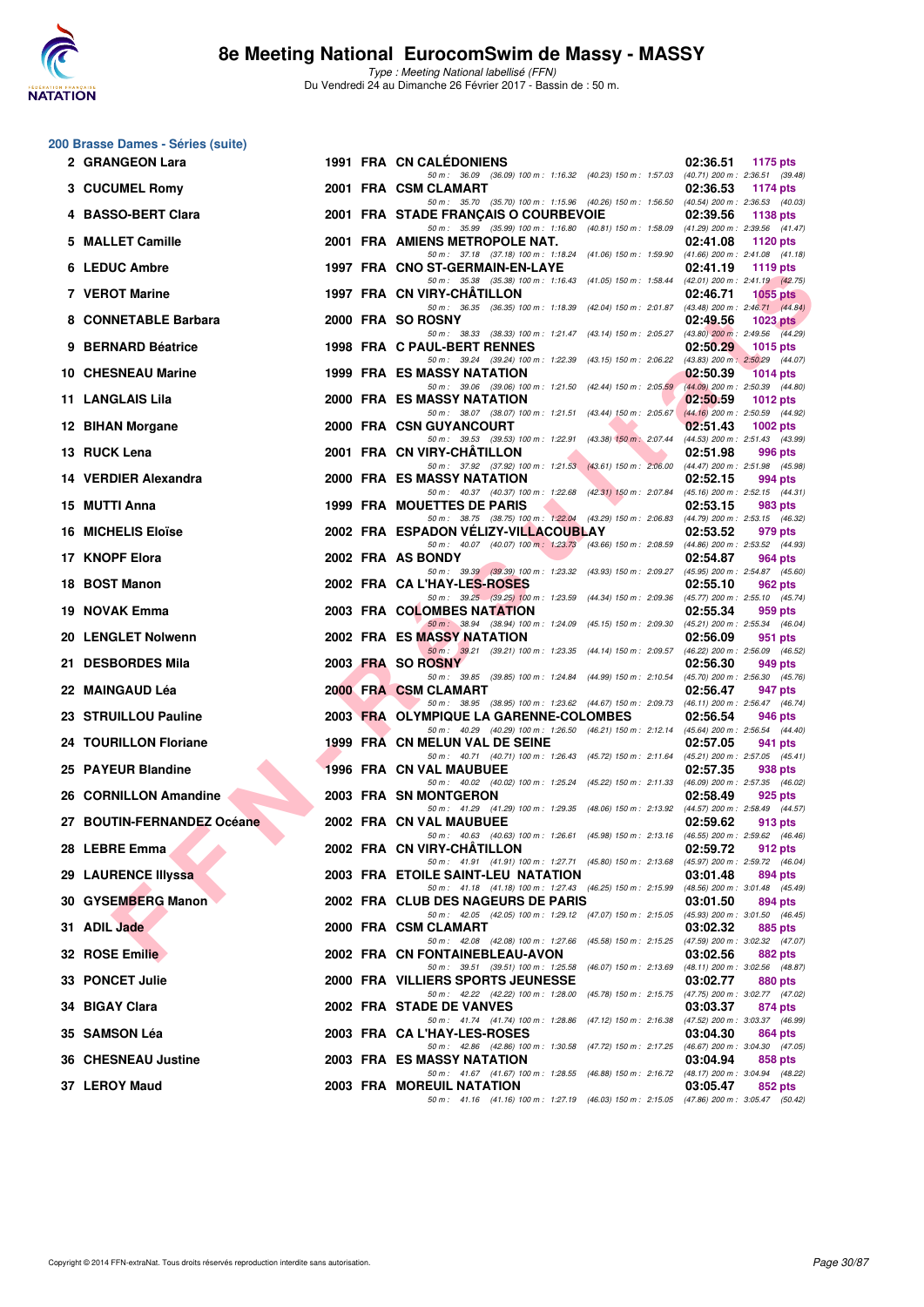

Type : Meeting National labellisé (FFN) Du Vendredi 24 au Dimanche 26 Février 2017 - Bassin de : 50 m.

#### **200 Brasse Dames - Séries (suite)**

| 2 GRANGEON Lara            |  | 1991 FRA CN CALEDONIENS                                                                                                            | 02:36.51 | <b>1175 pts</b>                            |
|----------------------------|--|------------------------------------------------------------------------------------------------------------------------------------|----------|--------------------------------------------|
| 3 CUCUMEL Romy             |  | 50 m: 36.09 (36.09) 100 m: 1:16.32 (40.23) 150 m: 1:57.03 (40.71) 200 m: 2:36.51 (39.48)<br>2001 FRA CSM CLAMART                   | 02:36.53 | 1174 pts                                   |
| 4 BASSO-BERT Clara         |  | 50 m: 35.70 (35.70) 100 m: 1:15.96 (40.26) 150 m: 1:56.50 (40.54) 200 m: 2:36.53 (40.03)<br>2001 FRA STADE FRANÇAIS O COURBEVOIE   | 02:39.56 | 1138 pts                                   |
| 5 MALLET Camille           |  | 50 m: 35.99 (35.99) 100 m: 1:16.80 (40.81) 150 m: 1:58.09 (41.29) 200 m: 2:39.56 (41.47)<br>2001 FRA AMIENS METROPOLE NAT.         | 02:41.08 | 1120 pts                                   |
| 6 LEDUC Ambre              |  | 50 m: 37.18 (37.18) 100 m: 1:18.24 (41.06) 150 m: 1:59.90 (41.66) 200 m: 2:41.08 (41.18)<br>1997 FRA CNO ST-GERMAIN-EN-LAYE        | 02:41.19 | 1119 pts                                   |
| 7 VEROT Marine             |  | 50 m: 35.38 (35.38) 100 m: 1:16.43 (41.05) 150 m: 1:58.44 (42.01) 200 m: 2:41.19 (42.75)<br>1997 FRA CN VIRY-CHATILLON             | 02:46.71 | <b>1055 pts</b>                            |
| 8 CONNETABLE Barbara       |  | 50 m: 36.35 (36.35) 100 m: 1:18.39 (42.04) 150 m: 2:01.87 (43.48) 200 m: 2:46.71 (44.84)<br>2000 FRA SO ROSNY                      | 02:49.56 | 1023 $p$ ts                                |
| 9 BERNARD Béatrice         |  | 50 m: 38.33 (38.33) 100 m: 1:21.47 (43.14) 150 m: 2:05.27 (43.80) 200 m: 2:49.56 (44.29)<br>1998 FRA C PAUL-BERT RENNES            | 02:50.29 | 1015 $p$ ts                                |
| <b>10 CHESNEAU Marine</b>  |  | 50 m: 39.24 (39.24) 100 m: 1:22.39 (43.15) 150 m: 2:06.22 (43.83) 200 m: 2:50.29 (44.07)<br>1999 FRA ES MASSY NATATION             | 02:50.39 | 1014 pts                                   |
| 11 LANGLAIS Lila           |  | 50 m: 39.06 (39.06) 100 m: 1:21.50 (42.44) 150 m: 2:05.59 (44.09) 200 m: 2:50.39 (44.80)<br>2000 FRA ES MASSY NATATION             | 02:50.59 | 1012 $pts$                                 |
| 12 BIHAN Morgane           |  | 50 m: 38.07 (38.07) 100 m: 1:21.51 (43.44) 150 m: 2:05.67 (44.16) 200 m: 2:50.59 (44.92)<br>2000 FRA CSN GUYANCOURT                | 02:51.43 | 1002 pts                                   |
| 13 RUCK Lena               |  | 50 m: 39.53 (39.53) 100 m: 1:22.91 (43.38) 150 m: 2:07.44 (44.53) 200 m: 2:51.43 (43.99)<br>2001 FRA CN VIRY-CHATILLON             | 02:51.98 | 996 pts                                    |
| 14 VERDIER Alexandra       |  | 50 m: 37.92 (37.92) 100 m: 1:21.53 (43.61) 150 m: 2:06.00 (44.47) 200 m: 2:51.98 (45.98)<br>2000 FRA ES MASSY NATATION             | 02:52.15 | 994 pts                                    |
| 15 MUTTI Anna              |  | 50 m: 40.37 (40.37) 100 m: 1:22.68 (42.31) 150 m: 2:07.84 (45.16) 200 m: 2:52.15 (44.31)<br><b>1999 FRA MOUETTES DE PARIS</b>      | 02:53.15 | 983 pts                                    |
| <b>16 MICHELIS Eloïse</b>  |  | 50 m: 38.75 (38.75) 100 m: 1:22.04 (43.29) 150 m: 2:06.83 (44.79) 200 m: 2:53.15 (46.32)<br>2002 FRA ESPADON VELIZY-VILLACOUBLAY   | 02:53.52 | 979 pts                                    |
| 17 KNOPF Elora             |  | 50 m: 40.07 (40.07) 100 m: 1:23.73 (43.66) 150 m: 2:08.59 (44.86) 200 m: 2:53.52 (44.93)<br>2002 FRA AS BONDY                      | 02:54.87 | 964 pts                                    |
| 18 BOST Manon              |  | 50 m: 39.39 (39.39) 100 m: 1:23.32 (43.93) 150 m: 2:09.27 (45.95) 200 m: 2:54.87 (45.60)<br>2002 FRA CA L'HAY-LES-ROSES            | 02:55.10 | 962 pts                                    |
| 19 NOVAK Emma              |  | 50 m: 39.25 (39.25) 100 m: 1:23.59 (44.34) 150 m: 2:09.36 (45.77) 200 m: 2:55.10 (45.74)<br>2003 FRA COLOMBES NATATION             | 02:55.34 | 959 pts                                    |
| 20 LENGLET Nolwenn         |  | 50 m : 38.94 (38.94) 100 m : 1:24.09 (45.15) 150 m : 2:09.30 (45.21) 200 m : 2:55.34 (46.04)<br><b>2002 FRA ES MASSY NATATION</b>  | 02:56.09 | 951 pts                                    |
| 21 DESBORDES Mila          |  | 50 m: 39.21 (39.21) 100 m: 1:23.35 (44.14) 150 m: 2:09.57 (46.22) 200 m: 2:56.09 (46.52)<br>2003 FRA SO ROSNY                      | 02:56.30 | 949 pts                                    |
| 22 MAINGAUD Léa            |  | 50 m: 39.85 (39.85) 100 m: 1:24.84 (44.99) 150 m: 2:10.54 (45.70) 200 m: 2:56.30 (45.76)<br>2000 FRA CSM CLAMART                   | 02:56.47 | 947 pts                                    |
| 23 STRUILLOU Pauline       |  | 50 m: 38.95 (38.95) 100 m: 1:23.62 (44.67) 150 m: 2:09.73 (46.11) 200 m: 2:56.47 (46.74)<br>2003 FRA OLYMPIQUE LA GARENNE-COLOMBES | 02:56.54 | 946 pts                                    |
| 24 TOURILLON Floriane      |  | 50 m: 40.29 (40.29) 100 m: 1:26.50 (46.21) 150 m: 2:12.14 (45.64) 200 m: 2:56.54 (44.40)<br>1999 FRA CN MELUN VAL DE SEINE         | 02:57.05 | 941 pts                                    |
| 25 PAYEUR Blandine         |  | 50 m: 40.71 (40.71) 100 m: 1:26.43 (45.72) 150 m: 2:11.64 (45.21) 200 m: 2:57.05 (45.41)<br>1996 FRA CN VAL MAUBUEE                | 02:57.35 | 938 pts                                    |
| 26 CORNILLON Amandine      |  | 50 m: 40.02 (40.02) 100 m: 1:25.24 (45.22) 150 m: 2:11.33 (46.09) 200 m: 2:57.35 (46.02)<br>2003 FRA SN MONTGERON                  | 02:58.49 | 925 pts                                    |
| 27 BOUTIN-FERNANDEZ Océane |  | 50 m: 41.29 (41.29) 100 m: 1:29.35 (48.06) 150 m: 2:13.92 (44.57) 200 m: 2:58.49 (44.57)<br>2002 FRA CN VAL MAUBUEE                | 02:59.62 | 913 pts                                    |
| 28 LEBRE Emma              |  | 50 m: 40.63 (40.63) 100 m: 1:26.61 (45.98) 150 m: 2:13.16 (46.55) 200 m: 2:59.62 (46.46)<br>2002 FRA CN VIRY-CHÂTILLON             | 02:59.72 | 912 pts                                    |
| 29 LAURENCE Illyssa        |  | 50 m: 41.91 (41.91) 100 m: 1:27.71 (45.80) 150 m: 2:13.68 (45.97) 200 m: 2:59.72 (46.04)<br>2003 FRA ETOILE SAINT-LEU NATATION     | 03:01.48 | 894 pts                                    |
| 30 GYSEMBERG Manon         |  | 50 m: 41.18 (41.18) 100 m: 1:27.43 (46.25) 150 m: 2:15.99 (48.56) 200 m: 3:01.48 (45.49)<br>2002 FRA CLUB DES NAGEURS DE PARIS     | 03:01.50 | 894 pts                                    |
| 31 ADIL Jade               |  | 50 m: 42.05 (42.05) 100 m: 1:29.12 (47.07) 150 m: 2:15.05 (45.93) 200 m: 3:01.50 (46.45)<br>2000 FRA CSM CLAMART                   | 03:02.32 | 885 pts                                    |
| 32 ROSE Emilie             |  | 50 m : 42.08 (42.08) 100 m : 1:27.66 (45.58) 150 m : 2:15.25 (47.59) 200 m : 3:02.32 (47.07)<br>2002 FRA CN FONTAINEBLEAU-AVON     | 03:02.56 | 882 pts                                    |
| 33 PONCET Julie            |  | 50 m: 39.51 (39.51) 100 m: 1:25.58<br>(46.07) 150 m : 2:13.69 (48.11) 200 m : 3:02.56 (48.87)<br>2000 FRA VILLIERS SPORTS JEUNESSE | 03:02.77 | 880 pts                                    |
| 34 BIGAY Clara             |  | 50 m: 42.22 (42.22) 100 m: 1:28.00<br>(45.78) 150 m : 2:15.75<br>2002 FRA STADE DE VANVES                                          | 03:03.37 | (47.75) 200 m : 3:02.77 (47.02)<br>874 pts |
| 35 SAMSON Léa              |  | 50 m : 41.74 (41.74) 100 m : 1:28.86<br>(47.12) 150 m : 2:16.38<br>2003 FRA CA L'HAY-LES-ROSES                                     | 03:04.30 | (47.52) 200 m : 3:03.37 (46.99)<br>864 pts |
| <b>36 CHESNEAU Justine</b> |  | (47.72) 150 m : 2:17.25 (46.67) 200 m : 3:04.30 (47.05)<br>50 m : 42.86 (42.86) 100 m : 1:30.58<br>2003 FRA ES MASSY NATATION      | 03:04.94 | 858 pts                                    |
| 37 LEROY Maud              |  | 50 m: 41.67 (41.67) 100 m: 1:28.55<br>(46.88) 150 m : 2:16.72 (48.17) 200 m : 3:04.94 (48.22)<br>2003 FRA MOREUIL NATATION         | 03:05.47 | 852 pts                                    |
|                            |  | 50 m: 41.16 (41.16) 100 m: 1:27.19 (46.03) 150 m: 2:15.05 (47.86) 200 m: 3:05.47 (50.42)                                           |          |                                            |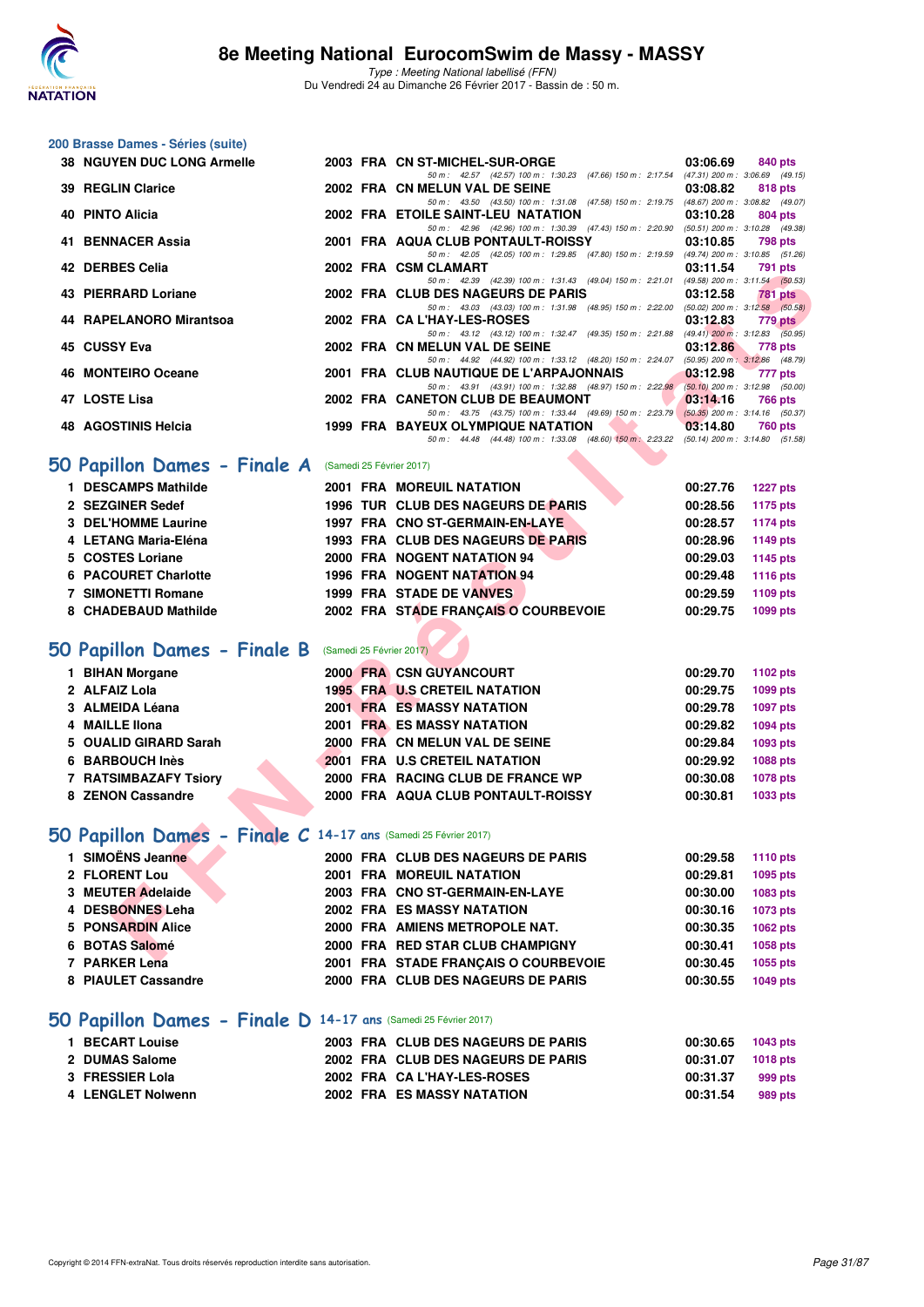

**200 Brasse Dames - Séries (suite)**

Type : Meeting National labellisé (FFN) Du Vendredi 24 au Dimanche 26 Février 2017 - Bassin de : 50 m.

| <b>38 NGUYEN DUC LONG Armelle</b>                               |  | 2003 FRA CN ST-MICHEL-SUR-ORGE                                                                                                        | 03:06.69 | 840 pts         |
|-----------------------------------------------------------------|--|---------------------------------------------------------------------------------------------------------------------------------------|----------|-----------------|
| <b>39 REGLIN Clarice</b>                                        |  | 50 m: 42.57 (42.57) 100 m: 1:30.23 (47.66) 150 m: 2:17.54 (47.31) 200 m: 3:06.69 (49.15)<br>2002 FRA CN MELUN VAL DE SEINE            | 03:08.82 | 818 pts         |
| 40 PINTO Alicia                                                 |  | 50 m: 43.50 (43.50) 100 m: 1:31.08 (47.58) 150 m: 2:19.75 (48.67) 200 m: 3:08.82 (49.07)<br>2002 FRA ETOILE SAINT-LEU NATATION        | 03:10.28 | 804 pts         |
| 41 BENNACER Assia                                               |  | 50 m: 42.96 (42.96) 100 m: 1:30.39 (47.43) 150 m: 2:20.90 (50.51) 200 m: 3:10.28 (49.38)<br>2001 FRA AQUA CLUB PONTAULT-ROISSY        | 03:10.85 | <b>798 pts</b>  |
| 42 DERBES Celia                                                 |  | 50 m: 42.05 (42.05) 100 m: 1:29.85 (47.80) 150 m: 2:19.59 (49.74) 200 m: 3:10.85 (51.26)<br>2002 FRA CSM CLAMART                      | 03:11.54 | 791 pts         |
| 43 PIERRARD Loriane                                             |  | 50 m: 42.39 (42.39) 100 m: 1:31.43 (49.04) 150 m: 2:21.01 (49.58) 200 m: 3:11.54 (50.53)<br>2002 FRA CLUB DES NAGEURS DE PARIS        | 03:12.58 | 781 pts         |
|                                                                 |  | 50 m: 43.03 (43.03) 100 m: 1:31.98 (48.95) 150 m: 2:22.00 (50.02) 200 m: 3:12.58 (50.58)                                              |          |                 |
| 44 RAPELANORO Mirantsoa                                         |  | 2002 FRA CA L'HAY-LES-ROSES<br>50 m: 43.12 (43.12) 100 m: 1:32.47 (49.35) 150 m: 2:21.88 (49.41) 200 m: 3:12.83 (50.95)               | 03:12.83 | <b>779 pts</b>  |
| 45 CUSSY Eva                                                    |  | 2002 FRA CN MELUN VAL DE SEINE<br>50 m: 44.92 (44.92) 100 m: 1:33.12 (48.20) 150 m: 2:24.07 (50.95) 200 m: 3:12.86 (48.79)            | 03:12.86 | 778 pts         |
| 46 MONTEIRO Oceane                                              |  | 2001 FRA CLUB NAUTIQUE DE L'ARPAJONNAIS<br>50 m: 43.91 (43.91) 100 m: 1:32.88 (48.97) 150 m: 2:22.98 (50.10) 200 m: 3:12.98 (50.00)   | 03:12.98 | 777 pts         |
| 47 LOSTE Lisa                                                   |  | 2002 FRA CANETON CLUB DE BEAUMONT                                                                                                     | 03:14.16 | 766 pts         |
| 48 AGOSTINIS Helcia                                             |  | 50 m: 43.75 (43.75) 100 m: 1:33.44 (49.69) 150 m: 2:23.79 (50.35) 200 m: 3:14.16 (50.37)<br><b>1999 FRA BAYEUX OLYMPIQUE NATATION</b> | 03:14.80 | 760 pts         |
|                                                                 |  | 50 m: 44.48 (44.48) 100 m: 1:33.08 (48.60) 150 m: 2:23.22 (50.14) 200 m: 3:14.80 (51.58)                                              |          |                 |
| 50 Papillon Dames - Finale A                                    |  | (Samedi 25 Février 2017)                                                                                                              |          |                 |
| 1 DESCAMPS Mathilde                                             |  | 2001 FRA MOREUIL NATATION                                                                                                             | 00:27.76 | <b>1227 pts</b> |
| 2 SEZGINER Sedef                                                |  | 1996 TUR CLUB DES NAGEURS DE PARIS                                                                                                    | 00:28.56 | <b>1175 pts</b> |
| 3 DEL'HOMME Laurine                                             |  | 1997 FRA CNO ST-GERMAIN-EN-LAYE                                                                                                       | 00:28.57 | <b>1174 pts</b> |
| 4 LETANG Maria-Eléna                                            |  | 1993 FRA CLUB DES NAGEURS DE PARIS                                                                                                    | 00:28.96 | 1149 pts        |
| 5 COSTES Loriane                                                |  | 2000 FRA NOGENT NATATION 94                                                                                                           | 00:29.03 | 1145 pts        |
| 6 PACOURET Charlotte                                            |  | <b>1996 FRA NOGENT NATATION 94</b>                                                                                                    | 00:29.48 | 1116 pts        |
| <b>7 SIMONETTI Romane</b>                                       |  | 1999 FRA STADE DE VANVES                                                                                                              | 00:29.59 | 1109 pts        |
| 8 CHADEBAUD Mathilde                                            |  | 2002 FRA STADE FRANÇAIS O COURBEVOIE                                                                                                  | 00:29.75 | 1099 pts        |
|                                                                 |  |                                                                                                                                       |          |                 |
| 50 Papillon Dames - Finale B                                    |  | (Samedi 25 Février 2017)                                                                                                              |          |                 |
| 1 BIHAN Morgane                                                 |  | <b>2000 FRA CSN GUYANCOURT</b>                                                                                                        | 00:29.70 | 1102 pts        |
| 2 ALFAIZ Lola                                                   |  | <b>1995 FRA U.S CRETEIL NATATION</b>                                                                                                  | 00:29.75 | 1099 pts        |
| 3 ALMEIDA Léana                                                 |  | <b>2001 FRA ES MASSY NATATION</b>                                                                                                     | 00:29.78 | 1097 pts        |
| 4 MAILLE IIona                                                  |  | <b>2001 FRA ES MASSY NATATION</b>                                                                                                     | 00:29.82 | 1094 pts        |
| 5 OUALID GIRARD Sarah                                           |  | 2000 FRA CN MELUN VAL DE SEINE                                                                                                        | 00:29.84 | 1093 pts        |
| 6 BARBOUCH Inès                                                 |  | 2001 FRA U.S CRETEIL NATATION                                                                                                         | 00:29.92 | 1088 pts        |
| 7 RATSIMBAZAFY Tsiory                                           |  | 2000 FRA RACING CLUB DE FRANCE WP                                                                                                     | 00:30.08 | 1078 pts        |
| 8 ZENON Cassandre                                               |  | 2000 FRA AQUA CLUB PONTAULT-ROISSY                                                                                                    | 00:30.81 | 1033 pts        |
|                                                                 |  |                                                                                                                                       |          |                 |
| 50 Papillon Dames - Finale C 14-17 ans (Samedi 25 Février 2017) |  |                                                                                                                                       |          |                 |
| 1 SIMOËNS Jeanne                                                |  | 2000 FRA CLUB DES NAGEURS DE PARIS                                                                                                    | 00:29.58 | 1110 pts        |
| 2 FLORENT Lou                                                   |  | 2001 FRA MOREUIL NATATION                                                                                                             | 00:29.81 | 1095 pts        |
| 3 MEUTER Adelaide                                               |  | 2003 FRA CNO ST-GERMAIN-EN-LAYE                                                                                                       | 00:30.00 | 1083 pts        |
| 4 DESBONNES Leha                                                |  | <b>2002 FRA ES MASSY NATATION</b>                                                                                                     | 00:30.16 | 1073 pts        |
| 5 PONSARDIN Alice                                               |  | 2000 FRA AMIENS METROPOLE NAT.                                                                                                        | 00:30.35 | 1062 pts        |
| 6 BOTAS Salomé                                                  |  | 2000 FRA RED STAR CLUB CHAMPIGNY                                                                                                      | 00:30.41 | 1058 pts        |
| 7 PARKER Lena                                                   |  | 2001 FRA STADE FRANÇAIS O COURBEVOIE                                                                                                  | 00:30.45 | 1055 pts        |
| 8 PIAULET Cassandre                                             |  | 2000 FRA CLUB DES NAGEURS DE PARIS                                                                                                    | 00:30.55 | <b>1049 pts</b> |
| 50 Papillon Dames - Finale D 14-17 ans (Samedi 25 Février 2017) |  |                                                                                                                                       |          |                 |
|                                                                 |  |                                                                                                                                       |          |                 |
| 1 BECART Louise                                                 |  | 2003 FRA CLUB DES NAGEURS DE PARIS                                                                                                    | 00:30.65 | 1043 pts        |
| 2 DUMAS Salome                                                  |  | 2002 FRA CLUB DES NAGEURS DE PARIS                                                                                                    | 00:31.07 | 1018 pts        |
| 3 FRESSIER Lola                                                 |  | 2002 FRA CA L'HAY-LES-ROSES                                                                                                           | 00:31.37 | 999 pts         |

**4 LENGLET Nolwenn 2002 FRA ES MASSY NATATION 00:31.54 989 pts**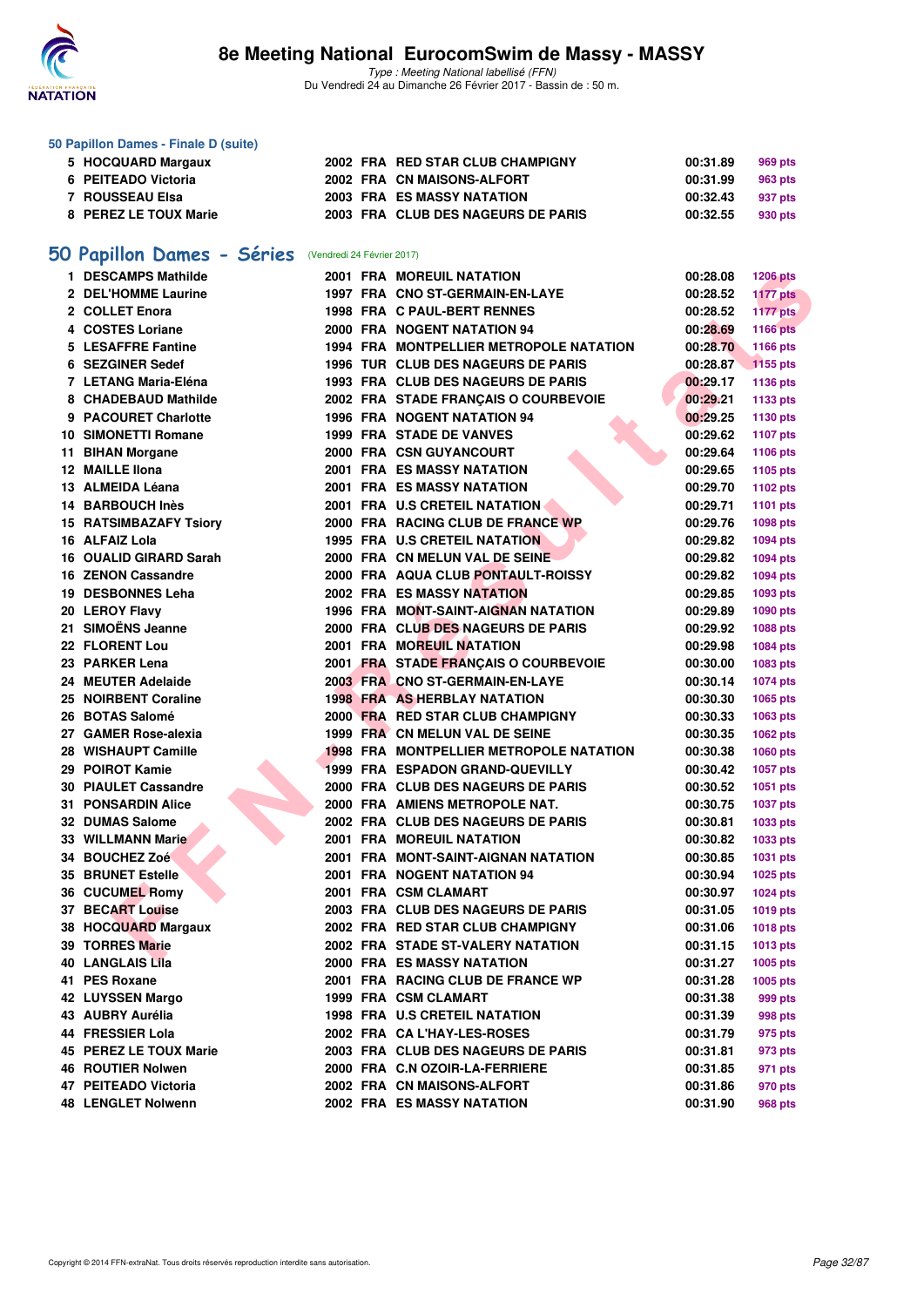

#### **50 Papillon Dames - Finale D (suite)**

|                                                                                         |  |                                                                                                                                           | 969 pts                                      |
|-----------------------------------------------------------------------------------------|--|-------------------------------------------------------------------------------------------------------------------------------------------|----------------------------------------------|
|                                                                                         |  |                                                                                                                                           | 963 pts                                      |
|                                                                                         |  |                                                                                                                                           | 937 pts                                      |
|                                                                                         |  |                                                                                                                                           | 930 pts                                      |
| 5 HOCQUARD Margaux<br>6 PEITEADO Victoria<br>7   ROUSSEAU Elsa<br>8 PEREZ LE TOUX Marie |  | 2002 FRA RED STAR CLUB CHAMPIGNY<br>2002 FRA CN MAISONS-ALFORT<br><b>2003 FRA ES MASSY NATATION</b><br>2003 FRA CLUB DES NAGEURS DE PARIS | 00:31.89<br>00:31.99<br>00:32.43<br>00:32.55 |

# **[50 Papillon Dames - Séries](http://www.ffnatation.fr/webffn/resultats.php?idact=nat&go=epr&idcpt=42801&idepr=31)** (Vendredi 24 Février 2017)

| 1 DESCAMPS Mathilde         |  | <b>2001 FRA MOREUIL NATATION</b>               | 00:28.08          | <b>1206 pts</b> |
|-----------------------------|--|------------------------------------------------|-------------------|-----------------|
| 2 DEL'HOMME Laurine         |  | 1997 FRA CNO ST-GERMAIN-EN-LAYE                | 00:28.52          | <b>1177 pts</b> |
| 2 COLLET Enora              |  | 1998 FRA C PAUL-BERT RENNES                    | 00:28.52          | <b>1177 pts</b> |
| 4 COSTES Loriane            |  | 2000 FRA NOGENT NATATION 94                    | 00:28.69          | 1166 pts        |
| 5 LESAFFRE Fantine          |  | 1994 FRA MONTPELLIER METROPOLE NATATION        | 00:28.70          | 1166 pts        |
| 6 SEZGINER Sedef            |  | 1996 TUR CLUB DES NAGEURS DE PARIS             | 00:28.87          | 1155 pts        |
| 7 LETANG Maria-Eléna        |  | 1993 FRA CLUB DES NAGEURS DE PARIS             | 00:29.17          | 1136 pts        |
| 8 CHADEBAUD Mathilde        |  | 2002 FRA STADE FRANÇAIS O COURBEVOIE           | 00:29.21          | 1133 pts        |
| 9 PACOURET Charlotte        |  | <b>1996 FRA NOGENT NATATION 94</b>             | 00:29.25          | 1130 pts        |
| <b>10 SIMONETTI Romane</b>  |  | <b>1999 FRA STADE DE VANVES</b>                | 00:29.62          | <b>1107 pts</b> |
| 11 BIHAN Morgane            |  | 2000 FRA CSN GUYANCOURT                        | 00:29.64          | 1106 pts        |
| 12 MAILLE Ilona             |  | <b>2001 FRA ES MASSY NATATION</b>              | 00:29.65          | 1105 pts        |
| 13 ALMEIDA Léana            |  | <b>2001 FRA ES MASSY NATATION</b>              | 00:29.70          | 1102 pts        |
| 14 BARBOUCH Inès            |  | 2001 FRA U.S CRETEIL NATATION                  | 00:29.71          | <b>1101 pts</b> |
| 15 RATSIMBAZAFY Tsiory      |  | 2000 FRA RACING CLUB DE FRANCE WP              | 00:29.76          | 1098 pts        |
| 16 ALFAIZ Lola              |  | 1995 FRA U.S CRETEIL NATATION                  | 00:29.82          | <b>1094 pts</b> |
| 16 OUALID GIRARD Sarah      |  | 2000 FRA CN MELUN VAL DE SEINE                 | 00:29.82          | <b>1094 pts</b> |
| 16 ZENON Cassandre          |  | 2000 FRA AQUA CLUB PONTAULT-ROISSY             | 00:29.82          | <b>1094 pts</b> |
| 19 DESBONNES Leha           |  | <b>2002 FRA ES MASSY NATATION</b>              | 00:29.85          | 1093 pts        |
| 20 LEROY Flavy              |  | 1996 FRA MONT-SAINT-AIGNAN NATATION            | 00:29.89          | 1090 pts        |
| 21 SIMOËNS Jeanne           |  | 2000 FRA CLUB DES NAGEURS DE PARIS             | 00:29.92          | 1088 pts        |
| 22 FLORENT Lou              |  | <b>2001 FRA MOREUIL NATATION</b>               | 00:29.98          | <b>1084 pts</b> |
| 23 PARKER Lena              |  | 2001 FRA STADE FRANÇAIS O COURBEVOIE           | 00:30.00          | 1083 pts        |
| 24 MEUTER Adelaide          |  | 2003 FRA CNO ST-GERMAIN-EN-LAYE                | 00:30.14          | <b>1074 pts</b> |
| 25 NOIRBENT Coraline        |  | <b>1998 FRA AS HERBLAY NATATION</b>            | 00:30.30          | 1065 pts        |
| 26 BOTAS Salomé             |  | 2000 FRA RED STAR CLUB CHAMPIGNY               | 00:30.33          | 1063 pts        |
| 27 GAMER Rose-alexia        |  | 1999 FRA CN MELUN VAL DE SEINE                 | 00:30.35          | <b>1062 pts</b> |
| 28 WISHAUPT Camille         |  | <b>1998 FRA MONTPELLIER METROPOLE NATATION</b> | 00:30.38          | <b>1060 pts</b> |
| 29 POIROT Kamie             |  | 1999 FRA ESPADON GRAND-QUEVILLY                | 00:30.42          | <b>1057 pts</b> |
| <b>30 PIAULET Cassandre</b> |  | 2000 FRA CLUB DES NAGEURS DE PARIS             | 00:30.52          | 1051 pts        |
| <b>31 PONSARDIN Alice</b>   |  | 2000 FRA AMIENS METROPOLE NAT.                 | 00:30.75          | <b>1037 pts</b> |
| 32 DUMAS Salome             |  | 2002 FRA CLUB DES NAGEURS DE PARIS             | 00:30.81          | 1033 pts        |
| 33 WILLMANN Marie           |  | <b>2001 FRA MOREUIL NATATION</b>               | 00:30.82          | 1033 pts        |
| 34 BOUCHEZ Zoé              |  | 2001 FRA MONT-SAINT-AIGNAN NATATION            | 00:30.85          | <b>1031 pts</b> |
| <b>35 BRUNET Estelle</b>    |  | 2001 FRA NOGENT NATATION 94                    | 00:30.94          | 1025 pts        |
| 36 CUCUMEL Romv             |  | 2001 FRA CSM CLAMART                           | 00:30.97          | <b>1024 pts</b> |
| 37 BECART Louise            |  | 2003 FRA CLUB DES NAGEURS DE PARIS             | 00:31.05          | <b>1019 pts</b> |
| 38 HOCQUARD Margaux         |  | 2002 FRA RED STAR CLUB CHAMPIGNY               | 00:31.06          | 1018 pts        |
| 39 TORRES Marie             |  | 2002 FRA STADE ST-VALERY NATATION              | 00:31.15          | <b>1013 pts</b> |
| 40 LANGLAIS Lila            |  | <b>2000 FRA ES MASSY NATATION</b>              | 00:31.27 1005 pts |                 |
| 41 PES Roxane               |  | 2001 FRA RACING CLUB DE FRANCE WP              | 00:31.28          | 1005 pts        |
| 42 LUYSSEN Margo            |  | 1999 FRA CSM CLAMART                           | 00:31.38          | 999 pts         |
| 43 AUBRY Aurélia            |  | 1998 FRA U.S CRETEIL NATATION                  | 00:31.39          | 998 pts         |
| <b>44 FRESSIER Lola</b>     |  | 2002 FRA CA L'HAY-LES-ROSES                    | 00:31.79          | 975 pts         |
| 45 PEREZ LE TOUX Marie      |  | 2003 FRA CLUB DES NAGEURS DE PARIS             | 00:31.81          | 973 pts         |
| <b>46 ROUTIER Nolwen</b>    |  | 2000 FRA C.N OZOIR-LA-FERRIERE                 | 00:31.85          | 971 pts         |
| 47 PEITEADO Victoria        |  | 2002 FRA CN MAISONS-ALFORT                     | 00:31.86          | 970 pts         |
| <b>48 LENGLET Nolwenn</b>   |  | 2002 FRA ES MASSY NATATION                     | 00:31.90          | <b>968 pts</b>  |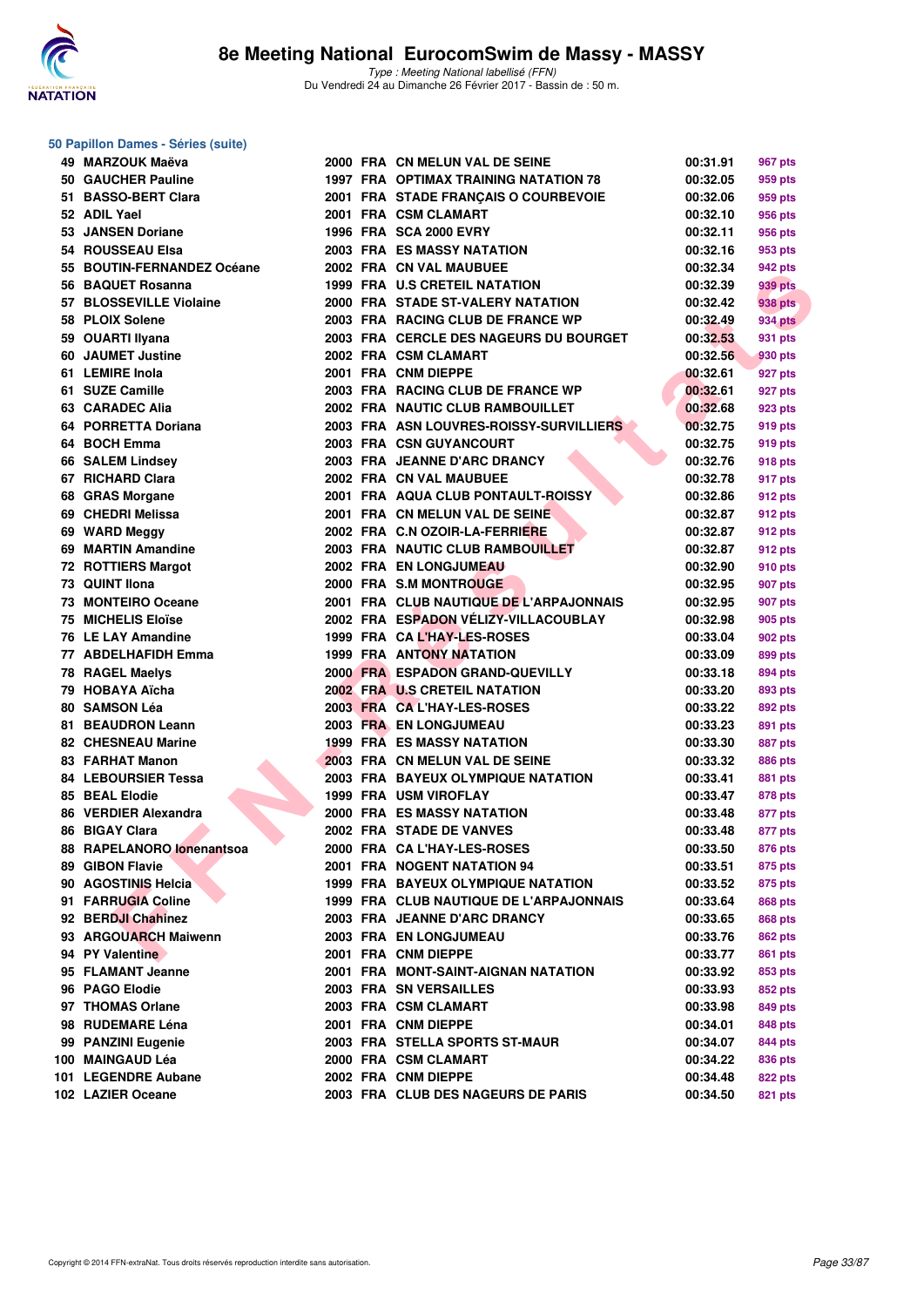

| 50 Papillon Dames - Séries (suite)           |  |                                                                         |                      |                    |
|----------------------------------------------|--|-------------------------------------------------------------------------|----------------------|--------------------|
| 49 MARZOUK Maëva                             |  | 2000 FRA CN MELUN VAL DE SEINE                                          | 00:31.91             | 967 pts            |
| 50 GAUCHER Pauline                           |  | 1997 FRA OPTIMAX TRAINING NATATION 78                                   | 00:32.05             | 959 pts            |
| 51 BASSO-BERT Clara                          |  | 2001 FRA STADE FRANÇAIS O COURBEVOIE                                    | 00:32.06             | 959 pts            |
| 52 ADIL Yael                                 |  | 2001 FRA CSM CLAMART                                                    | 00:32.10             | 956 pts            |
| 53 JANSEN Doriane                            |  | 1996 FRA SCA 2000 EVRY                                                  | 00:32.11             | 956 pts            |
| 54 ROUSSEAU Elsa                             |  | <b>2003 FRA ES MASSY NATATION</b>                                       | 00:32.16             | 953 pts            |
| 55 BOUTIN-FERNANDEZ Océane                   |  | 2002 FRA CN VAL MAUBUEE                                                 | 00:32.34             | 942 pts            |
| 56 BAQUET Rosanna                            |  | 1999 FRA U.S CRETEIL NATATION                                           | 00:32.39             | 939 pts            |
| 57 BLOSSEVILLE Violaine                      |  | 2000 FRA STADE ST-VALERY NATATION                                       | 00:32.42             | 938 pts            |
| 58 PLOIX Solene                              |  | 2003 FRA RACING CLUB DE FRANCE WP                                       | 00:32.49             | <b>934 pts</b>     |
| 59 OUARTI Ilyana                             |  | 2003 FRA CERCLE DES NAGEURS DU BOURGET                                  | 00:32.53             | 931 pts            |
| 60 JAUMET Justine                            |  | 2002 FRA CSM CLAMART                                                    | 00:32.56             | 930 pts            |
| 61 LEMIRE Inola                              |  | 2001 FRA CNM DIEPPE                                                     | 00:32.61             | 927 pts            |
| 61 SUZE Camille                              |  | 2003 FRA RACING CLUB DE FRANCE WP                                       | 00:32.61             | 927 pts            |
| 63 CARADEC Alia                              |  | 2002 FRA NAUTIC CLUB RAMBOUILLET                                        | 00:32.68             | 923 pts            |
| 64 PORRETTA Doriana                          |  | 2003 FRA ASN LOUVRES-ROISSY-SURVILLIERS                                 | 00:32.75             | 919 pts            |
| 64 BOCH Emma                                 |  | 2003 FRA CSN GUYANCOURT                                                 | 00:32.75             | 919 pts            |
| 66 SALEM Lindsey                             |  | 2003 FRA JEANNE D'ARC DRANCY                                            | 00:32.76             | 918 pts            |
| 67 RICHARD Clara                             |  | 2002 FRA CN VAL MAUBUEE                                                 | 00:32.78             | 917 pts            |
| 68 GRAS Morgane                              |  | 2001 FRA AQUA CLUB PONTAULT-ROISSY                                      | 00:32.86             | 912 pts            |
| 69 CHEDRI Melissa                            |  | 2001 FRA CN MELUN VAL DE SEINE                                          | 00:32.87             | 912 pts            |
| 69 WARD Meggy                                |  | 2002 FRA C.N OZOIR-LA-FERRIERE                                          | 00:32.87             | 912 pts            |
| 69 MARTIN Amandine                           |  | 2003 FRA NAUTIC CLUB RAMBOUILLET                                        | 00:32.87             | 912 pts            |
| <b>72 ROTTIERS Margot</b>                    |  | 2002 FRA EN LONGJUMEAU                                                  | 00:32.90             | 910 pts            |
| 73 QUINT Ilona                               |  | 2000 FRA S.M MONTROUGE                                                  | 00:32.95             | 907 pts            |
| 73 MONTEIRO Oceane                           |  | 2001 FRA CLUB NAUTIQUE DE L'ARPAJONNAIS                                 | 00:32.95             | 907 pts            |
| <b>75 MICHELIS Eloïse</b>                    |  | 2002 FRA ESPADON VELIZY-VILLACOUBLAY                                    | 00:32.98             | 905 pts            |
| 76 LE LAY Amandine                           |  | 1999 FRA CAL'HAY-LES-ROSES                                              | 00:33.04             | 902 pts            |
| 77 ABDELHAFIDH Emma                          |  | <b>1999 FRA ANTONY NATATION</b>                                         | 00:33.09             | 899 pts            |
| 78 RAGEL Maelys                              |  | 2000 FRA ESPADON GRAND-QUEVILLY                                         | 00:33.18             | 894 pts            |
| 79 HOBAYA Aïcha                              |  | 2002 FRA U.S CRETEIL NATATION                                           | 00:33.20             | 893 pts            |
| 80 SAMSON Léa                                |  | 2003 FRA CA L'HAY-LES-ROSES                                             | 00:33.22             | 892 pts            |
| 81 BEAUDRON Leann                            |  | 2003 FRA EN LONGJUMEAU                                                  | 00:33.23             | 891 pts            |
| <b>82 CHESNEAU Marine</b>                    |  | <b>1999 FRA ES MASSY NATATION</b>                                       | 00:33.30             | 887 pts            |
| 83 FARHAT Manon                              |  | 2003 FRA CN MELUN VAL DE SEINE                                          | 00:33.32             | 886 pts            |
| <b>84 LEBOURSIER Tessa</b>                   |  | 2003 FRA BAYEUX OLYMPIQUE NATATION                                      | 00:33.41             | 881 pts            |
| 85 BEAL Elodie                               |  | <b>1999 FRA USM VIROFLAY</b>                                            | 00:33.47             | 878 pts            |
| 86 VERDIER Alexandra                         |  | 2000 FRA ES MASSY NATATION                                              | 00:33.48             |                    |
| 86 BIGAY Clara                               |  | 2002 FRA STADE DE VANVES                                                | 00:33.48             | 877 pts            |
|                                              |  |                                                                         |                      | 877 pts            |
| 88 RAPELANORO lonenantsoa<br>89 GIBON Flavie |  | 2000 FRA CA L'HAY-LES-ROSES<br>2001 FRA NOGENT NATATION 94              | 00:33.50             | 876 pts<br>875 pts |
| 90 AGOSTINIS Helcia                          |  | <b>1999 FRA BAYEUX OLYMPIQUE NATATION</b>                               | 00:33.51             |                    |
| 91 FARRUGIA Coline                           |  |                                                                         | 00:33.52<br>00:33.64 | 875 pts            |
|                                              |  | 1999 FRA CLUB NAUTIQUE DE L'ARPAJONNAIS<br>2003 FRA JEANNE D'ARC DRANCY |                      | 868 pts            |
| 92 BERDJI Chahinez                           |  |                                                                         | 00:33.65             | 868 pts            |
| 93 ARGOUARCH Maiwenn                         |  | 2003 FRA EN LONGJUMEAU                                                  | 00:33.76             | <b>862 pts</b>     |
| 94 PY Valentine                              |  | 2001 FRA CNM DIEPPE                                                     | 00:33.77             | 861 pts            |
| 95 FLAMANT Jeanne                            |  | 2001 FRA MONT-SAINT-AIGNAN NATATION                                     | 00:33.92             | 853 pts            |
| 96 PAGO Elodie                               |  | 2003 FRA SN VERSAILLES<br>2003 FRA CSM CLAMART                          | 00:33.93             | 852 pts            |
| 97 THOMAS Orlane                             |  |                                                                         | 00:33.98             | 849 pts            |
| 98 RUDEMARE Léna                             |  | 2001 FRA CNM DIEPPE                                                     | 00:34.01             | 848 pts            |
| 99 PANZINI Eugenie                           |  | 2003 FRA STELLA SPORTS ST-MAUR                                          | 00:34.07             | 844 pts            |
| 100 MAINGAUD Léa                             |  | 2000 FRA CSM CLAMART                                                    | 00:34.22             | 836 pts            |
| 101 LEGENDRE Aubane                          |  | 2002 FRA CNM DIEPPE                                                     | 00:34.48             | 822 pts            |
| 102 LAZIER Oceane                            |  | 2003 FRA CLUB DES NAGEURS DE PARIS                                      | 00:34.50             | 821 pts            |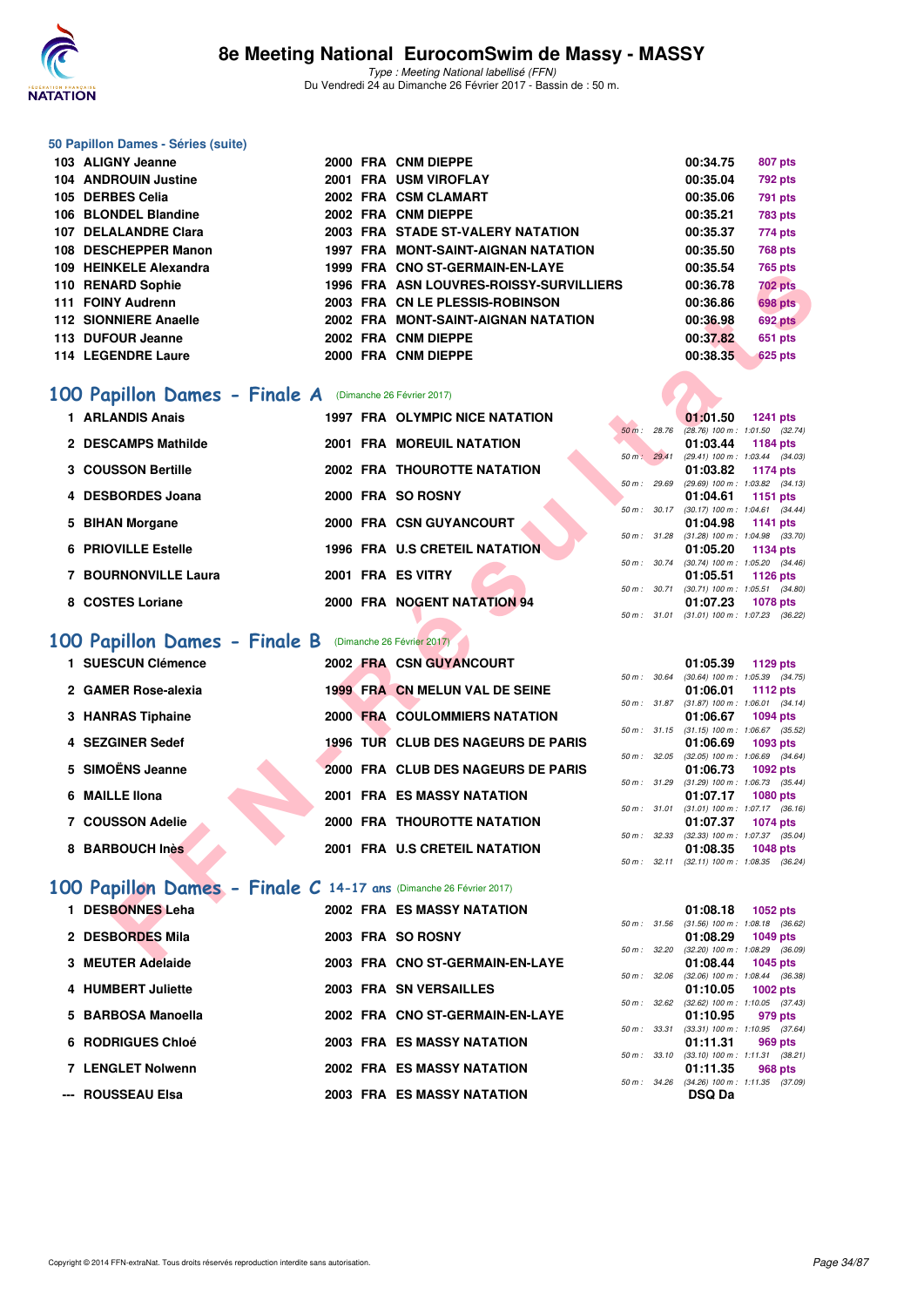

#### **50 Papillon Dames - Séries (suite)**

| 103 ALIGNY Jeanne      |  | 2000 FRA CNM DIEPPE                     | 00:34.75 | 807 pts        |
|------------------------|--|-----------------------------------------|----------|----------------|
| 104 ANDROUIN Justine   |  | 2001 FRA USM VIROFLAY                   | 00:35.04 | <b>792 pts</b> |
| 105 DERBES Celia       |  | 2002 FRA CSM CLAMART                    | 00:35.06 | 791 pts        |
| 106 BLONDEL Blandine   |  | 2002 FRA CNM DIEPPE                     | 00:35.21 | <b>783 pts</b> |
| 107 DELALANDRE Clara   |  | 2003 FRA STADE ST-VALERY NATATION       | 00:35.37 | 774 pts        |
| 108 DESCHEPPER Manon   |  | 1997 FRA MONT-SAINT-AIGNAN NATATION     | 00:35.50 | <b>768 pts</b> |
| 109 HEINKELE Alexandra |  | 1999 FRA CNO ST-GERMAIN-EN-LAYE         | 00:35.54 | <b>765 pts</b> |
| 110 RENARD Sophie      |  | 1996 FRA ASN LOUVRES-ROISSY-SURVILLIERS | 00:36.78 | <b>702 pts</b> |
| 111 FOINY Audrenn      |  | 2003 FRA CN LE PLESSIS-ROBINSON         | 00:36.86 | <b>698 pts</b> |
| 112 SIONNIERE Anaelle  |  | 2002 FRA MONT-SAINT-AIGNAN NATATION     | 00:36.98 | <b>692 pts</b> |
| 113 DUFOUR Jeanne      |  | 2002 FRA CNM DIEPPE                     | 00:37.82 | 651 pts        |
| 114 LEGENDRE Laure     |  | 2000 FRA CNM DIEPPE                     | 00:38.35 | 625 pts        |

### [100 Papillon Dames - Finale A](http://www.ffnatation.fr/webffn/resultats.php?idact=nat&go=epr&idcpt=42801&idepr=32) (Dimanche 26 Février 2017)

| 1 ARLANDIS Anais     | <b>1997 FRA OLYMPIC NICE NATATION</b> |                   | 01:01.50<br>1241 pts             |
|----------------------|---------------------------------------|-------------------|----------------------------------|
|                      |                                       | 28.76<br>$50 m$ : | $(28.76)$ 100 m : 1:01.50 (32.   |
| 2 DESCAMPS Mathilde  | <b>2001 FRA MOREUIL NATATION</b>      |                   | 01:03.44<br>1184 pts             |
|                      |                                       | 29.41<br>$50 m$ : | (29.41) 100 m: 1:03.44 (34.      |
| 3 COUSSON Bertille   | <b>2002 FRA THOUROTTE NATATION</b>    |                   | 01:03.82<br>1174 pts             |
|                      |                                       | 29.69<br>50 m :   | (29.69) 100 m : 1:03.82 (34.     |
| 4 DESBORDES Joana    | 2000 FRA SO ROSNY                     |                   | 01:04.61<br>1151 pts             |
|                      |                                       | $50 m$ : $30.17$  | $(30.17)$ 100 m : 1:04.61 $(34.$ |
| 5 BIHAN Morgane      | 2000 FRA CSN GUYANCOURT               |                   | 01:04.98<br>1141 pts             |
|                      |                                       | 50 m: 31.28       | $(31.28)$ 100 m : 1:04.98 (33.   |
| 6 PRIOVILLE Estelle  | 1996 FRA U.S CRETEIL NATATION         |                   | 01:05.20<br>1134 pts             |
|                      |                                       | $50 m$ : $30.74$  | $(30.74)$ 100 m : 1:05.20 $(34.$ |
| 7 BOURNONVILLE Laura | 2001 FRA ES VITRY                     |                   | 01:05.51<br>1126 pts             |
|                      |                                       | $50 m$ : $30.71$  | $(30.71)$ 100 m : 1:05.51 $(34.$ |
| 8 COSTES Loriane     | 2000 FRA NOGENT NATATION 94           |                   | 01:07.23<br>1078 pts             |

### **[100 Papillon Dames - Finale B](http://www.ffnatation.fr/webffn/resultats.php?idact=nat&go=epr&idcpt=42801&idepr=32)** (Dimanche 26 Février 2017)

| IVƏ TILINNELE AICAGIIDI G                                         |  | 1999 FRA CNOSI-GERMANY-EN-LAIE          |              | 00.JJ.J4 | rua pia                                                       |
|-------------------------------------------------------------------|--|-----------------------------------------|--------------|----------|---------------------------------------------------------------|
| 10 RENARD Sophie                                                  |  | 1996 FRA ASN LOUVRES-ROISSY-SURVILLIERS |              | 00:36.78 | <b>702 pts</b>                                                |
| 11 FOINY Audrenn                                                  |  | 2003 FRA CN LE PLESSIS-ROBINSON         |              | 00:36.86 | <b>698 pts</b>                                                |
| 12 SIONNIERE Anaelle                                              |  | 2002 FRA MONT-SAINT-AIGNAN NATATION     |              | 00:36.98 | 692 pts                                                       |
| 13 DUFOUR Jeanne                                                  |  | 2002 FRA CNM DIEPPE                     |              | 00:37.82 | 651 pts                                                       |
| 14 LEGENDRE Laure                                                 |  | 2000 FRA CNM DIEPPE                     |              | 00:38.35 | <b>625 pts</b>                                                |
|                                                                   |  |                                         |              |          |                                                               |
| 00 Papillon Dames - Finale A                                      |  | (Dimanche 26 Février 2017)              |              |          |                                                               |
| 1 ARLANDIS Anais                                                  |  | <b>1997 FRA OLYMPIC NICE NATATION</b>   |              | 01:01.50 | <b>1241 pts</b>                                               |
|                                                                   |  |                                         | 50 m: 28.76  |          | $(28.76)$ 100 m : 1:01.50 $(32.74)$                           |
| 2 DESCAMPS Mathilde                                               |  | 2001 FRA MOREUIL NATATION               |              | 01:03.44 | 1184 pts                                                      |
| 3 COUSSON Bertille                                                |  | 2002 FRA THOUROTTE NATATION             | 50 m: 29.41  | 01:03.82 | $(29.41)$ 100 m : 1:03.44 $(34.03)$<br>1174 pts               |
|                                                                   |  |                                         | 50 m : 29.69 |          | $(29.69)$ 100 m : 1:03.82 $(34.13)$                           |
| 4 DESBORDES Joana                                                 |  | 2000 FRA SO ROSNY                       |              | 01:04.61 | <b>1151 pts</b>                                               |
|                                                                   |  |                                         |              |          | 50 m: 30.17 (30.17) 100 m: 1:04.61 (34.44)                    |
| 5 BIHAN Morgane                                                   |  | 2000 FRA CSN GUYANCOURT                 |              | 01:04.98 | 1141 pts<br>50 m: 31.28 (31.28) 100 m: 1:04.98 (33.70)        |
| <b>6 PRIOVILLE Estelle</b>                                        |  | 1996 FRA U.S CRETEIL NATATION           |              | 01:05.20 | 1134 pts                                                      |
|                                                                   |  |                                         | 50 m : 30.74 |          | $(30.74)$ 100 m : 1:05.20 $(34.46)$                           |
| 7 BOURNONVILLE Laura                                              |  | 2001 FRA ES VITRY                       |              | 01:05.51 | <b>1126 pts</b>                                               |
|                                                                   |  | 2000 FRA NOGENT NATATION 94             |              |          | 50 m: 30.71 (30.71) 100 m: 1:05.51 (34.80)                    |
| 8 COSTES Loriane                                                  |  |                                         |              | 01:07.23 | 1078 pts<br>50 m: 31.01 (31.01) 100 m: 1:07.23 (36.22)        |
|                                                                   |  |                                         |              |          |                                                               |
| 00 Papillon Dames - Finale B (Dimanche 26 Février 2017)           |  |                                         |              |          |                                                               |
| 1 SUESCUN Clémence                                                |  | <b>2002 FRA CSN GUYANCOURT</b>          |              | 01:05.39 | 1129 pts                                                      |
|                                                                   |  |                                         |              |          | 50 m: 30.64 (30.64) 100 m: 1:05.39 (34.75)                    |
| 2 GAMER Rose-alexia                                               |  | 1999 FRA CN MELUN VAL DE SEINE          |              | 01:06.01 | 1112 pts                                                      |
|                                                                   |  | 2000 FRA COULOMMIERS NATATION           |              |          | 50 m: 31.87 (31.87) 100 m: 1:06.01 (34.14)                    |
| 3 HANRAS Tiphaine                                                 |  |                                         |              | 01:06.67 | <b>1094 pts</b><br>50 m: 31.15 (31.15) 100 m: 1:06.67 (35.52) |
| 4 SEZGINER Sedef                                                  |  | 1996 TUR CLUB DES NAGEURS DE PARIS      |              | 01:06.69 | 1093 pts                                                      |
|                                                                   |  |                                         |              |          | 50 m : 32.05 (32.05) 100 m : 1:06.69 (34.64)                  |
| 5 SIMOËNS Jeanne                                                  |  | 2000 FRA CLUB DES NAGEURS DE PARIS      |              | 01:06.73 | 1092 pts                                                      |
| 6 MAILLE IIona                                                    |  | <b>2001 FRA ES MASSY NATATION</b>       |              | 01:07.17 | 50 m: 31.29 (31.29) 100 m: 1:06.73 (35.44)<br><b>1080 pts</b> |
|                                                                   |  |                                         |              |          | 50 m: 31.01 (31.01) 100 m: 1:07.17 (36.16)                    |
| 7 COUSSON Adelie                                                  |  | 2000 FRA THOUROTTE NATATION             |              | 01:07.37 | <b>1074 pts</b>                                               |
|                                                                   |  |                                         |              |          | 50 m: 32.33 (32.33) 100 m: 1:07.37 (35.04)                    |
| 8 BARBOUCH Inès                                                   |  | 2001 FRA U.S CRETEIL NATATION           |              | 01:08.35 | <b>1048 pts</b><br>50 m: 32.11 (32.11) 100 m: 1:08.35 (36.24) |
|                                                                   |  |                                         |              |          |                                                               |
| 00 Papillon Dames - Finale C 14-17 ans (Dimanche 26 Février 2017) |  |                                         |              |          |                                                               |
| 1 DESBONNES Leha                                                  |  | <b>2002 FRA ES MASSY NATATION</b>       |              | 01:08.18 | 1052 pts                                                      |
|                                                                   |  |                                         |              |          | 50 m: 31.56 (31.56) 100 m: 1:08.18 (36.62)                    |
| 2 DESBORDES Mila                                                  |  | 2003 FRA SO ROSNY                       |              | 01:08.29 | 1049 pts                                                      |
|                                                                   |  |                                         |              |          | 50 m: 32.20 (32.20) 100 m: 1:08.29 (36.09)                    |
| <b>2. MEUTED Adalaids</b>                                         |  | 2002 EDA CHO CT CEDMAIN EN LAVE         |              | 04.00A   | $A OAE = 4.4$                                                 |

### **[100 Papillon Dames - Finale C](http://www.ffnatation.fr/webffn/resultats.php?idact=nat&go=epr&idcpt=42801&idepr=32) 14-17 ans** (Dimanche 26 Février 2017)

| 1 DESBONNES Leha   |  | <b>2002 FRA ES MASSY NATATION</b> |                          | 01:08.18 1052 pts                                      |  |
|--------------------|--|-----------------------------------|--------------------------|--------------------------------------------------------|--|
|                    |  |                                   |                          | 50 m: 31.56 (31.56) 100 m: 1:08.18 (36.                |  |
| 2 DESBORDES Mila   |  | 2003 FRA SO ROSNY                 | $50 \text{ m}$ : $32.20$ | 01:08.29 1049 pts<br>(32.20) 100 m : 1:08.29 (36.      |  |
| 3 MEUTER Adelaide  |  | 2003 FRA CNO ST-GERMAIN-EN-LAYE   |                          | 01:08.44 1045 pts                                      |  |
|                    |  |                                   | 50 m: 32.06              | $(32.06)$ 100 m : 1:08.44 (36.                         |  |
| 4 HUMBERT Juliette |  | <b>2003 FRA SN VERSAILLES</b>     | $50 \text{ m}$ : $32.62$ | 01:10.05 1002 pts<br>$(32.62)$ 100 m : 1:10.05 $(37.$  |  |
| 5 BARBOSA Manoella |  | 2002 FRA CNO ST-GERMAIN-EN-LAYE   |                          | 01:10.95 979 pts                                       |  |
|                    |  |                                   | 50 m: 33.31              | $(33.31)$ 100 m : 1:10.95 (37.                         |  |
| 6 RODRIGUES Chloé  |  | <b>2003 FRA ES MASSY NATATION</b> | $50 m$ : $33.10$         | 01:11.31 969 pts                                       |  |
| 7 LENGLET Nolwenn  |  | <b>2002 FRA ES MASSY NATATION</b> |                          | $(33.10)$ 100 m : 1:11.31 $(38.1)$<br>01:11.35 968 pts |  |
|                    |  |                                   | $50 \text{ m}$ : 34.26   | $(34.26)$ 100 m : 1:11.35 (37.                         |  |
| --- ROUSSEAU Elsa  |  | <b>2003 FRA ES MASSY NATATION</b> |                          | <b>DSQ Da</b>                                          |  |

|                  |       | 01:01.50          | <b>1241 pts</b>     |  |
|------------------|-------|-------------------|---------------------|--|
| $50 m$ : 28.76   |       | $(28.76) 100 m$ : | 1:01.50 (32.74)     |  |
|                  |       | 01:03.44          | 1184 pts            |  |
| 50 m: 29.41      |       | $(29.41)$ 100 m : | 1:03.44 (34.03)     |  |
|                  |       | 01:03.82          | 1174 pts            |  |
| 50 m : 29.69     |       | $(29.69)$ 100 m : | $1:03.82$ $(34.13)$ |  |
|                  |       | 01:04.61          | 1151 $pts$          |  |
| 50 m: 30.17      |       | $(30.17)$ 100 m : | $1:04.61$ $(34.44)$ |  |
|                  |       | 01:04.98          | 1141 pts            |  |
| 50 m :           | 31.28 | $(31.28) 100 m$ : | 1:04.98 (33.70)     |  |
|                  |       | 01:05.20          | 1134 pts            |  |
| $50 m$ : $30.74$ |       | $(30.74)$ 100 m : | 1:05.20 (34.46)     |  |
|                  |       | 01:05.51          | 1126 pts            |  |
| 50 m :           | 30.71 | $(30.71)$ 100 m : | $1:05.51$ $(34.80)$ |  |
|                  |       | 01:07.23          | 1078 pts            |  |
| 50 m :           | 31.01 | $(31.01)$ 100 m : | 1:07.23 (36.22)     |  |

|              |       | 01:05.39          | 1129 pts            |  |
|--------------|-------|-------------------|---------------------|--|
| $50 m$ :     | 30.64 | $(30.64)$ 100 m : | 1:05.39 (34.75)     |  |
|              |       | 01:06.01          | 1112 pts            |  |
| 50 m: 31.87  |       | $(31.87) 100 m$ : | $1:06.01$ $(34.14)$ |  |
|              |       | 01:06.67          | 1094 pts            |  |
| 50 m :       | 31.15 | $(31.15)$ 100 m : | 1:06.67 (35.52)     |  |
|              |       | 01:06.69          | 1093 pts            |  |
| 50 m :       | 32.05 | $(32.05)$ 100 m : | 1:06.69 (34.64)     |  |
|              |       | 01:06.73          | 1092 pts            |  |
| $50 m$ :     | 31.29 | $(31.29)$ 100 m : | 1:06.73 (35.44)     |  |
|              |       | 01:07.17          | 1080 pts            |  |
| 50 m :       | 31.01 | $(31.01)$ 100 m : | $1:07.17$ $(36.16)$ |  |
|              |       | 01:07.37          | 1074 pts            |  |
| 50 m : 32.33 |       | $(32.33)$ 100 m : | 1:07.37 (35.04)     |  |
|              |       | 01:08.35          | 1048 pts            |  |
| $50 m$ :     | 32.11 | $(32.11)$ 100 m : | 1:08.35 (36.24)     |  |

|                  |       | 01:08.18                            | 1052 pts            |  |
|------------------|-------|-------------------------------------|---------------------|--|
| $50 m$ :         | 31.56 | $(31.56) 100 m$ :                   | 1:08.18 (36.62)     |  |
|                  |       | 01:08.29                            | 1049 pts            |  |
| $50 m$ : $32.20$ |       | $(32.20)$ 100 m :                   | 1:08.29 (36.09)     |  |
|                  |       | 01:08.44                            | 1045 pts            |  |
| 50 m: 32.06      |       | $(32.06)$ 100 m :                   | 1:08.44 (36.38)     |  |
|                  |       | 01:10.05 1002 pts                   |                     |  |
| 50 m: 32.62      |       | $(32.62)$ 100 m :                   | $1:10.05$ $(37.43)$ |  |
|                  |       | 01:10.95 979 pts                    |                     |  |
| $50 m$ :         | 33.31 | $(33.31)$ 100 m : 1:10.95 $(37.64)$ |                     |  |
|                  |       | 01:11.31 969 pts                    |                     |  |
| 50 m :           | 33.10 | $(33.10)$ 100 m :                   | $1:11.31$ (38.21)   |  |
|                  |       | 01:11.35 968 pts                    |                     |  |
| $50 m$ : $34.26$ |       | $(34.26)$ 100 m : 1:11.35 $(37.09)$ |                     |  |
|                  |       | DSQ Da                              |                     |  |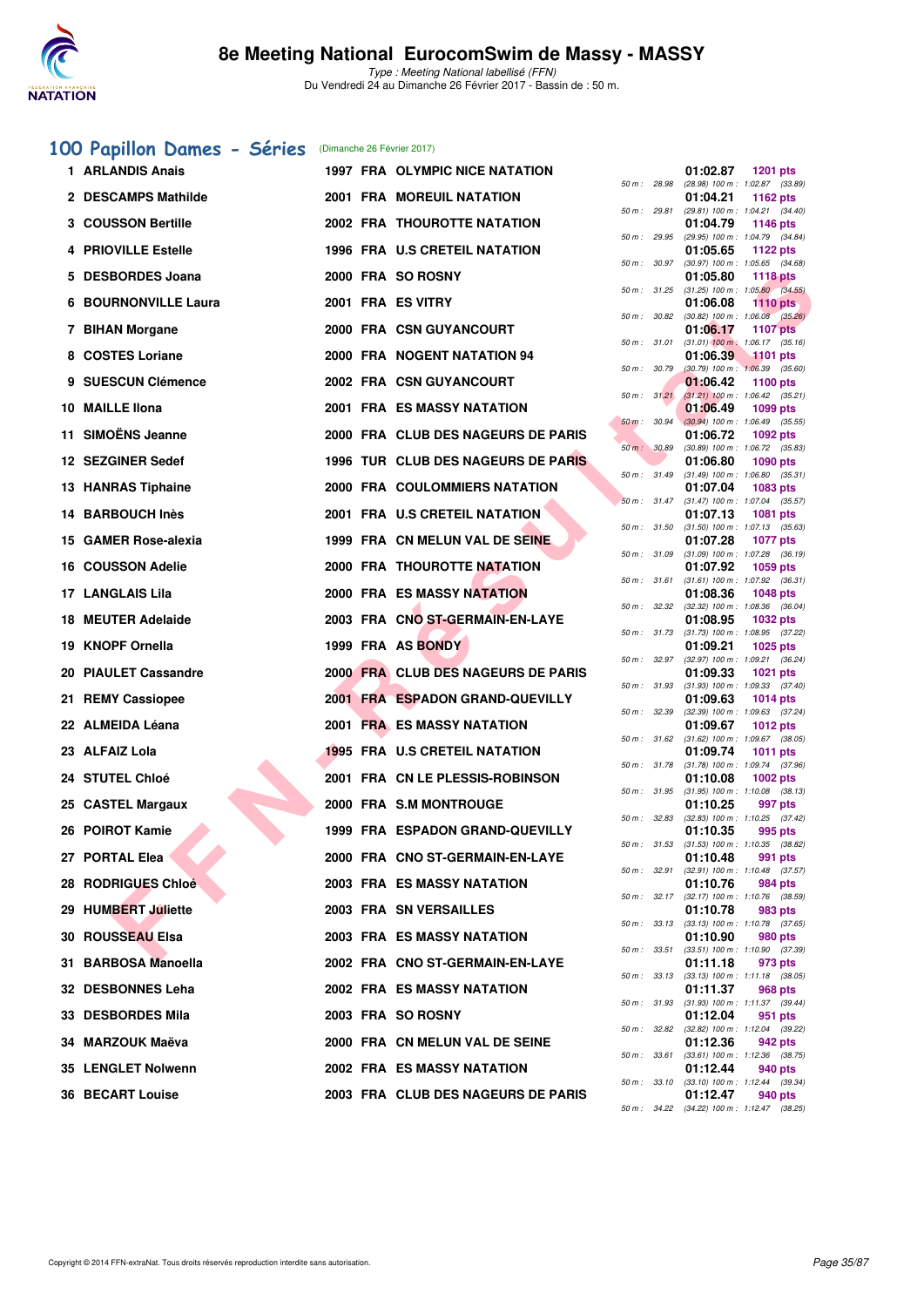

### [100 Papillon Dames - Séries](http://www.ffnatation.fr/webffn/resultats.php?idact=nat&go=epr&idcpt=42801&idepr=32) (Dimanche 26 Février 2017)

| 1 ARLANDIS Anais            |  | 1997 FRA OLYMPIC NICE NATATION       |              |                | 01:02.87 | <b>1201 pts</b>                                                 |
|-----------------------------|--|--------------------------------------|--------------|----------------|----------|-----------------------------------------------------------------|
| 2 DESCAMPS Mathilde         |  | <b>2001 FRA MOREUIL NATATION</b>     |              | 50 m : 28.98   | 01:04.21 | $(28.98)$ 100 m : 1:02.87 $(33.89)$<br>1162 $pts$               |
| 3 COUSSON Bertille          |  | <b>2002 FRA THOUROTTE NATATION</b>   |              | 50 m : 29.81   | 01:04.79 | (29.81) 100 m: 1:04.21 (34.40)<br>1146 pts                      |
| 4 PRIOVILLE Estelle         |  | <b>1996 FRA U.S CRETEIL NATATION</b> |              | 50 m : 29.95   | 01:05.65 | (29.95) 100 m: 1:04.79 (34.84)<br>1122 pts                      |
| 5 DESBORDES Joana           |  | 2000 FRA SO ROSNY                    |              |                | 01:05.80 | 50 m: 30.97 (30.97) 100 m: 1:05.65 (34.68)<br><b>1118 pts</b>   |
| <b>6 BOURNONVILLE Laura</b> |  | 2001 FRA ES VITRY                    | 50 m: 31.25  |                | 01:06.08 | $(31.25)$ 100 m : 1:05.80 $(34.55)$<br>1110 $pts$               |
| 7 BIHAN Morgane             |  | 2000 FRA CSN GUYANCOURT              |              |                | 01:06.17 | 50 m : 30.82 (30.82) 100 m : 1:06.08 (35.26)<br><b>1107 pts</b> |
| 8 COSTES Loriane            |  | 2000 FRA NOGENT NATATION 94          |              | 50 m : 31.01   | 01:06.39 | $(31.01)$ 100 m : 1:06.17 $(35.16)$<br>$1101$ pts               |
| 9 SUESCUN Clémence          |  | 2002 FRA CSN GUYANCOURT              |              | 50 m : 30.79   | 01:06.42 | $(30.79)$ 100 m : 1:06.39 $(35.60)$<br>1100 pts                 |
| 10 MAILLE Ilona             |  | 2001 FRA ES MASSY NATATION           |              |                | 01:06.49 | 50 m: 31.21 (31.21) 100 m: 1:06.42 (35.21)<br>1099 pts          |
| 11 SIMOËNS Jeanne           |  | 2000 FRA CLUB DES NAGEURS DE PARIS   |              | 50 m: 30.94    | 01:06.72 | $(30.94)$ 100 m : 1:06.49 $(35.55)$<br><b>1092 pts</b>          |
| 12 SEZGINER Sedef           |  | 1996 TUR CLUB DES NAGEURS DE PARIS   | 50 m : 30.89 |                | 01:06.80 | $(30.89)$ 100 m : 1:06.72 $(35.83)$<br><b>1090 pts</b>          |
|                             |  |                                      |              | 50 m: 31.49    |          | $(31.49)$ 100 m : 1:06.80 $(35.31)$                             |
| 13 HANRAS Tiphaine          |  | 2000 FRA COULOMMIERS NATATION        |              |                | 01:07.04 | <b>1083 pts</b><br>50 m: 31.47 (31.47) 100 m: 1:07.04 (35.57)   |
| 14 BARBOUCH Inès            |  | 2001 FRA U.S CRETEIL NATATION        |              | 50 m : 31.50   | 01:07.13 | <b>1081 pts</b><br>$(31.50)$ 100 m : 1:07.13 $(35.63)$          |
| 15 GAMER Rose-alexia        |  | 1999 FRA CN MELUN VAL DE SEINE       |              | 50 m : 31.09   | 01:07.28 | <b>1077 pts</b><br>$(31.09)$ 100 m : 1:07.28 $(36.19)$          |
| 16 COUSSON Adelie           |  | <b>2000 FRA THOUROTTE NATATION</b>   |              |                | 01:07.92 | 1059 pts<br>50 m: 31.61 (31.61) 100 m: 1:07.92 (36.31)          |
| 17 LANGLAIS Lila            |  | <b>2000 FRA ES MASSY NATATION</b>    |              | 50 m: 32.32    | 01:08.36 | <b>1048 pts</b><br>$(32.32)$ 100 m : 1:08.36 $(36.04)$          |
| 18 MEUTER Adelaide          |  | 2003 FRA CNO ST-GERMAIN-EN-LAYE      |              |                | 01:08.95 | <b>1032 pts</b><br>50 m: 31.73 (31.73) 100 m: 1:08.95 (37.22)   |
| 19 KNOPF Ornella            |  | 1999 FRA AS BONDY                    |              | 50 m : 32.97   | 01:09.21 | <b>1025 pts</b><br>(32.97) 100 m: 1:09.21 (36.24)               |
| 20 PIAULET Cassandre        |  | 2000 FRA CLUB DES NAGEURS DE PARIS   |              |                | 01:09.33 | <b>1021 pts</b><br>$(31.93)$ 100 m : 1:09.33 $(37.40)$          |
| 21 REMY Cassiopee           |  | 2001 FRA ESPADON GRAND-QUEVILLY      |              | 50 m : 31.93   | 01:09.63 | 1014 $pts$                                                      |
| 22 ALMEIDA Léana            |  | 2001 FRA ES MASSY NATATION           |              | 50 m : 32.39   | 01:09.67 | (32.39) 100 m: 1:09.63 (37.24)<br>1012 pts                      |
| 23 ALFAIZ Lola              |  | <b>1995 FRA U.S CRETEIL NATATION</b> |              |                | 01:09.74 | 50 m: 31.62 (31.62) 100 m: 1:09.67 (38.05)<br><b>1011 pts</b>   |
| 24 STUTEL Chloé             |  | 2001 FRA CN LE PLESSIS-ROBINSON      |              |                | 01:10.08 | 50 m: 31.78 (31.78) 100 m: 1:09.74 (37.96)<br><b>1002 pts</b>   |
| 25 CASTEL Margaux           |  | 2000 FRA S.M MONTROUGE               |              | $50 m$ : 31.95 | 01:10.25 | $(31.95)$ 100 m : 1:10.08 $(38.13)$<br>997 pts                  |
| 26 POIROT Kamie             |  | 1999 FRA ESPADON GRAND-QUEVILLY      |              | 50 m : 32.83   | 01:10.35 | $(32.83)$ 100 m : 1:10.25 $(37.42)$<br>995 pts                  |
| 27 PORTAL Elea              |  | 2000 FRA CNO ST-GERMAIN-EN-LAYE      |              |                | 01:10.48 | 50 m: 31.53 (31.53) 100 m: 1:10.35 (38.82)<br>991 pts           |
| <b>28 RODRIGUES Chloé</b>   |  | <b>2003 FRA ES MASSY NATATION</b>    |              |                | 01:10.76 | 50 m: 32.91 (32.91) 100 m: 1:10.48 (37.57)<br>984 pts           |
| 29 HUMBERT Juliette         |  | 2003 FRA SN VERSAILLES               |              |                | 01:10.78 | 50 m: 32.17 (32.17) 100 m: 1:10.76 (38.59)<br>983 pts           |
| <b>30 ROUSSEAU Elsa</b>     |  | <b>2003 FRA ES MASSY NATATION</b>    |              |                | 01:10.90 | 50 m: 33.13 (33.13) 100 m: 1:10.78 (37.65)<br>980 pts           |
| 31 BARBOSA Manoella         |  | 2002 FRA CNO ST-GERMAIN-EN-LAYE      |              | 50 m : 33.51   | 01:11.18 | $(33.51)$ 100 m : 1:10.90 $(37.39)$<br>973 pts                  |
| 32 DESBONNES Leha           |  | <b>2002 FRA ES MASSY NATATION</b>    |              | 50 m : 33.13   | 01:11.37 | $(33.13)$ 100 m : 1:11.18 $(38.05)$<br>968 pts                  |
|                             |  |                                      |              |                |          | 50 m: 31.93 (31.93) 100 m: 1:11.37 (39.44)                      |
| 33 DESBORDES Mila           |  | 2003 FRA SO ROSNY                    |              |                | 01:12.04 | 951 pts<br>50 m: 32.82 (32.82) 100 m: 1:12.04 (39.22)           |
| 34 MARZOUK Maëva            |  | 2000 FRA CN MELUN VAL DE SEINE       |              | 50 m : 33.61   | 01:12.36 | 942 pts<br>$(33.61)$ 100 m : 1:12.36 $(38.75)$                  |
| 35 LENGLET Nolwenn          |  | 2002 FRA ES MASSY NATATION           |              |                | 01:12.44 | 940 pts<br>50 m: 33.10 (33.10) 100 m: 1:12.44 (39.34)           |
| <b>36 BECART Louise</b>     |  | 2003 FRA CLUB DES NAGEURS DE PARIS   |              |                | 01:12.47 | 940 pts                                                         |

| 50 m :   | 28.98 | 01:02.87<br>(28.98) 100 m :   | 1201 pts<br>1:02.87<br>(33.89)       |
|----------|-------|-------------------------------|--------------------------------------|
|          |       | 01:04.21                      | 1162 pts                             |
| $50 m$ : | 29.81 | (29.81) 100 m :<br>01:04.79   | 1:04.21<br>(34.40)<br>1146 pts       |
| $50 m$ : | 29.95 | (29.95) 100 m :<br>01:05.65   | 1:04.79<br>(34.84)                   |
| 50 m :   | 30.97 | $(30.97) 100 m$ :             | 1122 pts<br>1:05.65<br>(34.68)       |
| $50 m$ : | 31.25 | 01:05.80<br>$(31.25)$ 100 m : | 1118 pts<br>1:05.80<br>(34.55)       |
|          |       | 01:06.08                      | <b>1110 pts</b>                      |
| $50 m$ : | 30.82 | $(30.82)$ 100 m :<br>01:06.17 | 1:06.08<br>(35.26)<br>1107<br>pts    |
| $50 m$ : | 31.01 | $(31.01)$ 100 m :             | 1:06.17<br>(35.16)                   |
| $50 m$ : | 30.79 | 01:06.39<br>$(30.79)$ 100 m : | 1101<br>pts<br>1:06.39<br>(35.60)    |
|          |       | 01:06.42                      | 1100 pts                             |
| $50 m$ : | 31.21 | $(31.21)$ 100 m :<br>01:06.49 | 1:06.42<br>(35.21)<br>1099 pts       |
| $50 m$ : | 30.94 | $(30.94)$ 100 m :             | 1:06.49<br>(35.55)                   |
| $50 m$ : | 30.89 | 01:06.72<br>$(30.89)$ 100 m : | 1092 pts<br>1:06.72<br>(35.83)       |
|          |       | 01:06.80                      | 1090 pts                             |
| $50 m$ : | 31.49 | $(31.49) 100 m$ :<br>01:07.04 | 1:06.80<br>(35.31)<br>1083 pts       |
| 50 m :   | 31.47 | $(31.47) 100 m$ :             | 1:07.04<br>(35.57)                   |
| 50 m :   | 31.50 | 01:07.13<br>$(31.50) 100 m$ : | 1081<br>pts<br>1:07.13<br>(35.63)    |
|          |       | 01:07.28                      | <b>1077 pts</b>                      |
| $50 m$ : | 31.09 | $(31.09) 100 m$ :<br>01:07.92 | 1:07.28<br>(36.19)<br>1059 pts       |
| 50 m :   | 31.61 | $(31.61) 100 m$ :             | 1:07.92<br>(36.31)                   |
| $50 m$ : | 32.32 | 01:08.36<br>$(32.32)$ 100 m : | 1048 pts<br>1:08.36<br>(36.04)       |
| $50 m$ : | 31.73 | 01:08.95<br>$(31.73) 100 m$ : | 1032 pts<br>1:08.95<br>(37.22)       |
|          |       | 01:09.21                      | 1025 pts                             |
| 50 m :   | 32.97 | $(32.97)$ 100 m :<br>01:09.33 | (36.24)<br>1:09.21<br>1021<br>pts    |
| $50 m$ : | 31.93 | $(31.93) 100 m$ :             | 1:09.33<br>(37.40)                   |
| $50 m$ : | 32.39 | 01:09.63<br>$(32.39)$ 100 m : | 1014 pts<br>1:09.63<br>(37.24)       |
|          |       | 01:09.67                      | 1012 pts                             |
| 50 m :   | 31.62 | $(31.62)$ 100 m :<br>01:09.74 | (38.05)<br>1:09.67<br>1011<br>pts    |
| $50 m$ : | 31.78 | $(31.78) 100 m$ :             | 1:09.74<br>(37.96)                   |
| $50 m$ : | 31.95 | 01:10.08<br>$(31.95) 100 m$ : | 1002 pts<br>1:10.08<br>(38.13)       |
|          |       | 01:10.25                      | 997 pts<br>(37.42)                   |
| $50 m$ : | 32.83 | $(32.83)$ 100 m :<br>01:10.35 | 1:10.25<br>995 pts                   |
| 50 m :   | 31.53 | $(31.53) 100 m$ :<br>01:10.48 | 1:10.35<br>(38.82)<br>991 pts        |
| $50 m$ : | 32.91 | $(32.91)$ 100 m :             | 1:10.48<br>(37.57)                   |
| $50 m$ : | 32.17 | 01:10.76<br>$(32.17) 100 m$ : | 984 pts<br>1:10.76<br>(38.59)        |
|          |       | 01:10.78                      | 983 pts                              |
| $50 m$ : | 33.13 | $(33.13) 100 m$ :<br>01:10.90 | 1:10.78<br>(37.65)<br><b>980 pts</b> |
| $50 m$ : | 33.51 | $(33.51)$ 100 m :             | 1:10.90<br>(37.39)                   |
| $50 m$ : | 33.13 | 01:11.18<br>(33.13) 100 m :   | 973 pts<br>1:11.18<br>(38.05)        |
|          |       | 01:11.37                      | 968 pts                              |
| $50 m$ : | 31.93 | $(31.93) 100 m$ :<br>01:12.04 | 1:11.37<br>(39.44)<br>951 pts        |
| $50 m$ : | 32.82 | $(32.82)$ 100 m :             | 1:12.04<br>(39.22)                   |
| $50 m$ : | 33.61 | 01:12.36<br>$(33.61)$ 100 m : | 942 pts<br>1:12.36<br>(38.75)        |
| $50 m$ : | 33.10 | 01:12.44                      | 940 pts                              |
|          |       | $(33.10) 100 m$ :<br>01:12.47 | 1:12.44<br>(39.34)<br>940 pts        |
| $50 m$ : | 34.22 | (34.22) 100 m :               | 1:12.47<br>(38.25)                   |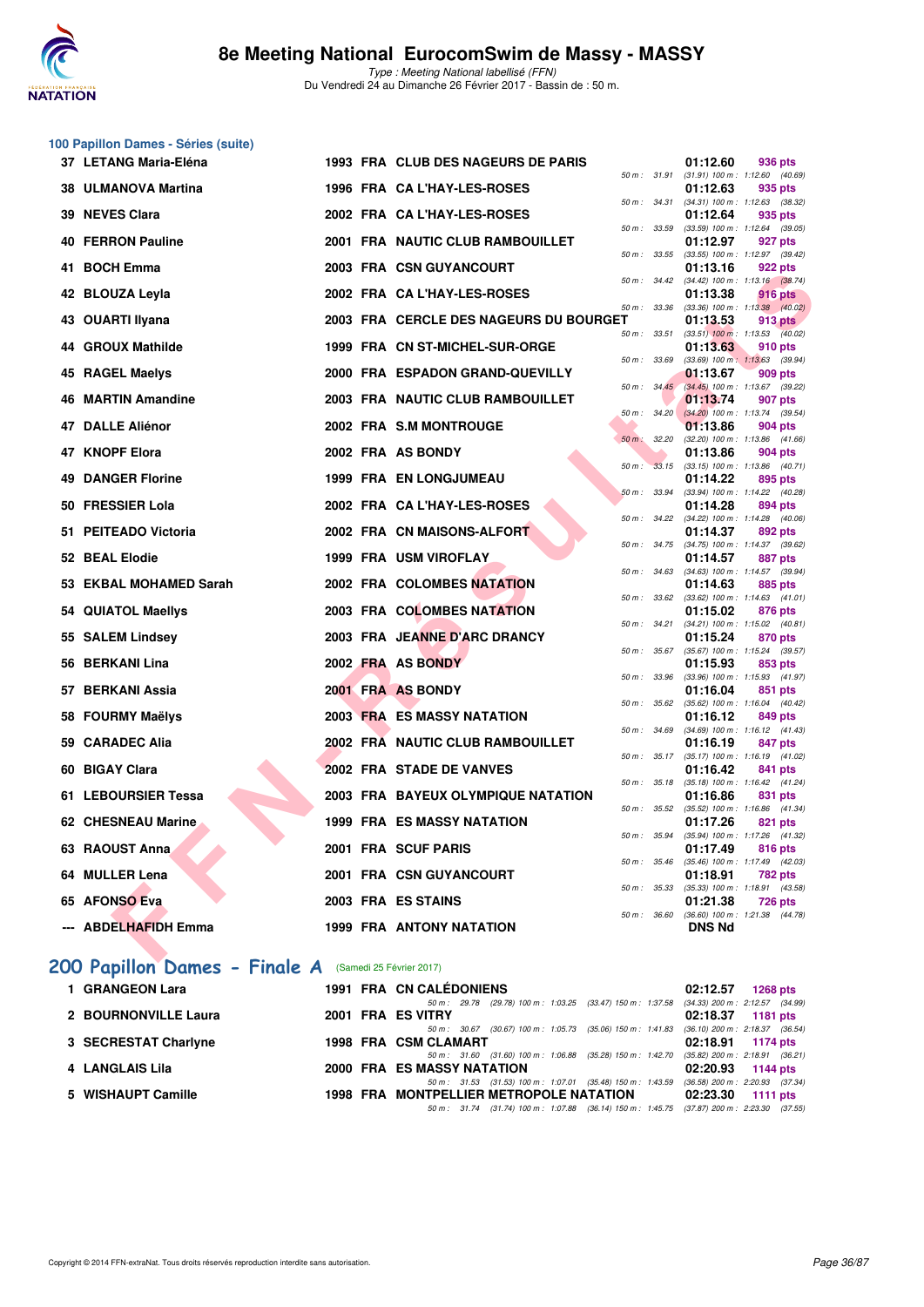

|                                                        | 100 Papillon Dames - Séries (suite) |  |  |                                                                                                                                     |                                                                     |
|--------------------------------------------------------|-------------------------------------|--|--|-------------------------------------------------------------------------------------------------------------------------------------|---------------------------------------------------------------------|
|                                                        | 37 LETANG Maria-Eléna               |  |  | 1993 FRA CLUB DES NAGEURS DE PARIS                                                                                                  | 01:12.60<br>936 pts<br>50 m: 31.91 (31.91) 100 m: 1:12.60 (40.69)   |
|                                                        | 38 ULMANOVA Martina                 |  |  | 1996 FRA CA L'HAY-LES-ROSES<br>50 m : 34.31                                                                                         | 01:12.63<br>935 pts<br>$(34.31)$ 100 m : 1:12.63 $(38.32)$          |
|                                                        | 39 NEVES Clara                      |  |  | 2002 FRA CAL'HAY-LES-ROSES                                                                                                          | 01:12.64<br>935 pts                                                 |
|                                                        | <b>40 FERRON Pauline</b>            |  |  | 50 m: 33.59<br>2001 FRA NAUTIC CLUB RAMBOUILLET                                                                                     | $(33.59)$ 100 m : 1:12.64 $(39.05)$<br>01:12.97<br>927 pts          |
| 41                                                     | <b>BOCH Emma</b>                    |  |  | 50 m: 33.55<br>2003 FRA CSN GUYANCOURT                                                                                              | (33.55) 100 m: 1:12.97 (39.42)<br>01:13.16<br>922 pts               |
|                                                        | 42 BLOUZA Leyla                     |  |  | 50 m : 34.42<br>2002 FRA CA L'HAY-LES-ROSES                                                                                         | $(34.42)$ 100 m : 1:13.16 $(38.74)$<br>01:13.38<br>916 pts          |
|                                                        | 43 OUARTI Ilyana                    |  |  | 50 m : 33.36<br>2003 FRA CERCLE DES NAGEURS DU BOURGET                                                                              | $(33.36)$ 100 m : 1:13.38 $(40.02)$<br>01:13.53<br>913 pts          |
|                                                        | 44 GROUX Mathilde                   |  |  | 50 m : 33.51<br>1999 FRA CN ST-MICHEL-SUR-ORGE                                                                                      | $(33.51)$ 100 m : 1:13.53 $(40.02)$<br>01:13.63<br>910 pts          |
|                                                        | 45 RAGEL Maelys                     |  |  | 50 m : 33.69<br>2000 FRA ESPADON GRAND-QUEVILLY                                                                                     | $(33.69)$ 100 m : 1:13.63 $(39.94)$<br>01:13.67<br>909 pts          |
| 46                                                     | <b>MARTIN Amandine</b>              |  |  | 50 m: 34.45<br>2003 FRA NAUTIC CLUB RAMBOUILLET                                                                                     | (34.45) 100 m : 1:13.67 (39.22)<br>01:13.74<br>907 pts              |
|                                                        | 47 DALLE Aliénor                    |  |  | 50 m: 34.20<br>2002 FRA S.M MONTROUGE                                                                                               | $(34.20)$ 100 m : 1:13.74 $(39.54)$<br>01:13.86<br>904 pts          |
| 47                                                     | <b>KNOPF Elora</b>                  |  |  | $50 m$ :<br>32.20<br>2002 FRA AS BONDY                                                                                              | (32.20) 100 m: 1:13.86 (41.66)<br>01:13.86<br>904 pts               |
| 49                                                     | <b>DANGER Florine</b>               |  |  | <b>1999 FRA EN LONGJUMEAU</b>                                                                                                       | 50 m: 33.15 (33.15) 100 m: 1:13.86 (40.71)<br>01:14.22<br>895 pts   |
|                                                        | 50 FRESSIER Lola                    |  |  | 50 m: 33.94<br>2002 FRA CA L'HAY-LES-ROSES                                                                                          | (33.94) 100 m: 1:14.22 (40.28)                                      |
|                                                        |                                     |  |  |                                                                                                                                     | 01:14.28<br>894 pts<br>50 m: 34.22 (34.22) 100 m: 1:14.28 (40.06)   |
|                                                        | 51 PEITEADO Victoria                |  |  | 2002 FRA CN MAISONS-ALFORT<br>50 m : 34.75                                                                                          | 01:14.37<br>892 pts<br>$(34.75)$ 100 m : 1:14.37 $(39.62)$          |
|                                                        | 52 BEAL Elodie                      |  |  | 1999 FRA USM VIROFLAY<br>50 m : 34.63                                                                                               | 01:14.57<br>887 pts<br>(34.63) 100 m: 1:14.57 (39.94)               |
|                                                        | 53 EKBAL MOHAMED Sarah              |  |  | 2002 FRA COLOMBES NATATION<br>50 m : 33.62                                                                                          | 01:14.63<br>885 pts<br>$(33.62)$ 100 m : 1:14.63 $(41.01)$          |
|                                                        | 54 QUIATOL Maellys                  |  |  | 2003 FRA COLOMBES NATATION<br>50 m : 34.21                                                                                          | 01:15.02<br>876 pts<br>(34.21) 100 m: 1:15.02 (40.81)               |
|                                                        | 55 SALEM Lindsey                    |  |  | 2003 FRA JEANNE D'ARC DRANCY<br>50 m : 35.67                                                                                        | 01:15.24<br>870 pts<br>$(35.67)$ 100 m : 1:15.24 $(39.57)$          |
|                                                        | 56 BERKANI Lina                     |  |  | 2002 FRA AS BONDY<br>50 m : 33.96                                                                                                   | 01:15.93<br>853 pts<br>(33.96) 100 m: 1:15.93 (41.97)               |
|                                                        | 57 BERKANI Assia                    |  |  | 2001 FRA AS BONDY<br>50 m : 35.62                                                                                                   | 01:16.04<br>851 pts<br>$(35.62)$ 100 m : 1:16.04 $(40.42)$          |
|                                                        | 58 FOURMY Maëlys                    |  |  | <b>2003 FRA ES MASSY NATATION</b><br>50 m : 34.69                                                                                   | 01:16.12<br>849 pts<br>(34.69) 100 m: 1:16.12 (41.43)               |
|                                                        | 59 CARADEC Alia                     |  |  | 2002 FRA NAUTIC CLUB RAMBOUILLET<br>$50 m$ : $35.17$                                                                                | 01:16.19<br>847 pts<br>(35.17) 100 m: 1:16.19 (41.02)               |
| 60                                                     | <b>BIGAY Clara</b>                  |  |  | 2002 FRA STADE DE VANVES                                                                                                            | 01:16.42<br>841 pts<br>50 m: 35.18 (35.18) 100 m: 1:16.42 (41.24)   |
|                                                        | 61 LEBOURSIER Tessa                 |  |  | <b>2003 FRA BAYEUX OLYMPIQUE NATATION</b>                                                                                           | 01:16.86<br>831 pts                                                 |
|                                                        | <b>62 CHESNEAU Marine</b>           |  |  | 50 m : 35.52<br>1999 FRA ES MASSY NATATION                                                                                          | $(35.52)$ 100 m : 1:16.86 $(41.34)$<br>01:17.26<br>821 pts          |
|                                                        | 63 RAOUST Anna                      |  |  | 2001 FRA SCUF PARIS                                                                                                                 | 50 m : 35.94 (35.94) 100 m : 1:17.26 (41.32)<br>01:17.49<br>816 pts |
|                                                        | 64 MULLER Lena                      |  |  | 2001 FRA CSN GUYANCOURT                                                                                                             | 50 m: 35.46 (35.46) 100 m: 1:17.49 (42.03)<br>01:18.91<br>782 pts   |
|                                                        | 65 AFONSO Eva                       |  |  | 50 m : 35.33<br>2003 FRA ES STAINS                                                                                                  | (35.33) 100 m: 1:18.91 (43.58)<br>01:21.38<br><b>726 pts</b>        |
|                                                        | --- ABDELHAFIDH Emma                |  |  | <b>1999 FRA ANTONY NATATION</b>                                                                                                     | 50 m: 36.60 (36.60) 100 m: 1:21.38 (44.78)<br><b>DNS Nd</b>         |
|                                                        |                                     |  |  |                                                                                                                                     |                                                                     |
| 200 Papillon Dames - Finale A (Samedi 25 Février 2017) |                                     |  |  |                                                                                                                                     |                                                                     |
|                                                        | 1 GRANGEON Lara                     |  |  | <b>1991 FRA CN CALÉDONIENS</b><br>50 m : 29.78 (29.78) 100 m : 1:03.25 (33.47) 150 m : 1:37.58                                      | 02:12.57<br><b>1268 pts</b><br>(34.33) 200 m : 2:12.57 (34.99)      |
|                                                        | 2 BOURNONVILLE Laura                |  |  | 2001 FRA ES VITRY<br>50 m : 30.67 (30.67) 100 m : 1:05.73 (35.06) 150 m : 1:41.83                                                   | 02:18.37<br>1181 pts<br>$(36.10)$ 200 m : 2:18.37 $(36.54)$         |
|                                                        | 3 SECRESTAT Charlyne                |  |  | 1998 FRA CSM CLAMART<br>50 m : 31.60 (31.60) 100 m : 1:06.88 (35.28) 150 m : 1:42.70                                                | 02:18.91<br>1174 pts<br>(35.82) 200 m : 2:18.91 (36.21)             |
|                                                        | 4 LANGLAIS Lila                     |  |  | 2000 FRA ES MASSY NATATION<br>50 m: 31.53 (31.53) 100 m: 1:07.01 (35.48) 150 m: 1:43.59 (36.58) 200 m: 2:20.93 (37.34)              | 02:20.93<br>1144 pts                                                |
|                                                        | 5 WISHAUPT Camille                  |  |  | 1998 FRA MONTPELLIER METROPOLE NATATION<br>50 m: 31.74 (31.74) 100 m: 1:07.88 (36.14) 150 m: 1:45.75 (37.87) 200 m: 2:23.30 (37.55) | 02:23.30<br>1111 pts                                                |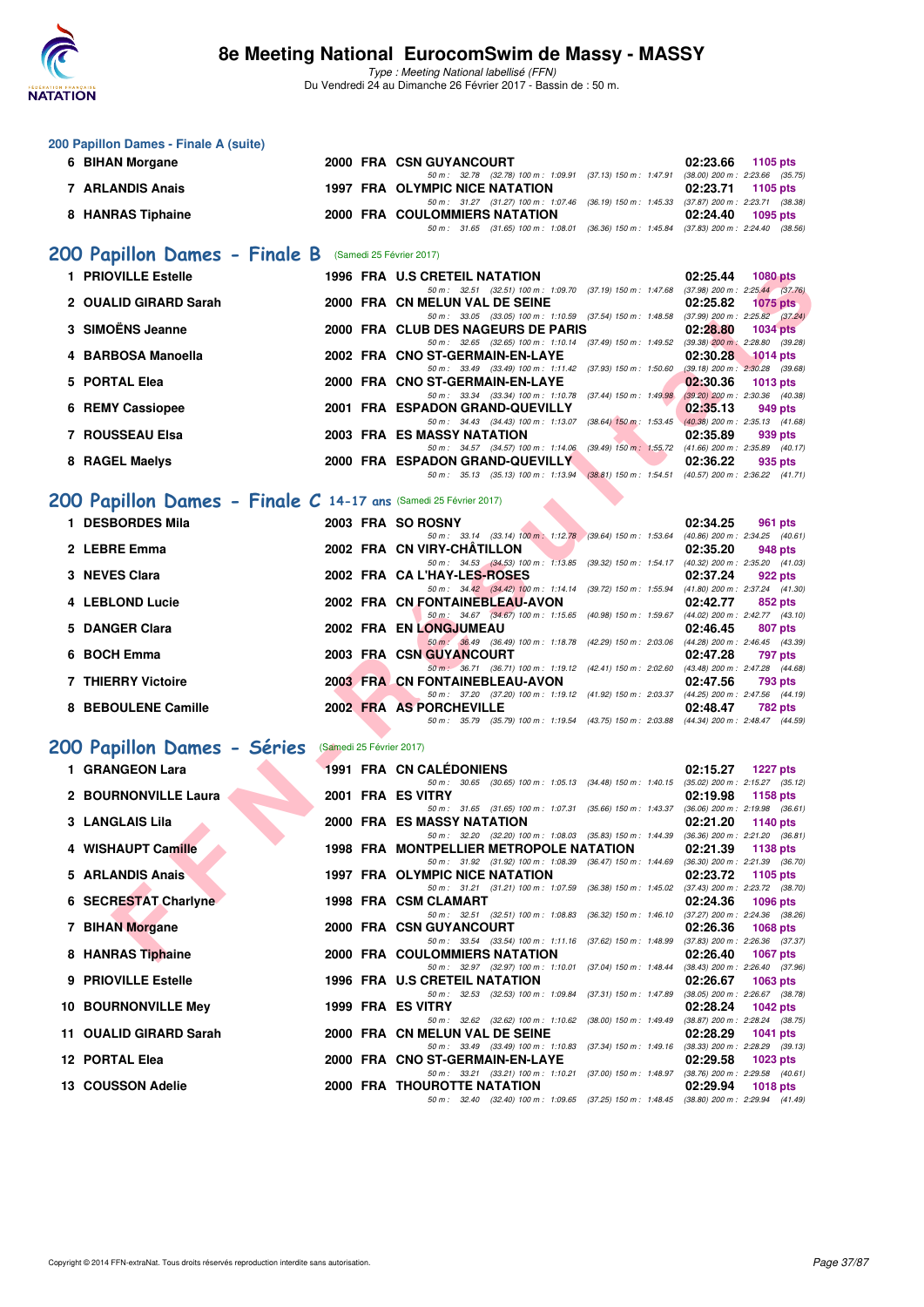

| 200 Papillon Dames - Finale A (suite)                                                |                          |                                                                                                                                     |                                                               |
|--------------------------------------------------------------------------------------|--------------------------|-------------------------------------------------------------------------------------------------------------------------------------|---------------------------------------------------------------|
| 6 BIHAN Morgane                                                                      |                          | 2000 FRA CSN GUYANCOURT<br>50 m: 32.78 (32.78) 100 m: 1:09.91 (37.13) 150 m: 1:47.91 (38.00) 200 m: 2:23.66 (35.75)                 | 02:23.66<br>1105 pts                                          |
| 7 ARLANDIS Anais                                                                     |                          | 1997 FRA OLYMPIC NICE NATATION                                                                                                      | 02:23.71<br>1105 pts                                          |
| 8 HANRAS Tiphaine                                                                    |                          | 50 m: 31.27 (31.27) 100 m: 1:07.46 (36.19) 150 m: 1:45.33 (37.87) 200 m: 2:23.71 (38.38)<br>2000 FRA COULOMMIERS NATATION           | 02:24.40<br>1095 pts                                          |
|                                                                                      |                          | 50 m: 31.65 (31.65) 100 m: 1:08.01 (36.36) 150 m: 1:45.84 (37.83) 200 m: 2:24.40 (38.56)                                            |                                                               |
| 200 Papillon Dames - Finale B (Samedi 25 Février 2017)                               |                          |                                                                                                                                     |                                                               |
| 1 PRIOVILLE Estelle                                                                  |                          | 1996 FRA U.S CRETEIL NATATION                                                                                                       | 02:25.44<br><b>1080 pts</b>                                   |
| 2 OUALID GIRARD Sarah                                                                |                          | 50 m: 32.51 (32.51) 100 m: 1:09.70 (37.19) 150 m: 1:47.68 (37.98) 200 m: 2:25.44 (37.76)<br>2000 FRA CN MELUN VAL DE SEINE          | 02:25.82<br><b>1075 pts</b>                                   |
| 3 SIMOËNS Jeanne                                                                     |                          | 50 m: 33.05 (33.05) 100 m: 1:10.59 (37.54) 150 m: 1:48.58 (37.99) 200 m: 2:25.82 (37.24)<br>2000 FRA CLUB DES NAGEURS DE PARIS      | 02:28.80<br><b>1034 pts</b>                                   |
| 4 BARBOSA Manoella                                                                   |                          | 50 m: 32.65 (32.65) 100 m: 1:10.14 (37.49) 150 m: 1:49.52 (39.38) 200 m: 2:28.80 (39.28)<br>2002 FRA CNO ST-GERMAIN-EN-LAYE         | 02:30.28<br><b>1014 pts</b>                                   |
| 5 PORTAL Elea                                                                        |                          | 50 m: 33.49 (33.49) 100 m: 1:11.42 (37.93) 150 m: 1:50.60<br>2000 FRA CNO ST-GERMAIN-EN-LAYE                                        | $(39.18)$ 200 m : $2:30.28$ $(39.68)$<br>02:30.36<br>1013 pts |
| 6 REMY Cassiopee                                                                     |                          | 50 m: 33.34 (33.34) 100 m: 1:10.78 (37.44) 150 m: 1:49.98 (39.20) 200 m: 2:30.36 (40.38)<br>2001 FRA ESPADON GRAND-QUEVILLY         | 02:35.13<br>949 pts                                           |
|                                                                                      |                          | 50 m: 34.43 (34.43) 100 m: 1:13.07 (38.64) 150 m: 1:53.45 (40.38) 200 m: 2:35.13 (41.68)                                            |                                                               |
| 7 ROUSSEAU Elsa                                                                      |                          | 2003 FRA ES MASSY NATATION<br>50 m: 34.57 (34.57) 100 m: 1:14.06 (39.49) 150 m: 1:55.72 (41.66) 200 m: 2:35.89 (40.17)              | 02:35.89<br>939 pts                                           |
| 8 RAGEL Maelys                                                                       |                          | <b>2000 FRA ESPADON GRAND-QUEVILLY</b><br>50 m: 35.13 (35.13) 100 m: 1:13.94 (38.81) 150 m: 1:54.51 (40.57) 200 m: 2:36.22 (41.71)  | 02:36.22<br>935 pts                                           |
|                                                                                      |                          |                                                                                                                                     |                                                               |
| 200 Papillon Dames - Finale C 14-17 ans (Samedi 25 Février 2017)<br>1 DESBORDES Mila |                          |                                                                                                                                     |                                                               |
|                                                                                      |                          | 2003 FRA SO ROSNY<br>50 m: 33.14 (33.14) 100 m: 1:12.78 (39.64) 150 m: 1:53.64 (40.86) 200 m: 2:34.25 (40.61)                       | 02:34.25<br>961 pts                                           |
| 2 LEBRE Emma                                                                         |                          | 2002 FRA CN VIRY-CHATILLON<br>50 m: 34.53 (34.53) 100 m: 1:13.85 (39.32) 150 m: 1:54.17 (40.32) 200 m: 2:35.20 (41.03)              | 02:35.20<br>948 pts                                           |
| 3 NEVES Clara                                                                        |                          | 2002 FRA CAL'HAY-LES-ROSES                                                                                                          | 02:37.24<br>922 pts                                           |
| 4 LEBLOND Lucie                                                                      |                          | 50 m: 34.42 (34.42) 100 m: 1:14.14 (39.72) 150 m: 1:55.94 (41.80) 200 m: 2:37.24 (41.30)<br>2002 FRA CN FONTAINEBLEAU-AVON          | 02:42.77<br>852 pts                                           |
| 5 DANGER Clara                                                                       |                          | 50 m: 34.67 (34.67) 100 m: 1:15.65 (40.98) 150 m: 1:59.67 (44.02) 200 m: 2:42.77 (43.10)<br><b>2002 FRA EN LONGJUMEAU</b>           | 02:46.45<br>807 pts                                           |
| 6 BOCH Emma                                                                          |                          | 50 m : 36.49 (36.49) 100 m : 1:18.78 (42.29) 150 m : 2:03.06 (44.28) 200 m : 2:46.45 (43.39)<br><b>2003 FRA CSN GUYANCOURT</b>      | 02:47.28<br>797 pts                                           |
| <b>7 THIERRY Victoire</b>                                                            |                          | 50 m : 36.71 (36.71) 100 m : 1:19.12 (42.41) 150 m : 2:02.60 (43.48) 200 m : 2:47.28 (44.68)<br>2003 FRA CN FONTAINEBLEAU-AVON      | 02:47.56<br>793 pts                                           |
| 8 BEBOULENE Camille                                                                  |                          | 50 m: 37.20 (37.20) 100 m: 1:19.12 (41.92) 150 m: 2:03.37 (44.25) 200 m: 2:47.56 (44.19)<br>2002 FRA AS PORCHEVILLE                 | 02:48.47<br>782 pts                                           |
|                                                                                      |                          | 50 m: 35.79 (35.79) 100 m: 1:19.54 (43.75) 150 m: 2:03.88 (44.34) 200 m: 2:48.47 (44.59)                                            |                                                               |
| 200 Papillon Dames - Séries                                                          | (Samedi 25 Février 2017) |                                                                                                                                     |                                                               |
| 1 GRANGEON Lara                                                                      |                          | <b>1991 FRA CN CALEDONIENS</b>                                                                                                      | 02:15.27<br><b>1227 pts</b>                                   |
| 2 BOURNONVILLE Laura                                                                 |                          | 50 m: 30.65 (30.65) 100 m: 1:05.13 (34.48) 150 m: 1:40.15 (35.02) 200 m: 2:15.27 (35.12)<br>2001 FRA ES VITRY                       | 02:19.98<br>1158 pts                                          |
| 3 LANGLAIS Lila                                                                      |                          | 50 m: 31.65 (31.65) 100 m: 1:07.31 (35.66) 150 m: 1:43.37 (36.06) 200 m: 2:19.98 (36.61)<br>2000 FRA ES MASSY NATATION              | 02:21.20<br>1140 pts                                          |
|                                                                                      |                          | 50 m: 32.20 (32.20) 100 m: 1:08.03 (35.83) 150 m: 1:44.39 (36.36) 200 m: 2:21.20 (36.81)                                            |                                                               |
| 4 WISHAUPT Camille                                                                   |                          | 1998 FRA MONTPELLIER METROPOLE NATATION<br>50 m: 31.92 (31.92) 100 m: 1:08.39 (36.47) 150 m: 1:44.69 (36.30) 200 m: 2:21.39 (36.70) | 02:21.39 1138 pts                                             |
| 5 ARLANDIS Anais                                                                     |                          | 1997 FRA OLYMPIC NICE NATATION<br>50 m: 31.21 (31.21) 100 m: 1:07.59 (36.38) 150 m: 1:45.02 (37.43) 200 m: 2:23.72 (38.70)          | 02:23.72<br>1105 pts                                          |
| 6 SECRESTAT Charlyne                                                                 |                          | 1998 FRA CSM CLAMART                                                                                                                | 02:24.36<br><b>1096 pts</b>                                   |
| 7 BIHAN Morgane                                                                      |                          | 50 m: 32.51 (32.51) 100 m: 1:08.83 (36.32) 150 m: 1:46.10 (37.27) 200 m: 2:24.36 (38.26)<br>2000 FRA CSN GUYANCOURT                 | 02:26.36<br>1068 pts                                          |
| 8 HANRAS Tiphaine                                                                    |                          | 50 m: 33.54 (33.54) 100 m: 1:11.16 (37.62) 150 m: 1:48.99 (37.83) 200 m: 2:26.36 (37.37)<br>2000 FRA COULOMMIERS NATATION           | 02:26.40<br><b>1067 pts</b>                                   |
| 9 PRIOVILLE Estelle                                                                  |                          | 50 m: 32.97 (32.97) 100 m: 1:10.01 (37.04) 150 m: 1:48.44<br>1996 FRA U.S CRETEIL NATATION                                          | $(38.43)$ 200 m : 2:26.40 $(37.96)$<br>02:26.67<br>1063 pts   |
| <b>10 BOURNONVILLE Mey</b>                                                           |                          | 50 m: 32.53 (32.53) 100 m: 1:09.84 (37.31) 150 m: 1:47.89 (38.05) 200 m: 2:26.67 (38.78)<br>1999 FRA ES VITRY                       | 02:28.24<br>1042 pts                                          |
|                                                                                      |                          | 50 m: 32.62 (32.62) 100 m: 1:10.62 (38.00) 150 m: 1:49.49 (38.87) 200 m: 2:28.24 (38.75)                                            |                                                               |
| 11 OUALID GIRARD Sarah                                                               |                          | 2000 FRA CN MELUN VAL DE SEINE<br>50 m: 33.49 (33.49) 100 m: 1:10.83 (37.34) 150 m: 1:49.16 (38.33) 200 m: 2:28.29 (39.13)          | 02:28.29<br>1041 pts                                          |
| 12 PORTAL Elea                                                                       |                          | 2000 FRA CNO ST-GERMAIN-EN-LAYE<br>50 m: 33.21 (33.21) 100 m: 1:10.21 (37.00) 150 m: 1:48.97 (38.76) 200 m: 2:29.58 (40.61)         | 02:29.58<br><b>1023 pts</b>                                   |
| 13 COUSSON Adelie                                                                    |                          | <b>2000 FRA THOUROTTE NATATION</b>                                                                                                  | 02:29.94<br>1018 pts                                          |
|                                                                                      |                          | 50 m: 32.40 (32.40) 100 m: 1:09.65 (37.25) 150 m: 1:48.45 (38.80) 200 m: 2:29.94 (41.49)                                            |                                                               |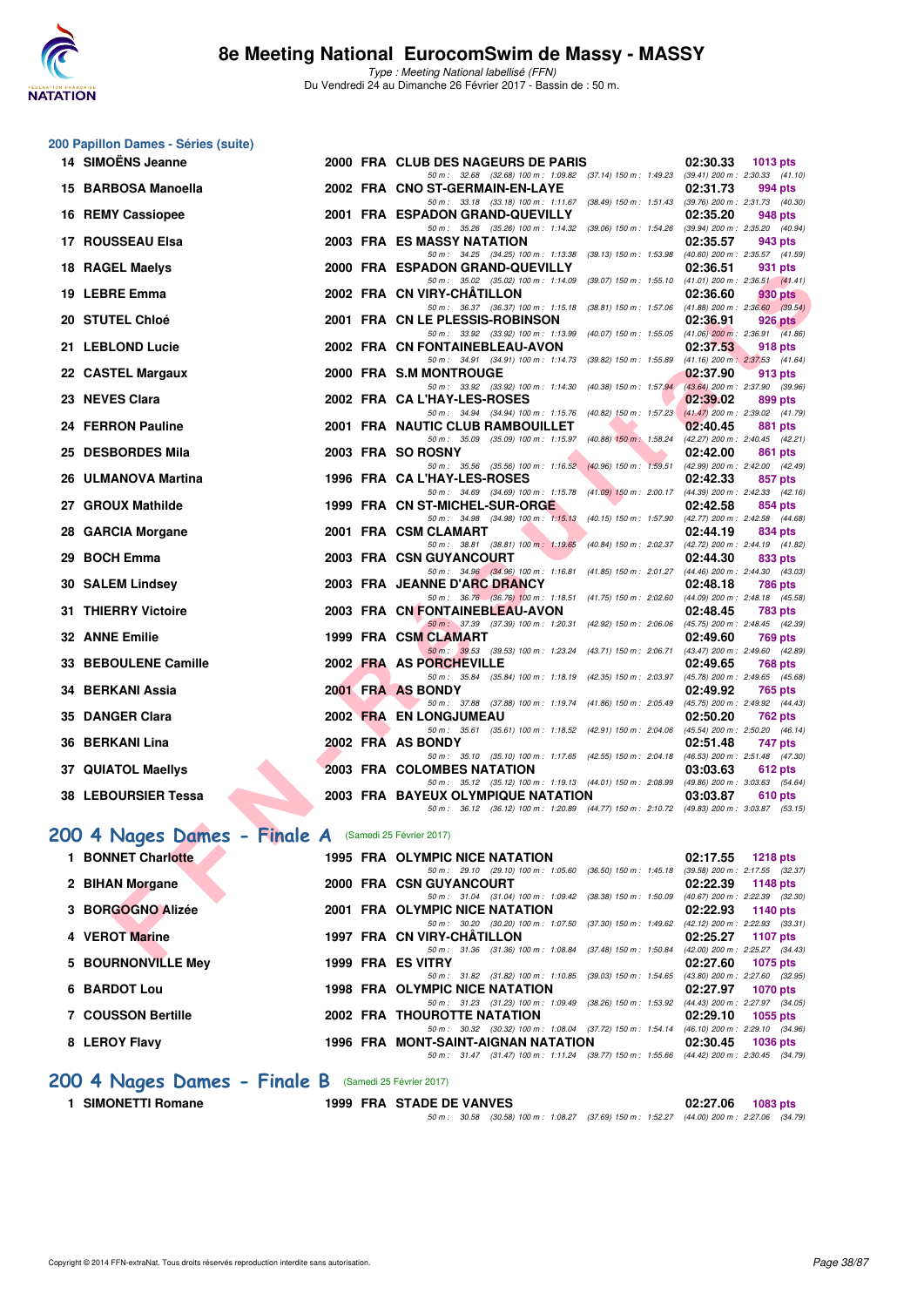

**200 Papillon Dames - Séries (suite)**

Type : Meeting National labellisé (FFN) Du Vendredi 24 au Dimanche 26 Février 2017 - Bassin de : 50 m.

| 14 SIMOËNS Jeanne                                                                     |  | 2000 FRA CLUB DES NAGEURS DE PARIS                                                                                             | 02:30.33<br>1013 pts                                       |
|---------------------------------------------------------------------------------------|--|--------------------------------------------------------------------------------------------------------------------------------|------------------------------------------------------------|
| 15 BARBOSA Manoella                                                                   |  | 50 m: 32.68 (32.68) 100 m: 1.09.82 (37.14) 150 m: 1.49.23 (39.41) 200 m: 2.30.33 (41.10)<br>2002 FRA CNO ST-GERMAIN-EN-LAYE    | 02:31.73<br>994 pts                                        |
|                                                                                       |  | 50 m: 33.18 (33.18) 100 m: 1:11.67 (38.49) 150 m: 1:51.43 (39.76) 200 m: 2:31.73 (40.30)                                       |                                                            |
| 16 REMY Cassiopee                                                                     |  | 2001 FRA ESPADON GRAND-QUEVILLY<br>50 m: 35.26 (35.26) 100 m: 1:14.32 (39.06) 150 m: 1:54.26 (39.94) 200 m: 2:35.20 (40.94)    | 02:35.20<br>948 pts                                        |
| 17 ROUSSEAU Elsa                                                                      |  | 2003 FRA ES MASSY NATATION                                                                                                     | 02:35.57<br>943 pts                                        |
|                                                                                       |  | 50 m: 34.25 (34.25) 100 m: 1:13.38 (39.13) 150 m: 1:53.98 (40.60) 200 m: 2:35.57 (41.59)                                       |                                                            |
| 18 RAGEL Maelys                                                                       |  | 2000 FRA ESPADON GRAND-QUEVILLY                                                                                                | 02:36.51<br>931 pts<br>$(41.01)$ 200 m : 2:36.51 $(41.41)$ |
| 19 LEBRE Emma                                                                         |  | 50 m: 35.02 (35.02) 100 m: 1:14.09 (39.07) 150 m: 1:55.10<br>2002 FRA CN VIRY-CHATILLON                                        | 02:36.60<br>930 pts                                        |
|                                                                                       |  | 50 m: 36.37 (36.37) 100 m: 1:15.18 (38.81) 150 m: 1:57.06 (41.88) 200 m: 2:36.60 (39.54)                                       |                                                            |
| 20 STUTEL Chloé                                                                       |  | 2001 FRA CN LE PLESSIS-ROBINSON                                                                                                | 02:36.91<br>926 pts                                        |
| 21 LEBLOND Lucie                                                                      |  | 50 m: 33.92 (33.92) 100 m: 1:13.99 (40.07) 150 m: 1:55.05 (41.06) 200 m: 2:36.91 (41.86)<br>2002 FRA CN FONTAINEBLEAU-AVON     | 02:37.53<br>918 pts                                        |
|                                                                                       |  | 50 m: 34.91 (34.91) 100 m: 1:14.73 (39.82) 150 m: 1:55.89 (41.16) 200 m: 2:37.53 (41.64)                                       |                                                            |
| 22 CASTEL Margaux                                                                     |  | 2000 FRA S.M MONTROUGE                                                                                                         | 02:37.90<br>913 pts                                        |
| 23 NEVES Clara                                                                        |  | 50 m: 33.92 (33.92) 100 m: 1:14.30 (40.38) 150 m: 1:57.94<br>2002 FRA CAL'HAY-LES-ROSES                                        | (43.64) 200 m : 2:37.90 (39.96)<br>02:39.02<br>899 pts     |
|                                                                                       |  | 50 m: 34.94 (34.94) 100 m: 1:15.76 (40.82) 150 m: 1:57.23                                                                      | $(41.47)$ 200 m : 2:39.02 $(41.79)$                        |
| 24 FERRON Pauline                                                                     |  | 2001 FRA NAUTIC CLUB RAMBOUILLET                                                                                               | 02:40.45<br>881 pts                                        |
|                                                                                       |  | 50 m : 35.09 (35.09) 100 m : 1:15.97 (40.88) 150 m : 1:58.24                                                                   | (42.27) 200 m : 2:40.45 (42.21)                            |
| 25 DESBORDES Mila                                                                     |  | 2003 FRA SO ROSNY<br>50 m: 35.56 (35.56) 100 m: 1:16.52 (40.96) 150 m: 1:59.51                                                 | 02:42.00<br>861 pts<br>$(42.99)$ 200 m : 2:42.00 $(42.49)$ |
| 26 ULMANOVA Martina                                                                   |  | 1996 FRA CA L'HAY-LES-ROSES                                                                                                    | 02:42.33<br>857 pts                                        |
|                                                                                       |  | 50 m: 34.69 (34.69) 100 m: 1:15.78 (41.09) 150 m: 2:00.17 (44.39) 200 m: 2:42.33 (42.16)                                       |                                                            |
| 27 GROUX Mathilde                                                                     |  | 1999 FRA CN ST-MICHEL-SUR-ORGE<br>50 m: 34.98 (34.98) 100 m: 1:15.13 (40.15) 150 m: 1:57.90                                    | 02:42.58<br>854 pts<br>(42.77) 200 m : 2:42.58 (44.68)     |
| 28 GARCIA Morgane                                                                     |  | 2001 FRA CSM CLAMART                                                                                                           | 02:44.19<br>834 pts                                        |
|                                                                                       |  | 50 m: 38.81 (38.81) 100 m: 1:19.65 (40.84) 150 m: 2:02.37 (42.72) 200 m: 2:44.19 (41.82)                                       |                                                            |
| 29 BOCH Emma                                                                          |  | 2003 FRA CSN GUYANCOURT<br>50 m: 34.96 (34.96) 100 m: 1:16.81 (41.85) 150 m: 2:01.27 (44.46) 200 m: 2:44.30 (43.03)            | 02:44.30<br>833 pts                                        |
| 30 SALEM Lindsey                                                                      |  | 2003 FRA JEANNE D'ARC DRANCY                                                                                                   | 02:48.18<br>786 pts                                        |
|                                                                                       |  | 50 m: 36.76 (36.76) 100 m: 1:18.51 (41.75) 150 m: 2:02.60 (44.09) 200 m: 2:48.18 (45.58)                                       |                                                            |
| <b>31 THIERRY Victoire</b>                                                            |  | 2003 FRA CN FONTAINEBLEAU-AVON<br>50 m: 37.39 (37.39) 100 m: 1:20.31 (42.92) 150 m: 2:06.06 (45.75) 200 m: 2:48.45 (42.39)     | 02:48.45<br><b>783 pts</b>                                 |
| 32 ANNE Emilie                                                                        |  | 1999 FRA CSM CLAMART                                                                                                           | 02:49.60<br><b>769 pts</b>                                 |
|                                                                                       |  | 50 m: 39.53 (39.53) 100 m: 1:23.24 (43.71) 150 m: 2:06.71 (43.47) 200 m: 2:49.60 (42.89)                                       |                                                            |
| 33 BEBOULENE Camille                                                                  |  | 2002 FRA AS PORCHEVILLE                                                                                                        | 02:49.65<br>768 pts                                        |
| 34 BERKANI Assia                                                                      |  | 50 m: 35.84 (35.84) 100 m: 1:18.19 (42.35) 150 m: 2:03.97 (45.78) 200 m: 2:49.65 (45.68)<br>2001 FRA AS BONDY                  | 02:49.92<br><b>765 pts</b>                                 |
|                                                                                       |  | 50 m: 37.88 (37.88) 100 m: 1:19.74 (41.86) 150 m: 2:05.49                                                                      | $(45.75)$ 200 m : 2:49.92 $(44.43)$                        |
| 35 DANGER Clara                                                                       |  | 2002 FRA EN LONGJUMEAU                                                                                                         | 02:50.20<br><b>762 pts</b>                                 |
| 36 BERKANI Lina                                                                       |  | 50 m: 35.61 (35.61) 100 m: 1:18.52 (42.91) 150 m: 2:04.06 (45.54) 200 m: 2:50.20 (46.14)<br>2002 FRA AS BONDY                  | 02:51.48<br>747 pts                                        |
|                                                                                       |  | 50 m: 35.10 (35.10) 100 m: 1:17.65 (42.55) 150 m: 2:04.18 (46.53) 200 m: 2:51.48 (47.30)                                       |                                                            |
| 37 QUIATOL Maellys                                                                    |  | 2003 FRA COLOMBES NATATION                                                                                                     | 03:03.63<br>612 pts                                        |
| <b>38 LEBOURSIER Tessa</b>                                                            |  | 50 m: 35.12 (35.12) 100 m: 1:19.13 (44.01) 150 m: 2:08.99 (49.86) 200 m: 3:03.63 (54.64)<br>2003 FRA BAYEUX OLYMPIQUE NATATION | 03:03.87<br><b>610 pts</b>                                 |
|                                                                                       |  | 50 m: 36.12 (36.12) 100 m: 1:20.89 (44.77) 150 m: 2:10.72 (49.83) 200 m: 3:03.87 (53.15)                                       |                                                            |
|                                                                                       |  |                                                                                                                                |                                                            |
| 200 4 Nages Dames - Finale A (Samedi 25 Février 2017)                                 |  |                                                                                                                                |                                                            |
| 1 BONNET Charlotte                                                                    |  | 1995 FRA OLYMPIC NICE NATATION                                                                                                 | 02:17.55<br><b>1218 pts</b>                                |
| 2 BIHAN Morgane                                                                       |  | 50 m: 29.10 (29.10) 100 m: 1:05.60 (36.50) 150 m: 1:45.18 (39.58) 200 m: 2:17.55 (32.37)<br>2000 FRA CSN GUYANCOURT            | 02:22.39<br>1148 pts                                       |
|                                                                                       |  | 50 m: 31.04 (31.04) 100 m: 1:09.42 (38.38) 150 m: 1:50.09 (40.67) 200 m: 2:22.39 (32.30)                                       |                                                            |
| 3 BORGOGNO Alizée                                                                     |  | 2001 FRA OLYMPIC NICE NATATION                                                                                                 | 02:22.93<br>1140 pts                                       |
| 4 VEROT Marine                                                                        |  | 50 m: 30.20 (30.20) 100 m: 1:07.50 (37.30) 150 m: 1:49.62 (42.12) 200 m: 2:22.93 (33.31)<br>1997 FRA CN VIRY-CHATILLON         | 02:25.27<br>1107 pts                                       |
|                                                                                       |  | 50 m: 31.36 (31.36) 100 m: 1:08.84 (37.48) 150 m: 1:50.84 (42.00) 200 m: 2:25.27 (34.43)                                       |                                                            |
| $E = D$ $\triangle$ in interacting $\overline{H}$ is $\overline{H}$ in $\overline{H}$ |  | $1000$ FDA FOUTDV                                                                                                              | 00.0700<br>$\sim$ 4.0 $\pm$ 7.1 $\sim$ 4.4 $\sim$          |

| 2 BIHAN Morgane           |  | 2000 FRA CSN GUYANCOURT<br>$02:22.39$ 1148 pts                                                      |
|---------------------------|--|-----------------------------------------------------------------------------------------------------|
|                           |  | 50 m: 31.04 (31.04) 100 m: 1:09.42 (38.38) 150 m: 1:50.09<br>$(40.67)$ 200 m : 2:22.39 $(32.30)$    |
| 3 BORGOGNO Alizée         |  | 2001 FRA OLYMPIC NICE NATATION<br>02:22.93<br>1140 pts                                              |
|                           |  | $(42.12)$ 200 m : 2:22.93 $(33.31)$<br>50 m: 30.20 (30.20) 100 m: 1:07.50 (37.30) 150 m: 1:49.62    |
| 4 VEROT Marine            |  | 1997 FRA CN VIRY-CHATILLON<br>02:25.27<br>1107 pts                                                  |
|                           |  | 50 m: 31.36 (31.36) 100 m: 1.08.84 (37.48) 150 m: 1.50.84 (42.00) 200 m: 2:25.27 (34.43)            |
| 5 BOURNONVILLE Mey        |  | 1999 FRA ES VITRY<br>02:27.60<br>1075 pts                                                           |
|                           |  | 50 m : 31.82 (31.82) 100 m : 1:10.85 (39.03) 150 m : 1:54.65<br>$(43.80)$ 200 m : 2:27.60 $(32.95)$ |
| 6 BARDOT Lou              |  | <b>1998 FRA OLYMPIC NICE NATATION</b><br>02:27.97<br>1070 pts                                       |
|                           |  | 50 m: 31.23 (31.23) 100 m: 1:09.49 (38.26) 150 m: 1:53.92<br>$(44.43)$ 200 m : 2:27.97 $(34.05)$    |
| <b>7 COUSSON Bertille</b> |  | <b>2002 FRA THOUROTTE NATATION</b><br>02:29.10<br>$1055$ pts                                        |
|                           |  | 50 m : 30.32 (30.32) 100 m : 1:08.04 (37.72) 150 m : 1:54.14<br>$(46.10)$ 200 m : 2:29.10 $(34.96)$ |
| 8 LEROY Flavy             |  | 1996 FRA MONT-SAINT-AIGNAN NATATION<br>02:30.45<br>1036 pts                                         |
|                           |  | 50 m: 31.47 (31.47) 100 m: 1:11.24 (39.77) 150 m: 1:55.66 (44.42) 200 m: 2:30.45 (34.79)            |
|                           |  |                                                                                                     |

# [200 4 Nages Dames - Finale B](http://www.ffnatation.fr/webffn/resultats.php?idact=nat&go=epr&idcpt=42801&idepr=41) (Samedi 25 Février 2017)<br>1 SIMONETTI Romane 1999 FRA STADE D

**1 SIMONETTI Romane** 1999 FRA STADE DE VANVES **02:27.06** 1083 pts<br>50 m : 30.58 (30.58) 100 m : 1:08.27 (37.69) 150 m : 1:52.27 (44.00) 200 m : 2:27.06 (34.79)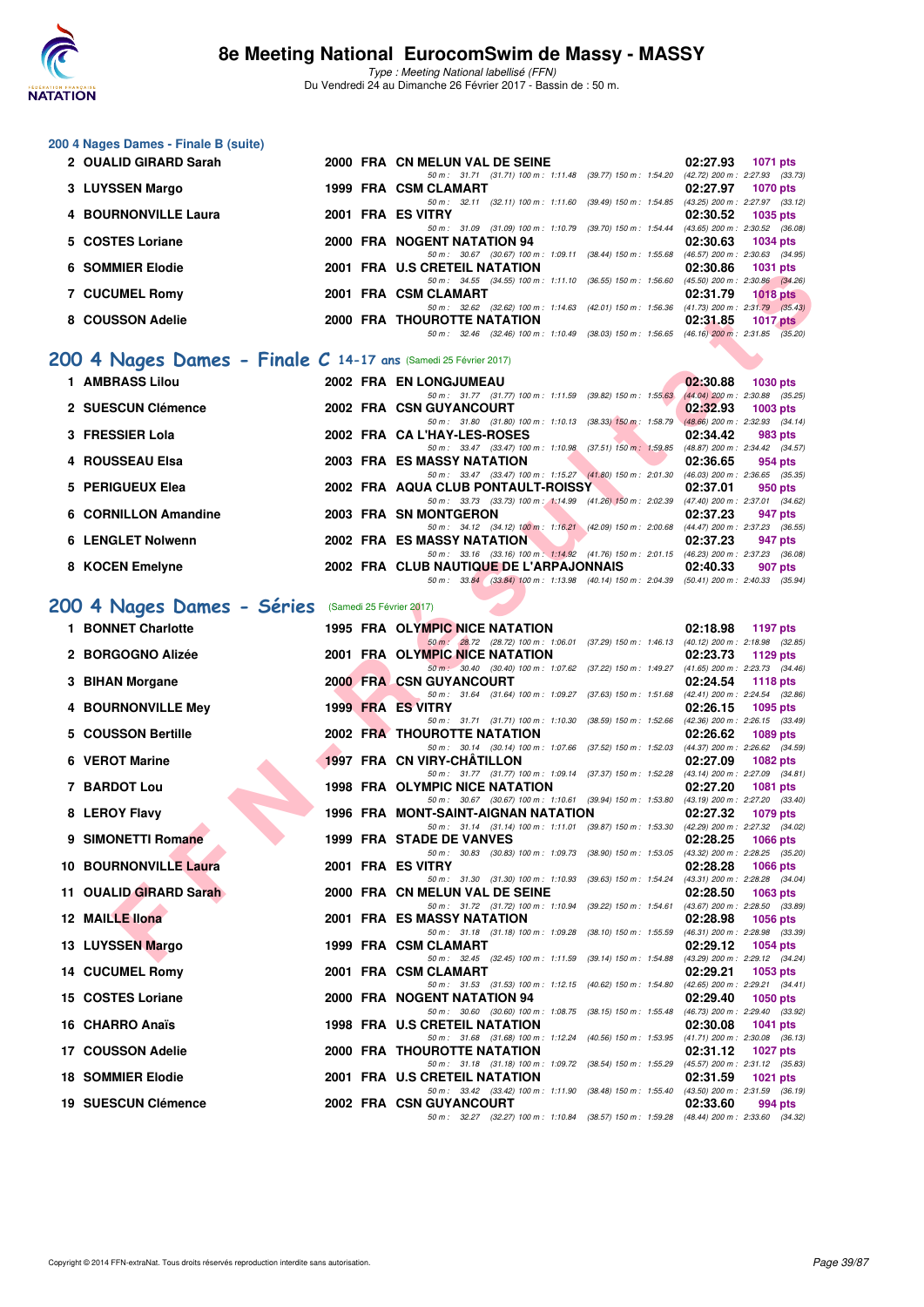

**200 4 Nages Dames - Finale B (suite)**

### **8e Meeting National EurocomSwim de Massy - MASSY**

|                                                                                                                                                                                                                                                                                                                                                                                                                                                                                                                                                                                                                                                                                                                                                                                           |                                                                                              | 02:27.93<br>1071 pts                                                                                                                                                                                                                                                                                                                                                                                                                                                                                                                                                                                                                                                                                                                                                                                                                                                                                                                                                                                                                                                                                                                                                                                                                                                                                                                                                                                                                                                                                                                                                                                                                                                                                                                                                                                                                                                                                                                                                                                                                            |
|-------------------------------------------------------------------------------------------------------------------------------------------------------------------------------------------------------------------------------------------------------------------------------------------------------------------------------------------------------------------------------------------------------------------------------------------------------------------------------------------------------------------------------------------------------------------------------------------------------------------------------------------------------------------------------------------------------------------------------------------------------------------------------------------|----------------------------------------------------------------------------------------------|-------------------------------------------------------------------------------------------------------------------------------------------------------------------------------------------------------------------------------------------------------------------------------------------------------------------------------------------------------------------------------------------------------------------------------------------------------------------------------------------------------------------------------------------------------------------------------------------------------------------------------------------------------------------------------------------------------------------------------------------------------------------------------------------------------------------------------------------------------------------------------------------------------------------------------------------------------------------------------------------------------------------------------------------------------------------------------------------------------------------------------------------------------------------------------------------------------------------------------------------------------------------------------------------------------------------------------------------------------------------------------------------------------------------------------------------------------------------------------------------------------------------------------------------------------------------------------------------------------------------------------------------------------------------------------------------------------------------------------------------------------------------------------------------------------------------------------------------------------------------------------------------------------------------------------------------------------------------------------------------------------------------------------------------------|
|                                                                                                                                                                                                                                                                                                                                                                                                                                                                                                                                                                                                                                                                                                                                                                                           |                                                                                              | 02:27.97<br><b>1070 pts</b>                                                                                                                                                                                                                                                                                                                                                                                                                                                                                                                                                                                                                                                                                                                                                                                                                                                                                                                                                                                                                                                                                                                                                                                                                                                                                                                                                                                                                                                                                                                                                                                                                                                                                                                                                                                                                                                                                                                                                                                                                     |
|                                                                                                                                                                                                                                                                                                                                                                                                                                                                                                                                                                                                                                                                                                                                                                                           | 50 m: 32.11 (32.11) 100 m: 1:11.60 (39.49) 150 m: 1:54.85 (43.25) 200 m: 2:27.97 (33.12)     | 02:30.52<br>1035 pts                                                                                                                                                                                                                                                                                                                                                                                                                                                                                                                                                                                                                                                                                                                                                                                                                                                                                                                                                                                                                                                                                                                                                                                                                                                                                                                                                                                                                                                                                                                                                                                                                                                                                                                                                                                                                                                                                                                                                                                                                            |
|                                                                                                                                                                                                                                                                                                                                                                                                                                                                                                                                                                                                                                                                                                                                                                                           | 50 m: 31.09 (31.09) 100 m: 1:10.79 (39.70) 150 m: 1:54.44 (43.65) 200 m: 2:30.52 (36.08)     | 02:30.63<br>1034 pts                                                                                                                                                                                                                                                                                                                                                                                                                                                                                                                                                                                                                                                                                                                                                                                                                                                                                                                                                                                                                                                                                                                                                                                                                                                                                                                                                                                                                                                                                                                                                                                                                                                                                                                                                                                                                                                                                                                                                                                                                            |
|                                                                                                                                                                                                                                                                                                                                                                                                                                                                                                                                                                                                                                                                                                                                                                                           | 50 m: 30.67 (30.67) 100 m: 1:09.11 (38.44) 150 m: 1:55.68 (46.57) 200 m: 2:30.63 (34.95)     | 02:30.86<br><b>1031 pts</b>                                                                                                                                                                                                                                                                                                                                                                                                                                                                                                                                                                                                                                                                                                                                                                                                                                                                                                                                                                                                                                                                                                                                                                                                                                                                                                                                                                                                                                                                                                                                                                                                                                                                                                                                                                                                                                                                                                                                                                                                                     |
|                                                                                                                                                                                                                                                                                                                                                                                                                                                                                                                                                                                                                                                                                                                                                                                           | 50 m: 34.55 (34.55) 100 m: 1:11.10 (36.55) 150 m: 1:56.60 (45.50) 200 m: 2:30.86 (34.26)     | 02:31.79<br>1018 pts                                                                                                                                                                                                                                                                                                                                                                                                                                                                                                                                                                                                                                                                                                                                                                                                                                                                                                                                                                                                                                                                                                                                                                                                                                                                                                                                                                                                                                                                                                                                                                                                                                                                                                                                                                                                                                                                                                                                                                                                                            |
|                                                                                                                                                                                                                                                                                                                                                                                                                                                                                                                                                                                                                                                                                                                                                                                           | 50 m: 32.62 (32.62) 100 m: 1:14.63 (42.01) 150 m: 1:56.36 (41.73) 200 m: 2:31.79 (35.43)     |                                                                                                                                                                                                                                                                                                                                                                                                                                                                                                                                                                                                                                                                                                                                                                                                                                                                                                                                                                                                                                                                                                                                                                                                                                                                                                                                                                                                                                                                                                                                                                                                                                                                                                                                                                                                                                                                                                                                                                                                                                                 |
|                                                                                                                                                                                                                                                                                                                                                                                                                                                                                                                                                                                                                                                                                                                                                                                           | 50 m: 32.46 (32.46) 100 m: 1:10.49 (38.03) 150 m: 1:56.65 (46.16) 200 m: 2:31.85 (35.20)     | 02:31.85<br>1017 $pts$                                                                                                                                                                                                                                                                                                                                                                                                                                                                                                                                                                                                                                                                                                                                                                                                                                                                                                                                                                                                                                                                                                                                                                                                                                                                                                                                                                                                                                                                                                                                                                                                                                                                                                                                                                                                                                                                                                                                                                                                                          |
|                                                                                                                                                                                                                                                                                                                                                                                                                                                                                                                                                                                                                                                                                                                                                                                           |                                                                                              |                                                                                                                                                                                                                                                                                                                                                                                                                                                                                                                                                                                                                                                                                                                                                                                                                                                                                                                                                                                                                                                                                                                                                                                                                                                                                                                                                                                                                                                                                                                                                                                                                                                                                                                                                                                                                                                                                                                                                                                                                                                 |
|                                                                                                                                                                                                                                                                                                                                                                                                                                                                                                                                                                                                                                                                                                                                                                                           |                                                                                              | 02:30.88<br><b>1030 pts</b>                                                                                                                                                                                                                                                                                                                                                                                                                                                                                                                                                                                                                                                                                                                                                                                                                                                                                                                                                                                                                                                                                                                                                                                                                                                                                                                                                                                                                                                                                                                                                                                                                                                                                                                                                                                                                                                                                                                                                                                                                     |
|                                                                                                                                                                                                                                                                                                                                                                                                                                                                                                                                                                                                                                                                                                                                                                                           |                                                                                              | 02:32.93<br>$1003$ pts                                                                                                                                                                                                                                                                                                                                                                                                                                                                                                                                                                                                                                                                                                                                                                                                                                                                                                                                                                                                                                                                                                                                                                                                                                                                                                                                                                                                                                                                                                                                                                                                                                                                                                                                                                                                                                                                                                                                                                                                                          |
|                                                                                                                                                                                                                                                                                                                                                                                                                                                                                                                                                                                                                                                                                                                                                                                           |                                                                                              | 02:34.42<br>983 pts                                                                                                                                                                                                                                                                                                                                                                                                                                                                                                                                                                                                                                                                                                                                                                                                                                                                                                                                                                                                                                                                                                                                                                                                                                                                                                                                                                                                                                                                                                                                                                                                                                                                                                                                                                                                                                                                                                                                                                                                                             |
|                                                                                                                                                                                                                                                                                                                                                                                                                                                                                                                                                                                                                                                                                                                                                                                           | 50 m: 33.47 (33.47) 100 m: 1:10.98 (37.51) 150 m: 1:59.85 (48.87) 200 m: 2:34.42 (34.57)     | 02:36.65<br>954 pts                                                                                                                                                                                                                                                                                                                                                                                                                                                                                                                                                                                                                                                                                                                                                                                                                                                                                                                                                                                                                                                                                                                                                                                                                                                                                                                                                                                                                                                                                                                                                                                                                                                                                                                                                                                                                                                                                                                                                                                                                             |
|                                                                                                                                                                                                                                                                                                                                                                                                                                                                                                                                                                                                                                                                                                                                                                                           | 50 m: 33.47 (33.47) 100 m: 1:15.27 (41.80) 150 m: 2:01.30 (46.03) 200 m: 2:36.65 (35.35)     | 02:37.01<br>950 pts                                                                                                                                                                                                                                                                                                                                                                                                                                                                                                                                                                                                                                                                                                                                                                                                                                                                                                                                                                                                                                                                                                                                                                                                                                                                                                                                                                                                                                                                                                                                                                                                                                                                                                                                                                                                                                                                                                                                                                                                                             |
|                                                                                                                                                                                                                                                                                                                                                                                                                                                                                                                                                                                                                                                                                                                                                                                           | 50 m: 33.73 (33.73) 100 m: 1:14.99 (41.26) 150 m: 2:02.39 (47.40) 200 m: 2:37.01 (34.62)     |                                                                                                                                                                                                                                                                                                                                                                                                                                                                                                                                                                                                                                                                                                                                                                                                                                                                                                                                                                                                                                                                                                                                                                                                                                                                                                                                                                                                                                                                                                                                                                                                                                                                                                                                                                                                                                                                                                                                                                                                                                                 |
|                                                                                                                                                                                                                                                                                                                                                                                                                                                                                                                                                                                                                                                                                                                                                                                           | 50 m: 34.12 (34.12) 100 m: 1:16.21 (42.09) 150 m: 2:00.68 (44.47) 200 m: 2:37.23 (36.55)     | 02:37.23<br>947 pts                                                                                                                                                                                                                                                                                                                                                                                                                                                                                                                                                                                                                                                                                                                                                                                                                                                                                                                                                                                                                                                                                                                                                                                                                                                                                                                                                                                                                                                                                                                                                                                                                                                                                                                                                                                                                                                                                                                                                                                                                             |
|                                                                                                                                                                                                                                                                                                                                                                                                                                                                                                                                                                                                                                                                                                                                                                                           | 50 m: 33.16 (33.16) 100 m: 1:14.92 (41.76) 150 m: 2:01.15 (46.23) 200 m: 2:37.23 (36.08)     | 02:37.23<br>947 pts                                                                                                                                                                                                                                                                                                                                                                                                                                                                                                                                                                                                                                                                                                                                                                                                                                                                                                                                                                                                                                                                                                                                                                                                                                                                                                                                                                                                                                                                                                                                                                                                                                                                                                                                                                                                                                                                                                                                                                                                                             |
|                                                                                                                                                                                                                                                                                                                                                                                                                                                                                                                                                                                                                                                                                                                                                                                           |                                                                                              | 02:40.33<br>907 pts                                                                                                                                                                                                                                                                                                                                                                                                                                                                                                                                                                                                                                                                                                                                                                                                                                                                                                                                                                                                                                                                                                                                                                                                                                                                                                                                                                                                                                                                                                                                                                                                                                                                                                                                                                                                                                                                                                                                                                                                                             |
|                                                                                                                                                                                                                                                                                                                                                                                                                                                                                                                                                                                                                                                                                                                                                                                           |                                                                                              |                                                                                                                                                                                                                                                                                                                                                                                                                                                                                                                                                                                                                                                                                                                                                                                                                                                                                                                                                                                                                                                                                                                                                                                                                                                                                                                                                                                                                                                                                                                                                                                                                                                                                                                                                                                                                                                                                                                                                                                                                                                 |
|                                                                                                                                                                                                                                                                                                                                                                                                                                                                                                                                                                                                                                                                                                                                                                                           |                                                                                              |                                                                                                                                                                                                                                                                                                                                                                                                                                                                                                                                                                                                                                                                                                                                                                                                                                                                                                                                                                                                                                                                                                                                                                                                                                                                                                                                                                                                                                                                                                                                                                                                                                                                                                                                                                                                                                                                                                                                                                                                                                                 |
|                                                                                                                                                                                                                                                                                                                                                                                                                                                                                                                                                                                                                                                                                                                                                                                           | 50 m : 28.72 (28.72) 100 m : 1:06.01 (37.29) 150 m : 1:46.13 (40.12) 200 m : 2:18.98 (32.85) | 02:18.98<br>1197 pts                                                                                                                                                                                                                                                                                                                                                                                                                                                                                                                                                                                                                                                                                                                                                                                                                                                                                                                                                                                                                                                                                                                                                                                                                                                                                                                                                                                                                                                                                                                                                                                                                                                                                                                                                                                                                                                                                                                                                                                                                            |
|                                                                                                                                                                                                                                                                                                                                                                                                                                                                                                                                                                                                                                                                                                                                                                                           | 50 m : 30.40 (30.40) 100 m : 1:07.62 (37.22) 150 m : 1:49.27 (41.65) 200 m : 2:23.73 (34.46) | 02:23.73<br>1129 $pts$                                                                                                                                                                                                                                                                                                                                                                                                                                                                                                                                                                                                                                                                                                                                                                                                                                                                                                                                                                                                                                                                                                                                                                                                                                                                                                                                                                                                                                                                                                                                                                                                                                                                                                                                                                                                                                                                                                                                                                                                                          |
|                                                                                                                                                                                                                                                                                                                                                                                                                                                                                                                                                                                                                                                                                                                                                                                           |                                                                                              | 02:24.54<br><b>1118 pts</b>                                                                                                                                                                                                                                                                                                                                                                                                                                                                                                                                                                                                                                                                                                                                                                                                                                                                                                                                                                                                                                                                                                                                                                                                                                                                                                                                                                                                                                                                                                                                                                                                                                                                                                                                                                                                                                                                                                                                                                                                                     |
|                                                                                                                                                                                                                                                                                                                                                                                                                                                                                                                                                                                                                                                                                                                                                                                           |                                                                                              | 02:26.15<br>1095 pts                                                                                                                                                                                                                                                                                                                                                                                                                                                                                                                                                                                                                                                                                                                                                                                                                                                                                                                                                                                                                                                                                                                                                                                                                                                                                                                                                                                                                                                                                                                                                                                                                                                                                                                                                                                                                                                                                                                                                                                                                            |
|                                                                                                                                                                                                                                                                                                                                                                                                                                                                                                                                                                                                                                                                                                                                                                                           |                                                                                              | 02:26.62<br>1089 pts                                                                                                                                                                                                                                                                                                                                                                                                                                                                                                                                                                                                                                                                                                                                                                                                                                                                                                                                                                                                                                                                                                                                                                                                                                                                                                                                                                                                                                                                                                                                                                                                                                                                                                                                                                                                                                                                                                                                                                                                                            |
|                                                                                                                                                                                                                                                                                                                                                                                                                                                                                                                                                                                                                                                                                                                                                                                           |                                                                                              | 02:27.09<br>1082 pts                                                                                                                                                                                                                                                                                                                                                                                                                                                                                                                                                                                                                                                                                                                                                                                                                                                                                                                                                                                                                                                                                                                                                                                                                                                                                                                                                                                                                                                                                                                                                                                                                                                                                                                                                                                                                                                                                                                                                                                                                            |
|                                                                                                                                                                                                                                                                                                                                                                                                                                                                                                                                                                                                                                                                                                                                                                                           | 50 m: 31.77 (31.77) 100 m: 1:09.14 (37.37) 150 m: 1:52.28 (43.14) 200 m: 2:27.09 (34.81)     | 02:27.20<br>1081 pts                                                                                                                                                                                                                                                                                                                                                                                                                                                                                                                                                                                                                                                                                                                                                                                                                                                                                                                                                                                                                                                                                                                                                                                                                                                                                                                                                                                                                                                                                                                                                                                                                                                                                                                                                                                                                                                                                                                                                                                                                            |
|                                                                                                                                                                                                                                                                                                                                                                                                                                                                                                                                                                                                                                                                                                                                                                                           | 50 m: 30.67 (30.67) 100 m: 1:10.61 (39.94) 150 m: 1:53.80 (43.19) 200 m: 2:27.20 (33.40)     | 02:27.32<br>1079 pts                                                                                                                                                                                                                                                                                                                                                                                                                                                                                                                                                                                                                                                                                                                                                                                                                                                                                                                                                                                                                                                                                                                                                                                                                                                                                                                                                                                                                                                                                                                                                                                                                                                                                                                                                                                                                                                                                                                                                                                                                            |
|                                                                                                                                                                                                                                                                                                                                                                                                                                                                                                                                                                                                                                                                                                                                                                                           | 50 m: 31.14 (31.14) 100 m: 1:11.01 (39.87) 150 m: 1:53.30 (42.29) 200 m: 2:27.32 (34.02)     |                                                                                                                                                                                                                                                                                                                                                                                                                                                                                                                                                                                                                                                                                                                                                                                                                                                                                                                                                                                                                                                                                                                                                                                                                                                                                                                                                                                                                                                                                                                                                                                                                                                                                                                                                                                                                                                                                                                                                                                                                                                 |
|                                                                                                                                                                                                                                                                                                                                                                                                                                                                                                                                                                                                                                                                                                                                                                                           | 50 m : 30.83 (30.83) 100 m : 1:09.73 (38.90) 150 m : 1:53.05 (43.32) 200 m : 2:28.25 (35.20) | 02:28.25<br><b>1066 pts</b>                                                                                                                                                                                                                                                                                                                                                                                                                                                                                                                                                                                                                                                                                                                                                                                                                                                                                                                                                                                                                                                                                                                                                                                                                                                                                                                                                                                                                                                                                                                                                                                                                                                                                                                                                                                                                                                                                                                                                                                                                     |
|                                                                                                                                                                                                                                                                                                                                                                                                                                                                                                                                                                                                                                                                                                                                                                                           | 50 m: 31.30 (31.30) 100 m: 1:10.93 (39.63) 150 m: 1:54.24 (43.31) 200 m: 2:28.28 (34.04)     | 02:28.28<br>1066 pts                                                                                                                                                                                                                                                                                                                                                                                                                                                                                                                                                                                                                                                                                                                                                                                                                                                                                                                                                                                                                                                                                                                                                                                                                                                                                                                                                                                                                                                                                                                                                                                                                                                                                                                                                                                                                                                                                                                                                                                                                            |
|                                                                                                                                                                                                                                                                                                                                                                                                                                                                                                                                                                                                                                                                                                                                                                                           |                                                                                              | 02:28.50<br>$1063$ pts<br>(43.67) 200 m : 2:28.50 (33.89)                                                                                                                                                                                                                                                                                                                                                                                                                                                                                                                                                                                                                                                                                                                                                                                                                                                                                                                                                                                                                                                                                                                                                                                                                                                                                                                                                                                                                                                                                                                                                                                                                                                                                                                                                                                                                                                                                                                                                                                       |
|                                                                                                                                                                                                                                                                                                                                                                                                                                                                                                                                                                                                                                                                                                                                                                                           |                                                                                              | 02:28.98<br>1056 pts                                                                                                                                                                                                                                                                                                                                                                                                                                                                                                                                                                                                                                                                                                                                                                                                                                                                                                                                                                                                                                                                                                                                                                                                                                                                                                                                                                                                                                                                                                                                                                                                                                                                                                                                                                                                                                                                                                                                                                                                                            |
|                                                                                                                                                                                                                                                                                                                                                                                                                                                                                                                                                                                                                                                                                                                                                                                           |                                                                                              | (46.31) 200 m : 2:28.98 (33.39)<br>02:29.12<br>1054 pts                                                                                                                                                                                                                                                                                                                                                                                                                                                                                                                                                                                                                                                                                                                                                                                                                                                                                                                                                                                                                                                                                                                                                                                                                                                                                                                                                                                                                                                                                                                                                                                                                                                                                                                                                                                                                                                                                                                                                                                         |
|                                                                                                                                                                                                                                                                                                                                                                                                                                                                                                                                                                                                                                                                                                                                                                                           |                                                                                              | (43.29) 200 m : 2:29.12 (34.24)<br>02:29.21<br>1053 pts                                                                                                                                                                                                                                                                                                                                                                                                                                                                                                                                                                                                                                                                                                                                                                                                                                                                                                                                                                                                                                                                                                                                                                                                                                                                                                                                                                                                                                                                                                                                                                                                                                                                                                                                                                                                                                                                                                                                                                                         |
|                                                                                                                                                                                                                                                                                                                                                                                                                                                                                                                                                                                                                                                                                                                                                                                           | 50 m: 31.53 (31.53) 100 m: 1:12.15 (40.62) 150 m: 1:54.80                                    | $(42.65)$ 200 m : 2:29.21 $(34.41)$<br>02:29.40<br><b>1050 pts</b>                                                                                                                                                                                                                                                                                                                                                                                                                                                                                                                                                                                                                                                                                                                                                                                                                                                                                                                                                                                                                                                                                                                                                                                                                                                                                                                                                                                                                                                                                                                                                                                                                                                                                                                                                                                                                                                                                                                                                                              |
|                                                                                                                                                                                                                                                                                                                                                                                                                                                                                                                                                                                                                                                                                                                                                                                           | 50 m : 30.60 (30.60) 100 m : 1:08.75 (38.15) 150 m : 1:55.48 (46.73) 200 m : 2:29.40 (33.92) | 02:30.08<br>1041 pts                                                                                                                                                                                                                                                                                                                                                                                                                                                                                                                                                                                                                                                                                                                                                                                                                                                                                                                                                                                                                                                                                                                                                                                                                                                                                                                                                                                                                                                                                                                                                                                                                                                                                                                                                                                                                                                                                                                                                                                                                            |
|                                                                                                                                                                                                                                                                                                                                                                                                                                                                                                                                                                                                                                                                                                                                                                                           | 50 m: 31.68 (31.68) 100 m: 1:12.24 (40.56) 150 m: 1:53.95 (41.71) 200 m: 2:30.08 (36.13)     |                                                                                                                                                                                                                                                                                                                                                                                                                                                                                                                                                                                                                                                                                                                                                                                                                                                                                                                                                                                                                                                                                                                                                                                                                                                                                                                                                                                                                                                                                                                                                                                                                                                                                                                                                                                                                                                                                                                                                                                                                                                 |
|                                                                                                                                                                                                                                                                                                                                                                                                                                                                                                                                                                                                                                                                                                                                                                                           | 50 m : 31.18 (31.18) 100 m : 1:09.72 (38.54) 150 m : 1:55.29                                 | 02:31.12<br>1027 pts<br>(45.57) 200 m : 2:31.12 (35.83)                                                                                                                                                                                                                                                                                                                                                                                                                                                                                                                                                                                                                                                                                                                                                                                                                                                                                                                                                                                                                                                                                                                                                                                                                                                                                                                                                                                                                                                                                                                                                                                                                                                                                                                                                                                                                                                                                                                                                                                         |
|                                                                                                                                                                                                                                                                                                                                                                                                                                                                                                                                                                                                                                                                                                                                                                                           | 50 m: 33.42 (33.42) 100 m: 1:11.90 (38.48) 150 m: 1:55.40 (43.50) 200 m: 2:31.59 (36.19)     | 02:31.59<br>1021 pts                                                                                                                                                                                                                                                                                                                                                                                                                                                                                                                                                                                                                                                                                                                                                                                                                                                                                                                                                                                                                                                                                                                                                                                                                                                                                                                                                                                                                                                                                                                                                                                                                                                                                                                                                                                                                                                                                                                                                                                                                            |
|                                                                                                                                                                                                                                                                                                                                                                                                                                                                                                                                                                                                                                                                                                                                                                                           | 50 m: 32.27 (32.27) 100 m: 1:10.84 (38.57) 150 m: 1:59.28 (48.44) 200 m: 2:33.60 (34.32)     | 02:33.60<br>994 pts                                                                                                                                                                                                                                                                                                                                                                                                                                                                                                                                                                                                                                                                                                                                                                                                                                                                                                                                                                                                                                                                                                                                                                                                                                                                                                                                                                                                                                                                                                                                                                                                                                                                                                                                                                                                                                                                                                                                                                                                                             |
| 2 OUALID GIRARD Sarah<br>3 LUYSSEN Margo<br>4 BOURNONVILLE Laura<br>5 COSTES Loriane<br>6 SOMMIER Elodie<br><b>7 CUCUMEL Romy</b><br>8 COUSSON Adelie<br>1 AMBRASS Lilou<br>2 SUESCUN Clémence<br>3 FRESSIER Lola<br>4 ROUSSEAU Elsa<br>5 PERIGUEUX Elea<br>6 CORNILLON Amandine<br><b>6 LENGLET Nolwenn</b><br>8 KOCEN Emelyne<br>200 4 Nages Dames - Séries<br>1 BONNET Charlotte<br>2 BORGOGNO Alizée<br>3 BIHAN Morgane<br>4 BOURNONVILLE Mey<br><b>COUSSON Bertille</b><br>6 VEROT Marine<br>7 BARDOT Lou<br>8 LEROY Flavy<br>9 SIMONETTI Romane<br><b>10 BOURNONVILLE Laura</b><br>11 OUALID GIRARD Sarah<br>12 MAILLE llona<br>13 LUYSSEN Margo<br>14 CUCUMEL Romy<br>15 COSTES Loriane<br>16 CHARRO Anaïs<br>17 COUSSON Adelie<br><b>18 SOMMIER Elodie</b><br>19 SUESCUN Clémence |                                                                                              | 2000 FRA CN MELUN VAL DE SEINE<br>50 m: 31.71 (31.71) 100 m: 1:11.48 (39.77) 150 m: 1:54.20 (42.72) 200 m: 2:27.93 (33.73)<br>1999 FRA CSM CLAMART<br>2001 FRA ES VITRY<br>2000 FRA NOGENT NATATION 94<br>2001 FRA U.S CRETEIL NATATION<br>2001 FRA CSM CLAMART<br><b>2000 FRA THOUROTTE NATATION</b><br>200 4 Nages Dames - Finale C 14-17 ans (Samedi 25 Février 2017)<br>2002 FRA EN LONGJUMEAU<br>50 m: 31.77 (31.77) 100 m: 1:11.59 (39.82) 150 m: 1:55.63 (44.04) 200 m: 2:30.88 (35.25)<br>2002 FRA CSN GUYANCOURT<br>50 m: 31.80 (31.80) 100 m: 1:10.13 (38.33) 150 m: 1:58.79 (48.66) 200 m: 2:32.93 (34.14)<br>2002 FRA CA L'HAY-LES-ROSES<br>2003 FRA ES MASSY NATATION<br>2002 FRA AQUA CLUB PONTAULT-ROISSY<br>2003 FRA SN MONTGERON<br>2002 FRA ES MASSY NATATION<br>2002 FRA CLUB NAUTIQUE DE L'ARPAJONNAIS<br>50 m: 33.84 (33.84) 100 m: 1:13.98 (40.14) 150 m: 2:04.39 (50.41) 200 m: 2:40.33 (35.94)<br>(Samedi 25 Février 2017)<br><b>1995 FRA OLYMPIC NICE NATATION</b><br>2001 FRA OLYMPIC NICE NATATION<br><b>2000 FRA CSN GUYANCOURT</b><br>50 m: 31.64 (31.64) 100 m: 1:09.27 (37.63) 150 m: 1:51.68 (42.41) 200 m: 2:24.54 (32.86)<br>1999 FRA ES VITRY<br>50 m: 31.71 (31.71) 100 m: 1:10.30 (38.59) 150 m: 1:52.66 (42.36) 200 m: 2:26.15 (33.49)<br>2002 FRA THOUROTTE NATATION<br>50 m: 30.14 (30.14) 100 m: 1:07.66 (37.52) 150 m: 1:52.03 (44.37) 200 m: 2:26.62 (34.59)<br>1997 FRA CN VIRY-CHATILLON<br><b>1998 FRA OLYMPIC NICE NATATION</b><br>1996 FRA MONT-SAINT-AIGNAN NATATION<br>1999 FRA STADE DE VANVES<br>2001 FRA ES VITRY<br>2000 FRA CN MELUN VAL DE SEINE<br>50 m: 31.72 (31.72) 100 m: 1:10.94 (39.22) 150 m: 1:54.61<br>2001 FRA ES MASSY NATATION<br>50 m: 31.18 (31.18) 100 m: 1:09.28 (38.10) 150 m: 1:55.59<br>1999 FRA CSM CLAMART<br>50 m: 32.45 (32.45) 100 m: 1:11.59 (39.14) 150 m: 1:54.88<br>2001 FRA CSM CLAMART<br>2000 FRA NOGENT NATATION 94<br><b>1998 FRA U.S CRETEIL NATATION</b><br>2000 FRA THOUROTTE NATATION<br>2001 FRA U.S CRETEIL NATATION<br>2002 FRA CSN GUYANCOURT |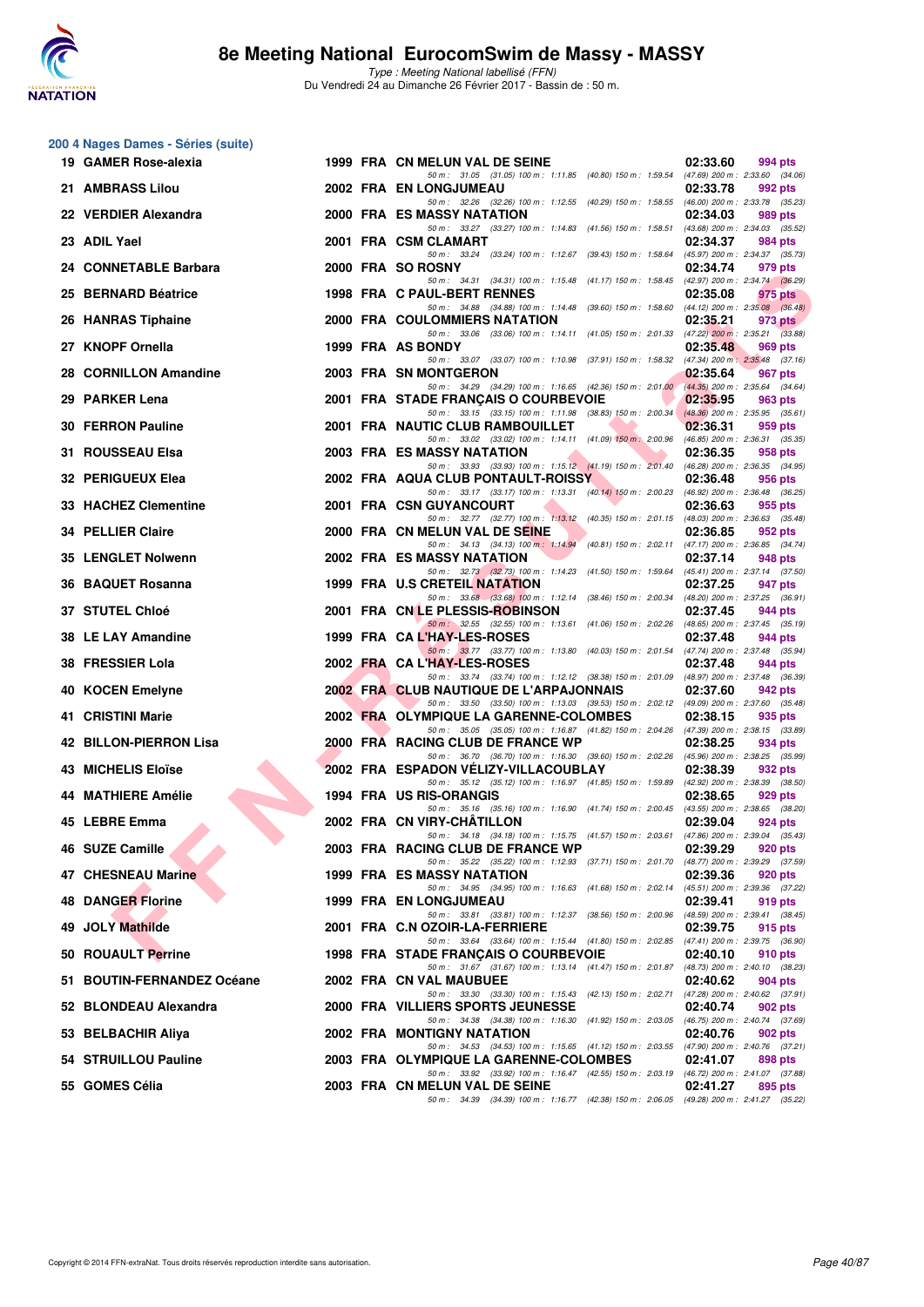

**200 4 Nages Dames - Séries (suite)**

### **8e Meeting National EurocomSwim de Massy - MASSY**

| 19 GAMER Rose-alexia                        |  | 1999 FRA CN MELUN VAL DE SEINE                                                                                                                                                                                                  | 02:33.60<br>994 pts                                        |  |
|---------------------------------------------|--|---------------------------------------------------------------------------------------------------------------------------------------------------------------------------------------------------------------------------------|------------------------------------------------------------|--|
| 21 AMBRASS Lilou                            |  | 50 m: 31.05 (31.05) 100 m: 1:11.85 (40.80) 150 m: 1:59.54 (47.69) 200 m: 2:33.60 (34.06)<br>2002 FRA EN LONGJUMEAU                                                                                                              | 02:33.78<br>992 pts                                        |  |
| 22 VERDIER Alexandra                        |  | 50 m: 32.26 (32.26) 100 m: 1:12.55 (40.29) 150 m: 1:58.55 (46.00) 200 m: 2:33.78 (35.23)<br><b>2000 FRA ES MASSY NATATION</b>                                                                                                   | 02:34.03<br>989 pts                                        |  |
| 23 ADIL Yael                                |  | 50 m: 33.27 (33.27) 100 m: 1:14.83 (41.56) 150 m: 1:58.51<br>2001 FRA CSM CLAMART                                                                                                                                               | (43.68) 200 m : 2:34.03 (35.52)<br>02:34.37<br>984 pts     |  |
| 24 CONNETABLE Barbara                       |  | 50 m: 33.24 (33.24) 100 m: 1:12.67 (39.43) 150 m: 1:58.64<br>2000 FRA SO ROSNY                                                                                                                                                  | (45.97) 200 m : 2:34.37 (35.73)<br>02:34.74<br>979 pts     |  |
| 25 BERNARD Béatrice                         |  | 50 m: 34.31 (34.31) 100 m: 1:15.48 (41.17) 150 m: 1:58.45 (42.97) 200 m: 2:34.74 (36.29)<br>1998 FRA C PAUL-BERT RENNES                                                                                                         | 02:35.08<br>975 pts                                        |  |
| 26 HANRAS Tiphaine                          |  | 50 m: 34.88 (34.88) 100 m: 1:14.48 (39.60) 150 m: 1:58.60 (44.12) 200 m: 2:35.08 (36.48)<br><b>2000 FRA COULOMMIERS NATATION</b>                                                                                                | 02:35.21<br>973 pts                                        |  |
| 27 KNOPF Ornella                            |  | 50 m: 33.06 (33.06) 100 m: 1:14.11 (41.05) 150 m: 2:01.33 (47.22) 200 m: 2:35.21 (33.88)<br>1999 FRA AS BONDY                                                                                                                   | 02:35.48<br>969 pts                                        |  |
| 28 CORNILLON Amandine                       |  | 50 m: 33.07 (33.07) 100 m: 1:10.98 (37.91) 150 m: 1:58.32 (47.34) 200 m: 2:35.48 (37.16)<br>2003 FRA SN MONTGERON                                                                                                               | 02:35.64<br>967 pts                                        |  |
| 29 PARKER Lena                              |  | 50 m: 34.29 (34.29) 100 m: 1:16.65 (42.36) 150 m: 2:01.00<br>2001 FRA STADE FRANÇAIS O COURBEVOIE                                                                                                                               | (44.35) 200 m : 2:35.64 (34.64)<br>02:35.95<br>963 pts     |  |
| 30 FERRON Pauline                           |  | 50 m: 33.15 (33.15) 100 m: 1:11.98 (38.83) 150 m: 2:00.34<br>2001 FRA NAUTIC CLUB RAMBOUILLET                                                                                                                                   | $(48.36)$ 200 m : 2:35.95 $(35.61)$<br>02:36.31<br>959 pts |  |
| 31 ROUSSEAU Elsa                            |  | 50 m: 33.02 (33.02) 100 m: 1:14.11 (41.09) 150 m: 2:00.96 (46.85) 200 m: 2:36.31 (35.35)<br><b>2003 FRA ES MASSY NATATION</b>                                                                                                   | 02:36.35<br>958 pts                                        |  |
| <b>32 PERIGUEUX Elea</b>                    |  | 50 m: 33.93 (33.93) 100 m: 1:15.12 (41.19) 150 m: 2:01.40 (46.28) 200 m: 2:36.35 (34.95)<br>2002 FRA AQUA CLUB PONTAULT-ROISSY                                                                                                  | 02:36.48<br>956 pts                                        |  |
| 33 HACHEZ Clementine                        |  | 50 m: 33.17 (33.17) 100 m: 1:13.31 (40.14) 150 m: 2:00.23 (46.92) 200 m: 2:36.48 (36.25)<br>2001 FRA CSN GUYANCOURT                                                                                                             | 02:36.63<br>955 pts                                        |  |
| 34 PELLIER Claire                           |  | 50 m: 32.77 (32.77) 100 m: 1:13.12 (40.35) 150 m: 2:01.15 (48.03) 200 m: 2:36.63 (35.48)<br>2000 FRA CN MELUN VAL DE SEINE                                                                                                      | 02:36.85<br>952 pts                                        |  |
| 35 LENGLET Nolwenn                          |  | 50 m: 34.13 (34.13) 100 m: 1:14.94 (40.81) 150 m: 2:02.11 (47.17) 200 m: 2:36.85 (34.74)<br><b>2002 FRA ES MASSY NATATION</b>                                                                                                   | 02:37.14<br>948 pts                                        |  |
| 36 BAQUET Rosanna                           |  | 50 m: 32.73 (32.73) 100 m: 1:14.23 (41.50) 150 m: 1:59.64 (45.41) 200 m: 2:37.14 (37.50)<br>1999 FRA U.S CRETEIL NATATION                                                                                                       | 02:37.25<br>947 pts                                        |  |
| 37 STUTEL Chloé                             |  | 50 m: 33.68 (33.68) 100 m: 1:12.14 (38.46) 150 m: 2:00.34 (48.20) 200 m: 2:37.25 (36.91)<br>2001 FRA CN LE PLESSIS-ROBINSON                                                                                                     | 02:37.45<br>944 pts                                        |  |
| 38 LE LAY Amandine                          |  | 50 m: 32.55 (32.55) 100 m: 1:13.61 (41.06) 150 m: 2:02.26 (48.65) 200 m: 2:37.45 (35.19)<br>1999 FRA CA L'HAY-LES-ROSES<br>50 m: 33.77 (33.77) 100 m: 1:13.80 (40.03) 150 m: 2:01.54 (47.74) 200 m: 2:37.48 (35.94)             | 02:37.48<br>944 pts                                        |  |
| 38 FRESSIER Lola                            |  | 2002 FRA CA L'HAY-LES-ROSES                                                                                                                                                                                                     | 02:37.48<br>944 pts                                        |  |
| 40 KOCEN Emelyne                            |  | 50 m: 33.74 (33.74) 100 m: 1:12.12 (38.38) 150 m: 2:01.09 (48.97) 200 m: 2:37.48 (36.39)<br>2002 FRA CLUB NAUTIQUE DE L'ARPAJONNAIS<br>50 m: 33.50 (33.50) 100 m: 1:13.03 (39.53) 150 m: 2:02.12 (49.09) 200 m: 2:37.60 (35.48) | 02:37.60<br>942 pts                                        |  |
| 41 CRISTINI Marie                           |  | 2002 FRA OLYMPIQUE LA GARENNE-COLOMBES<br>50 m: 35.05 (35.05) 100 m: 1:16.87 (41.82) 150 m: 2:04.26 (47.39) 200 m: 2:38.15 (33.89)                                                                                              | 02:38.15<br>935 pts                                        |  |
| 42 BILLON-PIERRON Lisa                      |  | 2000 FRA RACING CLUB DE FRANCE WP<br>50 m: 36.70 (36.70) 100 m: 1:16.30 (39.60) 150 m: 2:02.26 (45.96) 200 m: 2:38.25 (35.99)                                                                                                   | 02:38.25<br>934 pts                                        |  |
| 43 MICHELIS Eloïse                          |  | 2002 FRA ESPADON VELIZY-VILLACOUBLAY<br>50 m: 35.12 (35.12) 100 m: 1:16.97 (41.85) 150 m: 1:59.89 (42.92) 200 m: 2:38.39 (38.50)                                                                                                | 02:38.39<br>932 pts                                        |  |
| <b>44 MATHIERE Amélie</b>                   |  | 1994 FRA US RIS-ORANGIS                                                                                                                                                                                                         | 02:38.65<br>929 pts                                        |  |
| 45 LEBRE Emma                               |  | 50 m: 35.16 (35.16) 100 m: 1:16.90 (41.74) 150 m: 2:00.45 (43.55) 200 m: 2:38.65 (38.20)<br>2002 FRA CN VIRY-CHATILLON                                                                                                          | 02:39.04<br>924 pts                                        |  |
| 46 SUZE Camille<br><b>Contract Contract</b> |  | 50 m: 34.18 (34.18) 100 m: 1:15.75 (41.57) 150 m: 2:03.61 (47.86) 200 m: 2:39.04 (35.43)<br>2003 FRA RACING CLUB DE FRANCE WP<br>50 m: 35.22 (35.22) 100 m: 1:12.93 (37.71) 150 m: 2:01.70 (48.77) 200 m: 2:39.29 (37.59)       | 02:39.29<br>920 pts                                        |  |
| 47 CHESNEAU Marine                          |  | <b>1999 FRA ES MASSY NATATION</b><br>50 m: 34.95 (34.95) 100 m: 1:16.63 (41.68) 150 m: 2:02.14 (45.51) 200 m: 2:39.36 (37.22)                                                                                                   | 02:39.36<br>920 pts                                        |  |
| 48 DANGER Florine                           |  | 1999 FRA EN LONGJUMEAU<br>50 m: 33.81 (33.81) 100 m: 1:12.37 (38.56) 150 m: 2:00.96 (48.59) 200 m: 2:39.41 (38.45)                                                                                                              | 02:39.41<br>919 pts                                        |  |
| 49 JOLY Mathilde                            |  | 2001 FRA C.N OZOIR-LA-FERRIERE<br>50 m: 33.64 (33.64) 100 m: 1:15.44 (41.80) 150 m: 2:02.85 (47.41) 200 m: 2:39.75 (36.90)                                                                                                      | 02:39.75<br>915 pts                                        |  |
| 50 ROUAULT Perrine                          |  | 1998 FRA STADE FRANÇAIS O COURBEVOIE                                                                                                                                                                                            | 02:40.10<br>910 pts                                        |  |
| 51 BOUTIN-FERNANDEZ Océane                  |  | 50 m: 31.67 (31.67) 100 m: 1:13.14 (41.47) 150 m: 2:01.87 (48.73) 200 m: 2:40.10 (38.23)<br>2002 FRA CN VAL MAUBUEE                                                                                                             | 02:40.62<br>904 pts                                        |  |
| 52 BLONDEAU Alexandra                       |  | 50 m: 33.30 (33.30) 100 m: 1:15.43 (42.13) 150 m: 2:02.71 (47.28) 200 m: 2:40.62 (37.91)<br>2000 FRA VILLIERS SPORTS JEUNESSE<br>50 m: 34.38 (34.38) 100 m: 1:16.30 (41.92) 150 m: 2:03.05 (46.75) 200 m: 2:40.74 (37.69)       | 02:40.74<br>902 pts                                        |  |
| 53 BELBACHIR Aliya                          |  | 2002 FRA MONTIGNY NATATION<br>50 m: 34.53 (34.53) 100 m: 1:15.65 (41.12) 150 m: 2:03.55 (47.90) 200 m: 2:40.76 (37.21)                                                                                                          | 02:40.76<br>902 pts                                        |  |
| 54 STRUILLOU Pauline                        |  | 2003 FRA OLYMPIQUE LA GARENNE-COLOMBES<br>50 m: 33.92 (33.92) 100 m: 1:16.47 (42.55) 150 m: 2:03.19 (46.72) 200 m: 2:41.07 (37.88)                                                                                              | 02:41.07<br>898 pts                                        |  |
| 55 GOMES Célia                              |  | 2003 FRA CN MELUN VAL DE SEINE<br>50 m: 34.39 (34.39) 100 m: 1:16.77 (42.38) 150 m: 2:06.05 (49.28) 200 m: 2:41.27 (35.22)                                                                                                      | 02:41.27<br>895 pts                                        |  |
|                                             |  |                                                                                                                                                                                                                                 |                                                            |  |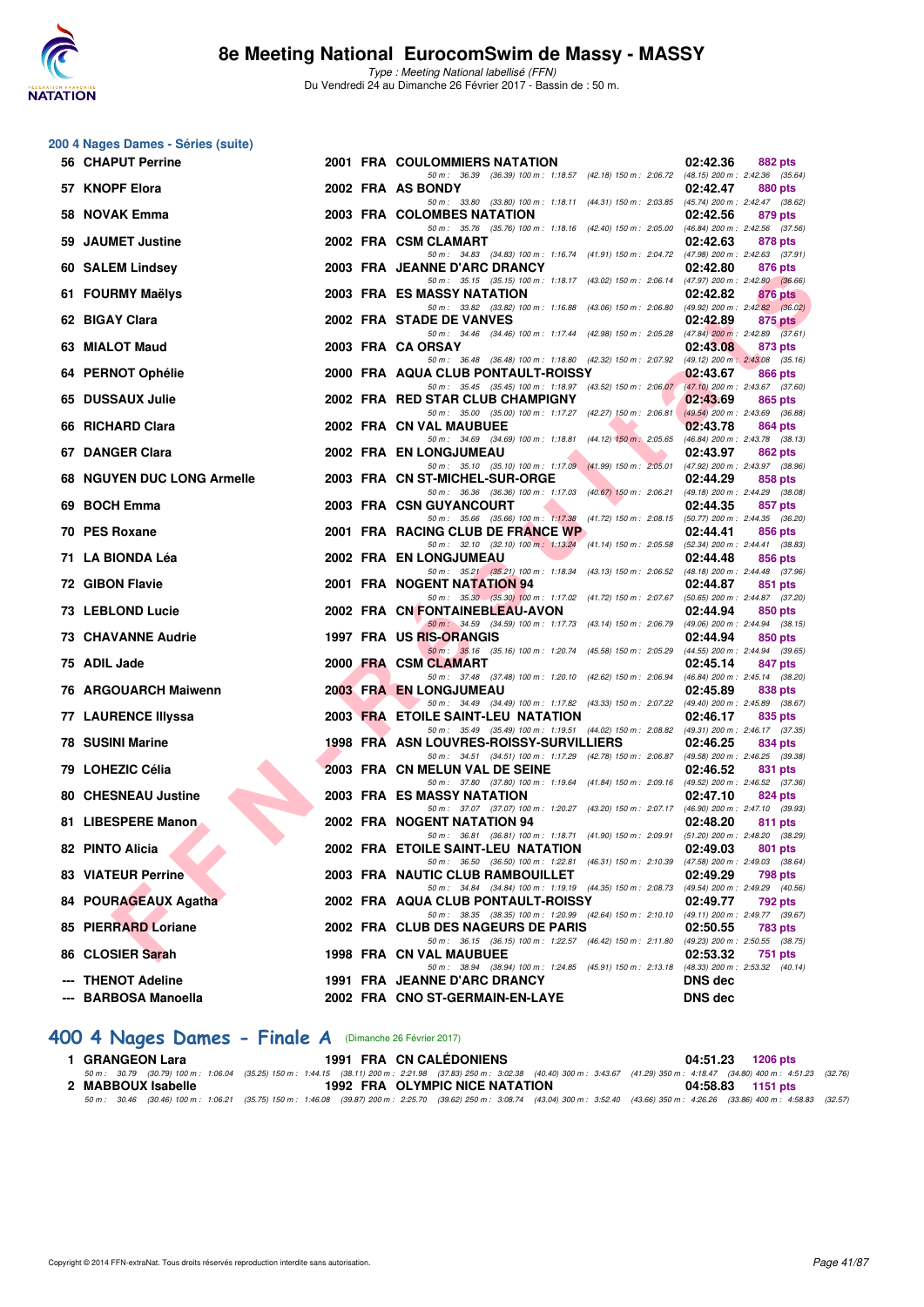

Type : Meeting National labellisé (FFN) Du Vendredi 24 au Dimanche 26 Février 2017 - Bassin de : 50 m.

|    | 200 4 Nages Dames - Séries (suite)         |  |                                                                                                                                     |                                                               |
|----|--------------------------------------------|--|-------------------------------------------------------------------------------------------------------------------------------------|---------------------------------------------------------------|
|    | 56 CHAPUT Perrine                          |  | 2001 FRA COULOMMIERS NATATION                                                                                                       | 02:42.36<br>882 pts                                           |
|    | 57 KNOPF Elora                             |  | 50 m: 36.39 (36.39) 100 m: 1:18.57 (42.18) 150 m: 2:06.72 (48.15) 200 m: 2:42.36 (35.64)<br>2002 FRA AS BONDY                       | 02:42.47<br>880 pts                                           |
|    | 58 NOVAK Emma                              |  | 50 m: 33.80 (33.80) 100 m: 1:18.11 (44.31) 150 m: 2:03.85 (45.74) 200 m: 2:42.47 (38.62)<br>2003 FRA COLOMBES NATATION              | 02:42.56<br>879 pts                                           |
|    | 59 JAUMET Justine                          |  | 50 m: 35.76 (35.76) 100 m: 1:18.16 (42.40) 150 m: 2:05.00 (46.84) 200 m: 2:42.56 (37.56)<br>2002 FRA CSM CLAMART                    | 02:42.63<br>878 pts                                           |
|    | 60 SALEM Lindsey                           |  | 50 m: 34.83 (34.83) 100 m: 1:16.74 (41.91) 150 m: 2:04.72 (47.98) 200 m: 2:42.63 (37.91)<br>2003 FRA JEANNE D'ARC DRANCY            | 02:42.80<br>876 pts                                           |
|    | 61 FOURMY Maëlys                           |  | 50 m: 35.15 (35.15) 100 m: 1:18.17 (43.02) 150 m: 2:06.14 (47.97) 200 m: 2:42.80 (36.66)<br>2003 FRA ES MASSY NATATION              | 02:42.82<br>876 pts                                           |
|    | 62 BIGAY Clara                             |  | 50 m : 33.82 (33.82) 100 m : 1:16.88 (43.06) 150 m : 2:06.80<br>2002 FRA STADE DE VANVES                                            | $(49.92)$ 200 m : 2:42.82 $(36.02)$<br>02:42.89<br>875 pts    |
|    | 63 MIALOT Maud                             |  | 50 m: 34.46 (34.46) 100 m: 1:17.44 (42.98) 150 m: 2:05.28<br>2003 FRA CA ORSAY                                                      | $(47.84)$ 200 m : 2:42.89 $(37.61)$<br>02:43.08<br>873 pts    |
|    | 64 PERNOT Ophélie                          |  | 50 m: 36.48 (36.48) 100 m: 1:18.80 (42.32) 150 m: 2:07.92 (49.12) 200 m: 2:43.08 (35.16)<br>2000 FRA AQUA CLUB PONTAULT-ROISSY      | 02:43.67<br>866 pts                                           |
|    | 65 DUSSAUX Julie                           |  | 50 m: 35.45 (35.45) 100 m: 1:18.97 (43.52) 150 m: 2:06.07 (47.10) 200 m: 2:43.67 (37.60)<br>2002 FRA RED STAR CLUB CHAMPIGNY        | 02:43.69<br>865 pts                                           |
|    | 66 RICHARD Clara                           |  | 50 m: 35.00 (35.00) 100 m: 1:17.27 (42.27) 150 m: 2:06.81<br>2002 FRA CN VAL MAUBUEE                                                | $(49.54)$ 200 m : 2:43.69 (36.88)<br>02:43.78<br>864 pts      |
|    | 67 DANGER Clara                            |  | 50 m: 34.69 (34.69) 100 m: 1:18.81 (44.12) 150 m: 2:05.65<br>2002 FRA EN LONGJUMEAU                                                 | $(46.84)$ 200 m : 2:43.78 $(38.13)$<br>02:43.97<br>862 pts    |
|    | 68 NGUYEN DUC LONG Armelle                 |  | 50 m: 35.10 (35.10) 100 m: 1:17.09 (41.99) 150 m: 2:05.01<br>2003 FRA CN ST-MICHEL-SUR-ORGE                                         | (47.92) 200 m : 2:43.97 (38.96)<br>02:44.29<br>858 pts        |
| 69 | <b>BOCH Emma</b>                           |  | 50 m : 36.36 (36.36) 100 m : 1:17.03 (40.67) 150 m : 2:06.21<br>2003 FRA CSN GUYANCOURT                                             | (49.18) 200 m : 2:44.29 (38.08)<br>02:44.35<br>857 pts        |
|    | 70 PES Roxane                              |  | 50 m: 35.66 (35.66) 100 m: 1:17.38 (41.72) 150 m: 2:08.15 (50.77) 200 m: 2:44.35 (36.20)<br>2001 FRA RACING CLUB DE FRANCE WP       | 02:44.41<br>856 pts                                           |
|    | 71 LA BIONDA Léa                           |  | 50 m: 32.10 (32.10) 100 m: 1:13.24 (41.14) 150 m: 2:05.58 (52.34) 200 m: 2:44.41 (38.83)<br>2002 FRA EN LONGJUMEAU                  | 02:44.48<br>856 pts                                           |
|    | 72 GIBON Flavie                            |  | 50 m: 35.21 (35.21) 100 m: 1:18.34 (43.13) 150 m: 2:06.52 (48.18) 200 m: 2:44.48 (37.96)<br>2001 FRA NOGENT NATATION 94             | 02:44.87<br>851 pts                                           |
|    | 73 LEBLOND Lucie                           |  | 50 m: 35.30 (35.30) 100 m: 1:17.02 (41.72) 150 m: 2:07.67 (50.65) 200 m: 2:44.87 (37.20)<br>2002 FRA CN FONTAINEBLEAU-AVON          | 02:44.94<br>850 pts                                           |
|    | <b>73 CHAVANNE Audrie</b>                  |  | 50 m: 34.59 (34.59) 100 m: 1:17.73 (43.14) 150 m: 2:06.79 (49.06) 200 m: 2:44.94 (38.15)<br>1997 FRA US RIS-ORANGIS                 | 02:44.94<br>850 pts                                           |
|    | 75 ADIL Jade                               |  | 50 m: 35.16 (35.16) 100 m: 1:20.74 (45.58) 150 m: 2:05.29<br>2000 FRA CSM CLAMART                                                   | (44.55) 200 m : 2:44.94 (39.65)<br>02:45.14<br>847 pts        |
|    | 76 ARGOUARCH Maiwenn                       |  | 50 m: 37.48 (37.48) 100 m: 1:20.10 (42.62) 150 m: 2:06.94<br><b>2003 FRA EN LONGJUMEAU</b>                                          | (46.84) 200 m : 2:45.14 (38.20)<br>02:45.89<br>838 pts        |
|    | 77 LAURENCE IIIyssa                        |  | 50 m: 34.49 (34.49) 100 m: 1:17.82 (43.33) 150 m: 2:07.22 (49.40) 200 m: 2:45.89 (38.67)<br>2003 FRA ETOILE SAINT-LEU NATATION      | 02:46.17<br>835 pts                                           |
|    | 78 SUSINI Marine                           |  | 50 m: 35.49 (35.49) 100 m: 1:19.51 (44.02) 150 m: 2:08.82 (49.31) 200 m: 2:46.17 (37.35)<br>1998 FRA ASN LOUVRES-ROISSY-SURVILLIERS | 02:46.25<br>834 pts                                           |
|    | 79 LOHEZIC Célia                           |  | 50 m: 34.51 (34.51) 100 m: 1:17.29 (42.78) 150 m: 2:06.87 (49.58) 200 m: 2:46.25 (39.38)<br>2003 FRA CN MELUN VAL DE SEINE          | 02:46.52<br>831 pts                                           |
|    | <b>80 CHESNEAU Justine</b>                 |  | 50 m: 37.80 (37.80) 100 m: 1:19.64 (41.84) 150 m: 2:09.16 (49.52) 200 m: 2:46.52 (37.36)<br>2003 FRA ES MASSY NATATION              | 02:47.10                                                      |
|    | 81 LIBESPERE Manon                         |  | 50 m: 37.07 (37.07) 100 m: 1:20.27 (43.20) 150 m: 2:07.17 (46.90) 200 m: 2:47.10 (39.93)                                            | 824 pts                                                       |
|    |                                            |  | 2002 FRA NOGENT NATATION 94<br>50 m: 36.81 (36.81) 100 m: 1:18.71 (41.90) 150 m: 2:09.91                                            | 02:48.20<br>811 pts<br>(51.20) 200 m : 2:48.20 (38.29)        |
|    | 82 PINTO Alicia                            |  | 2002 FRA ETOILE SAINT-LEU NATATION<br>50 m: 36.50 (36.50) 100 m: 1:22.81 (46.31) 150 m: 2:10.39 (47.58) 200 m: 2:49.03 (38.64)      | 02:49.03<br>801 pts                                           |
|    | <b>83 VIATEUR Perrine</b>                  |  | 2003 FRA NAUTIC CLUB RAMBOUILLET<br>50 m: 34.84 (34.84) 100 m: 1:19.19 (44.35) 150 m: 2:08.73                                       | 02:49.29<br>798 pts<br>(49.54) 200 m : 2:49.29 (40.56)        |
|    | 84 POURAGEAUX Agatha                       |  | 2002 FRA AQUA CLUB PONTAULT-ROISSY<br>50 m: 38.35 (38.35) 100 m: 1:20.99 (42.64) 150 m: 2:10.10 (49.11) 200 m: 2:49.77 (39.67)      | 02:49.77<br>792 pts                                           |
|    | 85 PIERRARD Loriane                        |  | 2002 FRA CLUB DES NAGEURS DE PARIS<br>50 m: 36.15 (36.15) 100 m: 1:22.57 (46.42) 150 m: 2:11.80                                     | 02:50.55<br><b>783 pts</b><br>(49.23) 200 m : 2:50.55 (38.75) |
|    | 86 CLOSIER Sarah                           |  | 1998 FRA CN VAL MAUBUEE<br>50 m: 38.94 (38.94) 100 m: 1:24.85 (45.91) 150 m: 2:13.18                                                | 02:53.32<br>751 pts<br>$(48.33)$ 200 m : 2:53.32 $(40.14)$    |
|    | --- THENOT Adeline<br>--- BARBOSA Manoella |  | 1991 FRA JEANNE D'ARC DRANCY<br>2002 FRA CNO ST-GERMAIN-EN-LAYE                                                                     | DNS dec<br><b>DNS dec</b>                                     |

#### **[400 4 Nages Dames - Finale A](http://www.ffnatation.fr/webffn/resultats.php?idact=nat&go=epr&idcpt=42801&idepr=42)** (Dimanche 26 Février 2017)

1 GRANGEON Lara 1991 FRA CN CALÉDONIENS 04:51.23 1206 pts<br>50 m: 30.79 (30.79) 100 m: 1:06.04 (35.25) 150 m: 1:44.15 (38.11) 200 m: 2:21.98 (37.83) 250 m: 302.38 (40.40) 300 m: 3:43.67 (41.29) 350 m: 4:18.47 (34.80) 400 m: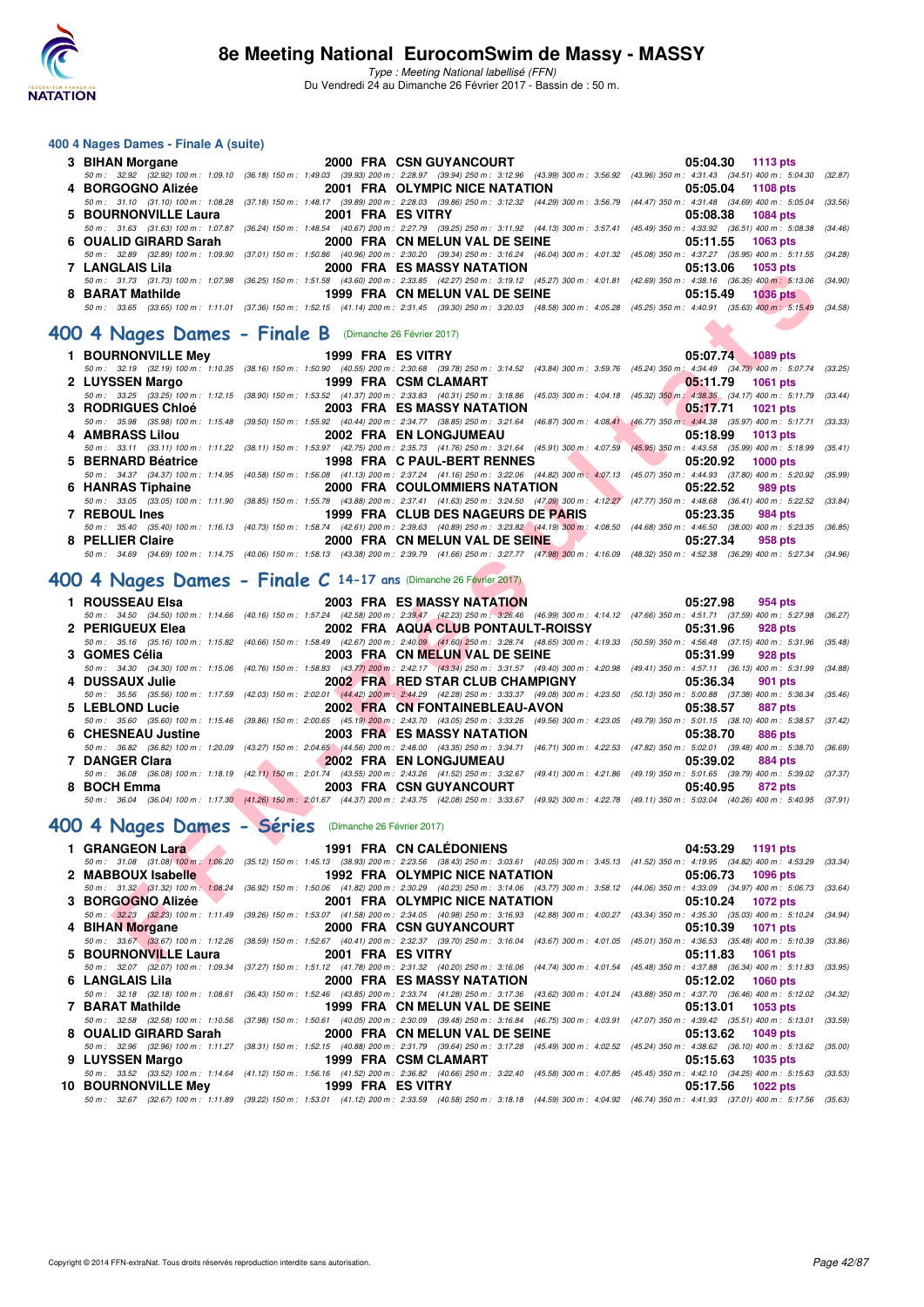

Type : Meeting National labellisé (FFN)

Du Vendredi 24 au Dimanche 26 Février 2017 - Bassin de : 50 m.

#### **400 4 Nages Dames - Finale A (suite)**

|                  | 3 BIHAN Morgane 2000 FRA CSN GUYANCOURT                                | 05:04.30 1113 pts                                                                                                                                                                            |
|------------------|------------------------------------------------------------------------|----------------------------------------------------------------------------------------------------------------------------------------------------------------------------------------------|
|                  |                                                                        | 50 m : 32.92 (32.92) 100 m : 1:09.10 (36.18) 150 m : 1:49.03 (39.93) 200 m : 2:28.97 (39.94) 250 m : 3:12.96 (43.99) 300 m : 3:56.92 (43.96) 350 m : 4:31.43 (34.51) 400 m : 5:04.30 (32.87) |
|                  |                                                                        | 05:05.04 1108 pts                                                                                                                                                                            |
|                  |                                                                        | 50 m: 31.10 (31.10) 100 m: 1:08.28 (37.18) 150 m: 1:48.17 (39.89) 200 m: 2:28.03 (39.86) 250 m: 3:12.32 (44.29) 300 m: 3:56.79 (44.47) 350 m: 4:31.48 (34.69) 400 m: 5:05.04 (33.56)         |
|                  | 5 BOURNONVILLE Laura 2001 FRA ES VITRY                                 | 05:08.38 1084 pts                                                                                                                                                                            |
|                  |                                                                        | 50 m: 31.63 (31.63) 100 m: 1:07.87 (36.24) 150 m: 1:48.54 (40.67) 200 m: 2:27.79 (39.25) 250 m: 3:11.92 (44.13) 300 m: 3:57.41 (45.49) 350 m: 4:33.92 (36.51) 400 m: 5:08.38 (34.46)         |
|                  | 6 OUALID GIRARD Sarah 2000 FRA CN MELUN VAL DE SEINE 05:11.55 1063 pts |                                                                                                                                                                                              |
|                  |                                                                        | 50 m : 32.89 (32.89) 100 m : 1:09.90 (37.01) 150 m : 1:50.86 (40.96) 200 m : 2:30.20 (39.34) 250 m : 3:16.24 (46.04) 300 m : 4:01.32 (45.08) 350 m : 4:37.27 (35.95) 400 m : 5:11.55 (34.28) |
| 7 LANGLAIS Lila  | <b>2000 FRA ES MASSY NATATION</b>                                      | $05:13.06$ 1053 pts                                                                                                                                                                          |
|                  |                                                                        | 50 m: 31.73 (31.73) 100 m: 1:07.98 (36.25) 150 m: 1:51.58 (43.60) 200 m: 2:33.85 (42.27) 250 m: 3:19.12 (45.27) 300 m: 4:01.81 (42.69) 350 m: 4:38.16 (36.35) 400 m: 5:13.06 (34.90)         |
| 8 BARAT Mathilde | 1999 FRA CN MELUN VAL DE SEINE 65 1999 FRA CN MELUN VAL DE SEINE       |                                                                                                                                                                                              |
|                  |                                                                        | 50 m: 33.65 (33.65) 100 m: 1:11.01 (37.36) 150 m: 1:52.15 (41.14) 200 m: 2:31.45 (39.30) 250 m: 3:20.03 (48.58) 300 m: 4:05.28 (45.25) 350 m: 4:40.91 (35.63) 400 m: 5:15.49 (34.58)         |

#### **[400 4 Nages Dames - Finale B](http://www.ffnatation.fr/webffn/resultats.php?idact=nat&go=epr&idcpt=42801&idepr=42)** (Dimanche 26 Février 2017)

| LANJLAIJ LIIA               | ZUUU FRA ES MASSI NATATION<br>00. LO.UU<br>່າ ບວວ ນເຣ                                                                                                                                                                       |                           |
|-----------------------------|-----------------------------------------------------------------------------------------------------------------------------------------------------------------------------------------------------------------------------|---------------------------|
|                             | 50 m: 31.73 (31.73) 100 m: 1:07.98 (36.25) 150 m: 1:51.58 (43.60) 200 m: 2:33.85 (42.27) 250 m: 3:19.12 (45.27) 300 m: 4:01.81 (42.69) 350 m: 4:38.16 (36.35) 400 m: 5:13.06 (34.90)                                        |                           |
| 8 BARAT Mathilde            | 1999 FRA CN MELUN VAL DE SEINE<br>05:15.49                                                                                                                                                                                  | <b>1036 pts</b>           |
|                             | 50 m: 33.65 (33.65) 100 m: 1:11.01 (37.36) 150 m: 1:52.15 (41.14) 200 m: 2:31.45 (39.30) 250 m: 3:20.03 (48.58) 300 m: 4:05.28 (45.25) 350 m: 4:40.91 (35.63) 400 m: 5:15.49 (34.58)                                        |                           |
|                             |                                                                                                                                                                                                                             |                           |
|                             | $204$ Nages Dames - Finale B (Dimanche 26 Février 2017)                                                                                                                                                                     |                           |
| 1 BOURNONVILLE Mey          | 1999 FRA ES VITRY<br>05:07.74 1089 pts                                                                                                                                                                                      |                           |
|                             | 50 m: 32.19 (32.19) 100 m: 1:10.35 (38.16) 150 m: 1:50.90 (40.55) 200 m: 2:30.68 (39.78) 250 m: 3:14.52 (43.84) 300 m: 3:59.76 (45.24) 350 m: 4:34.49 (34.73) 400 m: 5:07.74 (33.25)                                        |                           |
| 2 LUYSSEN Margo             | 1999 FRA CSM CLAMART<br>05.11.79                                                                                                                                                                                            | <b>1061 pts</b>           |
|                             | 50 m: 33.25 (33.25) 100 m: 1:12.15 (38.90) 150 m: 1:53.52 (41.37) 200 m: 2:33.83 (40.31) 250 m: 3:18.86 (45.03) 300 m: 4:04.18 (45.32) 350 m: 4:38.35 (34.17) 400 m: 5:11.79                                                | (33.44)                   |
| <b>3 RODRIGUES Chloé</b>    | <b>2003 FRA ES MASSY NATATION</b><br>05:17.71                                                                                                                                                                               | <b>1021 pts</b>           |
|                             | 50 m: 35.98 (35.98) 100 m: 1:15.48 (39.50) 150 m: 1:55.92 (40.44) 200 m: 2:34.77 (38.85) 250 m: 3:21.64 (46.87) 300 m: 4:08.41 (46.77) 350 m: 4:44.38 (35.97) 400 m: 5:17.71 (33.33)                                        |                           |
| 4 AMBRASS Lilou             | 2002 FRA EN LONGJUMEAU<br>05:18.99                                                                                                                                                                                          | <b>1013 pts</b>           |
|                             | 50 m: 33.11 (33.11) 100 m: 1:11.22 (38.11) 150 m: 1:53.97 (42.75) 200 m: 2:35.73 (41.76) 250 m: 3:21.64 (45.91) 300 m: 4:07.59 (45.95) 350 m: 4:43.58 (35.99) 400 m: 5:18.99 (35.41)                                        |                           |
| 5 BERNARD Béatrice          | 1998 FRA C PAUL-BERT RENNES<br>05:20.92                                                                                                                                                                                     | <b>1000 pts</b>           |
|                             | 50 m: 34.37 (34.37) 100 m: 1:14.95 (40.58) 150 m: 1:56.08 (41.13) 200 m: 2:37.24 (41.16) 250 m: 3:22.06 (44.82) 300 m: 4:07.13 (45.07) 350 m: 4:44.93 (37.80) 400 m: 5:20.92 (35.99)                                        |                           |
| 6 HANRAS Tiphaine           | 2000 FRA COULOMMIERS NATATION<br>05:22.52                                                                                                                                                                                   | 989 pts                   |
|                             | 50 m: 33.05 (33.05) 100 m: 1:11.90 (38.85) 150 m: 1:55.78 (43.88) 200 m: 2:37.41 (41.63) 250 m: 3:24.50 (47.09) 300 m: 4:12.27 (47.77) 350 m: 4:48.68 (36.41) 400 m: 5:22.52 (33.84)                                        |                           |
| 7 REBOUL Ines               | 1999 FRA CLUB DES NAGEURS DE PARIS<br>05:23.35                                                                                                                                                                              | <b>984 pts</b><br>(36.85) |
|                             | 50 m: 35.40 (35.40) 100 m: 1:16.13 (40.73) 150 m: 1:58.74 (42.61) 200 m: 2:39.63 (40.89) 250 m: 3:23.82 (44.19) 300 m: 4:08.50 (44.68) 350 m: 4:46.50 (38.00) 400 m: 5:23.35<br>2000 FRA CN MELUN VAL DE SEINE              |                           |
| 8 PELLIER Claire            | 05:27.34<br>50 m: 34.69 (34.69) 100 m: 1:14.75 (40.06) 150 m: 1:58.13 (43.38) 200 m: 2:39.79 (41.66) 250 m: 3:27.77 (47.98) 300 m: 4:16.09 (48.32) 350 m: 4:52.38 (36.29) 400 m: 5:27.34 (34.96)                            | 958 pts                   |
|                             |                                                                                                                                                                                                                             |                           |
|                             | $100$ 4 Nages Dames - Finale C 14-17 ans (Dimanche 26 Février 2017)                                                                                                                                                         |                           |
|                             |                                                                                                                                                                                                                             |                           |
| 1 ROUSSEAU Elsa             | <b>2003 FRA ES MASSY NATATION</b><br>05:27.98                                                                                                                                                                               | 954 pts                   |
|                             | 50 m: 34.50 (34.50) 100 m: 1:14.66 (40.16) 150 m: 1:57.24 (42.58) 200 m: 2:39.47 (42.23) 250 m: 3:26.46 (46.99) 300 m: 4:14.12 (47.66) 350 m: 4:51.71 (37.59) 400 m: 5:27.98 (36.27)                                        |                           |
| 2 PERIGUEUX Elea            | 2002 FRA AQUA CLUB PONTAULT-ROISSY<br>05:31.96                                                                                                                                                                              | <b>928 pts</b>            |
|                             | 50 m: 35.16 (35.16) 100 m: 1:15.82 (40.66) 150 m: 1:58.49 (42.67) 200 m: 2:40.09 (41.60) 250 m: 3:28.74 (48.65) 300 m: 4:19.33 (50.59) 350 m: 4:56.48 (37.15) 400 m: 5:31.96 (35.48)                                        |                           |
| 3 GOMES Célia               | 2003 FRA CN MELUN VAL DE SEINE<br>05:31.99                                                                                                                                                                                  | 928 pts                   |
|                             | 50 m : 34.30 (34.30) 100 m : 1:15.06 (40.76) 150 m : 1:58.83 (43.77) 200 m : 2:42.17 (43.34) 250 m : 3:31.57 (49.40) 300 m : 4:20.98 (49.41) 350 m : 4:57.11 (36.13) 400 m : 5:31.99 (34.88)                                |                           |
| 4 DUSSAUX Julie             | 2002 FRAMED STAR CLUB CHAMPIGNY<br>05:36.34<br>50 m: 35.56 (35.56) 100 m: 1:17.59 (42.03) 150 m: 2:02.01 (44.42) 200 m: 2:44.29 (42.28) 250 m: 3:33.37 (49.08) 300 m: 4:23.50 (50.13) 350 m: 5:00.88 (37.38) 400 m: 5:36.34 | <b>901 pts</b><br>(35.46) |
| 5 LEBLOND Lucie             | 2002 FRA CN FONTAINEBLEAU-AVON<br>05:38.57                                                                                                                                                                                  | 887 pts                   |
|                             | 50 m: 35.60 (35.60) 100 m: 1:15.46 (39.86) 150 m: 2:00.65 (45.19) 200 m: 2:43.70 (43.05) 250 m: 3:33.26 (49.56) 300 m: 4:23.05 (49.79) 350 m: 5:01.15 (38.10) 400 m: 5:38.57 (37.42)                                        |                           |
| 6 CHESNEAU Justine          | 2003 FRA ES MASSY NATATION<br>05:38.70                                                                                                                                                                                      | 886 pts                   |
|                             | 50 m: 36.82 (36.82) 100 m: 1:20.09 (43.27) 150 m: 2:04.65 (44.56) 200 m: 2:48.00 (43.35) 250 m: 3:34.71 (46.71) 300 m: 4:22.53 (47.82) 350 m: 5:02.01 (39.48) 400 m: 5:38.70                                                | (36.69)                   |
| 7 DANGER Clara              | <b>2002 FRA EN LONGJUMEAU</b><br>05:39.02                                                                                                                                                                                   | 884 pts                   |
|                             | 50 m: 36.08 (36.08) 100 m: 1:18.19 (42.11) 150 m: 2:01.74 (43.55) 200 m: 2:43.26 (41.52) 250 m: 3:32.67 (49.41) 300 m: 4:21.86 (49.19) 350 m: 5:01.65 (39.79) 400 m: 5:39.02 (37.37)                                        |                           |
| 8 BOCH Emma                 | 2003 FRA CSN GUYANCOURT<br><b>The Contract of Street</b><br>05:40.95                                                                                                                                                        | 872 pts                   |
|                             | 50 m: 36.04 (36.04) 100 m: 1:17.30 (41.26) 150 m: 2:01.67 (44.37) 200 m: 2:43.75 (42.08) 250 m: 3:33.67 (49.92) 300 m: 4:22.78 (49.11) 350 m: 5:03.04 (40.26) 400 m: 5:40.95 (37.91)                                        |                           |
|                             |                                                                                                                                                                                                                             |                           |
|                             | 00 4 Nages Dames - Séries (Dimanche 26 Février 2017)                                                                                                                                                                        |                           |
| 1 GRANGEON Lara             | <b>1991 FRA CN CALEDONIENS</b><br>04:53.29                                                                                                                                                                                  | 1191 pts                  |
|                             | 50 m: 31.08 (31.08) 100 m: 1:06.20 (35.12) 150 m: 1:45.13 (38.93) 200 m: 2:23.56 (38.43) 250 m: 3:03.61 (40.05) 300 m: 3:45.13 (41.52) 350 m: 4:19.95 (34.82) 400 m: 4:53.29                                                | (33.34)                   |
| 2 MABBOUX Isabelle          | 1992 FRA OLYMPIC NICE NATATION<br>05:06.73                                                                                                                                                                                  | 1096 pts                  |
|                             | 50 m : 31.32 (31.32) 100 m : 1:08.24 (36.92) 150 m : 1:50.06 (41.82) 200 m : 2:30.29 (40.23) 250 m : 3:14.06 (43.77) 300 m : 3:58.12 (44.06) 350 m : 4:33.09 (34.97) 400 m : 5:06.73 (33.64)                                |                           |
| 3 BORGOGNO Alizée<br>$\sim$ | 2001 FRA OLYMPIC NICE NATATION<br>05:10.24                                                                                                                                                                                  | <b>1072 pts</b>           |
|                             | 50 m: 32.23 (32.23) 100 m: 1:11.49 (39.26) 150 m: 1:53.07 (41.58) 200 m: 2:34.05 (40.98) 250 m: 3:16.93 (42.88) 300 m: 4:00.27 (43.34) 350 m: 4:35.30 (35.03) 400 m: 5:10.24 (34.94)                                        |                           |
| 4 BIHAN Morgane             | 2000 FRA CSN GUYANCOURT<br>05:10.39                                                                                                                                                                                         | <b>1071 pts</b>           |
|                             | 50 m: 33.67 (33.67) 100 m: 1:12.26 (38.59) 150 m: 1:52.67 (40.41) 200 m: 2:32.37 (39.70) 250 m: 3:16.04 (43.67) 300 m: 4:01.05 (45.01) 350 m: 4:36.53 (35.48) 400 m: 5:10.39 (33.86)                                        |                           |
| 5 BOURNONVILLE Laura        | 2001 FRA ES VITRY<br>05:11.83<br>1061 pts                                                                                                                                                                                   |                           |
|                             |                                                                                                                                                                                                                             |                           |

# **[400 4 Nages Dames - Finale C](http://www.ffnatation.fr/webffn/resultats.php?idact=nat&go=epr&idcpt=42801&idepr=42) 14-17 ans** (Dimanche 26 Février 2017)

| 1 ROUSSEAU Elsa    | 2003 FRA ES MASSY NATATION                                                                                                                                                                   | 05:27.98 954 pts    |
|--------------------|----------------------------------------------------------------------------------------------------------------------------------------------------------------------------------------------|---------------------|
|                    | 50 m: 34.50 (34.50) 100 m: 1:14.66 (40.16) 150 m: 1:57.24 (42.58) 200 m: 2:39.47 (42.23) 250 m: 3:26.46 (46.99) 300 m: 4:14.12 (47.66) 350 m: 4:51.71 (37.59) 400 m: 5:27.98 (36.27)         |                     |
| 2 PERIGUEUX Elea   | 2002 FRA AQUA CLUB PONTAULT-ROISSY                                                                                                                                                           | 05:31.96<br>928 pts |
|                    | 50 m: 35.16 (35.16) 100 m: 1:15.82 (40.66) 150 m: 1:58.49 (42.67) 200 m: 2:40.09 (41.60) 250 m: 3:28.74 (48.65) 300 m: 4:19.33 (50.59) 350 m: 4:56.48 (37.15) 400 m: 5:31.96 (35.48)         |                     |
| 3 GOMES Célia      | 2003 FRA CN MELUN VAL DE SEINE                                                                                                                                                               | 05:31.99<br>928 pts |
|                    | 50 m: 34.30 (34.30) 100 m: 1:15.06 (40.76) 150 m: 1:58.83 (43.77) 200 m: 2:42.17 (43.34) 250 m: 3:31.57 (49.40) 300 m: 4:20.98 (49.41) 350 m: 4:57.11 (36.13) 400 m: 5:31.99 (34.88)         |                     |
| 4 DUSSAUX Julie    | 2002 FRA RED STAR CLUB CHAMPIGNY                                                                                                                                                             | 05:36.34<br>901 pts |
|                    | 50 m: 35.56 (35.56) 100 m: 1:17.59 (42.03) 150 m: 2:02.01 (44.42) 200 m: 2:44.29 (42.28) 250 m: 3:33.37 (49.08) 300 m: 4:23.50 (50.13) 350 m: 5:00.88 (37.38) 400 m: 5:36.34 (35.46)         |                     |
| 5 LEBLOND Lucie    | 2002 FRA CN FONTAINEBLEAU-AVON                                                                                                                                                               | 05:38.57<br>887 pts |
|                    | 50 m: 35.60 (35.60) 100 m: 1:15.46 (39.86) 150 m: 2:00.65 (45.19) 200 m: 2:43.70 (43.05) 250 m: 3:33.26 (49.56) 300 m: 4:23.05 (49.79) 350 m: 5:01.15 (38.10) 400 m: 5:38.57 (37.42)         |                     |
| 6 CHESNEAU Justine | 2003 FRANES MASSY NATATION                                                                                                                                                                   | 05:38.70<br>886 pts |
|                    | 50 m : 36.82 (36.82) 100 m : 1:20.09 (43.27) 150 m : 2:04.65 (44.56) 200 m : 2:48.00 (43.35) 250 m : 3:34.71 (46.71) 300 m : 4:22.53 (47.82) 350 m : 5:02.01 (39.48) 400 m : 5:38.70 (36.69) |                     |
| 7 DANGER Clara     | <b>2002 FRA EN LONGJUMEAU</b>                                                                                                                                                                | 05:39.02<br>884 pts |
|                    | 50 m: 36.08 (36.08) 100 m: 1:18.19 (42.11) 150 m: 2:01.74 (43.55) 200 m: 2:43.26 (41.52) 250 m: 3:32.67 (49.41) 300 m: 4:21.86 (49.19) 350 m: 5:01.65 (39.79) 400 m: 5:39.02 (37.37)         |                     |
| 8 BOCH Emma        | 2003 FRA CSN GUYANCOURT                                                                                                                                                                      | 05:40.95<br>872 pts |
|                    | 50 m: 36.04 (36.04) 100 m: 1:17.30 (41.26) 150 m: 2:01.67 (44.37) 200 m: 2:43.75 (42.08) 250 m: 3:33.67 (49.92) 300 m: 4:22.78 (49.11) 350 m: 5:03.04 (40.26) 400 m: 5:40.95 (37.91)         |                     |

# **[400 4 Nages Dames - Séries](http://www.ffnatation.fr/webffn/resultats.php?idact=nat&go=epr&idcpt=42801&idepr=42)** (Dimanche 26 Février 2017)

|                    | 1 GRANGEON Lara <b>1991 FRA</b> CN CALÉDONIENS 04:53.29 1191 pts                                                                                                                             |                   |
|--------------------|----------------------------------------------------------------------------------------------------------------------------------------------------------------------------------------------|-------------------|
|                    | 50 m: 31.08 (31.08) 100 m: 1:06.20 (35.12) 150 m: 1:45.13 (38.93) 200 m: 2:23.56 (38.43) 250 m: 3:03.61 (40.05) 300 m: 3:45.13 (41.52) 350 m: 4:19.95 (34.82) 400 m: 4:53.29 (33.34)         |                   |
| 2 MABBOUX Isabelle | 1992 FRA OLYMPIC NICE NATATION 65:06.73 1096 pts                                                                                                                                             |                   |
|                    | 50 m: 31.32 (31.32) 100 m: 1:08.24 (36.92) 150 m: 1:50.06 (41.82) 200 m: 2:30.29 (40.23) 250 m: 3:14.06 (43.77) 300 m: 3:58.12 (44.06) 350 m: 4:33.09 (34.97) 400 m: 5:06.73 (33.64)         |                   |
| 3 BORGOGNO Alizée  | 2001 FRA OLYMPIC NICE NATATION                                                                                                                                                               | 05:10.24 1072 pts |
|                    | 50 m : 32.23 (32.23) 100 m : 1:11.49 (39.26) 150 m : 1:53.07 (41.58) 200 m : 2:34.05 (40.98) 250 m : 3:16.93 (42.88) 300 m : 4:00.27 (43.34) 350 m : 4:35.30 (35.03) 400 m : 5:10.24 (34.94) |                   |
| 4 BIHAN Morgane    | <b>2000 FRA CSN GUYANCOURT</b>                                                                                                                                                               | 05:10.39 1071 pts |
|                    | 50 m: 33.67 (33.67) 100 m: 1:12.26 (38.59) 150 m: 1:52.67 (40.41) 200 m: 2:32.37 (39.70) 250 m: 3:16.04 (43.67) 300 m: 4:01.05 (45.01) 350 m: 4:36.53 (35.48) 400 m: 5:10.39 (33.86)         |                   |
|                    |                                                                                                                                                                                              | 05:11.83 1061 pts |
|                    | 50 m: 32.07 (32.07) 100 m: 1:09.34 (37.27) 150 m: 1:51.12 (41.78) 200 m: 2:31.32 (40.20) 250 m: 3:16.06 (44.74) 300 m: 4:01.54 (45.48) 350 m: 4:37.88 (36.34) 400 m: 5:11.83 (33.95)         |                   |
| 6 LANGLAIS Lila    | 2000 FRA ES MASSY NATATION                                                                                                                                                                   | 05:12.02 1060 pts |
|                    | 50 m: 32.18 (32.18) 100 m: 1:08.61 (36.43) 150 m: 1:52.46 (43.85) 200 m: 2:33.74 (41.28) 250 m: 3:17.36 (43.62) 300 m: 4:01.24 (43.88) 350 m: 4:37.70 (36.46) 400 m: 5:12.02 (34.32)         |                   |
| 7 BARAT Mathilde   |                                                                                                                                                                                              |                   |
|                    | 50 m: 32.58 (32.58) 100 m: 1:10.56 (37.98) 150 m: 1:50.61 (40.05) 200 m: 2:30.09 (39.48) 250 m: 3:16.84 (46.75) 300 m: 4:03.91 (47.07) 350 m: 4:39.42 (35.51) 400 m: 5:13.01 (33.59)         |                   |
|                    |                                                                                                                                                                                              | 05:13.62 1049 pts |
|                    | 50 m: 32.96 (32.96) 100 m: 1:11.27 (38.31) 150 m: 1:52.15 (40.88) 200 m: 2:31.79 (39.64) 250 m: 3:17.28 (45.49) 300 m: 4:02.52 (45.24) 350 m: 4:38.62 (36.10) 400 m: 5:13.62 (35.00)         |                   |
| 9 LUYSSEN Margo    | 1999 FRA CSM CLAMART                                                                                                                                                                         | 05:15.63 1035 pts |
|                    | 50 m: 33.52 (33.52) 100 m: 1:14.64 (41.12) 150 m: 1:56.16 (41.52) 200 m: 2:36.82 (40.66) 250 m: 3:22.40 (45.58) 300 m: 4:07.85 (45.45) 350 m: 4:42.10 (34.25) 400 m: 5:15.63 (33.53)         |                   |
|                    |                                                                                                                                                                                              | 05:17.56 1022 pts |
|                    | 50 m: 32.67 (32.67) 100 m: 1:11.89 (39.22) 150 m: 1:53.01 (41.12) 200 m: 2:33.59 (40.58) 250 m: 3:18.18 (44.59) 300 m: 4:04.92 (46.74) 350 m: 4:41.93 (37.01) 400 m: 5:17.56 (35.63)         |                   |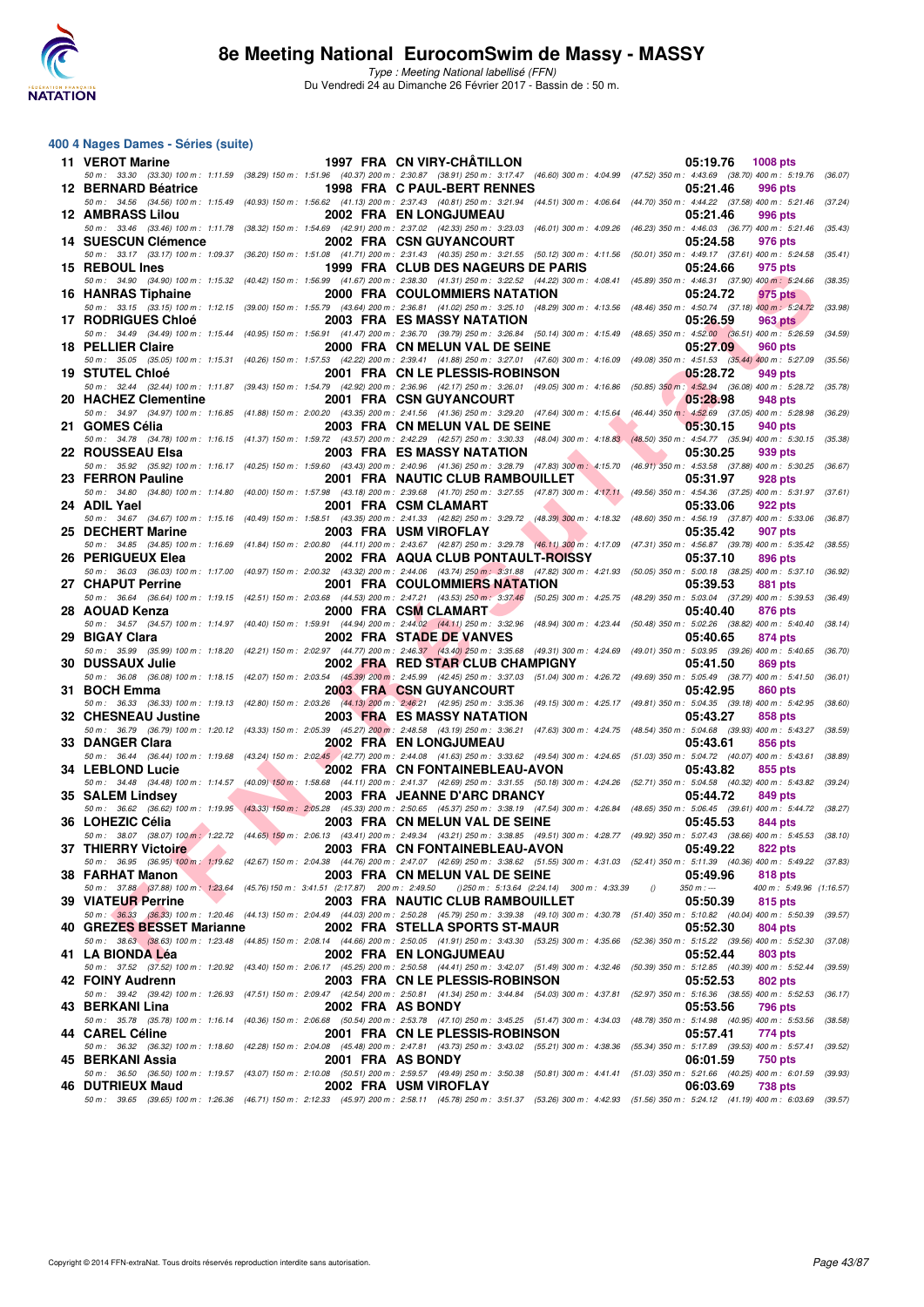

#### **400 4 Nages Dames - Séries (suite)**

| 11 VEROT Marine                                                                    |  | 1997 FRA CN VIRY-CHATILLON                                                                                                                                                                                                             | 05:19.76                | <b>1008 pts</b>          |         |
|------------------------------------------------------------------------------------|--|----------------------------------------------------------------------------------------------------------------------------------------------------------------------------------------------------------------------------------------|-------------------------|--------------------------|---------|
| 12 BERNARD Béatrice                                                                |  | 50 m: 33.30 (33.30) 100 m: 1:11.59 (38.29) 150 m: 1:51.96 (40.37) 200 m: 2:30.87 (38.91) 250 m: 3:17.47 (46.60) 300 m: 4:04.99 (47.52) 350 m: 4:43.69 (38.70) 400 m: 5:19.76 (36.07)<br>1998 FRA C PAUL-BERT RENNES                    | 05:21.46                | 996 pts                  |         |
| <b>12 AMBRASS Lilou</b>                                                            |  | 50 m: 34.56 (34.56) 100 m: 1:15.49 (40.93) 150 m: 1:56.62 (41.13) 200 m: 2:37.43 (40.81) 250 m: 3:21.94 (44.51) 300 m: 4:06.64 (44.70) 350 m: 4:44.22 (37.58) 400 m: 5:21.46<br>2002 FRA EN LONGJUMEAU                                 | 05:21.46                | 996 pts                  | (37.24) |
| 14 SUESCUN Clémence                                                                |  | 50 m: 33.46 (33.46) 100 m: 1:11.78 (38.32) 150 m: 1:54.69 (42.91) 200 m: 2:37.02 (42.33) 250 m: 3:23.03 (46.01) 300 m: 4:09.26 (46.23) 350 m: 4:46.03 (36.77) 400 m: 5:21.46 (35.43)<br><b>2002 FRA CSN GUYANCOURT</b>                 | 05:24.58                | 976 pts                  |         |
|                                                                                    |  | 50 m: 33.17 (33.17) 100 m: 1:09.37 (36.20) 150 m: 1:51.08 (41.71) 200 m: 2:31.43 (40.35) 250 m: 3:21.55 (50.12) 300 m: 4:11.56 (50.01) 350 m: 4:49.17 (37.61) 400 m: 5:24.58 (35.41)                                                   |                         |                          |         |
| 15 REBOUL Ines                                                                     |  | 1999 FRA CLUB DES NAGEURS DE PARIS<br>50 m: 34.90 (34.90) 100 m: 1:15.32 (40.42) 150 m: 1:56.99 (41.67) 200 m: 2:38.30 (41.31) 250 m: 3:22.52 (44.22) 300 m: 4:08.41 (45.89) 350 m: 4:46.31 (37.90) 400 m: 5:24.66 (38.35)             | 05:24.66                | 975 pts                  |         |
| 16 HANRAS Tiphaine                                                                 |  | <b>2000 FRA COULOMMIERS NATATION</b><br>50 m: 33.15 (33.15) 100 m: 1:12.15 (39.00) 150 m: 1:55.79 (43.64) 200 m: 2:36.81 (41.02) 250 m: 3:25.10 (48.29) 300 m: 4:13.56 (48.46) 350 m: 4:50.74 (37.18) 400 m: 5:24.72                   | 05:24.72                | 975 pts                  | (33.98) |
| 17 RODRIGUES Chloé                                                                 |  | <b>2003 FRA ES MASSY NATATION</b>                                                                                                                                                                                                      | 05:26.59                | 963 pts                  |         |
| 18 PELLIER Claire                                                                  |  | 50 m: 34.49 (34.49) 100 m: 1:15.44 (40.95) 150 m: 1:56.91 (41.47) 200 m: 2:36.70 (39.79) 250 m: 3:26.84 (50.14) 300 m: 4:15.49 (48.65) 350 m: 4:52.00 (36.51) 400 m: 5:26.59 (34.59)<br>2000 FRA CN MELUN VAL DE SEINE                 | 05:27.09                | 960 pts                  |         |
|                                                                                    |  | 50 m: 35.05 (35.05) 100 m: 1:15.31 (40.26) 150 m: 1:57.53 (42.22) 200 m: 2:39.41 (41.88) 250 m: 3:27.01 (47.60) 300 m: 4:16.09 (49.08) 350 m: 4:51.53 (35.44) 400 m: 5:27.09                                                           |                         |                          | (35.56) |
| 19 STUTEL Chloé                                                                    |  | 2001 FRA CN LE PLESSIS-ROBINSON<br>50 m: 32.44 (32.44) 100 m: 1:11.87 (39.43) 150 m: 1:54.79 (42.92) 200 m: 2:36.96 (42.17) 250 m: 3:26.01 (49.05) 300 m: 4:16.86 (50.85) 350 m: 4:52.94 (36.08) 400 m: 5:28.72                        | 05:28.72                | 949 pts                  | (35.78) |
| 20 HACHEZ Clementine                                                               |  | 2001 FRA CSN GUYANCOURT<br>50 m : 34.97 (34.97) 100 m : 1:16.85 (41.88) 150 m : 2:00.20 (43.35) 200 m : 2:41.56 (41.36) 250 m : 3:29.20 (47.64) 300 m : 4:15.64 (46.44) 350 m : 4:52.69 (37.05) 400 m : 5:28.98 (36.29)                | 05:28.98                | 948 pts                  |         |
| 21 GOMES Célia                                                                     |  | 2003 FRA CN MELUN VAL DE SEINE                                                                                                                                                                                                         | 05:30.15                | 940 pts                  |         |
| 22 ROUSSEAU Elsa                                                                   |  | 50 m: 34.78 (34.78) 100 m: 1:16.15 (41.37) 150 m: 1:59.72 (43.57) 200 m: 2:42.29 (42.57) 250 m: 3:30.33 (48.04) 300 m: 4:18.83 (48.50) 350 m: 4:54.77 (35.94) 400 m: 5:30.15 (35.38)<br>2003 FRA ES MASSY NATATION                     | 05:30.25                | 939 pts                  |         |
| 23 FERRON Pauline                                                                  |  | 50 m: 35.92 (35.92) 100 m: 1:16.17 (40.25) 150 m: 1:59.60 (43.43) 200 m: 2:40.96 (41.36) 250 m: 3:28.79 (47.83) 300 m: 4:15.70 (46.91) 350 m: 4:53.58 (37.88) 400 m: 5:30.25 (36.67)<br>2001 FRA NAUTIC CLUB RAMBOUILLET               | 05:31.97                | 928 pts                  |         |
|                                                                                    |  | 50 m: 34.80 (34.80) 100 m: 1:14.80 (40.00) 150 m: 1:57.98 (43.18) 200 m: 2:39.68 (41.70) 250 m: 3:27.55 (47.87) 300 m: 4:17.11 (49.56) 350 m: 4:54.36 (37.25) 400 m: 5:31.97 (37.61)                                                   |                         |                          |         |
| 24 ADIL Yael                                                                       |  | 2001 FRA CSM CLAMART<br>50 m: 34.67 (34.67) 100 m: 1:15.16 (40.49) 150 m: 1:58.51 (43.35) 200 m: 2:41.33 (42.82) 250 m: 3:29.72 (48.39) 300 m: 4:18.32 (48.60) 350 m: 4:56.19 (37.87) 400 m: 5:33.06                                   | 05:33.06                | 922 pts                  | (36.87) |
| 25 DECHERT Marine                                                                  |  | <b>The Contract of Street</b><br>2003 FRA USM VIROFLAY<br>50 m: 34.85 (34.85) 100 m: 1:16.69 (41.84) 150 m: 2:00.80 (44.11) 200 m: 2:43.67 (42.87) 250 m: 3:29.78 (46.11) 300 m: 4:17.09 (47.31) 350 m: 4:56.87 (39.78) 400 m: 5:35.42 | 05:35.42                | 907 pts                  | (38.55) |
| 26 PERIGUEUX Elea                                                                  |  | 2002 FRA AQUA CLUB PONTAULT-ROISSY                                                                                                                                                                                                     | 05:37.10                | 896 pts                  |         |
| 27 CHAPUT Perrine                                                                  |  | 50 m : 36.03 (36.03) 100 m : 1:17.00 (40.97) 150 m : 2:00.32 (43.32) 200 m : 2:44.06 (43.74) 250 m : 3:31.88 (47.82) 300 m : 4:21.93 (50.05) 350 m : 5:00.18 (38.25) 400 m : 5:37.10 (36.92)<br>2001 FRA COULOMMIERS NATATION          | 05:39.53                | 881 pts                  |         |
| 28 AOUAD Kenza                                                                     |  | 50 m: 36.64 (36.64) 100 m: 1:19.15 (42.51) 150 m: 2:03.68 (44.53) 200 m: 2:47.21 (43.53) 250 m: 3:37.46 (50.25) 300 m: 4:25.75 (48.29) 350 m: 5:03.04 (37.29) 400 m: 5:39.53 (36.49)<br>2000 FRA CSM CLAMART                           | 05:40.40                | 876 pts                  |         |
|                                                                                    |  | 50 m: 34.57 (34.57) 100 m: 1:14.97 (40.40) 150 m: 1:59.91 (44.94) 200 m: 2:44.02 (44.11) 250 m: 3:32.96 (48.94) 300 m: 4:23.44 (50.48) 350 m: 5:02.26 (38.82) 400 m: 5:40.40 (38.14)                                                   |                         |                          |         |
| 29 BIGAY Clara                                                                     |  | 2002 FRA STADE DE VANVES<br>50 m: 35.99 (35.99) 100 m: 1:18.20 (42.21) 150 m: 2:02.97 (44.77) 200 m: 2:46.37 (43.40) 250 m: 3:35.68 (49.31) 300 m: 4:24.69 (49.01) 350 m: 5:03.95 (39.26) 400 m: 5:40.65 (36.70)                       | 05:40.65                | 874 pts                  |         |
| <b>30 DUSSAUX Julie</b>                                                            |  | 2002 FRA RED STAR CLUB CHAMPIGNY<br>50 m: 36.08 (36.08) 100 m: 1:18.15 (42.07) 150 m: 2:03.54 (45.39) 200 m: 2:45.99 (42.45) 250 m: 3:37.03 (51.04) 300 m: 4:26.72 (49.69) 350 m: 5:05.49 (38.77) 400 m: 5:41.50                       | 05:41.50                | 869 pts                  | (36.01) |
| 31 BOCH Emma                                                                       |  | <b>2003 FRA CSN GUYANCOURT</b>                                                                                                                                                                                                         | 05:42.95                | 860 pts                  |         |
| 32 CHESNEAU Justine                                                                |  | 50 m: 36.33 (36.33) 100 m: 1:19.13 (42.80) 150 m: 2:03.26 (44.13) 200 m: 2:46.21 (42.95) 250 m: 3:35.36 (49.15) 300 m: 4:25.17 (49.81) 350 m: 5:04.35 (39.18) 400 m: 5:42.95<br><b>2003 FRA ES MASSY NATATION</b>                      | 05:43.27                | 858 pts                  | (38.60) |
| 33 DANGER Clara                                                                    |  | 50 m: 36.79 (36.79) 100 m: 1:20.12 (43.33) 150 m: 2:05.39 (45.27) 200 m: 2:48.58 (43.19) 250 m: 3:36.21 (47.63) 300 m: 4:24.75 (48.54) 350 m: 5:04.68 (39.93) 400 m: 5:43.27 (38.59)<br><b>2002 FRA EN LONGJUMEAU</b>                  | 05:43.61                | 856 pts                  |         |
|                                                                                    |  | 50 m: 36.44 (36.44) 100 m: 1:19.68 (43.24) 150 m: 2:02.45 (42.77) 200 m: 2:44.08 (41.63) 250 m: 3:33.62 (49.54) 300 m: 4:24.65 (51.03) 350 m: 5:04.72 (40.07) 400 m: 5:43.61 (38.89)                                                   |                         |                          |         |
| 34 LEBLOND Lucie                                                                   |  | 2002 FRA CN FONTAINEBLEAU-AVON<br>50 m: 34.48 (34.48) 100 m: 1:14.57 (40.09) 150 m: 1:58.68 (44.11) 200 m: 2:41.37 (42.69) 250 m: 3:31.55 (50.18) 300 m: 4:24.26 (52.71) 350 m: 5:04.58 (40.32) 400 m: 5:43.82 (39.24)                 | 05:43.82                | 855 pts                  |         |
| 35 SALEM Lindsey                                                                   |  | 2003 FRA JEANNE D'ARC DRANCY<br>50 m: 36.62 (36.62) 100 m: 1:19.95 (43.33) 150 m: 2:05.28 (45.33) 200 m: 2:50.65 (45.37) 250 m: 3:38.19 (47.54) 300 m: 4:26.84 (48.65) 350 m: 5:06.45 (39.61) 400 m: 5:44.72 (38.27)                   | 05:44.72                | 849 pts                  |         |
| 36 LOHEZIC Célia                                                                   |  | 2003 FRA CN MELUN VAL DE SEINE                                                                                                                                                                                                         | 05:45.53                | 844 pts                  |         |
| 37 THIERRY Victoire                                                                |  | 50 m: 38.07 (38.07) 100 m: 1:22.72 (44.65) 150 m: 2:06.13 (43.41) 200 m: 2:49.34 (43.21) 250 m: 3:38.85 (49.51) 300 m: 4:28.77 (49.92) 350 m: 5:07.43 (38.66) 400 m: 5:45.53 (38.10)<br>2003 FRA CN FONTAINEBLEAU-AVON                 | 05:49.22                | 822 pts                  |         |
| 38 FARHAT Manon                                                                    |  | 50 m : 36.95 (36.95) 100 m : 1:19.62 (42.67) 150 m : 2:04.38 (44.76) 200 m : 2:47.07 (42.69) 250 m : 3:38.62 (51.55) 300 m : 4:31.03 (52.41) 350 m : 5:11.39 (40.36) 400 m : 5:49.22 (37.83)<br>2003 FRA CN MELUN VAL DE SEINE         | 05:49.96                | 818 pts                  |         |
| 50 m: 37.88 (37.88) 100 m: 1:23.64 (45.76) 150 m: 3:41.51 (2:17.87) 200 m: 2:49.50 |  | () 250 m: 5:13.64 (2:24.14) 300 m: 4:33.39                                                                                                                                                                                             | $350 m : -$<br>$\theta$ | 400 m: 5:49.96 (1:16.57) |         |
| 39 VIATEUR Perrine                                                                 |  | 2003 FRA NAUTIC CLUB RAMBOUILLET<br>50 m: 36.33 (36.33) 100 m: 1:20.46 (44.13) 150 m: 2:04.49 (44.03) 200 m: 2:50.28 (45.79) 250 m: 3:39.38 (49.10) 300 m: 4:30.78 (51.40) 350 m: 5:10.82 (40.04) 400 m: 5:50.39 (39.57)               | 05:50.39                | 815 pts                  |         |
| 40 GREZES BESSET Marianne                                                          |  | 2002 FRA STELLA SPORTS ST-MAUR<br>50 m: 38.63 (38.63) 100 m: 1:23.48 (44.85) 150 m: 2:08.14 (44.66) 200 m: 2:50.05 (41.91) 250 m: 3:43.30 (53.25) 300 m: 4:35.66 (52.36) 350 m: 5:15.22 (39.56) 400 m: 5:52.30 (37.08)                 | 05:52.30                | 804 pts                  |         |
| 41 LA BIONDA Léa                                                                   |  | 2002 FRA EN LONGJUMEAU                                                                                                                                                                                                                 | 05:52.44                | 803 pts                  |         |
| 42 FOINY Audrenn                                                                   |  | 50 m: 37.52 (37.52) 100 m: 1:20.92 (43.40) 150 m: 2:06.17 (45.25) 200 m: 2:50.58 (44.41) 250 m: 3:42.07 (51.49) 300 m: 4:32.46 (50.39) 350 m: 5:12.85 (40.39) 400 m: 5:52.44<br>2003 FRA CN LE PLESSIS-ROBINSON                        | 05:52.53                | 802 pts                  | (39.59) |
| 43 BERKANI Lina                                                                    |  | 50 m: 39.42 (39.42) 100 m: 1:26.93 (47.51) 150 m: 2:09.47 (42.54) 200 m: 2:50.81 (41.34) 250 m: 3:44.84 (54.03) 300 m: 4:37.81 (52.97) 350 m: 5:16.36 (38.55) 400 m: 5:52.53<br>2002 FRA AS BONDY                                      | 05:53.56                | 796 pts                  | (36.17) |
|                                                                                    |  | 50 m: 35.78 (35.78) 100 m: 1:16.14 (40.36) 150 m: 2:06.68 (50.54) 200 m: 2:53.78 (47.10) 250 m: 3:45.25 (51.47) 300 m: 4:34.03 (48.78) 350 m: 5:14.98 (40.95) 400 m: 5:53.56                                                           |                         |                          | (38.58) |
| 44 CAREL Céline                                                                    |  | 2001 FRA CN LE PLESSIS-ROBINSON<br>50 m: 36.32 (36.32) 100 m: 1:18.60 (42.28) 150 m: 2:04.08 (45.48) 200 m: 2:47.81 (43.73) 250 m: 3:43.02 (55.21) 300 m: 4:38.36 (55.34) 350 m: 5:17.89 (39.53) 400 m: 5:57.41                        | 05:57.41                | 774 pts                  | (39.52) |
| 45 BERKANI Assia                                                                   |  | 2001 FRA AS BONDY<br>50 m: 36.50 (36.50) 100 m: 1:19.57 (43.07) 150 m: 2:10.08 (50.51) 200 m: 2:59.57 (49.49) 250 m: 3:50.38 (50.81) 300 m: 4:41.41 (51.03) 350 m: 5:21.66 (40.25) 400 m: 6:01.59 (39.93)                              | 06:01.59                | 750 pts                  |         |
| 46 DUTRIEUX Maud                                                                   |  | 2002 FRA USM VIROFLAY                                                                                                                                                                                                                  | 06:03.69                | <b>738 pts</b>           |         |
|                                                                                    |  | 50 m: 39.65 (39.65) 100 m: 1:26.36 (46.71) 150 m: 2:12.33 (45.97) 200 m: 2:58.11 (45.78) 250 m: 3:51.37 (53.26) 300 m: 4:42.93 (51.56) 350 m: 5:24.12 (41.19) 400 m: 6:03.69 (39.57)                                                   |                         |                          |         |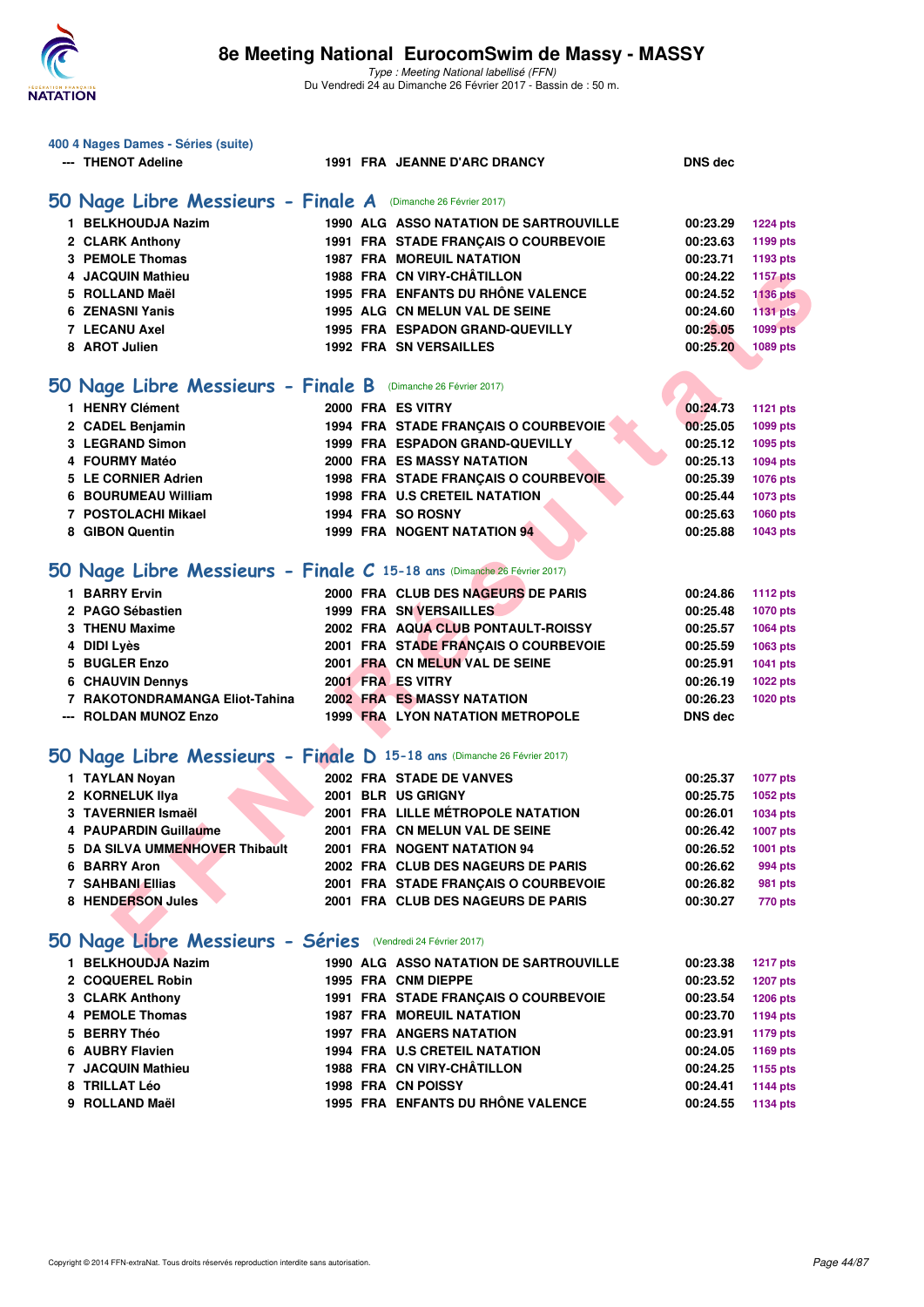

| 400 4 Nages Dames - Séries (suite)                                      |  |                                                                |                      |                                    |
|-------------------------------------------------------------------------|--|----------------------------------------------------------------|----------------------|------------------------------------|
| --- THENOT Adeline                                                      |  | <b>1991 FRA JEANNE D'ARC DRANCY</b>                            | <b>DNS dec</b>       |                                    |
| 50 Nage Libre Messieurs - Finale A (Dimanche 26 Février 2017)           |  |                                                                |                      |                                    |
|                                                                         |  |                                                                |                      |                                    |
| 1 BELKHOUDJA Nazim                                                      |  | <b>1990 ALG ASSO NATATION DE SARTROUVILLE</b>                  | 00:23.29             | <b>1224 pts</b>                    |
| 2 CLARK Anthony                                                         |  | 1991 FRA STADE FRANÇAIS O COURBEVOIE                           | 00:23.63             | 1199 pts                           |
| <b>3 PEMOLE Thomas</b>                                                  |  | <b>1987 FRA MOREUIL NATATION</b><br>1988 FRA CN VIRY-CHÂTILLON | 00:23.71             | 1193 pts                           |
| 4 JACQUIN Mathieu<br>5 ROLLAND Maël                                     |  | 1995 FRA ENFANTS DU RHÔNE VALENCE                              | 00:24.22<br>00:24.52 | <b>1157 pts</b>                    |
| <b>6 ZENASNI Yanis</b>                                                  |  | 1995 ALG CN MELUN VAL DE SEINE                                 | 00:24.60             | <b>1136 pts</b><br><b>1131 pts</b> |
| <b>7 LECANU Axel</b>                                                    |  | 1995 FRA ESPADON GRAND-QUEVILLY                                | 00:25.05             | <b>1099 pts</b>                    |
| 8 AROT Julien                                                           |  | <b>1992 FRA SN VERSAILLES</b>                                  | 00:25.20             | 1089 pts                           |
|                                                                         |  |                                                                |                      |                                    |
| 50 Nage Libre Messieurs - Finale B (Dimanche 26 Février 2017)           |  |                                                                |                      |                                    |
| 1 HENRY Clément                                                         |  | 2000 FRA ES VITRY                                              | 00:24.73             | <b>1121 pts</b>                    |
| 2 CADEL Benjamin                                                        |  | 1994 FRA STADE FRANÇAIS O COURBEVOIE                           | 00:25.05             | 1099 pts                           |
| 3 LEGRAND Simon                                                         |  | 1999 FRA ESPADON GRAND-QUEVILLY                                | 00:25.12             | 1095 pts                           |
| 4 FOURMY Matéo                                                          |  | 2000 FRA ES MASSY NATATION                                     | 00:25.13             | 1094 pts                           |
| 5 LE CORNIER Adrien                                                     |  | 1998 FRA STADE FRANÇAIS O COURBEVOIE                           | 00:25.39             | 1076 pts                           |
| 6 BOURUMEAU William                                                     |  | <b>1998 FRA U.S CRETEIL NATATION</b>                           | 00:25.44             | 1073 pts                           |
| 7 POSTOLACHI Mikael                                                     |  | 1994 FRA SO ROSNY                                              | 00:25.63             | 1060 pts                           |
| 8 GIBON Quentin                                                         |  | 1999 FRA NOGENT NATATION 94                                    | 00:25.88             | 1043 pts                           |
|                                                                         |  |                                                                |                      |                                    |
| 50 Nage Libre Messieurs - Finale C 15-18 ans (Dimanche 26 Février 2017) |  |                                                                |                      |                                    |
| 1 BARRY Ervin                                                           |  | 2000 FRA CLUB DES NAGEURS DE PARIS                             | 00:24.86             | <b>1112 pts</b>                    |
| 2 PAGO Sébastien                                                        |  | <b>1999 FRA SN VERSAILLES</b>                                  | 00:25.48             | 1070 pts                           |
| 3 THENU Maxime                                                          |  | 2002 FRA AQUA CLUB PONTAULT-ROISSY                             | 00:25.57             | 1064 pts                           |
| 4 DIDI Lyès                                                             |  | 2001 FRA STADE FRANÇAIS O COURBEVOIE                           | 00:25.59             | 1063 pts                           |
| 5 BUGLER Enzo                                                           |  | 2001 FRA CN MELUN VAL DE SEINE                                 | 00:25.91             | 1041 pts                           |
| <b>6 CHAUVIN Dennys</b>                                                 |  | 2001 FRA ES VITRY                                              | 00:26.19             | 1022 pts                           |
| 7 RAKOTONDRAMANGA Eliot-Tahina                                          |  | <b>2002 FRA ES MASSY NATATION</b>                              | 00:26.23             | 1020 pts                           |
| --- ROLDAN MUNOZ Enzo                                                   |  | <b>1999 FRA LYON NATATION METROPOLE</b>                        | <b>DNS dec</b>       |                                    |
|                                                                         |  |                                                                |                      |                                    |
| 50 Nage Libre Messieurs - Finale D 15-18 ans (Dimanche 26 Février 2017) |  |                                                                |                      |                                    |
| 1 TAYLAN Noyan                                                          |  | 2002 FRA STADE DE VANVES                                       | 00:25.37             | <b>1077 pts</b>                    |
| 2 KORNELUK IIya                                                         |  | 2001 BLR US GRIGNY                                             | 00:25.75             | 1052 pts                           |
| 3 TAVERNIER Ismaël                                                      |  | 2001 FRA LILLE MÉTROPOLE NATATION                              | 00:26.01             | 1034 pts                           |
| 4 PAUPARDIN Guillaume                                                   |  | 2001 FRA CN MELUN VAL DE SEINE                                 | 00:26.42             | 1007 pts                           |
| 5 DA SILVA UMMENHOVER Thibault                                          |  | 2001 FRA NOGENT NATATION 94                                    | 00:26.52             | 1001 pts                           |
| 6 BARRY Aron                                                            |  | 2002 FRA CLUB DES NAGEURS DE PARIS                             | 00:26.62             | 994 pts                            |
| 7 SAHBANI Ellias                                                        |  | 2001 FRA STADE FRANÇAIS O COURBEVOIE                           | 00:26.82             | 981 pts                            |
| 8 HENDERSON Jules                                                       |  | 2001 FRA CLUB DES NAGEURS DE PARIS                             | 00:30.27             | 770 pts                            |
|                                                                         |  |                                                                |                      |                                    |
| 50 Nage Libre Messieurs - Séries (Vendredi 24 Février 2017)             |  |                                                                |                      |                                    |
| 1 BELKHOUDJA Nazim                                                      |  | 1990 ALG ASSO NATATION DE SARTROUVILLE                         | 00:23.38             | <b>1217 pts</b>                    |
| 2 COQUEREL Robin                                                        |  | 1995 FRA CNM DIEPPE                                            | 00:23.52             | <b>1207 pts</b>                    |
| 3 CLARK Anthony                                                         |  | 1991 FRA STADE FRANCAIS O COURBEVOIE                           | 00:23.54             | <b>1206 pts</b>                    |
| <b>4 PEMOLE Thomas</b>                                                  |  | <b>1987 FRA MOREUIL NATATION</b>                               | 00:23.70             | 1194 pts                           |
| 5 BERRY Théo                                                            |  | <b>1997 FRA ANGERS NATATION</b>                                | 00:23.91             | <b>1179 pts</b>                    |
| 6 AUBRY Flavien                                                         |  | 1994 FRA U.S CRETEIL NATATION                                  | 00:24.05             | 1169 pts                           |
| 7 JACQUIN Mathieu                                                       |  | 1988 FRA CN VIRY-CHÂTILLON                                     | 00:24.25             | 1155 pts                           |
| 8 TRILLAT Léo                                                           |  | 1998 FRA CN POISSY                                             | 00:24.41             | <b>1144 pts</b>                    |
| 9 ROLLAND Maël                                                          |  | 1995 FRA ENFANTS DU RHÔNE VALENCE                              | 00:24.55             | 1134 pts                           |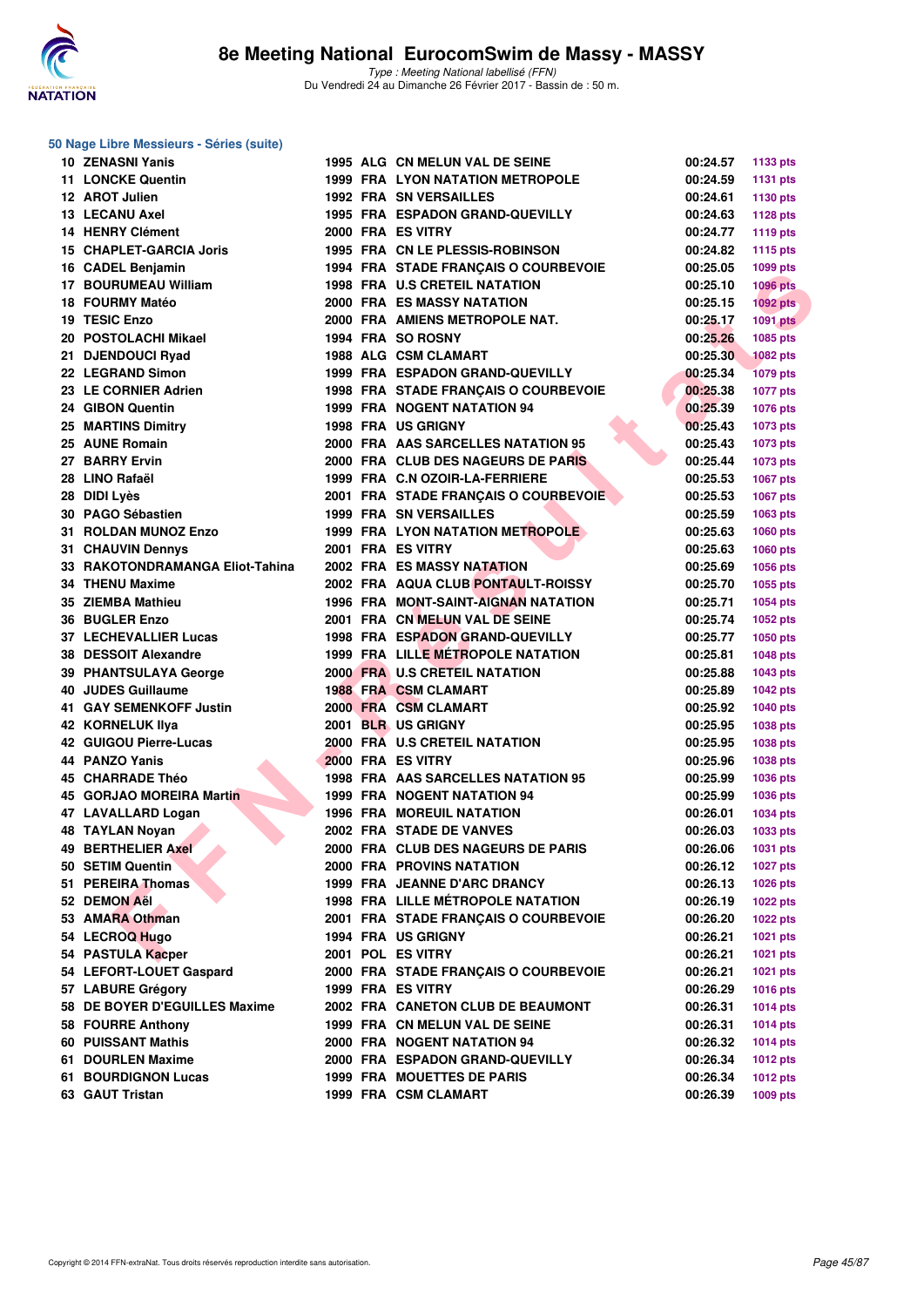

| <b>10 ZENASNI Yanis</b>                     |  | 1995 ALG CN MELUN VAL DE SEINE             | 00:24.57 | 1133 pts        |
|---------------------------------------------|--|--------------------------------------------|----------|-----------------|
| <b>11 LONCKE Quentin</b>                    |  | 1999 FRA LYON NATATION METROPOLE           | 00:24.59 | <b>1131 pts</b> |
| 12 AROT Julien                              |  | <b>1992 FRA SN VERSAILLES</b>              | 00:24.61 | 1130 pts        |
| <b>13 LECANU Axel</b>                       |  | 1995 FRA ESPADON GRAND-QUEVILLY            | 00:24.63 | <b>1128 pts</b> |
| 14 HENRY Clément                            |  | 2000 FRA ES VITRY                          | 00:24.77 | 1119 pts        |
| 15 CHAPLET-GARCIA Joris                     |  | 1995 FRA CN LE PLESSIS-ROBINSON            | 00:24.82 | 1115 pts        |
| 16 CADEL Benjamin                           |  | 1994 FRA STADE FRANÇAIS O COURBEVOIE       | 00:25.05 | 1099 pts        |
| <b>17 BOURUMEAU William</b>                 |  | <b>1998 FRA U.S CRETEIL NATATION</b>       | 00:25.10 | <b>1096 pts</b> |
| 18 FOURMY Matéo                             |  | <b>2000 FRA ES MASSY NATATION</b>          | 00:25.15 | $1092$ pts      |
| 19 TESIC Enzo                               |  | 2000 FRA AMIENS METROPOLE NAT.             | 00:25.17 | <b>1091 pts</b> |
| 20 POSTOLACHI Mikael                        |  | 1994 FRA SO ROSNY                          | 00:25.26 | 1085 pts        |
| 21 DJENDOUCI Ryad                           |  | 1988 ALG CSM CLAMART                       | 00:25.30 | <b>1082 pts</b> |
| 22 LEGRAND Simon                            |  | 1999 FRA ESPADON GRAND-QUEVILLY            | 00:25.34 | <b>1079 pts</b> |
| 23 LE CORNIER Adrien                        |  | 1998 FRA STADE FRANÇAIS O COURBEVOIE       | 00:25.38 | <b>1077 pts</b> |
| 24 GIBON Quentin                            |  | <b>1999 FRA NOGENT NATATION 94</b>         | 00:25.39 | 1076 pts        |
| <b>25 MARTINS Dimitry</b>                   |  | <b>1998 FRA US GRIGNY</b>                  | 00:25.43 | 1073 pts        |
| 25 AUNE Romain                              |  | 2000 FRA AAS SARCELLES NATATION 95         | 00:25.43 | 1073 pts        |
| 27 BARRY Ervin                              |  | 2000 FRA CLUB DES NAGEURS DE PARIS         | 00:25.44 | 1073 pts        |
| 28 LINO Rafaël                              |  | 1999 FRA C.N OZOIR-LA-FERRIERE             | 00:25.53 | 1067 pts        |
| 28 DIDI Lyès                                |  | 2001 FRA STADE FRANÇAIS O COURBEVOIE       | 00:25.53 | 1067 pts        |
| 30 PAGO Sébastien                           |  | <b>1999 FRA SN VERSAILLES</b>              | 00:25.59 | 1063 pts        |
| 31 ROLDAN MUNOZ Enzo                        |  | 1999 FRA LYON NATATION METROPOLE           | 00:25.63 | 1060 pts        |
| 31 CHAUVIN Dennys                           |  | 2001 FRA ES VITRY                          | 00:25.63 | 1060 pts        |
| 33 RAKOTONDRAMANGA Eliot-Tahina             |  | <b>2002 FRA ES MASSY NATATION</b>          | 00:25.69 | 1056 pts        |
| 34 THENU Maxime                             |  | 2002 FRA AQUA CLUB PONTAULT-ROISSY         | 00:25.70 | 1055 pts        |
| 35 ZIEMBA Mathieu                           |  | <b>1996 FRA MONT-SAINT-AIGNAN NATATION</b> | 00:25.71 | 1054 pts        |
| 36 BUGLER Enzo                              |  | 2001 FRA CN MELUN VAL DE SEINE             | 00:25.74 | 1052 pts        |
| <b>37 LECHEVALLIER Lucas</b>                |  | 1998 FRA ESPADON GRAND-QUEVILLY            | 00:25.77 | 1050 pts        |
| 38 DESSOIT Alexandre                        |  | <b>1999 FRA LILLE METROPOLE NATATION</b>   | 00:25.81 |                 |
|                                             |  | 2000 FRA U.S CRETEIL NATATION              | 00:25.88 | <b>1048 pts</b> |
| 39 PHANTSULAYA George<br>40 JUDES Guillaume |  | <b>1988 FRA CSM CLAMART</b>                | 00:25.89 | 1043 pts        |
| 41 GAY SEMENKOFF Justin                     |  | 2000 FRA CSM CLAMART                       | 00:25.92 | <b>1042 pts</b> |
| <b>42 KORNELUK Ilya</b>                     |  | 2001 BLR US GRIGNY                         | 00:25.95 | <b>1040 pts</b> |
| 42 GUIGOU Pierre-Lucas                      |  | 2000 FRA U.S CRETEIL NATATION              | 00:25.95 | 1038 pts        |
| 44 PANZO Yanis                              |  | 2000 FRA ES VITRY                          |          | 1038 pts        |
|                                             |  |                                            | 00:25.96 | 1038 pts        |
| 45 CHARRADE Théo                            |  | 1998 FRA AAS SARCELLES NATATION 95         | 00:25.99 | 1036 pts        |
| 45 GORJAO MOREIRA Martin                    |  | 1999 FRA NOGENT NATATION 94                | 00:25.99 | 1036 pts        |
| 47 LAVALLARD Logan                          |  | <b>1996 FRA MOREUIL NATATION</b>           | 00:26.01 | 1034 pts        |
| <b>48 TAYLAN Novan</b>                      |  | 2002 FRA STADE DE VANVES                   | 00:26.03 | 1033 pts        |
| 49 BERTHELIER Axel                          |  | 2000 FRA CLUB DES NAGEURS DE PARIS         | 00:26.06 | 1031 pts        |
| 50 SETIM Quentin                            |  | <b>2000 FRA PROVINS NATATION</b>           | 00:26.12 | <b>1027 pts</b> |
| 51 PEREIRA Thomas                           |  | 1999 FRA JEANNE D'ARC DRANCY               | 00:26.13 | 1026 pts        |
| 52 DEMON Aël                                |  | <b>1998 FRA LILLE MÉTROPOLE NATATION</b>   | 00:26.19 | <b>1022 pts</b> |
| 53 AMARA Othman                             |  | 2001 FRA STADE FRANÇAIS O COURBEVOIE       | 00:26.20 | <b>1022 pts</b> |
| 54 LECROQ Hugo                              |  | 1994 FRA US GRIGNY                         | 00:26.21 | 1021 pts        |
| 54 PASTULA Kacper                           |  | 2001 POL ES VITRY                          | 00:26.21 | 1021 pts        |
| 54 LEFORT-LOUET Gaspard                     |  | 2000 FRA STADE FRANÇAIS O COURBEVOIE       | 00:26.21 | 1021 pts        |
| 57 LABURE Grégory                           |  | 1999 FRA ES VITRY                          | 00:26.29 | 1016 pts        |
| 58 DE BOYER D'EGUILLES Maxime               |  | 2002 FRA CANETON CLUB DE BEAUMONT          | 00:26.31 | <b>1014 pts</b> |
| 58 FOURRE Anthony                           |  | 1999 FRA CN MELUN VAL DE SEINE             | 00:26.31 | 1014 pts        |
| 60 PUISSANT Mathis                          |  | 2000 FRA NOGENT NATATION 94                | 00:26.32 | <b>1014 pts</b> |
| 61 DOURLEN Maxime                           |  | 2000 FRA ESPADON GRAND-QUEVILLY            | 00:26.34 | <b>1012 pts</b> |
| 61 BOURDIGNON Lucas                         |  | <b>1999 FRA MOUETTES DE PARIS</b>          | 00:26.34 | <b>1012 pts</b> |
| 63 GAUT Tristan                             |  | 1999 FRA CSM CLAMART                       | 00:26.39 | 1009 pts        |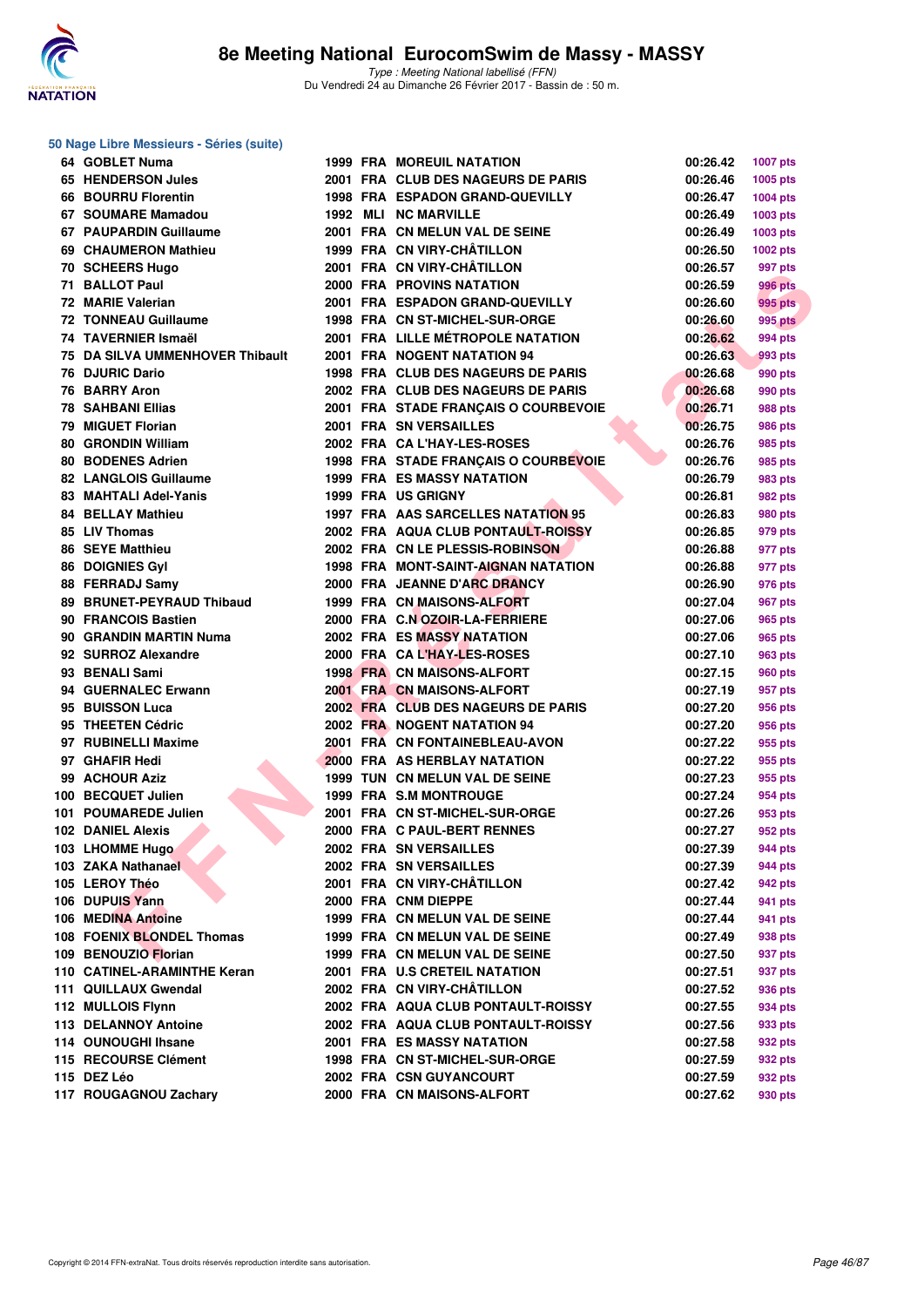

#### **50 Nage Libre Messieurs - Séries (suite)**

|     | 64 GOBLET Numa                  |  | <b>1999 FRA MOREUIL NATATION</b>                         | 00:26.42             | <b>1007 pts</b> |
|-----|---------------------------------|--|----------------------------------------------------------|----------------------|-----------------|
|     | 65 HENDERSON Jules              |  | 2001 FRA CLUB DES NAGEURS DE PARIS                       | 00:26.46             | 1005 pts        |
|     | 66 BOURRU Florentin             |  | <b>1998 FRA ESPADON GRAND-QUEVILLY</b>                   | 00:26.47             | 1004 pts        |
|     | 67 SOUMARE Mamadou              |  | 1992 MLI NC MARVILLE                                     | 00:26.49             | 1003 pts        |
|     | 67 PAUPARDIN Guillaume          |  | 2001 FRA CN MELUN VAL DE SEINE                           | 00:26.49             | 1003 pts        |
|     | 69 CHAUMERON Mathieu            |  | 1999 FRA CN VIRY-CHÂTILLON                               | 00:26.50             | 1002 pts        |
|     | 70 SCHEERS Hugo                 |  | 2001 FRA CN VIRY-CHÂTILLON                               | 00:26.57             | 997 pts         |
|     | 71 BALLOT Paul                  |  | <b>2000 FRA PROVINS NATATION</b>                         | 00:26.59             | 996 pts         |
|     | 72 MARIE Valerian               |  | 2001 FRA ESPADON GRAND-QUEVILLY                          | 00:26.60             | 995 pts         |
|     | <b>72 TONNEAU Guillaume</b>     |  | 1998 FRA CN ST-MICHEL-SUR-ORGE                           | 00:26.60             | <b>995 pts</b>  |
|     | 74 TAVERNIER Ismaël             |  | 2001 FRA LILLE MÉTROPOLE NATATION                        | 00:26.62             | 994 pts         |
|     | 75 DA SILVA UMMENHOVER Thibault |  | 2001 FRA NOGENT NATATION 94                              | 00:26.63             | 993 pts         |
|     | 76 DJURIC Dario                 |  | 1998 FRA CLUB DES NAGEURS DE PARIS                       | 00:26.68             | 990 pts         |
|     | 76 BARRY Aron                   |  | 2002 FRA CLUB DES NAGEURS DE PARIS                       | 00:26.68             | 990 pts         |
|     | <b>78 SAHBANI Ellias</b>        |  | 2001 FRA STADE FRANÇAIS O COURBEVOIE                     | 00:26.71             | 988 pts         |
|     | 79 MIGUET Florian               |  | 2001 FRA SN VERSAILLES                                   | 00:26.75             | 986 pts         |
|     | 80 GRONDIN William              |  | 2002 FRA CA L'HAY-LES-ROSES                              | 00:26.76             | 985 pts         |
|     | <b>80 BODENES Adrien</b>        |  | 1998 FRA STADE FRANÇAIS O COURBEVOIE                     | 00:26.76             | 985 pts         |
|     | <b>82 LANGLOIS Guillaume</b>    |  | <b>1999 FRA ES MASSY NATATION</b>                        | 00:26.79             | 983 pts         |
|     | 83 MAHTALI Adel-Yanis           |  | <b>1999 FRA US GRIGNY</b>                                | 00:26.81             | 982 pts         |
|     | <b>84 BELLAY Mathieu</b>        |  | 1997 FRA AAS SARCELLES NATATION 95                       | 00:26.83             | 980 pts         |
|     | 85 LIV Thomas                   |  | 2002 FRA AQUA CLUB PONTAULT-ROISSY                       | 00:26.85             | 979 pts         |
|     | <b>86 SEYE Matthieu</b>         |  | 2002 FRA CN LE PLESSIS-ROBINSON                          | 00:26.88             | 977 pts         |
|     | <b>86 DOIGNIES Gyl</b>          |  | 1998 FRA MONT-SAINT-AIGNAN NATATION                      | 00:26.88             | 977 pts         |
|     | 88 FERRADJ Samy                 |  | 2000 FRA JEANNE D'ARC DRANCY                             | 00:26.90             | 976 pts         |
|     | 89 BRUNET-PEYRAUD Thibaud       |  | 1999 FRA CN MAISONS-ALFORT                               | 00:27.04             | 967 pts         |
|     | 90 FRANCOIS Bastien             |  | 2000 FRA C.N OZOIR-LA-FERRIERE                           | 00:27.06             | 965 pts         |
|     | 90 GRANDIN MARTIN Numa          |  | <b>2002 FRA ES MASSY NATATION</b>                        | 00:27.06             |                 |
|     | 92 SURROZ Alexandre             |  | 2000 FRA CA L'HAY-LES-ROSES                              | 00:27.10             | 965 pts         |
|     | 93 BENALI Sami                  |  | <b>1998 FRA CN MAISONS-ALFORT</b>                        |                      | 963 pts         |
|     | 94 GUERNALEC Erwann             |  | 2001 FRA CN MAISONS-ALFORT                               | 00:27.15             | 960 pts         |
|     | 95 BUISSON Luca                 |  | 2002 FRA CLUB DES NAGEURS DE PARIS                       | 00:27.19<br>00:27.20 | 957 pts         |
|     | 95 THEETEN Cédric               |  |                                                          |                      | 956 pts         |
|     | 97 RUBINELLI Maxime             |  | 2002 FRA NOGENT NATATION 94                              | 00:27.20             | 956 pts         |
|     |                                 |  | 2001 FRA CN FONTAINEBLEAU-AVON                           | 00:27.22             | 955 pts         |
|     | 97 GHAFIR Hedi                  |  | 2000 FRA AS HERBLAY NATATION                             | 00:27.22             | 955 pts         |
|     | 99 ACHOUR Aziz                  |  | 1999 TUN CN MELUN VAL DE SEINE<br>1999 FRA S.M MONTROUGE | 00:27.23             | 955 pts         |
|     | 100 BECQUET Julien              |  |                                                          | 00:27.24             | 954 pts         |
| 101 | <b>POUMAREDE Julien</b>         |  | 2001 FRA CN ST-MICHEL-SUR-ORGE                           | 00:27.26             | 953 pts         |
|     | <b>102 DANIEL Alexis</b>        |  | 2000 FRA C PAUL-BERT RENNES                              | 00:27.27             | 952 pts         |
|     | 103 LHOMME Hugo                 |  | 2002 FRA SN VERSAILLES                                   | 00:27.39             | 944 pts         |
|     | 103 ZAKA Nathanael              |  | 2002 FRA SN VERSAILLES                                   | 00:27.39             | 944 pts         |
|     | 105 LEROY Théo                  |  | 2001 FRA CN VIRY-CHATILLON                               | 00:27.42             | 942 pts         |
|     | 106 DUPUIS Yann                 |  | 2000 FRA CNM DIEPPE                                      | 00:27.44             | 941 pts         |
|     | 106 MEDINA Antoine              |  | 1999 FRA CN MELUN VAL DE SEINE                           | 00:27.44             | 941 pts         |
|     | 108 FOENIX BLONDEL Thomas       |  | 1999 FRA CN MELUN VAL DE SEINE                           | 00:27.49             | 938 pts         |
|     | 109 BENOUZIO Florian            |  | 1999 FRA CN MELUN VAL DE SEINE                           | 00:27.50             | 937 pts         |
|     | 110 CATINEL-ARAMINTHE Keran     |  | 2001 FRA U.S CRETEIL NATATION                            | 00:27.51             | 937 pts         |
|     | 111 QUILLAUX Gwendal            |  | 2002 FRA CN VIRY-CHÂTILLON                               | 00:27.52             | 936 pts         |
|     | 112 MULLOIS Flynn               |  | 2002 FRA AQUA CLUB PONTAULT-ROISSY                       | 00:27.55             | 934 pts         |
|     | 113 DELANNOY Antoine            |  | 2002 FRA AQUA CLUB PONTAULT-ROISSY                       | 00:27.56             | 933 pts         |
|     | 114 OUNOUGHI Ihsane             |  | <b>2001 FRA ES MASSY NATATION</b>                        | 00:27.58             | 932 pts         |
|     | 115 RECOURSE Clément            |  | 1998 FRA CN ST-MICHEL-SUR-ORGE                           | 00:27.59             | 932 pts         |
|     | 115 DEZ Léo                     |  | 2002 FRA CSN GUYANCOURT                                  | 00:27.59             | 932 pts         |
|     | 117 ROUGAGNOU Zachary           |  | 2000 FRA CN MAISONS-ALFORT                               | 00:27.62             | 930 pts         |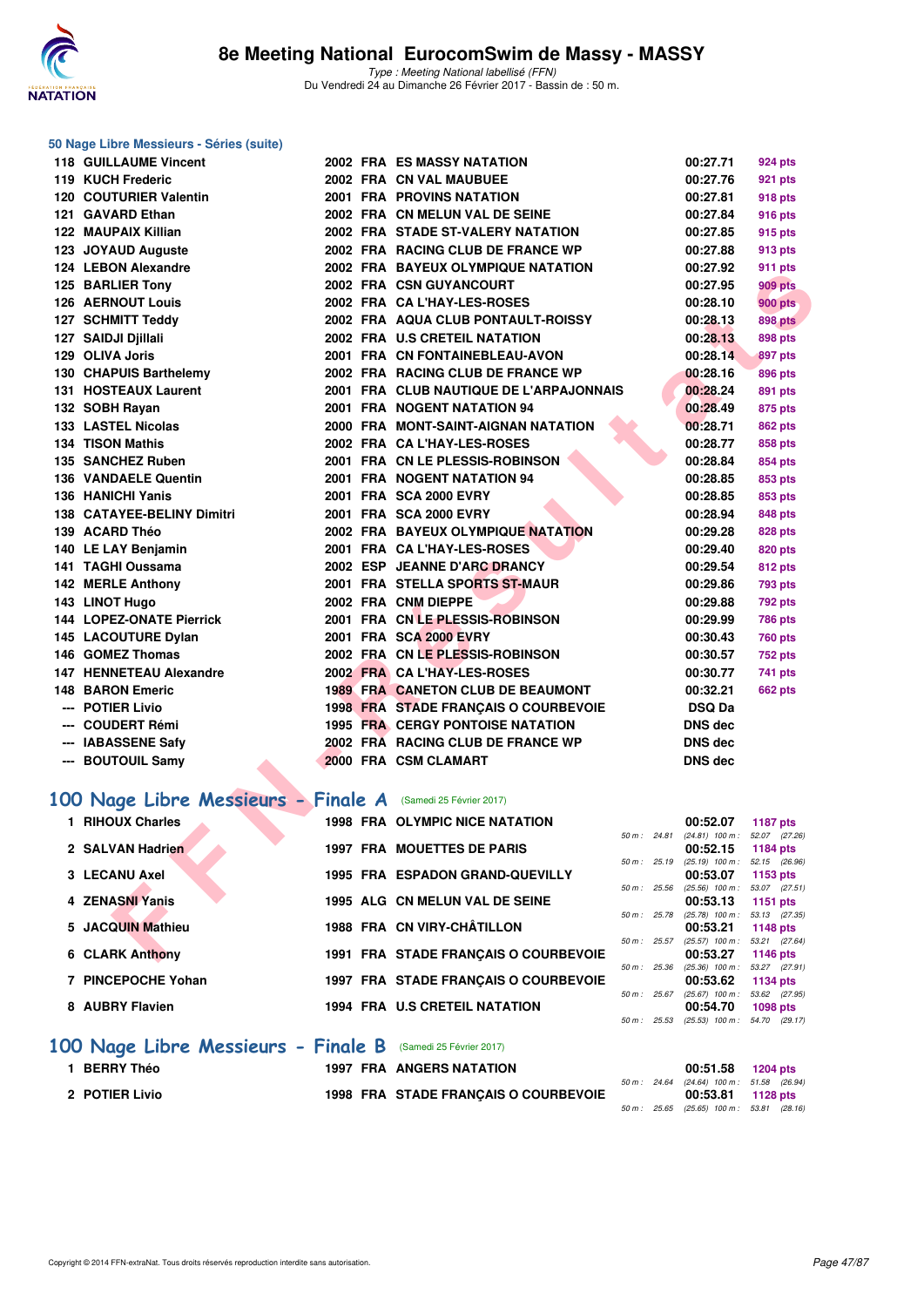

#### **50 Nage Libre Messieurs - Séries (suite)**

| <b>118 GUILLAUME Vincent</b>                                 |  | <b>2002 FRA ES MASSY NATATION</b>        |              | 00:27.71                                      | 924 pts         |
|--------------------------------------------------------------|--|------------------------------------------|--------------|-----------------------------------------------|-----------------|
| 119 KUCH Frederic                                            |  | 2002 FRA CN VAL MAUBUEE                  |              | 00:27.76                                      | <b>921 pts</b>  |
| 120 COUTURIER Valentin                                       |  | 2001 FRA PROVINS NATATION                |              | 00:27.81                                      | 918 pts         |
| 121 GAVARD Ethan                                             |  | 2002 FRA CN MELUN VAL DE SEINE           |              | 00:27.84                                      | <b>916 pts</b>  |
| <b>122 MAUPAIX Killian</b>                                   |  | 2002 FRA STADE ST-VALERY NATATION        |              | 00:27.85                                      | 915 pts         |
| 123 JOYAUD Auguste                                           |  | 2002 FRA RACING CLUB DE FRANCE WP        |              | 00:27.88                                      | 913 pts         |
| 124 LEBON Alexandre                                          |  | 2002 FRA BAYEUX OLYMPIQUE NATATION       |              | 00:27.92                                      | 911 pts         |
| 125 BARLIER Tony                                             |  | 2002 FRA CSN GUYANCOURT                  |              | 00:27.95                                      | <b>909 pts</b>  |
| <b>126 AERNOUT Louis</b>                                     |  | 2002 FRA CA L'HAY-LES-ROSES              |              | 00:28.10                                      | <b>900 pts</b>  |
| 127 SCHMITT Teddy                                            |  | 2002 FRA AQUA CLUB PONTAULT-ROISSY       |              | 00:28.13                                      | <b>898 pts</b>  |
| 127 SAIDJI Djillali                                          |  | 2002 FRA U.S CRETEIL NATATION            |              | 00:28.13                                      | <b>898 pts</b>  |
| 129 OLIVA Joris                                              |  | 2001 FRA CN FONTAINEBLEAU-AVON           |              | 00:28.14                                      | 897 pts         |
| 130 CHAPUIS Barthelemy                                       |  | 2002 FRA RACING CLUB DE FRANCE WP        |              | 00:28.16                                      | 896 pts         |
| 131 HOSTEAUX Laurent                                         |  | 2001 FRA CLUB NAUTIQUE DE L'ARPAJONNAIS  |              | 00:28.24                                      | 891 pts         |
| 132 SOBH Rayan                                               |  | 2001 FRA NOGENT NATATION 94              |              | 00:28.49                                      | 875 pts         |
| 133 LASTEL Nicolas                                           |  | 2000 FRA MONT-SAINT-AIGNAN NATATION      |              | 00:28.71                                      | <b>862 pts</b>  |
| 134 TISON Mathis                                             |  | 2002 FRA CA L'HAY-LES-ROSES              |              | 00:28.77                                      | <b>858 pts</b>  |
| 135 SANCHEZ Ruben                                            |  | 2001 FRA CN LE PLESSIS-ROBINSON          |              | 00:28.84                                      | 854 pts         |
| 136 VANDAELE Quentin                                         |  | 2001 FRA NOGENT NATATION 94              |              | 00:28.85                                      | 853 pts         |
| 136 HANICHI Yanis                                            |  | 2001 FRA SCA 2000 EVRY                   |              | 00:28.85                                      | 853 pts         |
| 138 CATAYEE-BELINY Dimitri                                   |  | 2001 FRA SCA 2000 EVRY                   |              | 00:28.94                                      | 848 pts         |
| 139 ACARD Théo                                               |  | 2002 FRA BAYEUX OLYMPIQUE NATATION       |              | 00:29.28                                      | <b>828 pts</b>  |
| 140 LE LAY Benjamin                                          |  | 2001 FRA CA L'HAY-LES-ROSES              |              | 00:29.40                                      | <b>820 pts</b>  |
| 141 TAGHI Oussama                                            |  | 2002 ESP JEANNE D'ARC DRANCY             |              | 00:29.54                                      | <b>812 pts</b>  |
| 142 MERLE Anthony                                            |  | 2001 FRA STELLA SPORTS ST-MAUR           |              | 00:29.86                                      | 793 pts         |
| 143 LINOT Hugo                                               |  | 2002 FRA CNM DIEPPE                      |              | 00:29.88                                      | <b>792 pts</b>  |
| <b>144 LOPEZ-ONATE Pierrick</b>                              |  | 2001 FRA CN LE PLESSIS-ROBINSON          |              | 00:29.99                                      | <b>786 pts</b>  |
| 145 LACOUTURE Dylan                                          |  | 2001 FRA SCA 2000 EVRY                   |              | 00:30.43                                      | <b>760 pts</b>  |
| 146 GOMEZ Thomas                                             |  | 2002 FRA CN LE PLESSIS-ROBINSON          |              | 00:30.57                                      | 752 pts         |
| <b>147 HENNETEAU Alexandre</b>                               |  | 2002 FRA CA L'HAY-LES-ROSES              |              | 00:30.77                                      | 741 pts         |
| <b>148 BARON Emeric</b>                                      |  | <b>1989 FRA CANETON CLUB DE BEAUMONT</b> |              | 00:32.21                                      | <b>662 pts</b>  |
| --- POTIER Livio                                             |  | 1998 FRA STADE FRANÇAIS O COURBEVOIE     |              | <b>DSQ Da</b>                                 |                 |
| --- COUDERT Rémi                                             |  | <b>1995 FRA CERGY PONTOISE NATATION</b>  |              | <b>DNS dec</b>                                |                 |
| --- IABASSENE Safy                                           |  | 2002 FRA RACING CLUB DE FRANCE WP        |              | <b>DNS dec</b>                                |                 |
| --- BOUTOUIL Samy                                            |  | 2000 FRA CSM CLAMART                     |              | <b>DNS</b> dec                                |                 |
|                                                              |  |                                          |              |                                               |                 |
| 100 Nage Libre Messieurs - Finale A (Samedi 25 Février 2017) |  |                                          |              |                                               |                 |
| 1 RIHOUX Charles                                             |  | <b>1998 FRA OLYMPIC NICE NATATION</b>    | 50 m : 24.81 | 00:52.07<br>$(24.81)$ 100 m : 52.07 $(27.26)$ | <b>1187 pts</b> |
| 2 SALVAN Hadrien                                             |  | 1997 FRA MOUETTES DE PARIS               |              | 00:52.15                                      | 1184 pts        |
| 3 LECANU Axel                                                |  | 1995 FRA ESPADON GRAND-QUEVILLY          | 50 m: 25.19  | $(25.19)$ 100 m : 52.15 $(26.96)$<br>00:53.07 | 1153 pts        |
| 4 ZENASNI Yanis                                              |  | 1995 ALG CN MELUN VAL DE SEINE           | 50 m: 25.56  | $(25.56)$ 100 m : 53.07 (27.51)<br>00:53.13   | 1151 pts        |
|                                                              |  |                                          | 50 m : 25.78 | $(25.78)$ 100 m : 53.13 $(27.35)$             |                 |
| 5 JACQUIN Mathieu                                            |  | 1988 FRA CN VIRY-CHÂTILLON               | 50 m: 25.57  | 00:53.21<br>$(25.57)$ 100 m : 53.21 $(27.64)$ | <b>1148 pts</b> |
| <b>6 CLARK Anthony</b>                                       |  | 1991 FRA STADE FRANÇAIS O COURBEVOIE     |              | 00:53.27                                      | 1146 pts        |

# [100 Nage Libre Messieurs - Finale A](http://www.ffnatation.fr/webffn/resultats.php?idact=nat&go=epr&idcpt=42801&idepr=52) (Samedi 25 Février 2017)

| 1 RIHOUX Charles       |  | 1998 FRA OLYMPIC NICE NATATION       |                  | 00:52.07          | 1187 pts        |  |
|------------------------|--|--------------------------------------|------------------|-------------------|-----------------|--|
|                        |  |                                      | $50 m$ : 24.81   | $(24.81)$ 100 m : | 52.07 (27.26    |  |
| 2 SALVAN Hadrien       |  | <b>1997 FRA MOUETTES DE PARIS</b>    |                  | 00:52.15          | 1184 pts        |  |
|                        |  |                                      | $50 m$ : 25.19   | $(25.19)$ 100 m : | 52.15 (26.96    |  |
| 3 LECANU Axel          |  | 1995 FRA ESPADON GRAND-QUEVILLY      |                  | 00:53.07          | 1153 $pts$      |  |
|                        |  |                                      | 50 m: 25.56      | $(25.56)$ 100 m : | 53.07 (27.51    |  |
| 4 ZENASNI Yanis        |  | 1995 ALG CN MELUN VAL DE SEINE       |                  | 00:53.13          | 1151 $pts$      |  |
|                        |  |                                      | $50 m$ : $25.78$ | $(25.78)$ 100 m : | 53.13 (27.35    |  |
| 5 JACQUIN Mathieu      |  | 1988 FRA CN VIRY-CHÂTILLON           |                  | 00:53.21          | 1148 pts        |  |
|                        |  |                                      | $50 m$ : 25.57   | $(25.57)$ 100 m : | 53.21 (27.64    |  |
| <b>6 CLARK Anthony</b> |  | 1991 FRA STADE FRANCAIS O COURBEVOIE |                  | 00:53.27          | 1146 $pts$      |  |
|                        |  |                                      | 50 m: 25.36      | $(25.36)$ 100 m : | 53.27 (27.91    |  |
| 7 PINCEPOCHE Yohan     |  | 1997 FRA STADE FRANCAIS O COURBEVOIE |                  | 00:53.62          | <b>1134 pts</b> |  |
|                        |  |                                      | $50 m$ : 25.67   | $(25.67)$ 100 m : | 53.62 (27.95)   |  |
| 8 AUBRY Flavien        |  | 1994 FRA U.S CRETEIL NATATION        |                  | 00:54.70          | $1098$ pts      |  |
|                        |  |                                      | 50 m: 25.53      | $(25.53)$ 100 m : | 54.70 (29.17    |  |

| 100 Nage Libre Messieurs - Finale B (Samedi 25 Février 2017) |                                      |  |                                                               |  |
|--------------------------------------------------------------|--------------------------------------|--|---------------------------------------------------------------|--|
| <b>BERRY Théo</b>                                            | <b>1997 FRA ANGERS NATATION</b>      |  | 00:51.58 1204 pts                                             |  |
| 2 POTIER Livio                                               | 1998 FRA STADE FRANCAIS O COURBEVOIE |  | 50 m: 24.64 (24.64) 100 m: 51.58 (26.94)<br>00:53.81 1128 pts |  |
|                                                              |                                      |  | 50 m : 25.65 (25.65) 100 m : 53.81 (28.16)                    |  |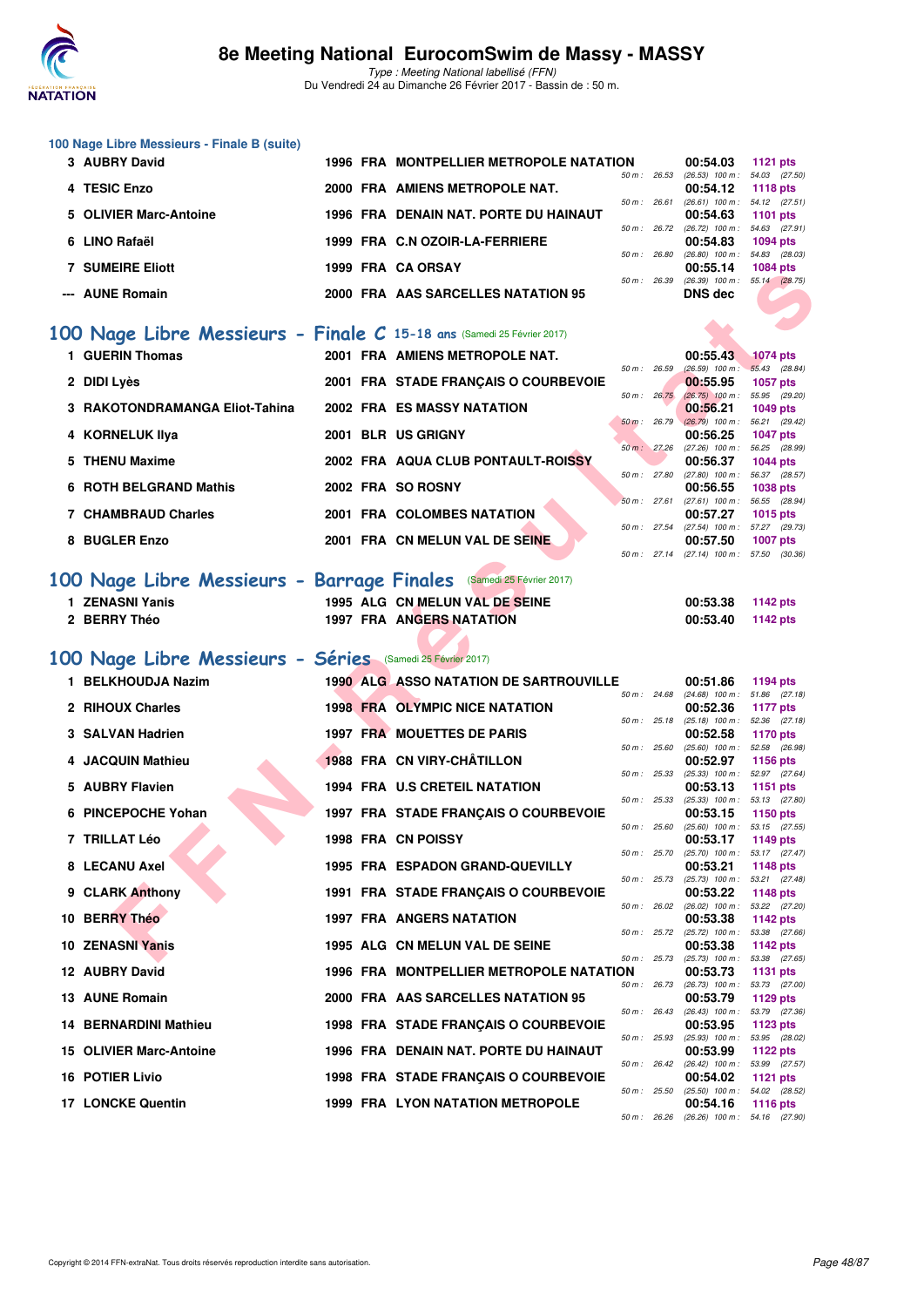

| 100 Nage Libre Messieurs - Finale B (suite)                            |  |                                                            |              |              |                                                      |                                    |
|------------------------------------------------------------------------|--|------------------------------------------------------------|--------------|--------------|------------------------------------------------------|------------------------------------|
| 3 AUBRY David                                                          |  | 1996 FRA MONTPELLIER METROPOLE NATATION                    |              | 50 m : 26.53 | 00:54.03<br>$(26.53)$ 100 m : 54.03 $(27.50)$        | <b>1121 pts</b>                    |
| 4 TESIC Enzo                                                           |  | 2000 FRA AMIENS METROPOLE NAT.                             |              | 50 m : 26.61 | 00:54.12<br>$(26.61)$ 100 m : 54.12 $(27.51)$        | 1118 pts                           |
| 5 OLIVIER Marc-Antoine                                                 |  | 1996 FRA DENAIN NAT. PORTE DU HAINAUT                      |              |              | 00:54.63                                             | <b>1101 pts</b>                    |
| 6 LINO Rafaël                                                          |  | 1999 FRA C.N OZOIR-LA-FERRIERE                             |              | 50 m : 26.72 | $(26.72)$ 100 m : 54.63 $(27.91)$<br>00:54.83        | 1094 pts                           |
| <b>7 SUMEIRE Eliott</b>                                                |  | 1999 FRA CA ORSAY                                          | 50 m: 26.80  |              | $(26.80)$ 100 m : 54.83 $(28.03)$<br>00:55.14        | 1084 pts                           |
| --- AUNE Romain                                                        |  | 2000 FRA AAS SARCELLES NATATION 95                         | 50 m : 26.39 |              | $(26.39)$ 100 m : 55.14 $(28.75)$<br><b>DNS</b> dec  |                                    |
|                                                                        |  |                                                            |              |              |                                                      |                                    |
| 100 Nage Libre Messieurs - Finale C 15-18 ans (Samedi 25 Février 2017) |  |                                                            |              |              |                                                      |                                    |
| 1 GUERIN Thomas                                                        |  | 2001 FRA AMIENS METROPOLE NAT.                             |              |              | 00:55.43                                             | <b>1074 pts</b>                    |
| 2 DIDI Lyès                                                            |  | 2001 FRA STADE FRANÇAIS O COURBEVOIE                       | 50 m : 26.59 |              | $(26.59)$ 100 m : 55.43 $(28.84)$<br>00:55.95        | <b>1057 pts</b>                    |
| 3 RAKOTONDRAMANGA Eliot-Tahina                                         |  | 2002 FRA ES MASSY NATATION                                 |              | 50 m : 26.75 | $(26.75)$ 100 m : 55.95 (29.20)<br>00:56.21          | <b>1049 pts</b>                    |
| 4 KORNELUK IIya                                                        |  | 2001 BLR US GRIGNY                                         | 50 m: 26.79  |              | $(26.79)$ 100 m : 56.21 $(29.42)$<br>00:56.25        | <b>1047 pts</b>                    |
| 5 THENU Maxime                                                         |  |                                                            | 50 m: 27.26  |              | (27.26) 100 m: 56.25 (28.99)                         |                                    |
|                                                                        |  | 2002 FRA AQUA CLUB PONTAULT-ROISSY                         |              | 50 m : 27.80 | 00:56.37<br>(27.80) 100 m: 56.37 (28.57)             | <b>1044 pts</b>                    |
| 6 ROTH BELGRAND Mathis                                                 |  | 2002 FRA SO ROSNY                                          |              | 50 m: 27.61  | 00:56.55<br>(27.61) 100 m: 56.55 (28.94)             | <b>1038 pts</b>                    |
| <b>7 CHAMBRAUD Charles</b>                                             |  | 2001 FRA COLOMBES NATATION                                 |              |              | 00:57.27<br>50 m: 27.54 (27.54) 100 m: 57.27 (29.73) | 1015 pts                           |
| 8 BUGLER Enzo                                                          |  | 2001 FRA CN MELUN VAL DE SEINE                             |              |              | 00:57.50                                             | 1007 pts                           |
|                                                                        |  |                                                            |              | 50 m: 27.14  | $(27.14)$ 100 m : 57.50 $(30.36)$                    |                                    |
| 100 Nage Libre Messieurs - Barrage Finales (Samedi 25 Février 2017)    |  |                                                            |              |              |                                                      |                                    |
| 1 ZENASNI Yanis<br>2 BERRY Théo                                        |  | 1995 ALG CN MELUN VAL DE SEINE<br>1997 FRA ANGERS NATATION |              |              | 00:53.38<br>00:53.40                                 | <b>1142 pts</b><br><b>1142 pts</b> |
|                                                                        |  |                                                            |              |              |                                                      |                                    |
| 100 Nage Libre Messieurs - Séries (Samedi 25 Février 2017)             |  |                                                            |              |              |                                                      |                                    |
| 1 BELKHOUDJA Nazim                                                     |  | <b>1990 ALG ASSO NATATION DE SARTROUVILLE</b>              |              |              | 00:51.86                                             | 1194 pts                           |
| 2 RIHOUX Charles                                                       |  | <b>1998 FRA OLYMPIC NICE NATATION</b>                      |              | 50 m : 24.68 | $(24.68)$ 100 m : 51.86 $(27.18)$<br>00:52.36        | <b>1177 pts</b>                    |
| 3 SALVAN Hadrien                                                       |  | 1997 FRA MOUETTES DE PARIS                                 |              | 50 m : 25.18 | $(25.18)$ 100 m : 52.36 $(27.18)$<br>00:52.58        | <b>1170 pts</b>                    |
|                                                                        |  | 1988 FRA CN VIRY-CHÂTILLON                                 | 50 m: 25.60  |              | $(25.60)$ 100 m : 52.58 $(26.98)$                    |                                    |
| 4 JACQUIN Mathieu                                                      |  |                                                            |              | 50 m : 25.33 | 00:52.97<br>(25.33) 100 m: 52.97 (27.64)             | 1156 pts                           |
| 5 AUBRY Flavien                                                        |  | <b>1994 FRA U.S CRETEIL NATATION</b>                       |              | 50 m : 25.33 | 00:53.13<br>$(25.33)$ 100 m : 53.13 $(27.80)$        | 1151 pts                           |
| 6 PINCEPOCHE Yohan                                                     |  | 1997 FRA STADE FRANÇAIS O COURBEVOIE                       |              | 50 m : 25.60 | 00:53.15<br>(25.60) 100 m: 53.15 (27.55)             | 1150 pts                           |
| 7 TRILLAT Léo                                                          |  | 1998 FRA CN POISSY                                         |              |              | 00:53.17                                             | 1149 pts                           |
| 8 LECANU Axel                                                          |  | 1995 FRA ESPADON GRAND-QUEVILLY                            | 50 m : 25.70 |              | $(25.70)$ 100 m : 53.17 $(27.47)$<br>00:53.21        | 1148 pts                           |
| 9 CLARK Anthony                                                        |  | 1991 FRA STADE FRANÇAIS O COURBEVOIE                       | 50 m : 25.73 |              | (25.73) 100 m: 53.21 (27.48)<br>00:53.22             | <b>1148 pts</b>                    |
| 10 BERRY Théo                                                          |  | 1997 FRA ANGERS NATATION                                   |              | 50 m: 26.02  | $(26.02)$ 100 m :<br>00:53.38                        | 53.22 (27.20)<br>1142 pts          |
|                                                                        |  |                                                            |              | 50 m : 25.72 | (25.72) 100 m: 53.38 (27.66)                         |                                    |
| 10 ZENASNI Yanis                                                       |  | 1995 ALG CN MELUN VAL DE SEINE                             | 50 m : 25.73 |              | 00:53.38<br>(25.73) 100 m: 53.38 (27.65)             | 1142 pts                           |
| 12 AUBRY David                                                         |  | 1996 FRA MONTPELLIER METROPOLE NATATION                    |              | 50 m : 26.73 | 00:53.73<br>(26.73) 100 m : 53.73 (27.00)            | 1131 pts                           |
| 13 AUNE Romain                                                         |  | 2000 FRA AAS SARCELLES NATATION 95                         |              |              | 00:53.79                                             | 1129 pts                           |
| 14 BERNARDINI Mathieu                                                  |  | 1998 FRA STADE FRANÇAIS O COURBEVOIE                       |              | 50 m: 26.43  | (26.43) 100 m: 53.79 (27.36)<br>00:53.95             | <b>1123 pts</b>                    |
| 15 OLIVIER Marc-Antoine                                                |  | 1996 FRA DENAIN NAT. PORTE DU HAINAUT                      | 50 m: 25.93  |              | $(25.93)$ 100 m :<br>00:53.99                        | 53.95 (28.02)<br>1122 pts          |

**17 LONCKE Quentin 1999 FRA LYON NATATION METROPOLE** 

**16 POTIER Livio 1998 FRA STADE FRANÇAIS O COURBEVOIE** 

50 m : 26.42 (26.42) 100 m : 53.99 (27.57)

50 m : 25.50 (25.50) 100 m : 54.02 (28.52)

50 m : 26.26 (26.26) 100 m : 54.16 (27.90)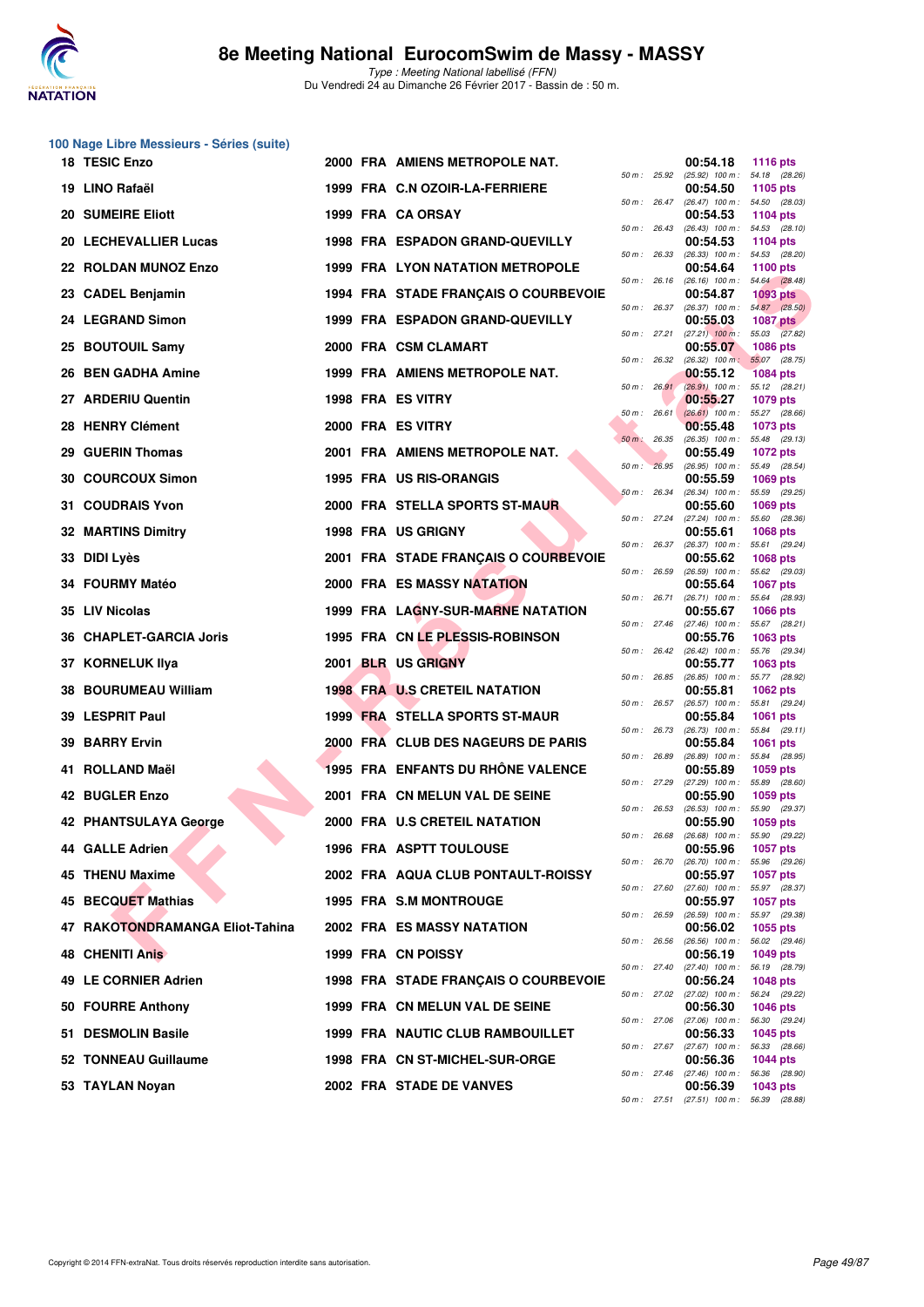

|     | 100 Nage Libre Messieurs - Séries (suite) |  |                                          |                |              |                                                        |                                  |
|-----|-------------------------------------------|--|------------------------------------------|----------------|--------------|--------------------------------------------------------|----------------------------------|
|     | 18 TESIC Enzo                             |  | 2000 FRA AMIENS METROPOLE NAT.           | 50 m: 25.92    |              | 00:54.18<br>$(25.92)$ 100 m : 54.18 $(28.26)$          | <b>1116 pts</b>                  |
|     | 19 LINO Rafaël                            |  | 1999 FRA C.N OZOIR-LA-FERRIERE           |                |              | 00:54.50                                               | 1105 pts                         |
|     | <b>20 SUMEIRE Eliott</b>                  |  | 1999 FRA CA ORSAY                        | 50 m : 26.47   |              | (26.47) 100 m: 54.50 (28.03)<br>00:54.53               | 1104 pts                         |
|     | 20 LECHEVALLIER Lucas                     |  | 1998 FRA ESPADON GRAND-QUEVILLY          | 50 m: 26.43    |              | $(26.43)$ 100 m :<br>00:54.53                          | 54.53 (28.10)<br>1104 pts        |
|     | 22 ROLDAN MUNOZ Enzo                      |  | <b>1999 FRA LYON NATATION METROPOLE</b>  | 50 m: 26.33    |              | (26.33) 100 m: 54.53 (28.20)<br>00:54.64               | <b>1100 pts</b>                  |
|     | 23 CADEL Benjamin                         |  | 1994 FRA STADE FRANCAIS O COURBEVOIE     | 50 m: 26.16    |              | $(26.16)$ 100 m : 54.64 $(28.48)$<br>00:54.87          | <b>1093 pts</b>                  |
| 24  | <b>LEGRAND Simon</b>                      |  | <b>1999 FRA ESPADON GRAND-QUEVILLY</b>   | 50 m : 26.37   |              | $(26.37)$ 100 m : $54.87$ $(28.50)$<br>00:55.03        | <b>1087 pts</b>                  |
| 25  | <b>BOUTOUIL Samy</b>                      |  | 2000 FRA CSM CLAMART                     |                | 50 m : 27.21 | $(27.21)$ 100 m : 55.03 $(27.82)$<br>00:55.07          | <b>1086 pts</b>                  |
|     | 26 BEN GADHA Amine                        |  | 1999 FRA AMIENS METROPOLE NAT.           | 50 m: 26.32    |              | $(26.32)$ 100 m :<br>00:55.12                          | 55.07 (28.75)<br><b>1084 pts</b> |
|     | 27 ARDERIU Quentin                        |  | 1998 FRA ES VITRY                        |                | 50 m: 26.91  | (26.91) 100 m: 55.12 (28.21)<br>00:55.27               | 1079 pts                         |
|     |                                           |  |                                          | $50 m$ : 26.61 |              | $(26.61)$ 100 m :                                      | 55.27 (28.66)                    |
|     | 28 HENRY Clément                          |  | 2000 FRA ES VITRY                        | $50 m$ : 26.35 |              | 00:55.48<br>(26.35) 100 m: 55.48 (29.13)               | 1073 pts                         |
| 29  | <b>GUERIN Thomas</b>                      |  | 2001 FRA AMIENS METROPOLE NAT.           | 50 m: 26.95    |              | 00:55.49<br>(26.95) 100 m: 55.49 (28.54)               | <b>1072 pts</b>                  |
| 30  | <b>COURCOUX Simon</b>                     |  | 1995 FRA US RIS-ORANGIS                  | 50 m: 26.34    |              | 00:55.59<br>$(26.34)$ 100 m :                          | 1069 pts<br>55.59 (29.25)        |
| 31. | <b>COUDRAIS Yvon</b>                      |  | 2000 FRA STELLA SPORTS ST-MAUR           | 50 m: 27.24    |              | 00:55.60<br>$(27.24)$ 100 m :                          | 1069 pts<br>55.60 (28.36)        |
|     | <b>32 MARTINS Dimitry</b>                 |  | <b>1998 FRA US GRIGNY</b>                | 50 m: 26.37    |              | 00:55.61<br>$(26.37)$ 100 m :                          | 1068 pts<br>55.61 (29.24)        |
| 33  | DIDI Lyès                                 |  | 2001 FRA STADE FRANÇAIS O COURBEVOIE     | 50 m : 26.59   |              | 00:55.62<br>$(26.59)$ 100 m : 55.62 $(29.03)$          | 1068 pts                         |
|     | <b>FOURMY Matéo</b>                       |  | <b>2000 FRA ES MASSY NATATION</b>        | 50 m: 26.71    |              | 00:55.64<br>(26.71) 100 m: 55.64 (28.93)               | <b>1067 pts</b>                  |
|     | 35 LIV Nicolas                            |  | <b>1999 FRA LAGNY-SUR-MARNE NATATION</b> | 50 m: 27.46    |              | 00:55.67<br>(27.46) 100 m: 55.67 (28.21)               | 1066 pts                         |
| 36  | <b>CHAPLET-GARCIA Joris</b>               |  | 1995 FRA CN LE PLESSIS-ROBINSON          |                |              | 00:55.76                                               | 1063 pts                         |
| 37  | <b>KORNELUK IIya</b>                      |  | 2001 BLR US GRIGNY                       |                | 50 m: 26.42  | (26.42) 100 m: 55.76 (29.34)<br>00:55.77               | 1063 pts                         |
| 38  | <b>BOURUMEAU William</b>                  |  | <b>1998 FRA U.S CRETEIL NATATION</b>     | 50 m : 26.85   |              | $(26.85)$ 100 m :<br>00:55.81                          | 55.77 (28.92)<br>1062 pts        |
|     | 39 LESPRIT Paul                           |  | 1999 FRA STELLA SPORTS ST-MAUR           | 50 m: 26.57    |              | (26.57) 100 m: 55.81 (29.24)<br>00:55.84               | 1061 pts                         |
| 39. | <b>BARRY Ervin</b>                        |  | 2000 FRA CLUB DES NAGEURS DE PARIS       | 50 m: 26.73    |              | $(26.73)$ 100 m :<br>00:55.84                          | 55.84 (29.11)<br>1061 pts        |
| 41  | ROLLAND Maël                              |  | <b>1995 FRA ENFANTS DU RHONE VALENCE</b> | 50 m : 26.89   |              | $(26.89)$ 100 m :<br>00:55.89                          | 55.84 (28.95)<br>1059 pts        |
|     | 42 BUGLER Enzo                            |  | 2001 FRA CN MELUN VAL DE SEINE           | 50 m : 27.29   |              | $(27.29)$ 100 m : 55.89 $(28.60)$<br>00:55.90          | 1059 pts                         |
|     | 42 PHANTSULAYA George                     |  | 2000 FRA U.S CRETEIL NATATION            | 50 m: 26.53    |              | $(26.53)$ 100 m :<br>00:55.90                          | 55.90 (29.37)<br>1059 pts        |
|     | 44 GALLE Adrien                           |  | <b>1996 FRA ASPTT TOULOUSE</b>           | 50 m : 26.68   |              | $(26.68)$ 100 m :<br>00:55.96                          | 55.90 (29.22)<br><b>1057 pts</b> |
|     | 45 THENU Maxime                           |  | 2002 FRA AQUA CLUB PONTAULT-ROISSY       | 50 m : 26.70   |              | $(26.70)$ 100 m :<br>00:55.97                          | 55.96 (29.26)<br>1057 pts        |
|     | 45 BECQUET Mathias                        |  | 1995 FRA S.M MONTROUGE                   | 50 m: 27.60    |              | $(27.60)$ 100 m :<br>00:55.97                          | 55.97 (28.37)<br><b>1057 pts</b> |
| 47  | RAKOTONDRAMANGA Eliot-Tahina              |  | 2002 FRA ES MASSY NATATION               | 50 m : 26.59   |              | (26.59) 100 m: 55.97 (29.38)<br>00:56.02               | 1055 pts                         |
| 48  | <b>CHENITI Anis</b>                       |  | 1999 FRA CN POISSY                       | 50 m: 26.56    |              | (26.56) 100 m: 56.02 (29.46)<br>00:56.19               | 1049 pts                         |
|     |                                           |  |                                          | 50 m: 27.40    |              | (27.40) 100 m: 56.19 (28.79)                           |                                  |
| 49  | <b>LE CORNIER Adrien</b>                  |  | 1998 FRA STADE FRANÇAIS O COURBEVOIE     |                | 50 m : 27.02 | 00:56.24<br>$(27.02)$ 100 m :                          | 1048 pts<br>56.24 (29.22)        |
|     | 50 FOURRE Anthony                         |  | 1999 FRA CN MELUN VAL DE SEINE           | 50 m: 27.06    |              | 00:56.30<br>$(27.06)$ 100 m :                          | 1046 pts<br>56.30 (29.24)        |
|     | 51 DESMOLIN Basile                        |  | 1999 FRA NAUTIC CLUB RAMBOUILLET         | 50 m: 27.67    |              | 00:56.33<br>(27.67) 100 m :                            | 1045 pts<br>56.33 (28.66)        |
|     | 52 TONNEAU Guillaume                      |  | 1998 FRA CN ST-MICHEL-SUR-ORGE           | 50 m: 27.46    |              | 00:56.36<br>(27.46) 100 m: 56.36 (28.90)               | 1044 pts                         |
|     | 53 TAYLAN Noyan                           |  | 2002 FRA STADE DE VANVES                 |                |              | 00:56.39<br>50 m : 27.51 (27.51) 100 m : 56.39 (28.88) | 1043 pts                         |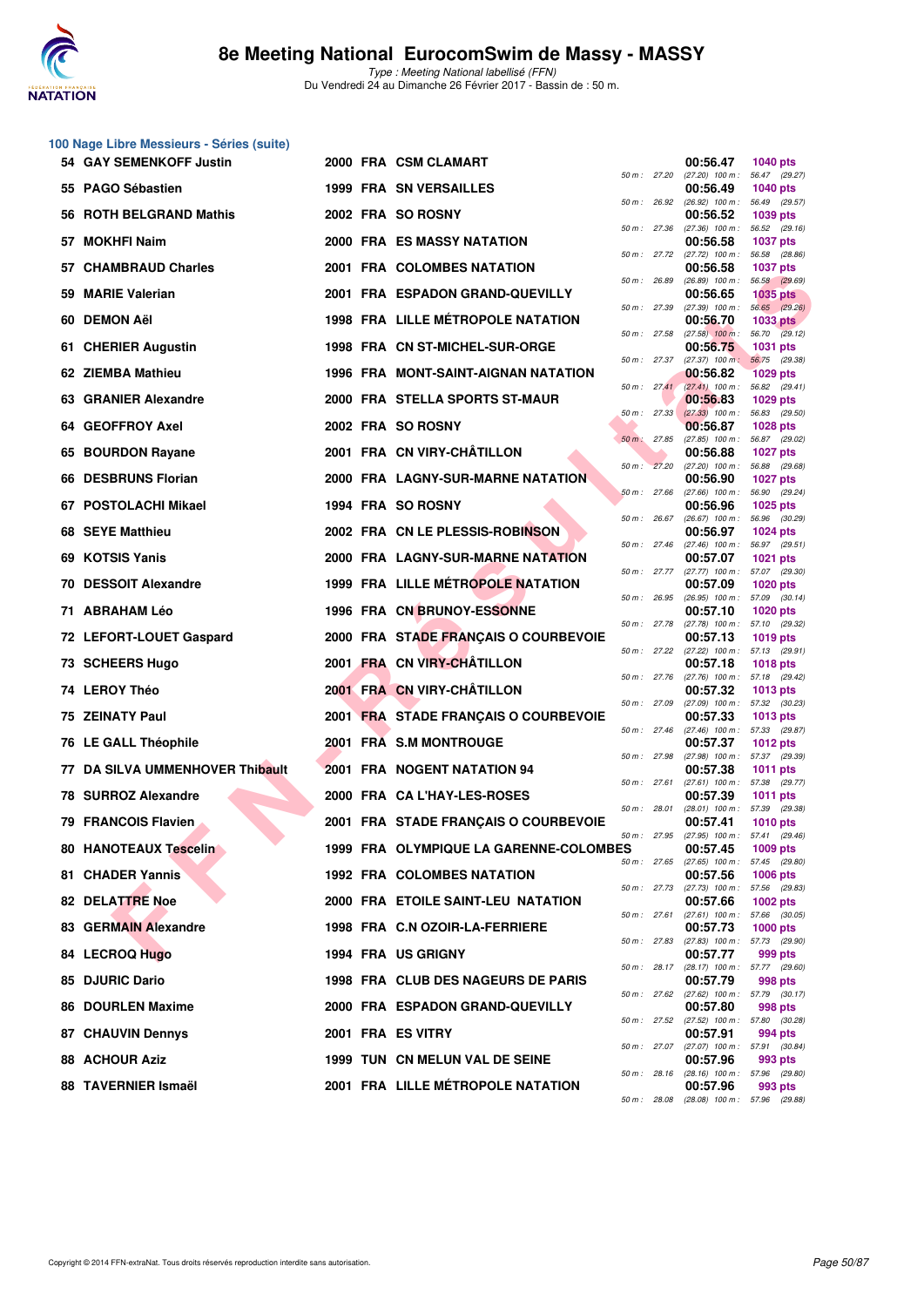

|    | 100 Nage Libre Messieurs - Séries (suite) |  |                                          |                |                                                      |                                  |
|----|-------------------------------------------|--|------------------------------------------|----------------|------------------------------------------------------|----------------------------------|
|    | 54 GAY SEMENKOFF Justin                   |  | 2000 FRA CSM CLAMART                     | 50 m : 27.20   | 00:56.47<br>(27.20) 100 m: 56.47 (29.27)             | 1040 pts                         |
|    | 55 PAGO Sébastien                         |  | <b>1999 FRA SN VERSAILLES</b>            | 50 m : 26.92   | 00:56.49<br>(26.92) 100 m : 56.49 (29.57)            | <b>1040 pts</b>                  |
|    | 56 ROTH BELGRAND Mathis                   |  | 2002 FRA SO ROSNY                        |                | 00:56.52                                             | 1039 pts                         |
|    | 57 MOKHFI Naim                            |  | 2000 FRA ES MASSY NATATION               | 50 m: 27.36    | $(27.36)$ 100 m :<br>00:56.58                        | 56.52 (29.16)<br><b>1037 pts</b> |
|    | 57 CHAMBRAUD Charles                      |  | 2001 FRA COLOMBES NATATION               | 50 m : 27.72   | (27.72) 100 m: 56.58 (28.86)<br>00:56.58             | <b>1037 pts</b>                  |
| 59 | <b>MARIE Valerian</b>                     |  | 2001 FRA ESPADON GRAND-QUEVILLY          | 50 m : 26.89   | (26.89) 100 m: 56.58 (29.69)<br>00:56.65             | <b>1035 pts</b>                  |
| 60 | <b>DEMON AëI</b>                          |  | <b>1998 FRA LILLE MÉTROPOLE NATATION</b> | 50 m : 27.39   | $(27.39)$ 100 m : 56.65 $(29.26)$<br>00:56.70        | <b>1033 pts</b>                  |
|    | 61 CHERIER Augustin                       |  | 1998 FRA CN ST-MICHEL-SUR-ORGE           | 50 m : 27.58   | $(27.58)$ 100 m : 56.70 $(29.12)$<br>00:56.75        | <b>1031 pts</b>                  |
|    | 62 ZIEMBA Mathieu                         |  | 1996 FRA MONT-SAINT-AIGNAN NATATION      | $50 m$ : 27.37 | $(27.37)$ 100 m:<br>00:56.82                         | 56.75 (29.38)<br><b>1029 pts</b> |
|    | 63 GRANIER Alexandre                      |  | 2000 FRA STELLA SPORTS ST-MAUR           | 50 m: 27.41    | $(27.41)$ 100 m : 56.82 $(29.41)$<br>00:56.83        | 1029 pts                         |
|    | 64 GEOFFROY Axel                          |  | 2002 FRA SO ROSNY                        | 50 m: 27.33    | $(27.33)$ 100 m : 56.83 (29.50)<br>00:56.87          | <b>1028 pts</b>                  |
| 65 | <b>BOURDON Rayane</b>                     |  | 2001 FRA CN VIRY-CHATILLON               | 50 m: 27.85    | (27.85) 100 m :<br>00:56.88                          | 56.87 (29.02)<br><b>1027 pts</b> |
|    | 66 DESBRUNS Florian                       |  | 2000 FRA LAGNY-SUR-MARNE NATATION        | 50 m: 27.20    | $(27.20)$ 100 m : 56.88 $(29.68)$<br>00:56.90        | <b>1027 pts</b>                  |
|    | 67 POSTOLACHI Mikael                      |  | 1994 FRA SO ROSNY                        | 50 m: 27.66    | $(27.66)$ 100 m : 56.90 $(29.24)$<br>00:56.96        | 1025 pts                         |
|    | 68 SEYE Matthieu                          |  | 2002 FRA CN LE PLESSIS-ROBINSON          | 50 m : 26.67   | $(26.67)$ 100 m :<br>00:56.97                        | 56.96 (30.29)<br>1024 pts        |
|    | 69 KOTSIS Yanis                           |  | 2000 FRA LAGNY-SUR-MARNE NATATION        | 50 m: 27.46    | $(27.46)$ 100 m : 56.97 $(29.51)$<br>00:57.07        | 1021 pts                         |
|    | 70 DESSOIT Alexandre                      |  | 1999 FRA LILLE MÉTROPOLE NATATION        | 50 m : 27.77   | (27.77) 100 m: 57.07 (29.30)<br>00:57.09             | <b>1020 pts</b>                  |
|    | 71 ABRAHAM Léo                            |  | <b>1996 FRA CN BRUNOY-ESSONNE</b>        | 50 m : 26.95   | $(26.95)$ 100 m : 57.09 $(30.14)$<br>00:57.10        | <b>1020 pts</b>                  |
|    | 72 LEFORT-LOUET Gaspard                   |  | 2000 FRA STADE FRANÇAIS O COURBEVOIE     | 50 m : 27.78   | (27.78) 100 m: 57.10 (29.32)<br>00:57.13             | 1019 pts                         |
|    | 73 SCHEERS Hugo                           |  | 2001 FRA CN VIRY-CHÂTILLON               |                | 50 m: 27.22 (27.22) 100 m: 57.13 (29.91)<br>00:57.18 | <b>1018 pts</b>                  |
|    | 74 LEROY Théo                             |  | 2001 FRA CN VIRY-CHÂTILLON               | 50 m : 27.76   | (27.76) 100 m: 57.18 (29.42)<br>00:57.32             | 1013 pts                         |
|    | 75 ZEINATY Paul                           |  | 2001 FRA STADE FRANÇAIS O COURBEVOIE     | 50 m : 27.09   | (27.09) 100 m: 57.32 (30.23)<br>00:57.33             | 1013 pts                         |
|    | 76 LE GALL Théophile                      |  | 2001 FRA S.M MONTROUGE                   | 50 m: 27.46    | (27.46) 100 m: 57.33 (29.87)<br>00:57.37             | <b>1012 pts</b>                  |
| 77 | DA SILVA UMMENHOVER Thibault              |  | <b>2001 FRA NOGENT NATATION 94</b>       | 50 m : 27.98   | (27.98) 100 m: 57.37 (29.39)<br>00:57.38             | 1011 pts                         |
|    | 78 SURROZ Alexandre                       |  | 2000 FRA CA L'HAY-LES-ROSES              | 50 m : 27.61   | (27.61) 100 m: 57.38 (29.77)<br>00:57.39             | 1011 pts                         |
|    | 79 FRANCOIS Flavien                       |  | 2001 FRA STADE FRANÇAIS O COURBEVOIE     | 50 m : 28.01   | (28.01) 100 m: 57.39 (29.38)<br>00:57.41             | <b>1010 pts</b>                  |
|    | <b>80 HANOTEAUX Tescelin</b>              |  | 1999 FRA OLYMPIQUE LA GARENNE-COLOMBES   | 50 m : 27.95   | (27.95) 100 m :<br>00:57.45                          | 57.41 (29.46)<br>1009 pts        |
|    | 81 CHADER Yannis                          |  | <b>1992 FRA COLOMBES NATATION</b>        | 50 m : 27.65   | (27.65) 100 m: 57.45 (29.80)<br>00:57.56             | <b>1006 pts</b>                  |
|    | 82 DELATTRE Noe                           |  | 2000 FRA ETOILE SAINT-LEU NATATION       | 50 m : 27.73   | (27.73) 100 m: 57.56 (29.83)<br>00:57.66             | 1002 pts                         |
|    | 83 GERMAIN Alexandre                      |  | 1998 FRA C.N OZOIR-LA-FERRIERE           | 50 m: 27.61    | $(27.61)$ 100 m : 57.66 $(30.05)$<br>00:57.73        | 1000 pts                         |
|    | 84 LECROQ Hugo                            |  | 1994 FRA US GRIGNY                       | 50 m : 27.83   | (27.83) 100 m: 57.73 (29.90)<br>00:57.77             | 999 pts                          |
|    | 85 DJURIC Dario                           |  | 1998 FRA CLUB DES NAGEURS DE PARIS       | 50 m : 28.17   | (28.17) 100 m : 57.77 (29.60)<br>00:57.79            | 998 pts                          |
|    | 86 DOURLEN Maxime                         |  | 2000 FRA ESPADON GRAND-QUEVILLY          |                | 50 m: 27.62 (27.62) 100 m: 57.79 (30.17)<br>00:57.80 | 998 pts                          |
|    | 87 CHAUVIN Dennys                         |  | 2001 FRA ES VITRY                        |                | 50 m: 27.52 (27.52) 100 m: 57.80 (30.28)<br>00:57.91 | 994 pts                          |
|    | 88 ACHOUR Aziz                            |  | 1999 TUN CN MELUN VAL DE SEINE           | 50 m : 27.07   | (27.07) 100 m : 57.91 (30.84)<br>00:57.96            | 993 pts                          |
|    | 88 TAVERNIER Ismaël                       |  | 2001 FRA LILLE MÉTROPOLE NATATION        | 50 m : 28.16   | (28.16) 100 m : 57.96 (29.80)<br>00:57.96            | 993 pts                          |

|          |       | 00:56.49                      | 1040 pts                     |
|----------|-------|-------------------------------|------------------------------|
| 50 m :   | 26.92 | $(26.92)$ 100 m :             | (29.57)<br>56.49             |
|          |       | 00:56.52                      | 1039 pts                     |
| $50 m$ : | 27.36 | $(27.36)$ 100 m :<br>00:56.58 | 56.52<br>(29.16)             |
| $50 m$ : | 27.72 | $(27.72)$ 100 m :             | 1037 pts<br>(28.86)<br>56.58 |
|          |       | 00:56.58                      | 1037 pts                     |
| 50 m :   | 26.89 | $(26.89)$ 100 m :             | 56.58<br>(29.69)             |
|          |       | 00:56.65                      | <b>1035 pts</b>              |
| $50 m$ : | 27.39 | $(27.39)$ 100 m :             | 56.65<br>(29.26)             |
|          |       | 00:56.70                      | 1033 pts                     |
| $50 m$ : | 27.58 | $(27.58)$ 100 m :             | (29.12)<br>56.70             |
| $50 m$ : | 27.37 | 00:56.75<br>$(27.37)$ 100 m;  | 1031 pts<br>56.75<br>(29.38) |
|          |       | 00:56.82                      | 1029 pts                     |
| $50 m$ : | 27.41 | $(27.41)$ 100 m :             | 56.82<br>(29.41)             |
|          |       | 00:56.83                      | 1029 pts                     |
| $50 m$ : | 27.33 | $(27.33)$ 100 m :             | (29.50)<br>56.83             |
|          |       | 00:56.87                      | 1028 pts                     |
| $50 m$ : | 27.85 | $(27.85)$ 100 m :             | 56.87<br>(29.02)             |
|          |       | 00:56.88                      | 1027 pts                     |
| $50 m$ : | 27.20 | $(27.20)$ 100 m :<br>00:56.90 | 56.88<br>(29.68)             |
| $50 m$ : | 27.66 | $(27.66)$ 100 m :             | 1027 pts<br>56.90<br>(29.24) |
|          |       | 00:56.96                      | 1025 pts                     |
| 50 m :   | 26.67 | $(26.67)$ 100 m :             | 56.96<br>(30.29)             |
|          |       | 00:56.97                      | 1024 pts                     |
| $50 m$ : | 27.46 | $(27.46)$ 100 m :             | (29.51)<br>56.97             |
|          |       | 00:57.07                      | 1021 pts                     |
| $50 m$ : | 27.77 | (27.77) 100 m :               | 57.07<br>(29.30)             |
| 50 m :   | 26.95 | 00:57.09<br>$(26.95)$ 100 m : | 1020 pts<br>(30.14)          |
|          |       | 00:57.10                      | 57.09<br>1020 pts            |
| $50 m$ : | 27.78 | $(27.78)$ 100 m :             | 57.10<br>(29.32)             |
|          |       | 00:57.13                      | 1019 pts                     |
| $50 m$ : | 27.22 | $(27.22)$ 100 m :             | (29.91)<br>57.13             |
|          |       | 00:57.18                      | 1018 pts                     |
| 50 m :   | 27.76 | $(27.76)$ 100 m :             | (29.42)<br>57.18             |
|          |       | 00:57.32                      | 1013 pts                     |
| $50 m$ : | 27.09 | $(27.09)$ 100 m :<br>00:57.33 | (30.23)<br>57.32<br>1013 pts |
| $50 m$ : | 27.46 | $(27.46)$ 100 m :             | 57.33<br>(29.87)             |
|          |       | 00:57.37                      | 1012 pts                     |
| 50 m :   | 27.98 | $(27.98)$ 100 m :             | 57.37<br>(29.39)             |
|          |       | 00:57.38                      | 1011 pts                     |
| $50 m$ : | 27.61 | $(27.61)$ 100 m :             | 57.38<br>(29.77)             |
|          |       | 00:57.39                      | 1011 pts                     |
| $50 m$ : | 28.01 | $(28.01)$ 100 m :<br>00:57.41 | 57.39<br>(29.38)<br>1010 pts |
| $50 m$ : | 27.95 | $(27.95)$ 100 m :             | (29.46)<br>57.41             |
| ΞS       |       | 00:57.45                      | 1009 pts                     |
| $50 m$ : | 27.65 | $(27.65)$ 100 m :             | 57.45<br>(29.80)             |
|          |       | 00:57.56                      | 1006 pts                     |
| $50 m$ : | 27.73 | $(27.73)$ 100 m :             | 57.56<br>(29.83)             |
|          |       | 00:57.66                      | 1002 pts                     |
| $50 m$ : | 27.61 | $(27.61)$ 100 m :<br>00:57.73 | 57.66<br>(30.05)<br>1000 pts |
| $50 m$ : | 27.83 | $(27.83)$ 100 m :             | 57.73<br>(29.90)             |
|          |       | 00:57.77                      | 999 pts                      |
| $50 m$ : | 28.17 | $(28.17)$ 100 m :             | 57.77<br>(29.60)             |
|          |       | 00:57.79                      | 998 pts                      |
| 50 m :   | 27.62 | $(27.62)$ 100 m :             | 57.79<br>(30.17)             |
|          |       | 00:57.80                      | 998 pts                      |
| $50 m$ : | 27.52 | $(27.52)$ 100 m :             | 57.80<br>(30.28)             |
| $50 m$ : | 27.07 | 00:57.91<br>$(27.07)$ 100 m : | 994 pts<br>57.91             |
|          |       | 00:57.96                      | (30.84)<br>993 pts           |
| 50 m :   | 28.16 | $(28.16)$ 100 m :             | 57.96<br>(29.80)             |
|          |       | 00:57.96                      | 993 pts                      |
| $50 m$ : | 28.08 | $(28.08)$ 100 m :             | 57.96<br>(29.88)             |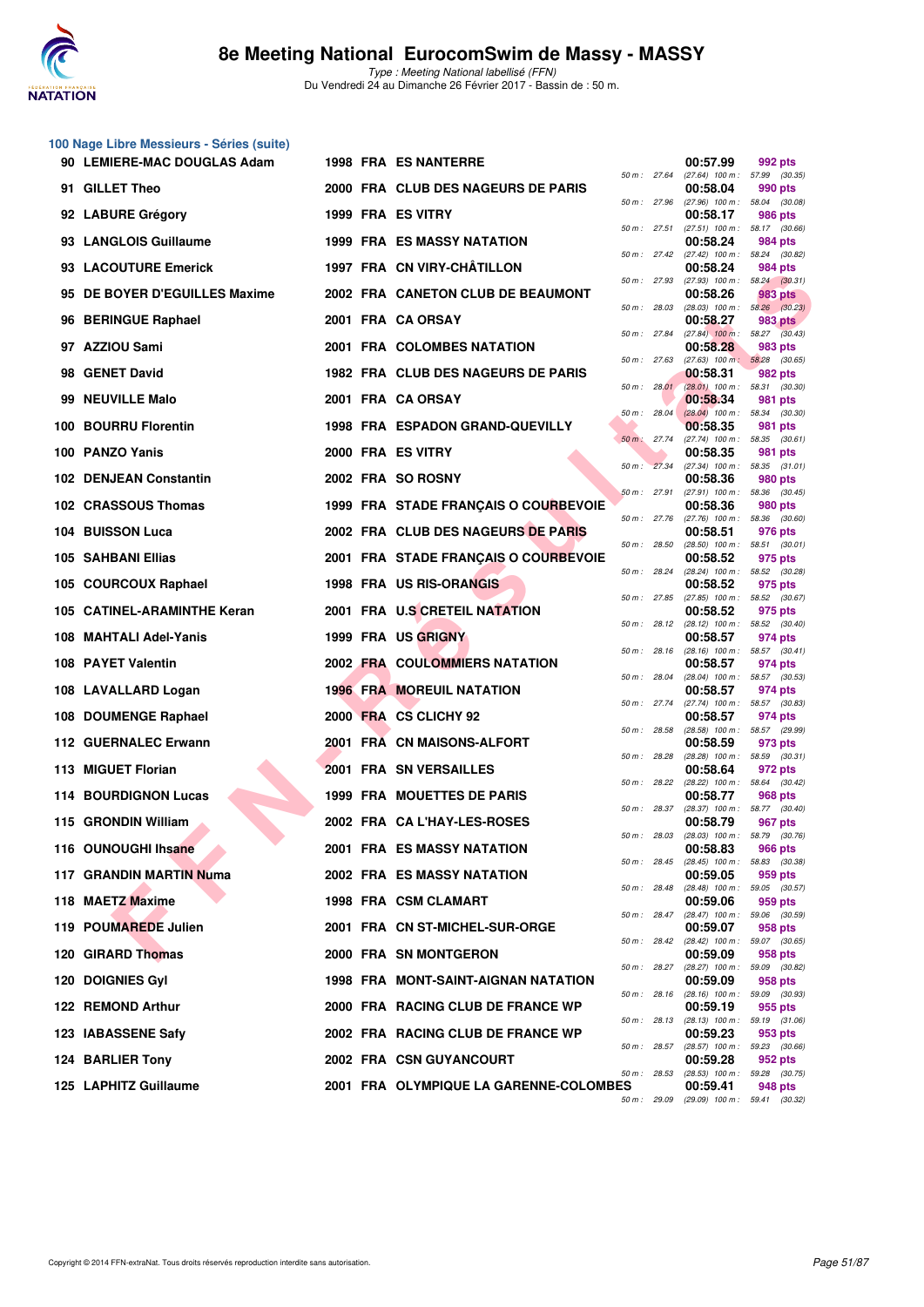

**100 Nage Libre Messieurs - Séries (suite)**

Type : Meeting National labellisé (FFN) Du Vendredi 24 au Dimanche 26 Février 2017 - Bassin de : 50 m.

| 90 LEMIERE-MAC DOUGLAS Adam   |  | <b>1998 FRA ES NANTERRE</b>                |                |                              | 00:57.99                                                                                  | 992 pts                                      |
|-------------------------------|--|--------------------------------------------|----------------|------------------------------|-------------------------------------------------------------------------------------------|----------------------------------------------|
| 91 GILLET Theo                |  | 2000 FRA CLUB DES NAGEURS DE PARIS         |                | 50 m : 27.64                 | $(27.64)$ 100 m : 57.99 $(30.35)$<br>00:58.04                                             | 990 pts                                      |
| 92 LABURE Grégory             |  | 1999 FRA ES VITRY                          |                | 50 m : 27.96<br>50 m: 27.51  | $(27.96)$ 100 m : 58.04 $(30.08)$<br>00:58.17                                             | 986 pts                                      |
| 93 LANGLOIS Guillaume         |  | <b>1999 FRA ES MASSY NATATION</b>          |                |                              | $(27.51)$ 100 m : 58.17 $(30.66)$<br>00:58.24                                             | 984 pts                                      |
| 93 LACOUTURE Emerick          |  | 1997 FRA CN VIRY-CHÂTILLON                 |                | 50 m : 27.42                 | $(27.42)$ 100 m : 58.24 $(30.82)$<br>00:58.24                                             | 984 pts                                      |
| 95 DE BOYER D'EGUILLES Maxime |  | 2002 FRA CANETON CLUB DE BEAUMONT          |                | 50 m : 27.93                 | $(27.93)$ 100 m : 58.24 $(30.31)$<br>00:58.26                                             | 983 pts                                      |
| 96 BERINGUE Raphael           |  | 2001 FRA CA ORSAY                          | 50 m: 28.03    |                              | 00:58.27                                                                                  | $(28.03)$ 100 m : 58.26 $(30.23)$<br>983 pts |
| 97 AZZIOU Sami                |  | 2001 FRA COLOMBES NATATION                 |                | 50 m : 27.84                 | $(27.84)$ 100 m : 58.27 $(30.43)$<br>00:58.28                                             | 983 pts                                      |
| 98 GENET David                |  | 1982 FRA CLUB DES NAGEURS DE PARIS         | 50 m: 27.63    |                              | $(27.63)$ 100 m; 58.28 $(30.65)$<br>00:58.31                                              | 982 pts                                      |
| 99 NEUVILLE Malo              |  | 2001 FRA CA ORSAY                          |                | 50 m: 28.01                  | $(28.01)$ 100 m : 58.31 $(30.30)$<br>00:58.34                                             | 981 pts                                      |
| 100 BOURRU Florentin          |  | 1998 FRA ESPADON GRAND-QUEVILLY            | 50 m: 28.04    |                              | $(28.04)$ 100 m : 58.34 $(30.30)$<br>00:58.35                                             | 981 pts                                      |
| 100 PANZO Yanis               |  | 2000 FRA ES VITRY                          | $50 m$ : 27.74 |                              | (27.74) 100 m: 58.35 (30.61)<br>00:58.35                                                  | 981 pts                                      |
| 102 DENJEAN Constantin        |  | 2002 FRA SO ROSNY                          | 50 m: 27.34    |                              | $(27.34)$ 100 m : 58.35 $(31.01)$<br>00:58.36                                             | 980 pts                                      |
| 102 CRASSOUS Thomas           |  | 1999 FRA STADE FRANÇAIS O COURBEVOIE       | 50 m: 27.91    |                              | $(27.91)$ 100 m : 58.36 $(30.45)$<br>00:58.36                                             | 980 pts                                      |
| 104 BUISSON Luca              |  | 2002 FRA CLUB DES NAGEURS DE PARIS         |                | 50 m : 27.76                 | $(27.76)$ 100 m : 58.36 $(30.60)$<br>00:58.51                                             | 976 pts                                      |
| 105 SAHBANI Ellias            |  | 2001 FRA STADE FRANÇAIS O COURBEVOIE       | 50 m: 28.50    |                              | $(28.50)$ 100 m : 58.51 $(30.01)$<br>00:58.52                                             | 975 pts                                      |
| 105 COURCOUX Raphael          |  | 1998 FRA US RIS-ORANGIS                    |                | 50 m : 28.24                 | (28.24) 100 m: 58.52 (30.28)<br>00:58.52                                                  | 975 pts                                      |
| 105 CATINEL-ARAMINTHE Keran   |  | 2001 FRA U.S CRETEIL NATATION              | 50 m: 27.85    |                              | $(27.85)$ 100 m : 58.52 $(30.67)$<br>00:58.52                                             | 975 pts                                      |
| 108 MAHTALI Adel-Yanis        |  | 1999 FRA US GRIGNY                         |                | 50 m: 28.12<br>50 m: 28.16   | (28.12) 100 m: 58.52 (30.40)<br>00:58.57                                                  | 974 pts                                      |
| 108 PAYET Valentin            |  | <b>2002 FRA COULOMMIERS NATATION</b>       |                |                              | $(28.16)$ 100 m : 58.57 $(30.41)$<br>00:58.57                                             | 974 pts                                      |
| 108 LAVALLARD Logan           |  | <b>1996 FRA MOREUIL NATATION</b>           |                | 50 m : 28.04<br>50 m : 27.74 | $(28.04)$ 100 m : 58.57 $(30.53)$<br>00:58.57                                             | 974 pts                                      |
| 108 DOUMENGE Raphael          |  | 2000 FRA CS CLICHY 92                      | 50 m : 28.58   |                              | $(27.74)$ 100 m : 58.57 (30.83)<br>00:58.57                                               | 974 pts                                      |
| 112 GUERNALEC Erwann          |  | 2001 FRA CN MAISONS-ALFORT                 | 50 m: 28.28    |                              | (28.58) 100 m : 58.57 (29.99)<br>00:58.59                                                 | 973 pts                                      |
| 113 MIGUET Florian            |  | 2001 FRA SN VERSAILLES                     |                | 50 m : 28.22                 | $(28.28)$ 100 m : 58.59 $(30.31)$<br>00:58.64<br>$(28.22)$ 100 m : 58.64 $(30.42)$        | 972 pts                                      |
| 114 BOURDIGNON Lucas          |  | <b>1999 FRA MOUETTES DE PARIS</b>          |                | 50 m : 28.37                 | 00:58.77<br>$(28.37)$ 100 m : 58.77 $(30.40)$                                             | 968 pts                                      |
| 115 GRONDIN William           |  | 2002 FRA CA L'HAY-LES-ROSES                |                |                              | 00:58.79                                                                                  | 967 pts                                      |
| 116 OUNOUGHI Ihsane           |  | 2001 FRA ES MASSY NATATION                 | 50 m: 28.03    |                              | $(28.03)$ 100 m : 58.79 $(30.76)$<br>00:58.83                                             | <b>966 pts</b>                               |
| 117 GRANDIN MARTIN Numa       |  | 2002 FRA ES MASSY NATATION                 |                |                              | 50 m: 28.45 (28.45) 100 m: 58.83 (30.38)<br>00:59.05                                      | 959 pts                                      |
| 118 MAETZ Maxime              |  | 1998 FRA CSM CLAMART                       |                | 50 m : 28.48                 | $(28.48)$ 100 m : 59.05 $(30.57)$<br>00:59.06                                             | 959 pts                                      |
| 119 POUMAREDE Julien          |  | 2001 FRA CN ST-MICHEL-SUR-ORGE             |                | 50 m : 28.47<br>50 m : 28.42 | $(28.47)$ 100 m : 59.06 $(30.59)$<br>00:59.07                                             | 958 pts                                      |
| 120 GIRARD Thomas             |  | 2000 FRA SN MONTGERON                      |                |                              | $(28.42)$ 100 m : 59.07 $(30.65)$<br>00:59.09                                             | 958 pts                                      |
| <b>120 DOIGNIES Gyl</b>       |  | <b>1998 FRA MONT-SAINT-AIGNAN NATATION</b> |                | 50 m : 28.27                 | (28.27) 100 m : 59.09 (30.82)<br>00:59.09                                                 | 958 pts                                      |
| 122 REMOND Arthur             |  | 2000 FRA RACING CLUB DE FRANCE WP          |                | 50 m : 28.16                 | $(28.16)$ 100 m : 59.09 $(30.93)$<br>00:59.19                                             | 955 pts                                      |
| 123 IABASSENE Safy            |  | 2002 FRA RACING CLUB DE FRANCE WP          |                |                              | 50 m : 28.13 (28.13) 100 m : 59.19 (31.06)<br>00:59.23                                    | 953 pts                                      |
| 124 BARLIER Tony              |  | <b>2002 FRA CSN GUYANCOURT</b>             |                | 50 m : 28.57                 | (28.57) 100 m : 59.23 (30.66)<br>00:59.28                                                 | 952 pts                                      |
| 125 LAPHITZ Guillaume         |  | 2001 FRA OLYMPIQUE LA GARENNE-COLOMBES     |                | 50 m : 28.53                 | $(28.53)$ 100 m : 59.28 $(30.75)$<br>00:59.41<br>50 m; 29.09 (29.09) 100 m; 59.41 (30.32) | 948 pts                                      |
|                               |  |                                            |                |                              |                                                                                           |                                              |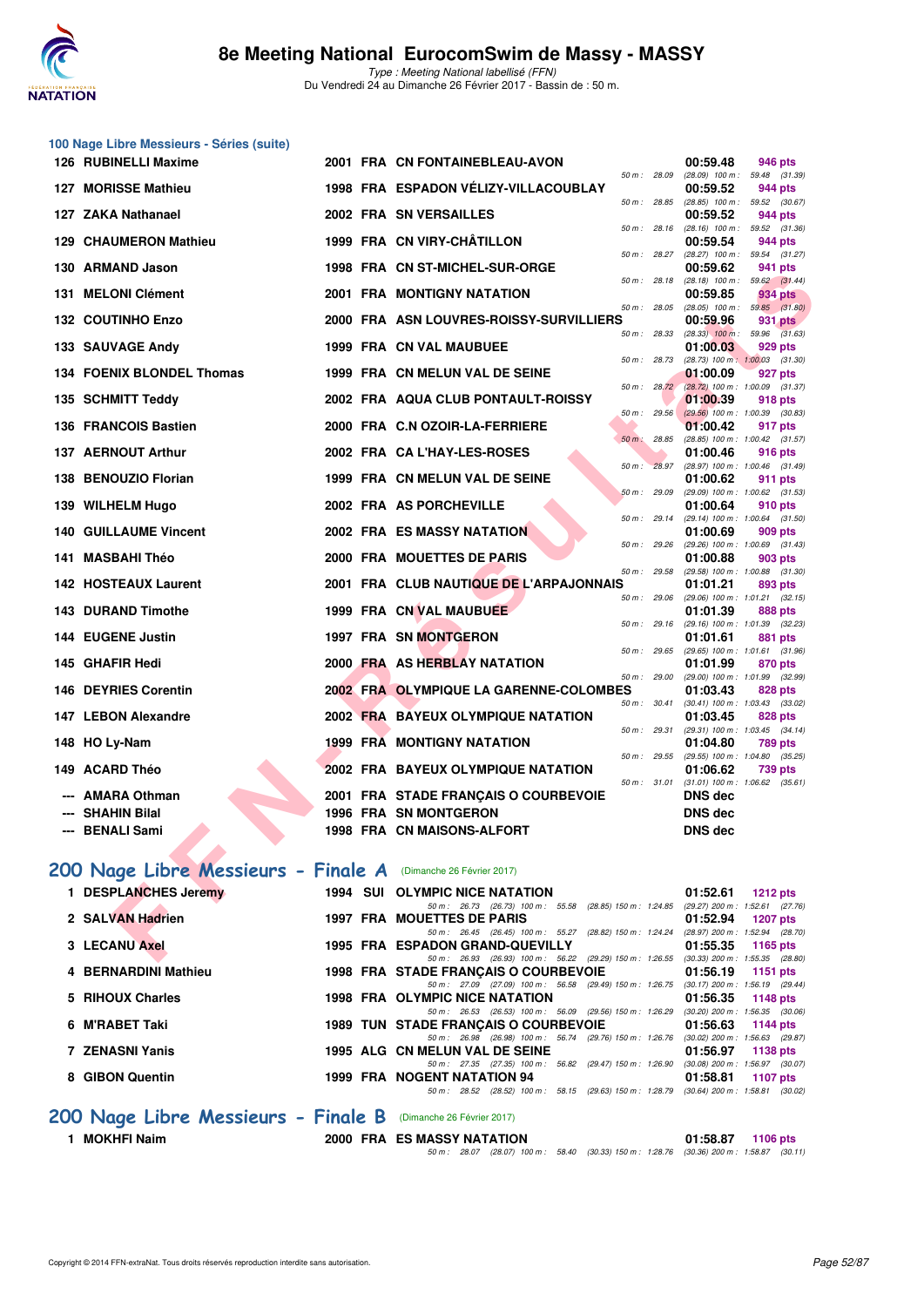

| 100 Nage Libre Messieurs - Séries (suite)                      |  |                                                                                                                           |       |                                                            |
|----------------------------------------------------------------|--|---------------------------------------------------------------------------------------------------------------------------|-------|------------------------------------------------------------|
| 126 RUBINELLI Maxime                                           |  | 2001 FRA CN FONTAINEBLEAU-AVON<br>50 m: 28.09                                                                             |       | 00:59.48<br>946 pts<br>(28.09) 100 m: 59.48 (31.39)        |
| 127 MORISSE Mathieu                                            |  | 1998 FRA ESPADON VÉLIZY-VILLACOUBLAY<br>50 m : 28.85                                                                      |       | 00:59.52<br>944 pts<br>(28.85) 100 m: 59.52 (30.67)        |
| 127 ZAKA Nathanael                                             |  | 2002 FRA SN VERSAILLES                                                                                                    |       | 00:59.52<br>944 pts                                        |
| 129 CHAUMERON Mathieu                                          |  | 50 m: 28.16<br>1999 FRA CN VIRY-CHÂTILLON                                                                                 |       | (28.16) 100 m: 59.52 (31.36)<br>00:59.54<br>944 pts        |
| 130 ARMAND Jason                                               |  | 50 m: 28.27<br>1998 FRA CN ST-MICHEL-SUR-ORGE                                                                             |       | (28.27) 100 m: 59.54 (31.27)<br>00:59.62<br>941 pts        |
| 131 MELONI Clément                                             |  | 50 m: 28.18<br>2001 FRA MONTIGNY NATATION                                                                                 |       | $(28.18)$ 100 m : 59.62 $(31.44)$<br>00:59.85<br>934 pts   |
| <b>132 COUTINHO Enzo</b>                                       |  | 50 m: 28.05<br>2000 FRA ASN LOUVRES-ROISSY-SURVILLIERS                                                                    |       | $(28.05)$ 100 m : 59.85 $(31.80)$<br>00:59.96<br>931 pts   |
|                                                                |  | 50 m: 28.33                                                                                                               |       | $(28.33)$ 100 m : 59.96 $(31.63)$                          |
| 133 SAUVAGE Andy                                               |  | 1999 FRA CN VAL MAUBUEE<br>50 m : 28.73                                                                                   |       | 01:00.03<br>929 pts<br>(28.73) 100 m: 1:00.03 (31.30)      |
| 134 FOENIX BLONDEL Thomas                                      |  | 1999 FRA CN MELUN VAL DE SEINE<br>50 m: 28.72                                                                             |       | 01:00.09<br>927 pts                                        |
| 135 SCHMITT Teddy                                              |  | 2002 FRA AQUA CLUB PONTAULT-ROISSY                                                                                        |       | (28.72) 100 m : 1:00.09 (31.37)<br>01:00.39<br>918 pts     |
| 136 FRANCOIS Bastien                                           |  | 50 m: 29.56<br>2000 FRA C.N OZOIR-LA-FERRIERE                                                                             |       | $(29.56)$ 100 m : 1:00.39 $(30.83)$<br>01:00.42<br>917 pts |
| 137 AERNOUT Arthur                                             |  | $50 m$ : 28.85<br>2002 FRA CAL'HAY-LES-ROSES                                                                              |       | (28.85) 100 m: 1:00.42 (31.57)<br>01:00.46<br>916 pts      |
|                                                                |  | $50 m$ :                                                                                                                  | 28.97 | (28.97) 100 m: 1:00.46 (31.49)                             |
| 138 BENOUZIO Florian                                           |  | 1999 FRA CN MELUN VAL DE SEINE<br>50 m : 29.09                                                                            |       | 01:00.62<br>911 pts<br>(29.09) 100 m: 1:00.62 (31.53)      |
| 139 WILHELM Hugo                                               |  | 2002 FRA AS PORCHEVILLE<br>50 m : 29.14                                                                                   |       | 01:00.64<br>910 pts<br>(29.14) 100 m: 1:00.64 (31.50)      |
| <b>140 GUILLAUME Vincent</b>                                   |  | <b>2002 FRA ES MASSY NATATION</b>                                                                                         |       | 01:00.69<br>909 pts                                        |
| 141 MASBAHI Théo                                               |  | 50 m: 29.26<br>2000 FRA MOUETTES DE PARIS                                                                                 |       | (29.26) 100 m: 1:00.69 (31.43)<br>01:00.88<br>903 pts      |
| <b>142 HOSTEAUX Laurent</b>                                    |  | 50 m : 29.58<br>2001 FRA CLUB NAUTIQUE DE L'ARPAJONNAIS                                                                   |       | $(29.58)$ 100 m : 1:00.88 $(31.30)$<br>01:01.21<br>893 pts |
| <b>143 DURAND Timothe</b>                                      |  | 50 m: 29.06<br>1999 FRA CN VAL MAUBUEE                                                                                    |       | $(29.06)$ 100 m : 1:01.21 $(32.15)$<br>01:01.39<br>888 pts |
|                                                                |  | 50 m: 29.16                                                                                                               |       | (29.16) 100 m: 1:01.39 (32.23)                             |
| 144 EUGENE Justin                                              |  | 1997 FRA SN MONTGERON<br>50 m: 29.65                                                                                      |       | 01:01.61<br>881 pts<br>(29.65) 100 m: 1:01.61 (31.96)      |
| 145 GHAFIR Hedi                                                |  | 2000 FRA AS HERBLAY NATATION<br>50 m: 29.00                                                                               |       | 01:01.99<br>870 pts<br>(29.00) 100 m: 1:01.99 (32.99)      |
| <b>146 DEYRIES Corentin</b>                                    |  | 2002 FRA OLYMPIQUE LA GARENNE-COLOMBES                                                                                    |       | 01:03.43<br>828 pts                                        |
| 147 LEBON Alexandre                                            |  | 50 m : 30.41<br>2002 FRA BAYEUX OLYMPIQUE NATATION                                                                        |       | $(30.41)$ 100 m : 1:03.43 $(33.02)$<br>01:03.45<br>828 pts |
| 148 HO Ly-Nam                                                  |  | 50 m: 29.31<br>1999 FRA MONTIGNY NATATION                                                                                 |       | (29.31) 100 m: 1:03.45 (34.14)<br>01:04.80<br>789 pts      |
|                                                                |  | 50 m: 29.55                                                                                                               |       | (29.55) 100 m: 1:04.80 (35.25)                             |
| 149 ACARD Théo                                                 |  | 2002 FRA BAYEUX OLYMPIQUE NATATION<br>50 m : 31.01                                                                        |       | 01:06.62<br>739 pts<br>$(31.01)$ 100 m : 1:06.62 $(35.61)$ |
| <b>AMARA Othman</b>                                            |  | 2001 FRA STADE FRANÇAIS O COURBEVOIE                                                                                      |       | <b>DNS</b> dec                                             |
| <b>SHAHIN Bilal</b><br><b>BENALI Sami</b>                      |  | <b>1996 FRA SN MONTGERON</b><br>1998 FRA CN MAISONS-ALFORT                                                                |       | DNS dec<br><b>DNS</b> dec                                  |
|                                                                |  |                                                                                                                           |       |                                                            |
| 200 Nage Libre Messieurs - Finale A (Dimanche 26 Février 2017) |  |                                                                                                                           |       |                                                            |
| 1 DESPLANCHES Jeremy                                           |  | 1994 SUI OLYMPIC NICE NATATION                                                                                            |       | 01:52.61<br><b>1212 pts</b>                                |
| 2 SALVAN Hadrien                                               |  | 50 m: 26.73 (26.73) 100 m: 55.58 (28.85) 150 m: 1:24.85 (29.27) 200 m: 1:52.61 (27.76)<br>1997 FRA MOUETTES DE PARIS      |       | 01:52.94<br><b>1207 pts</b>                                |
| 3 LECANU Axel                                                  |  | 50 m: 26.45 (26.45) 100 m: 55.27 (28.82) 150 m: 1:24.24 (28.97) 200 m: 1:52.94 (28.70)<br>1995 FRA ESPADON GRAND-QUEVILLY |       | 01:55.35<br>1165 pts                                       |
|                                                                |  | 50 m: 26.93 (26.93) 100 m: 56.22 (29.29) 150 m: 1:26.55 (30.33) 200 m: 1:55.35 (28.80)                                    |       |                                                            |

|                                                                |  |                                       |                                                         |  |  | 50 m : 26.45 (26.45) 100 m : 55.27 (28.82) 150 m : 1:24.24 (28.97) 200 m : 1:52.94 (28.70 |          |            |
|----------------------------------------------------------------|--|---------------------------------------|---------------------------------------------------------|--|--|-------------------------------------------------------------------------------------------|----------|------------|
| 3 LECANU Axel                                                  |  | 1995 FRA ESPADON GRAND-QUEVILLY       |                                                         |  |  | $01:55.35$ 1165 pts                                                                       |          |            |
|                                                                |  |                                       |                                                         |  |  | 50 m: 26.93 (26.93) 100 m: 56.22 (29.29) 150 m: 1:26.55 (30.33) 200 m: 1:55.35 (28.80     |          |            |
| 4 BERNARDINI Mathieu                                           |  | 1998 FRA STADE FRANÇAIS O COURBEVOIE  |                                                         |  |  | 01:56.19                                                                                  | 1151 pts |            |
|                                                                |  |                                       |                                                         |  |  | 50 m: 27.09 (27.09) 100 m: 56.58 (29.49) 150 m: 1.26.75 (30.17) 200 m: 1.56.19 (29.44     |          |            |
| 5 RIHOUX Charles                                               |  | <b>1998 FRA OLYMPIC NICE NATATION</b> |                                                         |  |  | 01:56.35 1148 pts                                                                         |          |            |
|                                                                |  |                                       | 50 m: 26.53 (26.53) 100 m: 56.09 (29.56) 150 m: 1:26.29 |  |  | $(30.20)$ 200 m : 1:56.35 $(30.06)$                                                       |          |            |
| 6 M'RABET Taki                                                 |  | 1989 TUN STADE FRANÇAIS O COURBEVOIE  |                                                         |  |  | 01:56.63                                                                                  | 1144 pts |            |
|                                                                |  |                                       |                                                         |  |  | 50 m: 26.98 (26.98) 100 m: 56.74 (29.76) 150 m: 1:26.76 (30.02) 200 m: 1:56.63 (29.87     |          |            |
| 7 ZENASNI Yanis                                                |  | 1995 ALG CN MELUN VAL DE SEINE        |                                                         |  |  | 01:56.97                                                                                  |          | 1138 $pts$ |
|                                                                |  |                                       |                                                         |  |  | 50 m: 27.35 (27.35) 100 m: 56.82 (29.47) 150 m: 1:26.90 (30.08) 200 m: 1:56.97 (30.07     |          |            |
| 8 GIBON Quentin                                                |  | 1999 FRA NOGENT NATATION 94           |                                                         |  |  | 01:58.81                                                                                  |          | 1107 pts   |
|                                                                |  | 50 m : 28.52                          |                                                         |  |  | (28.52) 100 m: 58.15 (29.63) 150 m: 1:28.79 (30.64) 200 m: 1:58.81 (30.02                 |          |            |
| 200 Nage Libre Messieurs - Finale B (Dimanche 26 Février 2017) |  |                                       |                                                         |  |  |                                                                                           |          |            |

**1 MOKHFI Naim 2000 FRA ES MASSY NATATION 01:58.87 1106 pts** 50 m : 28.07 (28.07) 100 m : 58.40 (30.33) 150 m : 1:28.76 (30.36) 200 m : 1:58.87 (30.11)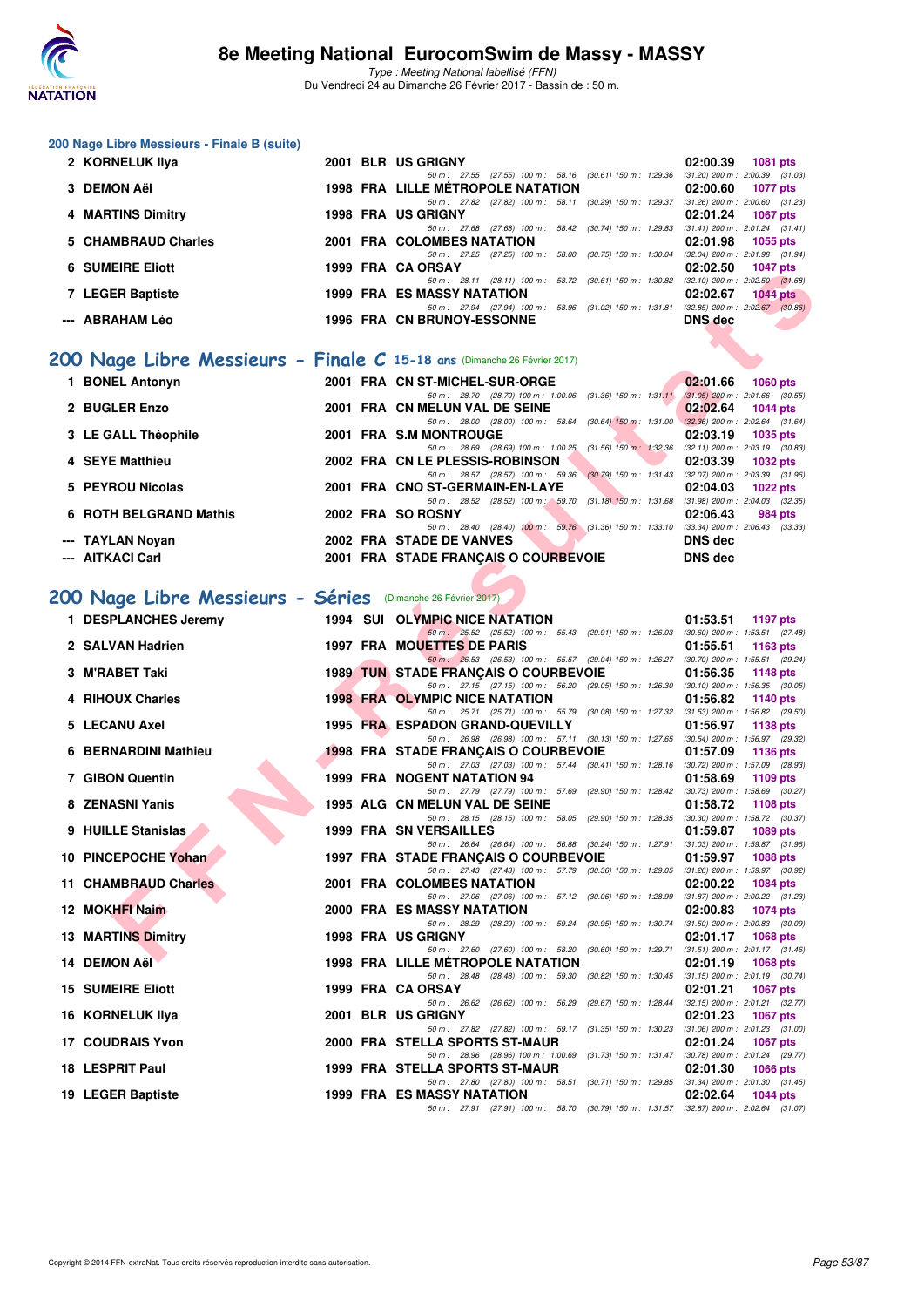

Type : Meeting National labellisé (FFN) Du Vendredi 24 au Dimanche 26 Février 2017 - Bassin de : 50 m.

#### **200 Nage Libre Messieurs - Finale B (suite)**

| 2 KORNELUK IIya         |  | 2001 BLR US GRIGNY                                                                     | 02:00.39       | <b>1081 pts</b>                       |
|-------------------------|--|----------------------------------------------------------------------------------------|----------------|---------------------------------------|
|                         |  | 50 m: 27.55 (27.55) 100 m: 58.16 (30.61) 150 m: 1:29.36 (31.20) 200 m: 2:00.39 (31.03) |                |                                       |
| 3 DEMON AëI             |  | 1998 FRA LILLE MÉTROPOLE NATATION                                                      | 02:00.60       | 1077 pts                              |
|                         |  | $(30.29)$ 150 m : 1:29.37<br>50 m: 27.82 (27.82) 100 m: 58.11                          |                | $(31.26)$ 200 m : 2:00.60 $(31.23)$   |
| 4 MARTINS Dimitry       |  | <b>1998 FRA US GRIGNY</b>                                                              | 02:01.24       | <b>1067 pts</b>                       |
|                         |  | 50 m: 27.68 (27.68) 100 m: 58.42 (30.74) 150 m: 1:29.83 (31.41) 200 m: 2:01.24 (31.41) |                |                                       |
| 5 CHAMBRAUD Charles     |  | 2001 FRA COLOMBES NATATION                                                             | 02:01.98       | 1055 pts                              |
|                         |  | (30.75) 150 m : 1:30.04<br>50 m: 27.25 (27.25) 100 m: 58.00                            |                | $(32.04)$ 200 m : 2:01.98 $(31.94)$   |
| <b>6 SUMEIRE Eliott</b> |  | 1999 FRA CA ORSAY                                                                      | 02:02.50       | <b>1047 pts</b>                       |
|                         |  | 50 m: 28.11 (28.11) 100 m: 58.72<br>(30.61) 150 m : 1:30.82                            |                | $(32.10)$ 200 m : 2:02.50 $(31.68)$   |
| 7 LEGER Baptiste        |  | <b>1999 FRA ES MASSY NATATION</b>                                                      | 02:02.67       | $1044$ pts                            |
|                         |  | 50 m: 27.94 (27.94) 100 m: 58.96 (31.02) 150 m: 1:31.81                                |                | $(32.85)$ 200 m : $2:02.67$ $(30.86)$ |
| --- ABRAHAM Léo         |  | <b>1996 FRA CN BRUNOY-ESSONNE</b>                                                      | <b>DNS</b> dec |                                       |
|                         |  |                                                                                        |                |                                       |

# **[200 Nage Libre Messieurs - Finale C](http://www.ffnatation.fr/webffn/resultats.php?idact=nat&go=epr&idcpt=42801&idepr=53) 15-18 ans** (Dimanche 26 Février 2017)

| 1 BONEL Antonyn        |  | 2001 FRA CN ST-MICHEL-SUR-ORGE                                                         |                           | 02:01.66       | $1060$ pts                          |
|------------------------|--|----------------------------------------------------------------------------------------|---------------------------|----------------|-------------------------------------|
|                        |  | 50 m: 28.70 (28.70) 100 m: 1:00.06 (31.36) 150 m: 1:31.11                              |                           |                | $(31.05)$ 200 m : 2:01.66 $(30.55)$ |
| 2 BUGLER Enzo          |  | 2001 FRA CN MELUN VAL DE SEINE                                                         |                           | 02:02.64       | 1044 pts                            |
|                        |  | 50 m: 28.00 (28.00) 100 m: 58.64                                                       | $(30.64)$ 150 m : 1:31.00 |                | $(32.36)$ 200 m : 2:02.64 $(31.64)$ |
| 3 LE GALL Théophile    |  | 2001 FRA S.M MONTROUGE                                                                 |                           | 02:03.19       | 1035 pts                            |
|                        |  | 50 m: 28.69 (28.69) 100 m: 1:00.25 (31.56) 150 m: 1:32.36                              |                           |                | $(32.11)$ 200 m : 2:03.19 $(30.83)$ |
| 4 SEYE Matthieu        |  | 2002 FRA CN LE PLESSIS-ROBINSON                                                        |                           | 02:03.39       | 1032 pts                            |
|                        |  | 50 m: 28.57 (28.57) 100 m: 59.36 (30.79) 150 m: 1:31.43                                |                           |                | $(32.07)$ 200 m : 2:03.39 $(31.96)$ |
| 5 PEYROU Nicolas       |  | 2001 FRA CNO ST-GERMAIN-EN-LAYE                                                        |                           | 02:04.03       | $1022$ pts                          |
|                        |  | 50 m : 28.52 (28.52) 100 m : 59.70                                                     | $(31.18)$ 150 m : 1:31.68 |                | $(31.98)$ 200 m : 2:04.03 $(32.35)$ |
| 6 ROTH BELGRAND Mathis |  | 2002 FRA SO ROSNY                                                                      |                           | 02:06.43       | 984 pts                             |
|                        |  | 50 m: 28.40 (28.40) 100 m: 59.76 (31.36) 150 m: 1:33.10 (33.34) 200 m: 2:06.43 (33.33) |                           |                |                                     |
| --- TAYLAN Novan       |  | 2002 FRA STADE DE VANVES                                                               |                           | <b>DNS</b> dec |                                     |
| --- AITKACI Carl       |  | 2001 FRA STADE FRANCAIS O COURBEVOIE                                                   |                           | <b>DNS</b> dec |                                     |

# **[200 Nage Libre Messieurs - Séries](http://www.ffnatation.fr/webffn/resultats.php?idact=nat&go=epr&idcpt=42801&idepr=53)** (Dimanche 26 Février 2017)

| <b>JUMEINE EIIUM</b>                                                    |  | 1999 FRA UN URSAI                                                                                                               | <u>02.02.JU</u><br>בוע ודיטו |
|-------------------------------------------------------------------------|--|---------------------------------------------------------------------------------------------------------------------------------|------------------------------|
| 7 LEGER Baptiste                                                        |  | 50 m: 28.11 (28.11) 100 m: 58.72 (30.61) 150 m: 1:30.82 (32.10) 200 m: 2:02.50 (31.68)<br><b>1999 FRA ES MASSY NATATION</b>     | 02:02.67<br>1044 $pts$       |
| ---   ABRAHAM Léo                                                       |  | 50 m: 27.94 (27.94) 100 m: 58.96 (31.02) 150 m: 1.31.81 (32.85) 200 m: 2.02.67 (30.86)<br><b>1996 FRA CN BRUNOY-ESSONNE</b>     | <b>DNS</b> dec               |
|                                                                         |  |                                                                                                                                 |                              |
| 00 Nage Libre Messieurs - Finale C 15-18 ans (Dimanche 26 Février 2017) |  |                                                                                                                                 |                              |
|                                                                         |  |                                                                                                                                 |                              |
| 1 BONEL Antonyn                                                         |  | 2001 FRA CN ST-MICHEL-SUR-ORGE<br>50 m: 28.70 (28.70) 100 m: 1:00.06 (31.36) 150 m: 1:31.11 (31.05) 200 m: 2:01.66 (30.55)      | 02:01.66<br><b>1060 pts</b>  |
| 2 BUGLER Enzo                                                           |  | 2001 FRA CN MELUN VAL DE SEINE                                                                                                  | 02:02.64<br><b>1044 pts</b>  |
| 3 LE GALL Théophile                                                     |  | 50 m: 28.00 (28.00) 100 m: 58.64 (30.64) 150 m: 1.31.00 (32.36) 200 m: 2.02.64 (31.64)<br>2001 FRA S.M MONTROUGE                | 02:03.19<br>1035 pts         |
|                                                                         |  | 50 m: 28.69 (28.69) 100 m: 1:00.25 (31.56) 150 m: 1:32.36 (32.11) 200 m: 2:03.19 (30.83)                                        |                              |
| 4 SEYE Matthieu                                                         |  | 2002 FRA CN LE PLESSIS-ROBINSON<br>50 m: 28.57 (28.57) 100 m: 59.36 (30.79) 150 m: 1.31.43 (32.07) 200 m: 2.03.39 (31.96)       | 02:03.39<br><b>1032 pts</b>  |
| 5 PEYROU Nicolas                                                        |  | 2001 FRA CNO ST-GERMAIN-EN-LAYE                                                                                                 | 02:04.03<br>1022 $pts$       |
| 6 ROTH BELGRAND Mathis                                                  |  | 50 m: 28.52 (28.52) 100 m: 59.70 (31.18) 150 m: 1:31.68 (31.98) 200 m: 2:04.03 (32.35)<br>2002 FRA SO ROSNY                     | 984 pts                      |
|                                                                         |  | 50 m: 28.40 (28.40) 100 m: 59.76 (31.36) 150 m: 1:33.10 (33.34) 200 m: 2:06.43 (33.33)                                          | 02:06.43                     |
| --- TAYLAN Noyan                                                        |  | 2002 FRA STADE DE VANVES                                                                                                        | <b>DNS</b> dec               |
| --- AITKACI Carl                                                        |  | 2001 FRA STADE FRANÇAIS O COURBEVOIE                                                                                            | <b>DNS</b> dec               |
|                                                                         |  |                                                                                                                                 |                              |
| 00 Nage Libre Messieurs - Séries (Dimanche 26 Février 2017)             |  |                                                                                                                                 |                              |
| 1 DESPLANCHES Jeremy                                                    |  | <b>1994 SUI OLYMPIC NICE NATATION</b>                                                                                           | 01:53.51<br>1197 pts         |
| 2 SALVAN Hadrien                                                        |  | 50 m: 25.52 (25.52) 100 m: 55.43 (29.91) 150 m: 1:26.03 (30.60) 200 m: 1:53.51 (27.48)<br>1997 FRA MOUETTES DE PARIS            | 01:55.51<br>1163 $pts$       |
|                                                                         |  | 50 m: 26.53 (26.53) 100 m: 55.57 (29.04) 150 m: 1:26.27 (30.70) 200 m: 1:55.51 (29.24)                                          |                              |
| 3 M'RABET Taki                                                          |  | <b>1989 TUN STADE FRANÇAIS O COURBEVOIE</b>                                                                                     | 01:56.35<br>1148 $pts$       |
| 4 RIHOUX Charles                                                        |  | 50 m: 27.15 (27.15) 100 m: 56.20 (29.05) 150 m: 1:26.30 (30.10) 200 m: 1:56.35 (30.05)<br><b>1998 FRA OLYMPIC NICE NATATION</b> | 01:56.82<br>1140 $pts$       |
|                                                                         |  | 50 m: 25.71 (25.71) 100 m: 55.79 (30.08) 150 m: 1:27.32 (31.53) 200 m: 1:56.82 (29.50)                                          |                              |
| 5 LECANU Axel                                                           |  | 1995 FRA ESPADON GRAND-QUEVILLY<br>50 m: 26.98 (26.98) 100 m: 57.11 (30.13) 150 m: 1:27.65 (30.54) 200 m: 1:56.97 (29.32)       | 01:56.97<br>1138 pts         |
| 6 BERNARDINI Mathieu                                                    |  | <b>1998 FRA STADE FRANÇAIS O COURBEVOIE</b>                                                                                     | 01:57.09<br>1136 pts         |
|                                                                         |  | 50 m: 27.03 (27.03) 100 m: 57.44 (30.41) 150 m: 1:28.16 (30.72) 200 m: 1:57.09 (28.93)                                          |                              |
| 7 GIBON Quentin                                                         |  | 1999 FRA NOGENT NATATION 94<br>50 m: 27.79 (27.79) 100 m: 57.69 (29.90) 150 m: 1:28.42 (30.73) 200 m: 1:58.69 (30.27)           | 01:58.69<br>1109 $pts$       |
| 8 ZENASNI Yanis                                                         |  | 1995 ALG CN MELUN VAL DE SEINE                                                                                                  | 01:58.72<br>1108 $pts$       |
| 9 HUILLE Stanislas                                                      |  | 50 m: 28.15 (28.15) 100 m: 58.05 (29.90) 150 m: 1:28.35 (30.30) 200 m: 1:58.72 (30.37)<br>1999 FRA SN VERSAILLES                | 01:59.87<br>1089 pts         |
|                                                                         |  | 50 m: 26.64 (26.64) 100 m: 56.88 (30.24) 150 m: 1:27.91 (31.03) 200 m: 1:59.87 (31.96)                                          |                              |
| 10 PINCEPOCHE Yohan                                                     |  | 1997 FRA STADE FRANÇAIS O COURBEVOIE<br>50 m: 27.43 (27.43) 100 m: 57.79 (30.36) 150 m: 1:29.05 (31.26) 200 m: 1:59.97 (30.92)  | 01:59.97<br><b>1088 pts</b>  |
| 11 CHAMBRAUD Charles                                                    |  | 2001 FRA COLOMBES NATATION                                                                                                      | 02:00.22<br>1084 pts         |
|                                                                         |  | 50 m: 27.06 (27.06) 100 m: 57.12 (30.06) 150 m: 1.28.99 (31.87) 200 m: 2:00.22 (31.23)                                          |                              |
| 12 MOKHFI Naim                                                          |  | 2000 FRA ES MASSY NATATION<br>50 m: 28.29 (28.29) 100 m: 59.24 (30.95) 150 m: 1:30.74 (31.50) 200 m: 2:00.83 (30.09)            | 02:00.83<br>1074 pts         |
| <b>13 MARTINS Dimitry</b>                                               |  | 1998 FRA US GRIGNY                                                                                                              | 02:01.17<br>1068 pts         |
| 14 DEMON AëI`                                                           |  | 50 m: 27.60 (27.60) 100 m: 58.20 (30.60) 150 m: 1:29.71 (31.51) 200 m: 2:01.17 (31.46)<br>1998 FRA LILLE MÉTROPOLE NATATION     | 02:01.19<br>1068 pts         |
|                                                                         |  | 50 m: 28.48 (28.48) 100 m: 59.30 (30.82) 150 m: 1:30.45 (31.15) 200 m: 2:01.19 (30.74)                                          |                              |
| <b>15 SUMEIRE Eliott</b>                                                |  | 1999 FRA CA ORSAY<br>50 m: 26.62 (26.62) 100 m: 56.29 (29.67) 150 m: 1:28.44 (32.15) 200 m: 2:01.21 (32.77)                     | 02:01.21<br><b>1067 pts</b>  |
| 16 KORNELUK Ilya                                                        |  | 2001 BLR US GRIGNY                                                                                                              | 02:01.23<br>1067 pts         |
|                                                                         |  | 50 m: 27.82 (27.82) 100 m: 59.17 (31.35) 150 m: 1:30.23 (31.06) 200 m: 2:01.23 (31.00)                                          |                              |
| 17 COUDRAIS Yvon                                                        |  | 2000 FRA STELLA SPORTS ST-MAUR<br>50 m: 28.96 (28.96) 100 m: 1:00.69 (31.73) 150 m: 1:31.47 (30.78) 200 m: 2:01.24 (29.77)      | 02:01.24<br>1067 pts         |
| 18 LESPRIT Paul                                                         |  | 1999 FRA STELLA SPORTS ST-MAUR                                                                                                  | 02:01.30<br>1066 pts         |
| 19 LEGER Baptiste                                                       |  | 50 m: 27.80 (27.80) 100 m: 58.51 (30.71) 150 m: 1:29.85 (31.34) 200 m: 2:01.30 (31.45)<br>1999 FRA ES MASSY NATATION            | 02:02.64<br><b>1044 pts</b>  |
|                                                                         |  | 50 m: 27.91 (27.91) 100 m: 58.70 (30.79) 150 m: 1.31.57 (32.87) 200 m: 2:02.64 (31.07)                                          |                              |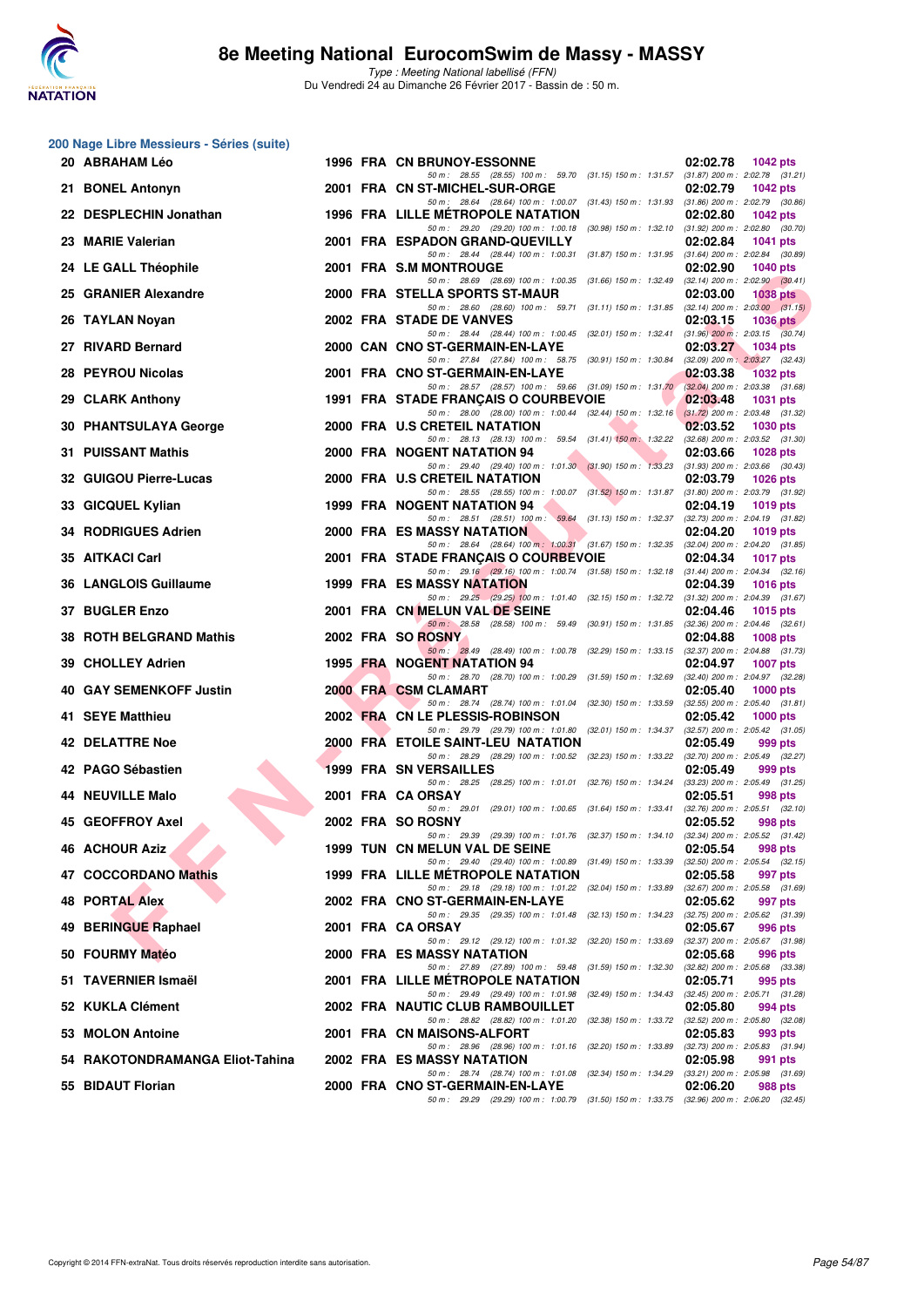

|     | 200 Nage Libre Messieurs - Séries (suite) |  |                                                                                                                                                                                                                      |                                                                    |
|-----|-------------------------------------------|--|----------------------------------------------------------------------------------------------------------------------------------------------------------------------------------------------------------------------|--------------------------------------------------------------------|
|     | 20 ABRAHAM Léo                            |  | 1996 FRA CN BRUNOY-ESSONNE<br>50 m: 28.55 (28.55) 100 m: 59.70 (31.15) 150 m: 1.31.57 (31.87) 200 m: 2:02.78 (31.21)                                                                                                 | 02:02.78<br><b>1042 pts</b>                                        |
|     | 21 BONEL Antonyn                          |  | 2001 FRA CN ST-MICHEL-SUR-ORGE<br>50 m: 28.64 (28.64) 100 m: 1:00.07 (31.43) 150 m: 1:31.93 (31.86) 200 m: 2:02.79 (30.86)                                                                                           | 02:02.79<br><b>1042 pts</b>                                        |
|     | 22 DESPLECHIN Jonathan                    |  | <b>1996 FRA LILLE METROPOLE NATATION</b><br>50 m: 29.20 (29.20) 100 m: 1:00.18 (30.98) 150 m: 1:32.10 (31.92) 200 m: 2:02.80 (30.70)                                                                                 | 02:02.80<br><b>1042 pts</b>                                        |
|     | 23 MARIE Valerian                         |  | 2001 FRA ESPADON GRAND-QUEVILLY                                                                                                                                                                                      | 02:02.84<br>1041 pts                                               |
|     | 24 LE GALL Théophile                      |  | 50 m: 28.44 (28.44) 100 m: 1:00.31 (31.87) 150 m: 1:31.95 (31.64) 200 m: 2:02.84 (30.89)<br>2001 FRA S.M MONTROUGE                                                                                                   | 02:02.90<br><b>1040 pts</b>                                        |
|     | 25 GRANIER Alexandre                      |  | 50 m: 28.69 (28.69) 100 m: 1:00.35 (31.66) 150 m: 1:32.49 (32.14) 200 m: 2:02.90 (30.41)<br>2000 FRA STELLA SPORTS ST-MAUR<br>50 m: 28.60 (28.60) 100 m: 59.71 (31.11) 150 m: 1:31.85 (32.14) 200 m: 2:03.00 (31.15) | 02:03.00<br><b>1038 pts</b>                                        |
|     | 26 TAYLAN Noyan                           |  | 2002 FRA STADE DE VANVES<br>50 m: 28.44 (28.44) 100 m: 1:00.45 (32.01) 150 m: 1:32.41 (31.96) 200 m: 2:03.15 (30.74)                                                                                                 | 02:03.15<br>1036 pts                                               |
|     | 27 RIVARD Bernard                         |  | 2000 CAN CNO ST-GERMAIN-EN-LAYE<br>50 m: 27.84 (27.84) 100 m: 58.75 (30.91) 150 m: 1:30.84 (32.09) 200 m: 2:03.27 (32.43)                                                                                            | 02:03.27<br><b>1034 pts</b>                                        |
|     | 28 PEYROU Nicolas                         |  | 2001 FRA CNO ST-GERMAIN-EN-LAYE<br>50 m: 28.57 (28.57) 100 m: 59.66 (31.09) 150 m: 1:31.70                                                                                                                           | 02:03.38<br><b>1032 pts</b><br>$(32.04)$ 200 m : 2:03.38 $(31.68)$ |
|     | 29 CLARK Anthony                          |  | 1991 FRA STADE FRANÇAIS O COURBEVOIE<br>50 m: 28.00 (28.00) 100 m: 1:00.44 (32.44) 150 m: 1:32.16                                                                                                                    | 02:03.48<br><b>1031 pts</b><br>$(31.72)$ 200 m : 2:03.48 $(31.32)$ |
|     | 30 PHANTSULAYA George                     |  | 2000 FRA U.S CRETEIL NATATION<br>50 m : 28.13 (28.13) 100 m : 59.54 (31.41) 150 m : 1:32.22                                                                                                                          | 02:03.52<br>1030 pts<br>$(32.68)$ 200 m : 2:03.52 $(31.30)$        |
|     | <b>31 PUISSANT Mathis</b>                 |  | 2000 FRA NOGENT NATATION 94<br>50 m: 29.40 (29.40) 100 m: 1:01.30 (31.90) 150 m: 1:33.23 (31.93) 200 m: 2:03.66 (30.43)                                                                                              | 02:03.66<br>1028 pts                                               |
|     | 32 GUIGOU Pierre-Lucas                    |  | 2000 FRA U.S CRETEIL NATATION<br>50 m: 28.55 (28.55) 100 m: 1:00.07 (31.52) 150 m: 1:31.87 (31.80) 200 m: 2:03.79 (31.92)                                                                                            | 02:03.79<br>1026 pts                                               |
|     | 33 GICQUEL Kylian                         |  | 1999 FRA NOGENT NATATION 94<br>50 m: 28.51 (28.51) 100 m: 59.64 (31.13) 150 m: 1:32.37 (32.73) 200 m: 2:04.19 (31.82)                                                                                                | 02:04.19<br>1019 pts                                               |
|     | 34 RODRIGUES Adrien                       |  | <b>2000 FRA ES MASSY NATATION</b><br>50 m: 28.64 (28.64) 100 m: 1:00.31 (31.67) 150 m: 1:32.35 (32.04) 200 m: 2:04.20 (31.85)                                                                                        | 02:04.20<br><b>1019 pts</b>                                        |
|     | 35 AITKACI Carl                           |  | 2001 FRA STADE FRANÇAIS O COURBEVOIE<br>50 m: 29.16 (29.16) 100 m: 1:00.74 (31.58) 150 m: 1:32.18 (31.44) 200 m: 2:04.34 (32.16)                                                                                     | 02:04.34<br>1017 pts                                               |
|     | 36 LANGLOIS Guillaume                     |  | <b>1999 FRA ES MASSY NATATION</b><br>50 m: 29.25 (29.25) 100 m: 1:01.40 (32.15) 150 m: 1:32.72 (31.32) 200 m: 2:04.39 (31.67)                                                                                        | 02:04.39<br><b>1016 pts</b>                                        |
|     | 37 BUGLER Enzo                            |  | 2001 FRA CN MELUN VAL DE SEINE<br>50 m: 28.58 (28.58) 100 m: 59.49 (30.91) 150 m: 1:31.85 (32.36) 200 m: 2:04.46 (32.61)                                                                                             | 02:04.46<br>1015 pts                                               |
| 38. | <b>ROTH BELGRAND Mathis</b>               |  | 2002 FRA SO ROSNY<br>50 m: 28.49 (28.49) 100 m: 1:00.78 (32.29) 150 m: 1:33.15 (32.37) 200 m: 2:04.88 (31.73)                                                                                                        | 02:04.88<br><b>1008 pts</b>                                        |
|     | 39 CHOLLEY Adrien                         |  | 1995 FRA NOGENT NATATION 94<br>50 m : 28.70 (28.70) 100 m : 1:00.29 (31.59) 150 m : 1:32.69                                                                                                                          | 02:04.97<br><b>1007 pts</b><br>(32.40) 200 m : 2:04.97 (32.28)     |
|     | 40 GAY SEMENKOFF Justin                   |  | 2000 FRA CSM CLAMART<br>50 m : 28.74 (28.74) 100 m : 1:01.04 (32.30) 150 m : 1:33.59                                                                                                                                 | 02:05.40<br>$1000$ pts<br>$(32.55)$ 200 m : 2:05.40 $(31.81)$      |
|     | 41 SEYE Matthieu                          |  | 2002 FRA CN LE PLESSIS-ROBINSON<br>50 m: 29.79 (29.79) 100 m: 1:01.80 (32.01) 150 m: 1:34.37                                                                                                                         | 02:05.42<br>1000 pts<br>(32.57) 200 m : 2:05.42 (31.05)            |
|     | 42 DELATTRE Noe                           |  | 2000 FRA ETOILE SAINT-LEU NATATION<br>50 m: 28.29 (28.29) 100 m: 1:00.52 (32.23) 150 m: 1:33.22 (32.70) 200 m: 2:05.49 (32.27)                                                                                       | 02:05.49<br>999 pts                                                |
|     | 42 PAGO Sébastien                         |  | <b>1999 FRA SN VERSAILLES</b><br>50 m: 28.25 (28.25) 100 m: 1:01.01 (32.76) 150 m: 1:34.24 (33.23) 200 m: 2:05.49 (31.25)                                                                                            | 02:05.49<br>999 pts                                                |
|     | <b>44 NEUVILLE Malo</b>                   |  | 2001 FRA CA ORSAY<br>50 m: 29.01 (29.01) 100 m: 1:00.65 (31.64) 150 m: 1:33.41                                                                                                                                       | 02:05.51<br>998 pts<br>$(32.76)$ 200 m : 2:05.51 $(32.10)$         |
|     | 45 GEOFFROY Axel                          |  | 2002 FRA SO ROSNY<br>50 m : 29.39 (29.39) 100 m : 1:01.76 (32.37) 150 m : 1:34.10 (32.34) 200 m : 2:05.52 (31.42)                                                                                                    | 02:05.52<br>998 pts                                                |
|     | 46 ACHOUR Aziz                            |  | <b>1999 TUN CN MELUN VAL DE SEINE</b><br>50 m: 29.40 (29.40) 100 m: 1:00.89 (31.49) 150 m: 1:33.39 (32.50) 200 m: 2:05.54 (32.15)                                                                                    | 02:05.54<br>998 pts                                                |
|     | 47 COCCORDANO Mathis                      |  | 1999 FRA LILLE METROPOLE NATATION<br>50 m : 29.18 (29.18) 100 m : 1:01.22 (32.04) 150 m : 1:33.89                                                                                                                    | 02:05.58<br>997 pts<br>$(32.67)$ 200 m : 2:05.58 $(31.69)$         |
|     | <b>48 PORTAL Alex</b>                     |  | 2002 FRA CNO ST-GERMAIN-EN-LAYE<br>50 m: 29.35 (29.35) 100 m: 1:01.48 (32.13) 150 m: 1:34.23                                                                                                                         | 02:05.62<br>997 pts<br>(32.75) 200 m : 2:05.62 (31.39)             |
| 49  | <b>BERINGUE Raphael</b>                   |  | 2001 FRA CA ORSAY<br>50 m : 29.12 (29.12) 100 m : 1:01.32 (32.20) 150 m : 1:33.69                                                                                                                                    | 02:05.67<br>996 pts<br>(32.37) 200 m : 2:05.67 (31.98)             |
|     | 50 FOURMY Matéo                           |  | 2000 FRA ES MASSY NATATION<br>50 m: 27.89 (27.89) 100 m: 59.48 (31.59) 150 m: 1:32.30                                                                                                                                | 02:05.68<br>996 pts<br>$(32.82)$ 200 m : $2.05.68$ $(33.38)$       |
|     | 51 TAVERNIER Ismaël                       |  | 2001 FRA LILLE METROPOLE NATATION<br>50 m : 29.49 (29.49) 100 m : 1:01.98 (32.49) 150 m : 1:34.43 (32.45) 200 m : 2:05.71 (31.28)                                                                                    | 02:05.71<br>995 pts                                                |
|     | 52 KUKLA Clément                          |  | 2002 FRA NAUTIC CLUB RAMBOUILLET<br>50 m: 28.82 (28.82) 100 m: 1:01.20 (32.38) 150 m: 1:33.72 (32.52) 200 m: 2:05.80 (32.08)                                                                                         | 02:05.80<br>994 pts                                                |
|     | 53 MOLON Antoine                          |  | 2001 FRA CN MAISONS-ALFORT<br>50 m : 28.96 (28.96) 100 m : 1:01.16 (32.20) 150 m : 1:33.89                                                                                                                           | 02:05.83<br>993 pts<br>(32.73) 200 m : 2:05.83 (31.94)             |
|     | 54 RAKOTONDRAMANGA Eliot-Tahina           |  | 2002 FRA ES MASSY NATATION<br>50 m : 28.74 (28.74) 100 m : 1:01.08 (32.34) 150 m : 1:34.29                                                                                                                           | 02:05.98<br>991 pts<br>(33.21) 200 m : 2:05.98 (31.69)             |
|     | 55 BIDAUT Florian                         |  | 2000 FRA CNO ST-GERMAIN-EN-LAYE<br>50 m : 29.29 (29.29) 100 m : 1:00.79 (31.50) 150 m : 1:33.75 (32.96) 200 m : 2:06.20 (32.45)                                                                                      | 02:06.20<br>988 pts                                                |
|     |                                           |  |                                                                                                                                                                                                                      |                                                                    |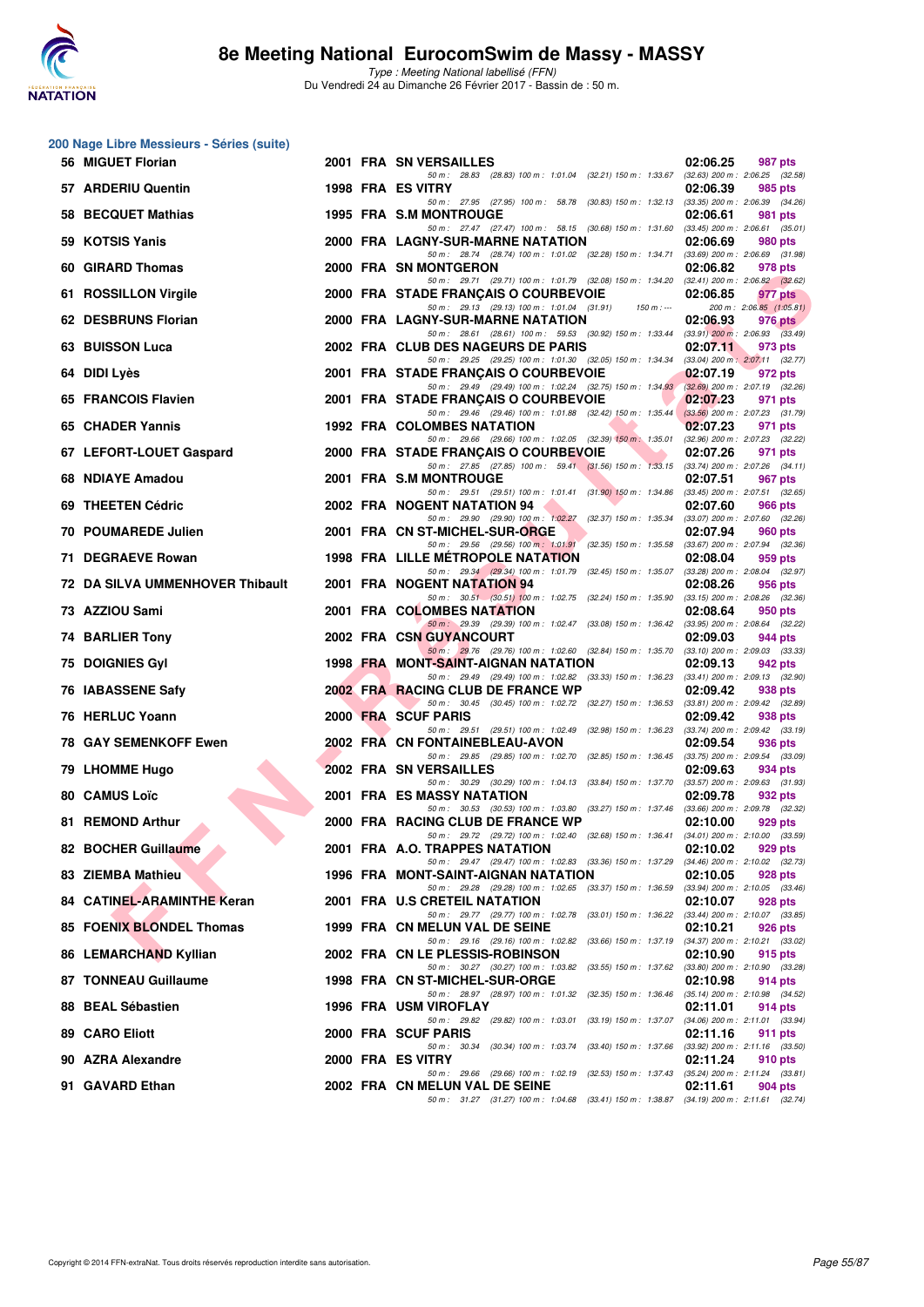

| 200 Nage Libre Messieurs - Séries (suite) |  |                                                                                                                                      |                                                               |
|-------------------------------------------|--|--------------------------------------------------------------------------------------------------------------------------------------|---------------------------------------------------------------|
| 56 MIGUET Florian                         |  | 2001 FRA SN VERSAILLES<br>50 m: 28.83 (28.83) 100 m: 1:01.04 (32.21) 150 m: 1:33.67 (32.63) 200 m: 2:06.25 (32.58)                   | 02:06.25<br>987 pts                                           |
| 57 ARDERIU Quentin                        |  | 1998 FRA ES VITRY                                                                                                                    | 02:06.39<br>985 pts                                           |
| 58 BECQUET Mathias                        |  | 50 m: 27.95 (27.95) 100 m: 58.78 (30.83) 150 m: 1:32.13 (33.35) 200 m: 2:06.39 (34.26)<br><b>1995 FRA S.M MONTROUGE</b>              | 02:06.61<br>981 pts                                           |
| 59 KOTSIS Yanis                           |  | 50 m: 27.47 (27.47) 100 m: 58.15 (30.68) 150 m: 1:31.60<br>2000 FRA LAGNY-SUR-MARNE NATATION                                         | $(33.45)$ 200 m : 2:06.61 $(35.01)$<br>02:06.69<br>980 pts    |
| 60 GIRARD Thomas                          |  | 50 m: 28.74 (28.74) 100 m: 1:01.02 (32.28) 150 m: 1:34.71<br>2000 FRA SN MONTGERON                                                   | $(33.69)$ 200 m : 2:06.69 $(31.98)$<br>02:06.82<br>978 pts    |
| 61 ROSSILLON Virgile                      |  | 50 m: 29.71 (29.71) 100 m: 1:01.79 (32.08) 150 m: 1:34.20 (32.41) 200 m: 2:06.82 (32.62)<br>2000 FRA STADE FRANCAIS O COURBEVOIE     | 02:06.85<br>977 pts                                           |
| 62 DESBRUNS Florian                       |  | 50 m: 29.13 (29.13) 100 m: 1:01.04 (31.91)<br>$150 m : -$<br>2000 FRA LAGNY-SUR-MARNE NATATION                                       | 200 m: 2:06.85 (1:05.81)<br>02:06.93<br>976 pts               |
| 63 BUISSON Luca                           |  | 50 m: 28.61 (28.61) 100 m: 59.53 (30.92) 150 m: 1:33.44 (33.91) 200 m: 2:06.93 (33.49)<br>2002 FRA CLUB DES NAGEURS DE PARIS         | 02:07.11<br>973 pts                                           |
| 64 DIDI Lyès                              |  | 50 m: 29.25 (29.25) 100 m: 1:01.30 (32.05) 150 m: 1:34.34 (33.04) 200 m: 2:07.11 (32.77)<br>2001 FRA STADE FRANÇAIS O COURBEVOIE     | 02:07.19<br>972 pts                                           |
| 65 FRANCOIS Flavien                       |  | 50 m: 29.49 (29.49) 100 m: 1:02.24 (32.75) 150 m: 1:34.93 (32.69) 200 m: 2:07.19 (32.26)<br>2001 FRA STADE FRANÇAIS O COURBEVOIE     | 02:07.23<br>971 pts                                           |
| 65 CHADER Yannis                          |  | 50 m: 29.46 (29.46) 100 m: 1:01.88 (32.42) 150 m: 1:35.44<br><b>1992 FRA COLOMBES NATATION</b>                                       | $(33.56)$ 200 m : 2:07.23 $(31.79)$<br>02:07.23<br>971 pts    |
| 67 LEFORT-LOUET Gaspard                   |  | 50 m: 29.66 (29.66) 100 m: 1:02.05 (32.39) 150 m: 1:35.01<br>2000 FRA STADE FRANÇAIS O COURBEVOIE                                    | $(32.96)$ 200 m : 2:07.23 $(32.22)$<br>02:07.26<br>971 pts    |
| 68 NDIAYE Amadou                          |  | 50 m: 27.85 (27.85) 100 m: 59.41 (31.56) 150 m: 1:33.15 (33.74) 200 m: 2:07.26 (34.11)<br>2001 FRA S.M MONTROUGE                     | 02:07.51<br>967 pts                                           |
| 69 THEETEN Cédric                         |  | 50 m: 29.51 (29.51) 100 m: 1:01.41 (31.90) 150 m: 1:34.86 (33.45) 200 m: 2:07.51 (32.65)<br>2002 FRA NOGENT NATATION 94              | 02:07.60<br>966 pts                                           |
| 70 POUMAREDE Julien                       |  | 50 m: 29.90 (29.90) 100 m: 1:02.27 (32.37) 150 m: 1:35.34 (33.07) 200 m: 2:07.60 (32.26)<br>2001 FRA CN ST-MICHEL-SUR-ORGE           | 02:07.94<br>960 pts                                           |
| 71 DEGRAEVE Rowan                         |  | 50 m: 29.56 (29.56) 100 m: 1:01.91 (32.35) 150 m: 1:35.58 (33.67) 200 m: 2:07.94 (32.36)<br><b>1998 FRA LILLE METROPOLE NATATION</b> | 02:08.04<br>959 pts                                           |
| 72 DA SILVA UMMENHOVER Thibault           |  | 50 m: 29.34 (29.34) 100 m: 1:01.79 (32.45) 150 m: 1:35.07<br>2001 FRA NOGENT NATATION 94                                             | $(33.28)$ 200 m : 2:08.04 $(32.97)$<br>02:08.26<br>956 pts    |
|                                           |  | 50 m: 30.51 (30.51) 100 m: 1:02.75 (32.24) 150 m: 1:35.90                                                                            | $(33.15)$ 200 m : 2:08.26 $(32.36)$                           |
| 73 AZZIOU Sami                            |  | 2001 FRA COLOMBES NATATION<br>50 m: 29.39 (29.39) 100 m: 1:02.47 (33.08) 150 m: 1:36.42 (33.95) 200 m: 2:08.64 (32.22)               | 02:08.64<br>950 pts                                           |
| 74 BARLIER Tony                           |  | 2002 FRA CSN GUYANCOURT<br>50 m: 29.76 (29.76) 100 m: 1:02.60 (32.84) 150 m: 1:35.70 (33.10) 200 m: 2:09.03 (33.33)                  | 02:09.03<br>944 pts                                           |
| <b>75 DOIGNIES Gyl</b>                    |  | 1998 FRA MONT-SAINT-AIGNAN NATATION<br>50 m: 29.49 (29.49) 100 m: 1:02.82 (33.33) 150 m: 1:36.23 (33.41) 200 m: 2:09.13 (32.90)      | 02:09.13<br>942 pts                                           |
| 76 IABASSENE Safy                         |  | 2002 FRA RACING CLUB DE FRANCE WP<br>50 m: 30.45 (30.45) 100 m: 1:02.72 (32.27) 150 m: 1:36.53 (33.81) 200 m: 2:09.42 (32.89)        | 02:09.42<br>938 pts                                           |
| 76 HERLUC Yoann                           |  | 2000 FRA SCUF PARIS<br>50 m: 29.51 (29.51) 100 m: 1:02.49 (32.98) 150 m: 1:36.23                                                     | 02:09.42<br>938 pts<br>(33.74) 200 m : 2:09.42 (33.19)        |
| <b>78 GAY SEMENKOFF Ewen</b>              |  | 2002 FRA CN FONTAINEBLEAU-AVON<br>50 m : 29.85 (29.85) 100 m : 1:02.70 (32.85) 150 m : 1:36.45                                       | 02:09.54<br>936 pts<br>(33.75) 200 m : 2:09.54 (33.09)        |
| 79 LHOMME Hugo                            |  | 2002 FRA SN VERSAILLES                                                                                                               | 02:09.63<br>934 pts                                           |
| 80 CAMUS Loïc                             |  | 50 m: 30.29 (30.29) 100 m: 1:04.13 (33.84) 150 m: 1:37.70 (33.57) 200 m: 2:09.63 (31.93)<br>2001 FRA ES MASSY NATATION               | 02:09.78<br>932 pts                                           |
| 81 REMOND Arthur                          |  | 50 m: 30.53 (30.53) 100 m: 1:03.80 (33.27) 150 m: 1:37.46<br>2000 FRA RACING CLUB DE FRANCE WP                                       | $(33.66)$ 200 m : 2:09.78 $(32.32)$<br>02:10.00<br>929 pts    |
| 82 BOCHER Guillaume                       |  | 50 m : 29.72 (29.72) 100 m : 1:02.40 (32.68) 150 m : 1:36.41<br>2001 FRA A.O. TRAPPES NATATION                                       | $(34.01)$ 200 m : 2:10.00 $(33.59)$<br>02:10.02<br>929 pts    |
| 83 ZIEMBA Mathieu                         |  | 50 m: 29.47 (29.47) 100 m: 1:02.83 (33.36) 150 m: 1:37.29 (34.46) 200 m: 2:10.02 (32.73)<br>1996 FRA MONT-SAINT-AIGNAN NATATION      | 02:10.05<br>928 pts                                           |
| 84 CATINEL-ARAMINTHE Keran                |  | 50 m: 29.28 (29.28) 100 m: 1:02.65 (33.37) 150 m: 1:36.59<br>2001 FRA U.S CRETEIL NATATION                                           | (33.94) 200 m : 2:10.05 (33.46)<br>02:10.07<br>928 pts        |
| <b>85 FOENIX BLONDEL Thomas</b>           |  | 50 m: 29.77 (29.77) 100 m: 1:02.78 (33.01) 150 m: 1:36.22<br>1999 FRA CN MELUN VAL DE SEINE                                          | (33.44) 200 m : 2:10.07 (33.85)<br>02:10.21<br>926 pts        |
| 86 LEMARCHAND Kyllian                     |  | 50 m: 29.16 (29.16) 100 m: 1:02.82 (33.66) 150 m: 1:37.19 (34.37) 200 m: 2:10.21 (33.02)<br>2002 FRA CN LE PLESSIS-ROBINSON          | 02:10.90<br>915 pts                                           |
| 87 TONNEAU Guillaume                      |  | 50 m: 30.27 (30.27) 100 m: 1:03.82 (33.55) 150 m: 1:37.62<br>1998 FRA CN ST-MICHEL-SUR-ORGE                                          | $(33.80)$ 200 m : 2:10.90 $(33.28)$<br>02:10.98<br>914 pts    |
| 88 BEAL Sébastien                         |  | 50 m : 28.97 (28.97) 100 m : 1:01.32 (32.35) 150 m : 1:36.46<br>1996 FRA USM VIROFLAY                                                | (35.14) 200 m : 2:10.98 (34.52)<br>02:11.01<br><b>914 pts</b> |
| 89 CARO Eliott                            |  | 50 m: 29.82 (29.82) 100 m: 1:03.01 (33.19) 150 m: 1:37.07<br>2000 FRA SCUF PARIS                                                     | $(34.06)$ 200 m : 2:11.01 $(33.94)$<br>02:11.16<br>911 pts    |
| 90 AZRA Alexandre                         |  | 50 m : 30.34<br>(30.34) 100 m : 1:03.74 (33.40) 150 m : 1:37.66<br>2000 FRA ES VITRY                                                 | $(33.92)$ 200 m : 2:11.16 $(33.50)$<br>02:11.24<br>910 pts    |
| 91 GAVARD Ethan                           |  | 50 m: 29.66 (29.66) 100 m: 1:02.19 (32.53) 150 m: 1:37.43<br>2002 FRA CN MELUN VAL DE SEINE                                          | (35.24) 200 m : 2:11.24 (33.81)<br>02:11.61<br>904 pts        |
|                                           |  | 50 m: 31.27 (31.27) 100 m: 1:04.68 (33.41) 150 m: 1:38.87 (34.19) 200 m: 2:11.61 (32.74)                                             |                                                               |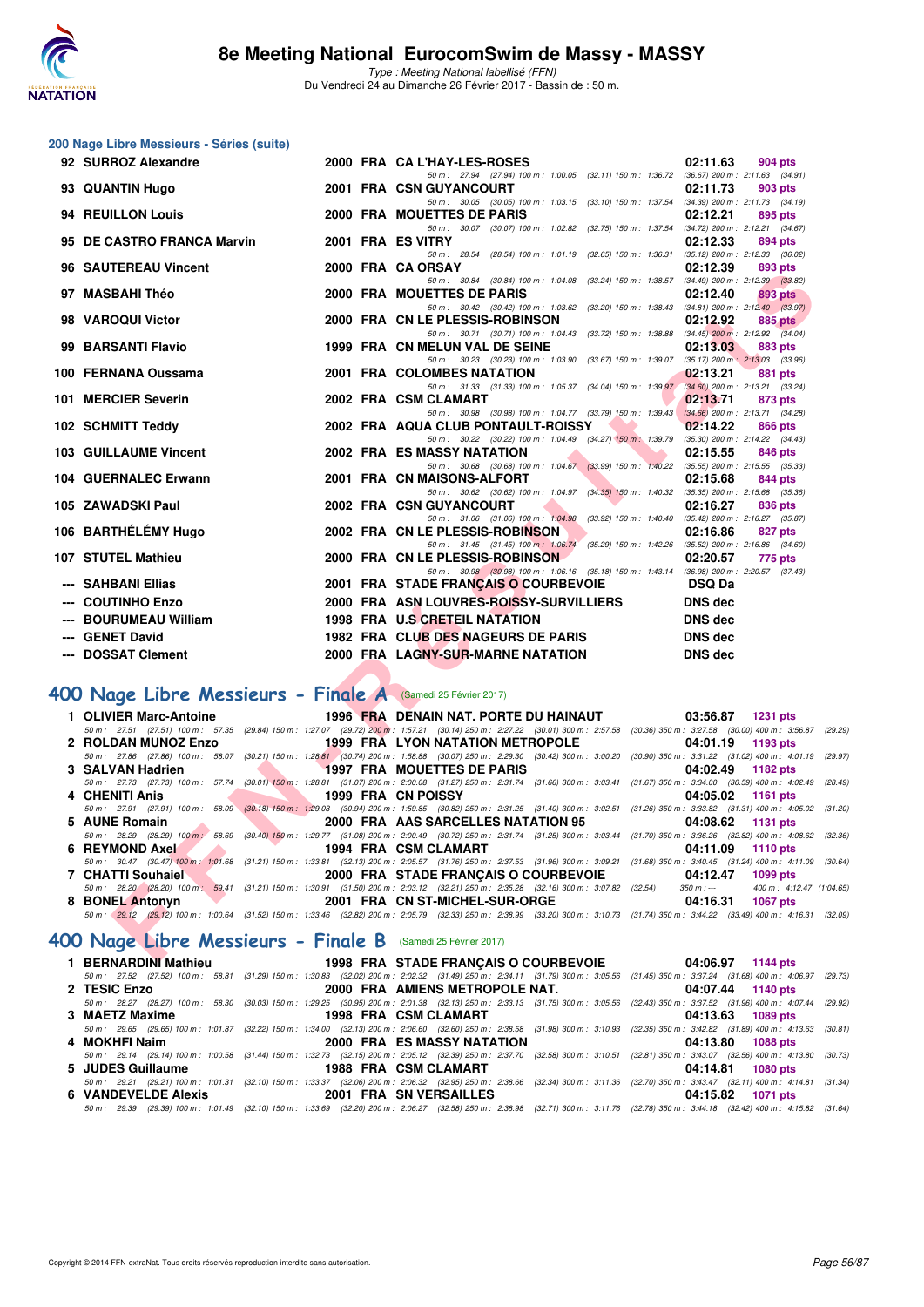

Type : Meeting National labellisé (FFN) Du Vendredi 24 au Dimanche 26 Février 2017 - Bassin de : 50 m.

| 200 Nage Libre Messieurs - Séries (suite)                   |                                                                                                                                                                                                                                                  |                                                            |
|-------------------------------------------------------------|--------------------------------------------------------------------------------------------------------------------------------------------------------------------------------------------------------------------------------------------------|------------------------------------------------------------|
| 92 SURROZ Alexandre                                         | 2000 FRA CA L'HAY-LES-ROSES                                                                                                                                                                                                                      | 02:11.63<br>904 pts                                        |
|                                                             | 50 m: 27.94 (27.94) 100 m: 1:00.05 (32.11) 150 m: 1:36.72 (36.67) 200 m: 2:11.63 (34.91)                                                                                                                                                         |                                                            |
| 93 QUANTIN Hugo                                             | 2001 FRA CSN GUYANCOURT<br>50 m: 30.05 (30.05) 100 m: 1:03.15 (33.10) 150 m: 1:37.54 (34.39) 200 m: 2:11.73 (34.19)                                                                                                                              | 02:11.73<br>903 pts                                        |
| 94 REUILLON Louis                                           | 2000 FRA MOUETTES DE PARIS                                                                                                                                                                                                                       | 02:12.21<br>895 pts                                        |
|                                                             | 50 m : 30.07 (30.07) 100 m : 1:02.82 (32.75) 150 m : 1:37.54                                                                                                                                                                                     | $(34.72)$ 200 m : 2:12.21 $(34.67)$                        |
| 95 DE CASTRO FRANCA Marvin                                  | 2001 FRA ES VITRY<br>50 m: 28.54 (28.54) 100 m: 1:01.19 (32.65) 150 m: 1:36.31                                                                                                                                                                   | 02:12.33<br>894 pts<br>$(35.12)$ 200 m : 2:12.33 $(36.02)$ |
| 96 SAUTEREAU Vincent                                        | 2000 FRA CA ORSAY                                                                                                                                                                                                                                | 02:12.39<br>893 pts                                        |
|                                                             | 50 m: 30.84 (30.84) 100 m: 1:04.08 (33.24) 150 m: 1:38.57 (34.49) 200 m: 2:12.39 (33.82)                                                                                                                                                         |                                                            |
| 97 MASBAHI Théo                                             | 2000 FRA MOUETTES DE PARIS<br>50 m: 30.42 (30.42) 100 m: 1:03.62 (33.20) 150 m: 1:38.43 (34.81) 200 m: 2:12.40 (33.97)                                                                                                                           | 02:12.40<br><b>893 pts</b>                                 |
| 98 VAROQUI Victor                                           | 2000 FRA CN LE PLESSIS-ROBINSON                                                                                                                                                                                                                  | 02:12.92<br>885 pts                                        |
| 99 BARSANTI Flavio                                          | 50 m: 30.71 (30.71) 100 m: 1:04.43 (33.72) 150 m: 1:38.88 (34.45) 200 m: 2:12.92 (34.04)<br>1999 FRA CN MELUN VAL DE SEINE                                                                                                                       |                                                            |
|                                                             | 50 m: 30.23 (30.23) 100 m: 1:03.90 (33.67) 150 m: 1:39.07 (35.17) 200 m: 2:13.03 (33.96)                                                                                                                                                         | 02:13.03<br>883 pts                                        |
| 100 FERNANA Oussama                                         | 2001 FRA COLOMBES NATATION                                                                                                                                                                                                                       | 02:13.21<br>881 pts                                        |
| 101 MERCIER Severin                                         | 50 m: 31.33 (31.33) 100 m: 1:05.37 (34.04) 150 m: 1:39.97<br>2002 FRA CSM CLAMART                                                                                                                                                                | $(34.60)$ 200 m : 2:13.21 $(33.24)$<br>02:13.71<br>873 pts |
|                                                             | 50 m: 30.98 (30.98) 100 m: 1:04.77 (33.79) 150 m: 1:39.43 (34.66) 200 m: 2:13.71 (34.28)                                                                                                                                                         |                                                            |
| 102 SCHMITT Teddy                                           | 2002 FRA AQUA CLUB PONTAULT-ROISSY                                                                                                                                                                                                               | 02:14.22<br>866 pts                                        |
| <b>103 GUILLAUME Vincent</b>                                | 50 m: 30.22 (30.22) 100 m: 1:04.49 (34.27) 150 m: 1:39.79 (35.30) 200 m: 2:14.22 (34.43)<br><b>2002 FRA ES MASSY NATATION</b>                                                                                                                    | 02:15.55<br>846 pts                                        |
|                                                             | 50 m: 30.68 (30.68) 100 m: 1:04.67 (33.99) 150 m: 1:40.22 (35.55) 200 m: 2:15.55 (35.33)                                                                                                                                                         |                                                            |
| 104 GUERNALEC Erwann                                        | 2001 FRA CN MAISONS-ALFORT                                                                                                                                                                                                                       | 02:15.68<br>844 pts                                        |
| 105 ZAWADSKI Paul                                           | 50 m: 30.62 (30.62) 100 m: 1:04.97 (34.35) 150 m: 1:40.32 (35.35) 200 m: 2:15.68 (35.36)<br>2002 FRA CSN GUYANCOURT                                                                                                                              | 02:16.27<br>836 pts                                        |
|                                                             | 50 m: 31.06 (31.06) 100 m: 1:04.98 (33.92) 150 m: 1:40.40 (35.42) 200 m: 2:16.27 (35.87)                                                                                                                                                         |                                                            |
| 106 BARTHÉLÉMY Hugo                                         | 2002 FRA CN LE PLESSIS-ROBINSON                                                                                                                                                                                                                  | 02:16.86<br>827 pts                                        |
| 107 STUTEL Mathieu                                          | 50 m: 31.45 (31.45) 100 m: 1:06.74 (35.29) 150 m: 1:42.26 (35.52) 200 m: 2:16.86 (34.60)<br>2000 FRA CN LE PLESSIS-ROBINSON                                                                                                                      | 02:20.57<br>775 pts                                        |
|                                                             | 50 m: 30.98 (30.98) 100 m: 1:06.16 (35.18) 150 m: 1:43.14 (36.98) 200 m: 2:20.57 (37.43)                                                                                                                                                         |                                                            |
| <b>SAHBANI Ellias</b>                                       | 2001 FRA STADE FRANÇAIS O COURBEVOIE                                                                                                                                                                                                             | <b>DSQ Da</b>                                              |
| <b>COUTINHO Enzo</b>                                        | 2000 FRA ASN LOUVRES-ROISSY-SURVILLIERS                                                                                                                                                                                                          | <b>DNS</b> dec                                             |
| --- BOURUMEAU William                                       | 1998 FRA U.S CRETEIL NATATION                                                                                                                                                                                                                    | <b>DNS dec</b>                                             |
| <b>GENET David</b>                                          | 1982 FRA CLUB DES NAGEURS DE PARIS                                                                                                                                                                                                               | <b>DNS</b> dec                                             |
| --- DOSSAT Clement                                          | 2000 FRA LAGNY-SUR-MARNE NATATION                                                                                                                                                                                                                | <b>DNS</b> dec                                             |
|                                                             |                                                                                                                                                                                                                                                  |                                                            |
| 400 Nage Libre Messieurs - Finale A Samedi 25 Février 2017) |                                                                                                                                                                                                                                                  |                                                            |
| 1 OLIVIER Marc-Antoine                                      | 1996 FRA DENAIN NAT. PORTE DU HAINAUT                                                                                                                                                                                                            | 03:56.87<br><b>1231 pts</b>                                |
|                                                             | 50 m: 27.51 (27.51) 100 m: 57.35 (29.84) 150 m: 1:27.07 (29.72) 200 m: 1:57.21 (30.14) 250 m: 2:27.22 (30.01) 300 m: 2:57.58 (30.36) 350 m: 3:27.58 (30.00) 400 m: 3:56.87 (2                                                                    |                                                            |
| 2 ROLDAN MUNOZ Enzo                                         | <b>1999 FRA LYON NATATION METROPOLE</b><br>50 m : 27.86 (27.86) 100 m : 58.07 (30.21) 150 m : 1:28. <mark>81 (</mark> 30.74) 200 m : 1:58.88 (30.07) 250 m : 2:29.30 (30.42) 300 m : 3:00.20 (30.90) 350 m : 3:31.22 (31.02) 400 m : 4:01.19 (2: | 04:01.19<br>1193 pts                                       |
| 3 SALVAN Hadrien                                            | 1997 FRA MOUETTES DE PARIS                                                                                                                                                                                                                       | 04:02.49<br>1182 pts                                       |
|                                                             | 50 m : 27.73 (27.73) 100 m : 57.74 (30.01) 150 m : 1:28.81 (31.07) 200 m : 2:00.08 (31.27) 250 m : 2:31.74 (31.66) 300 m : 3:03.41 (31.67) 350 m : 3:34.00 (30.59) 400 m : 4:02.49 (21                                                           |                                                            |
| 4 CHENITI Anis                                              | 1999 FRA CN POISSY<br>50 m: 27.91 (27.91) 100 m: 58.09 (30.18) 150 m: 1:29.03 (30.94) 200 m: 1:59.85 (30.82) 250 m: 2:31.25 (31.40) 300 m: 3:02.51 (31.26) 350 m: 3:33.82 (31.31) 400 m: 4:05.02 (3                                              | 04:05.02<br>1161 pts                                       |
| 5 AUNE Romain                                               | 2000 FRA AAS SARCELLES NATATION 95                                                                                                                                                                                                               | 04:08.62<br>1131 pts                                       |
|                                                             | 50 m :28.29 (28.29) 100 m : 58.69 (30.40) 150 m : 1:29.77 (31.08) 200 m : 2:00.49 (30.72) 250 m : 2:31.74 (31.25) 300 m : 3:03.44 (31.70) 350 m : 3:36.26 (32.82) 400 m : 4:08.62 (3                                                             |                                                            |
| 6 REYMOND Axel                                              | 1994 FRA CSM CLAMART<br>50 m: 30.47 (30.47) 100 m: 1:01.68 (31.21) 150 m: 1:33.81 (32.13) 200 m: 2:05.57 (31.76) 250 m: 2:37.53 (31.96) 300 m: 3:09.21 (31.68) 350 m: 3:40.45 (31.24) 400 m: 4:11.09 (30                                         | 04:11.09<br>1110 pts                                       |
| 7 CHATTI Souhaiel                                           | 2000 FRA STADE FRANÇAIS O COURBEVOIE                                                                                                                                                                                                             | 04:12.47<br>1099 pts                                       |
|                                                             | 50 m : 28.20 (28.20) 100 m : 59.41 (31.21) 150 m : 1:30.91 (31.50) 200 m : 2:03.12 (32.21) 250 m : 2:35.28 (32.16) 300 m : 3:07.82 (32.54)                                                                                                       | 400 m: 4:12.47 (1:04<br>$350 m: -$                         |
| 8 BONEL Antonyn                                             | 2001 FRA CN ST-MICHEL-SUR-ORGE<br>50 m: 29.12 (29.12) 100 m: 1:00.64 (31.52) 150 m: 1:33.46 (32.82) 200 m: 2:05.79 (32.33) 250 m: 2:38.99 (33.20) 300 m: 3:10.73 (31.74) 350 m: 3:44.22 (33.49) 400 m: 4:16.31 (3                                | 04:16.31<br><b>1067 pts</b>                                |
|                                                             |                                                                                                                                                                                                                                                  |                                                            |
| 400 Nage Libre Messieurs - Finale B                         | (Samedi 25 Février 2017)                                                                                                                                                                                                                         |                                                            |
| <b>DEDMARDINI MAIL!</b>                                     | CTABE EDAMORIC O COUPDEVOIE                                                                                                                                                                                                                      |                                                            |

# **[400 Nage Libre Messieurs - Finale A](http://www.ffnatation.fr/webffn/resultats.php?idact=nat&go=epr&idcpt=42801&idepr=54)** (Samedi 25 Février 2017)

| 1 OLIVIER Marc-Antoine |                    | 1996 FRA DENAIN NAT. PORTE DU HAINAUT                                                                                                | 03:56.87 1231 pts                                                                                                                                                                            |
|------------------------|--------------------|--------------------------------------------------------------------------------------------------------------------------------------|----------------------------------------------------------------------------------------------------------------------------------------------------------------------------------------------|
|                        |                    |                                                                                                                                      | 50 m: 27.51 (27.51) 100 m: 57.35 (29.84) 150 m: 1:27.07 (29.72) 200 m: 1:57.21 (30.14) 250 m: 2:27.22 (30.01) 300 m: 2:57.58 (30.36) 350 m: 3:27.58 (30.00) 400 m: 3:56.87 (29.29)           |
| 2 ROLDAN MUNOZ Enzo    |                    | 1999 FRA LYON NATATION METROPOLE                                                                                                     | 04:01.19 1193 pts                                                                                                                                                                            |
|                        |                    |                                                                                                                                      | 50 m: 27.86 (27.86) 100 m: 58.07 (30.21) 150 m: 1:28.81 (30.74) 200 m: 1:58.88 (30.07) 250 m: 2:29.30 (30.42) 300 m: 3:00.20 (30.90) 350 m: 3:31.22 (31.02) 400 m: 4:01.19 (29.97)           |
| 3 SALVAN Hadrien       |                    | <b>EXAMPLE 1997 FRA MOUETTES DE PARIS</b>                                                                                            | 04:02.49 1182 pts                                                                                                                                                                            |
|                        |                    |                                                                                                                                      | 50 m: 27.73 (27.73) 100 m: 57.74 (30.01) 150 m: 1:28.81 (31.07) 200 m: 2:00.08 (31.27) 250 m: 2:31.74 (31.66) 300 m: 3:03.41 (31.67) 350 m: 3:34.00 (30.59) 400 m: 4:02.49 (28.49)           |
| 4 CHENITI Anis         | 1999 FRA CN POISSY |                                                                                                                                      | 04:05.02 1161 pts                                                                                                                                                                            |
|                        |                    |                                                                                                                                      | 50 m: 27.91 (27.91) 100 m: 58.09 (30.18) 150 m: 1:29.03 (30.94) 200 m: 1:59.85 (30.82) 250 m: 2:31.25 (31.40) 300 m: 3:02.51 (31.26) 350 m: 3:33.82 (31.31) 400 m: 4:05.02 (31.20)           |
| 5 AUNE Romain          |                    |                                                                                                                                      | 2000 FRA AAS SARCELLES NATATION 95 04:08.62 1131 pts                                                                                                                                         |
|                        |                    |                                                                                                                                      | 50 m: 28.29 (28.29) 100 m: 58.69 (30.40) 150 m: 1:29.77 (31.08) 200 m: 2:00.49 (30.72) 250 m: 2:31.74 (31.25) 300 m: 3:03.44 (31.70) 350 m: 3:36.26 (32.82) 400 m: 4:08.62 (32.36)           |
| 6 REYMOND Axel         |                    | 1994 FRA CSM CLAMART                                                                                                                 | 04:11.09<br>1110 $pts$                                                                                                                                                                       |
|                        |                    |                                                                                                                                      | 50 m: 30.47 (30.47) 100 m: 1:01.68 (31.21) 150 m: 1:33.81 (32.13) 200 m: 2:05.57 (31.76) 250 m: 2:37.53 (31.96) 300 m: 3:09.21 (31.68) 350 m: 3:40.45 (31.24) 400 m: 4:11.09 (30.64)         |
| 7 CHATTI Souhaiel      |                    | 2000 FRA STADE FRANÇAIS O COURBEVOIE                                                                                                 | 04:12.47<br>1099 pts                                                                                                                                                                         |
|                        |                    | 50 m: 28.20 (28.20) 100 m: 59.41 (31.21) 150 m: 1:30.91 (31.50) 200 m: 2:03.12 (32.21) 250 m: 2:35.28 (32.16) 300 m: 3:07.82 (32.54) | 350 m : --- 400 m : 4:12.47 (1:04.65)                                                                                                                                                        |
|                        |                    | 8 BONEL Antonyn 16.31 2001 FRA CN ST-MICHEL-SUR-ORGE 2011 8 2001 PRA CN ST-MICHEL-SUR-ORGE                                           | <b>1067 pts</b>                                                                                                                                                                              |
|                        |                    |                                                                                                                                      | 50 m : 29.12 (29.12) 100 m : 1:00.64 (31.52) 150 m : 1:33.46 (32.82) 200 m : 2:05.79 (32.33) 250 m : 2:38.99 (33.20) 300 m : 3:10.73 (31.74) 350 m : 3:44.22 (33.49) 400 m : 4:16.31 (32.09) |

# **[400 Nage Libre Messieurs - Finale B](http://www.ffnatation.fr/webffn/resultats.php?idact=nat&go=epr&idcpt=42801&idepr=54)** (Samedi 25 Février 2017)

|                               | 1 BERNARDINI Mathieu 1998 FRA STADE FRANÇAIS O COURBEVOIE 04:06.97 1144 pts                                                                                                          |                   |
|-------------------------------|--------------------------------------------------------------------------------------------------------------------------------------------------------------------------------------|-------------------|
|                               | 50 m: 27.52 (27.52) 100 m: 58.81 (31.29) 150 m: 1:30.83 (32.02) 200 m: 2:02.32 (31.49) 250 m: 2:34.11 (31.79) 300 m: 3:05.56 (31.45) 350 m: 3:37.24 (31.68) 400 m: 4:06.97 (29.73)   |                   |
| 2 TESIC Enzo                  | 2000 FRA AMIENS METROPOLE NAT. 04:07.44 1140 pts                                                                                                                                     |                   |
|                               | 50 m: 28.27 (28.27) 100 m: 58.30 (30.03) 150 m: 1:29.25 (30.95) 200 m: 2:01.38 (32.13) 250 m: 2:33.13 (31.75) 300 m: 3:05.56 (32.43) 350 m: 3:37.52 (31.96) 400 m: 4:07.44 (29.92)   |                   |
| 3 MAETZ Maxime <b>Algebra</b> | 1998 FRA CSM CLAMART                                                                                                                                                                 | 04:13.63 1089 pts |
|                               | 50 m: 29.65 (29.65) 100 m: 1:01.87 (32.22) 150 m: 1:34.00 (32.13) 200 m: 2:06.60 (32.60) 250 m: 2:38.58 (31.98) 300 m: 3:10.93 (32.35) 350 m: 3:42.82 (31.99) 400 m: 4:13.63 (30.81) |                   |
| 4 MOKHFI Naim                 | 2000 FRA ES MASSY NATATION                                                                                                                                                           | 04:13.80 1088 pts |
|                               | 50 m: 29.14 (29.14) 100 m: 1:00.58 (31.44) 150 m: 1:32.73 (32.15) 200 m: 2:05.12 (32.39) 250 m: 2:37.70 (32.58) 300 m: 3:10.51 (32.81) 350 m: 3:43.07 (32.56) 400 m: 4:13.80 (30.73) |                   |
| 5 JUDES Guillaume             | 1988 FRA CSM CLAMART NAME OF STRAINING STRAIN                                                                                                                                        | 04:14.81 1080 pts |
|                               | 50 m: 29.21 (29.21) 100 m: 1:01.31 (32.10) 150 m: 1:33.37 (32.06) 200 m: 2:06.32 (32.95) 250 m: 2:38.66 (32.34) 300 m: 3:11.36 (32.70) 350 m: 3:43.47 (32.11) 400 m: 4:14.81 (31.34) |                   |
|                               |                                                                                                                                                                                      | 04:15.82 1071 pts |
| 50 m : 29.39                  | (29.39) 100 m: 1:01.49 (32.10) 150 m: 1:33.69 (32.20) 200 m: 2:06.27 (32.58) 250 m: 2:38.98 (32.71) 300 m: 3:11.76 (32.78) 350 m: 3:44.18 (32.42) 400 m: 4:15.82 (31.64)             |                   |
|                               |                                                                                                                                                                                      |                   |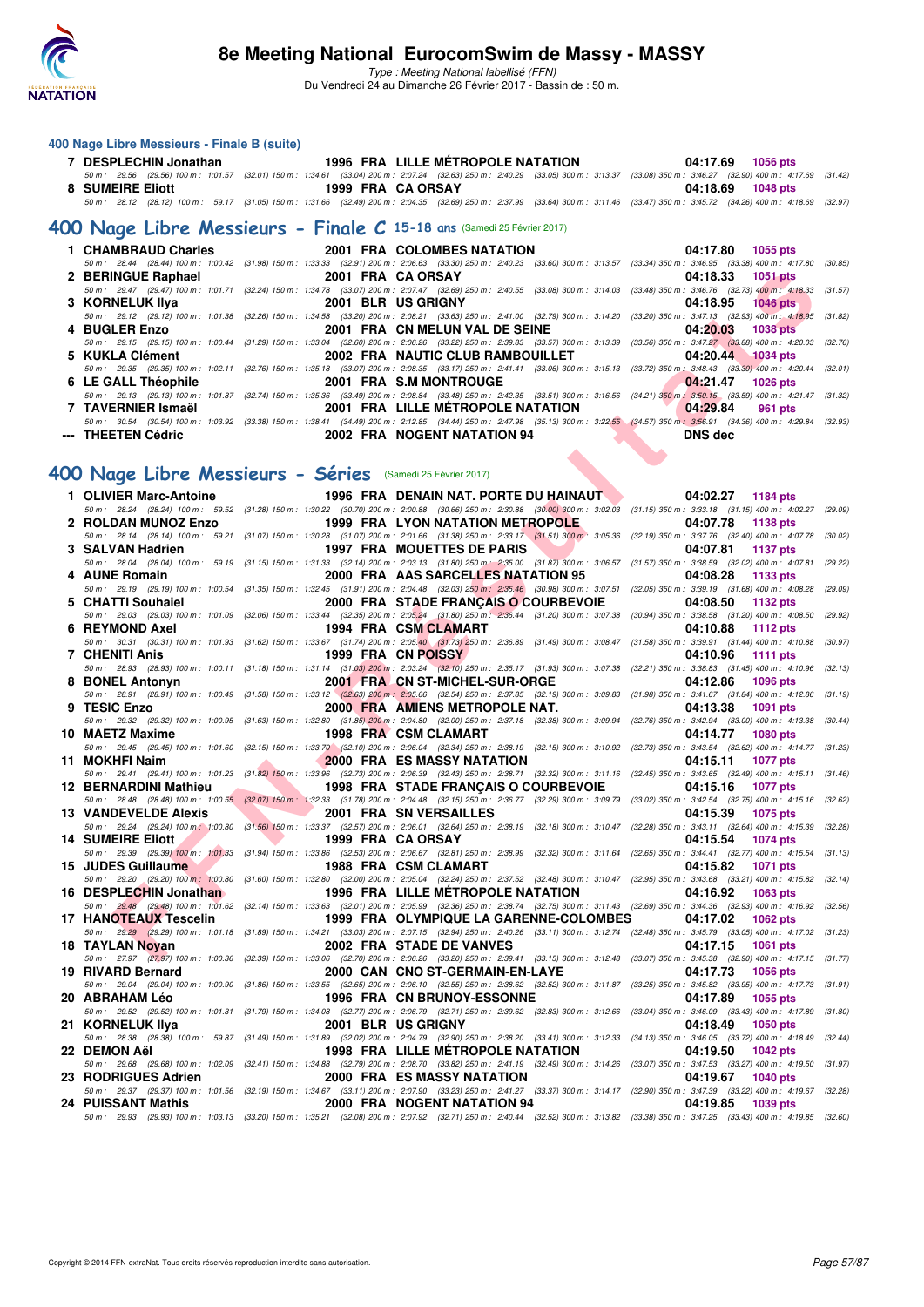

Type : Meeting National labellisé (FFN) Du Vendredi 24 au Dimanche 26 Février 2017 - Bassin de : 50 m.

#### **400 Nage Libre Messieurs - Finale B (suite)**

| 7 DESPLECHIN Jonathan | 1996 FRA LILLE MÉTROPOLE NATATION                                                                                                                                                    | 04:17.69 1056 pts |
|-----------------------|--------------------------------------------------------------------------------------------------------------------------------------------------------------------------------------|-------------------|
|                       | 50 m: 29.56 (29.56) 100 m: 1:01.57 (32.01) 150 m: 1:34.61 (33.04) 200 m: 2:07.24 (32.63) 250 m: 2:40.29 (33.05) 300 m: 3:13.37 (33.08) 350 m: 3:46.27 (32.90) 400 m: 4:17.69 (31.42) |                   |
| 8 SUMEIRE Eliott      | 1999 FRA CA ORSAY                                                                                                                                                                    | 04:18.69 1048 pts |
|                       | 50 m: 28.12 (28.12) 100 m: 59.17 (31.05) 150 m: 1:31.66 (32.49) 200 m: 2:04.35 (32.69) 250 m: 2:37.99 (33.64) 300 m: 3:11.46 (33.47) 350 m: 3:45.72 (34.26) 400 m: 4:18.69 (32.97)   |                   |
|                       |                                                                                                                                                                                      |                   |

# **[400 Nage Libre Messieurs - Finale C](http://www.ffnatation.fr/webffn/resultats.php?idact=nat&go=epr&idcpt=42801&idepr=54) 15-18 ans** (Samedi 25 Février 2017)

|                     | 1 CHAMBRAUD Charles 2001 FRA COLOMBES NATATION                                                                                                                                               | 04:17.80 1055 pts   |
|---------------------|----------------------------------------------------------------------------------------------------------------------------------------------------------------------------------------------|---------------------|
|                     | 50 m: 28.44 (28.44) 100 m: 1:00.42 (31.98) 150 m: 1:33.33 (32.91) 200 m: 2:06.63 (33.30) 250 m: 2:40.23 (33.60) 300 m: 3:13.57 (33.34) 350 m: 3:46.95 (33.38) 400 m: 4:17.80 (30.85)         |                     |
| 2 BERINGUE Raphael  | 2001 FRA CA ORSAY NAMED AND THE STATE OF STATE OF STATE STATES                                                                                                                               | 04:18.33 1051 pts   |
|                     | 50 m: 29.47 (29.47) 100 m: 1:01.71 (32.24) 150 m: 1:34.78 (33.07) 200 m: 2:07.47 (32.69) 250 m: 2:40.55 (33.08) 300 m: 3:14.03 (33.48) 350 m: 3:46.76 (32.73) 400 m: 4:18.33 (31.57)         |                     |
| 3 KORNELUK IIya     | 2001 BLR US GRIGNY                                                                                                                                                                           | 04:18.95 1046 pts   |
|                     | 50 m: 29.12 (29.12) 100 m: 1:01.38 (32.26) 150 m: 1:34.58 (33.20) 200 m: 2:08.21 (33.63) 250 m: 2:41.00 (32.79) 300 m: 3:14.20 (33.20) 350 m: 3:47.13 (32.93) 400 m: 4:18.95 (31.82)         |                     |
| 4 BUGLER Enzo       | 2001 FRA CN MELUN VAL DE SEINE                                                                                                                                                               | 04:20.03 1038 pts   |
|                     | 50 m : 29.15 (29.15) 100 m : 1:00.44 (31.29) 150 m : 1:33.04 (32.60) 200 m : 2:06.26 (33.22) 250 m : 2:39.83 (33.57) 300 m : 3:13.39 (33.56) 350 m : 3:47.27 (33.88) 400 m : 4:20.03 (32.76) |                     |
| 5 KUKLA Clément     | 2002 FRA NAUTIC CLUB RAMBOUILLET 604:20.44 1034 pts                                                                                                                                          |                     |
|                     | 50 m: 29.35 (29.35) 100 m: 1:02.11 (32.76) 150 m: 1:35.18 (33.07) 200 m: 2:08.35 (33.17) 250 m: 2:41.41 (33.06) 300 m: 3:15.13 (33.72) 350 m: 3:48.43 (33.30) 400 m: 4:20.44 (32.01)         |                     |
| 6 LE GALL Théophile | 2001 FRA S.M MONTROUGE 2001 FRA                                                                                                                                                              | $04:21.47$ 1026 pts |
|                     | 50 m: 29.13 (29.13) 100 m: 1:01.87 (32.74) 150 m: 1:35.36 (33.49) 200 m: 2:08.84 (33.48) 250 m: 2:42.35 (33.51) 300 m: 3:16.56 (34.21) 350 m: 3:50.15 (33.59) 400 m: 4:21.47 (31.32)         |                     |
| 7 TAVERNIER Ismaël  | 2001 FRA LILLE METROPOLE NATATION 64:29.84                                                                                                                                                   | 961 pts             |
|                     | 50 m : 30.54 (30.54) 100 m : 1:03.92 (33.38) 150 m : 1:38.41 (34.49) 200 m : 2:12.85 (34.44) 250 m : 2:47.98 (35.13) 300 m : 3:22.55 (34.57) 350 m : 3:56.91 (34.36) 400 m : 4:29.84 (32.93) |                     |
| --- THEETEN Cédric  | 2002 FRA NOGENT NATATION 94                                                                                                                                                                  | <b>DNS</b> dec      |

#### **[400 Nage Libre Messieurs - Séries](http://www.ffnatation.fr/webffn/resultats.php?idact=nat&go=epr&idcpt=42801&idepr=54)** (Samedi 25 Février 2017)

| 2 BERINGUE Raphael                                        |  | 2001 FRA CA ORSAY<br>04:18.33 1051 pts                                                                                                                                                                                                                      |         |
|-----------------------------------------------------------|--|-------------------------------------------------------------------------------------------------------------------------------------------------------------------------------------------------------------------------------------------------------------|---------|
| 3 KORNELUK IIya                                           |  | 50 m: 29.47 (29.47) 100 m: 1:01.71 (32.24) 150 m: 1:34.78 (33.07) 200 m: 2:07.47 (32.69) 250 m: 2:40.55 (33.08) 300 m: 3:14.03 (33.48) 350 m: 3:46.76 (32.73) 400 m: 4:18.33 (31.57)<br>2001 BLR US GRIGNY<br>04:18.95<br><b>1046 pts</b>                   |         |
|                                                           |  | 50 m : 29.12 (29.12) 100 m : 1:01.38 (32.26) 150 m : 1:34.58 (33.20) 200 m : 2:08.21 (33.63) 250 m : 2:41.00 (32.79) 300 m : 3:14.20 (33.20) 350 m : 3:47.13 (32.93) 400 m : 4:18.95 (31.82)                                                                |         |
| 4 BUGLER Enzo                                             |  | 2001 FRA CN MELUN VAL DE SEINE<br>04:20.03<br><b>1038 pts</b><br>50 m: 29.15 (29.15) 100 m: 1:00.44 (31.29) 150 m: 1:33.04 (32.60) 200 m: 2:06.26 (33.22) 250 m: 2:39.83 (33.57) 300 m: 3:13.39 (33.56) 350 m: 3:47.27 (33.88) 400 m: 4:20.03               | (32.76) |
| 5 KUKLA Clément                                           |  | 2002 FRA NAUTIC CLUB RAMBOUILLET<br>04:20.44<br>1034 pts                                                                                                                                                                                                    |         |
| 6 LE GALL Théophile                                       |  | 50 m: 29.35 (29.35) 100 m: 1:02.11 (32.76) 150 m: 1:35.18 (33.07) 200 m: 2:08.35 (33.17) 250 m: 2:41.41 (33.06) 300 m: 3:15.13 (33.72) 350 m: 3:48.43 (33.30) 400 m: 4:20.44 (32.01)<br>2001 FRA S.M MONTROUGE<br>04:21.47<br><b>1026 pts</b>               |         |
|                                                           |  | 50 m: 29.13 (29.13) 100 m: 1:01.87 (32.74) 150 m: 1:35.36 (33.49) 200 m: 2:08.84 (33.48) 250 m: 2:42.35 (33.51) 300 m: 3:16.56 (34.21) 350 m: 3:50.15 (33.59) 400 m: 4:21.47 (31.32)                                                                        |         |
| 7 TAVERNIER Ismaël                                        |  | 2001 FRA LILLE METROPOLE NATATION<br>04:29.84<br>961 pts                                                                                                                                                                                                    |         |
| --- THEETEN Cédric                                        |  | 50 m : 30.54 (30.54) 100 m : 1:03.92 (33.38) 150 m : 1:38.41 (34.49) 200 m : 2:12.85 (34.44) 250 m : 2:27.98 (35.13) 300 m : 3:22.55 (34.57) 350 m : 3:56.91 (34.36) 400 m : 4:29.84 (32.93)<br>2002 FRA NOGENT NATATION 94<br><b>DNS</b> dec               |         |
|                                                           |  |                                                                                                                                                                                                                                                             |         |
| 00 Nage Libre Messieurs - Séries (Samedi 25 Février 2017) |  |                                                                                                                                                                                                                                                             |         |
| 1 OLIVIER Marc-Antoine                                    |  | 1996 FRA DENAIN NAT. PORTE DU HAINAUT<br>04:02.27 1184 pts                                                                                                                                                                                                  |         |
|                                                           |  | 50 m: 28.24 (28.24) 100 m: 59.52 (31.28) 150 m: 1:30.22 (30.70) 200 m: 2:00.88 (30.66) 250 m: 2:30.88 (30.00) 300 m: 3:02.03 (31.15) 350 m: 3:33.18 (31.15) 400 m: 4:02.27                                                                                  | (29.09) |
| 2 ROLDAN MUNOZ Enzo                                       |  | 1999 FRA LYON NATATION METROPOLE<br>04:07.78<br>1138 pts                                                                                                                                                                                                    |         |
| 3 SALVAN Hadrien                                          |  | 50 m: 28.14 (28.14) 100 m: 59.21 (31.07) 150 m: 1:30.28 (31.07) 200 m: 2:01.66 (31.38) 250 m: 2:33.17 (31.51) 300 m: 3:05.36 (32.19) 350 m: 3:37.76 (32.40) 400 m: 4:07.78 (30.02)<br>1997 FRA MOUETTES DE PARIS<br>04:07.81<br><b>1137 pts</b>             |         |
|                                                           |  | 50 m: 28.04 (28.04) 100 m: 59.19 (31.15) 150 m: 1:31.33 (32.14) 200 m: 2:03.13 (31.80) 250 m: 2:35.00 (31.87) 300 m: 3:06.57 (31.57) 350 m: 3:38.59 (32.02) 400 m: 4:07.81                                                                                  | (29.22) |
| 4 AUNE Romain                                             |  | 2000 FRA AAS SARCELLES NATATION 95<br>04:08.28<br>1133 pts                                                                                                                                                                                                  |         |
| 5 CHATTI Souhaiel                                         |  | 50 m : 29.19 (29.19) 100 m : 1:00.54 (31.35) 150 m : 1:32.45 (31.91) 200 m : 2:04.48 (32.03) 250 m : 2:35.46 (30.98) 300 m : 3:07.51 (32.05) 350 m : 3:39.19 (31.68) 400 m : 4:08.28<br>2000 FRA STADE FRANÇAIS O COURBEVOIE<br>04:08.50<br>1132 pts        | (29.09) |
|                                                           |  | 50 m : 29.03 (29.03) 100 m : 1:01.09 (32.06) 150 m : 1:33.44 (32.35) 200 m : 2:05,24 (31.80) 250 m : 2:36.44 (31.20) 300 m : 3:07.38 (30.94) 350 m : 3:38.58 (31.20) 400 m : 4:08.50                                                                        | (29.92) |
| 6 REYMOND Axel                                            |  | 1994 FRA CSM CLAMART<br>04:10.88<br>1112 pts                                                                                                                                                                                                                |         |
| 7 CHENITI Anis                                            |  | 50 m: 30.31 (30.31) 100 m: 1:01.93 (31.62) 150 m: 1:33.67 (31.74) 200 m: 2:05.40 (31.73) 250 m: 2:36.89 (31.49) 300 m: 3:08.47 (31.58) 350 m: 3:39.91 (31.44) 400 m: 4:10.88<br>1999 FRA CN POISSY<br>04:10.96<br>1111 pts                                  | (30.97) |
|                                                           |  | 50 m : 28.93 (28.93) 100 m : 1:00.11 (31.18) 150 m : 1:31.14 (31.03) 200 m : 2:03.24 (32.10) 250 m : 2:35.17 (31.93) 300 m : 3:07.38 (32.21) 350 m : 3:38.83 (31.45) 400 m : 4:10.96                                                                        | (32.13) |
| 8 BONEL Antonyn                                           |  | 2001 FRA CN ST-MICHEL-SUR-ORGE<br>04:12.86<br><b>1096 pts</b>                                                                                                                                                                                               |         |
| 9 TESIC Enzo                                              |  | 50 m: 28.91 (28.91) 100 m: 1:00.49 (31.58) 150 m: 1:33.12 (32.63) 200 m: 2:05.66 (32.54) 250 m: 2:37.85 (32.19) 300 m: 3:09.83 (31.98) 350 m: 3:41.67 (31.84) 400 m: 4:12.86 (31.19)<br>2000 FRA AMIENS METROPOLE NAT.<br>04:13.38<br>1091 pts              |         |
|                                                           |  | 50 m : 29.32 (29.32) 100 m : 1:00.95 (31.63) 150 m : 1:32.80 (31.85) 200 m : 2:04.80 (32.00) 250 m : 2:37.18 (32.38) 300 m : 3:09.94 (32.76) 350 m : 3:42.94 (33.00) 400 m : 4:13.38 (30.44)                                                                |         |
| 10 MAETZ Maxime                                           |  | 1998 FRA CSM CLAMART<br>04:14.77<br><b>1080 pts</b><br>50 m: 29.45 (29.45) 100 m: 1:01.60 (32.15) 150 m: 1:33.70 (32.10) 200 m: 2:06.04 (32.34) 250 m: 2:38.19 (32.15) 300 m: 3:10.92 (32.73) 350 m: 3:43.54 (32.62) 400 m: 4:14.77 (31.23)                 |         |
| 11 MOKHFI Naim                                            |  | 2000 FRA ES MASSY NATATION<br>04:15.11<br><b>1077 pts</b>                                                                                                                                                                                                   |         |
|                                                           |  | 50 m: 29.41 (29.41) 100 m: 1:01.23 (31.82) 150 m: 1:33.96 (32.73) 200 m: 2:06.39 (32.43) 250 m: 2:38.71 (32.32) 300 m: 3:11.16 (32.45) 350 m: 3:43.65 (32.49) 400 m: 4:15.11 (31.46)                                                                        |         |
| 12 BERNARDINI Mathieu                                     |  | 1998 FRA STADE FRANÇAIS O COURBEVOIE<br>04:15.16<br><b>1077 pts</b><br>50 m: 28.48 (28.48) 100 m: 1:00.55 (32.07) 150 m: 1:32.33 (31.78) 200 m: 2:04.48 (32.15) 250 m: 2:36.77 (32.29) 300 m: 3:09.79 (33.02) 350 m: 3:42.54 (32.75) 400 m: 4:15.16 (32.62) |         |
| <b>13 VANDEVELDE Alexis</b>                               |  | 2001 FRA SN VERSAILLES<br>04:15.39<br>1075 pts                                                                                                                                                                                                              |         |
| <b>14 SUMEIRE Eliott</b>                                  |  | 50 m: 29.24 (29.24) 100 m: 1:00.80 (31.56) 150 m: 1:33.37 (32.57) 200 m: 2:06.01 (32.64) 250 m: 2:38.19 (32.18) 300 m: 3:10.47 (32.28) 350 m: 3:43.11 (32.64) 400 m: 4:15.39<br>1999 FRA CA ORSAY<br><b>1074 pts</b>                                        | (32.28) |
|                                                           |  | 04:15.54<br>50 m: 29.39 (29.39) 100 m: 1:01.33 (31.94) 150 m: 1:33.86 (32.53) 200 m: 2:06.67 (32.81) 250 m: 2:38.99 (32.32) 300 m: 3:11.64 (32.65) 350 m: 3:44.41 (32.77) 400 m: 4:15.54 (31.13)                                                            |         |
| 15 JUDES Guillaume                                        |  | 1988 FRA CSM CLAMART<br>04:15.82<br><b>1071 pts</b>                                                                                                                                                                                                         |         |
| 16 DESPLECHIN Jonathan                                    |  | 50 m: 29.20 (29.20) 100 m: 1:00.80 (31.60) 150 m: 1:32.80 (32.00) 200 m: 2:05.04 (32.24) 250 m: 2:37.52 (32.48) 300 m: 3:10.47 (32.95) 350 m: 3:43.68 (33.21) 400 m: 4:15.82 (32.14)<br>1996 FRA LILLE MÉTROPOLE NATATION<br>04:16.92<br>1063 pts           |         |
|                                                           |  | 50 m: 29.48 (29.48) 100 m: 1:01.62 (32.14) 150 m: 1:33.63 (32.01) 200 m: 2:05.99 (32.36) 250 m: 2:38.74 (32.75) 300 m: 3:11.43 (32.69) 350 m: 3:44.36 (32.93) 400 m: 4:16.92 (32.56)                                                                        |         |
| 17 HANOTEAUX Tescelin                                     |  | 1999 FRA  OLYMPIQUE LA GARENNE-COLOMBES<br>04:17.02<br><b>1062 pts</b>                                                                                                                                                                                      |         |
| 18 TAYLAN Noyan                                           |  | 50 m: 29.29 (29.29) 100 m: 1:01.18 (31.89) 150 m: 1:34.21 (33.03) 200 m: 2:07.15 (32.94) 250 m: 2:40.26 (33.11) 300 m: 3:12.74 (32.48) 350 m: 3:45.79 (33.05) 400 m: 4:17.02 (31.23)<br>2002 FRA STADE DE VANVES<br>04:17.15<br>1061 pts                    |         |
|                                                           |  | 50 m: 27.97 (27.97) 100 m: 1:00.36 (32.39) 150 m: 1:33.06 (32.70) 200 m: 2:06.26 (33.20) 250 m: 2:39.41 (33.15) 300 m: 3:12.48 (33.07) 350 m: 3:45.38 (32.90) 400 m: 4:17.15 (31.77)                                                                        |         |
| 19 RIVARD Bernard                                         |  | 2000 CAN CNO ST-GERMAIN-EN-LAYE<br>04:17.73<br>1056 pts<br>50 m: 29.04 (29.04) 100 m: 1:00.90 (31.86) 150 m: 1:33.55 (32.65) 200 m: 2:06.10 (32.55) 250 m: 2:38.62 (32.52) 300 m: 3:11.87 (33.25) 350 m: 3:45.82 (33.95) 400 m: 4:17.73 (31.91)             |         |
| 20   ABRAHAM Léo                                          |  | <b>1996 FRA CN BRUNOY-ESSONNE</b><br>04:17.89<br>1055 pts                                                                                                                                                                                                   |         |
|                                                           |  | 50 m : 29.52 (29.52) 100 m : 1:01.31 (31.79) 150 m : 1:34.08 (32.77) 200 m : 2:06.79 (32.71) 250 m : 2:39.62 (32.83) 300 m : 3:12.66 (33.04) 350 m : 3:46.09 (33.43) 400 m : 4:17.89 (31.80)                                                                |         |
| 21   KORNELUK IIya                                        |  | 2001 BLR USGRIGNY<br>04:18.49<br><b>1050 pts</b><br>50 m: 28.38 (28.38) 100 m: 59.87 (31.49) 150 m: 1:31.89 (32.02) 200 m: 2:04.79 (32.90) 250 m: 2:38.20 (33.41) 300 m: 3:12.33 (34.13) 350 m: 3:46.05 (33.72) 400 m: 4:18.49                              | (32.44) |
| 22   DEMON Aël                                            |  | <b>1998 FRA LILLE METROPOLE NATATION</b><br>04:19.50<br><b>1042 pts</b>                                                                                                                                                                                     |         |
|                                                           |  | 50 m : 29.68 (29.68) 100 m : 1:02.09 (32.41) 150 m : 1:34.88 (32.79) 200 m : 2:08.70 (33.82) 250 m : 2:41.19 (32.49) 300 m : 3:14.26 (33.07) 350 m : 3:47.53 (33.27) 400 m : 4:19.50 (31.97)                                                                |         |
| 23   RODRIGUES Adrien                                     |  | 2000 FRA ES MASSY NATATION<br>04:19.67<br><b>1040 pts</b><br>50 m: 29.37 (29.37) 100 m: 1:01.56 (32.19) 150 m: 1:34.67 (33.11) 200 m: 2:07.90 (33.23) 250 m: 2:41.27 (33.37) 300 m: 3:14.17 (32.90) 350 m: 3:47.39 (33.22) 400 m: 4:19.67 (32.28)           |         |
| 24 PUISSANT Mathis                                        |  | 2000 FRA NOGENT NATATION 94<br>04:19.85<br>1039 pts                                                                                                                                                                                                         |         |
|                                                           |  | 50 m : 29.93 (29.93) 100 m : 1:03.13 (33.20) 150 m : 1:35.21 (32.08) 200 m : 2:07.92 (32.71) 250 m : 2:40.44 (32.52) 300 m : 3:13.82 (33.38) 350 m : 3:47.25 (33.43) 400 m : 4:19.85 (32.60)                                                                |         |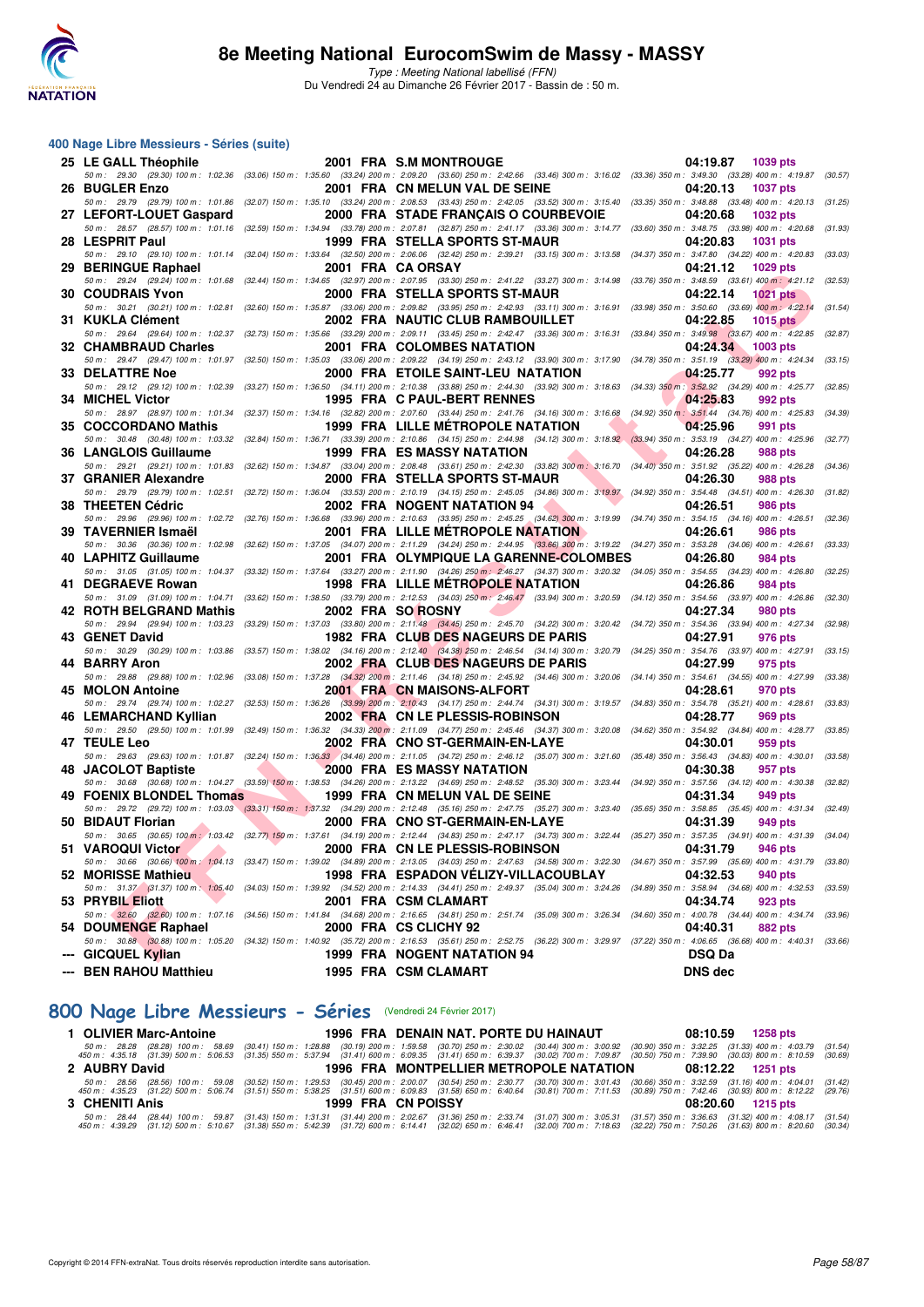

#### **400 Nage Libre Messieurs - Séries (suite)**

| 25 LE GALL Théophile                                            | 2001 FRA S.M MONTROUGE                                                                                                                                                                                                       | 04:19.87<br>1039 pts                                                                 |         |
|-----------------------------------------------------------------|------------------------------------------------------------------------------------------------------------------------------------------------------------------------------------------------------------------------------|--------------------------------------------------------------------------------------|---------|
|                                                                 | 50 m : 29.30 (29.30) 100 m : 1:02.36 (33.06) 150 m : 1:35.60 (33.24) 200 m : 2:09.20 (33.60) 250 m : 2:42.66 (33.46) 300 m : 3:16.02 (33.36) 350 m : 3:49.30 (33.28) 400 m : 4:19.87 (30.57)                                 |                                                                                      |         |
| 26 BUGLER Enzo                                                  | 2001 FRA CN MELUN VAL DE SEINE                                                                                                                                                                                               | 04:20.13<br><b>1037 pts</b>                                                          |         |
|                                                                 | 50 m: 29.79 (29.79) 100 m: 1:01.86 (32.07) 150 m: 1:35.10 (33.24) 200 m: 2:08.53 (33.43) 250 m: 2:42.05 (33.52) 300 m: 3:15.40 (33.35) 350 m: 3:48.88 (33.48) 400 m: 4:20.13 (31.25)                                         |                                                                                      |         |
| 27 LEFORT-LOUET Gaspard                                         | 2000 FRA STADE FRANÇAIS O COURBEVOIE                                                                                                                                                                                         | 04:20.68<br><b>1032 pts</b>                                                          |         |
|                                                                 | 50 m: 28.57 (28.57) 100 m: 1:01.16 (32.59) 150 m: 1:34.94 (33.78) 200 m: 2:07.81 (32.87) 250 m: 2:41.17 (33.36) 300 m: 3:14.77 (33.60) 350 m: 3:48.75 (33.98) 400 m: 4:20.68                                                 |                                                                                      | (31.93) |
| 28 LESPRIT Paul                                                 | 1999 FRA STELLA SPORTS ST-MAUR                                                                                                                                                                                               | 04:20.83<br><b>1031 pts</b>                                                          |         |
|                                                                 | 50 m : 29.10 (29.10) 100 m : 1:01.14 (32.04) 150 m : 1:33.64 (32.50) 200 m : 2:06.06 (32.42) 250 m : 2:39.21 (33.15) 300 m : 3:13.58                                                                                         | (34.37) 350 m : 3:47.80 (34.22) 400 m : 4:20.83                                      | (33.03) |
| 29 BERINGUE Raphael                                             | 2001 FRA CA ORSAY<br>50 m : 29.24 (29.24) 100 m : 1:01.68 (32.44) 150 m : 1:34.65 (32.97) 200 m : 2:07.95 (33.30) 250 m : 2:41.22 (33.27) 300 m : 3:14.98                                                                    | 04:21.12<br><b>1029 pts</b><br>(33.76) 350 m: 3:48.59 (33.61) 400 m: 4:21.12 (32.53) |         |
| <b>30 COUDRAIS Yvon</b>                                         | 2000 FRA STELLA SPORTS ST-MAUR                                                                                                                                                                                               | 04:22.14<br><b>1021 pts</b>                                                          |         |
|                                                                 | 50 m: 30.21 (30.21) 100 m: 1:02.81 (32.60) 150 m: 1:35.87 (33.06) 200 m: 2:09.82 (33.95) 250 m: 2:42.93 (33.11) 300 m: 3:16.91 (33.98) 350 m: 3:50.60 (33.69) 400 m: 4:22.14                                                 |                                                                                      | (31.54) |
| 31 KUKLA Clément                                                | 2002 FRA NAUTIC CLUB RAMBOUILLET                                                                                                                                                                                             | 04:22.85<br><b>1015 pts</b>                                                          |         |
|                                                                 | 50 m: 29.64 (29.64) 100 m: 1:02.37 (32.73) 150 m: 1:35.66 (33.29) 200 m: 2:09.11 (33.45) 250 m: 2:42.47 (33.36) 300 m: 3:16.31 (33.84) 350 m: 3:49.98 (33.67) 400 m: 4:22.85 (32.87)                                         |                                                                                      |         |
| 32 CHAMBRAUD Charles                                            | 2001 FRA COLOMBES NATATION                                                                                                                                                                                                   | 04:24.34<br>1003 pts                                                                 |         |
|                                                                 | 50 m: 29.47 (29.47) 100 m: 1:01.97 (32.50) 150 m: 1:35.03 (33.06) 200 m: 2:09.22 (34.19) 250 m: 2:43.12 (33.90) 300 m: 3:17.90 (34.78) 350 m: 3:51.19 (33.29) 400 m: 4:24.34                                                 |                                                                                      | (33.15) |
| <b>33 DELATTRE Noe</b>                                          | 2000 FRA ETOILE SAINT-LEU NATATION                                                                                                                                                                                           | 04:25.77<br>992 pts                                                                  |         |
|                                                                 | 50 m: 29.12 (29.12) 100 m: 1:02.39 (33.27) 150 m: 1:36.50 (34.11) 200 m: 2:10.38 (33.88) 250 m: 2:44.30 (33.92) 300 m: 3:18.63 (34.33) 350 m: 3:52.92 (34.29) 400 m: 4:25.77 (32.85)                                         |                                                                                      |         |
| 34 MICHEL Victor                                                | 1995 FRA C PAUL-BERT RENNES                                                                                                                                                                                                  | 04:25.83<br>992 pts                                                                  |         |
|                                                                 | 50 m: 28.97 (28.97) 100 m: 1:01.34 (32.37) 150 m: 1:34.16 (32.82) 200 m: 2:07.60 (33.44) 250 m: 2:41.76 (34.16) 300 m: 3:16.68 (34.92) 350 m: 3:51.44 (34.76) 400 m: 4:25.83                                                 |                                                                                      | (34.39) |
| 35 COCCORDANO Mathis                                            | <b>1999 FRA LILLE METROPOLE NATATION</b>                                                                                                                                                                                     | 04:25.96<br>991 pts                                                                  |         |
|                                                                 | 50 m: 30.48 (30.48) 100 m: 1:03.32 (32.84) 150 m: 1:36.71 (33.39) 200 m: 2:10.86 (34.15) 250 m: 2:44.98 (34.12) 300 m: 3:18.92 (33.94) 350 m: 3:53.19 (34.27) 400 m: 4:25.96                                                 |                                                                                      | (32.77) |
| 36 LANGLOIS Guillaume                                           | 1999 FRA ES MASSY NATATION                                                                                                                                                                                                   | 04:26.28<br>988 pts                                                                  |         |
|                                                                 | 50 m: 29.21 (29.21) 100 m: 1:01.83 (32.62) 150 m: 1:34.87 (33.04) 200 m: 2:08.48 (33.61) 250 m: 2:42.30 (33.82) 300 m: 3:16.70 (34.40) 350 m: 3:51.92 (35.22) 400 m: 4:26.28 (34.36)                                         | 04:26.30                                                                             |         |
| 37 GRANIER Alexandre                                            | 2000 FRA STELLA SPORTS ST-MAUR<br>50 m: 29.79 (29.79) 100 m: 1:02.51 (32.72) 150 m: 1:36.04 (33.53) 200 m: 2:10.19 (34.15) 250 m: 2:45.05 (34.86) 300 m: 3:19.97 (34.92) 350 m: 3:54.48 (34.51) 400 m: 4:26.30               | 988 pts                                                                              | (31.82) |
| 38 THEETEN Cédric                                               | 2002 FRA NOGENT NATATION 94                                                                                                                                                                                                  | 04:26.51<br>986 pts                                                                  |         |
|                                                                 | 50 m: 29.96 (29.96) 100 m: 1:02.72 (32.76) 150 m: 1:36.68 (33.96) 200 m: 2:10.63 (33.95) 250 m: 2:45.25 (34.62) 300 m: 3:19.99 (34.74) 350 m: 3:54.15 (34.16) 400 m: 4:26.51 (32.36)                                         |                                                                                      |         |
| 39 TAVERNIER Ismaël                                             | <b>2001 FRA LILLE METROPOLE NATATION</b>                                                                                                                                                                                     | 04:26.61<br>986 pts                                                                  |         |
|                                                                 | 50 m: 30.36 (30.36) 100 m: 1:02.98 (32.62) 150 m: 1:37.05 (34.07) 200 m: 2:11.29 (34.24) 250 m: 2:44.95 (33.66) 300 m: 3:19.22 (34.27) 350 m: 3:53.28 (34.06) 400 m: 4:26.61                                                 |                                                                                      | (33.33) |
| 40 LAPHITZ Guillaume                                            | 2001 FRA OLYMPIQUE LA GARENNE-COLOMBES                                                                                                                                                                                       | 04:26.80<br>984 pts                                                                  |         |
|                                                                 | 50 m: 31.05 (31.05) 100 m: 1:04.37 (33.32) 150 m: 1:37.64 (33.27) 200 m: 2:11.90 (34.26) 250 m: 2:46.27 (34.37) 300 m: 3:20.32 (34.05) 350 m: 3:54.55 (34.23) 400 m: 4:26.80                                                 |                                                                                      | (32.25) |
| 41 DEGRAEVE Rowan                                               | <b>1998 FRA LILLE METROPOLE NATATION</b>                                                                                                                                                                                     | 04:26.86<br>984 pts                                                                  |         |
|                                                                 | 50 m: 31.09 (31.09) 100 m: 1:04.71 (33.62) 150 m: 1:38.50 (33.79) 200 m: 2:12.53 (34.03) 250 m: 2:46.47 (33.94) 300 m: 3:20.59 (34.12) 350 m: 3:54.56 (33.97) 400 m: 4:26.86                                                 |                                                                                      | (32.30) |
| 42 ROTH BELGRAND Mathis                                         | 2002 FRA SO ROSNY                                                                                                                                                                                                            | 04:27.34<br>980 pts                                                                  |         |
|                                                                 | 50 m: 29.94 (29.94) 100 m: 1:03.23 (33.29) 150 m: 1:37.03 (33.80) 200 m: 2:11.48 (34.45) 250 m: 2:45.70 (34.22) 300 m: 3:20.42 (34.72) 350 m: 3:54.36 (33.94) 400 m: 4:27.34                                                 |                                                                                      | (32.98) |
| 43 GENET David                                                  | 1982 FRA CLUB DES NAGEURS DE PARIS                                                                                                                                                                                           | 04:27.91<br>976 pts                                                                  |         |
|                                                                 | 50 m : 30.29 (30.29) 100 m : 1:03.86 (33.57) 150 m : 1:38.02 (34.16) 200 m : 2:12.40 (34.38) 250 m : 2:46.54 (34.14) 300 m : 3:20.79 (34.25) 350 m : 3:54.76 (33.97) 400 m : 4:27.91 (33.15)                                 |                                                                                      |         |
| 44 BARRY Aron                                                   | 2002 FRA CLUB DES NAGEURS DE PARIS                                                                                                                                                                                           | 04:27.99<br>975 pts                                                                  |         |
|                                                                 | 50 m: 29.88 (29.88) 100 m: 1:02.96 (33.08) 150 m: 1:37.28 (34.32) 200 m: 2:11.46 (34.18) 250 m: 2:45.92 (34.46) 300 m: 3:20.06 (34.14) 350 m: 3:54.61 (34.55) 400 m: 4:27.99<br>2001 FRA CN MAISONS-ALFORT                   | 04:28.61                                                                             | (33.38) |
| 45 MOLON Antoine                                                | 50 m: 29.74 (29.74) 100 m: 1:02.27 (32.53) 150 m: 1:36.26 (33.99) 200 m: 2:10.43 (34.17) 250 m: 2:44.74 (34.31) 300 m: 3:19.57 (34.83) 350 m: 3:54.78 (35.21) 400 m: 4:28.61 (33.83)                                         | 970 pts                                                                              |         |
| 46 LEMARCHAND Kyllian                                           | 2002 FRA CN LE PLESSIS-ROBINSON                                                                                                                                                                                              | 04:28.77<br>969 pts                                                                  |         |
|                                                                 | 50 m: 29.50 (29.50) 100 m: 1:01.99 (32.49) 150 m: 1:36.32 (34.33) 200 m: 2:11.09 (34.77) 250 m: 2:45.46 (34.37) 300 m: 3:20.08 (34.62) 350 m: 3:54.92 (34.84) 400 m: 4:28.77                                                 |                                                                                      | (33.85) |
| 47 TEULE Leo                                                    | 2002 FRA CNO ST-GERMAIN-EN-LAYE                                                                                                                                                                                              | 04:30.01<br>959 pts                                                                  |         |
|                                                                 | 50 m: 29.63 (29.63) 100 m: 1:01.87 (32.24) 150 m: 1:36.33 (34.46) 200 m: 2:11.05 (34.72) 250 m: 2:46.12 (35.07) 300 m: 3:21.60 (35.48) 350 m: 3:56.43 (34.83) 400 m: 4:30.01                                                 |                                                                                      | (33.58) |
| 48 JACOLOT Baptiste                                             | <b>2000 FRA ES MASSY NATATION</b>                                                                                                                                                                                            | 04:30.38<br>957 pts                                                                  |         |
|                                                                 | 50 m: 30.68 (30.68) 100 m: 1:04.27 (33.59) 150 m: 1:38.53 (34.26) 200 m: 2:13.22 (34.69) 250 m: 2:48.52 (35.30) 300 m: 3:23.44 (34.92) 350 m: 3:57.56 (34.12) 400 m: 4:30.38 (32.82)                                         |                                                                                      |         |
| 49 FOENIX BLONDEL Thomas                                        | 1999 FRA CN MELUN VAL DE SEINE                                                                                                                                                                                               | 04:31.34<br>949 pts                                                                  |         |
|                                                                 | 50 m: 29.72 (29.72) 100 m: 1:03.03 (33.31) 150 m: 1:37.32 (34.29) 200 m: 2:12.48 (35.16) 250 m: 2:47.75 (35.27) 300 m: 3:23.40 (35.65) 350 m: 3:58.85 (35.45) 400 m: 4:31.34 (32.49)                                         |                                                                                      |         |
| 50 BIDAUT Florian                                               | 2000 FRA CNO ST-GERMAIN-EN-LAYE                                                                                                                                                                                              | 04:31.39<br>949 pts                                                                  |         |
|                                                                 | 50 m: 30.65 (30.65) 100 m: 1:03.42 (32.77) 150 m: 1:37.61 (34.19) 200 m: 2:12.44 (34.83) 250 m: 2:47.17 (34.73) 300 m: 3:22.44 (35.27) 350 m: 3:57.35 (34.91) 400 m: 4:31.39 (34.04)                                         |                                                                                      |         |
| 51 VAROQUI Victor<br><b>Contract Contract Contract Contract</b> | 2000 FRA CN LE PLESSIS-ROBINSON                                                                                                                                                                                              | 04:31.79<br>946 pts                                                                  |         |
|                                                                 | 50 m: 30.66 (30.66) 100 m: 1:04.13 (33.47) 150 m: 1:39.02 (34.89) 200 m: 2:13.05 (34.03) 250 m: 2:47.63 (34.58) 300 m: 3:22.30 (34.67) 350 m: 3:57.99 (35.69) 400 m: 4:31.79 (33.80)                                         |                                                                                      |         |
| 52 MORISSE Mathieu                                              | 1998 FRA ESPADON VELIZY-VILLACOUBLAY<br>50 m: 31.37 (31.37) 100 m: 1:05.40 (34.03) 150 m: 1:39.92 (34.52) 200 m: 2:14.33 (34.41) 250 m: 2:49.37 (35.04) 300 m: 3:24.26 (34.89) 350 m: 3:58.94 (34.68) 400 m: 4:32.53 (33.59) | 04:32.53<br>940 pts                                                                  |         |
| 53 PRYBIL Eliott                                                | 2001 FRA CSM CLAMART                                                                                                                                                                                                         | 04:34.74<br>923 pts                                                                  |         |
|                                                                 | 50 m: 32.60 (32.60) 100 m: 1:07.16 (34.56) 150 m: 1:41.84 (34.68) 200 m: 2:16.65 (34.81) 250 m: 2:51.74 (35.09) 300 m: 3:26.34 (34.60) 350 m: 4:00.78 (34.44) 400 m: 4:34.74 (33.96)                                         |                                                                                      |         |
| 54 DOUMENGE Raphael                                             | 2000 FRA CS CLICHY 92                                                                                                                                                                                                        | 04:40.31<br>882 pts                                                                  |         |
|                                                                 | 50 m: 30.88 (30.88) 100 m: 1:05.20 (34.32) 150 m: 1:40.92 (35.72) 200 m: 2:16.53 (35.61) 250 m: 2:52.75 (36.22) 300 m: 3:29.97 (37.22) 350 m: 4:06.65 (36.68) 400 m: 4:40.31 (33.66)                                         |                                                                                      |         |
| --- GICQUEL Kylian                                              | 1999 FRA NOGENT NATATION 94                                                                                                                                                                                                  | <b>DSQ Da</b>                                                                        |         |
| --- BEN RAHOU Matthieu                                          | 1995 FRA CSM CLAMART                                                                                                                                                                                                         | DNS dec                                                                              |         |

#### **[800 Nage Libre Messieurs - Séries](http://www.ffnatation.fr/webffn/resultats.php?idact=nat&go=epr&idcpt=42801&idepr=55)** (Vendredi 24 Février 2017)

**1 OLIVIER Marc-Antoine 1996 FRA DENAIN NAT. PORTE DU HAINAUT 08:10.59 1258 pts** 50 m: 28.28 (28.28) 100 m: 58.69 (30.41) 150 m: 1:28.88 (30.19) 200 m: 1:59.58 (30.70) 250 m: 2:30.02 (30.44) 300 m: 3:00.92 (30.90) 350 m: 3:32.25 (31.33) 400 m: 4:05.79 (31.54)<br>450 m: 4:35.18 (31.39) 500 m: 5:06.53 (31.3 **2 AUBRY David 1996 FRA MONTPELLIER METROPOLE NATATION 08:12.22 1251 pts** 50 m; 28.56 (28.56) 100 m; 59.08 (30.52) 150 m; 1:29.53 (30.45) 200 m; 2:00.07 (30.54) 250.77 (30.70) 300 m; 30.70) 3000 m; 30.259 (31.16) 400 m; 4:05.23 (31.22) 500 m; 4:04.66 (30.83) 500 m; 4:05.24 (31.22) 500 m; 4:05.24 1999 FRA CN POISSY (1990 FRA 200 1215 pts) 8:20.60 1215 pts<br>59.87 (28.44 (28.44 100 m: 59.87 (31.49) 150 m: 1:31.31 (31.49) 150 m: 2:02.67 (31.59 m: 2:05.31 (31.57) 350 m<br>450 m: 4:39.29 (31.12) 500 m: 5:10.67 (31.38) 550 m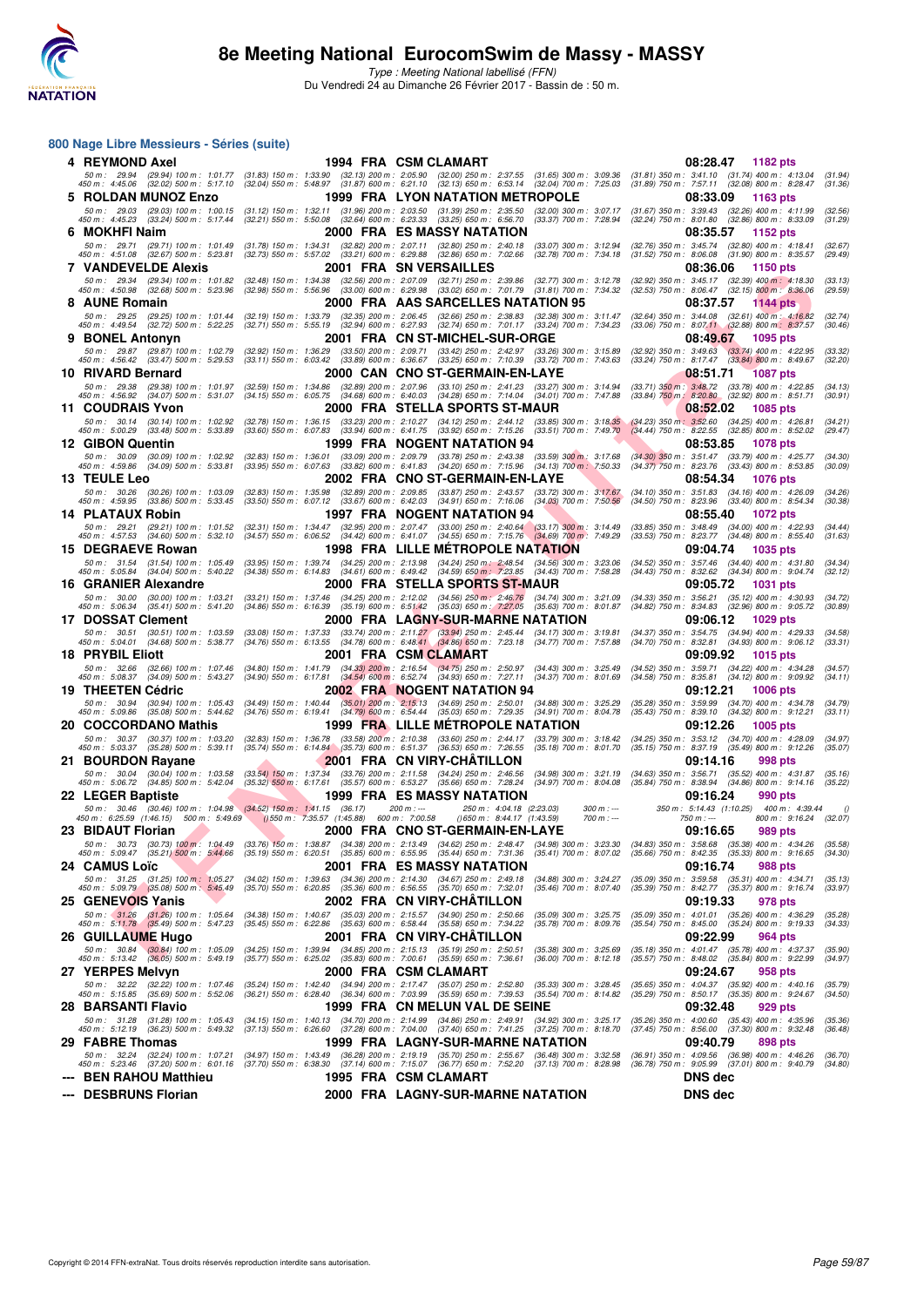

Type : Meeting National labellisé (FFN) Du Vendredi 24 au Dimanche 26 Février 2017 - Bassin de : 50 m.

#### **800 Nage Libre Messieurs - Séries (suite)**

| 4   REYMOND Axel                                                                                                |                                                                                                                                                 | 1994 FRA CSM CLAMART                                                                                                                                                                                                                                                                                                                                            | 08:28.47<br>1182 pts                                                                                                                             |
|-----------------------------------------------------------------------------------------------------------------|-------------------------------------------------------------------------------------------------------------------------------------------------|-----------------------------------------------------------------------------------------------------------------------------------------------------------------------------------------------------------------------------------------------------------------------------------------------------------------------------------------------------------------|--------------------------------------------------------------------------------------------------------------------------------------------------|
| 450 m : 4:45.06 (32.02) 500 m : 5:17.10 (32.04) 550 m : 5:48.97 (31.87) 600 m : 6:21.10 (32.13) 650 m : 6:53.14 |                                                                                                                                                 | 50 m : 29.94 (29.94) 100 m : 1:01.77 (31.83) 150 m : 1:33.90 (32.13) 200 m : 2:05.90 (32.00) 250 m : 2:37.55 (31.65) 300 m : 3:09.36<br>$(32.04)$ 700 m : 7:25.03                                                                                                                                                                                               | $(31.81)$ 350 m : 3:41.10 $(31.74)$ 400 m : 4:13.04<br>(31.94)<br>(31.89) 750 m: 7:57.11 (32.08) 800 m: 8:28.47<br>(31.36)                       |
| 5   ROLDAN MUNOZ Enzo                                                                                           |                                                                                                                                                 | 1999 FRA LYON NATATION METROPOLE                                                                                                                                                                                                                                                                                                                                | 08:33.09<br>1163 pts                                                                                                                             |
| 50 m: 29.03 (29.03) 100 m: 1:00.15                                                                              | (31.12) 150 m: 1:32.11 (31.96) 200 m: 2:03.50 (31.39) 250 m: 2:35.50                                                                            | $(32.00)$ 300 m : 3:07.17                                                                                                                                                                                                                                                                                                                                       | $(31.67)$ 350 m : 3:39.43 $(32.26)$ 400 m : 4:11.99<br>(32.56)                                                                                   |
| 450 m: 4:45.23 (33.24) 500 m: 5:17.44<br>6 MOKHFI Naim                                                          | $(32.21)$ 550 m : 5:50.08 $(32.64)$ 600 m : 6:23.33 $(33.25)$ 650 m : 6:56.70                                                                   | $(33.37)$ 700 m : 7:28.94<br>2000 FRA ES MASSY NATATION                                                                                                                                                                                                                                                                                                         | (32.24) 750 m : 8:01.80 (32.86) 800 m : 8:33.09<br>(31.29)<br>08:35.57<br>1152 pts                                                               |
| 50 m: 29.71 (29.71) 100 m: 1:01.49                                                                              |                                                                                                                                                 | $(31.78)$ 150 m : 1:34.31 $(32.82)$ 200 m : 2:07.11 $(32.80)$ 250 m : 2:40.18 $(33.07)$ 300 m : 3:12.94                                                                                                                                                                                                                                                         | $(32.76)$ 350 m : 3:45.74 $(32.80)$ 400 m : 4:18.41<br>(32.67)                                                                                   |
| 450 m : 4:51.08 (32.67) 500 m : 5:23.81                                                                         | (32.73) 550 m : 5:57.02 (33.21) 600 m : 6:29.88 (32.86) 650 m : 7:02.66                                                                         | (32.78) 700 m : 7:34.18                                                                                                                                                                                                                                                                                                                                         | (31.52) 750 m : 8:06.08 (31.90) 800 m : 8:35.57<br>(29.49)                                                                                       |
| 7   VANDEVELDE Alexis                                                                                           |                                                                                                                                                 | <b>2001 FRA SN VERSAILLES</b>                                                                                                                                                                                                                                                                                                                                   | 08:36.06<br>1150 pts                                                                                                                             |
| 50 m: 29.34 (29.34) 100 m: 1:01.82<br>450 m : 4:50.98 (32.68) 500 m : 5:23.96                                   | (32.48) 150 m : 1:34.38 (32.56) 200 m : 2:07.09 (32.71) 250 m : 2:39.86                                                                         | (32.77) 300 m : 3:12.78<br>$(32.98)$ 550 m : 5:56.96 $(33.00)$ 600 m : 6:29.98 $(33.02)$ 650 m : 7:01.79 $(31.81)$ 700 m : 7:34.32                                                                                                                                                                                                                              | (32.92) 350 m: 3:45.17 (32.39) 400 m: 4:18.30<br>(33.13)<br>(32.53) 750 m : 8:06.47 (32.15) 800 m : 8:36.06<br>(29.59)                           |
| 8 AUNE Romain                                                                                                   |                                                                                                                                                 | 2000 FRA AAS SARCELLES NATATION 95                                                                                                                                                                                                                                                                                                                              | 08:37.57<br>1144 pts                                                                                                                             |
| 50 m: 29.25 (29.25) 100 m: 1:01.44<br>450 m : 4:49.54 (32.72) 500 m : 5:22.25                                   | $(32.19)$ 150 m : 1:33.79                                                                                                                       | (32.35) 200 m : 2:06.45 (32.66) 250 m : 2:38.83 (32.38) 300 m : 3:11.47<br>(32.71) 550 m : 5:55.19 (32.94) 600 m : 6:27.93 (32.74) 650 m : 7:01.17 (33.24) 700 m : 7:34.23                                                                                                                                                                                      | (32.64) 350 m: 3:44.08 (32.61) 400 m: 4:16.82<br>(32.74)<br>(30.46)<br>(33.06) 750 m : 8:07.11 (32.88) 800 m : 8:37.57                           |
| <b>9 BONEL Antonyn</b>                                                                                          |                                                                                                                                                 | 2001 FRA CN ST-MICHEL-SUR-ORGE                                                                                                                                                                                                                                                                                                                                  | 08:49.67<br>1095 pts                                                                                                                             |
| 50 m: 29.87 (29.87) 100 m: 1:02.79                                                                              | $(32.92)$ 150 m : 1:36.29                                                                                                                       | (33.50) 200 m : 2:09.71 (33.42) 250 m : 2:42.97 (33.26) 300 m : 3:15.89                                                                                                                                                                                                                                                                                         | (32.92) 350 m : 3:49.63 (33.74) 400 m : 4:22.95<br>(33.32)                                                                                       |
| 450 m : 4:56.42 (33.47) 500 m : 5:29.53<br>10 RIVARD Bernard                                                    | $(33.89)$ 600 m : 6:36.67<br>$(33.11)$ 550 m : 6:03.42                                                                                          | $(33.25)$ 650 m : 7:10.39<br>$(33.72)$ 700 m : 7:43.63<br>2000 CAN CNO ST-GERMAIN-EN-LAYE                                                                                                                                                                                                                                                                       | (33.24) 750 m : 8:17.47<br>$(33.84)$ 800 m : 8:49.67<br>(32.20)<br><b>1087 pts</b>                                                               |
| 50 m: 29.38 (29.38) 100 m: 1:01.97                                                                              |                                                                                                                                                 | (32.59) 150 m : 1:34.86 (32.89) 200 m : 2:07.96 (33.10) 250 m : 2:41.23 (33.27) 300 m : 3:14.94                                                                                                                                                                                                                                                                 | 08:51.71<br>(33.71) 350 m : 3:48.72 (33.78) 400 m : 4:22.85<br>(34.13)                                                                           |
| 450 m : 4:56.92 (34.07) 500 m : 5:31.07                                                                         | $(34.15)$ 550 m : 6:05.75                                                                                                                       | (34.68) 600 m : 6:40.03 (34.28) 650 m : 7:14.04 (34.01) 700 m : 7:47.88                                                                                                                                                                                                                                                                                         | (30.91)<br>(33.84) 750 m : 8:20.80 (32.92) 800 m : 8:51.71                                                                                       |
| <b>11 COUDRAIS Yvon</b>                                                                                         |                                                                                                                                                 | 2000 FRA STELLA SPORTS ST-MAUR                                                                                                                                                                                                                                                                                                                                  | 08:52.02<br><b>1085 pts</b>                                                                                                                      |
| 50 m: 30.14 (30.14) 100 m: 1:02.92<br>450 m: 5:00.29 (33.48) 500 m: 5:33.89                                     |                                                                                                                                                 | (32.78) 150 m : 1:36.15 (33.23) 200 m : 2:10.27 (34.12) 250 m : 2:44.12 (33.85) 300 m : 3:18.35<br>(33.60) 550 m: 6:07.83 (33.94) 600 m: 6:41.75 (33.92) 650 m: 7:15.26 (33.51) 700 m: 7:49.70                                                                                                                                                                  | $(34.23)$ 350 m : 3:52.60<br>$(34.25)$ 400 m : 4:26.81<br>(34.21)<br>$(34.44)$ 750 m : 8:22.55 $(32.85)$ 800 m : 8:52.02<br>(29.47)              |
| 12 GIBON Quentin                                                                                                |                                                                                                                                                 | 1999 FRA NOGENT NATATION 94                                                                                                                                                                                                                                                                                                                                     | 08:53.85<br>1078 pts                                                                                                                             |
| 50 m: 30.09 (30.09) 100 m: 1:02.92<br>450 m : 4:59.86 (34.09) 500 m : 5:33.81                                   |                                                                                                                                                 | $(32.83)$ 150 m : 1:36.01 $(33.09)$ 200 m : 2:09.79 $(33.78)$ 250 m : 2:43.38 $(33.59)$ 300 m : 3:17.68<br>(33.95) 550 m: 6:07.63 (33.82) 600 m: 6:41.83 (34.20) 650 m: 7:15.96 (34.13) 700 m: 7:50.33                                                                                                                                                          | $(34.30)$ 350 m : 3:51.47 $(33.79)$ 400 m : 4:25.77<br>(34.30)<br>$(34.37)$ 750 m : 8:23.76 $(33.43)$ 800 m : 8:53.85<br>(30.09)                 |
| 13 TEULE Leo                                                                                                    |                                                                                                                                                 | 2002 FRA CNO ST-GERMAIN-EN-LAYE                                                                                                                                                                                                                                                                                                                                 | 08:54.34<br><b>1076 pts</b>                                                                                                                      |
| 50 m : 30.26 (30.26) 100 m : 1:03.09                                                                            |                                                                                                                                                 | (32.83) 150 m: 1:35.98 (32.89) 200 m: 2:09.85 (33.87) 250 m: 2:43.57 (33.72) 300 m: 3:17.67                                                                                                                                                                                                                                                                     | (34.10) 350 m: 3:51.83 (34.16) 400 m: 4:26.09<br>(34.26)                                                                                         |
| 450 m : 4:59.95<br>$(33.86)$ 500 m : 5:33.45<br>14 PLATAUX Robin                                                |                                                                                                                                                 | $(33.50)$ 550 m : 6:07.12 $(33.67)$ 600 m : 6:42.03 $(34.91)$ 650 m : 7:16.06 $(34.03)$ 700 m : 7:50.56                                                                                                                                                                                                                                                         | (34.50) 750 m : 8:23.96 (33.40) 800 m : 8:54.34<br>(30.38)                                                                                       |
|                                                                                                                 |                                                                                                                                                 | 1997 FRA NOGENT NATATION 94<br>50 m: 29.21 (29.21) 100 m: 1:01.52 (32.31) 150 m: 1:34.47 (32.95) 200 m: 2:07.47 (33.00) 250 m: 2:40.64 (33.17) 300 m: 3:14.49                                                                                                                                                                                                   | 08:55.40<br><b>1072 pts</b><br>(33.85) 350 m: 3:48.49 (34.00) 400 m: 4:22.93<br>(34.44)                                                          |
| 450 m: 4:57.53 (34.60) 500 m: 5:32.10                                                                           |                                                                                                                                                 | $(34.57)$ 550 m : 6:06.52 $(34.42)$ 600 m : 6:41.07 $(34.55)$ 650 m : 7:15.76 $(34.69)$ 700 m : 7:49.29                                                                                                                                                                                                                                                         | (33.53) 750 m : 8:23.77 (34.48) 800 m : 8:55.40<br>(31.63)                                                                                       |
| 15 DEGRAEVE Rowan                                                                                               |                                                                                                                                                 | 1998 FRA LILLE METROPOLE NATATION                                                                                                                                                                                                                                                                                                                               | 09:04.74<br>1035 pts                                                                                                                             |
| 50 m: 31.54 (31.54) 100 m: 1:05.49<br>450 m : 5:05.84 (34.04) 500 m : 5:40.22                                   |                                                                                                                                                 | $(33.95) 150 m : 1:39.74 \quad (34.25) 200 m : 2:13.98 \quad (34.24) 250 m : 2:48.54 \quad (34.56) 300 m : 3:23.06$<br>$(34.38)$ 550 m : 6:14.83 $(34.61)$ 600 m : 6:49.42 $(34.59)$ 650 m : 7:23.85 $(34.43)$ 700 m : 7:58.28                                                                                                                                  | $(34.52)$ 350 m : 3:57.46 $(34.40)$ 400 m : 4:31.80<br>(34.34)<br>$(34.43)$ 750 m : 8:32.62 $(34.34)$ 800 m : 9:04.74<br>(32.12)                 |
| 16 GRANIER Alexandre                                                                                            |                                                                                                                                                 | 2000 FRA STELLA SPORTS ST-MAUR                                                                                                                                                                                                                                                                                                                                  | 09:05.72<br>1031 pts                                                                                                                             |
| 50 m: 30.00 (30.00) 100 m: 1:03.21<br>450 m : 5:06.34 (35.41) 500 m : 5:41.20                                   |                                                                                                                                                 | (33.21) 150 m: 1:37.46 (34.25) 200 m: 2:12.02 (34.56) 250 m: 2:46.76 (34.74) 300 m: 3:21.09<br>(34.86) 550 m: 6:16.39 (35.19) 600 m: 6:51.42 (35.03) 650 m: 7:27.05 (35.63) 700 m: 8:01.87                                                                                                                                                                      | (34.33) 350 m: 3:56.21 (35.12) 400 m: 4:30.93<br>(34.72)<br>(30.89)<br>(34.82) 750 m : 8:34.83 (32.96) 800 m : 9:05.72                           |
| <b>17 DOSSAT Clement</b>                                                                                        |                                                                                                                                                 | 2000 FRA LAGNY-SUR-MARNE NATATION                                                                                                                                                                                                                                                                                                                               | 09:06.12<br>1029 pts                                                                                                                             |
| 50 m: 30.51 (30.51) 100 m: 1:03.59                                                                              |                                                                                                                                                 | (33.08) 150 m: 1:37.33 (33.74) 200 m: 2:11.27 (33.94) 250 m: 2:45.44 (34.17) 300 m: 3:19.81                                                                                                                                                                                                                                                                     | (34.37) 350 m: 3:54.75 (34.94) 400 m: 4:29.33<br>(34.58)                                                                                         |
| (34.68) 500 m : 5:38.77<br>450 m : 5:04.01<br>18 PRYBIL Eliott                                                  |                                                                                                                                                 | (34.76) 550 m : 6:13.55 (34.78) 600 m : 6:48.41 (34.86) 650 m : 7:23.18 (34.77) 700 m : 7:57.88<br>2001 FRA CSM CLAMART                                                                                                                                                                                                                                         | $(34.70)$ 750 m : 8:32.81<br>$(34.93)$ 800 m : 9:06.12<br>(33.31)<br>09:09.92<br><b>1015 pts</b>                                                 |
| 50 m: 32.66 (32.66) 100 m: 1:07.46                                                                              |                                                                                                                                                 | (34.80) 150 m : 1:41.79 (34.33) 200 m : 2:16.54 (34.75) 250 m : 2:50.97 (34.43) 300 m : 3:25.49                                                                                                                                                                                                                                                                 | (34.52) 350 m: 3:59.71 (34.22) 400 m: 4:34.28<br>(34.57)                                                                                         |
| 450 m : 5:08.37<br>$(34.09)$ 500 m : 5:43.27                                                                    | $(34.90)$ 550 m : 6:17.81                                                                                                                       | $(34.54)$ 600 m $: 6.52.74$ $(34.93)$ 650 m $: 7.27.11$<br>$(34.37)$ 700 m : 8:01.69                                                                                                                                                                                                                                                                            | $(34.58)$ 750 m : $8:35.81$<br>$(34.12)$ 800 m : 9:09.92<br>(34.11)                                                                              |
| 19 THEETEN Cédric<br>50 m: 30.94 (30.94) 100 m: 1:05.43                                                         |                                                                                                                                                 | 2002 FRA NOGENT NATATION 94<br>(34.49) 150 m : 1:40.44 (35.01) 200 m : 2:15.13 (34.69) 250 m : 2:50.01 (34.88) 300 m : 3:25.29                                                                                                                                                                                                                                  | 09:12.21<br><b>1006 pts</b><br>$(35.28)$ 350 m : 3:59.99<br>$(34.70)$ 400 m : 4:34.78<br>(34.79)                                                 |
| 450 m: 5:09.86 (35.08) 500 m: 5:44.62                                                                           |                                                                                                                                                 | $(34.76)$ 550 m : 6:19.41 $(34.79)$ 600 m : 6:54.44 $(35.03)$ 650 m : 7:29.35 $(34.91)$ 700 m : 8:04.78                                                                                                                                                                                                                                                         | $(35.43)$ 750 m : $8:39.10$<br>$(34.32)$ 800 m : 9:12.21<br>(33.11)                                                                              |
| 20 COCCORDANO Mathis                                                                                            |                                                                                                                                                 | 1999 FRA LILLE METROPOLE NATATION                                                                                                                                                                                                                                                                                                                               | 09:12.26<br><b>1005 pts</b>                                                                                                                      |
|                                                                                                                 | (32.83) 150 m : 1:36.78 (33.58) 200 m : 2:10.38 (33.60) 250 m : 2:44.17<br>(35.74) 550 m: 6:14.84 (35.73) 600 m: 6:51.37 (36.53) 650 m: 7:26.55 | $(33.79)$ 300 m : 3:18.42<br>$(35.18)$ 700 m : 8:01.70                                                                                                                                                                                                                                                                                                          | $(34.25)$ 350 m : 3:53.12<br>$(34.70)$ 400 m : 4:28.09<br>(34.97)<br>(35.15) 750 m: 8:37.19 (35.49) 800 m: 9:12.26<br>(35.07)                    |
| 50 m: 30.37 (30.37) 100 m: 1:03.20                                                                              |                                                                                                                                                 | 2001 FRA CN VIRY-CHATILLON                                                                                                                                                                                                                                                                                                                                      |                                                                                                                                                  |
| 450 m : 5:03.37 (35.28) 500 m : 5:39.11<br>21 BOURDON Rayane                                                    |                                                                                                                                                 |                                                                                                                                                                                                                                                                                                                                                                 | 09:14.16<br>998 pts                                                                                                                              |
| 50 m: 30.04 (30.04) 100 m: 1:03.58                                                                              | (33.54) 150 m: 1:37.34 (33.76) 200 m: 2:11.58 (34.24) 250 m: 2:46.56                                                                            | $(34.98)$ 300 m : 3:21.19                                                                                                                                                                                                                                                                                                                                       | (34.63) 350 m: 3:56.71 (35.52) 400 m: 4:31.87<br>(35.16)                                                                                         |
| 450 m : 5:06.72 (34.85) 500 m : 5:42.04                                                                         | (35.32) 550 m: 6:17.61 (35.57) 600 m: 6:53.27 (35.66) 650 m: 7:28.24                                                                            | $(34.97)$ 700 m : 8:04.08                                                                                                                                                                                                                                                                                                                                       | (35.84) 750 m : 8:38.94 (34.86) 800 m : 9:14.16<br>(35.22)                                                                                       |
| 22 LEGER Baptiste<br>50 m : 30.46 (30.46) 100 m : 1:04.98 (34.52) 150 m : 1:41.15 (36.17)                       |                                                                                                                                                 | 1999 FRA ES MASSY NATATION<br>200 m : ---<br>250 m: 4:04.18 (2:23.03)<br>$300 m : -$                                                                                                                                                                                                                                                                            | 09:16.24<br>990 pts<br>350 m: 5:14.43 (1:10.25) 400 m: 4:39.44                                                                                   |
| 450 m : 6:25.59 (1:46.15) 500 m : 5:49.69                                                                       | ()550 m: 7:35.57 (1:45.88) 600 m: 7:00.58                                                                                                       | $(1.43.59)$ m : 8:44.17 $(1.43.59)$<br>$700 m: -$                                                                                                                                                                                                                                                                                                               | 800 m: 9:16.24 (32.07)<br>750 m : ---                                                                                                            |
| 23 BIDAUT Florian                                                                                               |                                                                                                                                                 | 2000 FRA CNO ST-GERMAIN-EN-LAYE                                                                                                                                                                                                                                                                                                                                 | 09:16.65<br>989 pts                                                                                                                              |
| 50 m : 5:09.47                                                                                                  |                                                                                                                                                 | 50 m : 30.73 (30.73) 100 m : 1:04.49 (33.76) 150 m : 1:38.87 (34.38) 200 m : 2:13.49 (34.62) 250 m : 2:48.47 (34.98) 300 m : 3:23.30 (34.83) 350 m : 3:58.68 (35.38) 400 m : 4:34.26<br>(35.21) 500 m : 5:44.66 (35.19) 550 m : 6:20.51 (35.85) 600 m : 6:55.95 (35.44) 650 m : 7:31.36 (35.41) 700 m : 8:07.02 (35.66) 750 m : 8:42.35 (35.33) 800 m : 9:16.65 | (35.58)<br>(34.30)                                                                                                                               |
| 24 CAMUS Loïc                                                                                                   |                                                                                                                                                 | 2001 FRA ES MASSY NATATION                                                                                                                                                                                                                                                                                                                                      | 09:16.74<br>988 pts                                                                                                                              |
| 50 m : 31.25 (31.25) 100 m : 1:05.27<br>450 m : 5:09.79 (35.08) 500 m : 5:45.49                                 | (34.02) 150 m : 1:39.63 (34.36) 200 m : 2:14.30 (34.67) 250 m : 2:49.18<br>(35.70) 550 m: 6:20.85 (35.36) 600 m: 6:56.55 (35.70) 650 m: 7:32.01 | $(35.46)$ 700 m : 8:07.40                                                                                                                                                                                                                                                                                                                                       | (34.88) 300 m : 3:24.27 (35.09) 350 m : 3:59.58 (35.31) 400 m : 4:34.71<br>(35.13)<br>(35.39) 750 m : 8:42.77 (35.37) 800 m : 9:16.74<br>(33.97) |
| 25 GENEVOIS Yanis                                                                                               |                                                                                                                                                 | 2002 FRA CN VIRY-CHATILLON                                                                                                                                                                                                                                                                                                                                      | 09:19.33<br><b>978 pts</b>                                                                                                                       |
|                                                                                                                 | (34.38) 150 m: 1:40.67 (35.03) 200 m: 2:15.57 (34.90) 250 m: 2:50.66                                                                            | $(35.09)$ 300 m : 3:25.75<br>$(35.78)$ 700 m : 8:09.76                                                                                                                                                                                                                                                                                                          | (35.09) 350 m : 4:01.01 (35.26) 400 m : 4:36.29<br>(35.28)<br>(34.33)                                                                            |
| 50 m : 31.26 (31.26) 100 m : 1:05.64<br>450 m : 5:11.78 (35.49) 500 m : 5:47.23<br>26 GUILLAUME Hugo            | $(35.45)$ 550 m : 6:22.86 $(35.63)$ 600 m : 6:58.44 $(35.58)$ 650 m : 7:34.22                                                                   | 2001 FRA CN VIRY-CHATILLON                                                                                                                                                                                                                                                                                                                                      | (35.54) 750 m : 8:45.00 (35.24) 800 m : 9:19.33<br>09:22.99<br>964 pts                                                                           |
| 50 m: 30.84 (30.84) 100 m: 1:05.09                                                                              | (34.25) 150 m: 1:39.94 (34.85) 200 m: 2:15.13 (35.19) 250 m: 2:50.51                                                                            | $(35.38)$ 300 m : 3:25.69                                                                                                                                                                                                                                                                                                                                       | (35.18) 350 m: 4:01.47 (35.78) 400 m: 4:37.37<br>(35.90)                                                                                         |
| 450 m : 5:13.42 (36.05) 500 m : 5:49.19                                                                         | (35.77) 550 m: 6:25.02 (35.83) 600 m: 7:00.61 (35.59) 650 m: 7:36.61                                                                            | $(36.00)$ 700 m : 8:12.18                                                                                                                                                                                                                                                                                                                                       | (35.57) 750 m : 8:48.02 (35.84) 800 m : 9:22.99<br>(34.97)                                                                                       |
| 27 YERPES Melvyn<br>50 m: 32.22 (32.22) 100 m: 1:07.46                                                          | (35.24) 150 m : 1:42.40 (34.94) 200 m : 2:17.47                                                                                                 | 2000 FRA CSM CLAMART<br>$(35.07)$ 250 m : 2:52.80<br>$(35.33)$ 300 m : 3:28.45                                                                                                                                                                                                                                                                                  | 09:24.67<br>958 pts<br>(35.65) 350 m : 4:04.37 (35.92) 400 m : 4:40.16<br>(35.79)                                                                |
| 450 m : 5:15.85 (35.69) 500 m : 5:52.06                                                                         | (36.21) 550 m : 6:28.40 (36.34) 600 m : 7:03.99                                                                                                 | $(35.59)$ 650 m : 7:39.53<br>$(35.54)$ 700 m : 8:14.82                                                                                                                                                                                                                                                                                                          | (35.29) 750 m : 8:50.17 (35.35) 800 m : 9:24.67<br>(34.50)                                                                                       |
| <b>28 BARSANTI Flavio</b>                                                                                       |                                                                                                                                                 | 1999 FRA CN MELUN VAL DE SEINE                                                                                                                                                                                                                                                                                                                                  | 09:32.48<br>929 pts                                                                                                                              |
| 50 m: 31.28 (31.28) 100 m: 1:05.43<br>450 m: 5:12.19 (36.23) 500 m: 5:49.32                                     |                                                                                                                                                 | (34.15) 150 m : 1:40.13 (34.70) 200 m : 2:14.99 (34.86) 250 m : 2:49.91 (34.92) 300 m : 3:25.17<br>(37.13) 550 m: 6:26.60 (37.28) 600 m: 7:04.00 (37.40) 650 m: 7:41.25 (37.25) 700 m: 8:18.70                                                                                                                                                                  | (35.26) 350 m : 4:00.60 (35.43) 400 m : 4:35.96<br>(35.36)<br>(37.45) 750 m : 8:56.00 (37.30) 800 m : 9:32.48<br>(36.48)                         |
| 29 FABRE Thomas                                                                                                 |                                                                                                                                                 | 1999 FRA LAGNY-SUR-MARNE NATATION                                                                                                                                                                                                                                                                                                                               | 09:40.79<br>898 pts                                                                                                                              |
| 50 m : 32.24 (32.24) 100 m : 1:07.21<br>450 m: 5:23.46 (37.20) 500 m: 6:01.16                                   | (34.97) 150 m : 1:43.49 (36.28) 200 m : 2:19.19 (35.70) 250 m : 2:55.67                                                                         | $(36.48)$ 300 m : 3:32.58                                                                                                                                                                                                                                                                                                                                       | (36.91) 350 m: 4:09.56 (36.98) 400 m: 4:46.26<br>(36.70)<br>(36.78) 750 m : 9:05.99 (37.01) 800 m : 9:40.79<br>(34.80)                           |
| <b>BEN RAHOU Matthieu</b>                                                                                       |                                                                                                                                                 | (37.70) 550 m: 6:38.30 (37.14) 600 m: 7:15.07 (36.77) 650 m: 7:52.20 (37.13) 700 m: 8:28.98<br>1995 FRA CSM CLAMART                                                                                                                                                                                                                                             | <b>DNS dec</b>                                                                                                                                   |
| --- DESBRUNS Florian                                                                                            |                                                                                                                                                 | 2000 FRA LAGNY-SUR-MARNE NATATION                                                                                                                                                                                                                                                                                                                               | DNS dec                                                                                                                                          |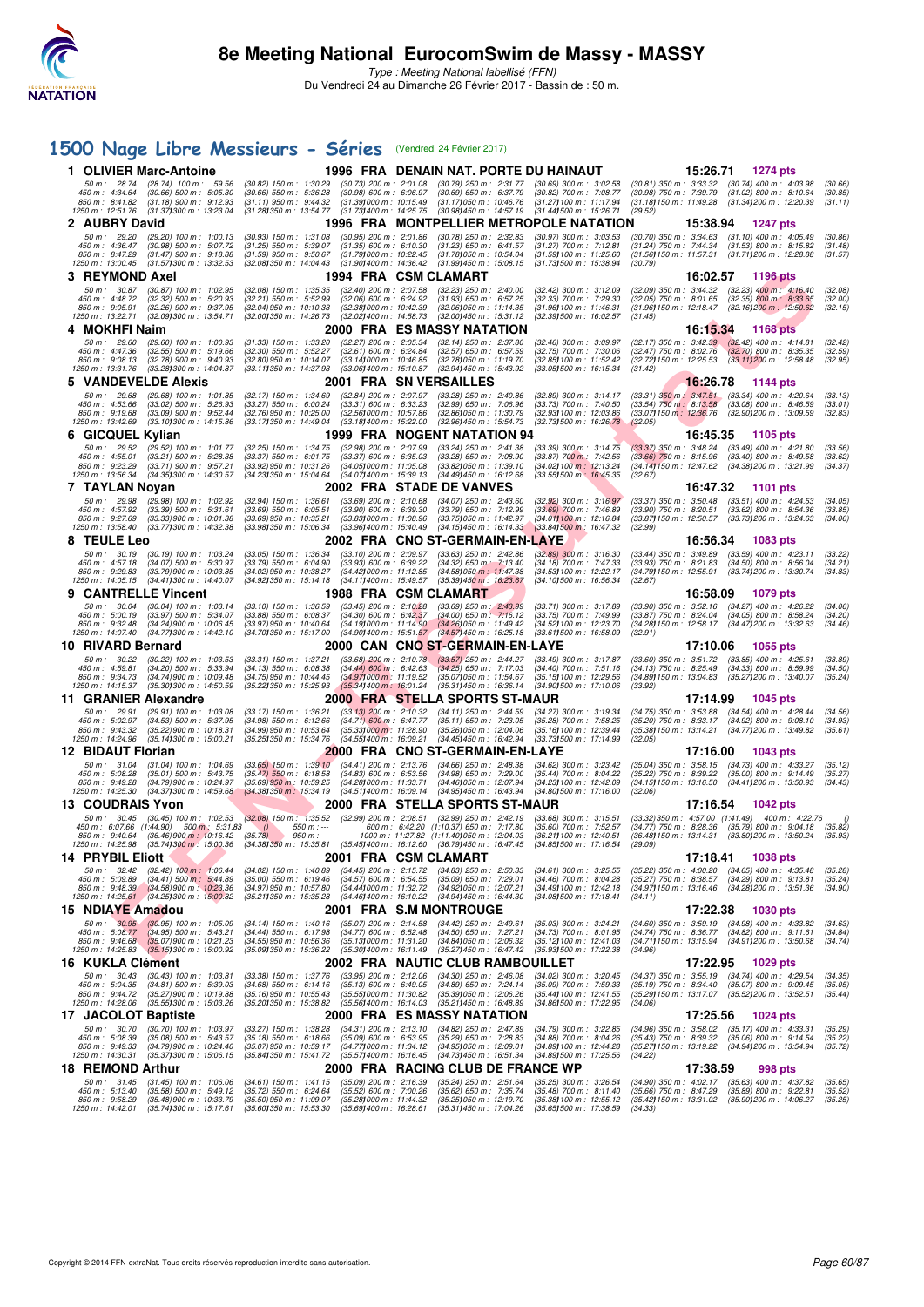

# **[1500 Nage Libre Messieurs - Séries](http://www.ffnatation.fr/webffn/resultats.php?idact=nat&go=epr&idcpt=42801&idepr=56)** (Vendredi 24 Février 2017)

|                                                                      | 1 OLIVIER Marc-Antoine                                                                                      |                                                                                                                 |                                                                                                               | 1996 FRA DENAIN NAT. PORTE DU HAINAUT                                                                                                                           |                                                                                                               | 15:26.71                                                         | 1274 pts                                                                                                                            |                               |
|----------------------------------------------------------------------|-------------------------------------------------------------------------------------------------------------|-----------------------------------------------------------------------------------------------------------------|---------------------------------------------------------------------------------------------------------------|-----------------------------------------------------------------------------------------------------------------------------------------------------------------|---------------------------------------------------------------------------------------------------------------|------------------------------------------------------------------|-------------------------------------------------------------------------------------------------------------------------------------|-------------------------------|
| 50 m: 28.74<br>450 m: 4:34.64<br>850 m : 8:41.82<br>1250 m: 12:51.76 | $(28.74)$ 100 m : 59.56<br>$(30.66)$ 500 m : 5:05.30<br>$(31.18)$ 900 m : 9:12.93<br>(31.371300 m: 13:23.04 | $(30.82)$ 150 m : 1:30.29<br>$(30.66)$ 550 m : 5:36.28<br>$(31.11)$ 950 m : 9:44.32<br>(31.28) 350 m : 13:54.77 | $(30.73)$ 200 m : 2:01.08<br>$(30.98)$ 600 m : 6:06.97<br>(31.391000 m: 10:15.49)<br>(31.73) 400 m : 14:25.75 | $(30.79)$ 250 m : 2:31.77<br>$(30.69)$ 650 m : 6:37.79<br>(31.17) 050 m : 10:46.76<br>(30.98)450 m : 14.57.19                                                   | $(30.69)$ 300 m : 3:02.58<br>$(30.82)$ 700 m : 7:08.77<br>(31.27) 100 m : 11:17.94<br>(31.44) 500 m: 15:26.71 | (30.98) 750 m : 7:39.79<br>(29.52)                               | $(30.81)$ 350 m : 3:33.32 $(30.74)$ 400 m : 4:03.98<br>$(31.02)$ 800 m : 8:10.64<br>(31.18) 150 m: 11:49.28 (31.34) 200 m: 12:20.39 | (30.66)<br>(30.85)<br>(31.11) |
| 2 AUBRY David                                                        |                                                                                                             |                                                                                                                 |                                                                                                               | 1996 FRA MONTPELLIER METROPOLE NATATION                                                                                                                         |                                                                                                               | 15:38.94                                                         | <b>1247 pts</b>                                                                                                                     |                               |
| 50 m: 29.20<br>450 m : 4:36.47                                       | $(29.20)$ 100 m : 1:00.13<br>$(30.98)$ 500 m : 5:07.72                                                      | $(30.93)$ 150 m : 1:31.08<br>$(31.25)$ 550 m : 5:39.07                                                          | $(30.95)$ 200 m : 2:01.86<br>$(31.35)$ 600 m : 6:10.30                                                        | $(30.78)$ 250 m : 2:32.83<br>$(31.23)$ 650 m : 6:41.57                                                                                                          | $(30.97)$ 300 m : 3:03.53<br>$(31.27)$ 700 m : 7:12.81                                                        |                                                                  | $(30.70)$ 350 m : 3:34.63 $(31.10)$ 400 m : 4:05.49<br>(31.24) 750 m : 7:44.34 (31.53) 800 m : 8:15.82                              | (30.86)<br>(31.48)            |
| 850 m : 8:47.29                                                      | $(31.47)$ 900 m : 9:18.88                                                                                   | $(31.59)$ 950 m : 9:50.67                                                                                       | (31.79) 000 m: 10:22.45                                                                                       | (31.78) 050 m: 10:54.04                                                                                                                                         | (31.59) 100 m: 11:25.60                                                                                       |                                                                  | (31.56) 150 m: 11:57.31 (31.71) 200 m: 12:28.88                                                                                     | (31.57)                       |
| 1250 m : 13:00.45<br>3 REYMOND Axel                                  | (31.57) 300 m : 13:32.53                                                                                    | (32.08) 350 m : 14:04.43                                                                                        | (31.90) 400 m : 14:36.42                                                                                      | (31.99)450 m : 15.08.15<br>1994 FRA CSM CLAMART                                                                                                                 | (31.731500 m: 15:38.94                                                                                        | (30.79)<br>16:02.57                                              | <b>1196 pts</b>                                                                                                                     |                               |
| 50 m: 30.87                                                          | $(30.87)$ 100 m : 1:02.95                                                                                   | $(32.08)$ 150 m : 1:35.35                                                                                       | $(32.40)$ 200 m : 2:07.58                                                                                     | $(32.23)$ 250 m : 2:40.00                                                                                                                                       | $(32.42)$ 300 m : 3:12.09                                                                                     |                                                                  | $(32.09)$ 350 m : 3:44.32 $(32.23)$ 400 m : 4:16.40                                                                                 | (32.08)                       |
| 450 m : 4:48.72<br>850 m : 9:05.91<br>1250 m : 13:22.71              | $(32.32)$ 500 m : 5:20.93<br>$(32.26)$ 900 m : 9:37.95<br>(32.091300 m : 13:54.71                           | (32.21) 550 m : 5:52.99<br>$(32.04)$ 950 m : 10:10.33<br>(32.001350 m : 14:26.73)                               | $(32.06)$ 600 m : 6:24.92<br>(32.38) 000 m : 10:42.39<br>(32.02) 400 m : 14:58.73                             | $(31.93)$ 650 m : 6:57.25<br>(32.06) 050 m: 11:14.35<br>(32.001450 m: 15:31.12)                                                                                 | (32.33) 700 m : 7:29.30<br>$(31.96)$ 100 m : 11:46.31<br>(32.39) 500 m : 16:02.57                             | $(32.05)$ 750 m : 8:01.65<br>(31.96) 150 m : 12:18.47<br>(31.45) | $(32.35)$ 800 m : 8:33.65<br>(32.16) 200 m : 12:50.62                                                                               | (32.00)<br>(32.15)            |
| 4 MOKHFI Naim                                                        |                                                                                                             |                                                                                                                 |                                                                                                               | 2000 FRA ES MASSY NATATION                                                                                                                                      |                                                                                                               | 16:15.34                                                         | 1168 pts                                                                                                                            |                               |
| 50 m: 29.60<br>450 m : 4:47.36                                       | $(29.60)$ 100 m : 1:00.93<br>$(32.55)$ 500 m : 5:19.66                                                      | (31.33) 150 m : 1:33.20<br>(32.30) 550 m : 5:52.27                                                              | $(32.27)$ 200 m : 2:05.34<br>$(32.61)$ 600 m : 6:24.84                                                        | $(32.14)$ 250 m : 2:37.80<br>$(32.57)$ 650 m : 6:57.59                                                                                                          | (32.46) 300 m : 3:09.97<br>$(32.75)$ 700 m : 7:30.06                                                          |                                                                  | $(32.17)$ 350 m : 3:42.39 $(32.42)$ 400 m : 4:14.81<br>$(32.47)$ 750 m : 8:02.76 $(32.70)$ 800 m : 8:35.35                          | (32.42)<br>(32.59)            |
| 850 m : 9:08.13<br>1250 m : 13:31.76                                 | $(32.78)$ 900 m : 9:40.93<br>(33.28) 300 m : 14:04.87                                                       | (32.80) 950 m : 10:14.07<br>(33.111350 m : 14:37.93                                                             | (33.141000 m: 10:46.85<br>(33.06) 400 m : 15:10.87                                                            | (32.78)050 m : 11:19.70<br>(32.94) 450 m : 15:43.92                                                                                                             | (32.85) 100 m : 11:52.42<br>(33.05) 500 m: 16:15.34                                                           | (31.42)                                                          | (32.72) 150 m : 12:25.53 (33.11) 200 m : 12:58.48                                                                                   | (32.95)                       |
|                                                                      | 5 VANDEVELDE Alexis                                                                                         |                                                                                                                 |                                                                                                               | 2001 FRA SN VERSAILLES                                                                                                                                          |                                                                                                               | 16:26.78                                                         | 1144 pts                                                                                                                            |                               |
| 50 m: 29.68                                                          | $(29.68)$ 100 m : 1:01.85                                                                                   | $(32.17)$ 150 m : 1:34.69                                                                                       | $(32.84)$ 200 m : 2:07.97                                                                                     | $(33.28)$ 250 m : 2:40.86                                                                                                                                       | $(32.89)$ 300 m : 3:14.17                                                                                     |                                                                  | $(33.31)$ 350 m $: 3:47.51$ $(33.34)$ 400 m $: 4:20.64$                                                                             | (33.13)                       |
| 450 m : 4:53.66<br>850 m: 9:19.68                                    | $(33.02)$ 500 m : 5:26.93<br>$(33.09)$ 900 m : 9:52.44                                                      | $(33.27)$ 550 m : 6:00.24<br>(32.76) 950 m : 10:25.00                                                           | $(33.31)$ 600 m : 6:33.23<br>(32.56) 000 m : 10.57.86                                                         | $(32.99)$ 650 m : 7:06.96<br>(32.86) 050 m: 11:30.79                                                                                                            | $(33.73)$ 700 m : 7:40.50<br>(32.93) 100 m : 12:03.86                                                         |                                                                  | $(33.54)$ 750 m : $8:13.58$ $(33.08)$ 800 m : $8:46.59$<br>(33.07) 150 m : 12:36.76 (32.90) 200 m : 13:09.59                        | (33.01)<br>(32.83)            |
| 1250 m: 13:42.69                                                     | $(33.10)300 \text{ m}$ : 14:15.86                                                                           | (33.171350 m: 14:49.04                                                                                          | (33.18) 400 m : 15:22.00                                                                                      | (32.96) 450 m : 15:54.73                                                                                                                                        | (32.731500 m : 16:26.78)                                                                                      | (32.05)                                                          |                                                                                                                                     |                               |
| 6 GICQUEL Kylian<br>50 m: 29.52                                      | (29.52) 100 m: 1:01.77                                                                                      | (32.25) 150 m : 1:34.75                                                                                         | (32.98) 200 m : 2:07.99                                                                                       | 1999 FRA NOGENT NATATION 94<br>$(33.24)$ 250 m : 2:41.38                                                                                                        | $(33.39)$ 300 m : 3:14.75                                                                                     | 16:45.35<br>$(33.37)$ 350 m : 3:48.24                            | 1105 pts<br>$(33.49)$ 400 m : 4:21.80                                                                                               | (33.56)                       |
| 450 m: 4:55.01                                                       | $(33.21)$ 500 m : 5:28.38                                                                                   | $(33.37)$ 550 m : 6:01.75                                                                                       | $(33.37)$ 600 m : 6:35.03                                                                                     | $(33.28)$ 650 m : 7:08.90                                                                                                                                       | $(33.87)$ 700 m; 7:42.56                                                                                      | $(33.66)$ 750 m : 8:15.96                                        | $(33.40)$ 800 m : 8:49.58                                                                                                           | (33.62)                       |
| 850 m: 9:23.29<br>1250 m: 13:56.34                                   | $(33.71)$ 900 m : 9:57.21<br>(34.35) 300 m : 14:30.57                                                       | (33.92) 950 m : 10:31.26<br>(34.231350 m : 15:04.64                                                             | (34.051000 m: 11:05.08<br>(34.07) 400 m : 15:39.13                                                            | (33.82) 050 m: 11:39.10<br>(34.49) 450 m : 16:12.68                                                                                                             | (34.02) 100 m : 12:13.24<br>(33.551500 m: 16:45.35                                                            | (34.141150 m : 12:47.62<br>(32.67)                               | (34.381200 m: 13:21.99                                                                                                              | (34.37)                       |
| 7 TAYLAN Noyan                                                       |                                                                                                             |                                                                                                                 |                                                                                                               | 2002 FRA STADE DE VANVES                                                                                                                                        |                                                                                                               | 16:47.32                                                         | <b>1101 pts</b>                                                                                                                     |                               |
| 50 m: 29.98<br>450 m : 4:57.92                                       | (29.98) 100 m : 1:02.92<br>$(33.39)$ 500 m : 5:31.61                                                        | $(32.94)$ 150 m : 1:36.61<br>$(33.69)$ 550 m : 6:05.51                                                          | $(33.69)$ 200 m : 2:10.68<br>$(33.90)$ 600 m : 6:39.30                                                        | $(34.07)$ 250 m : 2:43.60<br>$(33.79)$ 650 m : 7:12.99                                                                                                          | (32.92) 300 m : 3:16.97<br>$(33.69)$ 700 m : 7:46.89                                                          | $(33.37)$ 350 m : 3:50.48<br>$(33.90)$ 750 m : $8:20.51$         | $(33.51)$ 400 m : 4:24.53<br>$(33.62)$ 800 m : 8:54.36                                                                              | (34.05)<br>(33.85)            |
| 850 m : 9:27.69                                                      | $(33.33)$ 900 m : 10:01.38                                                                                  | $(33.69)$ 950 m : 10:35.21                                                                                      | (33.83) 000 m : 11:08.96                                                                                      | (33.75) 050 m : 11:42.97                                                                                                                                        | (34.011100 m : 12:16.84                                                                                       | (33.87) 150 m : 12:50.57                                         | (33.731200 m : 13:24.63                                                                                                             | (34.06)                       |
| 1250 m: 13:58.40<br>8 TEULE Leo                                      | (33.771300 m : 14:32.38                                                                                     | (33.98) 350 m : 15:06.34                                                                                        | (33.96) 400 m : 15:40.49                                                                                      | $(34.15)450 \text{ m}$ : 16:14.33                                                                                                                               | $(33.84)500 \text{ m}$ : 16:47.32                                                                             | (32.99)                                                          |                                                                                                                                     |                               |
| 50 m: 30.19                                                          | $(30.19)$ 100 m : 1:03.24                                                                                   | $(33.05)$ 150 m : 1:36.34                                                                                       | $(33.10)$ 200 m : 2:09.97                                                                                     | 2002 FRA CNO ST-GERMAIN-EN-LAYE<br>$(33.63)$ 250 m : 2:42.86                                                                                                    | $(32.89)$ 300 m : 3:16.30                                                                                     | 16:56.34                                                         | 1083 pts<br>$(33.44)$ 350 m : 3:49.89 $(33.59)$ 400 m : 4:23.11                                                                     | (33.22)                       |
| 450 m : 4:57.18<br>850 m : 9:29.83                                   | $(34.07)$ 500 m : 5:30.97<br>(33.79) 900 m : 10:03.85                                                       | $(33.79)$ 550 m : 6:04.90<br>$(34.02)$ 950 m : 10:38.27                                                         | $(33.93)$ 600 m : 6:39.22<br>$(34.421000 \text{ m} : 11.12.85)$                                               | $(34.32)$ 650 m : 7:13.40<br>(34.58) 050 m: 11:47.38                                                                                                            | $(34.18)$ 700 m : 7:47.33<br>(34.53) 100 m : 12:22.17                                                         |                                                                  | (33.93) 750 m : 8:21.83 (34.50) 800 m : 8:56.04<br>(34.79) 150 m : 12.55.91 (33.74) 200 m : 13:30.74                                | (34.21)<br>(34.83)            |
| 1250 m : 14:05.15                                                    | (34.411300 m: 14:40.07                                                                                      | (34.92) 350 m : 15:14.18                                                                                        | (34.111400 m : 15:49.57)                                                                                      | (35.39) 450 m : 16:23.67                                                                                                                                        | (34.101500 m: 16:56.34)                                                                                       | (32.67)                                                          |                                                                                                                                     |                               |
|                                                                      | 9 CANTRELLE Vincent                                                                                         |                                                                                                                 |                                                                                                               | 1988 FRA CSMCLAMART                                                                                                                                             |                                                                                                               | 16:58.09                                                         | 1079 pts                                                                                                                            |                               |
| 50 m : 30.04<br>450 m: 5:00.19                                       | $(30.04)$ 100 m : 1:03.14<br>(33.97) 500 m : 5:34.07                                                        | $(33.10)$ 150 m : 1:36.59<br>$(33.88)$ 550 m : 6:08.37                                                          | $(33.45)$ 200 m : 2:10.28<br>$(34.30)$ 600 m : 6:42.37                                                        | $(33.69)$ 250 m : 2:43.99<br>$(34.00)$ 650 m : 7:16.12                                                                                                          | $(33.71)$ 300 m : 3:17.89<br>(33.75) 700 m : 7:49.99                                                          | $(33.87)$ 750 m : 8:24.04                                        | (33.90) 350 m : 3:52.16 (34.27) 400 m : 4:26.22<br>$(34.05)$ 800 m : 8:58.24                                                        | (34.06)<br>(34.20)            |
| 850 m: 9:32.48<br>1250 m: 14:07.40                                   | $(34.24)$ 900 m : 10:06.45<br>(34.77) 300 m : 14:42.10                                                      | (33.97) 950 m : 10:40.64<br>(34.701350 m: 15:17.00                                                              | (34.19) 000 m: 11:14.90<br>(34.90) 400 m : 15:51.57                                                           | (34.26) 050 m : 11:49.42<br>(34.57)450 m : 16:25.18                                                                                                             | (34.52) 100 m : 12:23.70<br>(33.611500 m: 16:58.09                                                            | (32.91)                                                          | (34.28) 150 m: 12:58.17 (34.47) 200 m: 13:32.63                                                                                     | (34.46)                       |
|                                                                      |                                                                                                             |                                                                                                                 |                                                                                                               |                                                                                                                                                                 |                                                                                                               |                                                                  |                                                                                                                                     |                               |
|                                                                      |                                                                                                             |                                                                                                                 |                                                                                                               |                                                                                                                                                                 |                                                                                                               |                                                                  |                                                                                                                                     |                               |
| 10 RIVARD Bernard<br>50 m: 30.22                                     | $(30.22)$ 100 m : 1:03.53                                                                                   | $(33.31)$ 150 m : 1:37.21                                                                                       | $(33.68)$ 200 m : 2:10.78                                                                                     | 2000 CAN CNO ST-GERMAIN-EN-LAYE<br>$(33.57)$ 250 m : 2:44.27                                                                                                    | $(33.49)$ 300 m : 3:17.87                                                                                     | 17:10.06                                                         | 1055 pts<br>$(33.60)$ 350 m : 3:51.72 $(33.85)$ 400 m : 4:25.61                                                                     | (33.89)                       |
| 450 m : 4:59.81<br>850 m : 9:34.73                                   | $(34.20)$ 500 m : 5:33.94<br>$(34.74)$ 900 m : 10:09.48                                                     | $(34.13)$ 550 m : 6:08.38<br>(34.75) 950 m : 10:44.45                                                           | $(34.44)$ 600 m : 6:42.63                                                                                     | $(34.25)$ 650 m : 7:17.03<br>(35.071050 m: 11:54.67                                                                                                             | $(34.40)$ 700 m : 7:51.16<br>(35.15) 100 m : 12:29.56                                                         | $(34.13)$ 750 m : $8.25.49$                                      | $(34.33)$ 800 m : 8.59.99<br>(34.89) 150 m : 13:04.83 (35.27) 200 m : 13:40.07                                                      | (34.50)<br>(35.24)            |
| 1250 m: 14:15.37                                                     | (35.30) 300 m : 14:50.59                                                                                    | (35.22) 350 m : 15:25.93                                                                                        | (34.971000 m: 11:19.52)<br>$(35.34)400 \text{ m}$ : 16:01.24                                                  | $(35.31)450 \text{ m}$ : 16:36.14                                                                                                                               | $(34.901500 \text{ m} : 17.10.06)$                                                                            | (33.92)                                                          |                                                                                                                                     |                               |
| 11 GRANIER Alexandre                                                 |                                                                                                             |                                                                                                                 |                                                                                                               | 2000 FRA STELLA SPORTS ST-MAUR                                                                                                                                  |                                                                                                               | 17:14.99                                                         | 1045 pts                                                                                                                            |                               |
| 50 m: 29.91<br>450 m : 5:02.97                                       | $(29.91)$ 100 m : 1:03.08<br>$(34.53)$ 500 m : 5:37.95                                                      | $(33.17)$ 150 m : 1:36.21<br>$(34.98)$ 550 m : 6:12.66                                                          | $(33.13)$ 200 m : 2:10.32<br>$(34.71)$ 600 m : 6:47.77                                                        | $(34.11)$ 250 m : 2:44.59<br>$(35.11)$ 650 m : 7:23.05                                                                                                          | $(34.27)$ 300 m : 3:19.34<br>$(35.28)$ 700 m : 7:58.25                                                        |                                                                  | $(34.75)$ 350 m : 3:53.88 $(34.54)$ 400 m : 4:28.44<br>(35.20) 750 m : 8:33.17 (34.92) 800 m : 9:08.10                              | (34.56)<br>(34.93)            |
| 850 m : 9:43.32<br>1250 m: 14:24.96                                  | (35.22) 900 m : 10:18.31<br>(35.14) 300 m : 15:00.21                                                        | (34.99) 950 m : 10:53.64<br>(35.251350 m : 15:34.76                                                             | (35.33) 000 m : 11:28.90<br>(34.55) 400 m : 16:09.21                                                          | (35.26) 050 m: 12:04.06<br>(34.45) 450 m : 16:42.94                                                                                                             | (35.16) 100 m : 12:39.44<br>(33.731500 m: 17:14.99)                                                           | (32.05)                                                          | (35.38) 150 m : 13:14.21 (34.77) 200 m : 13:49.82                                                                                   | (35.61)                       |
| 12 BIDAUT Florian                                                    |                                                                                                             |                                                                                                                 |                                                                                                               | 2000 FRA CNO ST-GERMAIN-EN-LAYE                                                                                                                                 |                                                                                                               | 17:16.00                                                         | 1043 pts                                                                                                                            |                               |
| 50 m: 31.04                                                          | $(31.04)$ 100 m : 1:04.69                                                                                   | $(33.65)$ 150 m : 1:39.10                                                                                       | $(34.41)$ 200 m : 2:13.76                                                                                     | $(34.66)$ 250 m : 2:48.38                                                                                                                                       | $(34.62)$ 300 m : 3:23.42                                                                                     |                                                                  | (35.04) 350 m: 3:58.15 (34.73) 400 m: 4:33.27                                                                                       | (35.12)                       |
| 450 m : 5:08.28<br>850 m: 9:49.28                                    | $(35.01)$ 500 m : 5:43.75<br>(34.79) 900 m : 10:24.97                                                       | $(35.47)$ 550 m : 6:18.58<br>(35.69) 950 m : 10:59.25                                                           | $(34.83)$ 600 m : 6:53.56<br>(34.28) 000 m: 11:33.71                                                          | $(34.98)$ 650 m : 7:29.00<br>(34.46) 050 m: 12:07.94                                                                                                            | $(35.44)$ 700 m : 8:04.22<br>(34.23) 100 m : 12:42.09                                                         | $(35.22)$ 750 m : 8:39.22<br>$(34.15)150 \text{ m}$ : 13:16.50   | $(35.00)$ 800 m : 9:14.49<br>(34.41) 200 m : 13.50.93                                                                               | (35.27)<br>(34.43)            |
| 1250 m: 14:25.30                                                     | (34.371300 m : 14:59.68)                                                                                    | (34.38) 350 m : 15:34.19                                                                                        | (34.511400 m: 16:09.14)                                                                                       | (34.951450 m : 16:43.94)                                                                                                                                        | (34.80) 500 m: 17:16.00                                                                                       | (32.06)                                                          |                                                                                                                                     |                               |
| <b>13 COUDRAIS Yvon</b>                                              | 50 m: 30.45 (30.45) 100 m: 1:02.53                                                                          |                                                                                                                 |                                                                                                               | 2000 FRA STELLA SPORTS ST-MAUR<br>(32.08) 150 m: 1:35.52 (32.99) 200 m: 2:08.51 (32.99) 250 m: 2:42.19                                                          | $(33.68)$ 300 m : 3:15.51                                                                                     | 17:16.54                                                         | <b>1042 pts</b><br>(33.32) 350 m: 4:57.00 (1:41.49) 400 m: 4:22.76                                                                  |                               |
|                                                                      | 450 m: 6:07.66 (1:44.90) 500 m: 5:31.83                                                                     | $550 m: -$<br>$\theta$                                                                                          |                                                                                                               | 600 m: 6:42.20 (1:10.37) 650 m: 7:17.80                                                                                                                         | $(35.60)$ 700 m : 7:52.57                                                                                     |                                                                  | (34.77) 750 m : 8:28.36 (35.79) 800 m : 9:04.18                                                                                     | (35.82)                       |
|                                                                      | 850 m : 9:40.64 (36.46) 900 m : 10:16.42 (35.78)                                                            | $950 m : -$                                                                                                     |                                                                                                               | 1000 m: 11:27.82 (1:11.40) 050 m: 12:04.03<br>1250 m : 14:25.98 (35.741300 m : 15:00.36 (34.381350 m : 15:35.81 (35.451400 m : 16:12.60 (36.791450 m : 16:47.45 | (36.211100 m: 12:40.51<br>(34.851500 m : 17:16.54                                                             | (29.09)                                                          | (36.48) 150 m: 13:14.31 (33.80) 200 m: 13:50.24                                                                                     | (35.93)                       |
| <b>14 PRYBIL Eliott</b>                                              |                                                                                                             |                                                                                                                 |                                                                                                               | 2001 FRA CSM CLAMART                                                                                                                                            |                                                                                                               |                                                                  | 17:18.41 1038 pts                                                                                                                   |                               |
| 50 m: 32.42<br>450 m : 5:09.89                                       | $(32.42)$ 100 m : 1:06.44<br>$(34.41)$ 500 m : 5:44.89                                                      | $(34.02)$ 150 m : 1:40.89<br>$(35.00)$ 550 m : 6:19.46                                                          | $(34.45)$ 200 m : 2:15.72<br>$(34.57)$ 600 m : 6:54.55                                                        | $(34.83)$ 250 m : 2:50.33<br>$(35.09)$ 650 m : 7:29.01                                                                                                          | $(34.61)$ 300 m : 3:25.55<br>$(34.46)$ 700 m : 8:04.28                                                        | $(35.22)$ 350 m : 4:00.20                                        | $(34.65)$ 400 m : 4:35.48<br>(35.27) 750 m : 8:38.57 (34.29) 800 m : 9:13.81                                                        | (35.28)<br>(35.24)            |
|                                                                      | 850 m : 9:48.39 (34.58) 900 m : 10:23.36                                                                    | (34.97) 950 m : 10:57.80                                                                                        | (34.441000 m : 11:32.72)                                                                                      | (34.921050 m : 12:07.21                                                                                                                                         | (34.49) 100 m : 12:42.18                                                                                      |                                                                  | (34.97) 150 m : 13:16.46 (34.28) 200 m : 13:51.36                                                                                   | (34.90)                       |
| 15 NDIAYE Amadou                                                     | 1250 m: 14:25.61 (34.251300 m: 15:00.82)                                                                    | (35.211350 m : 15:35.28                                                                                         | $(34.46)400 \text{ m}$ : 16:10.22                                                                             | (34.94) 450 m : 16:44.30<br>2001 FRA S.M MONTROUGE                                                                                                              | $(34.08)500 \text{ m}$ : 17:18.41                                                                             | (34.11)<br>17:22.38                                              | 1030 pts                                                                                                                            |                               |
| 50 m: 30.95                                                          | $(30.95)$ 100 m : 1:05.09                                                                                   | $(34.14)$ 150 m : 1:40.16                                                                                       | $(35.07)$ 200 m : 2:14.58                                                                                     | $(34.42)$ 250 m : 2:49.61                                                                                                                                       | $(35.03)$ 300 m : 3:24.21                                                                                     | $(34.60)$ 350 m : 3:59.19                                        | $(34.98)$ 400 m : 4:33.82                                                                                                           | (34.63)                       |
| 450 m : 5:08.77<br>850 m : 9:46.68                                   | $(34.95)$ 500 m : 5:43.21<br>$(35.07)900 \text{ m}$ : 10:21.23                                              | (34.44) 550 m : 6:17.98<br>(34.55) 950 m : 10:56.36                                                             | $(34.77)$ 600 m : 6:52.48<br>(35.13) 000 m: 11:31.20                                                          | $(34.50)$ 650 m : 7:27.21<br>(34.841050 m : 12:06.32)                                                                                                           | (34.73) 700 m : 8:01.95<br>(35.12) 100 m : 12:41.03                                                           | (34.74) 750 m : 8:36.77<br>(34.71) 150 m : 13:15.94              | $(34.82)$ 800 m : 9:11.61<br>(34.911200 m: 13:50.68                                                                                 | (34.84)<br>(34.74)            |
| 1250 m : 14:25.83                                                    | $(35.15)300 \text{ m}$ : 15:00.92                                                                           | (35.09) 350 m : 15:36.22                                                                                        | (35.30) 400 m : 16:11.49                                                                                      | (35.27) 450 m : 16:47.42                                                                                                                                        | (35.931500 m: 17:22.38                                                                                        | (34.96)                                                          |                                                                                                                                     |                               |
| 16 KUKLA Clément                                                     |                                                                                                             |                                                                                                                 |                                                                                                               | 2002 FRA NAUTIC CLUB RAMBOUILLET                                                                                                                                |                                                                                                               | 17:22.95                                                         | 1029 pts                                                                                                                            |                               |
| 50 m: 30.43<br>450 m : 5:04.35                                       | $(30.43)$ 100 m : 1:03.81<br>$(34.81)$ 500 m : 5:39.03                                                      | (33.38) 150 m : 1:37.76<br>$(34.68)$ 550 m : 6:14.16                                                            | $(33.95)$ 200 m : 2:12.06<br>(35.13) 600 m : 6:49.05                                                          | $(34.30)$ 250 m : 2:46.08<br>(34.89) 650 m : 7:24.14                                                                                                            | (34.02) 300 m : 3:20.45<br>(35.09) 700 m : 7:59.33                                                            | $(34.37)$ 350 m : 3:55.19<br>(35.19) 750 m : 8:34.40             | (34.74) 400 m : 4:29.54<br>$(35.07)$ 800 m : 9:09.45                                                                                | (34.35)<br>(35.05)            |
| 850 m : 9:44.72<br>1250 m : 14:28.06                                 | (35.27) 900 m : 10:19.88<br>(35.55) 300 m : 15:03.26                                                        | (35.16) 950 m : 10:55.43<br>(35.201350 m : 15:38.82                                                             | (35.55) 000 m: 11:30.82<br>$(35.56)400 \text{ m}$ : 16:14.03                                                  | (35.39) 050 m : 12:06.26<br>(35.21) 450 m : 16:48.89                                                                                                            | (35.44) 100 m : 12:41.55<br>(34.86) 500 m : 17:22.95                                                          | (34.06)                                                          | (35.29) 150 m: 13:17.07 (35.52) 200 m: 13:52.51                                                                                     | (35.44)                       |
| 17 JACOLOT Baptiste                                                  |                                                                                                             |                                                                                                                 |                                                                                                               | 2000 FRA ES MASSY NATATION                                                                                                                                      |                                                                                                               | 17:25.56                                                         | 1024 pts                                                                                                                            |                               |
| 50 m : 30.70<br>450 m : 5:08.39                                      | $(30.70)$ 100 m : 1:03.97                                                                                   | (33.27) 150 m : 1:38.28<br>$(35.18)$ 550 m : 6:18.66                                                            | $(34.31)$ 200 m : 2:13.10                                                                                     | $(34.82)$ 250 m : 2:47.89                                                                                                                                       | (34.79) 300 m : 3:22.85                                                                                       | $(34.96)$ 350 m : 3:58.02<br>$(35.43)$ 750 m : $8:39.32$         | $(35.17)$ 400 m : 4:33.31                                                                                                           | (35.29)<br>(35.22)            |
| 850 m : 9:49.33                                                      | (35.08) 500 m : 5:43.57<br>(34.79) 900 m : 10:24.40                                                         | (35.07) 950 m : 10:59.17                                                                                        | $(35.09)$ 600 m : 6:53.95<br>(34.771000 m: 11:34.12)                                                          | $(35.29)$ 650 m : 7:28.83<br>(34.95) 050 m : 12:09.01                                                                                                           | $(34.88)$ 700 m : 8:04.26<br>(34.89) 100 m : 12:44.28                                                         | (35.27) 150 m : 13:19.22                                         | $(35.06)$ 800 m : 9:14.54<br>(34.94) 200 m : 13:54.94                                                                               | (35.72)                       |
| 1250 m : 14:30.31                                                    | (35.37) 300 m : 15:06.15                                                                                    | (35.841350 m : 15:41.72                                                                                         | $(35.57)400 \text{ m}$ : 16:16.45                                                                             | (34.73) 450 m : 16:51.34                                                                                                                                        | (34.89) 500 m : 17:25.56                                                                                      | (34.22)                                                          |                                                                                                                                     |                               |
| 18 REMOND Arthur<br>50 m: 31.45                                      | $(31.45)$ 100 m : 1:06.06                                                                                   | $(34.61)$ 150 m : 1:41.15                                                                                       | $(35.09)$ 200 m : 2:16.39                                                                                     | 2000 FRA RACING CLUB DE FRANCE WP<br>$(35.24)$ 250 m : 2:51.64                                                                                                  | $(35.25)$ 300 m : 3:26.54                                                                                     | 17:38.59<br>$(34.90)$ 350 m : 4:02.17                            | 998 pts<br>$(35.63)$ 400 m : 4:37.82                                                                                                | (35.65)                       |
| 450 m : 5:13.40<br>850 m : 9:58.29                                   | (35.58) 500 m : 5:49.12<br>(35.48) 900 m : 10:33.79<br>(35.74) 300 m : 15:17.61                             | (35.72) 550 m : 6:24.64<br>(35.50) 950 m : 11:09.07<br>(35.60) 350 m : 15:53.30                                 | $(35.52)$ 600 m : 7:00.26<br>(35.28) 000 m: 11:44.32<br>(35.69) 400 m : 16:28.61                              | $(35.62)$ 650 m : 7:35.74<br>(35.25) 050 m : 12:19.70<br>(35.311450 m: 17:04.26                                                                                 | $(35.48)$ 700 m : 8:11.40<br>(35.38) 100 m : 12:55.12<br>(35.651500 m: 17:38.59)                              | $(35.66)$ 750 m : 8:47.29<br>(35.42) 150 m : 13:31.02            | $(35.89)$ 800 m : 9:22.81<br>(35.90) 200 m : 14:06.27                                                                               | (35.52)<br>(35.25)            |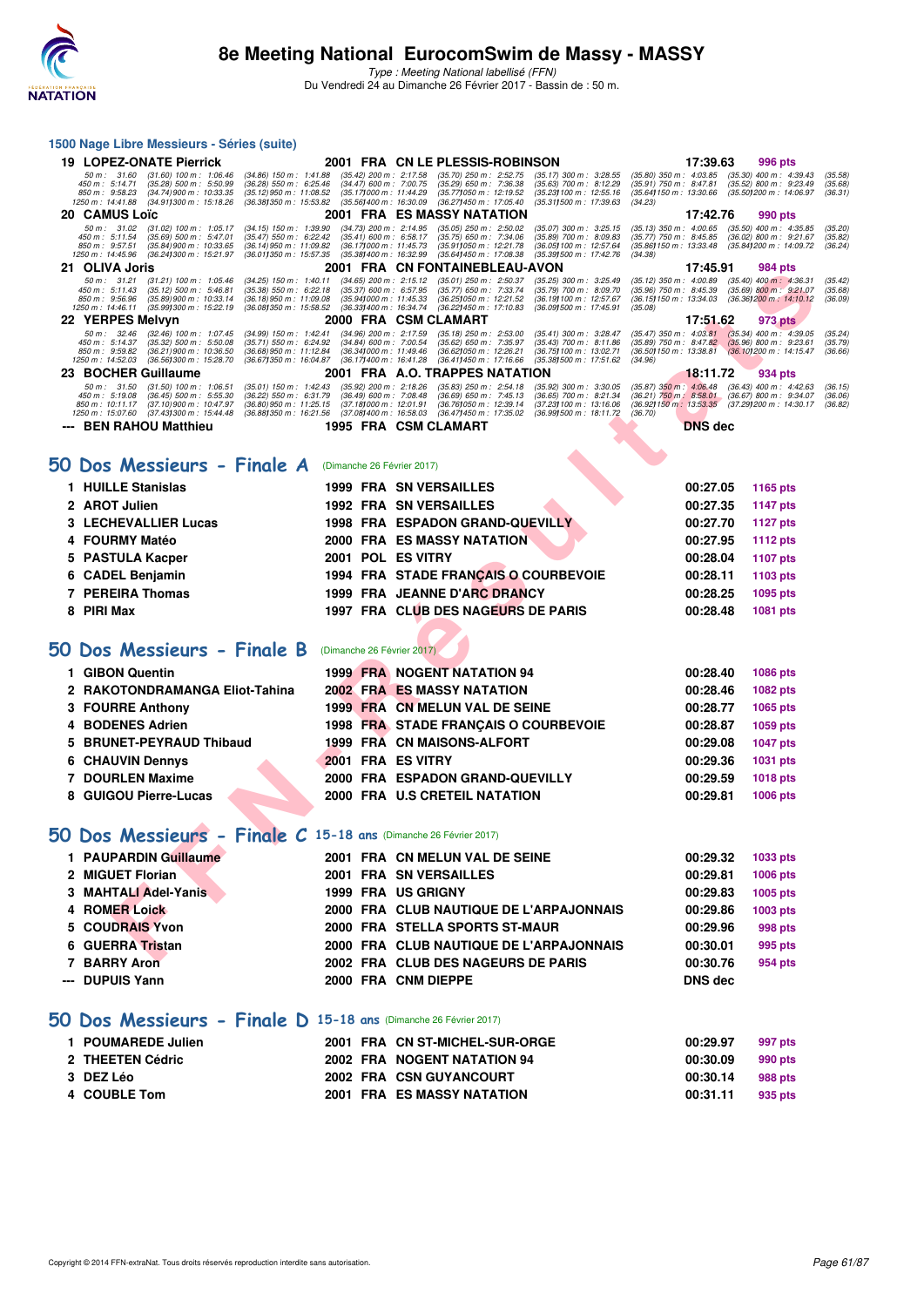

Type : Meeting National labellisé (FFN) Du Vendredi 24 au Dimanche 26 Février 2017 - Bassin de : 50 m.

#### **1500 Nage Libre Messieurs - Séries (suite)**

|   | <b>19 LOPEZ-ONATE Pierrick</b>                                                                                                                                                                                                                                                                                |                                                                                                               | 2001 FRA CN LE PLESSIS-ROBINSON                                                                                |                                                                                                                         | 17:39.63                                                                                                                                  | 996 pts                                                                            |                               |
|---|---------------------------------------------------------------------------------------------------------------------------------------------------------------------------------------------------------------------------------------------------------------------------------------------------------------|---------------------------------------------------------------------------------------------------------------|----------------------------------------------------------------------------------------------------------------|-------------------------------------------------------------------------------------------------------------------------|-------------------------------------------------------------------------------------------------------------------------------------------|------------------------------------------------------------------------------------|-------------------------------|
|   | $(31.60)$ 100 m : 1:06.46<br>$(34.86)$ 150 m : 1:41.88<br>50 m: 31.60<br>450 m: 5:14.71<br>$(35.28)$ 500 m : 5:50.99<br>$(36.28)$ 550 m : 6:25.46<br>(34.74) 900 m : 10:33.35<br>$(35.12)$ 950 m : 11:08.52<br>850 m : 9:58.23<br>1250 m : 14:41.88<br>(34.911300 m: 15:18.26<br>(36.38) 350 m : 15:53.82     | $(35.42)$ 200 m : 2:17.58<br>$(34.47)$ 600 m : 7:00.75<br>(35.17) 000 m: 11:44.29<br>(35.56) 400 m : 16:30.09 | $(35.70)$ 250 m : 2:52.75<br>$(35.29)$ 650 m : 7:36.38<br>(35.77) 050 m : 12:19.52<br>(36.27) 450 m : 17:05.40 | (35.17) 300 m : 3:28.55<br>$(35.63)$ 700 m : 8:12.29<br>(35.23) 100 m : 12:55.16<br>(35.311500 m: 17:39.63<br>(34.23)   | $(35.80)$ 350 m : 4:03.85<br>$(35.91)$ 750 m : 8:47.81<br>(35.64) 150 m : 13:30.66                                                        | $(35.30)$ 400 m : 4:39.43<br>(35.52) 800 m : 9:23.49<br>(35.50) 200 m : 14:06.97   | (35.58)<br>(35.68)<br>(36.31) |
|   | 20 CAMUS Loïc                                                                                                                                                                                                                                                                                                 |                                                                                                               | 2001 FRA ES MASSY NATATION                                                                                     |                                                                                                                         | 17:42.76                                                                                                                                  | 990 pts                                                                            |                               |
|   | 50 m: 31.02<br>$(34.15)$ 150 m : 1:39.90<br>$(31.02)$ 100 m : 1:05.17<br>(35.47) 550 m : 6:22.42<br>450 m : 5:11.54<br>(35.69) 500 m : 5:47.01<br>850 m: 9:57.51<br>$(35.84)$ 900 m : 10:33.65<br>(36.14) 950 m : 11:09.82<br>1250 m: 14:45.96<br>(36.24) 300 m : 15:21.97<br>(36.011350 m: 15:57.35)         | $(34.73)$ 200 m : 2:14.95<br>$(35.41)$ 600 m : 6:58.17<br>(36.17) 000 m: 11:45.73<br>(35.38) 400 m : 16:32.99 | $(35.05)$ 250 m : 2:50.02<br>$(35.75)$ 650 m : 7:34.06<br>(35.91) 050 m: 12:21.78<br>(35.64) 450 m : 17:08.38  | $(35.07)$ 300 m : 3:25.15<br>(35.89) 700 m : 8:09.83<br>(36.05) 100 m : 12:57.64<br>(35.39) 500 m : 17:42.76<br>(34.38) | $(35.13)$ 350 m : 4:00.65<br>$(35.77)$ 750 m : 8:45.85<br>(35.86) 150 m : 13:33.48                                                        | $(35.50)$ 400 m : 4:35.85<br>$(36.02)$ 800 m : 9:21.67<br>(35.84) 200 m : 14:09.72 | (35.20)<br>(35.82)<br>(36.24) |
|   | 21 OLIVA Joris                                                                                                                                                                                                                                                                                                |                                                                                                               | 2001 FRA CN FONTAINEBLEAU-AVON                                                                                 |                                                                                                                         | 17:45.91                                                                                                                                  | 984 pts                                                                            |                               |
|   | 50 m: 31.21<br>$(34.25)$ 150 m : 1:40.11<br>$(31.21)$ 100 m : 1:05.46<br>450 m: 5:11.43<br>$(35.12)$ 500 m : 5:46.81<br>$(35.38)$ 550 m : 6:22.18<br>850 m: 9:56.96<br>(35.89) 900 m : 10:33.14<br>(36.18) 950 m : 11:09.08<br>1250 m: 14:46.11<br>(35.99) 300 m : 15:22.19<br>(36.08) 350 m : 15:58.52       | $(34.65)$ 200 m : 2:15.12<br>$(35.37)$ 600 m : 6.57.95<br>(35.941000 m: 11:45.33<br>(36.33) 400 m : 16:34.74  | $(35.01)$ 250 m : 2:50.37<br>$(35.77)$ 650 m : 7:33.74<br>(36.25) 050 m: 12:21.52<br>(36.22) 450 m : 17:10.83  | (35.25) 300 m : 3:25.49<br>$(35.79)$ 700 m : 8:09.70<br>(36.19) 100 m : 12:57.67<br>(36.091500 m: 17:45.91<br>(35.08)   | $(35.12)$ 350 m : 4:00.89<br>$(35.96)$ 750 m : 8:45.39<br>(36.15) 150 m : 13:34.03                                                        | $(35.40)$ 400 m : 4:36.31<br>(35.69) 800 m : 9:21.07<br>(36.36) 200 m : 14:10.12   | (35.42)<br>(35.68)<br>(36.09) |
|   | 22 YERPES Melvyn                                                                                                                                                                                                                                                                                              |                                                                                                               | 2000 FRA CSMCLAMART                                                                                            |                                                                                                                         | 17:51.62                                                                                                                                  | 973 pts                                                                            |                               |
|   | 50 m: 32.46<br>(32.46) 100 m : 1:07.45<br>(34.99) 150 m : 1:42.41<br>450 m : 5:14.37<br>$(35.32)$ 500 m : 5:50.08<br>$(35.71)$ 550 m : 6:24.92<br>850 m: 9:59.82<br>$(36.21)900 \text{ m}$ : 10:36.50<br>(36.68) 950 m : 11:12.84<br>(36.67) 350 m : 16:04.87<br>1250 m: 14:52.03<br>(36.56) 300 m : 15:28.70 | (34.96) 200 m : 2:17.59<br>(34.84) 600 m : 7:00.54<br>(36.341000 m: 11:49.46)<br>(36.17) 400 m : 16:41.28     | $(35.18)$ 250 m : 2:53.00<br>(35.62) 650 m : 7:35.97<br>(36.621050 m: 12:26.21<br>(36.41) 450 m : 17:16.66     | (35.41) 300 m: 3:28.47<br>(35.43) 700 m : 8:11.86<br>(36.75) 100 m : 13:02.71<br>(34.96)<br>(35.38) 500 m : 17:51.62    | $(35.47)$ 350 m : 4:03.81<br>$(35.89)$ 750 m : 8:47.82<br>(36.50) 150 m : 13:38.81                                                        | $(35.34)$ 400 m : 4:39.05<br>$(35.96)$ 800 m : 9:23.61<br>(36.10) 200 m : 14:15.47 | (35.24)<br>(35.79)<br>(36.66) |
|   | 23 BOCHER Guillaume                                                                                                                                                                                                                                                                                           |                                                                                                               | 2001 FRA A.O. TRAPPES NATATION                                                                                 |                                                                                                                         | 18:11.72                                                                                                                                  | 934 pts                                                                            |                               |
|   | 50 m: 31.50<br>$(31.50)$ 100 m : 1:06.51<br>$(35.01)$ 150 m : 1:42.43<br>450 m: 5:19.08<br>(36.45) 500 m : 5:55.30<br>(36.22) 550 m : 6:31.79<br>(37.10) 900 m : 10:47.97<br>850 m: 10:11.17<br>(36.80) 950 m : 11:25.15<br>(37.43) 300 m : 15:44.48<br>(36.88) 350 m : 16:21.56<br>1250 m: 15:07.60          | $(35.92)$ 200 m : 2:18.26<br>$(36.49)$ 600 m : 7:08.48<br>(37.18) 000 m: 12:01.91<br>(37.08) 400 m : 16:58.03 | $(35.83)$ 250 m : 2:54.18<br>$(36.69)$ 650 m : 7:45.13<br>(36.76) 050 m: 12:39.14<br>(36.47) 450 m : 17:35.02  | $(35.92)$ 300 m : 3:30.05<br>(36.65) 700 m: 8:21.34<br>(37.23) 100 m : 13:16.06<br>(36.991500 m : 18:11.72)<br>(36.70)  | $(35.87)$ 350 m : 4:06.48<br>$(36.21)$ 750 m : $8.58.01$ $(36.67)$ 800 m : $9.34.07$<br>(36.92) 150 m : 13:53.35 (37.29) 200 m : 14:30.17 | $(36.43)$ 400 m : 4:42.63                                                          | (36.15)<br>(36.06)<br>(36.82) |
|   | --- BEN RAHOU Matthieu                                                                                                                                                                                                                                                                                        |                                                                                                               | 1995 FRA CSM CLAMART                                                                                           |                                                                                                                         | <b>DNS</b> dec                                                                                                                            |                                                                                    |                               |
|   |                                                                                                                                                                                                                                                                                                               |                                                                                                               |                                                                                                                |                                                                                                                         |                                                                                                                                           |                                                                                    |                               |
|   | 50 Dos Messieurs - Finale A                                                                                                                                                                                                                                                                                   | (Dimanche 26 Février 2017)                                                                                    |                                                                                                                |                                                                                                                         |                                                                                                                                           |                                                                                    |                               |
|   | 1 HUILLE Stanislas                                                                                                                                                                                                                                                                                            |                                                                                                               | <b>1999 FRA SN VERSAILLES</b>                                                                                  |                                                                                                                         | 00:27.05                                                                                                                                  | 1165 pts                                                                           |                               |
|   | 2 AROT Julien                                                                                                                                                                                                                                                                                                 |                                                                                                               | <b>1992 FRA SN VERSAILLES</b>                                                                                  |                                                                                                                         | 00:27.35                                                                                                                                  | <b>1147 pts</b>                                                                    |                               |
|   | 3 LECHEVALLIER Lucas                                                                                                                                                                                                                                                                                          |                                                                                                               | <b>1998 FRA ESPADON GRAND-QUEVILLY</b>                                                                         |                                                                                                                         | 00:27.70                                                                                                                                  | <b>1127 pts</b>                                                                    |                               |
|   | 4 FOURMY Matéo                                                                                                                                                                                                                                                                                                |                                                                                                               | <b>2000 FRA ES MASSY NATATION</b>                                                                              |                                                                                                                         | 00:27.95                                                                                                                                  | 1112 pts                                                                           |                               |
|   | 5 PASTULA Kacper                                                                                                                                                                                                                                                                                              | 2001 POL ES VITRY                                                                                             |                                                                                                                |                                                                                                                         | 00:28.04                                                                                                                                  | 1107 pts                                                                           |                               |
|   | 6 CADEL Benjamin                                                                                                                                                                                                                                                                                              |                                                                                                               | 1994 FRA STADE FRANÇAIS O COURBEVOIE                                                                           |                                                                                                                         | 00:28.11                                                                                                                                  | 1103 pts                                                                           |                               |
|   | 7 PEREIRA Thomas                                                                                                                                                                                                                                                                                              |                                                                                                               | 1999 FRA JEANNE D'ARC DRANCY                                                                                   |                                                                                                                         | 00:28.25                                                                                                                                  | 1095 pts                                                                           |                               |
|   | 8 PIRI Max                                                                                                                                                                                                                                                                                                    |                                                                                                               | 1997 FRA CLUB DES NAGEURS DE PARIS                                                                             |                                                                                                                         | 00:28.48                                                                                                                                  | 1081 pts                                                                           |                               |
|   |                                                                                                                                                                                                                                                                                                               |                                                                                                               |                                                                                                                |                                                                                                                         |                                                                                                                                           |                                                                                    |                               |
|   | 50 Dos Messieurs - Finale B                                                                                                                                                                                                                                                                                   | (Dimanche 26 Février 2017)                                                                                    |                                                                                                                |                                                                                                                         |                                                                                                                                           |                                                                                    |                               |
|   | 1 GIBON Quentin                                                                                                                                                                                                                                                                                               |                                                                                                               | <b>1999 FRA NOGENT NATATION 94</b>                                                                             |                                                                                                                         | 00:28.40                                                                                                                                  | 1086 pts                                                                           |                               |
|   | 2 RAKOTONDRAMANGA Eliot-Tahina                                                                                                                                                                                                                                                                                |                                                                                                               | <b>2002 FRA ES MASSY NATATION</b>                                                                              |                                                                                                                         | 00:28.46                                                                                                                                  | 1082 pts                                                                           |                               |
|   | 3 FOURRE Anthony                                                                                                                                                                                                                                                                                              |                                                                                                               | 1999 FRA CN MELUN VAL DE SEINE                                                                                 |                                                                                                                         | 00:28.77                                                                                                                                  | 1065 pts                                                                           |                               |
| 4 | <b>BODENES Adrien</b>                                                                                                                                                                                                                                                                                         |                                                                                                               | 1998 FRA STADE FRANÇAIS O COURBEVOIE                                                                           |                                                                                                                         | 00:28.87                                                                                                                                  | 1059 pts                                                                           |                               |
| 5 | <b>BRUNET-PEYRAUD Thibaud</b>                                                                                                                                                                                                                                                                                 |                                                                                                               | <b>1999 FRA CN MAISONS-ALFORT</b>                                                                              |                                                                                                                         | 00:29.08                                                                                                                                  | 1047 pts                                                                           |                               |
| 6 | <b>CHAUVIN Dennys</b>                                                                                                                                                                                                                                                                                         | 2001 FRA ES VITRY                                                                                             |                                                                                                                |                                                                                                                         | 00:29.36                                                                                                                                  | 1031 pts                                                                           |                               |
|   | <b>7 DOURLEN Maxime</b>                                                                                                                                                                                                                                                                                       |                                                                                                               | 2000 FRA ESPADON GRAND-QUEVILLY                                                                                |                                                                                                                         | 00:29.59                                                                                                                                  | 1018 pts                                                                           |                               |
|   | 8 GUIGOU Pierre-Lucas                                                                                                                                                                                                                                                                                         |                                                                                                               | 2000 FRA U.S CRETEIL NATATION                                                                                  |                                                                                                                         | 00:29.81                                                                                                                                  | 1006 pts                                                                           |                               |
|   |                                                                                                                                                                                                                                                                                                               |                                                                                                               |                                                                                                                |                                                                                                                         |                                                                                                                                           |                                                                                    |                               |
|   | $50$ Dos Messieurs - Finale C 15-18 ans (Dimanche 26 Février 2017)                                                                                                                                                                                                                                            |                                                                                                               |                                                                                                                |                                                                                                                         |                                                                                                                                           |                                                                                    |                               |
|   | 1 PAUPARDIN Guillaume                                                                                                                                                                                                                                                                                         |                                                                                                               | 2001 FRA CN MELUN VAL DE SEINE                                                                                 |                                                                                                                         | 00:29.32                                                                                                                                  | 1033 pts                                                                           |                               |
|   | 2 MIGUET Florian                                                                                                                                                                                                                                                                                              |                                                                                                               | <b>2001 FRA SN VERSAILLES</b>                                                                                  |                                                                                                                         | 00:29.81                                                                                                                                  | 1006 pts                                                                           |                               |
|   | 3 MAHTALI Adel-Yanis                                                                                                                                                                                                                                                                                          |                                                                                                               | 1999 FRA US GRIGNY                                                                                             |                                                                                                                         | 00:29.83                                                                                                                                  | 1005 pts                                                                           |                               |
|   | 4 ROMER Loick                                                                                                                                                                                                                                                                                                 |                                                                                                               | 2000 FRA CLUB NAUTIQUE DE L'ARPAJONNAIS                                                                        |                                                                                                                         | 00:29.86                                                                                                                                  | 1003 pts                                                                           |                               |
| 5 | <b>COUDRAIS Yvon</b>                                                                                                                                                                                                                                                                                          |                                                                                                               | 2000 FRA STELLA SPORTS ST-MAUR                                                                                 |                                                                                                                         | 00:29.96                                                                                                                                  | 998 pts                                                                            |                               |
|   | 6 GUERRA Tristan                                                                                                                                                                                                                                                                                              |                                                                                                               | 2000 FRA CLUB NAUTIQUE DE L'ARPAJONNAIS                                                                        |                                                                                                                         | 00:30.01                                                                                                                                  | 995 pts                                                                            |                               |
|   | <b>DADDVALL</b>                                                                                                                                                                                                                                                                                               | $0.000$ $FDR$                                                                                                 | ALUB BEG MAGEIRO BE BABIO                                                                                      |                                                                                                                         | 00.00.70                                                                                                                                  | $Q = 4.44$                                                                         |                               |

#### **[50 Dos Messieurs - Finale A](http://www.ffnatation.fr/webffn/resultats.php?idact=nat&go=epr&idcpt=42801&idepr=61)** (Dimanche 26 Février 2017)

| 1 HUILLE Stanislas   |  | <b>1999 FRA SN VERSAILLES</b>          | 00:27.05 | 1165 pts |
|----------------------|--|----------------------------------------|----------|----------|
| 2 AROT Julien        |  | <b>1992 FRA SN VERSAILLES</b>          | 00:27.35 | 1147 pts |
| 3 LECHEVALLIER Lucas |  | <b>1998 FRA ESPADON GRAND-QUEVILLY</b> | 00:27.70 | 1127 pts |
| 4 FOURMY Matéo       |  | <b>2000 FRA ES MASSY NATATION</b>      | 00:27.95 | 1112 pts |
| 5 PASTULA Kacper     |  | 2001 POL ES VITRY                      | 00:28.04 | 1107 pts |
| 6 CADEL Benjamin     |  | 1994 FRA STADE FRANCAIS O COURBEVOIE   | 00:28.11 | 1103 pts |
| 7 PEREIRA Thomas     |  | 1999 FRA JEANNE D'ARC DRANCY           | 00:28.25 | 1095 pts |
| 8 PIRI Max           |  | 1997 FRA CLUB DES NAGEURS DE PARIS     | 00:28.48 | 1081 pts |
|                      |  |                                        |          |          |

### **[50 Dos Messieurs - Finale B](http://www.ffnatation.fr/webffn/resultats.php?idact=nat&go=epr&idcpt=42801&idepr=61)** (Dimanche 26 Février 2017)

| 1 GIBON Quentin                |  | <b>1999 FRA NOGENT NATATION 94</b>   | 00:28.40 | <b>1086 pts</b> |
|--------------------------------|--|--------------------------------------|----------|-----------------|
| 2 RAKOTONDRAMANGA Eliot-Tahina |  | <b>2002 FRA ES MASSY NATATION</b>    | 00:28.46 | <b>1082 pts</b> |
| 3 FOURRE Anthony               |  | 1999 FRA CN MELUN VAL DE SEINE       | 00:28.77 | 1065 pts        |
| 4 BODENES Adrien               |  | 1998 FRA STADE FRANCAIS O COURBEVOIE | 00:28.87 | 1059 pts        |
| 5 BRUNET-PEYRAUD Thibaud       |  | 1999 FRA CN MAISONS-ALFORT           | 00:29.08 | <b>1047 pts</b> |
| <b>6 CHAUVIN Dennys</b>        |  | 2001 FRA ES VITRY                    | 00:29.36 | <b>1031 pts</b> |
| 7 DOURLEN Maxime               |  | 2000 FRA ESPADON GRAND-QUEVILLY      | 00:29.59 | <b>1018 pts</b> |
| 8 GUIGOU Pierre-Lucas          |  | 2000 FRA U.S CRETEIL NATATION        | 00:29.81 | 1006 pts        |

# **[50 Dos Messieurs - Finale C](http://www.ffnatation.fr/webffn/resultats.php?idact=nat&go=epr&idcpt=42801&idepr=61) 15-18 ans** (Dimanche 26 Février 2017)

| 1 PAUPARDIN Guillaume |  | 2001 FRA CN MELUN VAL DE SEINE          | 00:29.32 | 1033 pts |
|-----------------------|--|-----------------------------------------|----------|----------|
| 2 MIGUET Florian      |  | 2001 FRA SN VERSAILLES                  | 00:29.81 | 1006 pts |
| 3 MAHTALI Adel-Yanis  |  | <b>1999 FRA US GRIGNY</b>               | 00:29.83 | 1005 pts |
| 4 ROMER Loick         |  | 2000 FRA CLUB NAUTIQUE DE L'ARPAJONNAIS | 00:29.86 | 1003 pts |
| 5 COUDRAIS Yvon       |  | 2000 FRA STELLA SPORTS ST-MAUR          | 00:29.96 | 998 pts  |
| 6 GUERRA Tristan      |  | 2000 FRA CLUB NAUTIQUE DE L'ARPAJONNAIS | 00:30.01 | 995 pts  |
| 7 BARRY Aron          |  | 2002 FRA CLUB DES NAGEURS DE PARIS      | 00:30.76 | 954 pts  |
| --- DUPUIS Yann       |  | 2000 FRA CNM DIEPPE                     | DNS dec  |          |
|                       |  |                                         |          |          |

#### **[50 Dos Messieurs - Finale D](http://www.ffnatation.fr/webffn/resultats.php?idact=nat&go=epr&idcpt=42801&idepr=61) 15-18 ans** (Dimanche 26 Février 2017)

| 1 POUMAREDE Julien |  | 2001 FRA CN ST-MICHEL-SUR-ORGE | 00:29.97 | 997 pts |
|--------------------|--|--------------------------------|----------|---------|
| 2 THEETEN Cédric   |  | 2002 FRA NOGENT NATATION 94    | 00:30.09 | 990 pts |
| 3 DEZ Léo          |  | 2002 FRA CSN GUYANCOURT        | 00:30.14 | 988 pts |
| 4 COUBLE Tom       |  | 2001 FRA ES MASSY NATATION     | 00:31.11 | 935 pts |
|                    |  |                                |          |         |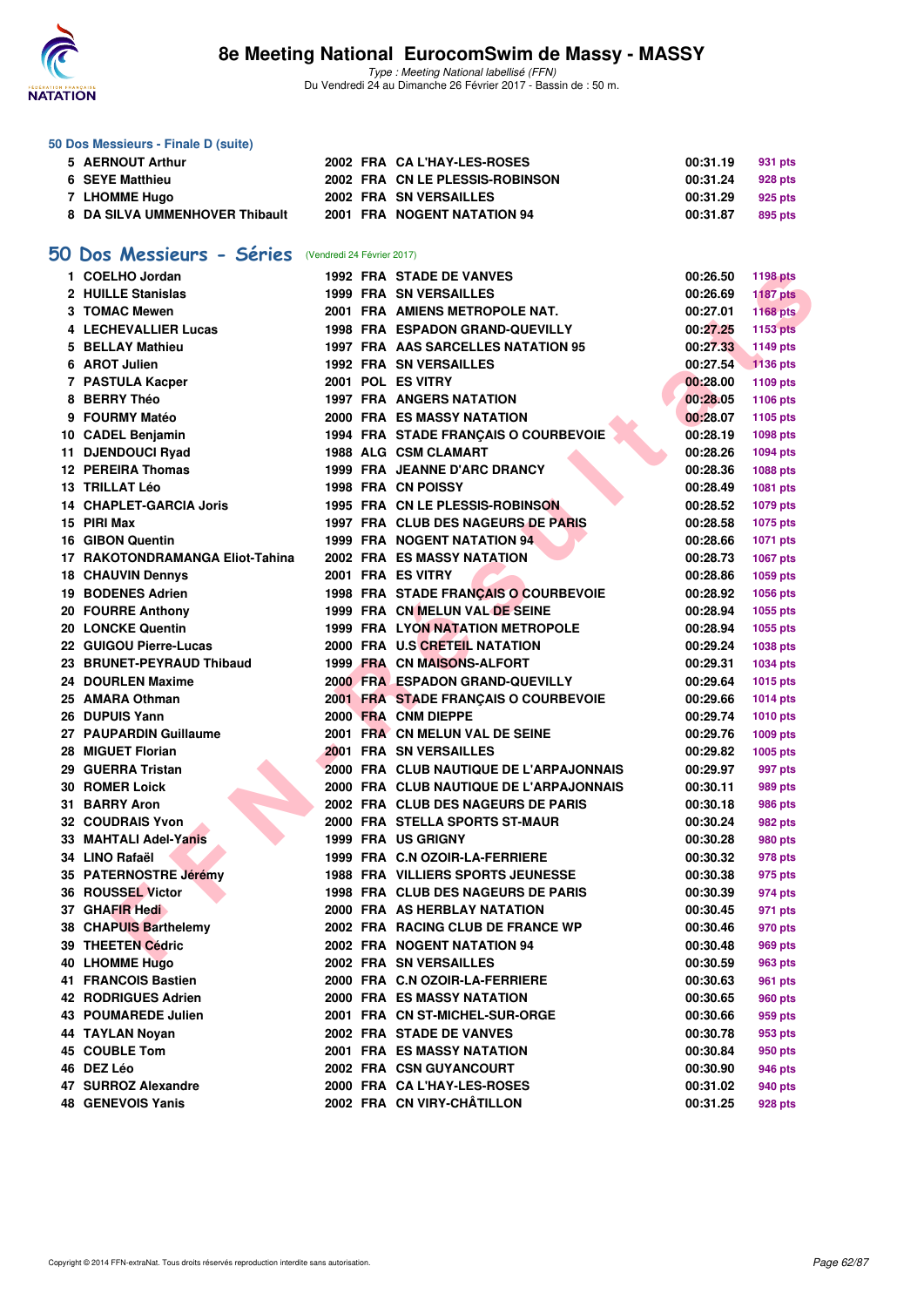

#### **50 Dos Messieurs - Finale D (suite)**

| 5 AERNOUT Arthur               |  | 2002 FRA CA L'HAY-LES-ROSES     | 00:31.19 | 931 pts |
|--------------------------------|--|---------------------------------|----------|---------|
| 6 SEYE Matthieu                |  | 2002 FRA CN LE PLESSIS-ROBINSON | 00:31.24 | 928 pts |
| 7 LHOMME Hugo                  |  | 2002 FRA SN VERSAILLES          | 00:31.29 | 925 pts |
| 8 DA SILVA UMMENHOVER Thibault |  | 2001 FRA NOGENT NATATION 94     | 00:31.87 | 895 pts |

# **[50 Dos Messieurs - Séries](http://www.ffnatation.fr/webffn/resultats.php?idact=nat&go=epr&idcpt=42801&idepr=61)** (Vendredi 24 Février 2017)

| 1 COELHO Jordan                 |  | <b>1992 FRA STADE DE VANVES</b>          | 00:26.50 | <b>1198 pts</b> |
|---------------------------------|--|------------------------------------------|----------|-----------------|
| 2 HUILLE Stanislas              |  | <b>1999 FRA SN VERSAILLES</b>            | 00:26.69 | <b>1187 pts</b> |
| 3 TOMAC Mewen                   |  | 2001 FRA AMIENS METROPOLE NAT.           | 00:27.01 | 1168 pts        |
| 4 LECHEVALLIER Lucas            |  | 1998 FRA ESPADON GRAND-QUEVILLY          | 00:27.25 | <b>1153 pts</b> |
| 5 BELLAY Mathieu                |  | 1997 FRA AAS SARCELLES NATATION 95       | 00:27.33 | 1149 pts        |
| 6 AROT Julien                   |  | <b>1992 FRA SN VERSAILLES</b>            | 00:27.54 | 1136 pts        |
| 7 PASTULA Kacper                |  | 2001 POL ES VITRY                        | 00:28.00 | 1109 pts        |
| 8 BERRY Théo                    |  | <b>1997 FRA ANGERS NATATION</b>          | 00:28.05 | 1106 pts        |
| 9 FOURMY Matéo                  |  | 2000 FRA ES MASSY NATATION               | 00:28.07 | 1105 pts        |
| 10 CADEL Benjamin               |  | 1994 FRA STADE FRANÇAIS O COURBEVOIE     | 00:28.19 | 1098 pts        |
| 11 DJENDOUCI Ryad               |  | <b>1988 ALG CSM CLAMART</b>              | 00:28.26 | <b>1094 pts</b> |
| 12 PEREIRA Thomas               |  | 1999 FRA JEANNE D'ARC DRANCY             | 00:28.36 | 1088 pts        |
| 13 TRILLAT Léo                  |  | 1998 FRA CN POISSY                       | 00:28.49 | 1081 pts        |
| 14 CHAPLET-GARCIA Joris         |  | 1995 FRA CN LE PLESSIS-ROBINSON          | 00:28.52 | 1079 pts        |
| 15 PIRI Max                     |  | 1997 FRA CLUB DES NAGEURS DE PARIS       | 00:28.58 | <b>1075 pts</b> |
| <b>16 GIBON Quentin</b>         |  | <b>1999 FRA NOGENT NATATION 94</b>       | 00:28.66 | 1071 pts        |
| 17 RAKOTONDRAMANGA Eliot-Tahina |  | 2002 FRA ES MASSY NATATION               | 00:28.73 | 1067 pts        |
| <b>18 CHAUVIN Dennys</b>        |  | 2001 FRA ES VITRY                        | 00:28.86 | 1059 pts        |
| <b>19 BODENES Adrien</b>        |  | 1998 FRA STADE FRANÇAIS O COURBEVOIE     | 00:28.92 | 1056 pts        |
| 20 FOURRE Anthony               |  | 1999 FRA CN MELUN VAL DE SEINE           | 00:28.94 | 1055 pts        |
| 20 LONCKE Quentin               |  | <b>1999 FRA LYON NATATION METROPOLE</b>  | 00:28.94 | 1055 pts        |
| 22 GUIGOU Pierre-Lucas          |  | 2000 FRA U.S CRETEIL NATATION            | 00:29.24 | 1038 pts        |
| 23 BRUNET-PEYRAUD Thibaud       |  | <b>1999 FRA CN MAISONS-ALFORT</b>        | 00:29.31 | 1034 pts        |
| 24 DOURLEN Maxime               |  | 2000 FRA ESPADON GRAND-QUEVILLY          | 00:29.64 | 1015 pts        |
| 25 AMARA Othman                 |  | 2001 FRA STADE FRANÇAIS O COURBEVOIE     | 00:29.66 | <b>1014 pts</b> |
| 26 DUPUIS Yann                  |  | 2000 FRA CNM DIEPPE                      | 00:29.74 | <b>1010 pts</b> |
| 27 PAUPARDIN Guillaume          |  | 2001 FRA CN MELUN VAL DE SEINE           | 00:29.76 | 1009 pts        |
| 28 MIGUET Florian               |  | 2001 FRA SN VERSAILLES                   | 00:29.82 | 1005 pts        |
| 29 GUERRA Tristan               |  | 2000 FRA CLUB NAUTIQUE DE L'ARPAJONNAIS  | 00:29.97 | 997 pts         |
| <b>30 ROMER Loick</b>           |  | 2000 FRA CLUB NAUTIQUE DE L'ARPAJONNAIS  | 00:30.11 | 989 pts         |
| 31 BARRY Aron                   |  | 2002 FRA CLUB DES NAGEURS DE PARIS       | 00:30.18 | 986 pts         |
| <b>32 COUDRAIS Yvon</b>         |  | 2000 FRA STELLA SPORTS ST-MAUR           | 00:30.24 | 982 pts         |
| 33 MAHTALI Adel-Yanis           |  | <b>1999 FRA US GRIGNY</b>                | 00:30.28 | 980 pts         |
| 34 LINO Rafaël                  |  | 1999 FRA C.N OZOIR-LA-FERRIERE           | 00:30.32 | 978 pts         |
| 35 PATERNOSTRE Jérémy           |  | <b>1988 FRA VILLIERS SPORTS JEUNESSE</b> | 00:30.38 | 975 pts         |
| 36 ROUSSEL Victor               |  | 1998 FRA CLUB DES NAGEURS DE PARIS       | 00:30.39 | 974 pts         |
| 37 GHAFIR Hedi                  |  | 2000 FRA AS HERBLAY NATATION             | 00:30.45 | 971 pts         |
| 38 CHAPUIS Barthelemy           |  | 2002 FRA RACING CLUB DE FRANCE WP        | 00:30.46 | 970 pts         |
| 39 THEETEN Cédric               |  | 2002 FRA NOGENT NATATION 94              | 00:30.48 | 969 pts         |
| 40 LHOMME Hugo                  |  | 2002 FRA SN VERSAILLES                   | 00:30.59 | 963 pts         |
| 41 FRANCOIS Bastien             |  | 2000 FRA C.N OZOIR-LA-FERRIERE           | 00:30.63 | 961 pts         |
| <b>42 RODRIGUES Adrien</b>      |  | <b>2000 FRA ES MASSY NATATION</b>        | 00:30.65 | <b>960 pts</b>  |
| 43 POUMAREDE Julien             |  | 2001 FRA CN ST-MICHEL-SUR-ORGE           | 00:30.66 | 959 pts         |
| <b>44 TAYLAN Noyan</b>          |  | 2002 FRA STADE DE VANVES                 | 00:30.78 | 953 pts         |
| 45 COUBLE Tom                   |  | <b>2001 FRA ES MASSY NATATION</b>        | 00:30.84 | 950 pts         |
| 46 DEZ Léo                      |  | <b>2002 FRA CSN GUYANCOURT</b>           | 00:30.90 | 946 pts         |
| 47 SURROZ Alexandre             |  | 2000 FRA CA L'HAY-LES-ROSES              | 00:31.02 | 940 pts         |
| 48 GENEVOIS Yanis               |  | 2002 FRA CN VIRY-CHÂTILLON               | 00:31.25 | 928 pts         |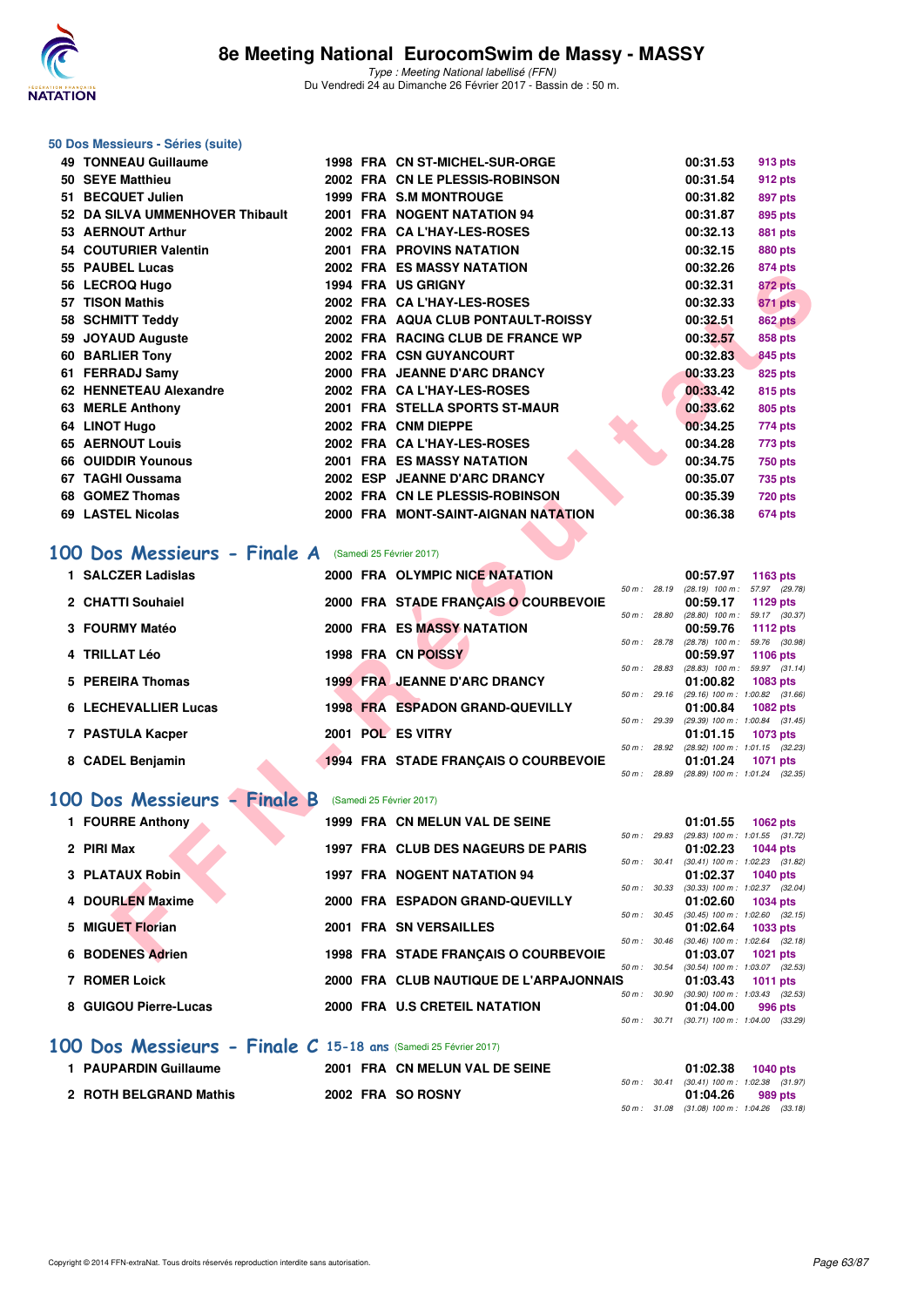

#### **50 Dos Messieurs - Séries (suite)**

| 49 TONNEAU Guillaume                                                       |  | 1998 FRA CN ST-MICHEL-SUR-ORGE                     |                |             | 00:31.53                                                   | 913 pts                             |
|----------------------------------------------------------------------------|--|----------------------------------------------------|----------------|-------------|------------------------------------------------------------|-------------------------------------|
| 50 SEYE Matthieu                                                           |  | 2002 FRA CN LE PLESSIS-ROBINSON                    |                |             | 00:31.54                                                   | 912 pts                             |
| 51 BECQUET Julien                                                          |  | <b>1999 FRA S.M MONTROUGE</b>                      |                |             | 00:31.82                                                   | 897 pts                             |
| 52 DA SILVA UMMENHOVER Thibault                                            |  | 2001 FRA NOGENT NATATION 94                        |                |             | 00:31.87                                                   | 895 pts                             |
| 53 AERNOUT Arthur                                                          |  | 2002 FRA CA L'HAY-LES-ROSES                        |                |             | 00:32.13                                                   | 881 pts                             |
| 54 COUTURIER Valentin                                                      |  | <b>2001 FRA PROVINS NATATION</b>                   |                |             | 00:32.15                                                   | <b>880 pts</b>                      |
| 55 PAUBEL Lucas                                                            |  | 2002 FRA ES MASSY NATATION                         |                |             | 00:32.26                                                   | <b>874 pts</b>                      |
| 56 LECROQ Hugo                                                             |  | <b>1994 FRA US GRIGNY</b>                          |                |             | 00:32.31                                                   | 872 pts                             |
| 57 TISON Mathis                                                            |  | 2002 FRA CA L'HAY-LES-ROSES                        |                |             | 00:32.33                                                   | 871 pts                             |
| 58 SCHMITT Teddy                                                           |  | 2002 FRA AQUA CLUB PONTAULT-ROISSY                 |                |             | 00:32.51                                                   | <b>862 pts</b>                      |
| 59 JOYAUD Auguste                                                          |  | 2002 FRA RACING CLUB DE FRANCE WP                  |                |             | 00:32.57                                                   | <b>858 pts</b>                      |
| 60 BARLIER Tony                                                            |  | 2002 FRA CSN GUYANCOURT                            |                |             | 00:32.83                                                   | 845 pts                             |
| 61 FERRADJ Samy                                                            |  | 2000 FRA JEANNE D'ARC DRANCY                       |                |             | 00:33.23                                                   | 825 pts                             |
| 62 HENNETEAU Alexandre                                                     |  | 2002 FRA CA L'HAY-LES-ROSES                        |                |             | 00:33.42                                                   | 815 pts                             |
| 63 MERLE Anthony                                                           |  | 2001 FRA STELLA SPORTS ST-MAUR                     |                |             | 00:33.62                                                   | 805 pts                             |
| 64 LINOT Hugo                                                              |  | 2002 FRA CNM DIEPPE<br>2002 FRA CA L'HAY-LES-ROSES |                |             | 00:34.25                                                   | 774 pts                             |
| <b>65 AERNOUT Louis</b><br><b>66 OUIDDIR Younous</b>                       |  | <b>2001 FRA ES MASSY NATATION</b>                  |                |             | 00:34.28<br>00:34.75                                       | 773 pts                             |
| 67 TAGHI Oussama                                                           |  | 2002 ESP JEANNE D'ARC DRANCY                       |                |             | 00:35.07                                                   | <b>750 pts</b><br><b>735 pts</b>    |
| 68 GOMEZ Thomas                                                            |  | 2002 FRA CN LE PLESSIS-ROBINSON                    |                |             | 00:35.39                                                   | <b>720 pts</b>                      |
| 69 LASTEL Nicolas                                                          |  | 2000 FRA MONT-SAINT-AIGNAN NATATION                |                |             | 00:36.38                                                   | 674 pts                             |
| 00 Dos Messieurs - Finale A (Samedi 25 Février 2017)<br>1 SALCZER Ladislas |  | 2000 FRA OLYMPIC NICE NATATION                     |                |             |                                                            |                                     |
|                                                                            |  |                                                    | 50 m : 28.19   |             | 00:57.97<br>(28.19) 100 m: 57.97 (29.78)                   | 1163 pts                            |
| 2 CHATTI Souhaiel                                                          |  | 2000 FRA STADE FRANÇAIS O COURBEVOIE               |                |             | 00:59.17                                                   | 1129 pts                            |
| 3 FOURMY Matéo                                                             |  | <b>2000 FRA ES MASSY NATATION</b>                  |                |             | 50 m: 28.80 (28.80) 100 m: 59.17 (30.37)<br>00:59.76       | <b>1112 pts</b>                     |
|                                                                            |  |                                                    | 50 m : 28.78   |             | (28.78) 100 m : 59.76 (30.98)                              |                                     |
| 4 TRILLAT Léo                                                              |  | 1998 FRA CN POISSY                                 |                |             | 00:59.97<br>$50 m$ : 28.83 (28.83) $100 m$ : 59.97 (31.14) | 1106 pts                            |
| 5 PEREIRA Thomas                                                           |  | <b>1999 FRA JEANNE D'ARC DRANCY</b>                |                |             | 01:00.82                                                   | 1083 pts                            |
|                                                                            |  |                                                    | $50 m$ : 29.16 |             | $(29.16)$ 100 m : 1:00.82 $(31.66)$                        |                                     |
| <b>6 LECHEVALLIER Lucas</b>                                                |  | <b>1998 FRA ESPADON GRAND-QUEVILLY</b>             |                |             | 01:00.84<br>50 m: 29.39 (29.39) 100 m: 1:00.84 (31.45)     | <b>1082 pts</b>                     |
| 7 PASTULA Kacper                                                           |  | 2001 POL ES VITRY                                  |                |             | 01:01.15                                                   | 1073 pts                            |
| 8 CADEL Benjamin                                                           |  | <b>1994 FRA STADE FRANÇAIS O COURBEVOIE</b>        | 50 m : 28.92   |             | (28.92) 100 m: 1:01.15 (32.23)<br>01:01.24                 | <b>1071 pts</b>                     |
|                                                                            |  |                                                    |                |             | 50 m: 28.89 (28.89) 100 m: 1:01.24 (32.35)                 |                                     |
| 00 Dos Messieurs - Finale B                                                |  | (Samedi 25 Février 2017)                           |                |             |                                                            |                                     |
| 1 FOURRE Anthony                                                           |  | 1999 FRA CN MELUN VAL DE SEINE                     |                |             | 01:01.55                                                   | 1062 pts                            |
| 2 PIRI Max                                                                 |  | 1997 FRA CLUB DES NAGEURS DE PARIS                 | 50 m : 29.83   |             | $(29.83)$ 100 m : 1:01.55 $(31.72)$<br>01:02.23            | <b>1044 pts</b>                     |
|                                                                            |  |                                                    |                |             |                                                            |                                     |
|                                                                            |  |                                                    |                | 50 m: 30.41 |                                                            | $(30.41)$ 100 m : 1:02.23 $(31.82)$ |
| 3 PLATAUX Robin                                                            |  | 1997 FRA NOGENT NATATION 94                        |                |             | 01:02.37                                                   | <b>1040 pts</b>                     |
| 4 DOURLEN Maxime                                                           |  | 2000 FRA ESPADON GRAND-QUEVILLY                    | 50 m: 30.33    |             | $(30.33)$ 100 m : 1:02.37 $(32.04)$<br>01:02.60            | <b>1034 pts</b>                     |
|                                                                            |  |                                                    |                |             | $50 m$ : $30.45$ $(30.45) 100 m$ : $1.02.60$ $(32.15)$     |                                     |
| 5 MIGUET Florian                                                           |  | 2001 FRA SN VERSAILLES                             | 50 m : 30.46   |             | 01:02.64<br>$(30.46)$ 100 m : 1:02.64 $(32.18)$            | 1033 pts                            |

# **[100 Dos Messieurs - Finale A](http://www.ffnatation.fr/webffn/resultats.php?idact=nat&go=epr&idcpt=42801&idepr=62)** (Samedi 25 Février 2017)

| 1 SALCZER Ladislas          | 2000 FRA OLYMPIC NICE NATATION         |                        | 00:57.97          | 1163 pts                            |
|-----------------------------|----------------------------------------|------------------------|-------------------|-------------------------------------|
|                             |                                        | 50 m : 28.19           | $(28.19)$ 100 m : | 57.97 (29.78)                       |
| 2 CHATTI Souhaiel           | 2000 FRA STADE FRANCAIS O COURBEVOIE   |                        | 00:59.17          | 1129 $pts$                          |
|                             |                                        | 50 m: 28.80            | $(28.80)$ 100 m : | 59.17 (30.37)                       |
| 3 FOURMY Matéo              | 2000 FRA ES MASSY NATATION             |                        | 00:59.76          | 1112 $pts$                          |
|                             |                                        | 50 m: 28.78            | $(28.78)$ 100 m : | 59.76 (30.98)                       |
| 4 TRILLAT Léo               | 1998 FRA CN POISSY                     |                        | 00:59.97          | 1106 $pts$                          |
|                             |                                        | 50 m : 28.83           |                   | $(28.83)$ 100 m : 59.97 $(31.14)$   |
| 5 PEREIRA Thomas            | <b>1999 FRA JEANNE D'ARC DRANCY</b>    |                        | 01:00.82          | 1083 pts                            |
|                             |                                        | $50 \text{ m}$ : 29.16 |                   | $(29.16)$ 100 m : 1:00.82 $(31.66)$ |
| <b>6 LECHEVALLIER Lucas</b> | <b>1998 FRA ESPADON GRAND-QUEVILLY</b> |                        | 01:00.84          | <b>1082 pts</b>                     |
|                             |                                        | 50 m: 29.39            |                   | $(29.39)$ 100 m : 1:00.84 $(31.45)$ |
| 7 PASTULA Kacper            | 2001 POL ES VITRY                      |                        | 01:01.15          | 1073 pts                            |
|                             |                                        | 50 m : 28.92           |                   | $(28.92)$ 100 m : 1:01.15 $(32.23)$ |
| 8 CADEL Benjamin            | 1994 FRA STADE FRANCAIS O COURBEVOIE   |                        | 01:01.24          | <b>1071 pts</b>                     |
|                             |                                        | 50 m : 28.89           |                   | $(28.89)$ 100 m : 1:01.24 $(32.35)$ |

# **[100 Dos Messieurs - Finale B](http://www.ffnatation.fr/webffn/resultats.php?idact=nat&go=epr&idcpt=42801&idepr=62)** (Samedi 25 Février 2017)

| 1 FOURRE Anthony       | 1999 FRA CN MELUN VAL DE SEINE          |                        | 01:01.55                                        | 1062 $pts$ |         |
|------------------------|-----------------------------------------|------------------------|-------------------------------------------------|------------|---------|
| 2 PIRI Max             | 1997 FRA CLUB DES NAGEURS DE PARIS      | 50 m: 29.83            | (29.83) 100 m: 1:01.55 (31.72)<br>01:02.23      | 1044 pts   |         |
| <b>3 PLATAUX Robin</b> | <b>1997 FRA NOGENT NATATION 94</b>      | 50 m: 30.41            | $(30.41)$ 100 m : 1:02.23 $(31.82)$<br>01:02.37 | 1040 pts   |         |
| 4 DOURLEN Maxime       | 2000 FRA ESPADON GRAND-QUEVILLY         | $50 \text{ m}$ : 30.33 | $(30.33)$ 100 m : 1:02.37 $(32.04)$<br>01:02.60 | 1034 pts   |         |
| 5 MIGUET Florian       | 2001 FRA SN VERSAILLES                  | $50 m$ : $30.45$       | $(30.45)$ 100 m : 1:02.60 $(32.15)$<br>01:02.64 | 1033 pts   |         |
| 6 BODENES Adrien       | 1998 FRA STADE FRANCAIS O COURBEVOIE    | $50 m$ : $30.46$       | $(30.46)$ 100 m : 1:02.64 $(32.18)$<br>01:03.07 | 1021 $pts$ |         |
| <b>7 ROMER Loick</b>   | 2000 FRA CLUB NAUTIQUE DE L'ARPAJONNAIS | $50 m$ : $30.54$       | $(30.54)$ 100 m : 1:03.07 $(32.53)$<br>01:03.43 | 1011 $pts$ |         |
| 8 GUIGOU Pierre-Lucas  | 2000 FRA U.S CRETEIL NATATION           | 50 m: 30.90            | $(30.90)$ 100 m : 1:03.43 $(32.53)$<br>01:04.00 |            | 996 pts |
|                        |                                         | $50 m$ : $30.71$       | (30.71) 100 m : 1:04.00 (33.29                  |            |         |

### **[100 Dos Messieurs - Finale C](http://www.ffnatation.fr/webffn/resultats.php?idact=nat&go=epr&idcpt=42801&idepr=62) 15-18 ans** (Samedi 25 Février 2017)

| 1 PAUPARDIN Guillaume  |  | 2001 FRA CN MELUN VAL DE SEINE |  | $01:02.38$ 1040 pts                                      |         |  |
|------------------------|--|--------------------------------|--|----------------------------------------------------------|---------|--|
| 2 ROTH BELGRAND Mathis |  | 2002 FRA SO ROSNY              |  | 50 m : 30.41 (30.41) 100 m : 1:02.38 (31.97)<br>01:04.26 | 989 pts |  |
|                        |  |                                |  | 50 m : 31.08 (31.08) 100 m : 1:04.26 (33.18)             |         |  |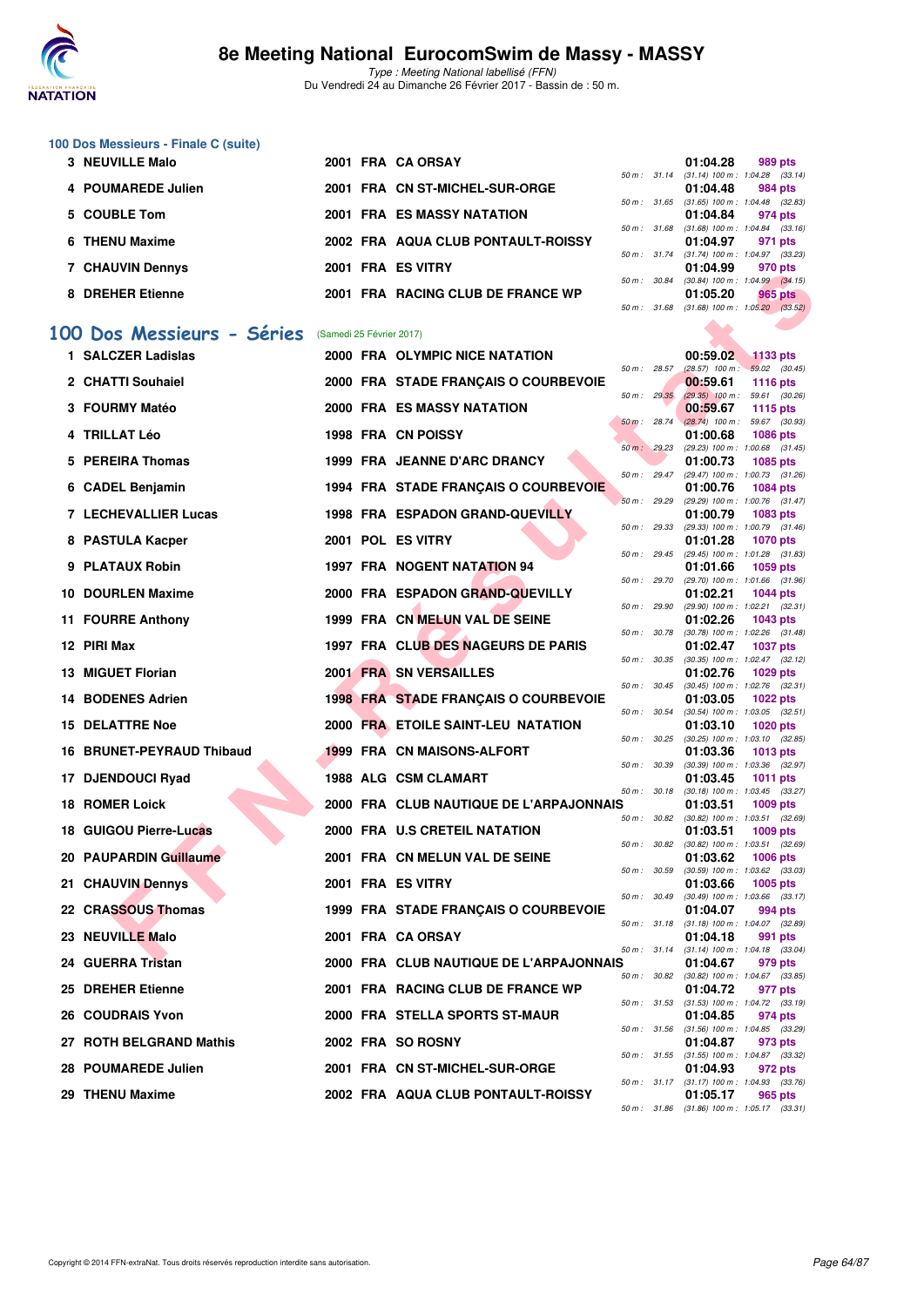

**100 Dos Messieurs - Finale C (suite)**

# **8e Meeting National EurocomSwim de Massy - MASSY**

Type : Meeting National labellisé (FFN) Du Vendredi 24 au Dimanche 26 Février 2017 - Bassin de : 50 m.

50 m : 31.14 (31.14) 100 m : 1:04.28 (33.14)

**3 NEUVILLE Malo 2001 FRA CA ORSAY 01:04.28 989 pts**

|   | 4 POUMAREDE Julien          |                          | 2001 FRA CN ST-MICHEL-SUR-ORGE          |              |              | 01:04.48                                                 | 984 pts         |  |
|---|-----------------------------|--------------------------|-----------------------------------------|--------------|--------------|----------------------------------------------------------|-----------------|--|
|   | 5 COUBLE Tom                |                          | <b>2001 FRA ES MASSY NATATION</b>       | 50 m: 31.65  |              | $(31.65)$ 100 m : 1:04.48 $(32.83)$<br>01:04.84          | 974 pts         |  |
| 6 | <b>THENU Maxime</b>         |                          | 2002 FRA AQUA CLUB PONTAULT-ROISSY      | 50 m : 31.68 |              | $(31.68)$ 100 m : 1:04.84 $(33.16)$<br>01:04.97          | 971 pts         |  |
|   | <b>7 CHAUVIN Dennys</b>     |                          | 2001 FRA ES VITRY                       | 50 m : 31.74 |              | $(31.74)$ 100 m : 1:04.97 $(33.23)$<br>01:04.99          | 970 pts         |  |
|   |                             |                          | 2001 FRA RACING CLUB DE FRANCE WP       | 50 m : 30.84 |              | $(30.84)$ 100 m : 1:04.99 $(34.15)$                      |                 |  |
|   | 8 DREHER Etienne            |                          |                                         | 50 m: 31.68  |              | 01:05.20<br>$(31.68)$ 100 m : 1:05.20 $(33.52)$          | 965 pts         |  |
|   | 100 Dos Messieurs - Séries  | (Samedi 25 Février 2017) |                                         |              |              |                                                          |                 |  |
|   | 1 SALCZER Ladislas          |                          | 2000 FRA OLYMPIC NICE NATATION          |              |              | 00:59.02                                                 | $1133$ pts      |  |
|   | 2 CHATTI Souhaiel           |                          | 2000 FRA STADE FRANÇAIS O COURBEVOIE    | 50 m: 28.57  |              | $(28.57)$ 100 m : 59.02 $(30.45)$<br>00:59.61            | <b>1116 pts</b> |  |
|   | 3 FOURMY Matéo              |                          | <b>2000 FRA ES MASSY NATATION</b>       | 50 m: 29.35  |              | $(29.35)$ 100 m : 59.61 (30.26)<br>00:59.67              | <b>1115 pts</b> |  |
|   | 4 TRILLAT Léo               |                          | 1998 FRA CN POISSY                      | 50 m: 28.74  |              | $(28.74)$ 100 m : 59.67 (30.93)<br>01:00.68              | 1086 pts        |  |
| 5 | <b>PEREIRA Thomas</b>       |                          | 1999 FRA JEANNE D'ARC DRANCY            | 50 m: 29.23  |              | (29.23) 100 m: 1:00.68 (31.45)<br>01:00.73               | <b>1085 pts</b> |  |
|   | 6 CADEL Benjamin            |                          | 1994 FRA STADE FRANÇAIS O COURBEVOIE    |              | 50 m : 29.47 | (29.47) 100 m: 1:00.73 (31.26)<br>01:00.76               | <b>1084 pts</b> |  |
|   | <b>7 LECHEVALLIER Lucas</b> |                          | <b>1998 FRA ESPADON GRAND-QUEVILLY</b>  | 50 m : 29.29 |              | (29.29) 100 m: 1:00.76 (31.47)<br>01:00.79               |                 |  |
|   |                             |                          |                                         | 50 m: 29.33  |              | (29.33) 100 m: 1:00.79 (31.46)                           | 1083 pts        |  |
|   | 8 PASTULA Kacper            |                          | 2001 POL ES VITRY                       | 50 m: 29.45  |              | 01:01.28<br>(29.45) 100 m: 1:01.28 (31.83)               | <b>1070 pts</b> |  |
|   | 9 PLATAUX Robin             |                          | <b>1997 FRA NOGENT NATATION 94</b>      | 50 m: 29.70  |              | 01:01.66<br>(29.70) 100 m: 1:01.66 (31.96)               | 1059 pts        |  |
|   | 10 DOURLEN Maxime           |                          | 2000 FRA ESPADON GRAND-QUEVILLY         | 50 m: 29.90  |              | 01:02.21<br>(29.90) 100 m: 1:02.21 (32.31)               | <b>1044 pts</b> |  |
|   | 11 FOURRE Anthony           |                          | 1999 FRA CN MELUN VAL DE SEINE          | 50 m : 30.78 |              | 01:02.26<br>(30.78) 100 m: 1:02.26 (31.48)               | 1043 pts        |  |
|   | 12 PIRI Max                 |                          | 1997 FRA CLUB DES NAGEURS DE PARIS      | 50 m : 30.35 |              | 01:02.47                                                 | <b>1037 pts</b> |  |
|   | 13 MIGUET Florian           |                          | 2001 FRA SN VERSAILLES                  |              |              | $(30.35)$ 100 m : 1:02.47 $(32.12)$<br>01:02.76          | 1029 pts        |  |
|   | 14 BODENES Adrien           |                          | 1998 FRA STADE FRANÇAIS O COURBEVOIE    | 50 m: 30.45  |              | $(30.45)$ 100 m : 1:02.76 $(32.31)$<br>01:03.05          | <b>1022 pts</b> |  |
|   | <b>15 DELATTRE Noe</b>      |                          | 2000 FRA ETOILE SAINT-LEU NATATION      | 50 m: 30.54  |              | $(30.54)$ 100 m : 1:03.05 $(32.51)$<br>01:03.10          | <b>1020 pts</b> |  |
|   | 16 BRUNET-PEYRAUD Thibaud   |                          | 1999 FRA CN MAISONS-ALFORT              | 50 m: 30.25  |              | $(30.25)$ 100 m : 1:03.10 $(32.85)$<br>01:03.36          | 1013 pts        |  |
|   | 17 DJENDOUCI Ryad           |                          | 1988 ALG CSM CLAMART                    | 50 m : 30.39 |              | (30.39) 100 m: 1:03.36 (32.97)<br>01:03.45               | <b>1011 pts</b> |  |
|   | <b>18 ROMER Loick</b>       |                          | 2000 FRA CLUB NAUTIQUE DE L'ARPAJONNAIS | 50 m : 30.18 |              | $(30.18)$ 100 m : 1:03.45 $(33.27)$<br>01:03.51          | 1009 pts        |  |
|   | 18 GUIGOU Pierre-Lucas      |                          | 2000 FRA U.S CRETEIL NATATION           |              |              | 50 m : 30.82 (30.82) 100 m : 1:03.51 (32.69)<br>01:03.51 | 1009 pts        |  |
|   |                             |                          |                                         | 50 m : 30.82 |              | $(30.82)$ 100 m : 1:03.51 $(32.69)$                      |                 |  |
|   | 20 PAUPARDIN Guillaume      |                          | 2001 FRA CN MELUN VAL DE SEINE          |              | 50 m : 30.59 | 01:03.62<br>$(30.59)$ 100 m : 1:03.62 $(33.03)$          | <b>1006 pts</b> |  |
|   | 21 CHAUVIN Dennys           |                          | 2001 FRA ES VITRY                       | 50 m : 30.49 |              | 01:03.66<br>$(30.49)$ 100 m : 1:03.66 $(33.17)$          | 1005 pts        |  |
|   | 22 CRASSOUS Thomas          |                          | 1999 FRA STADE FRANÇAIS O COURBEVOIE    |              | 50 m : 31.18 | 01:04.07<br>$(31.18)$ 100 m : 1:04.07 $(32.89)$          | 994 pts         |  |
|   | 23 NEUVILLE Malo            |                          | 2001 FRA CA ORSAY                       |              | 50 m : 31.14 | 01:04.18<br>$(31.14)$ 100 m : 1:04.18 $(33.04)$          | 991 pts         |  |
|   | 24 GUERRA Tristan           |                          | 2000 FRA CLUB NAUTIQUE DE L'ARPAJONNAIS |              |              | 01:04.67                                                 | 979 pts         |  |
|   | 25 DREHER Etienne           |                          | 2001 FRA RACING CLUB DE FRANCE WP       |              |              | 50 m: 30.82 (30.82) 100 m: 1:04.67 (33.85)<br>01:04.72   | 977 pts         |  |
|   | <b>26 COUDRAIS Yvon</b>     |                          | 2000 FRA STELLA SPORTS ST-MAUR          |              | 50 m : 31.53 | $(31.53)$ 100 m : 1:04.72 $(33.19)$<br>01:04.85          | 974 pts         |  |
|   | 27 ROTH BELGRAND Mathis     |                          | 2002 FRA SO ROSNY                       | 50 m : 31.56 |              | $(31.56)$ 100 m : 1:04.85 $(33.29)$<br>01:04.87          | 973 pts         |  |
|   | 28 POUMAREDE Julien         |                          | 2001 FRA CN ST-MICHEL-SUR-ORGE          |              |              | 50 m: 31.55 (31.55) 100 m: 1:04.87 (33.32)<br>01:04.93   | 972 pts         |  |
|   |                             |                          |                                         |              |              |                                                          |                 |  |

29 THENU Maxime 2002 FRA AQUA CLUB PONTAULT-ROISSY

50 m : 31.17 (31.17) 100 m : 1:04.93 (33.76)<br>**01:05.17 965 pts** 

50 m : 31.86 (31.86) 100 m : 1:05.17 (33.31)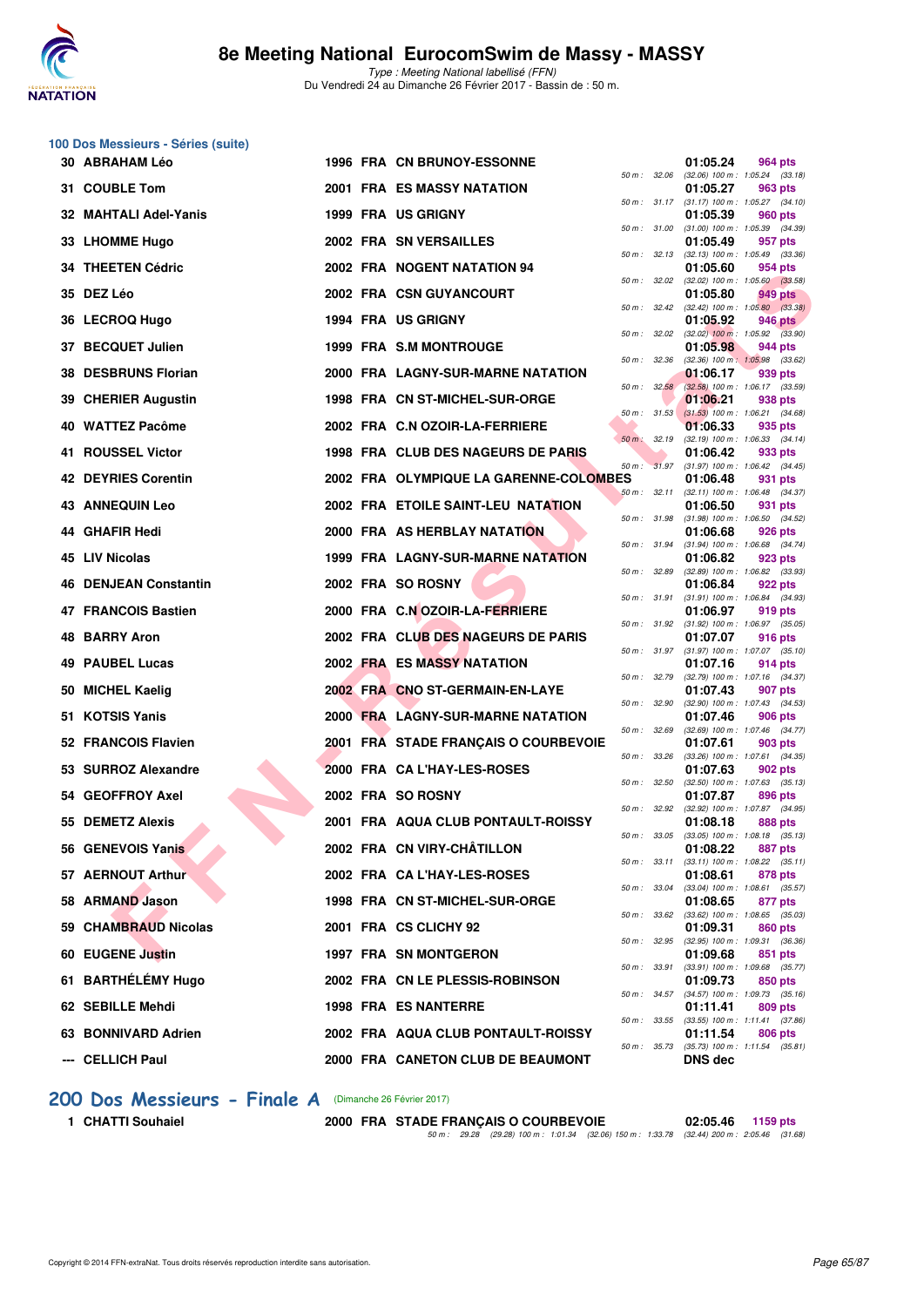

|    | 100 Dos Messieurs - Séries (suite) |  |                                          |                          |              |                |                                                         |  |
|----|------------------------------------|--|------------------------------------------|--------------------------|--------------|----------------|---------------------------------------------------------|--|
|    | 30 ABRAHAM Léo                     |  | 1996 FRA CN BRUNOY-ESSONNE               | 50 m : 32.06             |              | 01:05.24       | 964 pts<br>$(32.06)$ 100 m : 1:05.24 $(33.18)$          |  |
|    | 31 COUBLE Tom                      |  | 2001 FRA ES MASSY NATATION               |                          |              | 01:05.27       | 963 pts<br>50 m: 31.17 (31.17) 100 m: 1:05.27 (34.10)   |  |
|    | 32 MAHTALI Adel-Yanis              |  | 1999 FRA US GRIGNY                       | 50 m : 31.00             |              | 01:05.39       | 960 pts                                                 |  |
|    | 33 LHOMME Hugo                     |  | 2002 FRA SN VERSAILLES                   |                          |              | 01:05.49       | $(31.00)$ 100 m : 1:05.39 $(34.39)$<br>957 pts          |  |
|    | <b>34 THEETEN Cédric</b>           |  | 2002 FRA NOGENT NATATION 94              | 50 m: 32.13              |              | 01:05.60       | $(32.13)$ 100 m : 1:05.49 $(33.36)$<br>954 pts          |  |
|    | 35 DEZ Léo                         |  | 2002 FRA CSN GUYANCOURT                  | 50 m: 32.02              |              | 01:05.80       | $(32.02)$ 100 m : 1:05.60 $(33.58)$<br>949 pts          |  |
|    | 36 LECROQ Hugo                     |  | 1994 FRA US GRIGNY                       |                          | 50 m : 32.42 | 01:05.92       | $(32.42)$ 100 m : 1:05.80 $(33.38)$<br>946 pts          |  |
|    | 37 BECQUET Julien                  |  | 1999 FRA S.M MONTROUGE                   | 50 m : 32.02             |              | 01:05.98       | $(32.02)$ 100 m : 1:05.92 $(33.90)$<br>944 pts          |  |
|    | 38 DESBRUNS Florian                |  | 2000 FRA LAGNY-SUR-MARNE NATATION        | 50 m: 32.36              |              | 01:06.17       | $(32.36)$ 100 m : 1:05.98 $(33.62)$<br>939 pts          |  |
|    | 39 CHERIER Augustin                |  | 1998 FRA CN ST-MICHEL-SUR-ORGE           | 50 m: 32.58              |              | 01:06.21       | $(32.58)$ 100 m : 1:06.17 $(33.59)$<br>938 pts          |  |
|    | 40 WATTEZ Pacôme                   |  | 2002 FRA C.N OZOIR-LA-FERRIERE           | 50 m: 31.53              |              | 01:06.33       | $(31.53)$ 100 m : 1:06.21 $(34.68)$<br>935 pts          |  |
| 41 | <b>ROUSSEL Victor</b>              |  | 1998 FRA CLUB DES NAGEURS DE PARIS       | 50 m: 32.19              |              | 01:06.42       | $(32.19)$ 100 m : 1:06.33 $(34.14)$<br>933 pts          |  |
|    | 42 DEYRIES Corentin                |  | 2002 FRA OLYMPIQUE LA GARENNE-COLOMBES   | $50 \text{ m}$ : $31.97$ |              | 01:06.48       | $(31.97)$ 100 m : 1:06.42 $(34.45)$<br>931 pts          |  |
|    | <b>43 ANNEQUIN Leo</b>             |  | 2002 FRA ETOILE SAINT-LEU NATATION       | 50 m: 32.11              |              | 01:06.50       | (32.11) 100 m: 1:06.48 (34.37)<br>931 pts               |  |
|    | 44 GHAFIR Hedi                     |  | 2000 FRA AS HERBLAY NATATION             | 50 m : 31.98             |              | 01:06.68       | $(31.98)$ 100 m : 1:06.50 $(34.52)$<br>926 pts          |  |
|    | 45 LIV Nicolas                     |  | <b>1999 FRA LAGNY-SUR-MARNE NATATION</b> | 50 m : 31.94             |              |                | $(31.94)$ 100 m : 1:06.68 $(34.74)$                     |  |
|    |                                    |  |                                          | 50 m : 32.89             |              | 01:06.82       | 923 pts<br>(32.89) 100 m : 1:06.82 (33.93)              |  |
| 46 | <b>DENJEAN Constantin</b>          |  | 2002 FRA SO ROSNY                        | 50 m : 31.91             |              | 01:06.84       | 922 pts<br>$(31.91)$ 100 m : 1:06.84 $(34.93)$          |  |
|    | 47 FRANCOIS Bastien                |  | 2000 FRA C.N OZOIR-LA-FERRIERE           |                          |              | 01:06.97       | 919 pts<br>50 m: 31.92 (31.92) 100 m: 1:06.97 (35.05)   |  |
| 48 | <b>BARRY Aron</b>                  |  | 2002 FRA CLUB DES NAGEURS DE PARIS       |                          |              | 01:07.07       | 916 pts<br>50 m: 31.97 (31.97) 100 m: 1:07.07 (35.10)   |  |
| 49 | <b>PAUBEL Lucas</b>                |  | 2002 FRA ES MASSY NATATION               | 50 m : 32.79             |              | 01:07.16       | 914 pts<br>(32.79) 100 m: 1:07.16 (34.37)               |  |
| 50 | <b>MICHEL Kaelig</b>               |  | 2002 FRA CNO ST-GERMAIN-EN-LAYE          | 50 m : 32.90             |              | 01:07.43       | 907 pts<br>(32.90) 100 m: 1:07.43 (34.53)               |  |
|    | 51 KOTSIS Yanis                    |  | 2000 FRA LAGNY-SUR-MARNE NATATION        | 50 m: 32.69              |              | 01:07.46       | 906 pts<br>(32.69) 100 m: 1:07.46 (34.77)               |  |
|    | 52 FRANCOIS Flavien                |  | 2001 FRA STADE FRANÇAIS O COURBEVOIE     | 50 m: 33.26              |              | 01:07.61       | 903 pts<br>(33.26) 100 m: 1:07.61 (34.35)               |  |
|    | 53 SURROZ Alexandre                |  | 2000 FRA CA L'HAY-LES-ROSES              | 50 m : 32.50             |              | 01:07.63       | 902 pts<br>$(32.50)$ 100 m : 1:07.63 $(35.13)$          |  |
|    | 54 GEOFFROY Axel                   |  | 2002 FRA SO ROSNY                        | 50 m : 32.92             |              | 01:07.87       | 896 pts                                                 |  |
|    | 55 DEMETZ Alexis                   |  | 2001 FRA AQUA CLUB PONTAULT-ROISSY       |                          |              | 01:08.18       | (32.92) 100 m : 1:07.87 (34.95)<br>888 pts              |  |
|    | 56 GENEVOIS Yanis                  |  | 2002 FRA CN VIRY-CHÂTILLON               |                          |              | 01:08.22       | 50 m : 33.05 (33.05) 100 m : 1:08.18 (35.13)<br>887 pts |  |
|    | 57 AERNOUT Arthur                  |  | 2002 FRA CA L'HAY-LES-ROSES              | 50 m: 33.11              |              | 01:08.61       | $(33.11)$ 100 m : 1:08.22 $(35.11)$<br>878 pts          |  |
|    | 58 ARMAND Jason                    |  | 1998 FRA CN ST-MICHEL-SUR-ORGE           | 50 m : 33.04             |              | 01:08.65       | $(33.04)$ 100 m : 1:08.61 $(35.57)$<br>877 pts          |  |
|    | 59 CHAMBRAUD Nicolas               |  | 2001 FRA CS CLICHY 92                    | $50 m$ : $33.62$         |              | 01:09.31       | (33.62) 100 m: 1:08.65 (35.03)<br>860 pts               |  |
|    | 60 EUGENE Justin                   |  | 1997 FRA SN MONTGERON                    | 50 m : 32.95             |              | 01:09.68       | (32.95) 100 m: 1:09.31 (36.36)<br>851 pts               |  |
|    | 61 BARTHÉLÉMY Hugo                 |  | 2002 FRA CN LE PLESSIS-ROBINSON          | 50 m : 33.91             |              | 01:09.73       | $(33.91)$ 100 m : 1:09.68 $(35.77)$<br>850 pts          |  |
|    | 62 SEBILLE Mehdi                   |  | <b>1998 FRA ES NANTERRE</b>              |                          |              | 01:11.41       | 50 m: 34.57 (34.57) 100 m: 1:09.73 (35.16)<br>809 pts   |  |
|    | 63 BONNIVARD Adrien                |  | 2002 FRA AQUA CLUB PONTAULT-ROISSY       | 50 m : 33.55             |              | 01:11.54       | (33.55) 100 m: 1:11.41 (37.86)<br>806 pts               |  |
|    | --- CELLICH Paul                   |  | 2000 FRA CANETON CLUB DE BEAUMONT        | 50 m : 35.73             |              | <b>DNS</b> dec | $(35.73)$ 100 m : 1:11.54 $(35.81)$                     |  |

**[200 Dos Messieurs - Finale A](http://www.ffnatation.fr/webffn/resultats.php?idact=nat&go=epr&idcpt=42801&idepr=63)** (Dimanche 26 Février 2017)

**1 CHATTI Souhaiel 2000 FRA STADE FRANÇAIS O COURBEVOIE 02:05.46 1159 pts**

50 m : 29.28 (29.28) 100 m : 1:01.34 (32.06) 150 m : 1:33.78 (32.44) 200 m : 2:05.46 (31.68)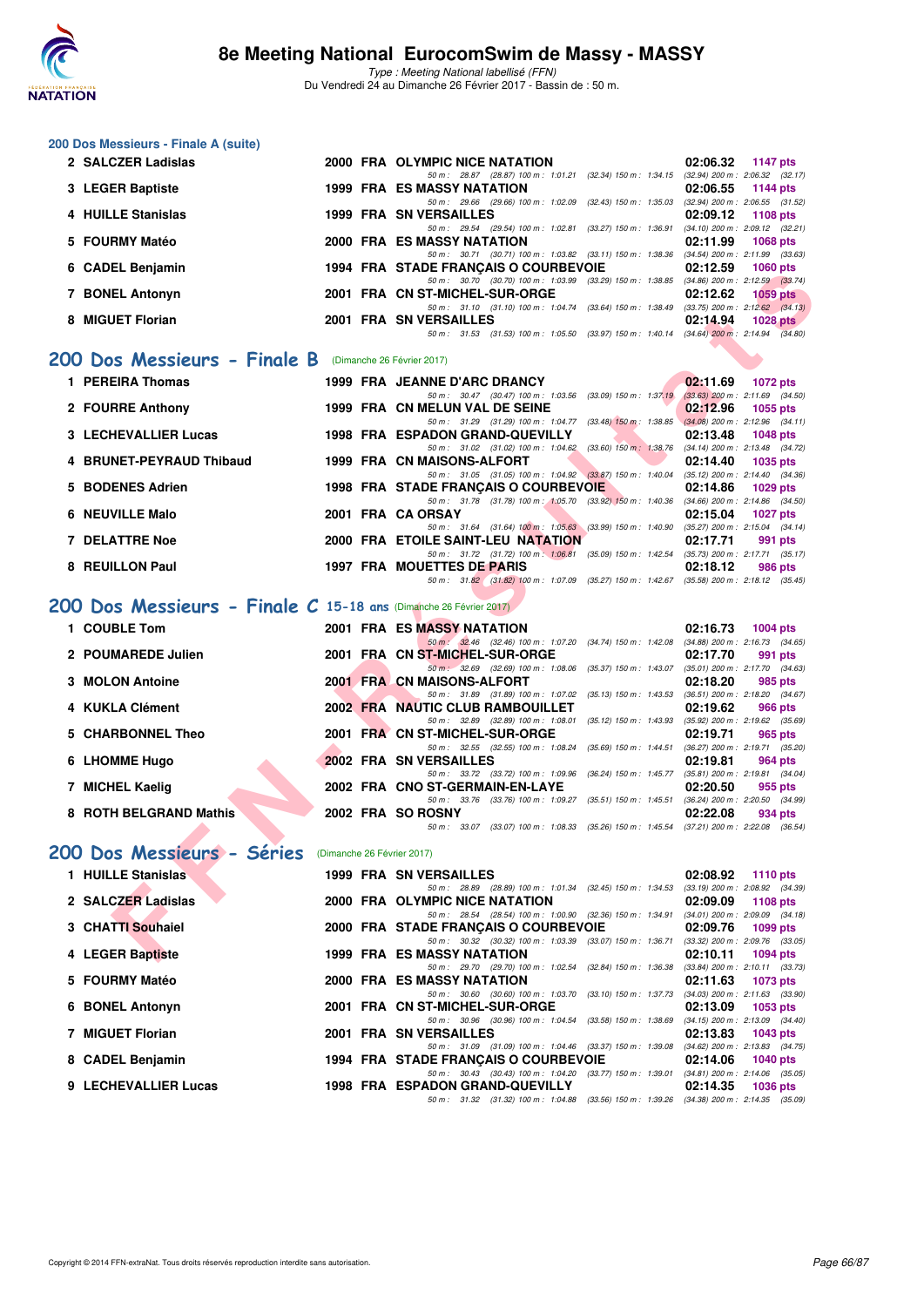

| 200 Dos Messieurs - Finale A (suite)                              |                            |                                                                                                                                      |                                                                    |
|-------------------------------------------------------------------|----------------------------|--------------------------------------------------------------------------------------------------------------------------------------|--------------------------------------------------------------------|
| 2 SALCZER Ladislas                                                |                            | 2000 FRA OLYMPIC NICE NATATION                                                                                                       | 02:06.32<br>1147 pts                                               |
| 3 LEGER Baptiste                                                  |                            | 50 m: 28.87 (28.87) 100 m: 1:01.21 (32.34) 150 m: 1:34.15 (32.94) 200 m: 2:06.32 (32.17)<br>1999 FRA ES MASSY NATATION               | 02:06.55<br><b>1144 pts</b>                                        |
| 4 HUILLE Stanislas                                                |                            | 50 m : 29.66 (29.66) 100 m : 1:02.09 (32.43) 150 m : 1:35.03<br><b>1999 FRA SN VERSAILLES</b>                                        | $(32.94)$ 200 m : 2:06.55 $(31.52)$<br>02:09.12<br>1108 pts        |
| 5 FOURMY Matéo                                                    |                            | 50 m: 29.54 (29.54) 100 m: 1:02.81 (33.27) 150 m: 1:36.91<br><b>2000 FRA ES MASSY NATATION</b>                                       | (34.10) 200 m : 2:09.12 (32.21)<br>02:11.99<br>1068 pts            |
| 6 CADEL Benjamin                                                  |                            | 50 m: 30.71 (30.71) 100 m: 1:03.82 (33.11) 150 m: 1:38.36 (34.54) 200 m: 2:11.99 (33.63)<br>1994 FRA STADE FRANCAIS O COURBEVOIE     | 02:12.59<br><b>1060 pts</b>                                        |
| 7 BONEL Antonyn                                                   |                            | 50 m: 30.70 (30.70) 100 m: 1:03.99 (33.29) 150 m: 1:38.85 (34.86) 200 m: 2:12.59 (33.74)<br>2001 FRA CN ST-MICHEL-SUR-ORGE           | 02:12.62<br>1059 pts                                               |
|                                                                   |                            | 50 m: 31.10 (31.10) 100 m: 1:04.74 (33.64) 150 m: 1:38.49 (33.75) 200 m: 2:12.62 (34.13)                                             |                                                                    |
| 8 MIGUET Florian                                                  |                            | 2001 FRA SN VERSAILLES<br>50 m: 31.53 (31.53) 100 m: 1:05.50 (33.97) 150 m: 1:40.14 (34.64) 200 m: 2:14.94 (34.80)                   | 02:14.94<br>1028 pts                                               |
| 200 Dos Messieurs - Finale B (Dimanche 26 Février 2017)           |                            |                                                                                                                                      |                                                                    |
| 1 PEREIRA Thomas                                                  |                            | 1999 FRA JEANNE D'ARC DRANCY                                                                                                         | 02:11.69<br><b>1072 pts</b>                                        |
| 2 FOURRE Anthony                                                  |                            | 50 m: 30.47 (30.47) 100 m: 1:03.56 (33.09) 150 m: 1:37.19<br>1999 FRA CN MELUN VAL DE SEINE                                          | $(33.63)$ 200 m : 2:11.69 $(34.50)$<br>02:12.96<br>1055 pts        |
| <b>3 LECHEVALLIER Lucas</b>                                       |                            | 50 m: 31.29 (31.29) 100 m: 1:04.77 (33.48) 150 m: 1:38.85<br>1998 FRA ESPADON GRAND-QUEVILLY                                         | $(34.08)$ 200 m : 2:12.96 $(34.11)$<br>02:13.48<br><b>1048 pts</b> |
| 4 BRUNET-PEYRAUD Thibaud                                          |                            | 50 m: 31.02 (31.02) 100 m: 1:04.62 (33.60) 150 m: 1:38.76 (34.14) 200 m: 2:13.48 (34.72)<br>1999 FRA CN MAISONS-ALFORT               | 02:14.40<br>1035 pts                                               |
|                                                                   |                            | 50 m: 31.05 (31.05) 100 m: 1:04.92 (33.87) 150 m: 1:40.04                                                                            | $(35.12)$ 200 m : 2:14.40 $(34.36)$                                |
| 5 BODENES Adrien                                                  |                            | 1998 FRA STADE FRANÇAIS O COURBEVOIE<br>50 m: 31.78 (31.78) 100 m: 1:05.70 (33.92) 150 m: 1:40.36                                    | 02:14.86<br>1029 pts<br>$(34.66)$ 200 m : 2:14.86 $(34.50)$        |
| 6 NEUVILLE Malo                                                   |                            | 2001 FRA CA ORSAY<br>50 m: 31.64 (31.64) 100 m: 1:05.63 (33.99) 150 m: 1:40.90                                                       | 02:15.04<br><b>1027 pts</b><br>$(35.27)$ 200 m : 2:15.04 $(34.14)$ |
| <b>7 DELATTRE Noe</b>                                             |                            | 2000 FRA ETOILE SAINT-LEU NATATION<br>50 m: 31.72 (31.72) 100 m: 1:06.81 (35.09) 150 m: 1:42.54 (35.73) 200 m: 2:17.71 (35.17)       | 02:17.71<br>991 pts                                                |
| 8 REUILLON Paul                                                   |                            | 1997 FRA MOUETTES DE PARIS                                                                                                           | 02:18.12<br>986 pts                                                |
|                                                                   |                            | 50 m: 31.82 (31.82) 100 m: 1:07.09 (35.27) 150 m: 1:42.67 (35.58) 200 m: 2:18.12 (35.45)                                             |                                                                    |
| 200 Dos Messieurs - Finale C 15-18 ans (Dimanche 26 Février 2017) |                            |                                                                                                                                      |                                                                    |
| 1 COUBLE Tom                                                      |                            | <b>2001 FRA ES MASSY NATATION</b><br>50 m : 32.46 (32.46) 100 m : 1:07.20 (34.74) 150 m : 1:42.08 (34.88) 200 m : 2:16.73 (34.65)    | 02:16.73<br>1004 pts                                               |
| 2 POUMAREDE Julien                                                |                            | 2001 FRA CN ST-MICHEL-SUR-ORGE<br>50 m : 32.69 (32.69) 100 m : 1:08.06 (35.37) 150 m : 1:43.07                                       | 02:17.70<br>991 pts<br>$(35.01)$ 200 m : 2:17.70 $(34.63)$         |
| 3 MOLON Antoine                                                   |                            | 2001 FRA CN MAISONS-ALFORT<br>50 m: 31.89 (31.89) 100 m: 1:07.02 (35.13) 150 m: 1:43.53 (36.51) 200 m: 2:18.20 (34.67)               | 02:18.20<br>985 pts                                                |
| 4 KUKLA Clément                                                   |                            | 2002 FRA NAUTIC CLUB RAMBOUILLET<br>50 m: 32.89 (32.89) 100 m: 1:08.01 (35.12) 150 m: 1:43.93 (35.92) 200 m: 2:19.62 (35.69)         | 02:19.62<br>966 pts                                                |
| 5 CHARBONNEL Theo                                                 |                            | 2001 FRA CN ST-MICHEL-SUR-ORGE                                                                                                       | 02:19.71<br>965 pts                                                |
| 6 LHOMME Hugo                                                     |                            | 50 m : 32.55 (32.55) 100 m : 1:08.24 (35.69) 150 m : 1:44.51<br>2002 FRA SN VERSAILLES                                               | (36.27) 200 m : 2:19.71 (35.20)<br>02:19.81<br>964 pts             |
| 7 MICHEL Kaelig                                                   |                            | 50 m: 33.72 (33.72) 100 m: 1:09.96 (36.24) 150 m: 1:45.77 (35.81) 200 m: 2:19.81 (34.04)<br>2002 FRA CNO ST-GERMAIN-EN-LAYE          | 02:20.50<br>955 pts                                                |
| 8 ROTH BELGRAND Mathis                                            |                            | 50 m: 33.76 (33.76) 100 m: 1:09.27 (35.51) 150 m: 1:45.51 (36.24) 200 m: 2:20.50 (34.99)<br>2002 FRA SO ROSNY                        | 02:22.08<br>934 pts                                                |
|                                                                   |                            | 50 m: 33.07 (33.07) 100 m: 1:08.33 (35.26) 150 m: 1:45.54 (37.21) 200 m: 2:22.08 (36.54)                                             |                                                                    |
| 200 Dos Messieurs - Séries                                        | (Dimanche 26 Février 2017) |                                                                                                                                      |                                                                    |
| 1 HUILLE Stanislas                                                |                            | <b>1999 FRA SN VERSAILLES</b>                                                                                                        | 02:08.92<br><b>1110 pts</b>                                        |
| 2 SALCZER Ladislas                                                |                            | 50 m : 28.89 (28.89) 100 m : 1:01.34 (32.45) 150 m : 1:34.53<br>2000 FRA OLYMPIC NICE NATATION                                       | $(33.19)$ 200 m : 2:08.92 $(34.39)$<br>02:09.09<br>1108 pts        |
| 3 CHATTI Souhaiel                                                 |                            | 50 m : 28.54 (28.54) 100 m : 1:00.90 (32.36) 150 m : 1:34.91 (34.01) 200 m : 2:09.09 (34.18)<br>2000 FRA STADE FRANÇAIS O COURBEVOIE | 02:09.76<br>1099 pts                                               |
| 4 LEGER Baptiste                                                  |                            | 50 m: 30.32 (30.32) 100 m: 1:03.39 (33.07) 150 m: 1:36.71 (33.32) 200 m: 2:09.76 (33.05)<br>1999 FRA ES MASSY NATATION               | 02:10.11<br>1094 pts                                               |
| 5 FOURMY Matéo                                                    |                            | 50 m: 29.70 (29.70) 100 m: 1:02.54 (32.84) 150 m: 1:36.38<br>2000 FRA ES MASSY NATATION                                              | $(33.84)$ 200 m : 2:10.11 $(33.73)$<br>02:11.63<br>1073 pts        |
|                                                                   |                            | 50 m: 30.60 (30.60) 100 m: 1:03.70 (33.10) 150 m: 1:37.73<br>2001 FRA CN ST-MICHEL-SUR-ORGE                                          | (34.03) 200 m : 2:11.63 (33.90)                                    |
| 6 BONEL Antonyn                                                   |                            | 50 m : 30.96 (30.96) 100 m : 1:04.54 (33.58) 150 m : 1:38.69                                                                         | 02:13.09<br>1053 pts<br>$(34.15)$ 200 m : 2:13.09 $(34.40)$        |
| 7 MIGUET Florian                                                  |                            | <b>2001 FRA SN VERSAILLES</b><br>50 m: 31.09 (31.09) 100 m: 1:04.46 (33.37) 150 m: 1:39.08 (34.62) 200 m: 2:13.83 (34.75)            | 02:13.83<br>1043 pts                                               |
| 8 CADEL Benjamin                                                  |                            | 1994 FRA STADE FRANÇAIS O COURBEVOIE<br>50 m : 30.43 (30.43) 100 m : 1:04.20 (33.77) 150 m : 1:39.01 (34.81) 200 m : 2:14.06 (35.05) | 02:14.06<br>1040 pts                                               |
| 9 LECHEVALLIER Lucas                                              |                            | 1998 FRA ESPADON GRAND-QUEVILLY<br>50 m: 31.32 (31.32) 100 m: 1:04.88 (33.56) 150 m: 1:39.26 (34.38) 200 m: 2:14.35 (35.09)          | 02:14.35<br>1036 pts                                               |
|                                                                   |                            |                                                                                                                                      |                                                                    |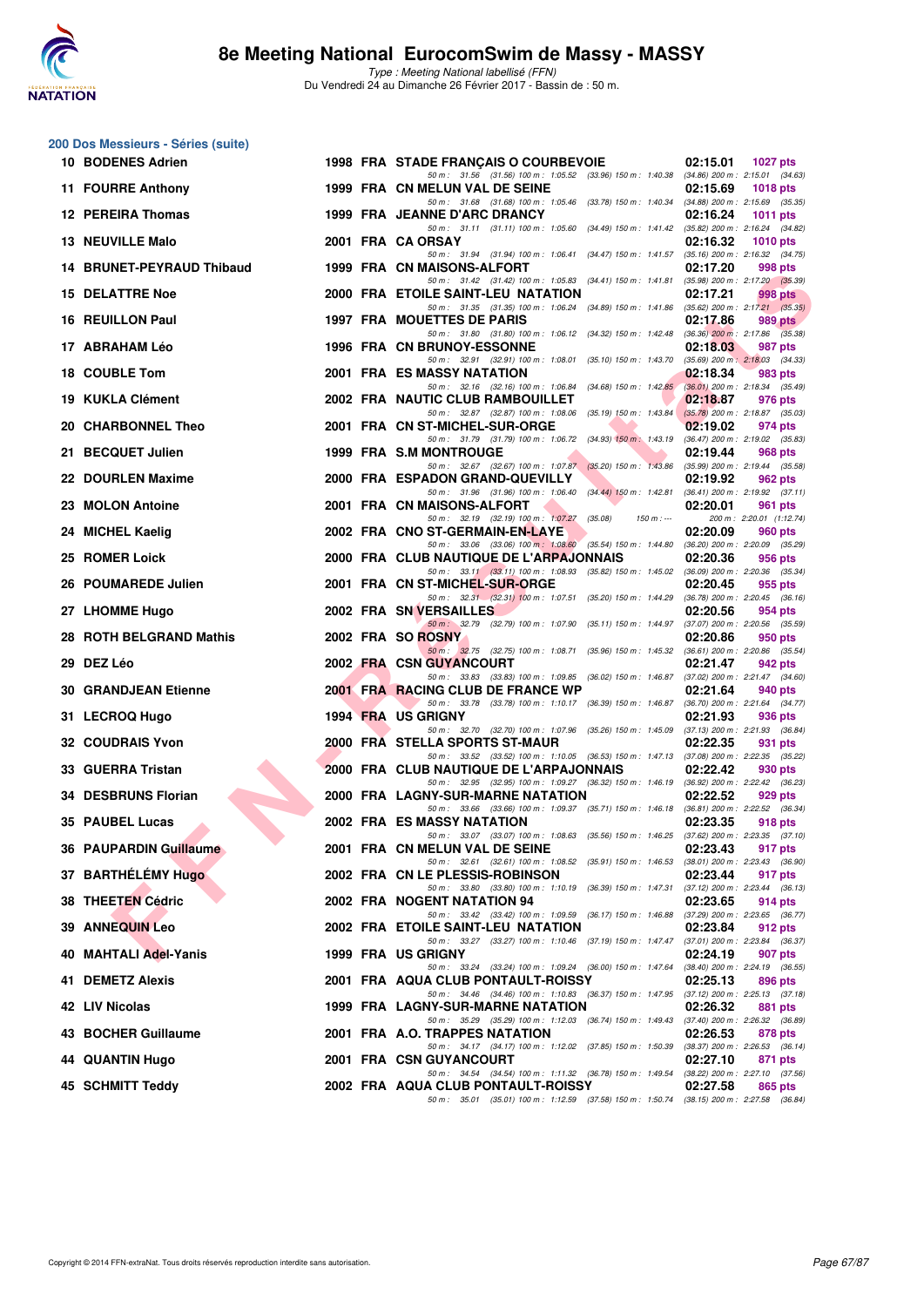

| 200 Dos Messieurs - Séries (suite) |  |                                                                                                                                     |                                                            |
|------------------------------------|--|-------------------------------------------------------------------------------------------------------------------------------------|------------------------------------------------------------|
| 10 BODENES Adrien                  |  | 1998 FRA STADE FRANCAIS O COURBEVOIE<br>50 m: 31.56 (31.56) 100 m: 1:05.52 (33.96) 150 m: 1:40.38 (34.86) 200 m: 2:15.01 (34.63)    | 02:15.01<br><b>1027 pts</b>                                |
| 11 FOURRE Anthony                  |  | 1999 FRA CN MELUN VAL DE SEINE                                                                                                      | 02:15.69<br><b>1018 pts</b>                                |
| 12 PEREIRA Thomas                  |  | 50 m: 31.68 (31.68) 100 m: 1:05.46 (33.78) 150 m: 1:40.34 (34.88) 200 m: 2:15.69 (35.35)<br>1999 FRA JEANNE D'ARC DRANCY            | 02:16.24<br><b>1011 pts</b>                                |
| 13 NEUVILLE Malo                   |  | 50 m: 31.11 (31.11) 100 m: 1:05.60 (34.49) 150 m: 1:41.42 (35.82) 200 m: 2:16.24 (34.82)<br>2001 FRA CA ORSAY                       | 02:16.32<br>1010 pts                                       |
| 14 BRUNET-PEYRAUD Thibaud          |  | 50 m: 31.94 (31.94) 100 m: 1:06.41 (34.47) 150 m: 1:41.57 (35.16) 200 m: 2:16.32 (34.75)<br>1999 FRA CN MAISONS-ALFORT              | 02:17.20<br>998 pts                                        |
| <b>15 DELATTRE Noe</b>             |  | 50 m: 31.42 (31.42) 100 m: 1:05.83 (34.41) 150 m: 1:41.81 (35.98) 200 m: 2:17.20 (35.39)<br>2000 FRA ETOILE SAINT-LEU NATATION      | 02:17.21<br>998 pts                                        |
| 16 REUILLON Paul                   |  | 50 m: 31.35 (31.35) 100 m: 1:06.24 (34.89) 150 m: 1:41.86 (35.62) 200 m: 2:17.21 (35.35)<br>1997 FRA MOUETTES DE PARIS              | 02:17.86<br>989 pts                                        |
| 17 ABRAHAM Léo                     |  | 50 m: 31.80 (31.80) 100 m: 1:06.12 (34.32) 150 m: 1:42.48 (36.36) 200 m: 2:17.86 (35.38)<br>1996 FRA CN BRUNOY-ESSONNE              | 02:18.03<br>987 pts                                        |
| 18 COUBLE Tom                      |  | 50 m: 32.91 (32.91) 100 m: 1:08.01 (35.10) 150 m: 1:43.70 (35.69) 200 m: 2:18.03 (34.33)<br>2001 FRA ES MASSY NATATION              | 02:18.34<br>983 pts                                        |
| 19 KUKLA Clément                   |  | 50 m: 32.16 (32.16) 100 m: 1:06.84 (34.68) 150 m: 1:42.85                                                                           | $(36.01)$ 200 m : 2:18.34 $(35.49)$                        |
|                                    |  | 2002 FRA NAUTIC CLUB RAMBOUILLET<br>50 m: 32.87 (32.87) 100 m: 1:08.06 (35.19) 150 m: 1:43.84                                       | 02:18.87<br>976 pts<br>$(35.78)$ 200 m : 2:18.87 $(35.03)$ |
| 20 CHARBONNEL Theo                 |  | 2001 FRA CN ST-MICHEL-SUR-ORGE<br>50 m: 31.79 (31.79) 100 m: 1:06.72 (34.93) 150 m: 1:43.19                                         | 02:19.02<br>974 pts<br>(36.47) 200 m : 2:19.02 (35.83)     |
| 21 BECQUET Julien                  |  | <b>1999 FRA S.M MONTROUGE</b><br>50 m : 32.67 (32.67) 100 m : 1:07.87 (35.20) 150 m : 1:43.86                                       | 02:19.44<br>968 pts<br>$(35.99)$ 200 m : 2:19.44 $(35.58)$ |
| 22 DOURLEN Maxime                  |  | 2000 FRA ESPADON GRAND-QUEVILLY<br>50 m: 31.96 (31.96) 100 m: 1:06.40 (34.44) 150 m: 1:42.81                                        | 02:19.92<br>962 pts<br>$(36.41)$ 200 m : 2:19.92 $(37.11)$ |
| 23 MOLON Antoine                   |  | 2001 FRA CN MAISONS-ALFORT<br>50 m: 32.19 (32.19) 100 m: 1:07.27 (35.08)<br>$150 m: -$                                              | 02:20.01<br>961 pts<br>200 m: 2:20.01 (1:12.74)            |
| 24 MICHEL Kaelig                   |  | 2002 FRA CNO ST-GERMAIN-EN-LAYE                                                                                                     | 02:20.09<br><b>960 pts</b>                                 |
| 25 ROMER Loick                     |  | 50 m: 33.06 (33.06) 100 m: 1:08.60 (35.54) 150 m: 1:44.80 (36.20) 200 m: 2:20.09 (35.29)<br>2000 FRA CLUB NAUTIQUE DE L'ARPAJONNAIS | 02:20.36<br>956 pts                                        |
| 26 POUMAREDE Julien                |  | 50 m: 33.11 (33.11) 100 m: 1.08.93 (35.82) 150 m: 1.45.02 (36.09) 200 m: 2.20.36 (35.34)<br>2001 FRA CN ST-MICHEL-SUR-ORGE          | 02:20.45<br>955 pts                                        |
| 27 LHOMME Hugo                     |  | 50 m: 32.31 (32.31) 100 m: 1:07.51 (35.20) 150 m: 1:44.29<br>2002 FRA SN VERSAILLES                                                 | $(36.78)$ 200 m : 2:20.45 $(36.16)$<br>02:20.56<br>954 pts |
| 28 ROTH BELGRAND Mathis            |  | 50 m: 32.79 (32.79) 100 m: 1:07.90 (35.11) 150 m: 1:44.97<br>2002 FRA SO ROSNY                                                      | $(37.07)$ 200 m : 2:20.56 $(35.59)$<br>02:20.86<br>950 pts |
| 29 DEZ Léo                         |  | 50 m: 32.75 (32.75) 100 m: 1:08.71 (35.96) 150 m: 1:45.32 (36.61) 200 m: 2:20.86 (35.54)<br>2002 FRA CSN GUYANCOURT                 | 02:21.47<br>942 pts                                        |
| <b>30 GRANDJEAN Etienne</b>        |  | 50 m: 33.83 (33.83) 100 m: 1:09.85 (36.02) 150 m: 1:46.87 (37.02) 200 m: 2:21.47 (34.60)<br>2001 FRA RACING CLUB DE FRANCE WP       | 02:21.64<br>940 pts                                        |
| 31 LECROQ Hugo                     |  | 50 m: 33.78 (33.78) 100 m: 1:10.17 (36.39) 150 m: 1:46.87<br>1994 FRA US GRIGNY                                                     | (36.70) 200 m : 2:21.64 (34.77)<br>02:21.93<br>936 pts     |
| <b>32 COUDRAIS Yvon</b>            |  | 50 m : 32.70 (32.70) 100 m : 1:07.96 (35.26) 150 m : 1:45.09<br>2000 FRA STELLA SPORTS ST-MAUR                                      | (37.13) 200 m : 2:21.93 (36.84)<br>02:22.35<br>931 pts     |
| 33 GUERRA Tristan                  |  | 50 m: 33.52 (33.52) 100 m: 1:10.05 (36.53) 150 m: 1:47.13 (37.08) 200 m: 2:22.35 (35.22)<br>2000 FRA CLUB NAUTIQUE DE L'ARPAJONNAIS | 02:22.42<br>930 pts                                        |
| 34 DESBRUNS Florian                |  | 50 m: 32.95 (32.95) 100 m: 1:09.27 (36.32) 150 m: 1:46.19 (36.92) 200 m: 2:22.42 (36.23)<br>2000 FRA LAGNY-SUR-MARNE NATATION       | 02:22.52<br>929 pts                                        |
|                                    |  | 50 m : 33.66 (33.66) 100 m : 1:09.37 (35.71) 150 m : 1:46.18                                                                        | $(36.81)$ 200 m : 2:22.52 $(36.34)$                        |
| 35 PAUBEL Lucas                    |  | 2002 FRA ES MASSY NATATION<br>50 m : 33.07 (33.07) 100 m : 1:08.63 (35.56) 150 m : 1:46.25 (37.62) 200 m : 2:23.35 (37.10)          | 02:23.35<br>918 pts                                        |
| 36 PAUPARDIN Guillaume             |  | 2001 FRA CN MELUN VAL DE SEINE<br>50 m: 32.61 (32.61) 100 m: 1:08.52 (35.91) 150 m: 1:46.53 (38.01) 200 m: 2:23.43 (36.90)          | 02:23.43<br>917 pts                                        |
| 37 BARTHÉLÉMY Hugo                 |  | 2002 FRA CN LE PLESSIS-ROBINSON<br>50 m: 33.80 (33.80) 100 m: 1:10.19 (36.39) 150 m: 1:47.31                                        | 02:23.44<br>917 pts<br>$(37.12)$ 200 m : 2:23.44 $(36.13)$ |
| 38 THEETEN Cédric                  |  | 2002 FRA NOGENT NATATION 94<br>50 m: 33.42 (33.42) 100 m: 1:09.59 (36.17) 150 m: 1:46.88                                            | 02:23.65<br>914 pts<br>(37.29) 200 m : 2:23.65 (36.77)     |
| 39 ANNEQUIN Leo                    |  | 2002 FRA ETOILE SAINT-LEU NATATION<br>50 m: 33.27 (33.27) 100 m: 1:10.46 (37.19) 150 m: 1:47.47 (37.01) 200 m: 2:23.84 (36.37)      | 02:23.84<br>912 pts                                        |
| 40 MAHTALI Adel-Yanis              |  | 1999 FRA US GRIGNY                                                                                                                  | 02:24.19<br>907 pts                                        |
| 41 DEMETZ Alexis                   |  | 50 m : 33.24 (33.24) 100 m : 1:09.24 (36.00) 150 m : 1:47.64<br>2001 FRA AQUA CLUB PONTAULT-ROISSY                                  | (38.40) 200 m : 2:24.19 (36.55)<br>02:25.13<br>896 pts     |
| 42 LIV Nicolas                     |  | 50 m: 34.46 (34.46) 100 m: 1:10.83 (36.37) 150 m: 1:47.95 (37.12) 200 m: 2:25.13 (37.18)<br>1999 FRA LAGNY-SUR-MARNE NATATION       | 02:26.32<br>881 pts                                        |
| 43 BOCHER Guillaume                |  | 50 m: 35.29 (35.29) 100 m: 1:12.03 (36.74) 150 m: 1:49.43 (37.40) 200 m: 2:26.32 (36.89)<br>2001 FRA A.O. TRAPPES NATATION          | 02:26.53<br>878 pts                                        |
| <b>44 QUANTIN Hugo</b>             |  | 50 m : 34.17 (34.17) 100 m : 1:12.02 (37.85) 150 m : 1:50.39<br>2001 FRA CSN GUYANCOURT                                             | (38.37) 200 m : 2:26.53 (36.14)<br>02:27.10<br>871 pts     |
| 45 SCHMITT Teddy                   |  | 50 m: 34.54 (34.54) 100 m: 1:11.32 (36.78) 150 m: 1:49.54 (38.22) 200 m: 2:27.10 (37.56)<br>2002 FRA AQUA CLUB PONTAULT-ROISSY      | 02:27.58<br>865 pts                                        |
|                                    |  | 50 m: 35.01 (35.01) 100 m: 1:12.59 (37.58) 150 m: 1:50.74 (38.15) 200 m: 2:27.58 (36.84)                                            |                                                            |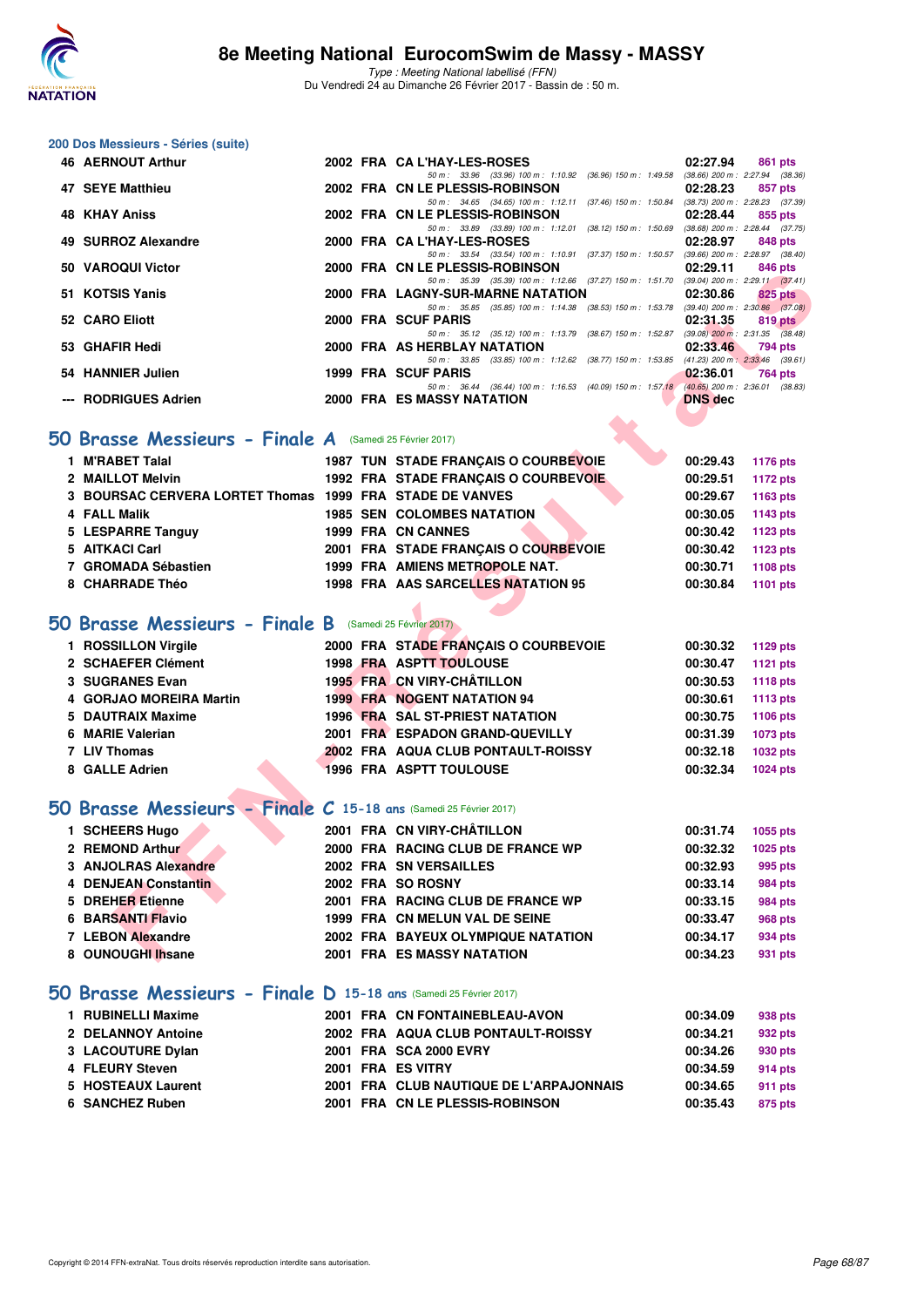

Type : Meeting National labellisé (FFN) Du Vendredi 24 au Dimanche 26 Février 2017 - Bassin de : 50 m.

#### **200 Dos Messieurs - Séries (suite)**

| 46 AERNOUT Arthur    |  | 2002 FRA CA L'HAY-LES-ROSES                                                              | 02:27.94       | 861 pts                             |  |
|----------------------|--|------------------------------------------------------------------------------------------|----------------|-------------------------------------|--|
|                      |  | 50 m : 33.96 (33.96) 100 m : 1:10.92 (36.96) 150 m : 1:49.58                             |                | $(38.66)$ 200 m : 2:27.94 $(38.36)$ |  |
| 47 SEYE Matthieu     |  | 2002 FRA CN LE PLESSIS-ROBINSON                                                          | 02:28.23       | 857 pts                             |  |
|                      |  | $(37.46)$ 150 m : 1:50.84<br>50 m: 34.65 (34.65) 100 m: 1:12.11                          |                | $(38.73)$ 200 m : 2:28.23 $(37.39)$ |  |
| <b>48 KHAY Aniss</b> |  | 2002 FRA CN LE PLESSIS-ROBINSON                                                          | 02:28.44       | 855 pts                             |  |
|                      |  | 50 m: 33.89 (33.89) 100 m: 1:12.01 (38.12) 150 m: 1:50.69                                |                | $(38.68)$ 200 m : 2:28.44 $(37.75)$ |  |
| 49 SURROZ Alexandre  |  | 2000 FRA CA L'HAY-LES-ROSES                                                              | 02:28.97       | 848 pts                             |  |
|                      |  | 50 m: 33.54 (33.54) 100 m: 1:10.91 (37.37) 150 m: 1:50.57                                |                | $(39.66)$ 200 m : 2:28.97 $(38.40)$ |  |
| 50 VAROQUI Victor    |  | 2000 FRA CN LE PLESSIS-ROBINSON                                                          | 02:29.11       | 846 pts                             |  |
|                      |  | 50 m: 35.39 (35.39) 100 m: 1:12.66 (37.27) 150 m: 1:51.70 (39.04) 200 m: 2:29.11 (37.41) |                |                                     |  |
| 51 KOTSIS Yanis      |  | 2000 FRA LAGNY-SUR-MARNE NATATION                                                        | 02:30.86       | $825$ pts                           |  |
|                      |  | 50 m: 35.85 (35.85) 100 m: 1:14.38 (38.53) 150 m: 1:53.78 (39.40) 200 m: 2:30.86 (37.08) |                |                                     |  |
| 52 CARO Eliott       |  | 2000 FRA SCUF PARIS                                                                      | 02:31.35       | 819 pts                             |  |
|                      |  | 50 m: 35.12 (35.12) 100 m: 1:13.79 (38.67) 150 m: 1:52.87                                |                | $(39.08)$ 200 m : 2:31.35 $(38.48)$ |  |
| 53 GHAFIR Hedi       |  | 2000 FRA AS HERBLAY NATATION                                                             | 02:33.46       | 794 pts                             |  |
|                      |  | $(33.85)$ 100 m : 1:12.62 $(38.77)$ 150 m : 1:53.85<br>50 m: 33.85                       |                | $(41.23)$ 200 m : 2:33.46 $(39.61)$ |  |
| 54 HANNIER Julien    |  | 1999 FRA SCUF PARIS                                                                      | 02:36.01       | 764 pts                             |  |
|                      |  | 50 m: 36.44 (36.44) 100 m: 1:16.53 (40.09) 150 m: 1:57.18 (40.65) 200 m: 2:36.01 (38.83) |                |                                     |  |
| --- RODRIGUES Adrien |  | 2000 FRA ES MASSY NATATION                                                               | <b>DNS</b> dec |                                     |  |

#### **50 Brasse Messieurs - Finale A** (Samedi 25 Février 2017)

| 1 M'RABET Talal                                          |  | <b>1987 TUN STADE FRANCAIS O COURBEVOIE</b> | 00:29.43 | 1176 pts        |
|----------------------------------------------------------|--|---------------------------------------------|----------|-----------------|
| 2 MAILLOT Melvin                                         |  | 1992 FRA STADE FRANCAIS O COURBEVOIE        | 00:29.51 | <b>1172 pts</b> |
| 3 BOURSAC CERVERA LORTET Thomas 1999 FRA STADE DE VANVES |  |                                             | 00:29.67 | 1163 pts        |
| 4 FALL Malik                                             |  | <b>1985 SEN COLOMBES NATATION</b>           | 00:30.05 | 1143 pts        |
| 5 LESPARRE Tanguy                                        |  | 1999 FRA CN CANNES                          | 00:30.42 | 1123 pts        |
| 5 AITKACI Carl                                           |  | 2001 FRA STADE FRANCAIS O COURBEVOIE        | 00:30.42 | 1123 pts        |
| 7 GROMADA Sébastien                                      |  | 1999 FRA AMIENS METROPOLE NAT.              | 00:30.71 | 1108 pts        |
| 8 CHARRADE Théo                                          |  | 1998 FRA AAS SARCELLES NATATION 95          | 00:30.84 | 1101 pts        |

# **50 Brasse Messieurs - Finale B** (Samedi 25 Février 2017)

| 1 ROSSILLON Virgile     |  | 2000 FRA STADE FRANCAIS O COURBEVOIE   | 00:30.32 | 1129 pts        |
|-------------------------|--|----------------------------------------|----------|-----------------|
| 2 SCHAEFER Clément      |  | <b>1998 FRA ASPTT TOULOUSE</b>         | 00:30.47 | 1121 pts        |
| 3 SUGRANES Evan         |  | 1995 FRA CN VIRY-CHÂTILLON             | 00:30.53 | 1118 pts        |
| 4 GORJAO MOREIRA Martin |  | 1999 FRA NOGENT NATATION 94            | 00:30.61 | 1113 pts        |
| 5 DAUTRAIX Maxime       |  | <b>1996 FRA SAL ST-PRIEST NATATION</b> | 00:30.75 | 1106 pts        |
| 6 MARIE Valerian        |  | 2001 FRA ESPADON GRAND-QUEVILLY        | 00:31.39 | 1073 pts        |
| 7 LIV Thomas            |  | 2002 FRA AQUA CLUB PONTAULT-ROISSY     | 00:32.18 | <b>1032 pts</b> |
| 8 GALLE Adrien          |  | 1996 FRA ASPTT TOULOUSE                | 00:32.34 | <b>1024 pts</b> |

### **[50 Brasse Messieurs - Finale C](http://www.ffnatation.fr/webffn/resultats.php?idact=nat&go=epr&idcpt=42801&idepr=71) 15-18 ans** (Samedi 25 Février 2017)

| וטוטו וטשטחאז                                                    |  | <b>FRAMELL FLESSIS-RUDINSUN</b>                                                                                               | <u>52.25.11</u> | 040 pis         |
|------------------------------------------------------------------|--|-------------------------------------------------------------------------------------------------------------------------------|-----------------|-----------------|
| 51 KOTSIS Yanis                                                  |  | 50 m: 35.39 (35.39) 100 m: 1:12.66 (37.27) 150 m: 1:51.70 (39.04) 200 m: 2:29.11 (37.41)<br>2000 FRA LAGNY-SUR-MARNE NATATION | 02:30.86        | 825 pts         |
|                                                                  |  | 50 m: 35.85 (35.85) 100 m: 1:14.38 (38.53) 150 m: 1:53.78 (39.40) 200 m: 2:30.86 (37.08)                                      |                 |                 |
| 52 CARO Eliott                                                   |  | 2000 FRA SCUF PARIS                                                                                                           | 02:31.35        | 819 pts         |
| 53 GHAFIR Hedi                                                   |  | 50 m: 35.12 (35.12) 100 m: 1:13.79 (38.67) 150 m: 1:52.87 (39.08) 200 m: 2:31.35 (38.48)<br>2000 FRA AS HERBLAY NATATION      | 02:33.46        | 794 pts         |
|                                                                  |  | 50 m: 33.85 (33.85) 100 m: 1:12.62 (38.77) 150 m: 1:53.85 (41.23) 200 m: 2:33.46 (39.61)                                      |                 |                 |
| 54 HANNIER Julien                                                |  | 1999 FRA SCUF PARIS<br>50 m: 36.44 (36.44) 100 m: 1:16.53 (40.09) 150 m: 1:57.18 (40.65) 200 m: 2:36.01 (38.83)               | 02:36.01        | <b>764 pts</b>  |
| --- RODRIGUES Adrien                                             |  | 2000 FRA ES MASSY NATATION                                                                                                    | <b>DNS</b> dec  |                 |
|                                                                  |  |                                                                                                                               |                 |                 |
| O Brasse Messieurs - Finale A (Samedi 25 Février 2017)           |  |                                                                                                                               |                 |                 |
| 1 M'RABET Talal                                                  |  | 1987 TUN STADE FRANÇAIS O COURBEVOIE                                                                                          | 00:29.43        | 1176 pts        |
| 2 MAILLOT Melvin                                                 |  | 1992 FRA STADE FRANCAIS O COURBEVOIE                                                                                          | 00:29.51        | 1172 pts        |
| 3 BOURSAC CERVERA LORTET Thomas 1999 FRA STADE DE VANVES         |  |                                                                                                                               | 00:29.67        | 1163 pts        |
| 4 FALL Malik                                                     |  | <b>1985 SEN COLOMBES NATATION</b>                                                                                             | 00:30.05        | 1143 pts        |
| 5 LESPARRE Tanguy                                                |  | 1999 FRA CN CANNES                                                                                                            | 00:30.42        | 1123 pts        |
| 5 AITKACI Carl                                                   |  | 2001 FRA STADE FRANÇAIS O COURBEVOIE                                                                                          | 00:30.42        | 1123 pts        |
| 7 GROMADA Sébastien                                              |  | 1999 FRA AMIENS METROPOLE NAT.                                                                                                | 00:30.71        | 1108 pts        |
| 8 CHARRADE Théo                                                  |  | 1998 FRA AAS SARCELLES NATATION 95                                                                                            | 00:30.84        | 1101 pts        |
|                                                                  |  |                                                                                                                               |                 |                 |
| O Brasse Messieurs - Finale B (Samedi 25 Février 2017)           |  |                                                                                                                               |                 |                 |
| 1 ROSSILLON Virgile                                              |  | 2000 FRA STADE FRANCAIS O COURBEVOIE                                                                                          | 00:30.32        | 1129 pts        |
| 2 SCHAEFER Clément                                               |  | <b>1998 FRA ASPTT TOULOUSE</b>                                                                                                | 00:30.47        | 1121 pts        |
| 3 SUGRANES Evan                                                  |  | 1995 FRA CN VIRY-CHÂTILLON                                                                                                    | 00:30.53        | 1118 pts        |
| 4 GORJAO MOREIRA Martin                                          |  | <b>1999 FRA NOGENT NATATION 94</b>                                                                                            | 00:30.61        | <b>1113 pts</b> |
| 5 DAUTRAIX Maxime                                                |  | <b>1996 FRA SAL ST-PRIEST NATATION</b>                                                                                        | 00:30.75        | <b>1106 pts</b> |
| 6 MARIE Valerian                                                 |  | 2001 FRA ESPADON GRAND-QUEVILLY                                                                                               | 00:31.39        | 1073 pts        |
| 7 LIV Thomas                                                     |  | 2002 FRA AQUA CLUB PONTAULT-ROISSY                                                                                            | 00:32.18        | 1032 pts        |
| 8 GALLE Adrien                                                   |  | <b>1996 FRA ASPTT TOULOUSE</b>                                                                                                | 00:32.34        | 1024 pts        |
|                                                                  |  |                                                                                                                               |                 |                 |
| O Brasse Messieurs - Finale C 15-18 ans (Samedi 25 Février 2017) |  |                                                                                                                               |                 |                 |
| 1 SCHEERS Hugo                                                   |  | 2001 FRA CN VIRY-CHÂTILLON                                                                                                    | 00:31.74        | 1055 pts        |
| 2 REMOND Arthur                                                  |  | 2000 FRA RACING CLUB DE FRANCE WP                                                                                             | 00:32.32        | <b>1025 pts</b> |
| 3 ANJOLRAS Alexandre                                             |  | 2002 FRA SN VERSAILLES                                                                                                        | 00:32.93        | 995 pts         |
| <b>4 DENJEAN Constantin</b>                                      |  | 2002 FRA SO ROSNY                                                                                                             | 00:33.14        | 984 pts         |
| 5 DREHER Etienne                                                 |  | 2001 FRA RACING CLUB DE FRANCE WP                                                                                             | 00:33.15        | 984 pts         |
| <b>6 BARSANTI Flavio</b>                                         |  | 1999 FRA CN MELUN VAL DE SEINE                                                                                                | 00:33.47        | 968 pts         |
| 7 LEBON Alexandre                                                |  | 2002 FRA BAYEUX OLYMPIQUE NATATION                                                                                            | 00:34.17        | 934 pts         |
| 8 OUNOUGHI Ihsane                                                |  | <b>2001 FRA ES MASSY NATATION</b>                                                                                             | 00:34.23        | 931 pts         |
|                                                                  |  |                                                                                                                               |                 |                 |

#### **[50 Brasse Messieurs - Finale D](http://www.ffnatation.fr/webffn/resultats.php?idact=nat&go=epr&idcpt=42801&idepr=71) 15-18 ans** (Samedi 25 Février 2017)

| 1 RUBINELLI Maxime |  | 2001 FRA CN FONTAINEBLEAU-AVON          | 00:34.09 | 938 pts |
|--------------------|--|-----------------------------------------|----------|---------|
| 2 DELANNOY Antoine |  | 2002 FRA AQUA CLUB PONTAULT-ROISSY      | 00:34.21 | 932 pts |
| 3 LACOUTURE Dylan  |  | 2001 FRA SCA 2000 EVRY                  | 00:34.26 | 930 pts |
| 4 FLEURY Steven    |  | 2001 FRA ES VITRY                       | 00:34.59 | 914 pts |
| 5 HOSTEAUX Laurent |  | 2001 FRA CLUB NAUTIQUE DE L'ARPAJONNAIS | 00:34.65 | 911 pts |
| 6 SANCHEZ Ruben    |  | 2001 FRA CN LE PLESSIS-ROBINSON         | 00:35.43 | 875 pts |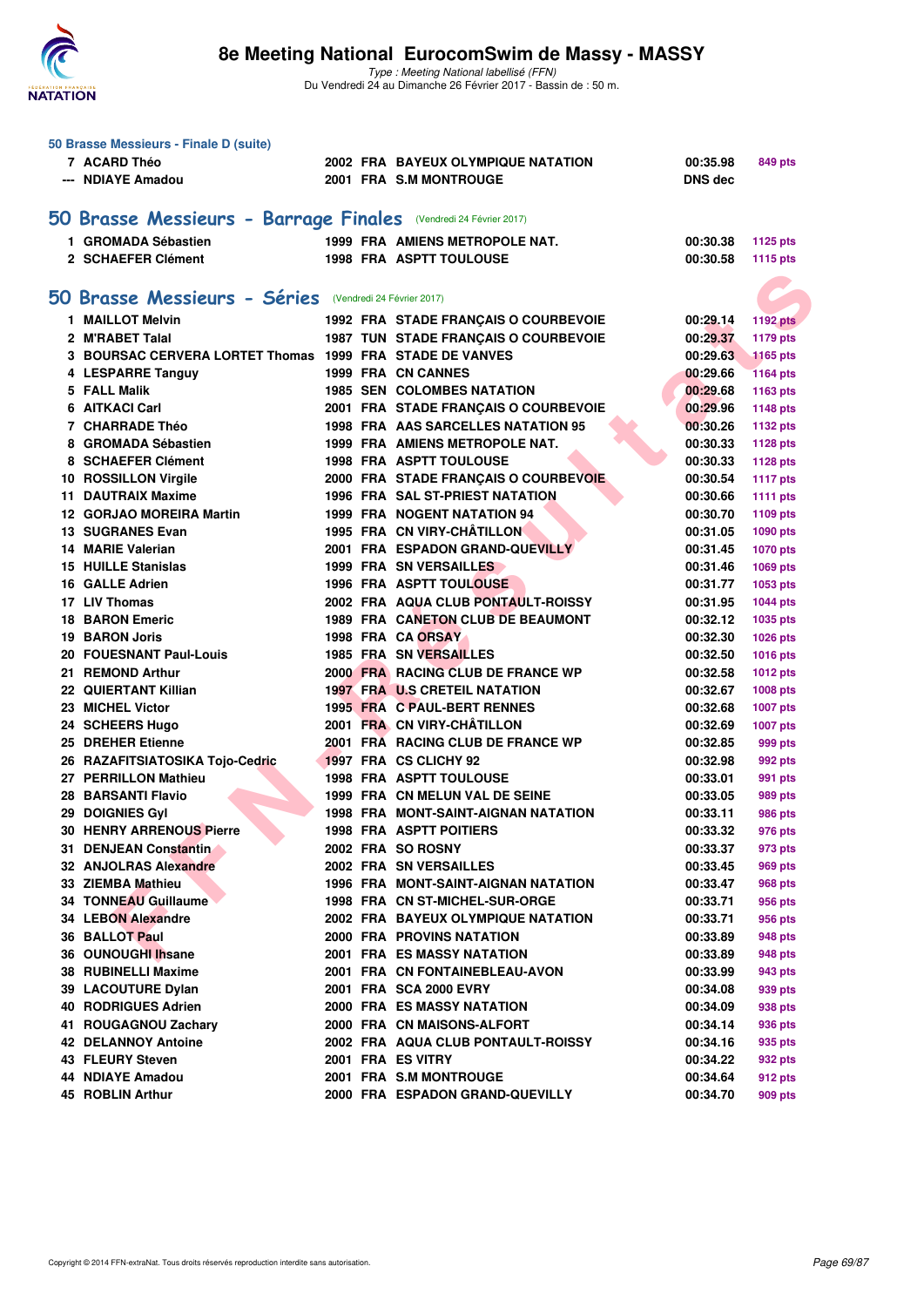

|     | 50 Brasse Messieurs - Finale D (suite)                           |  |                                            |                |                 |
|-----|------------------------------------------------------------------|--|--------------------------------------------|----------------|-----------------|
|     | 7 ACARD Théo                                                     |  | 2002 FRA BAYEUX OLYMPIQUE NATATION         | 00:35.98       | 849 pts         |
|     | --- NDIAYE Amadou                                                |  | 2001 FRA S.M MONTROUGE                     | <b>DNS dec</b> |                 |
|     |                                                                  |  |                                            |                |                 |
|     | 50 Brasse Messieurs - Barrage Finales (Vendredi 24 Février 2017) |  |                                            |                |                 |
|     | 1 GROMADA Sébastien                                              |  | 1999 FRA AMIENS METROPOLE NAT.             | 00:30.38       | 1125 pts        |
|     | 2 SCHAEFER Clément                                               |  | <b>1998 FRA ASPTT TOULOUSE</b>             | 00:30.58       | 1115 pts        |
|     |                                                                  |  |                                            |                |                 |
|     | 50 Brasse Messieurs - Séries (Vendredi 24 Février 2017)          |  |                                            |                |                 |
|     | 1 MAILLOT Melvin                                                 |  | 1992 FRA STADE FRANÇAIS O COURBEVOIE       | 00:29.14       | <b>1192 pts</b> |
|     | 2 M'RABET Talal                                                  |  | 1987 TUN STADE FRANÇAIS O COURBEVOIE       | 00:29.37       | <b>1179 pts</b> |
|     | 3 BOURSAC CERVERA LORTET Thomas 1999 FRA STADE DE VANVES         |  |                                            | 00:29.63       | <b>1165 pts</b> |
|     | 4 LESPARRE Tanguy                                                |  | 1999 FRA CN CANNES                         | 00:29.66       | <b>1164 pts</b> |
|     | 5 FALL Malik                                                     |  | <b>1985 SEN COLOMBES NATATION</b>          | 00:29.68       | 1163 pts        |
|     | 6 AITKACI Carl                                                   |  | 2001 FRA STADE FRANÇAIS O COURBEVOIE       | 00:29.96       | <b>1148 pts</b> |
|     | 7 CHARRADE Théo                                                  |  | 1998 FRA AAS SARCELLES NATATION 95         | 00:30.26       | 1132 pts        |
|     | 8 GROMADA Sébastien                                              |  | 1999 FRA AMIENS METROPOLE NAT.             | 00:30.33       | 1128 pts        |
|     | 8 SCHAEFER Clément                                               |  | <b>1998 FRA ASPTT TOULOUSE</b>             | 00:30.33       | <b>1128 pts</b> |
|     | 10 ROSSILLON Virgile                                             |  | 2000 FRA STADE FRANÇAIS O COURBEVOIE       | 00:30.54       | <b>1117 pts</b> |
|     | <b>11 DAUTRAIX Maxime</b>                                        |  | <b>1996 FRA SAL ST-PRIEST NATATION</b>     | 00:30.66       | <b>1111 pts</b> |
|     | 12 GORJAO MOREIRA Martin                                         |  | <b>1999 FRA NOGENT NATATION 94</b>         | 00:30.70       | 1109 pts        |
|     | <b>13 SUGRANES Evan</b>                                          |  | 1995 FRA CN VIRY-CHÂTILLON                 | 00:31.05       | 1090 pts        |
|     | <b>14 MARIE Valerian</b>                                         |  | 2001 FRA ESPADON GRAND-QUEVILLY            | 00:31.45       | <b>1070 pts</b> |
|     | <b>15 HUILLE Stanislas</b>                                       |  | 1999 FRA SN VERSAILLES                     | 00:31.46       | 1069 pts        |
|     | 16 GALLE Adrien                                                  |  | <b>1996 FRA ASPTT TOULOUSE</b>             | 00:31.77       | 1053 pts        |
|     | 17 LIV Thomas                                                    |  | 2002 FRA AQUA CLUB PONTAULT-ROISSY         | 00:31.95       | <b>1044 pts</b> |
|     | <b>18 BARON Emeric</b>                                           |  | 1989 FRA CANETON CLUB DE BEAUMONT          | 00:32.12       | 1035 pts        |
|     | <b>19 BARON Joris</b>                                            |  | 1998 FRA CA ORSAY                          | 00:32.30       | 1026 pts        |
|     | 20 FOUESNANT Paul-Louis                                          |  | 1985 FRA SN VERSAILLES                     | 00:32.50       | <b>1016 pts</b> |
|     | 21 REMOND Arthur                                                 |  | 2000 FRA RACING CLUB DE FRANCE WP          | 00:32.58       | <b>1012 pts</b> |
|     | 22 QUIERTANT Killian                                             |  | <b>1997 FRA U.S CRETEIL NATATION</b>       | 00:32.67       | 1008 pts        |
|     | 23 MICHEL Victor                                                 |  | 1995 FRA C PAUL-BERT RENNES                | 00:32.68       | <b>1007 pts</b> |
|     | 24 SCHEERS Hugo                                                  |  | 2001 FRA CN VIRY-CHÂTILLON                 | 00:32.69       | 1007 pts        |
|     | 25 DREHER Etienne                                                |  | 2001 FRA RACING CLUB DE FRANCE WP          | 00:32.85       | 999 pts         |
|     | 26 RAZAFITSIATOSIKA Tojo-Cedric                                  |  | 1997 FRA CS CLICHY 92                      | 00:32.98       | 992 pts         |
|     | 27 PERRILLON Mathieu                                             |  | <b>1998 FRA ASPTT TOULOUSE</b>             | 00:33.01       | 991 pts         |
|     | <b>28 BARSANTI Flavio</b>                                        |  | 1999 FRA CN MELUN VAL DE SEINE             | 00:33.05       | 989 pts         |
|     | 29 DOIGNIES Gyl                                                  |  | <b>1998 FRA MONT-SAINT-AIGNAN NATATION</b> | 00:33.11       | 986 pts         |
|     | 30 HENRY ARRENOUS Pierre                                         |  | <b>1998 FRA ASPTT POITIERS</b>             | 00:33.32       | 976 pts         |
|     | 31 DENJEAN Constantin                                            |  | 2002 FRA SO ROSNY                          | 00:33.37       | 973 pts         |
|     | 32 ANJOLRAS Alexandre                                            |  | 2002 FRA SN VERSAILLES                     | 00:33.45       | 969 pts         |
|     | 33 ZIEMBA Mathieu                                                |  | 1996 FRA MONT-SAINT-AIGNAN NATATION        | 00:33.47       | 968 pts         |
|     | <b>34 TONNEAU Guillaume</b>                                      |  | 1998 FRA CN ST-MICHEL-SUR-ORGE             | 00:33.71       | 956 pts         |
|     | <b>34 LEBON Alexandre</b>                                        |  | 2002 FRA BAYEUX OLYMPIQUE NATATION         | 00:33.71       | 956 pts         |
|     | <b>36 BALLOT Paul</b>                                            |  | <b>2000 FRA PROVINS NATATION</b>           | 00:33.89       | 948 pts         |
|     | 36 OUNOUGHI Ihsane                                               |  | 2001 FRA ES MASSY NATATION                 | 00:33.89       | 948 pts         |
|     | 38 RUBINELLI Maxime                                              |  | 2001 FRA CN FONTAINEBLEAU-AVON             | 00:33.99       | 943 pts         |
|     | 39 LACOUTURE Dylan                                               |  | 2001 FRA SCA 2000 EVRY                     | 00:34.08       | 939 pts         |
|     | <b>40 RODRIGUES Adrien</b>                                       |  | 2000 FRA ES MASSY NATATION                 | 00:34.09       | 938 pts         |
| 41. | <b>ROUGAGNOU Zachary</b>                                         |  | 2000 FRA CN MAISONS-ALFORT                 | 00:34.14       | 936 pts         |
|     | <b>42 DELANNOY Antoine</b>                                       |  | 2002 FRA AQUA CLUB PONTAULT-ROISSY         | 00:34.16       | 935 pts         |
|     | 43 FLEURY Steven                                                 |  | 2001 FRA ES VITRY                          | 00:34.22       | 932 pts         |
|     | 44 NDIAYE Amadou                                                 |  | 2001 FRA S.M MONTROUGE                     | 00:34.64       | 912 pts         |
|     | 45 ROBLIN Arthur                                                 |  | 2000 FRA ESPADON GRAND-QUEVILLY            | 00:34.70       | 909 pts         |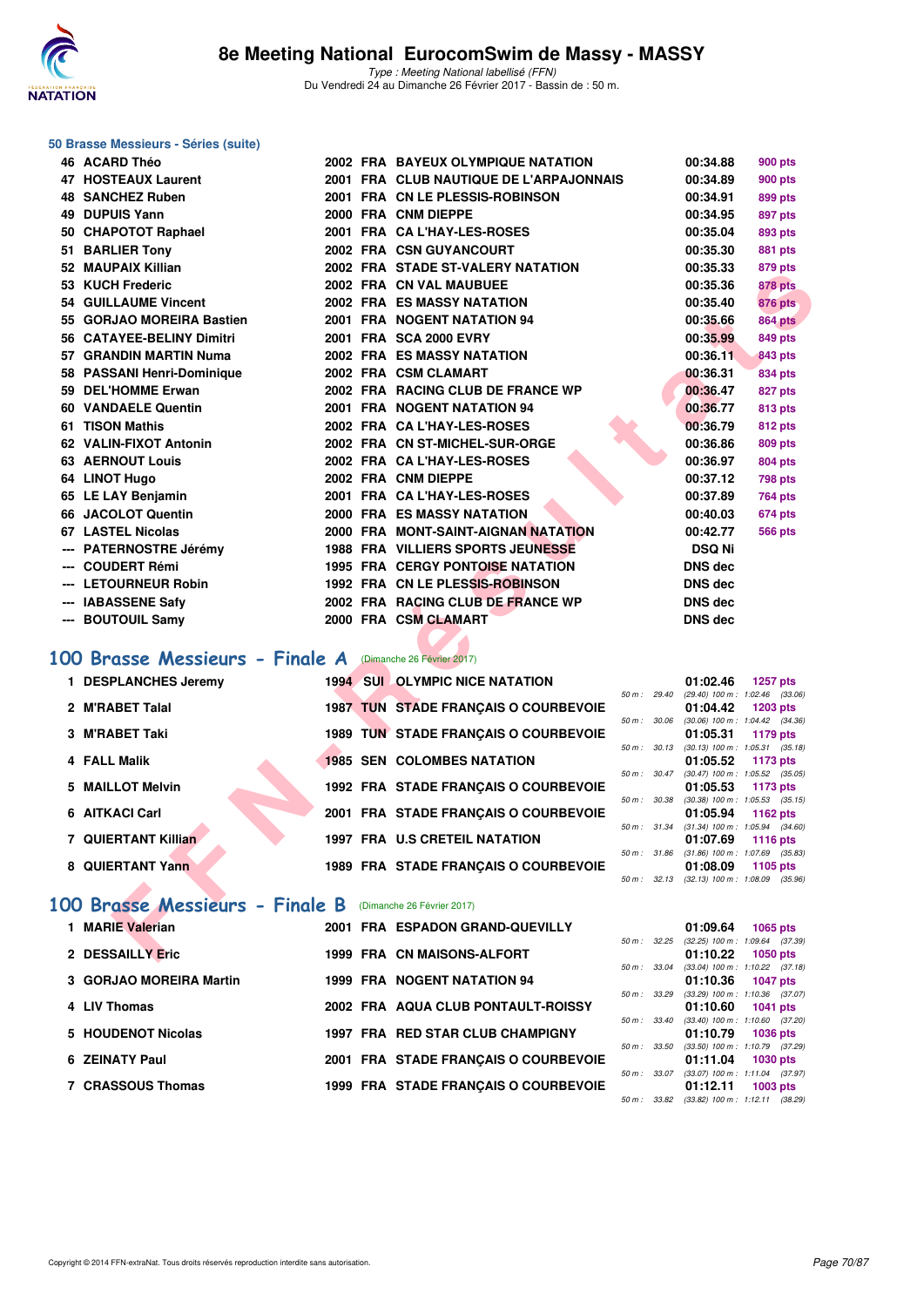

#### **50 Brasse Messieurs - Séries (suite)**

| 46 ACARD Théo                  |  | 2002 FRA BAYEUX OLYMPIQUE NATATION          |                | 00:34.88       | 900 pts                                                |
|--------------------------------|--|---------------------------------------------|----------------|----------------|--------------------------------------------------------|
| 47 HOSTEAUX Laurent            |  | 2001 FRA CLUB NAUTIQUE DE L'ARPAJONNAIS     |                | 00:34.89       | <b>900 pts</b>                                         |
| 48 SANCHEZ Ruben               |  | 2001 FRA CN LE PLESSIS-ROBINSON             |                | 00:34.91       | 899 pts                                                |
| <b>49 DUPUIS Yann</b>          |  | 2000 FRA CNM DIEPPE                         |                | 00:34.95       | 897 pts                                                |
| 50 CHAPOTOT Raphael            |  | 2001 FRA CA L'HAY-LES-ROSES                 |                | 00:35.04       | 893 pts                                                |
| 51 BARLIER Tony                |  | 2002 FRA CSN GUYANCOURT                     |                | 00:35.30       | 881 pts                                                |
| 52 MAUPAIX Killian             |  | 2002 FRA STADE ST-VALERY NATATION           |                | 00:35.33       | 879 pts                                                |
| 53 KUCH Frederic               |  | 2002 FRA CN VAL MAUBUEE                     |                | 00:35.36       | <b>878 pts</b>                                         |
| <b>54 GUILLAUME Vincent</b>    |  | <b>2002 FRA ES MASSY NATATION</b>           |                | 00:35.40       | 876 pts                                                |
| 55 GORJAO MOREIRA Bastien      |  | 2001 FRA NOGENT NATATION 94                 |                | 00:35.66       | <b>864 pts</b>                                         |
| 56 CATAYEE-BELINY Dimitri      |  | 2001 FRA SCA 2000 EVRY                      |                | 00:35.99       | <b>849 pts</b>                                         |
| 57 GRANDIN MARTIN Numa         |  | <b>2002 FRA ES MASSY NATATION</b>           |                | 00:36.11       | <b>843 pts</b>                                         |
| 58 PASSANI Henri-Dominique     |  | 2002 FRA CSM CLAMART                        |                | 00:36.31       | 834 pts                                                |
| 59 DEL'HOMME Erwan             |  | 2002 FRA RACING CLUB DE FRANCE WP           |                | 00:36.47       | 827 pts                                                |
| 60 VANDAELE Quentin            |  | 2001 FRA NOGENT NATATION 94                 |                | 00:36.77       | <b>813 pts</b>                                         |
| 61 TISON Mathis                |  | 2002 FRA CA L'HAY-LES-ROSES                 |                | 00:36.79       | <b>812 pts</b>                                         |
| 62 VALIN-FIXOT Antonin         |  | 2002 FRA CN ST-MICHEL-SUR-ORGE              |                | 00:36.86       | 809 pts                                                |
| <b>63 AERNOUT Louis</b>        |  | 2002 FRA CA L'HAY-LES-ROSES                 |                | 00:36.97       | 804 pts                                                |
| 64 LINOT Hugo                  |  | 2002 FRA CNM DIEPPE                         |                | 00:37.12       | <b>798 pts</b>                                         |
| 65 LE LAY Benjamin             |  | 2001 FRA CA L'HAY-LES-ROSES                 |                | 00:37.89       | 764 pts                                                |
| 66 JACOLOT Quentin             |  | 2000 FRA ES MASSY NATATION                  |                | 00:40.03       | 674 pts                                                |
| 67 LASTEL Nicolas              |  | 2000 FRA MONT-SAINT-AIGNAN NATATION         |                | 00:42.77       | <b>566 pts</b>                                         |
| --- PATERNOSTRE Jérémy         |  | <b>1988 FRA VILLIERS SPORTS JEUNESSE</b>    |                | <b>DSQ Ni</b>  |                                                        |
| --- COUDERT Rémi               |  | <b>1995 FRA CERGY PONTOISE NATATION</b>     |                | <b>DNS dec</b> |                                                        |
| --- LETOURNEUR Robin           |  | 1992 FRA CN LE PLESSIS-ROBINSON             |                | <b>DNS dec</b> |                                                        |
| --- IABASSENE Safy             |  | 2002 FRA RACING CLUB DE FRANCE WP           |                | <b>DNS dec</b> |                                                        |
| --- BOUTOUIL Samy              |  | 2000 FRA CSM CLAMART                        |                | <b>DNS dec</b> |                                                        |
|                                |  |                                             |                |                |                                                        |
| 00 Brasse Messieurs - Finale A |  | (Dimanche 26 Février 2017)                  |                |                |                                                        |
| 1 DESPLANCHES Jeremy           |  | <b>1994 SUI OLYMPIC NICE NATATION</b>       |                | 01:02.46       | <b>1257 pts</b>                                        |
|                                |  |                                             | $50 m$ : 29.40 |                | (29.40) 100 m: 1:02.46 (33.06)                         |
| 2 M'RABET Talal                |  | <b>1987 TUN STADE FRANÇAIS O COURBEVOIE</b> |                | 01:04.42       | 1203 pts                                               |
| 3 M'RABET Taki                 |  | 1989 TUN STADE FRANÇAIS O COURBEVOIE        | 50 m : 30.06   | 01:05.31       | $(30.06)$ 100 m : 1:04.42 $(34.36)$<br>1179 pts        |
|                                |  |                                             | 50 m: 30.13    |                | $(30.13)$ 100 m : 1:05.31 $(35.18)$                    |
| 4 FALL Malik                   |  | <b>1985 SEN COLOMBES NATATION</b>           |                | 01:05.52       | 1173 pts                                               |
| 5 MAILLOT Melvin               |  | 1992 FRA STADE FRANÇAIS O COURBEVOIE        |                | 01:05.53       | 50 m: 30.47 (30.47) 100 m: 1:05.52 (35.05)<br>1173 pts |
|                                |  |                                             | 50 m: 30.38    |                | $(30.38)$ 100 m : 1:05.53 $(35.15)$                    |
| 6 AITKACI Carl                 |  | 2001 FRA STADE FRANÇAIS O COURBEVOIE        |                | 01:05.94       | 1162 pts                                               |
| 7 QUIERTANT Killian            |  | <b>1997 FRA U.S CRETEIL NATATION</b>        |                | 01:07.69       | 50 m: 31.34 (31.34) 100 m: 1:05.94 (34.60)<br>1116 pts |
|                                |  |                                             |                |                | 50 m: 31.86 (31.86) 100 m: 1:07.69 (35.83)             |
| 8 QUIERTANT Yann               |  | 1989 FRA STADE FRANÇAIS O COURBEVOIE        |                | 01:08.09       | 1105 pts                                               |
|                                |  |                                             |                |                | 50 m: 32.13 (32.13) 100 m: 1:08.09 (35.96)             |
| 00 Brasse Messieurs - Finale B |  | (Dimanche 26 Février 2017)                  |                |                |                                                        |
| 1 MARIE Valerian               |  | 2001 FRA ESPADON GRAND-QUEVILLY             |                | 01:09.64       | 1065 pts                                               |
|                                |  |                                             | 50 m: 32.25    |                | $(32.25)$ 100 m : 1:09.64 $(37.39)$                    |
| 2 DESSAILLY Eric               |  | 1999 FRA CN MAISONS-ALFORT                  |                | 01:10.22       | 1050 pts                                               |

# **[100 Brasse Messieurs - Finale A](http://www.ffnatation.fr/webffn/resultats.php?idact=nat&go=epr&idcpt=42801&idepr=72)** (Dimanche 26 Février 2017)

| 1 DESPLANCHES Jeremy | <b>1994 SUI OLYMPIC NICE NATATION</b>       |                        | 01:02.46<br>1257 pts                                       |
|----------------------|---------------------------------------------|------------------------|------------------------------------------------------------|
|                      |                                             | $50 \text{ m}$ : 29.40 | $(29.40)$ 100 m : 1:02.46 (33.                             |
| 2 M'RABET Talal      | <b>1987 TUN STADE FRANCAIS O COURBEVOIE</b> |                        | 01:04.42<br>1203 pts                                       |
| 3 M'RABET Taki       | 1989 TUN STADE FRANCAIS O COURBEVOIE        | 50 m: 30.06            | $(30.06)$ 100 m : 1:04.42 $(34.1)$<br>01:05.31<br>1179 pts |
|                      |                                             | 50 m: 30.13            | $(30.13)$ 100 m : 1:05.31 $(35.$                           |
| 4 FALL Malik         | <b>1985 SEN COLOMBES NATATION</b>           | $50 m$ : $30.47$       | 01:05.52<br>1173 pts<br>$(30.47)$ 100 m : 1:05.52 $(35.$   |
| 5 MAILLOT Melvin     | 1992 FRA STADE FRANCAIS O COURBEVOIE        |                        | 01:05.53<br>1173 pts                                       |
|                      |                                             | 50 m: 30.38            | $(30.38)$ 100 m : 1:05.53 (35.                             |
| 6 AITKACI Carl       | 2001 FRA STADE FRANCAIS O COURBEVOIE        | 50 m: 31.34            | 01:05.94<br>1162 pts<br>$(31.34)$ 100 m : 1:05.94 $(34.$   |
| 7 QUIERTANT Killian  | <b>1997 FRA U.S CRETEIL NATATION</b>        |                        | 01:07.69<br>1116 pts                                       |
|                      |                                             | 50 m: 31.86            | $(31.86)$ 100 m : 1:07.69 $(35.$                           |
| 8 QUIERTANT Yann     | 1989 FRA STADE FRANCAIS O COURBEVOIE        |                        | 01:08.09<br>1105 pts                                       |

| $50 m$ : | 29.40 | $(29.40)$ 100 m : | $1:02.46$ (33.06)                   |  |
|----------|-------|-------------------|-------------------------------------|--|
|          |       | 01:04.42          | $1203$ pts                          |  |
| $50 m$ : | 30.06 |                   | $(30.06)$ 100 m : 1:04.42 $(34.36)$ |  |
|          |       |                   | 01:05.31 1179 pts                   |  |
| $50 m$ : | 30.13 | $(30.13)$ 100 m : | $1:05.31$ $(35.18)$                 |  |
|          |       | 01:05.52          | 1173 pts                            |  |
| $50 m$ : | 30.47 | $(30.47)$ 100 m : | $1:05.52$ $(35.05)$                 |  |
|          |       | 01:05.53          | 1173 pts                            |  |
| $50 m$ : | 30.38 | $(30.38)$ 100 m : | $1:05.53$ $(35.15)$                 |  |
|          |       | 01:05.94          | 1162 pts                            |  |
| $50 m$ : | 31.34 | $(31.34) 100 m$ : | 1:05.94 (34.60)                     |  |
|          |       | 01:07.69          | 1116 pts                            |  |
| $50 m$ : | 31.86 | $(31.86) 100 m$ : | 1:07.69 (35.83)                     |  |
|          |       |                   | 01:08.09 1105 pts                   |  |
| $50 m$ : | 32.13 | $(32.13) 100 m$ : | 1:08.09 (35.96)                     |  |

# **[100 Brasse Messieurs - Finale B](http://www.ffnatation.fr/webffn/resultats.php?idact=nat&go=epr&idcpt=42801&idepr=72)** (Dimanche 26 Février 2017)

| 1 MARIE Valerian        |  | 2001 FRA ESPADON GRAND-QUEVILLY      |                          | 01:09.64                            | $1065$ pts      |  |
|-------------------------|--|--------------------------------------|--------------------------|-------------------------------------|-----------------|--|
|                         |  |                                      | $50 \text{ m}$ : $32.25$ | $(32.25)$ 100 m : 1:09.64 $(37.39)$ |                 |  |
| 2 DESSAILLY Eric        |  | 1999 FRA CN MAISONS-ALFORT           |                          | 01:10.22                            | <b>1050 pts</b> |  |
|                         |  |                                      | 50 m: 33.04              | $(33.04)$ 100 m : 1:10.22 $(37.18)$ |                 |  |
| 3 GORJAO MOREIRA Martin |  | <b>1999 FRA NOGENT NATATION 94</b>   |                          | $01:10.36$ 1047 pts                 |                 |  |
|                         |  |                                      | 50 m: 33.29              | $(33.29)$ 100 m : 1:10.36 $(37.07)$ |                 |  |
| 4 LIV Thomas            |  | 2002 FRA AQUA CLUB PONTAULT-ROISSY   |                          | 01:10.60                            | <b>1041 pts</b> |  |
|                         |  |                                      | $50 \text{ m}$ : 33.40   | $(33.40)$ 100 m : 1:10.60 $(37.20)$ |                 |  |
| 5 HOUDENOT Nicolas      |  | 1997 FRA RED STAR CLUB CHAMPIGNY     |                          | 01:10.79                            | <b>1036 pts</b> |  |
|                         |  |                                      | 50 m: 33.50              | $(33.50)$ 100 m : 1:10.79 $(37.29)$ |                 |  |
| 6 ZEINATY Paul          |  | 2001 FRA STADE FRANCAIS O COURBEVOIE |                          | 01:11.04                            | <b>1030 pts</b> |  |
|                         |  |                                      | $50 m$ : $33.07$         | $(33.07)$ 100 m : 1:11.04 $(37.97)$ |                 |  |
| 7 CRASSOUS Thomas       |  | 1999 FRA STADE FRANCAIS O COURBEVOIE |                          | 01:12.11                            | $1003$ pts      |  |
|                         |  |                                      | 50 m: 33.82              | $(33.82)$ 100 m : 1:12.11 $(38.29)$ |                 |  |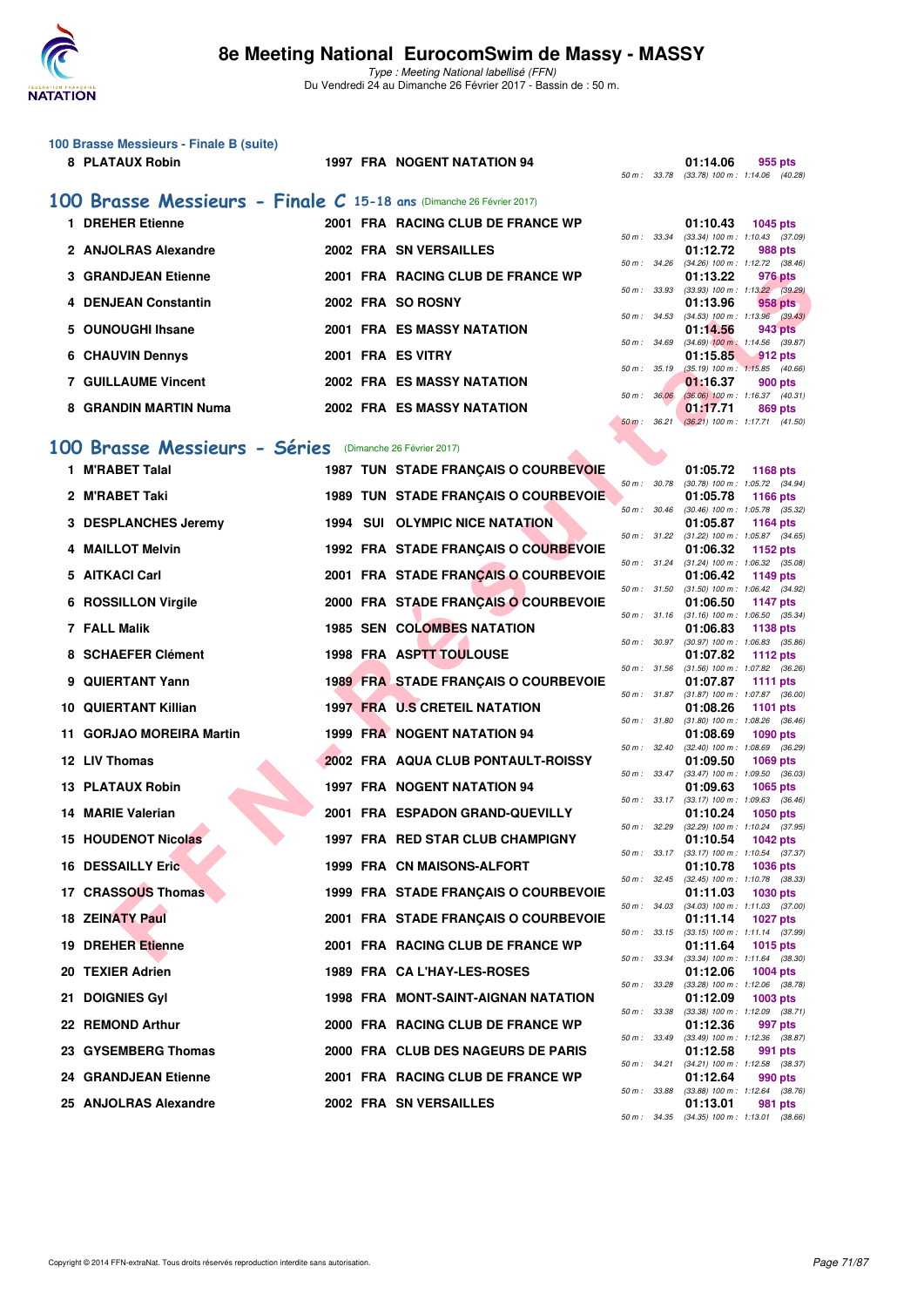

| 100 Brasse Messieurs - Finale B (suite)                              |                   |                                             |                  |          |                                                      |
|----------------------------------------------------------------------|-------------------|---------------------------------------------|------------------|----------|------------------------------------------------------|
| 8 PLATAUX Robin                                                      |                   | <b>1997 FRA NOGENT NATATION 94</b>          |                  | 01:14.06 | 955 pts                                              |
|                                                                      |                   |                                             |                  |          | 50 m: 33.78 (33.78) 100 m: 1:14.06 (40.28            |
| 100 Brasse Messieurs - Finale C 15-18 ans (Dimanche 26 Février 2017) |                   |                                             |                  |          |                                                      |
| 1 DREHER Etienne                                                     |                   | 2001 FRA RACING CLUB DE FRANCE WP           |                  | 01:10.43 | 1045 pts                                             |
|                                                                      |                   |                                             |                  |          | 50 m: 33.34 (33.34) 100 m: 1:10.43 (37.09            |
| 2 ANJOLRAS Alexandre                                                 |                   | 2002 FRA SN VERSAILLES                      |                  | 01:12.72 | 988 pts                                              |
|                                                                      |                   |                                             |                  |          | 50 m: 34.26 (34.26) 100 m: 1:12.72 (38.46            |
| <b>3 GRANDJEAN Etienne</b>                                           |                   | 2001 FRA RACING CLUB DE FRANCE WP           |                  | 01:13.22 | 976 pts                                              |
| 4 DENJEAN Constantin                                                 |                   | 2002 FRA SO ROSNY                           |                  | 01:13.96 | 50 m: 33.93 (33.93) 100 m: 1:13.22 (39.29<br>958 pts |
|                                                                      |                   |                                             |                  |          | 50 m: 34.53 (34.53) 100 m: 1:13.96 (39.43            |
| 5 OUNOUGHI Ihsane                                                    |                   | <b>2001 FRA ES MASSY NATATION</b>           |                  | 01:14.56 | 943 pts                                              |
|                                                                      |                   |                                             |                  |          | 50 m : 34.69 (34.69) 100 m : 1:14.56 (39.87          |
| <b>6 CHAUVIN Dennys</b>                                              | 2001 FRA ES VITRY |                                             |                  | 01:15.85 | $-912$ pts                                           |
|                                                                      |                   |                                             |                  |          | 50 m : 35.19 (35.19) 100 m : 1:15.85 (40.66          |
| <b>7 GUILLAUME Vincent</b>                                           |                   | <b>2002 FRA ES MASSY NATATION</b>           |                  | 01:16.37 | 900 pts                                              |
|                                                                      |                   |                                             |                  |          | 50 m : 36.06 (36.06) 100 m : 1:16.37 (40.31)         |
| 8 GRANDIN MARTIN Numa                                                |                   | <b>2002 FRA ES MASSY NATATION</b>           |                  | 01:17.71 | 869 pts                                              |
|                                                                      |                   |                                             |                  |          | 50 m: 36.21 (36.21) 100 m: 1:17.71 (41.50            |
| 100 Brasse Messieurs - Séries (Dimanche 26 Février 2017)             |                   |                                             |                  |          |                                                      |
|                                                                      |                   |                                             |                  |          |                                                      |
| 1 M'RABET Talal                                                      |                   | <b>1987 TUN STADE FRANÇAIS O COURBEVOIE</b> |                  | 01:05.72 | 1168 pts                                             |
|                                                                      |                   |                                             | $50 m$ : $30.78$ |          | (30.78) 100 m : 1:05.72 (34.94                       |

| <b>3 GRANDJEAN Etienne</b>                              |  | 2001 FRA RACING CLUB DE FRANCE WP           |                |              | 01:13.22 | 976 pts                                                       |
|---------------------------------------------------------|--|---------------------------------------------|----------------|--------------|----------|---------------------------------------------------------------|
| 4 DENJEAN Constantin                                    |  | 2002 FRA SO ROSNY                           |                | 50 m : 33.93 | 01:13.96 | $(33.93)$ 100 m : 1:13.22 $(39.29)$<br>958 pts                |
| 5 OUNOUGHI Ihsane                                       |  | 2001 FRA ES MASSY NATATION                  |                | 50 m : 34.53 | 01:14.56 | $(34.53)$ 100 m : 1:13.96 $(39.43)$<br>943 pts                |
| <b>6 CHAUVIN Dennys</b>                                 |  | 2001 FRA ES VITRY                           | 50 m : 34.69   |              | 01:15.85 | $(34.69)$ 100 m : 1:14.56 $(39.87)$<br>912 pts                |
|                                                         |  |                                             | 50 m : 35.19   |              |          | $(35.19)$ 100 m : 1:15.85 $(40.66)$                           |
| <b>7 GUILLAUME Vincent</b>                              |  | 2002 FRA ES MASSY NATATION                  | 50 m: 36.06    |              | 01:16.37 | 900 pts                                                       |
| 8 GRANDIN MARTIN Numa                                   |  | 2002 FRA ES MASSY NATATION                  |                |              | 01:17.71 | $(36.06)$ 100 m : 1:16.37 $(40.31)$<br>869 pts                |
|                                                         |  |                                             | $50 m$ : 36.21 |              |          | $(36.21)$ 100 m : 1:17.71 $(41.50)$                           |
| 00 Brasse Messieurs - Séries (Dimanche 26 Février 2017) |  |                                             |                |              |          |                                                               |
| 1 M'RABET Talal                                         |  | <b>1987 TUN STADE FRANÇAIS O COURBEVOIE</b> |                |              | 01:05.72 | <b>1168 pts</b>                                               |
| 2 M'RABET Taki                                          |  | 1989 TUN STADE FRANÇAIS O COURBEVOIE        | 50 m : 30.78   |              | 01:05.78 | $(30.78)$ 100 m : 1:05.72 $(34.94)$<br><b>1166 pts</b>        |
| 3 DESPLANCHES Jeremy                                    |  | <b>1994 SUI OLYMPIC NICE NATATION</b>       | 50 m: 30.46    |              | 01:05.87 | (30.46) 100 m : 1:05.78 (35.32)<br><b>1164 pts</b>            |
|                                                         |  |                                             |                |              |          | 50 m: 31.22 (31.22) 100 m: 1:05.87 (34.65)                    |
| 4 MAILLOT Melvin                                        |  | 1992 FRA STADE FRANÇAIS O COURBEVOIE        |                | 50 m : 31.24 | 01:06.32 | 1152 pts<br>$(31.24)$ 100 m : 1:06.32 $(35.08)$               |
| 5 AITKACI Carl                                          |  | 2001 FRA STADE FRANÇAIS O COURBEVOIE        |                |              | 01:06.42 | 1149 pts<br>$(31.50)$ 100 m : 1:06.42 $(34.92)$               |
| 6 ROSSILLON Virgile                                     |  | 2000 FRA STADE FRANÇAIS O COURBEVOIE        |                | 50 m : 31.50 | 01:06.50 | 1147 pts                                                      |
| 7 FALL Malik                                            |  | <b>1985 SEN COLOMBES NATATION</b>           |                |              | 01:06.83 | 50 m: 31.16 (31.16) 100 m: 1:06.50 (35.34)<br>1138 pts        |
|                                                         |  |                                             | 50 m : 30.97   |              |          | $(30.97)$ 100 m : 1:06.83 $(35.86)$                           |
| 8 SCHAEFER Clément                                      |  | 1998 FRA ASPTT TOULOUSE                     |                | 50 m : 31.56 | 01:07.82 | <b>1112 pts</b><br>$(31.56)$ 100 m : 1:07.82 $(36.26)$        |
| 9 QUIERTANT Yann                                        |  | <b>1989 FRA STADE FRANÇAIS O COURBEVOIE</b> |                | 50 m : 31.87 | 01:07.87 | <b>1111 pts</b><br>$(31.87)$ 100 m : 1:07.87 $(36.00)$        |
| 10 QUIERTANT Killian                                    |  | 1997 FRA U.S CRETEIL NATATION               |                |              | 01:08.26 | 1101 pts                                                      |
| 11 GORJAO MOREIRA Martin                                |  | 1999 FRA NOGENT NATATION 94                 |                | 50 m : 31.80 | 01:08.69 | $(31.80)$ 100 m : 1:08.26 $(36.46)$<br>1090 pts               |
| 12 LIV Thomas                                           |  | 2002 FRA AQUA CLUB PONTAULT-ROISSY          |                | 50 m : 32.40 | 01:09.50 | $(32.40)$ 100 m : 1:08.69 $(36.29)$<br><b>1069 pts</b>        |
|                                                         |  |                                             |                |              |          | 50 m: 33.47 (33.47) 100 m: 1:09.50 (36.03)                    |
| 13 PLATAUX Robin                                        |  | <b>1997 FRA NOGENT NATATION 94</b>          |                |              | 01:09.63 | 1065 pts<br>50 m: 33.17 (33.17) 100 m: 1:09.63 (36.46)        |
| 14 MARIE Valerian                                       |  | 2001 FRA ESPADON GRAND-QUEVILLY             |                |              | 01:10.24 | <b>1050 pts</b>                                               |
| 15 HOUDENOT Nicolas                                     |  | 1997 FRA RED STAR CLUB CHAMPIGNY            | 50 m: 32.29    |              | 01:10.54 | $(32.29)$ 100 m : 1:10.24 $(37.95)$<br><b>1042 pts</b>        |
| <b>16 DESSAILLY Eric</b>                                |  | 1999 FRA CN MAISONS-ALFORT                  |                | 50 m: 33.17  | 01:10.78 | $(33.17)$ 100 m : 1:10.54 $(37.37)$<br>1036 pts               |
|                                                         |  |                                             |                |              |          | 50 m: 32.45 (32.45) 100 m: 1:10.78 (38.33)                    |
| 17 CRASSOUS Thomas                                      |  | 1999 FRA STADE FRANÇAIS O COURBEVOIE        |                | 50 m : 34.03 | 01:11.03 | <b>1030 pts</b><br>$(34.03)$ 100 m : 1:11.03 $(37.00)$        |
| 18 ZEINATY Paul                                         |  | 2001 FRA STADE FRANÇAIS O COURBEVOIE        |                |              | 01:11.14 | <b>1027 pts</b><br>50 m: 33.15 (33.15) 100 m: 1:11.14 (37.99) |
| <b>19 DREHER Etienne</b>                                |  | 2001 FRA RACING CLUB DE FRANCE WP           |                |              | 01:11.64 | 1015 pts                                                      |
| 20 TEXIER Adrien                                        |  | 1989 FRA CA L'HAY-LES-ROSES                 |                |              | 01:12.06 | 50 m: 33.34 (33.34) 100 m: 1:11.64 (38.30)<br>1004 pts        |
| 21 DOIGNIES Gyl                                         |  | <b>1998 FRA MONT-SAINT-AIGNAN NATATION</b>  | 50 m: 33.28    |              | 01:12.09 | $(33.28)$ 100 m : 1:12.06 $(38.78)$<br>1003 pts               |
|                                                         |  |                                             |                | 50 m : 33.38 |          | $(33.38)$ 100 m : 1:12.09 $(38.71)$                           |
| 22 REMOND Arthur                                        |  | 2000 FRA RACING CLUB DE FRANCE WP           |                | 50 m : 33.49 | 01:12.36 | 997 pts<br>$(33.49)$ 100 m : 1:12.36 $(38.87)$                |
| 23 GYSEMBERG Thomas                                     |  | 2000 FRA CLUB DES NAGEURS DE PARIS          |                |              | 01:12.58 | 991 pts<br>50 m: 34.21 (34.21) 100 m: 1:12.58 (38.37)         |
| 24 GRANDJEAN Etienne                                    |  | 2001 FRA RACING CLUB DE FRANCE WP           |                |              | 01:12.64 | 990 pts                                                       |
| 25 ANJOLRAS Alexandre                                   |  | 2002 FRA SN VERSAILLES                      |                |              | 01:13.01 | 50 m: 33.88 (33.88) 100 m: 1:12.64 (38.76)<br>981 pts         |
|                                                         |  |                                             |                |              |          | 50 m: 34.35 (34.35) 100 m: 1:13.01 (38.66)                    |

|          |       | 01:05.72          | 1168 pts |         |
|----------|-------|-------------------|----------|---------|
| $50 m$ : | 30.78 | $(30.78)$ 100 m : | 1:05.72  | (34.94) |
|          |       | 01:05.78          | 1166 pts |         |
| $50 m$ : | 30.46 | $(30.46) 100 m$ : | 1:05.78  | (35.32) |
|          |       | 01:05.87          | 1164 pts |         |
| $50 m$ : | 31.22 | $(31.22)$ 100 m : | 1:05.87  | (34.65) |
|          |       | 01:06.32          | 1152 pts |         |
| $50 m$ : | 31.24 | $(31.24) 100 m$ : | 1:06.32  | (35.08) |
|          |       | 01:06.42          | 1149 pts |         |
| $50 m$ : | 31.50 | $(31.50) 100 m$ : | 1:06.42  | (34.92) |
|          |       | 01:06.50          | 1147     | pts     |
| $50 m$ : | 31.16 | $(31.16) 100 m$ : | 1:06.50  | (35.34) |
|          |       | 01:06.83          | 1138 pts |         |
| $50 m$ : | 30.97 | (30.97) 100 m :   | 1:06.83  | (35.86) |
|          |       | 01:07.82          | 1112 pts |         |
| $50 m$ : | 31.56 | $(31.56) 100 m$ : | 1:07.82  | (36.26) |
|          |       | 01:07.87          | 1111     | pts     |
| $50 m$ : | 31.87 | $(31.87) 100 m$ : | 1:07.87  | (36.00) |
|          |       | 01:08.26          | 1101     | pts     |
| $50 m$ : | 31.80 | $(31.80) 100 m$ : | 1:08.26  | (36.46) |
|          |       |                   |          |         |
|          |       | 01:08.69          | 1090     | pts     |
| $50 m$ : | 32.40 | $(32.40)$ 100 m : | 1:08.69  | (36.29) |
|          | 33.47 | 01:09.50          | 1069 pts |         |
| $50 m$ : |       | $(33.47) 100 m$ : | 1:09.50  | (36.03) |
|          |       | 01:09.63          | 1065     | pts     |
| $50 m$ : | 33.17 | $(33.17) 100 m$ : | 1:09.63  | (36.46) |
|          |       | 01:10.24          | 1050 pts |         |
| $50 m$ : | 32.29 | $(32.29)$ 100 m : | 1:10.24  | (37.95) |
|          |       | 01:10.54          | 1042     | pts     |
| $50 m$ : | 33.17 | $(33.17) 100 m$ : | 1:10.54  | (37.37) |
|          |       | 01:10.78          | 1036 pts |         |
| $50 m$ : | 32.45 | $(32.45)$ 100 m : | 1:10.78  | (38.33) |
|          |       | 01:11.03          | 1030 pts |         |
| $50 m$ : | 34.03 | $(34.03)$ 100 m : | 1:11.03  | (37.00) |
|          |       | 01:11.14          | 1027     | pts     |
| $50 m$ : | 33.15 | $(33.15) 100 m$ : | 1:11.14  | (37.99) |
|          |       | 01:11.64          | 1015 pts |         |
| $50 m$ : | 33.34 | $(33.34) 100 m$ : | 1:11.64  | (38.30) |
|          |       | 01:12.06          | 1004     | pts     |
| $50 m$ : | 33.28 | $(33.28) 100 m$ : | 1:12.06  | (38.78) |
|          |       | 01:12.09          | 1003 pts |         |
| $50 m$ : | 33.38 | $(33.38) 100 m$ : | 1:12.09  | (38.71) |
|          |       | 01:12.36          | 997      | pts     |
| $50 m$ : | 33.49 | $(33.49) 100 m$ : | 1:12.36  | (38.87) |
|          |       | 01:12.58          | 991      | pts     |
| $50 m$ : | 34.21 | $(34.21)$ 100 m : | 1:12.58  | (38.37) |
|          |       | 01:12.64          | 990      | pts     |
| $50 m$ : | 33.88 | $(33.88) 100 m$ : | 1:12.64  | (38.76) |
|          |       | 01:13.01          | 981      | pts     |
| $50 m$ : | 34.35 | $(34.35) 100 m$ : | 1:13.01  | (38.66) |
|          |       |                   |          |         |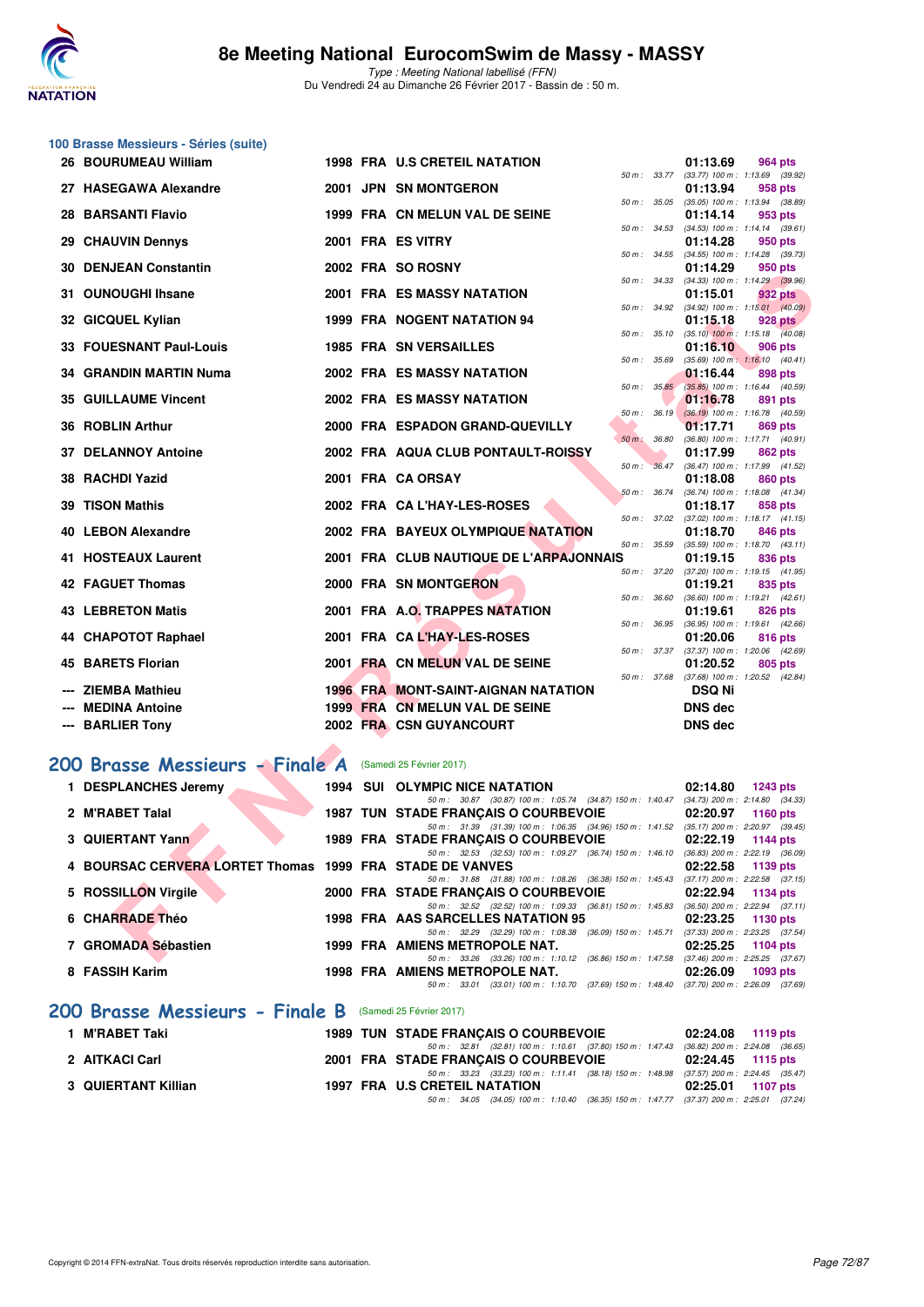

|    | 100 Brasse Messieurs - Séries (suite)                         |      |                                                                                                                                  |                  |                                                                    |
|----|---------------------------------------------------------------|------|----------------------------------------------------------------------------------------------------------------------------------|------------------|--------------------------------------------------------------------|
|    | 26 BOURUMEAU William                                          |      | 1998 FRA U.S CRETEIL NATATION                                                                                                    |                  | 01:13.69<br>964 pts                                                |
|    | 27 HASEGAWA Alexandre                                         |      | 2001 JPN SN MONTGERON                                                                                                            | 50 m : 33.77     | $(33.77)$ 100 m : 1:13.69 $(39.92)$<br>01:13.94<br>958 pts         |
|    | <b>28 BARSANTI Flavio</b>                                     |      | 1999 FRA CN MELUN VAL DE SEINE                                                                                                   |                  | 50 m: 35.05 (35.05) 100 m: 1:13.94 (38.89)<br>01:14.14<br>953 pts  |
|    | 29 CHAUVIN Dennys                                             |      | 2001 FRA ES VITRY                                                                                                                | 50 m : 34.53     | $(34.53)$ 100 m : 1:14.14 $(39.61)$                                |
|    |                                                               |      |                                                                                                                                  | 50 m : 34.55     | 01:14.28<br>950 pts<br>(34.55) 100 m: 1:14.28 (39.73)              |
|    | <b>30 DENJEAN Constantin</b>                                  |      | 2002 FRA SO ROSNY                                                                                                                | 50 m : 34.33     | 01:14.29<br>950 pts<br>(34.33) 100 m: 1:14.29 (39.96)              |
|    | 31 OUNOUGHI Ihsane                                            |      | 2001 FRA ES MASSY NATATION                                                                                                       |                  | 01:15.01<br>932 pts                                                |
|    | 32 GICQUEL Kylian                                             |      | 1999 FRA NOGENT NATATION 94                                                                                                      | 50 m : 34.92     | $(34.92)$ 100 m : 1:15.01 $(40.09)$<br>01:15.18<br><b>928 pts</b>  |
|    | 33 FOUESNANT Paul-Louis                                       |      | <b>1985 FRA SN VERSAILLES</b>                                                                                                    | 50 m : 35.10     | $(35.10)$ 100 m : 1:15.18 $(40.08)$<br>01:16.10<br>906 pts         |
|    | 34 GRANDIN MARTIN Numa                                        |      | <b>2002 FRA ES MASSY NATATION</b>                                                                                                | 50 m : 35.69     | $(35.69)$ 100 m : 1:16.10 $(40.41)$<br>01:16.44<br>898 pts         |
|    | <b>35 GUILLAUME Vincent</b>                                   |      | 2002 FRA ES MASSY NATATION                                                                                                       | $50 m$ : $35.85$ | $(35.85)$ 100 m : 1:16.44 $(40.59)$<br>01:16.78<br>891 pts         |
|    |                                                               |      |                                                                                                                                  | 50 m: 36.19      | $(36.19)$ 100 m : 1:16.78 $(40.59)$                                |
|    | 36 ROBLIN Arthur                                              |      | 2000 FRA ESPADON GRAND-QUEVILLY                                                                                                  | 50 m : 36.80     | 01:17.71<br>869 pts<br>(36.80) 100 m: 1:17.71 (40.91)              |
| 37 | <b>DELANNOY Antoine</b>                                       |      | 2002 FRA AQUA CLUB PONTAULT-ROISSY                                                                                               | 50 m : 36.47     | 01:17.99<br>862 pts                                                |
|    | 38 RACHDI Yazid                                               |      | 2001 FRA CA ORSAY                                                                                                                |                  | (36.47) 100 m: 1:17.99 (41.52)<br>01:18.08<br>860 pts              |
|    | 39 TISON Mathis                                               |      | 2002 FRA CA L'HAY-LES-ROSES                                                                                                      | 50 m: 36.74      | (36.74) 100 m: 1:18.08 (41.34)<br>01:18.17<br>858 pts              |
|    | 40 LEBON Alexandre                                            |      | 2002 FRA BAYEUX OLYMPIQUE NATATION                                                                                               |                  | 50 m: 37.02 (37.02) 100 m: 1:18.17 (41.15)<br>01:18.70             |
|    |                                                               |      |                                                                                                                                  | 50 m : 35.59     | 846 pts<br>$(35.59)$ 100 m : 1:18.70 $(43.11)$                     |
|    | 41 HOSTEAUX Laurent                                           |      | 2001 FRA CLUB NAUTIQUE DE L'ARPAJONNAIS                                                                                          | 50 m : 37.20     | 01:19.15<br>836 pts<br>(37.20) 100 m: 1:19.15 (41.95)              |
|    | 42 FAGUET Thomas                                              |      | 2000 FRA SN MONTGERON                                                                                                            | 50 m : 36.60     | 01:19.21<br>835 pts<br>(36.60) 100 m: 1:19.21 (42.61)              |
|    | <b>43 LEBRETON Matis</b>                                      |      | 2001 FRA A.O. TRAPPES NATATION                                                                                                   |                  | 01:19.61<br>826 pts                                                |
|    | 44 CHAPOTOT Raphael                                           |      | 2001 FRA CAL'HAY-LES-ROSES                                                                                                       | 50 m : 36.95     | $(36.95)$ 100 m : 1:19.61 $(42.66)$<br>01:20.06<br>816 pts         |
|    | <b>45 BARETS Florian</b>                                      |      | 2001 FRA CN MELUN VAL DE SEINE                                                                                                   |                  | 50 m: 37.37 (37.37) 100 m: 1:20.06 (42.69)<br>01:20.52<br>805 pts  |
|    | <b>ZIEMBA Mathieu</b>                                         |      | <b>1996 FRA MONT-SAINT-AIGNAN NATATION</b>                                                                                       | 50 m : 37.68     | $(37.68)$ 100 m : 1:20.52 $(42.84)$<br><b>DSQ Ni</b>               |
|    | <b>MEDINA Antoine</b>                                         |      | 1999 FRA CN MELUN VAL DE SEINE                                                                                                   |                  | <b>DNS</b> dec                                                     |
|    | --- BARLIER Tony                                              |      | 2002 FRA CSN GUYANCOURT                                                                                                          |                  | <b>DNS dec</b>                                                     |
|    |                                                               |      |                                                                                                                                  |                  |                                                                    |
|    | 200 Brasse Messieurs - Finale A                               |      | (Samedi 25 Février 2017)                                                                                                         |                  |                                                                    |
|    | 1 DESPLANCHES Jeremy                                          | 1994 | SUI OLYMPIC NICE NATATION<br>50 m: 30.87 (30.87) 100 m: 1:05.74 (34.87) 150 m: 1:40.47 (34.73) 200 m: 2:14.80 (34.33)            |                  | 02:14.80<br><b>1243 pts</b>                                        |
|    | 2 M'RABET Talal                                               |      | <b>1987 TUN STADE FRANÇAIS O COURBEVOIE</b>                                                                                      |                  | 02:20.97<br>1160 pts                                               |
|    | 3 QUIERTANT Yann                                              |      | 50 m: 31.39 (31.39) 100 m: 1:06.35 (34.96) 150 m: 1:41.52 (35.17) 200 m: 2:20.97 (39.45)<br>1989 FRA STADE FRANÇAIS O COURBEVOIE |                  | 02:22.19<br>1144 pts                                               |
|    | <b>BOURSAC CERVERA LORTET Thomas 1999 FRA STADE DE VANVES</b> |      | 50 m: 32.53 (32.53) 100 m: 1:09.27 (36.74) 150 m: 1:46.10                                                                        |                  | $(36.83)$ 200 m : 2:22.19 $(36.09)$<br>02:22.58<br><b>1139 pts</b> |
|    | 5 ROSSILLON Virgile                                           |      | 50 m: 31.88 (31.88) 100 m: 1:08.26 (36.38) 150 m: 1:45.43<br>2000 FRA STADE FRANÇAIS O COURBEVOIE                                |                  | $(37.17)$ 200 m : 2:22.58 $(37.15)$<br>02:22.94<br>1134 pts        |
|    | <b>6 CHARRADE Théo</b>                                        |      | 50 m: 32.52 (32.52) 100 m: 1:09.33 (36.81) 150 m: 1:45.83<br>1998 FRA AAS SARCELLES NATATION 95                                  |                  | $(36.50)$ 200 m : 2:22.94 $(37.11)$<br>02:23.25<br>1130 pts        |
|    | 7 GROMADA Sébastien                                           |      | 50 m: 32.29 (32.29) 100 m: 1:08.38 (36.09) 150 m: 1:45.71<br>1999 FRA AMIENS METROPOLE NAT.                                      |                  | (37.33) 200 m : 2:23.25 (37.54)<br>02:25.25<br>1104 pts            |
|    | 8 FASSIH Karim                                                |      | 50 m: 33.26 (33.26) 100 m: 1:10.12 (36.86) 150 m: 1:47.58<br>1998 FRA AMIENS METROPOLE NAT.                                      |                  | $(37.46)$ 200 m : 2:25.25 $(37.67)$<br>02:26.09<br>1093 pts        |
|    |                                                               |      | 50 m: 33.01 (33.01) 100 m: 1:10.70 (37.69) 150 m: 1:48.40 (37.70) 200 m: 2:26.09 (37.69)                                         |                  |                                                                    |

#### **[200 Brasse Messieurs - Finale B](http://www.ffnatation.fr/webffn/resultats.php?idact=nat&go=epr&idcpt=42801&idepr=73)** (Samedi 25 Février 2017)

| 1 M'RABET Taki      |  | <b>1989 TUN STADE FRANCAIS O COURBEVOIE</b>                                                 | 02:24.08 1119 pts |  |
|---------------------|--|---------------------------------------------------------------------------------------------|-------------------|--|
|                     |  | 50 m : 32.81 (32.81) 100 m : 1:10.61 (37.80) 150 m : 1:47.43 (36.82) 200 m : 2:24.08 (36.65 |                   |  |
| 2 AITKACI Carl      |  | 2001 FRA STADE FRANCAIS O COURBEVOIE                                                        | 02:24.45 1115 pts |  |
|                     |  | 50 m : 33.23 (33.23) 100 m : 1:11.41 (38.18) 150 m : 1:48.98 (37.57) 200 m : 2:24.45 (35.47 |                   |  |
| 3 QUIERTANT Killian |  | 1997 FRA U.S CRETEIL NATATION                                                               | 02:25.01 1107 pts |  |
|                     |  | 50 m: 34.05 (34.05) 100 m: 1:10.40 (36.35) 150 m: 1:47.77 (37.37) 200 m: 2:25.01 (37.24     |                   |  |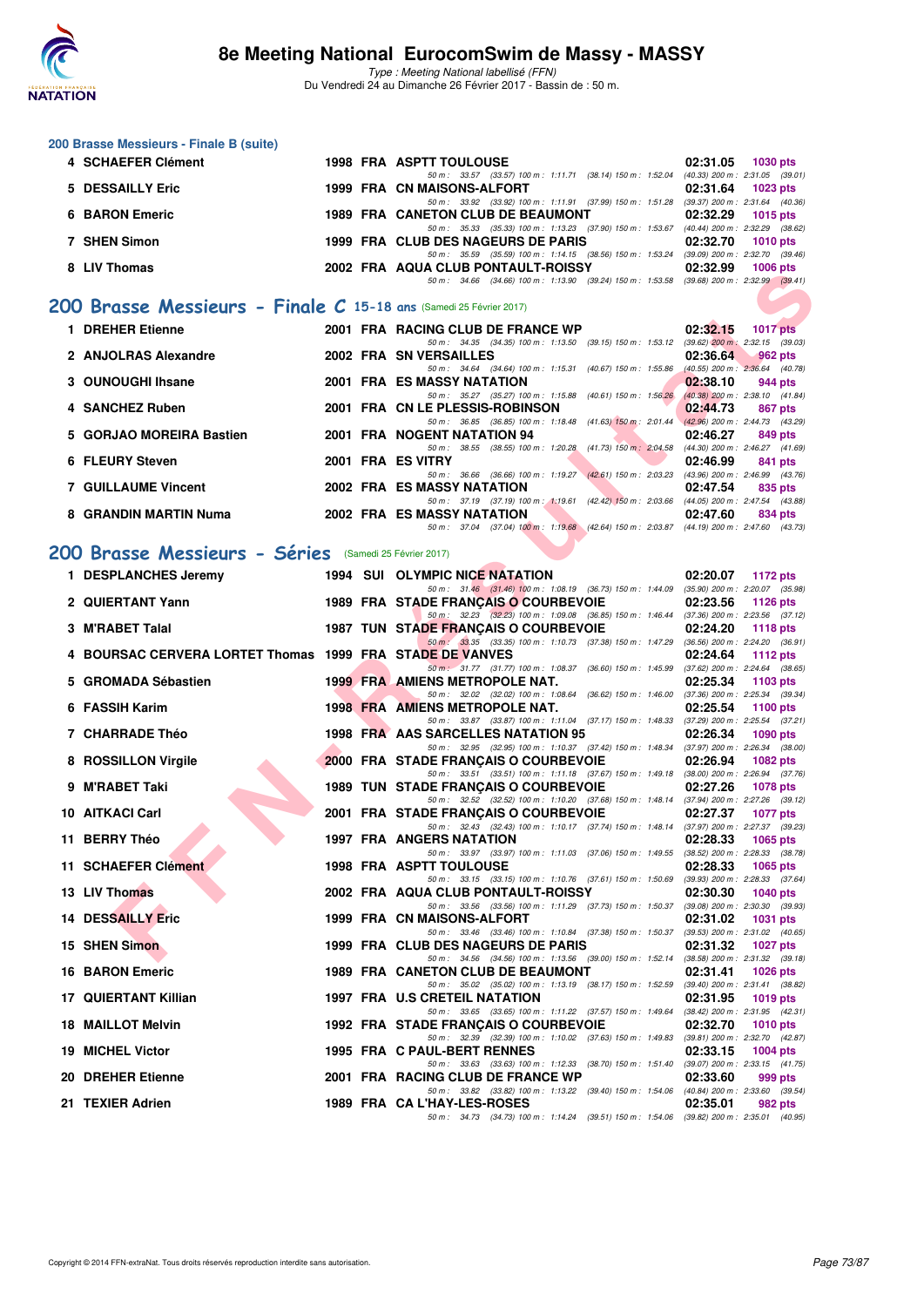

Type : Meeting National labellisé (FFN) Du Vendredi 24 au Dimanche 26 Février 2017 - Bassin de : 50 m.

#### **200 Brasse Messieurs - Finale B (suite) 4 SCHAEFER Clément 1998 FRA ASPTT TOULOUSE 02:31.05 1030 pts 02:31.05 1030 pts 60 m**: 33.57 (33.57) 100 m: 1:11.71 (38.14) 150 m: 1:52.04 (40.33) 200 m: 2:31.05 (39.01) 50 m : 33.57 (33.57) 100 m : 1:11.71 (38.14) 150 m : 1:52.04 (40.33) 200 m : 2:31.05 (39.01)<br>IAISONS-ALFORT 02:31.64 1023 pts **5 DESSAILLY Eric** 1999 FRA CN MAISONS-ALFORT 02:31.64 **1023 pts**<br>  $\frac{50 \text{ m} \cdot 33.92}{50 \text{ m} \cdot 33.92}$  (33.92) 100 m: 1:11.91 (37.99) 150 m: 1:51.28 (39.37) 200 m: 2:31.64 (40.36) 50 m : 33.92 (33.92) 100 m : 1:11.91 (37.99) 150 m : 1:51.28 (39.37) 200 m : 2:31.64 (40.36)<br>ETON CLUB DE BEAUMONT 02:32.29 1015 pts **6 BARON Emeric 1989 FRA CANETON CLUB DE BEAUMONT 02:32.29 1015 pts** 50 m : 35.33 (35.33) 100 m : 1:13.23 (37.90) 150 m : 1:53.67 (40.44) 200 m : 2:32.29 (38.62)<br>**3 DES NAGEURS DE PARIS** 02:32.70 1010 pts **7 SHEN Simon 1999 FRA CLUB DES NAGEURS DE PARIS** 50 m : 35.59 (35.59) 100 m : 1:14.15 (38.56) 150 m : 1:53.24 (39.09) 200 m : 2:32.70 (39.46)<br>50 m : 2:32.70 (39.46) 200 m : 1:14.15 (38.56) 150 m : 1:53.24 (39.09) 200 m : 2:32.70 (39.46) 8 LIV Thomas 2002 FRA AQUA CLUB PONTAULT-ROISSY 50 m : 34.66 (34.66) 100 m : 1:13.90 (39.24) 150 m : 1:53.58 (39.68) 200 m : 2:32.99 (39.41)

#### **[200 Brasse Messieurs - Finale C](http://www.ffnatation.fr/webffn/resultats.php?idact=nat&go=epr&idcpt=42801&idepr=73) 15-18 ans** (Samedi 25 Février 2017)

| 1 DREHER Etienne           |  | 2001 FRA RACING CLUB DE FRANCE WP |                                      |                                                                                          | 02:32.15                                        | $1017$ pts |
|----------------------------|--|-----------------------------------|--------------------------------------|------------------------------------------------------------------------------------------|-------------------------------------------------|------------|
| 2 ANJOLRAS Alexandre       |  | 2002 FRA SN VERSAILLES            | 50 m: 34.35 (34.35) 100 m: 1:13.50   | $(39.15)$ 150 m : 1:53.12                                                                | $(39.62)$ 200 m : 2:32.15 $(39.03)$<br>02:36.64 | $962$ pts  |
| 3 OUNOUGHI Ihsane          |  | <b>2001 FRA ES MASSY NATATION</b> | 50 m : 34.64 (34.64) 100 m : 1:15.31 | $(40.67)$ 150 m : 1:55.86                                                                | $(40.55)$ 200 m : $2:36.64$ (40.78)<br>02:38.10 | 944 pts    |
|                            |  |                                   |                                      | 50 m: 35.27 (35.27) 100 m: 1:15.88 (40.61) 150 m: 1:56.26                                | $(40.38)$ 200 m : 2:38.10 $(41.84)$             |            |
| 4 SANCHEZ Ruben            |  | 2001 FRA CN LE PLESSIS-ROBINSON   | 50 m: 36.85 (36.85) 100 m: 1:18.48   | $(41.63)$ 150 m : 2:01.44                                                                | 02:44.73<br>$(42.96)$ 200 m : 2:44.73 $(43.29)$ | 867 pts    |
| 5 GORJAO MOREIRA Bastien   |  | 2001 FRA NOGENT NATATION 94       |                                      | 50 m: 38.55 (38.55) 100 m: 1:20.28 (41.73) 150 m: 2:04.58                                | 02:46.27<br>(44.30) 200 m : 2:46.27 (41.69)     | 849 pts    |
| 6 FLEURY Steven            |  | 2001 FRA ES VITRY                 |                                      | 50 m: 36.66 (36.66) 100 m: 1:19.27 (42.61) 150 m: 2:03.23                                | 02:46.99<br>$(43.96)$ 200 m : 2:46.99 $(43.76)$ | 841 pts    |
| <b>7 GUILLAUME Vincent</b> |  | 2002 FRA ES MASSY NATATION        |                                      |                                                                                          | 02:47.54                                        | 835 pts    |
| 8 GRANDIN MARTIN Numa      |  | <b>2002 FRA ES MASSY NATATION</b> |                                      | 50 m: 37.19 (37.19) 100 m: 1:19.61 (42.42) 150 m: 2:03.66                                | $(44.05)$ 200 m : 2:47.54 $(43.88)$<br>02:47.60 | 834 pts    |
|                            |  |                                   |                                      | 50 m: 37.04 (37.04) 100 m: 1:19.68 (42.64) 150 m: 2:03.87 (44.19) 200 m: 2:47.60 (43.73) |                                                 |            |

### **[200 Brasse Messieurs - Séries](http://www.ffnatation.fr/webffn/resultats.php?idact=nat&go=epr&idcpt=42801&idepr=73)** (Samedi 25 Février 2017)

| LIV IIIUIIIAS                                                     |  | <b>ZUUZ FRA AWUA CLUB FUNTAULT-RUISST</b>                                                                                               | <u>04.34.99</u> | <b>TUUU PIS</b>   |
|-------------------------------------------------------------------|--|-----------------------------------------------------------------------------------------------------------------------------------------|-----------------|-------------------|
|                                                                   |  | 50 m: 34.66 (34.66) 100 m: 1:13.90 (39.24) 150 m: 1:53.58 (39.68) 200 m: 2:32.99 (39.41)                                                |                 |                   |
| 00 Brasse Messieurs - Finale C 15-18 ans (Samedi 25 Février 2017) |  |                                                                                                                                         |                 |                   |
| 1 DREHER Etienne                                                  |  | 2001 FRA RACING CLUB DE FRANCE WP<br>50 m: 34.35 (34.35) 100 m: 1:13.50 (39.15) 150 m: 1:53.12 (39.62) 200 m: 2:32.15 (39.03)           | 02:32.15        | <b>1017 pts</b>   |
| 2 ANJOLRAS Alexandre                                              |  | 2002 FRA SN VERSAILLES                                                                                                                  | 02:36.64        | 962 pts           |
| 3 OUNOUGHI Ihsane                                                 |  | 50 m: 34.64 (34.64) 100 m: 1:15.31 (40.67) 150 m: 1:55.86 (40.55) 200 m: 2:36.64 (40.78)<br>2001 FRA ES MASSY NATATION                  | 02:38.10        | 944 pts           |
| 4 SANCHEZ Ruben                                                   |  | 50 m: 35.27 (35.27) 100 m: 1:15.88 (40.61) 150 m: 1:56.26 (40.38) 200 m: 2:38.10 (41.84)<br>2001 FRA CN LE PLESSIS-ROBINSON             | 02:44.73        | 867 pts           |
|                                                                   |  | 50 m: 36.85 (36.85) 100 m: 1:18.48 (41.63) 150 m: 2:01.44 (42.96) 200 m: 2:44.73 (43.29)                                                |                 |                   |
| 5 GORJAO MOREIRA Bastien                                          |  | 2001 FRA NOGENT NATATION 94<br>50 m: 38.55 (38.55) 100 m: 1:20.28 (41.73) 150 m: 2:04.58 (44.30) 200 m: 2:46.27 (41.69)                 | 02:46.27        | 849 pts           |
| 6 FLEURY Steven                                                   |  | 2001 FRA ES VITRY<br>50 m: 36.66 (36.66) 100 m: 1:19.27 (42.61) 150 m: 2:03.23 (43.96) 200 m: 2:46.99 (43.76)                           | 02:46.99        | 841 pts           |
| 7 GUILLAUME Vincent                                               |  | 2002 FRA ES MASSY NATATION                                                                                                              | 02:47.54        | 835 pts           |
| 8 GRANDIN MARTIN Numa                                             |  | 50 m: 37.19 (37.19) 100 m: 1:19.61 (42.42) 150 m: 2:03.66 (44.05) 200 m: 2:47.54 (43.88)<br><b>2002 FRA ES MASSY NATATION</b>           | 02:47.60        | 834 pts           |
|                                                                   |  | 50 m: 37.04 (37.04) 100 m: 1:19.68 (42.64) 150 m: 2:03.87 (44.19) 200 m: 2:47.60 (43.73)                                                |                 |                   |
| 00 Brasse Messieurs - Séries (Samedi 25 Février 2017)             |  |                                                                                                                                         |                 |                   |
| 1 DESPLANCHES Jeremy                                              |  | 1994 SUI OLYMPIC NICE NATATION                                                                                                          |                 | 02:20.07 1172 pts |
|                                                                   |  | 50 m: 31.46 (31.46) 100 m: 1:08.19 (36.73) 150 m: 1:44.09 (35.90) 200 m: 2:20.07 (35.98)                                                |                 |                   |
| 2 QUIERTANT Yann                                                  |  | 1989 FRA STADE FRANÇAIS O COURBEVOIE<br>50 m: 32.23 (32.23) 100 m: 1:09.08 (36.85) 150 m: 1:46.44 (37.36) 200 m: 2:23.56 (37.12)        | 02:23.56        | 1126 pts          |
| 3 M'RABET Talal                                                   |  | 1987 TUN STADE FRANÇAIS O COURBEVOIE                                                                                                    | 02:24.20        | 1118 $pts$        |
| 4 BOURSAC CERVERA LORTET Thomas 1999 FRA STADE DE VANVES          |  | 50 m: 33.35 (33.35) 100 m: 1:10.73 (37.38) 150 m: 1:47.29 (36.56) 200 m: 2:24.20 (36.91)                                                | 02:24.64        | 1112 $pts$        |
| 5 GROMADA Sébastien                                               |  | 50 m: 31.77 (31.77) 100 m: 1:08.37 (36.60) 150 m: 1:45.99 (37.62) 200 m: 2:24.64 (38.65)<br><b>1999 FRA AMIENS METROPOLE NAT.</b>       | 02:25.34        | $1103$ pts        |
|                                                                   |  | 50 m: 32.02 (32.02) 100 m: 1:08.64 (36.62) 150 m: 1:46.00 (37.36) 200 m: 2:25.34 (39.34)                                                |                 |                   |
| 6 FASSIH Karim                                                    |  | 1998 FRA AMIENS METROPOLE NAT.<br>50 m: 33.87 (33.87) 100 m: 1:11.04 (37.17) 150 m: 1:48.33 (37.29) 200 m: 2:25.54 (37.21)              | 02:25.54        | 1100 pts          |
| 7 CHARRADE Théo                                                   |  | 1998 FRA AAS SARCELLES NATATION 95                                                                                                      | 02:26.34        | 1090 pts          |
| 8 ROSSILLON Virgile                                               |  | 50 m: 32.95 (32.95) 100 m: 1:10.37 (37.42) 150 m: 1:48.34 (37.97) 200 m: 2:26.34 (38.00)<br>2000 FRA STADE FRANCAIS O COURBEVOIE        | 02:26.94        | <b>1082 pts</b>   |
| 9 M'RABET Taki                                                    |  | 50 m: 33.51 (33.51) 100 m: 1:11.18 (37.67) 150 m: 1:49.18 (38.00) 200 m: 2:26.94 (37.76)                                                |                 |                   |
|                                                                   |  | <b>1989 TUN STADE FRANÇAIS O COURBEVOIE</b><br>50 m: 32.52 (32.52) 100 m: 1:10.20 (37.68) 150 m: 1:48.14 (37.94) 200 m: 2:27.26 (39.12) | 02:27.26        | 1078 pts          |
| 10 AITKACI Carl                                                   |  | 2001 FRA STADE FRANÇAIS O COURBEVOIE                                                                                                    | 02:27.37        | <b>1077 pts</b>   |
| 11 BERRY Théo                                                     |  | 50 m: 32.43 (32.43) 100 m: 1:10.17 (37.74) 150 m: 1:48.14 (37.97) 200 m: 2:27.37 (39.23)<br><b>1997 FRA ANGERS NATATION</b>             | 02:28.33        | 1065 $pts$        |
|                                                                   |  | 50 m: 33.97 (33.97) 100 m: 1:11.03 (37.06) 150 m: 1:49.55 (38.52) 200 m: 2:28.33 (38.78)                                                |                 |                   |
| 11 SCHAEFER Clément                                               |  | <b>1998 FRA ASPTT TOULOUSE</b><br>50 m: 33.15 (33.15) 100 m: 1:10.76 (37.61) 150 m: 1:50.69 (39.93) 200 m: 2:28.33 (37.64)              | 02:28.33        | 1065 $pts$        |
| 13 LIV Thomas                                                     |  | 2002 FRA AQUA CLUB PONTAULT-ROISSY                                                                                                      | 02:30.30        | 1040 pts          |
| <b>14 DESSAILLY Eric</b>                                          |  | 50 m: 33.56 (33.56) 100 m: 1:11.29 (37.73) 150 m: 1:50.37 (39.08) 200 m: 2:30.30 (39.93)<br>1999 FRA CN MAISONS-ALFORT                  | 02:31.02        | <b>1031 pts</b>   |
| 15 SHEN Simon                                                     |  | 50 m: 33.46 (33.46) 100 m: 1:10.84 (37.38) 150 m: 1:50.37 (39.53) 200 m: 2:31.02 (40.65)<br>1999 FRA CLUB DES NAGEURS DE PARIS          | 02:31.32        | 1027 pts          |
|                                                                   |  | 50 m: 34.56 (34.56) 100 m: 1:13.56 (39.00) 150 m: 1:52.14 (38.58) 200 m: 2:31.32 (39.18)                                                |                 |                   |
| <b>16 BARON Emeric</b>                                            |  | 1989 FRA CANETON CLUB DE BEAUMONT<br>50 m: 35.02 (35.02) 100 m: 1:13.19 (38.17) 150 m: 1:52.59 (39.40) 200 m: 2:31.41 (38.82)           | 02:31.41        | <b>1026 pts</b>   |
| 17 QUIERTANT Killian                                              |  | 1997 FRA U.S CRETEIL NATATION                                                                                                           | 02:31.95        | 1019 pts          |
| <b>18 MAILLOT Melvin</b>                                          |  | 50 m: 33.65 (33.65) 100 m: 1:11.22 (37.57) 150 m: 1:49.64 (38.42) 200 m: 2:31.95 (42.31)<br>1992 FRA STADE FRANCAIS O COURBEVOIE        | 02:32.70        | <b>1010 pts</b>   |
|                                                                   |  | 50 m: 32.39 (32.39) 100 m: 1:10.02 (37.63) 150 m: 1:49.83 (39.81) 200 m: 2:32.70 (42.87)                                                |                 |                   |
| 19 MICHEL Victor                                                  |  | 1995 FRA C PAUL-BERT RENNES<br>50 m: 33.63 (33.63) 100 m: 1:12.33 (38.70) 150 m: 1:51.40 (39.07) 200 m: 2:33.15 (41.75)                 | 02:33.15        | <b>1004 pts</b>   |
| 20 DREHER Etienne                                                 |  | 2001 FRA RACING CLUB DE FRANCE WP                                                                                                       | 02:33.60        | 999 pts           |
| 21 TEXIER Adrien                                                  |  | 50 m: 33.82 (33.82) 100 m: 1:13.22 (39.40) 150 m: 1:54.06 (40.84) 200 m: 2:33.60 (39.54)<br>1989 FRA CA L'HAY-LES-ROSES                 | 02:35.01        | 982 pts           |
|                                                                   |  | 50 m: 34.73 (34.73) 100 m: 1:14.24 (39.51) 150 m: 1:54.06 (39.82) 200 m: 2:35.01 (40.95)                                                |                 |                   |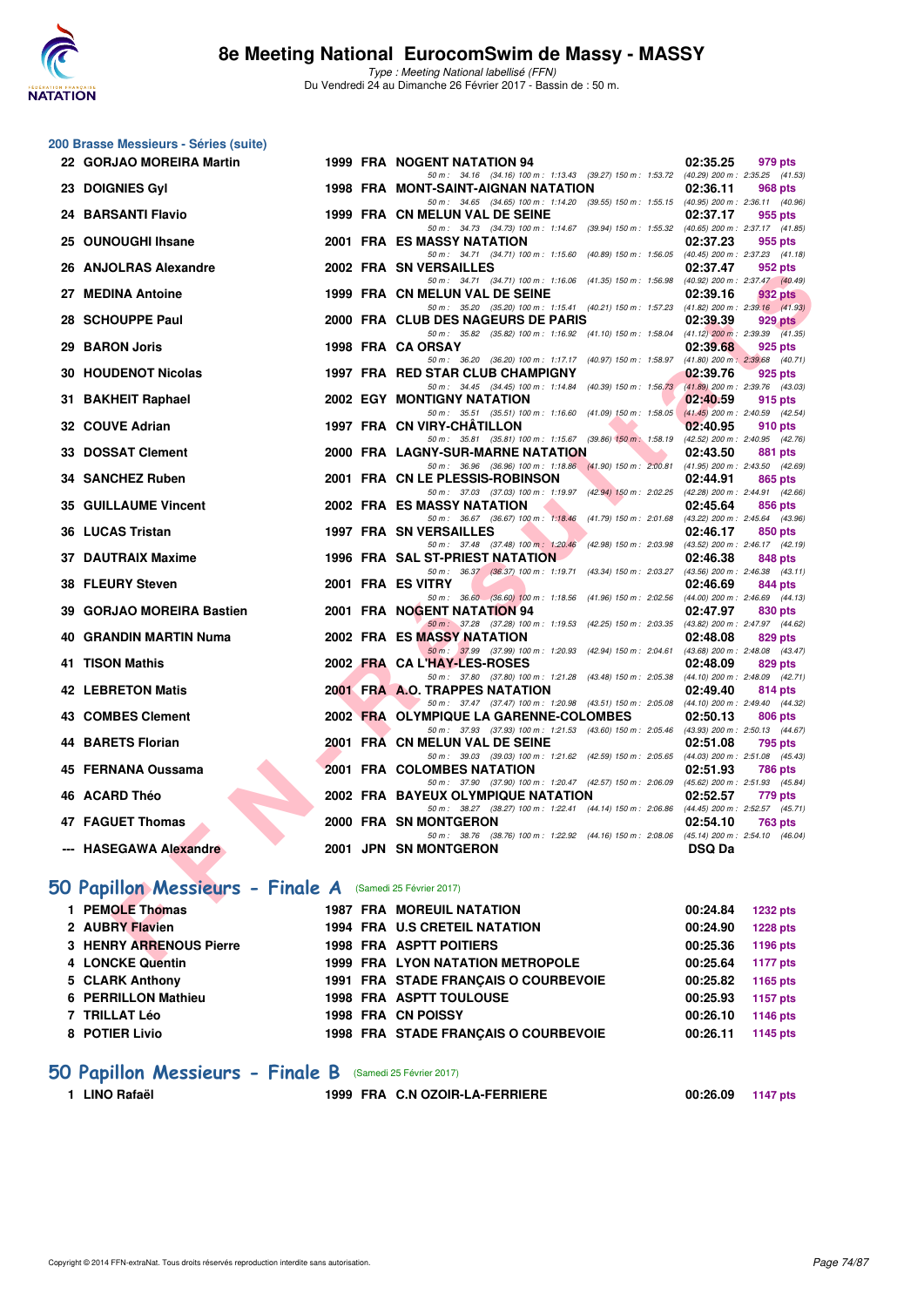

**200 Brasse Messieurs - Séries (suite)**

Type : Meeting National labellisé (FFN) Du Vendredi 24 au Dimanche 26 Février 2017 - Bassin de : 50 m.

| 22 GORJAO MOREIRA Martin                                  |  | 1999 FRA NOGENT NATATION 94                                                                                                     | 02:35.25<br>979 pts             |
|-----------------------------------------------------------|--|---------------------------------------------------------------------------------------------------------------------------------|---------------------------------|
| 23 DOIGNIES Gyl                                           |  | 50 m: 34.16 (34.16) 100 m: 1:13.43 (39.27) 150 m: 1:53.72 (40.29) 200 m: 2:35.25 (41.53)<br>1998 FRA MONT-SAINT-AIGNAN NATATION | 02:36.11<br><b>968 pts</b>      |
| 24 BARSANTI Flavio                                        |  | 50 m: 34.65 (34.65) 100 m: 1:14.20 (39.55) 150 m: 1:55.15 (40.95) 200 m: 2:36.11 (40.96)<br>1999 FRA CN MELUN VAL DE SEINE      | 02:37.17<br>955 pts             |
|                                                           |  | 50 m: 34.73 (34.73) 100 m: 1:14.67 (39.94) 150 m: 1:55.32 (40.65) 200 m: 2:37.17 (41.85)                                        |                                 |
| 25 OUNOUGHI Ihsane                                        |  | <b>2001 FRA ES MASSY NATATION</b>                                                                                               | 02:37.23<br>955 pts             |
| 26 ANJOLRAS Alexandre                                     |  | 50 m: 34.71 (34.71) 100 m: 1:15.60 (40.89) 150 m: 1:56.05 (40.45) 200 m: 2:37.23 (41.18)<br>2002 FRA SN VERSAILLES              | 02:37.47                        |
|                                                           |  | 50 m: 34.71 (34.71) 100 m: 1:16.06 (41.35) 150 m: 1:56.98 (40.92) 200 m: 2:37.47 (40.49)                                        | 952 pts                         |
| 27 MEDINA Antoine                                         |  | 1999 FRA CN MELUN VAL DE SEINE                                                                                                  | 02:39.16<br>932 pts             |
| 28 SCHOUPPE Paul                                          |  | 50 m: 35.20 (35.20) 100 m: 1:15.41 (40.21) 150 m: 1:57.23 (41.82) 200 m: 2:39.16 (41.93)<br>2000 FRA CLUB DES NAGEURS DE PARIS  | 02:39.39<br>929 pts             |
|                                                           |  | 50 m: 35.82 (35.82) 100 m: 1:16.92 (41.10) 150 m: 1:58.04 (41.12) 200 m: 2:39.39 (41.35)                                        |                                 |
| 29 BARON Joris                                            |  | 1998 FRA CA ORSAY                                                                                                               | 02:39.68<br>925 pts             |
| <b>30 HOUDENOT Nicolas</b>                                |  | 50 m: 36.20 (36.20) 100 m: 1:17.17 (40.97) 150 m: 1:58.97 (41.80) 200 m: 2:39.68 (40.71)<br>1997 FRA RED STAR CLUB CHAMPIGNY    | 02:39.76<br>925 pts             |
|                                                           |  | 50 m: 34.45 (34.45) 100 m: 1:14.84 (40.39) 150 m: 1:56.73                                                                       | (41.89) 200 m : 2:39.76 (43.03) |
| 31 BAKHEIT Raphael                                        |  | <b>2002 EGY MONTIGNY NATATION</b>                                                                                               | 02:40.59<br>915 pts             |
| 32 COUVE Adrian                                           |  | 50 m: 35.51 (35.51) 100 m: 1:16.60 (41.09) 150 m: 1:58.05 (41.45) 200 m: 2:40.59 (42.54)<br>1997 FRA CN VIRY-CHATILLON          | 02:40.95<br>910 pts             |
|                                                           |  | 50 m: 35.81 (35.81) 100 m: 1:15.67 (39.86) 150 m: 1:58.19 (42.52) 200 m: 2:40.95 (42.76)                                        |                                 |
| 33 DOSSAT Clement                                         |  | 2000 FRA LAGNY-SUR-MARNE NATATION                                                                                               | 02:43.50<br>881 pts             |
|                                                           |  | 50 m: 36.96 (36.96) 100 m: 1:18.86 (41.90) 150 m: 2:00.81 (41.95) 200 m: 2:43.50 (42.69)                                        |                                 |
| 34 SANCHEZ Ruben                                          |  | 2001 FRA CN LE PLESSIS-ROBINSON<br>50 m: 37.03 (37.03) 100 m: 1:19.97 (42.94) 150 m: 2:02.25 (42.28) 200 m: 2:44.91 (42.66)     | 02:44.91<br>865 pts             |
| <b>35 GUILLAUME Vincent</b>                               |  | <b>2002 FRA ES MASSY NATATION</b>                                                                                               | 02:45.64<br>856 pts             |
|                                                           |  | 50 m: 36.67 (36.67) 100 m: 1:18.46 (41.79) 150 m: 2:01.68 (43.22) 200 m: 2:45.64 (43.96)                                        |                                 |
| 36 LUCAS Tristan                                          |  | <b>1997 FRA SN VERSAILLES</b><br>50 m: 37.48 (37.48) 100 m: 1:20.46 (42.98) 150 m: 2:03.98 (43.52) 200 m: 2:46.17 (42.19)       | 02:46.17<br>850 pts             |
| <b>37 DAUTRAIX Maxime</b>                                 |  | 1996 FRA SAL ST-PRIEST NATATION                                                                                                 | 02:46.38<br>848 pts             |
|                                                           |  | 50 m: 36.37 (36.37) 100 m: 1:19.71 (43.34) 150 m: 2:03.27 (43.56) 200 m: 2:46.38 (43.11)                                        |                                 |
| 38 FLEURY Steven                                          |  | 2001 FRA ES VITRY<br>50 m : 36.60 (36.60) 100 m : 1:18.56 (41.96) 150 m : 2:02.56 (44.00) 200 m : 2:46.69 (44.13)               | 02:46.69<br>844 pts             |
| 39 GORJAO MOREIRA Bastien                                 |  | 2001 FRA NOGENT NATATION 94                                                                                                     | 02:47.97<br>830 pts             |
|                                                           |  | 50 m: 37.28 (37.28) 100 m: 1:19.53 (42.25) 150 m: 2:03.35 (43.82) 200 m: 2:47.97 (44.62)                                        |                                 |
| 40 GRANDIN MARTIN Numa                                    |  | 2002 FRA ES MASSY NATATION<br>50 m: 37.99 (37.99) 100 m: 1:20.93 (42.94) 150 m: 2:04.61 (43.68) 200 m: 2:48.08 (43.47)          | 02:48.08<br>829 pts             |
| 41 TISON Mathis                                           |  | 2002 FRA CA L'HAY-LES-ROSES                                                                                                     | 02:48.09<br>829 pts             |
|                                                           |  | 50 m: 37.80 (37.80) 100 m: 1:21.28 (43.48) 150 m: 2:05.38 (44.10) 200 m: 2:48.09 (42.71)                                        |                                 |
| <b>42 LEBRETON Matis</b>                                  |  | 2001 FRA A.O. TRAPPES NATATION<br>50 m: 37.47 (37.47) 100 m: 1:20.98 (43.51) 150 m: 2:05.08 (44.10) 200 m: 2:49.40 (44.32)      | 02:49.40<br>814 pts             |
| 43 COMBES Clement                                         |  | 2002 FRA OLYMPIQUE LA GARENNE-COLOMBES                                                                                          | 02:50.13<br>806 pts             |
|                                                           |  | 50 m: 37.93 (37.93) 100 m: 1:21.53 (43.60) 150 m: 2:05.46 (43.93) 200 m: 2:50.13 (44.67)                                        |                                 |
| <b>44 BARETS Florian</b>                                  |  | 2001 FRA CN MELUN VAL DE SEINE<br>50 m: 39.03 (39.03) 100 m: 1:21.62 (42.59) 150 m: 2:05.65 (44.03) 200 m: 2:51.08 (45.43)      | 02:51.08<br>795 pts             |
| 45 FERNANA Oussama                                        |  | 2001 FRA COLOMBES NATATION                                                                                                      | 02:51.93<br>786 pts             |
|                                                           |  | 50 m: 37.90 (37.90) 100 m: 1:20.47 (42.57) 150 m: 2:06.09 (45.62) 200 m: 2:51.93 (45.84)                                        |                                 |
| 46 ACARD Théo                                             |  | 2002 FRA BAYEUX OLYMPIQUE NATATION<br>50 m: 38.27 (38.27) 100 m: 1:22.41 (44.14) 150 m: 2:06.86 (44.45) 200 m: 2:52.57 (45.71)  | 02:52.57<br>779 pts             |
| 47 FAGUET Thomas                                          |  | 2000 FRA SN MONTGERON                                                                                                           | 02:54.10<br>763 pts             |
|                                                           |  | 50 m: 38.76 (38.76) 100 m: 1:22.92 (44.16) 150 m: 2:08.06 (45.14) 200 m: 2:54.10 (46.04)                                        |                                 |
| --- HASEGAWA Alexandre                                    |  | 2001 JPN SN MONTGERON                                                                                                           | <b>DSQ Da</b>                   |
|                                                           |  |                                                                                                                                 |                                 |
| 50 Papillon Messieurs - Finale A (Samedi 25 Février 2017) |  |                                                                                                                                 |                                 |
| 1 PEMOLE Thomas                                           |  | <b>1987 FRA MOREUIL NATATION</b>                                                                                                | 00:24.84<br><b>1232 pts</b>     |
| 2 AUBRY Flavien                                           |  | 1994 FRA U.S CRETEIL NATATION                                                                                                   | 00:24.90<br><b>1228 pts</b>     |
| <b>3 HENRY ARRENOUS Pierre</b>                            |  | <b>1998 FRA ASPTT POITIERS</b>                                                                                                  | 00:25.36<br>1196 pts            |
| $\lambda$ , LONOVE Outside                                |  | 1000 FBA I VON NATATION METROPOLE                                                                                               |                                 |

### **[50 Papillon Messieurs - Finale A](http://www.ffnatation.fr/webffn/resultats.php?idact=nat&go=epr&idcpt=42801&idepr=81)** (Samedi 25 Février 2017)

| 1 PEMOLE Thomas         | <b>1987 FRA MOREUIL NATATION</b>        | <b>1232 pts</b><br>00:24.84 |
|-------------------------|-----------------------------------------|-----------------------------|
| 2 AUBRY Flavien         | 1994 FRA U.S CRETEIL NATATION           | <b>1228 pts</b><br>00:24.90 |
| 3 HENRY ARRENOUS Pierre | <b>1998 FRA ASPTT POITIERS</b>          | 1196 pts<br>00:25.36        |
| 4 LONCKE Quentin        | <b>1999 FRA LYON NATATION METROPOLE</b> | 1177 pts<br>00:25.64        |
| 5 CLARK Anthony         | 1991 FRA STADE FRANCAIS O COURBEVOIE    | 00:25.82<br>1165 pts        |
| 6 PERRILLON Mathieu     | 1998 FRA ASPTT TOULOUSE                 | 1157 pts<br>00:25.93        |
| 7 TRILLAT Léo           | <b>1998 FRA CN POISSY</b>               | 00:26.10<br>1146 pts        |
| 8 POTIER Livio          | 1998 FRA STADE FRANCAIS O COURBEVOIE    | 00:26.11<br>1145 pts        |
|                         |                                         |                             |

### **[50 Papillon Messieurs - Finale B](http://www.ffnatation.fr/webffn/resultats.php?idact=nat&go=epr&idcpt=42801&idepr=81)** (Samedi 25 Février 2017)

```
1 LINO Rafaël 1999 FRA C.N OZOIR-LA-FERRIERE 00:26.09 1147 pts
```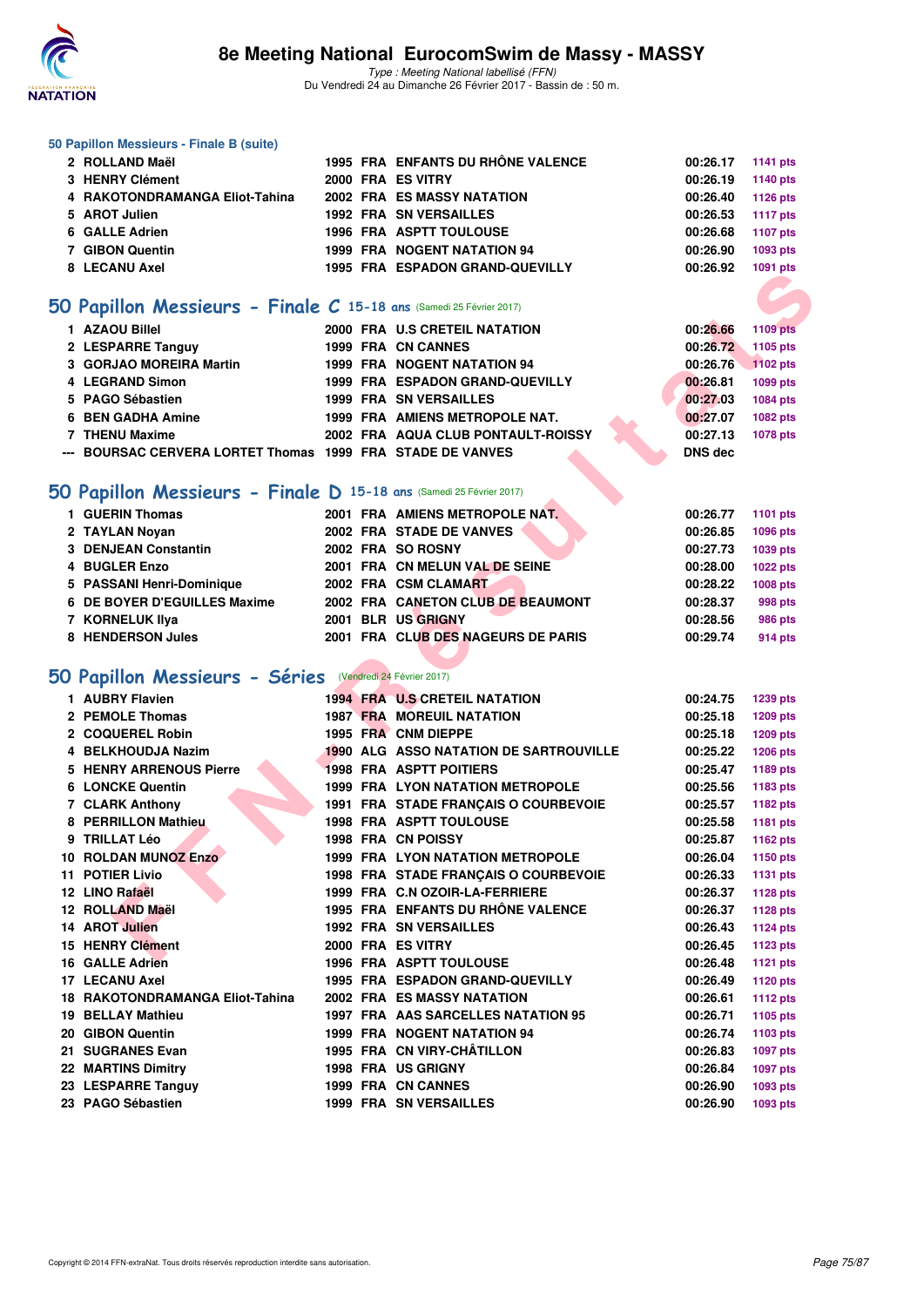

#### **50 Papillon Messieurs - Finale B (suite)**

| 2 ROLLAND Maël                 |  | 1995 FRA ENFANTS DU RHÔNE VALENCE  | 00:26.17 1141 pts |          |
|--------------------------------|--|------------------------------------|-------------------|----------|
| 3 HENRY Clément                |  | 2000 FRA ES VITRY                  | 00:26.19          | 1140 pts |
| 4 RAKOTONDRAMANGA Eliot-Tahina |  | <b>2002 FRA ES MASSY NATATION</b>  | 00:26.40          | 1126 pts |
| 5 AROT Julien                  |  | <b>1992 FRA SN VERSAILLES</b>      | 00:26.53          | 1117 pts |
| 6 GALLE Adrien                 |  | 1996 FRA ASPTT TOULOUSE            | 00:26.68          | 1107 pts |
| 7 GIBON Quentin                |  | <b>1999 FRA NOGENT NATATION 94</b> | 00:26.90          | 1093 pts |
| 8 LECANU Axel                  |  | 1995 FRA ESPADON GRAND-QUEVILLY    | 00:26.92          | 1091 pts |
|                                |  |                                    |                   |          |

### **[50 Papillon Messieurs - Finale C](http://www.ffnatation.fr/webffn/resultats.php?idact=nat&go=epr&idcpt=42801&idepr=81) 15-18 ans** (Samedi 25 Février 2017)

| 1 AZAOU Billel                                             |  | 2000 FRA U.S CRETEIL NATATION      |  | 00:26.66 | 1109 pts |
|------------------------------------------------------------|--|------------------------------------|--|----------|----------|
| 2 LESPARRE Tanguy                                          |  | 1999 FRA CN CANNES                 |  | 00:26.72 | 1105 pts |
| 3 GORJAO MOREIRA Martin                                    |  | <b>1999 FRA NOGENT NATATION 94</b> |  | 00:26.76 | 1102 pts |
| 4 LEGRAND Simon                                            |  | 1999 FRA ESPADON GRAND-QUEVILLY    |  | 00:26.81 | 1099 pts |
| 5 PAGO Sébastien                                           |  | <b>1999 FRA SN VERSAILLES</b>      |  | 00:27.03 | 1084 pts |
| 6 BEN GADHA Amine                                          |  | 1999 FRA AMIENS METROPOLE NAT.     |  | 00:27.07 | 1082 pts |
| 7 THENU Maxime                                             |  | 2002 FRA AQUA CLUB PONTAULT-ROISSY |  | 00:27.13 | 1078 pts |
| --- BOURSAC CERVERA LORTET Thomas 1999 FRA STADE DE VANVES |  |                                    |  | DNS dec  |          |

### **[50 Papillon Messieurs - Finale D](http://www.ffnatation.fr/webffn/resultats.php?idact=nat&go=epr&idcpt=42801&idepr=81) 15-18 ans** (Samedi 25 Février 2017)

| 1 GUERIN Thomas              | 2001 FRA AMIENS METROPOLE NAT.     | 00:26.77<br>1101 pts |
|------------------------------|------------------------------------|----------------------|
| 2 TAYLAN Noyan               | 2002 FRA STADE DE VANVES           | 00:26.85<br>1096 pts |
| 3 DENJEAN Constantin         | 2002 FRA SO ROSNY                  | 00:27.73<br>1039 pts |
| 4 BUGLER Enzo                | 2001 FRA CN MELUN VAL DE SEINE     | 00:28.00<br>1022 pts |
| 5 PASSANI Henri-Dominique    | 2002 FRA CSM CLAMART               | 00:28.22<br>1008 pts |
| 6 DE BOYER D'EGUILLES Maxime | 2002 FRA CANETON CLUB DE BEAUMONT  | 00:28.37<br>998 pts  |
| 7 KORNELUK IIya              | 2001 BLR US GRIGNY                 | 00:28.56<br>986 pts  |
| 8 HENDERSON Jules            | 2001 FRA CLUB DES NAGEURS DE PARIS | 00:29.74<br>914 pts  |
|                              |                                    |                      |

### **[50 Papillon Messieurs - Séries](http://www.ffnatation.fr/webffn/resultats.php?idact=nat&go=epr&idcpt=42801&idepr=81)** (Vendredi 24 Février 2017)

|                                                          |                                                                                                                                                                                                                                                                                                                                                                                                                                                                                                                                                                                                                                                                                                                                                                                                                                                                                                                                                                                                                                                                                                                                                                                                                                                                                                                                                                                                                                                                                                                                                                                                                                                                                                                                                                                                                                                                                                                                                                                                                                                                                                                                                                                  |  |                | <b>TUST PIS</b> |
|----------------------------------------------------------|----------------------------------------------------------------------------------------------------------------------------------------------------------------------------------------------------------------------------------------------------------------------------------------------------------------------------------------------------------------------------------------------------------------------------------------------------------------------------------------------------------------------------------------------------------------------------------------------------------------------------------------------------------------------------------------------------------------------------------------------------------------------------------------------------------------------------------------------------------------------------------------------------------------------------------------------------------------------------------------------------------------------------------------------------------------------------------------------------------------------------------------------------------------------------------------------------------------------------------------------------------------------------------------------------------------------------------------------------------------------------------------------------------------------------------------------------------------------------------------------------------------------------------------------------------------------------------------------------------------------------------------------------------------------------------------------------------------------------------------------------------------------------------------------------------------------------------------------------------------------------------------------------------------------------------------------------------------------------------------------------------------------------------------------------------------------------------------------------------------------------------------------------------------------------------|--|----------------|-----------------|
|                                                          |                                                                                                                                                                                                                                                                                                                                                                                                                                                                                                                                                                                                                                                                                                                                                                                                                                                                                                                                                                                                                                                                                                                                                                                                                                                                                                                                                                                                                                                                                                                                                                                                                                                                                                                                                                                                                                                                                                                                                                                                                                                                                                                                                                                  |  |                |                 |
|                                                          |                                                                                                                                                                                                                                                                                                                                                                                                                                                                                                                                                                                                                                                                                                                                                                                                                                                                                                                                                                                                                                                                                                                                                                                                                                                                                                                                                                                                                                                                                                                                                                                                                                                                                                                                                                                                                                                                                                                                                                                                                                                                                                                                                                                  |  |                |                 |
| 1 AZAOU Billel                                           |                                                                                                                                                                                                                                                                                                                                                                                                                                                                                                                                                                                                                                                                                                                                                                                                                                                                                                                                                                                                                                                                                                                                                                                                                                                                                                                                                                                                                                                                                                                                                                                                                                                                                                                                                                                                                                                                                                                                                                                                                                                                                                                                                                                  |  | 00:26.66       | <b>1109 pts</b> |
| 2 LESPARRE Tanguy                                        |                                                                                                                                                                                                                                                                                                                                                                                                                                                                                                                                                                                                                                                                                                                                                                                                                                                                                                                                                                                                                                                                                                                                                                                                                                                                                                                                                                                                                                                                                                                                                                                                                                                                                                                                                                                                                                                                                                                                                                                                                                                                                                                                                                                  |  | 00:26.72       | 1105 pts        |
| 3 GORJAO MOREIRA Martin                                  |                                                                                                                                                                                                                                                                                                                                                                                                                                                                                                                                                                                                                                                                                                                                                                                                                                                                                                                                                                                                                                                                                                                                                                                                                                                                                                                                                                                                                                                                                                                                                                                                                                                                                                                                                                                                                                                                                                                                                                                                                                                                                                                                                                                  |  | 00:26.76       | 1102 pts        |
| 4 LEGRAND Simon                                          |                                                                                                                                                                                                                                                                                                                                                                                                                                                                                                                                                                                                                                                                                                                                                                                                                                                                                                                                                                                                                                                                                                                                                                                                                                                                                                                                                                                                                                                                                                                                                                                                                                                                                                                                                                                                                                                                                                                                                                                                                                                                                                                                                                                  |  | 00:26.81       | 1099 pts        |
| 5 PAGO Sébastien                                         |                                                                                                                                                                                                                                                                                                                                                                                                                                                                                                                                                                                                                                                                                                                                                                                                                                                                                                                                                                                                                                                                                                                                                                                                                                                                                                                                                                                                                                                                                                                                                                                                                                                                                                                                                                                                                                                                                                                                                                                                                                                                                                                                                                                  |  | 00:27.03       | 1084 pts        |
| 6 BEN GADHA Amine                                        |                                                                                                                                                                                                                                                                                                                                                                                                                                                                                                                                                                                                                                                                                                                                                                                                                                                                                                                                                                                                                                                                                                                                                                                                                                                                                                                                                                                                                                                                                                                                                                                                                                                                                                                                                                                                                                                                                                                                                                                                                                                                                                                                                                                  |  | 00:27.07       | 1082 pts        |
| 7 THENU Maxime                                           |                                                                                                                                                                                                                                                                                                                                                                                                                                                                                                                                                                                                                                                                                                                                                                                                                                                                                                                                                                                                                                                                                                                                                                                                                                                                                                                                                                                                                                                                                                                                                                                                                                                                                                                                                                                                                                                                                                                                                                                                                                                                                                                                                                                  |  | 00:27.13       | 1078 pts        |
|                                                          |                                                                                                                                                                                                                                                                                                                                                                                                                                                                                                                                                                                                                                                                                                                                                                                                                                                                                                                                                                                                                                                                                                                                                                                                                                                                                                                                                                                                                                                                                                                                                                                                                                                                                                                                                                                                                                                                                                                                                                                                                                                                                                                                                                                  |  | <b>DNS</b> dec |                 |
|                                                          |                                                                                                                                                                                                                                                                                                                                                                                                                                                                                                                                                                                                                                                                                                                                                                                                                                                                                                                                                                                                                                                                                                                                                                                                                                                                                                                                                                                                                                                                                                                                                                                                                                                                                                                                                                                                                                                                                                                                                                                                                                                                                                                                                                                  |  |                |                 |
|                                                          |                                                                                                                                                                                                                                                                                                                                                                                                                                                                                                                                                                                                                                                                                                                                                                                                                                                                                                                                                                                                                                                                                                                                                                                                                                                                                                                                                                                                                                                                                                                                                                                                                                                                                                                                                                                                                                                                                                                                                                                                                                                                                                                                                                                  |  |                |                 |
| 1 GUERIN Thomas                                          |                                                                                                                                                                                                                                                                                                                                                                                                                                                                                                                                                                                                                                                                                                                                                                                                                                                                                                                                                                                                                                                                                                                                                                                                                                                                                                                                                                                                                                                                                                                                                                                                                                                                                                                                                                                                                                                                                                                                                                                                                                                                                                                                                                                  |  | 00:26.77       | 1101 pts        |
| 2 TAYLAN Noyan                                           |                                                                                                                                                                                                                                                                                                                                                                                                                                                                                                                                                                                                                                                                                                                                                                                                                                                                                                                                                                                                                                                                                                                                                                                                                                                                                                                                                                                                                                                                                                                                                                                                                                                                                                                                                                                                                                                                                                                                                                                                                                                                                                                                                                                  |  | 00:26.85       | 1096 pts        |
| 3 DENJEAN Constantin                                     |                                                                                                                                                                                                                                                                                                                                                                                                                                                                                                                                                                                                                                                                                                                                                                                                                                                                                                                                                                                                                                                                                                                                                                                                                                                                                                                                                                                                                                                                                                                                                                                                                                                                                                                                                                                                                                                                                                                                                                                                                                                                                                                                                                                  |  | 00:27.73       | 1039 pts        |
| 4 BUGLER Enzo                                            |                                                                                                                                                                                                                                                                                                                                                                                                                                                                                                                                                                                                                                                                                                                                                                                                                                                                                                                                                                                                                                                                                                                                                                                                                                                                                                                                                                                                                                                                                                                                                                                                                                                                                                                                                                                                                                                                                                                                                                                                                                                                                                                                                                                  |  | 00:28.00       | <b>1022 pts</b> |
| 5 PASSANI Henri-Dominique                                |                                                                                                                                                                                                                                                                                                                                                                                                                                                                                                                                                                                                                                                                                                                                                                                                                                                                                                                                                                                                                                                                                                                                                                                                                                                                                                                                                                                                                                                                                                                                                                                                                                                                                                                                                                                                                                                                                                                                                                                                                                                                                                                                                                                  |  | 00:28.22       | 1008 pts        |
| 6 DE BOYER D'EGUILLES Maxime                             |                                                                                                                                                                                                                                                                                                                                                                                                                                                                                                                                                                                                                                                                                                                                                                                                                                                                                                                                                                                                                                                                                                                                                                                                                                                                                                                                                                                                                                                                                                                                                                                                                                                                                                                                                                                                                                                                                                                                                                                                                                                                                                                                                                                  |  | 00:28.37       | 998 pts         |
| 7 KORNELUK Ilya                                          |                                                                                                                                                                                                                                                                                                                                                                                                                                                                                                                                                                                                                                                                                                                                                                                                                                                                                                                                                                                                                                                                                                                                                                                                                                                                                                                                                                                                                                                                                                                                                                                                                                                                                                                                                                                                                                                                                                                                                                                                                                                                                                                                                                                  |  | 00:28.56       | 986 pts         |
| 8 HENDERSON Jules                                        |                                                                                                                                                                                                                                                                                                                                                                                                                                                                                                                                                                                                                                                                                                                                                                                                                                                                                                                                                                                                                                                                                                                                                                                                                                                                                                                                                                                                                                                                                                                                                                                                                                                                                                                                                                                                                                                                                                                                                                                                                                                                                                                                                                                  |  | 00:29.74       | 914 pts         |
|                                                          | IA ESPADON GRAND-QUEVILLI<br>O Papillon Messieurs - Finale C 15-18 ans (Samedi 25 Février 2017)<br>2000 FRA U.S CRETEIL NATATION<br>1999 FRA CN CANNES<br>1999 FRA NOGENT NATATION 94<br>1999 FRA ESPADON GRAND-QUEVILLY<br><b>1999 FRA SN VERSAILLES</b><br>1999 FRA AMIENS METROPOLE NAT.<br>2002 FRA AQUA CLUB PONTAULT-ROISSY<br>--- BOURSAC CERVERA LORTET Thomas 1999 FRA STADE DE VANVES<br>O Papillon Messieurs - Finale D 15-18 ans (Samedi 25 Février 2017)<br>2001 FRA AMIENS METROPOLE NAT.<br>2002 FRA STADE DE VANVES<br>2002 FRA SO ROSNY<br>2001 FRA CN MELUN VAL DE SEINE<br>2002 FRA CSM CLAMART<br>2002 FRA CANETON CLUB DE BEAUMONT<br>2001 BLR US GRIGNY<br>2001 FRA CLUB DES NAGEURS DE PARIS<br><b>1994 FRA U.S CRETEIL NATATION</b><br>00:24.75<br><b>1239 pts</b><br><b>1987 FRA MOREUIL NATATION</b><br>00:25.18<br>1209 pts<br>1995 FRA CNM DIEPPE<br>00:25.18<br>1209 pts<br>1990 ALG ASSO NATATION DE SARTROUVILLE<br>00:25.22<br>1206 pts<br><b>1998 FRA ASPTT POITIERS</b><br>00:25.47<br>1189 pts<br>1999 FRA LYON NATATION METROPOLE<br>00:25.56<br>1183 pts<br>1991 FRA STADE FRANÇAIS O COURBEVOIE<br>00:25.57<br>1182 pts<br><b>1998 FRA ASPTT TOULOUSE</b><br>00:25.58<br>1181 pts<br><b>1998 FRA CN POISSY</b><br>00:25.87<br>1162 pts<br>1999 FRA LYON NATATION METROPOLE<br>00:26.04<br>1150 pts<br>1998 FRA STADE FRANÇAIS O COURBEVOIE<br>00:26.33<br><b>1131 pts</b><br>1999 FRA C.N OZOIR-LA-FERRIERE<br>00:26.37<br><b>1128 pts</b><br>1995 FRA ENFANTS DU RHÔNE VALENCE<br>00:26.37<br><b>1128 pts</b><br><b>1992 FRA SN VERSAILLES</b><br>00:26.43<br><b>1124 pts</b><br>2000 FRA ES VITRY<br>00:26.45<br><b>1123 pts</b><br><b>1996 FRA ASPTT TOULOUSE</b><br>00:26.48<br>1121 pts<br>1995 FRA ESPADON GRAND-QUEVILLY<br>00:26.49<br>1120 pts<br><b>2002 FRA ES MASSY NATATION</b><br>00:26.61<br><b>1112 pts</b><br>1997 FRA AAS SARCELLES NATATION 95<br>00:26.71<br>1105 pts<br>1999 FRA NOGENT NATATION 94<br>00:26.74<br>1103 pts<br>1995 FRA CN VIRY-CHÂTILLON<br>00:26.83<br><b>1097 pts</b><br>1998 FRA US GRIGNY<br>00:26.84<br><b>1097 pts</b><br>1999 FRA CN CANNES<br>00:26.90<br>1093 pts<br>1999 FRA SN VERSAILLES |  |                |                 |
| O Papillon Messieurs - Séries (Vendredi 24 Février 2017) |                                                                                                                                                                                                                                                                                                                                                                                                                                                                                                                                                                                                                                                                                                                                                                                                                                                                                                                                                                                                                                                                                                                                                                                                                                                                                                                                                                                                                                                                                                                                                                                                                                                                                                                                                                                                                                                                                                                                                                                                                                                                                                                                                                                  |  |                |                 |
| 1 AUBRY Flavien                                          |                                                                                                                                                                                                                                                                                                                                                                                                                                                                                                                                                                                                                                                                                                                                                                                                                                                                                                                                                                                                                                                                                                                                                                                                                                                                                                                                                                                                                                                                                                                                                                                                                                                                                                                                                                                                                                                                                                                                                                                                                                                                                                                                                                                  |  |                |                 |
| 2 PEMOLE Thomas                                          |                                                                                                                                                                                                                                                                                                                                                                                                                                                                                                                                                                                                                                                                                                                                                                                                                                                                                                                                                                                                                                                                                                                                                                                                                                                                                                                                                                                                                                                                                                                                                                                                                                                                                                                                                                                                                                                                                                                                                                                                                                                                                                                                                                                  |  |                |                 |
| 2 COQUEREL Robin                                         |                                                                                                                                                                                                                                                                                                                                                                                                                                                                                                                                                                                                                                                                                                                                                                                                                                                                                                                                                                                                                                                                                                                                                                                                                                                                                                                                                                                                                                                                                                                                                                                                                                                                                                                                                                                                                                                                                                                                                                                                                                                                                                                                                                                  |  |                |                 |
| 4 BELKHOUDJA Nazim                                       |                                                                                                                                                                                                                                                                                                                                                                                                                                                                                                                                                                                                                                                                                                                                                                                                                                                                                                                                                                                                                                                                                                                                                                                                                                                                                                                                                                                                                                                                                                                                                                                                                                                                                                                                                                                                                                                                                                                                                                                                                                                                                                                                                                                  |  |                |                 |
| <b>5 HENRY ARRENOUS Pierre</b>                           |                                                                                                                                                                                                                                                                                                                                                                                                                                                                                                                                                                                                                                                                                                                                                                                                                                                                                                                                                                                                                                                                                                                                                                                                                                                                                                                                                                                                                                                                                                                                                                                                                                                                                                                                                                                                                                                                                                                                                                                                                                                                                                                                                                                  |  |                |                 |
| <b>6 LONCKE Quentin</b>                                  |                                                                                                                                                                                                                                                                                                                                                                                                                                                                                                                                                                                                                                                                                                                                                                                                                                                                                                                                                                                                                                                                                                                                                                                                                                                                                                                                                                                                                                                                                                                                                                                                                                                                                                                                                                                                                                                                                                                                                                                                                                                                                                                                                                                  |  |                |                 |
| 7 CLARK Anthony                                          |                                                                                                                                                                                                                                                                                                                                                                                                                                                                                                                                                                                                                                                                                                                                                                                                                                                                                                                                                                                                                                                                                                                                                                                                                                                                                                                                                                                                                                                                                                                                                                                                                                                                                                                                                                                                                                                                                                                                                                                                                                                                                                                                                                                  |  |                |                 |
| 8 PERRILLON Mathieu                                      |                                                                                                                                                                                                                                                                                                                                                                                                                                                                                                                                                                                                                                                                                                                                                                                                                                                                                                                                                                                                                                                                                                                                                                                                                                                                                                                                                                                                                                                                                                                                                                                                                                                                                                                                                                                                                                                                                                                                                                                                                                                                                                                                                                                  |  |                |                 |
| 9 TRILLAT Léo                                            |                                                                                                                                                                                                                                                                                                                                                                                                                                                                                                                                                                                                                                                                                                                                                                                                                                                                                                                                                                                                                                                                                                                                                                                                                                                                                                                                                                                                                                                                                                                                                                                                                                                                                                                                                                                                                                                                                                                                                                                                                                                                                                                                                                                  |  |                |                 |
| <b>10 ROLDAN MUNOZ Enzo</b>                              |                                                                                                                                                                                                                                                                                                                                                                                                                                                                                                                                                                                                                                                                                                                                                                                                                                                                                                                                                                                                                                                                                                                                                                                                                                                                                                                                                                                                                                                                                                                                                                                                                                                                                                                                                                                                                                                                                                                                                                                                                                                                                                                                                                                  |  |                |                 |
| <b>11 POTIER Livio</b>                                   |                                                                                                                                                                                                                                                                                                                                                                                                                                                                                                                                                                                                                                                                                                                                                                                                                                                                                                                                                                                                                                                                                                                                                                                                                                                                                                                                                                                                                                                                                                                                                                                                                                                                                                                                                                                                                                                                                                                                                                                                                                                                                                                                                                                  |  |                |                 |
| 12 LINO Rafaël                                           |                                                                                                                                                                                                                                                                                                                                                                                                                                                                                                                                                                                                                                                                                                                                                                                                                                                                                                                                                                                                                                                                                                                                                                                                                                                                                                                                                                                                                                                                                                                                                                                                                                                                                                                                                                                                                                                                                                                                                                                                                                                                                                                                                                                  |  |                |                 |
| 12 ROLLAND Maël                                          |                                                                                                                                                                                                                                                                                                                                                                                                                                                                                                                                                                                                                                                                                                                                                                                                                                                                                                                                                                                                                                                                                                                                                                                                                                                                                                                                                                                                                                                                                                                                                                                                                                                                                                                                                                                                                                                                                                                                                                                                                                                                                                                                                                                  |  |                |                 |
| 14 AROT Julien                                           |                                                                                                                                                                                                                                                                                                                                                                                                                                                                                                                                                                                                                                                                                                                                                                                                                                                                                                                                                                                                                                                                                                                                                                                                                                                                                                                                                                                                                                                                                                                                                                                                                                                                                                                                                                                                                                                                                                                                                                                                                                                                                                                                                                                  |  |                |                 |
| 15 HENRY Clément                                         |                                                                                                                                                                                                                                                                                                                                                                                                                                                                                                                                                                                                                                                                                                                                                                                                                                                                                                                                                                                                                                                                                                                                                                                                                                                                                                                                                                                                                                                                                                                                                                                                                                                                                                                                                                                                                                                                                                                                                                                                                                                                                                                                                                                  |  |                |                 |
| 16 GALLE Adrien                                          |                                                                                                                                                                                                                                                                                                                                                                                                                                                                                                                                                                                                                                                                                                                                                                                                                                                                                                                                                                                                                                                                                                                                                                                                                                                                                                                                                                                                                                                                                                                                                                                                                                                                                                                                                                                                                                                                                                                                                                                                                                                                                                                                                                                  |  |                |                 |
| 17 LECANU Axel                                           |                                                                                                                                                                                                                                                                                                                                                                                                                                                                                                                                                                                                                                                                                                                                                                                                                                                                                                                                                                                                                                                                                                                                                                                                                                                                                                                                                                                                                                                                                                                                                                                                                                                                                                                                                                                                                                                                                                                                                                                                                                                                                                                                                                                  |  |                |                 |
| 18 RAKOTONDRAMANGA Eliot-Tahina                          |                                                                                                                                                                                                                                                                                                                                                                                                                                                                                                                                                                                                                                                                                                                                                                                                                                                                                                                                                                                                                                                                                                                                                                                                                                                                                                                                                                                                                                                                                                                                                                                                                                                                                                                                                                                                                                                                                                                                                                                                                                                                                                                                                                                  |  |                |                 |
| <b>19 BELLAY Mathieu</b>                                 |                                                                                                                                                                                                                                                                                                                                                                                                                                                                                                                                                                                                                                                                                                                                                                                                                                                                                                                                                                                                                                                                                                                                                                                                                                                                                                                                                                                                                                                                                                                                                                                                                                                                                                                                                                                                                                                                                                                                                                                                                                                                                                                                                                                  |  |                |                 |
| 20 GIBON Quentin                                         |                                                                                                                                                                                                                                                                                                                                                                                                                                                                                                                                                                                                                                                                                                                                                                                                                                                                                                                                                                                                                                                                                                                                                                                                                                                                                                                                                                                                                                                                                                                                                                                                                                                                                                                                                                                                                                                                                                                                                                                                                                                                                                                                                                                  |  |                |                 |
| 21 SUGRANES Evan                                         |                                                                                                                                                                                                                                                                                                                                                                                                                                                                                                                                                                                                                                                                                                                                                                                                                                                                                                                                                                                                                                                                                                                                                                                                                                                                                                                                                                                                                                                                                                                                                                                                                                                                                                                                                                                                                                                                                                                                                                                                                                                                                                                                                                                  |  |                |                 |
| <b>22 MARTINS Dimitry</b>                                |                                                                                                                                                                                                                                                                                                                                                                                                                                                                                                                                                                                                                                                                                                                                                                                                                                                                                                                                                                                                                                                                                                                                                                                                                                                                                                                                                                                                                                                                                                                                                                                                                                                                                                                                                                                                                                                                                                                                                                                                                                                                                                                                                                                  |  |                |                 |
| 23 LESPARRE Tanguy                                       |                                                                                                                                                                                                                                                                                                                                                                                                                                                                                                                                                                                                                                                                                                                                                                                                                                                                                                                                                                                                                                                                                                                                                                                                                                                                                                                                                                                                                                                                                                                                                                                                                                                                                                                                                                                                                                                                                                                                                                                                                                                                                                                                                                                  |  |                |                 |
| 23 PAGO Sébastien                                        |                                                                                                                                                                                                                                                                                                                                                                                                                                                                                                                                                                                                                                                                                                                                                                                                                                                                                                                                                                                                                                                                                                                                                                                                                                                                                                                                                                                                                                                                                                                                                                                                                                                                                                                                                                                                                                                                                                                                                                                                                                                                                                                                                                                  |  | 00:26.90       | 1093 pts        |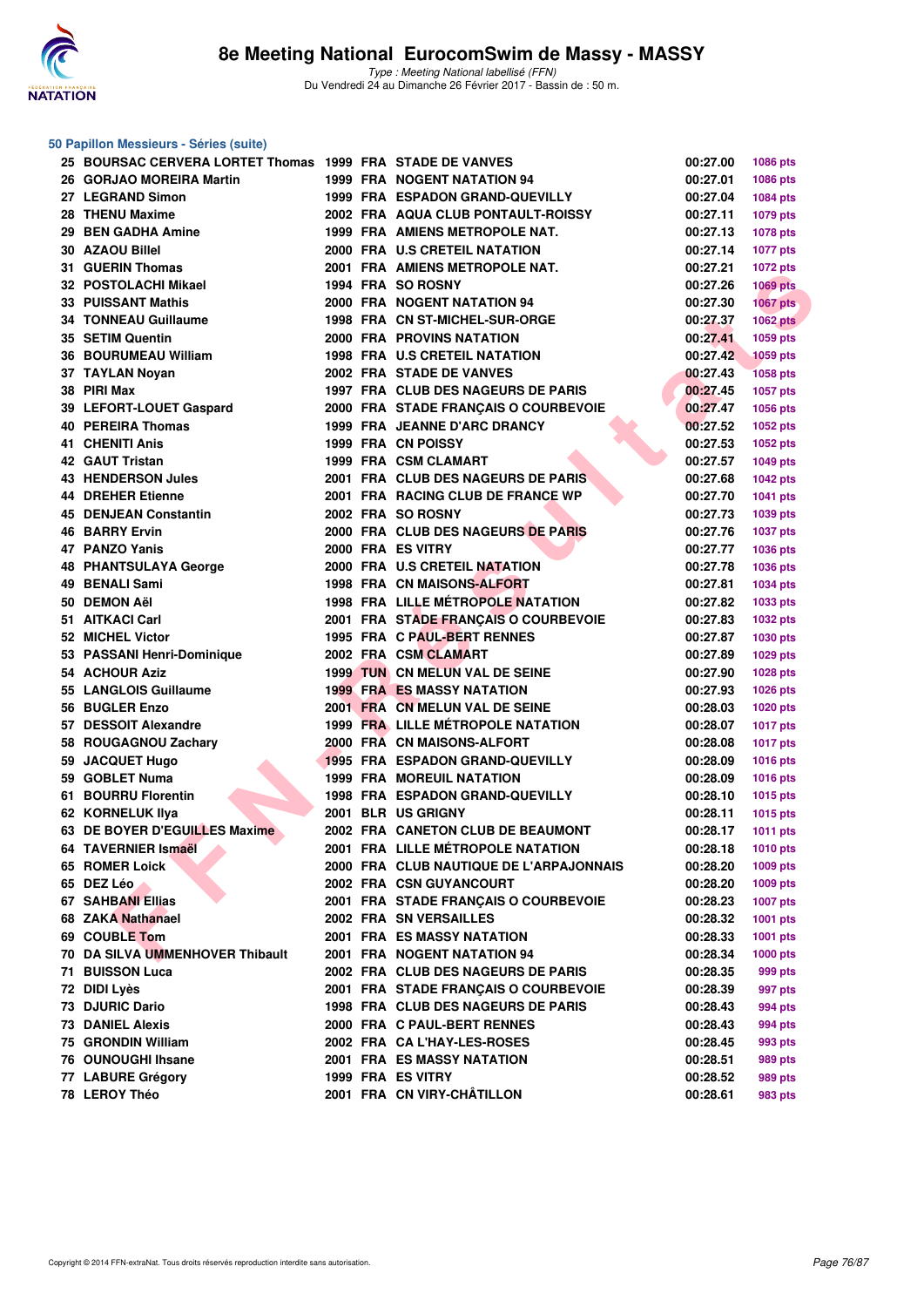

#### **50 Papillon Messieurs - Séries (suite)**

| 25 BOURSAC CERVERA LORTET Thomas 1999 FRA STADE DE VANVES |  |                                                                        | 00:27.00             | 1086 pts        |
|-----------------------------------------------------------|--|------------------------------------------------------------------------|----------------------|-----------------|
| 26 GORJAO MOREIRA Martin                                  |  | <b>1999 FRA NOGENT NATATION 94</b>                                     | 00:27.01             | 1086 pts        |
| 27 LEGRAND Simon                                          |  | 1999 FRA ESPADON GRAND-QUEVILLY                                        | 00:27.04             | 1084 pts        |
| 28 THENU Maxime                                           |  | 2002 FRA AQUA CLUB PONTAULT-ROISSY                                     | 00:27.11             | <b>1079 pts</b> |
| 29 BEN GADHA Amine                                        |  | 1999 FRA AMIENS METROPOLE NAT.                                         | 00:27.13             | 1078 pts        |
| 30 AZAOU Billel                                           |  | 2000 FRA U.S CRETEIL NATATION                                          | 00:27.14             | <b>1077 pts</b> |
| 31 GUERIN Thomas                                          |  | 2001 FRA AMIENS METROPOLE NAT.                                         | 00:27.21             | <b>1072 pts</b> |
| 32 POSTOLACHI Mikael                                      |  | 1994 FRA SO ROSNY                                                      | 00:27.26             | <b>1069 pts</b> |
| 33 PUISSANT Mathis                                        |  | 2000 FRA NOGENT NATATION 94                                            | 00:27.30             | <b>1067 pts</b> |
| <b>34 TONNEAU Guillaume</b>                               |  | 1998 FRA CN ST-MICHEL-SUR-ORGE                                         | 00:27.37             | <b>1062 pts</b> |
| 35 SETIM Quentin                                          |  | <b>2000 FRA PROVINS NATATION</b>                                       | 00:27.41             | 1059 pts        |
| 36 BOURUMEAU William                                      |  | <b>1998 FRA U.S CRETEIL NATATION</b>                                   | 00:27.42             | 1059 pts        |
| 37 TAYLAN Noyan                                           |  | 2002 FRA STADE DE VANVES                                               | 00:27.43             | <b>1058 pts</b> |
| 38 PIRI Max                                               |  | 1997 FRA CLUB DES NAGEURS DE PARIS                                     | 00:27.45             | <b>1057 pts</b> |
| 39 LEFORT-LOUET Gaspard                                   |  | 2000 FRA STADE FRANÇAIS O COURBEVOIE                                   | 00:27.47             | 1056 pts        |
| 40 PEREIRA Thomas                                         |  | 1999 FRA JEANNE D'ARC DRANCY                                           | 00:27.52             | 1052 pts        |
| 41 CHENITI Anis                                           |  | 1999 FRA CN POISSY                                                     | 00:27.53             | 1052 pts        |
| 42 GAUT Tristan                                           |  | 1999 FRA CSM CLAMART                                                   | 00:27.57             | <b>1049 pts</b> |
| <b>43 HENDERSON Jules</b>                                 |  | 2001 FRA CLUB DES NAGEURS DE PARIS                                     | 00:27.68             | 1042 pts        |
| <b>44 DREHER Etienne</b>                                  |  | 2001 FRA RACING CLUB DE FRANCE WP                                      | 00:27.70             | 1041 pts        |
| 45 DENJEAN Constantin                                     |  | 2002 FRA SO ROSNY                                                      | 00:27.73             | 1039 pts        |
| 46 BARRY Ervin                                            |  | 2000 FRA CLUB DES NAGEURS DE PARIS                                     | 00:27.76             | <b>1037 pts</b> |
| 47 PANZO Yanis                                            |  | 2000 FRA ES VITRY                                                      | 00:27.77             | 1036 pts        |
| 48 PHANTSULAYA George                                     |  | 2000 FRA U.S CRETEIL NATATION                                          | 00:27.78             | 1036 pts        |
| 49 BENALI Sami                                            |  | <b>1998 FRA CN MAISONS-ALFORT</b>                                      | 00:27.81             | <b>1034 pts</b> |
| 50 DEMON AëI                                              |  | <b>1998 FRA LILLE MÉTROPOLE NATATION</b>                               | 00:27.82             | 1033 pts        |
| 51 AITKACI Carl                                           |  | 2001 FRA STADE FRANÇAIS O COURBEVOIE                                   | 00:27.83             | <b>1032 pts</b> |
| 52 MICHEL Victor                                          |  | 1995 FRA C PAUL-BERT RENNES                                            | 00:27.87             |                 |
| 53 PASSANI Henri-Dominique                                |  | 2002 FRA CSM CLAMART                                                   | 00:27.89             | 1030 pts        |
| 54 ACHOUR Aziz                                            |  | 1999 TUN CN MELUN VAL DE SEINE                                         | 00:27.90             | 1029 pts        |
|                                                           |  |                                                                        |                      | 1028 pts        |
| 55 LANGLOIS Guillaume<br>56 BUGLER Enzo                   |  | <b>1999 FRA ES MASSY NATATION</b>                                      | 00:27.93             | <b>1026 pts</b> |
|                                                           |  | 2001 FRA CN MELUN VAL DE SEINE                                         | 00:28.03             | <b>1020 pts</b> |
| 57 DESSOIT Alexandre                                      |  | <b>1999 FRA LILLE METROPOLE NATATION</b><br>2000 FRA CN MAISONS-ALFORT | 00:28.07<br>00:28.08 | <b>1017 pts</b> |
| 58 ROUGAGNOU Zachary<br>59 JACQUET Hugo                   |  |                                                                        |                      | <b>1017 pts</b> |
|                                                           |  | <b>1995 FRA ESPADON GRAND-QUEVILLY</b>                                 | 00:28.09             | <b>1016 pts</b> |
| 59 GOBLET Numa                                            |  | <b>1999 FRA MOREUIL NATATION</b>                                       | 00:28.09             | <b>1016 pts</b> |
| 61 BOURRU Florentin                                       |  | 1998 FRA ESPADON GRAND-QUEVILLY<br><b>2001 BLR US GRIGNY</b>           | 00:28.10             | 1015 pts        |
| 62 KORNELUK IIya                                          |  |                                                                        | 00:28.11             | <b>1015 pts</b> |
| 63 DE BOYER D'EGUILLES Maxime                             |  | 2002 FRA CANETON CLUB DE BEAUMONT                                      | 00:28.17             | <b>1011 pts</b> |
| 64 TAVERNIER Ismaël                                       |  | 2001 FRA LILLE MÉTROPOLE NATATION                                      | 00:28.18             | <b>1010 pts</b> |
| 65 ROMER Loick                                            |  | 2000 FRA CLUB NAUTIQUE DE L'ARPAJONNAIS                                | 00:28.20             | <b>1009 pts</b> |
| 65 DEZ Léo                                                |  | 2002 FRA CSN GUYANCOURT                                                | 00:28.20             | 1009 pts        |
| 67 SAHBANI Ellias                                         |  | 2001 FRA STADE FRANÇAIS O COURBEVOIE                                   | 00:28.23             | <b>1007 pts</b> |
| 68 ZAKA Nathanael                                         |  | 2002 FRA SN VERSAILLES                                                 | 00:28.32             | 1001 pts        |
| 69 COUBLE Tom                                             |  | <b>2001 FRA ES MASSY NATATION</b>                                      | 00:28.33             | <b>1001 pts</b> |
| 70 DA SILVA UMMENHOVER Thibault                           |  | 2001 FRA NOGENT NATATION 94                                            | 00:28.34             | 1000 pts        |
| 71 BUISSON Luca                                           |  | 2002 FRA CLUB DES NAGEURS DE PARIS                                     | 00:28.35             | 999 pts         |
| 72 DIDI Lyès                                              |  | 2001 FRA STADE FRANCAIS O COURBEVOIE                                   | 00:28.39             | 997 pts         |
| 73 DJURIC Dario                                           |  | 1998 FRA CLUB DES NAGEURS DE PARIS                                     | 00:28.43             | 994 pts         |
| <b>73 DANIEL Alexis</b>                                   |  | 2000 FRA C PAUL-BERT RENNES                                            | 00:28.43             | 994 pts         |
| 75 GRONDIN William                                        |  | 2002 FRA CA L'HAY-LES-ROSES                                            | 00:28.45             | 993 pts         |
| 76 OUNOUGHI Ihsane                                        |  | <b>2001 FRA ES MASSY NATATION</b>                                      | 00:28.51             | 989 pts         |
| 77 LABURE Grégory                                         |  | 1999 FRA ES VITRY                                                      | 00:28.52             | 989 pts         |
| 78 LEROY Théo                                             |  | 2001 FRA CN VIRY-CHÂTILLON                                             | 00:28.61             | 983 pts         |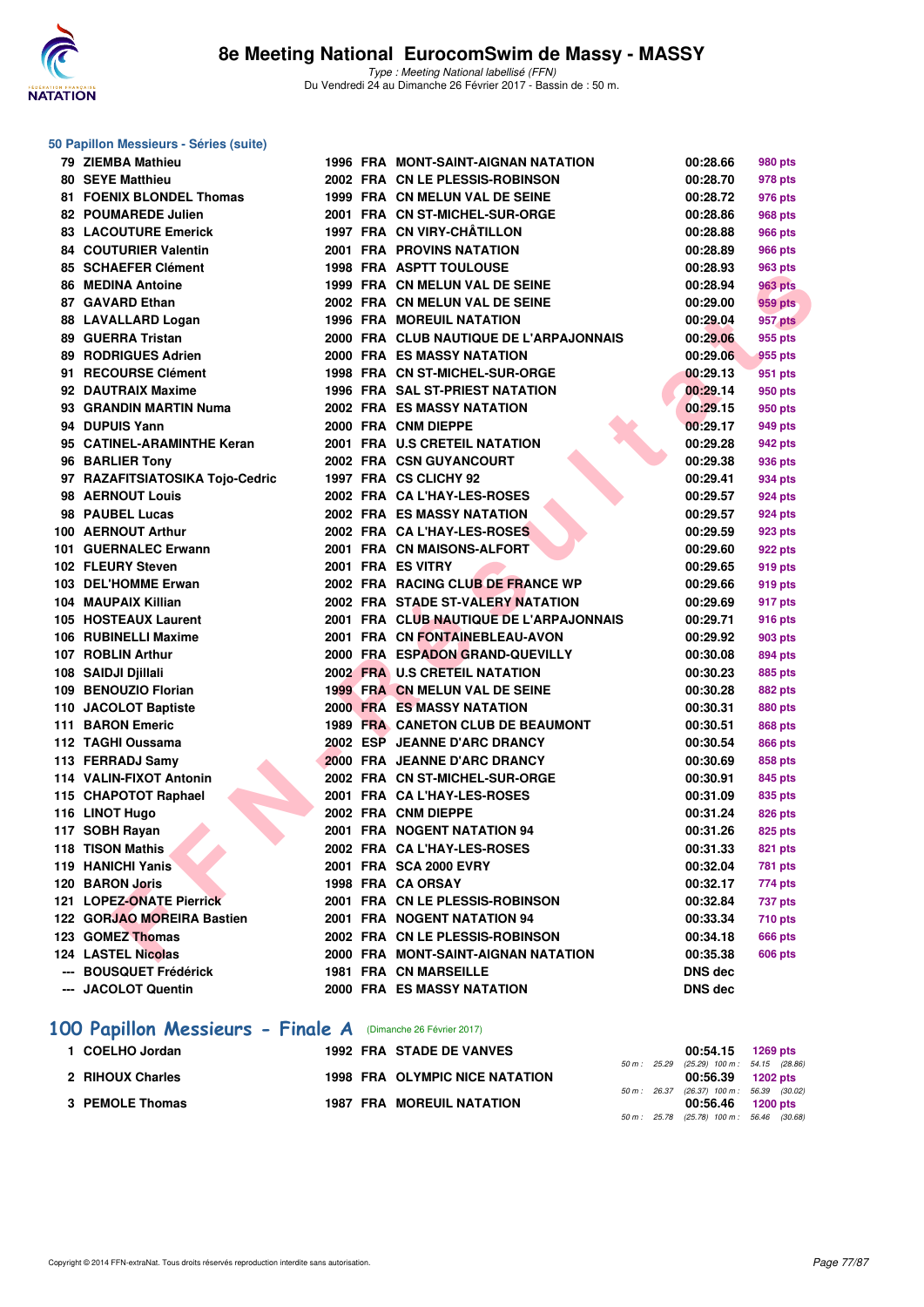

**50 Papillon Messieurs - Séries (suite)**

Type : Meeting National labellisé (FFN) Du Vendredi 24 au Dimanche 26 Février 2017 - Bassin de : 50 m.

#### **RIA THE ARMINITHE Kern 1999 FRA CALINATION (1998) FRA CHANNEL SIGNAL CONSTANT (1999) FRA ENGLISH AND INSTANT (1999) FRA CHANNEL SIGNAL CONSTANT (1999) FRA ENGLISH AND CONSTANT (1999) FRA CHANNEL SIGNAL CONSTANT (1999) FRA 79 ZIEMBA Mathieu 1996 FRA MONT-SAINT-AIGNAN NATATION 00:28.66 980 pts 80 SEYE Matthieu 2002 FRA CN LE PLESSIS-ROBINSON 00:28.70 978 pts 81 FOENIX BLONDEL Thomas 1999 FRA CN MELUN VAL DE SEINE 00:28.72 976 pts 82 POUMAREDE Julien 2001 FRA CN ST-MICHEL-SUR-ORGE 00:28.86 968 pts 83 LACOUTURE Emerick 1997 FRA CN VIRY-CHÂTILLON 00:28.88 966 pts 84 COUTURIER Valentin 2001 FRA PROVINS NATATION 00:28.89 966 pts 85 SCHAEFER Clément 1998 FRA ASPTT TOULOUSE 00:28.93 963 pts 86 MEDINA Antoine 1999 FRA CN MELUN VAL DE SEINE 00:28.94 963 pts 87 GAVARD Ethan 2002 FRA CN MELUN VAL DE SEINE 00:29.00 959 pts 88 LAVALLARD Logan 1996 FRA MOREUIL NATATION 00:29.04 957 pts 89 GUERRA Tristan 2000 FRA CLUB NAUTIQUE DE L'ARPAJONNAIS 00:29.06 955 pts 89 RODRIGUES Adrien 2000 FRA ES MASSY NATATION 00:29.06 955 pts 91 RECOURSE Clément 1998 FRA CN ST-MICHEL-SUR-ORGE 00:29.13 951 pts 92 DAUTRAIX Maxime 1996 FRA SAL ST-PRIEST NATATION 00:29.14 950 pts 93 GRANDIN MARTIN Numa 2002 FRA ES MASSY NATATION 00:29.15 950 pts 94 DUPUIS Yann 2000 FRA CNM DIEPPE 00:29.17 949 pts 95 CATINEL-ARAMINTHE Keran 2001 FRA U.S CRETEIL NATATION 00:29.28 942 pts 96 BARLIER Tony 2002 FRA CSN GUYANCOURT 1999 00:29.38** 936 pts **97 RAZAFITSIATOSIKA Tojo-Cedric 1997 FRA CS CLICHY 92 00:29.41 934 pts 98 AERNOUT Louis 2002 FRA CA L'HAY-LES-ROSES 00:29.57 924 pts 98 PAUBEL Lucas 2002 FRA ES MASSY NATATION 00:29.57 924 pts 100 AERNOUT Arthur 2002 FRA CA L'HAY-LES-ROSES 00:29.59 923 pts 101 GUERNALEC Erwann 2001 FRA CN MAISONS-ALFORT 00:29.60 922 pts 102 FLEURY Steven 2001 FRA ES VITRY 00:29.65 919 pts 103 DEL'HOMME Erwan 2002 FRA RACING CLUB DE FRANCE WP 00:29.66 919 pts 104 MAUPAIX Killian 2002 FRA STADE ST-VALERY NATATION 00:29.69 917 pts 105 HOSTEAUX Laurent 2001 FRA CLUB NAUTIQUE DE L'ARPAJONNAIS 00:29.71 916 pts 106 RUBINELLI Maxime 2001 FRA CN FONTAINEBLEAU-AVON 00:29.92 903 pts 107 ROBLIN Arthur 2000 FRA ESPADON GRAND-QUEVILLY 00:30.08 894 pts 108 SAIDJI Djillali 2002 FRA U.S CRETEIL NATATION 00:30.23 885 pts 109 BENOUZIO Florian 1999 FRA CN MELUN VAL DE SEINE 00:30.28 882 pts 110 JACOLOT Baptiste 2000 FRA ES MASSY NATATION 00:30.31 880 pts 111 BARON Emeric 1989 FRA CANETON CLUB DE BEAUMONT 00:30.51 868 pts 112 TAGHI Oussama 2002 ESP JEANNE D'ARC DRANCY 00:30.54 866 pts 113 FERRADJ Samy 2000 FRA JEANNE D'ARC DRANCY 00:30.69 858 pts 114 VALIN-FIXOT Antonin 2002 FRA CN ST-MICHEL-SUR-ORGE 00:30.91 845 pts 115 CHAPOTOT Raphael 2001 FRA CA L'HAY-LES-ROSES 00:31.09 835 pts 116 LINOT Hugo 2002 FRA CNM DIEPPE 00:31.24 826 pts 117 SOBH Rayan 2001 FRA NOGENT NATATION 94 00:31.26 825 pts 118 TISON Mathis 2002 FRA CA L'HAY-LES-ROSES 00:31.33 821 pts 119 HANICHI Yanis 2001 FRA SCA 2000 EVRY 119 HANICHI 10:32.04 781 pts 120 BARON Joris 1998 FRA CA ORSAY 00:32.17 774 pts 121 LOPEZ-ONATE Pierrick 2001 FRA CN LE PLESSIS-ROBINSON 00:32.84 737 pts 122 GORJAO MOREIRA Bastien 2001 FRA NOGENT NATATION 94 00:33.34 710 pts 123 GOMEZ Thomas 2002 FRA CN LE PLESSIS-ROBINSON 00:34.18 666 pts 124 LASTEL Nicolas 2000 FRA MONT-SAINT-AIGNAN NATATION 00:35.38 606 pts --- BOUSQUET Frédérick 1981 FRA CN MARSEILLE DNS dec --- JACOLOT Quentin 2000 FRA ES MASSY NATATION DNS dec**

#### **[100 Papillon Messieurs - Finale A](http://www.ffnatation.fr/webffn/resultats.php?idact=nat&go=epr&idcpt=42801&idepr=82)** (Dimanche 26 Février 2017)

| 1 COELHO Jordan  | <b>1992 FRA STADE DE VANVES</b>       |  | 00:54.15 1269 pts                          |  |
|------------------|---------------------------------------|--|--------------------------------------------|--|
|                  |                                       |  | 50 m: 25.29 (25.29) 100 m: 54.15 (28.86)   |  |
| 2 RIHOUX Charles | <b>1998 FRA OLYMPIC NICE NATATION</b> |  | 00:56.39 1202 pts                          |  |
|                  |                                       |  | 50 m: 26.37 (26.37) 100 m: 56.39 (30.02)   |  |
| 3 PEMOLE Thomas  | <b>1987 FRA MOREUIL NATATION</b>      |  | 00:56.46 1200 pts                          |  |
|                  |                                       |  | 50 m : 25.78 (25.78) 100 m : 56.46 (30.68) |  |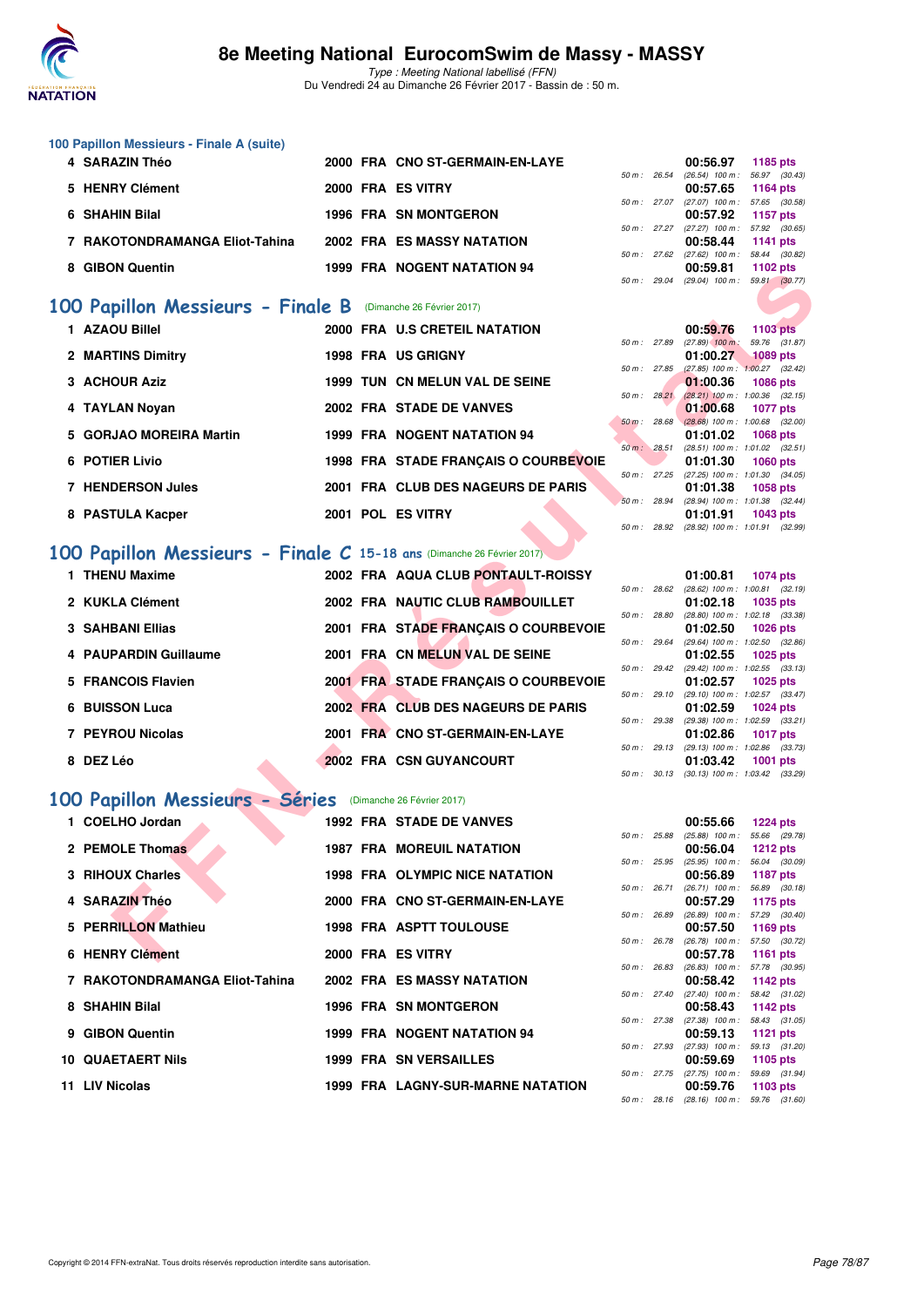

Type : Meeting National labellisé (FFN) Du Vendredi 24 au Dimanche 26 Février 2017 - Bassin de : 50 m.

| 100 Papillon Messieurs - Finale A (suite) |  |                                    |  |                                                                                                                                                                                                                                                                                                                                                                                      |            |
|-------------------------------------------|--|------------------------------------|--|--------------------------------------------------------------------------------------------------------------------------------------------------------------------------------------------------------------------------------------------------------------------------------------------------------------------------------------------------------------------------------------|------------|
| 4 SARAZIN Théo                            |  | 2000 FRA CNO ST-GERMAIN-EN-LAYE    |  | 00:56.97                                                                                                                                                                                                                                                                                                                                                                             | 1185 pts   |
|                                           |  |                                    |  | 50 m: 26.54 (26.54) 100 m: 56.97 (30.4                                                                                                                                                                                                                                                                                                                                               |            |
| 5 HENRY Clément                           |  | 2000 FRA ES VITRY                  |  | 00:57.65                                                                                                                                                                                                                                                                                                                                                                             | 1164 $pts$ |
|                                           |  |                                    |  | 50 m: 27.07 (27.07) 100 m: 57.65 (30.5                                                                                                                                                                                                                                                                                                                                               |            |
| 6 SHAHIN Bilal                            |  | <b>1996 FRA SN MONTGERON</b>       |  | 00:57.92                                                                                                                                                                                                                                                                                                                                                                             | 1157 pts   |
|                                           |  |                                    |  | 50 m: 27.27 (27.27) 100 m: 57.92 (30.6                                                                                                                                                                                                                                                                                                                                               |            |
| 7 RAKOTONDRAMANGA Eliot-Tahina            |  | <b>2002 FRA ES MASSY NATATION</b>  |  | 00:58.44                                                                                                                                                                                                                                                                                                                                                                             | 1141 pts   |
|                                           |  |                                    |  | 50 m: 27.62 (27.62) 100 m: 58.44 (30.8                                                                                                                                                                                                                                                                                                                                               |            |
| 8 GIBON Quentin                           |  | <b>1999 FRA NOGENT NATATION 94</b> |  | 00:59.81                                                                                                                                                                                                                                                                                                                                                                             | 1102 $pts$ |
|                                           |  |                                    |  | $\overline{a}$ $\overline{a}$ $\overline{a}$ $\overline{a}$ $\overline{a}$ $\overline{a}$ $\overline{a}$ $\overline{a}$ $\overline{a}$ $\overline{a}$ $\overline{a}$ $\overline{a}$ $\overline{a}$ $\overline{a}$ $\overline{a}$ $\overline{a}$ $\overline{a}$ $\overline{a}$ $\overline{a}$ $\overline{a}$ $\overline{a}$ $\overline{a}$ $\overline{a}$ $\overline{a}$ $\overline{$ |            |

### **[100 Papillon Messieurs - Finale B](http://www.ffnatation.fr/webffn/resultats.php?idact=nat&go=epr&idcpt=42801&idepr=82)** (Dimanche 26 Février 2017)

| <b>GIDUN QUEIRII</b>                                                  |  | I JJJ FRA INVULINI INAI AIIVIN JH     | 50 m : 29.04     |              | UU.JJ.U I<br>$(29.04)$ 100 m : 59.81 $(30.77)$  | בוע געו ו                        |  |
|-----------------------------------------------------------------------|--|---------------------------------------|------------------|--------------|-------------------------------------------------|----------------------------------|--|
|                                                                       |  |                                       |                  |              |                                                 |                                  |  |
| 00 Papillon Messieurs - Finale B (Dimanche 26 Février 2017)           |  |                                       |                  |              |                                                 |                                  |  |
| 1 AZAOU Billel                                                        |  | 2000 FRA U.S CRETEIL NATATION         |                  |              | 00:59.76                                        | 1103 pts                         |  |
|                                                                       |  |                                       | 50 m : 27.89     |              | $(27.89)$ 100 m :                               | 59.76 (31.87)                    |  |
| 2 MARTINS Dimitry                                                     |  | <b>1998 FRA US GRIGNY</b>             | 50 m: 27.85      |              | 01:00.27<br>$(27.85)$ 100 m : 1:00.27 $(32.42)$ | <b>1089 pts</b>                  |  |
| 3 ACHOUR Aziz                                                         |  | 1999 TUN CN MELUN VAL DE SEINE        |                  |              | 01:00.36                                        | <b>1086 pts</b>                  |  |
|                                                                       |  |                                       | $50 m$ : $28.21$ |              | $(28.21)$ 100 m : 1:00.36 $(32.15)$             |                                  |  |
| 4 TAYLAN Noyan                                                        |  | 2002 FRA STADE DE VANVES              | 50 m : 28.68     |              | 01:00.68                                        | <b>1077 pts</b>                  |  |
| 5 GORJAO MOREIRA Martin                                               |  | 1999 FRA NOGENT NATATION 94           |                  |              | $(28.68)$ 100 m : 1:00.68 (32.00)<br>01:01.02   | <b>1068 pts</b>                  |  |
|                                                                       |  |                                       | 50 m: 28.51      |              | $(28.51)$ 100 m : 1:01.02 $(32.51)$             |                                  |  |
| <b>6 POTIER Livio</b>                                                 |  | 1998 FRA STADE FRANÇAIS O COURBEVOIE  |                  |              | 01:01.30                                        | <b>1060 pts</b>                  |  |
|                                                                       |  |                                       |                  |              | 50 m: 27.25 (27.25) 100 m: 1:01.30 (34.05)      |                                  |  |
| <b>7 HENDERSON Jules</b>                                              |  | 2001 FRA CLUB DES NAGEURS DE PARIS    | 50 m: 28.94      |              | 01:01.38<br>(28.94) 100 m: 1:01.38 (32.44)      | <b>1058 pts</b>                  |  |
| 8 PASTULA Kacper                                                      |  | 2001 POL ES VITRY                     |                  |              | 01:01.91                                        | 1043 pts                         |  |
|                                                                       |  |                                       | 50 m : 28.92     |              | (28.92) 100 m : 1:01.91 (32.99)                 |                                  |  |
|                                                                       |  |                                       |                  |              |                                                 |                                  |  |
| 00 Papillon Messieurs - Finale C 15-18 ans (Dimanche 26 Février 2017) |  |                                       |                  |              |                                                 |                                  |  |
| 1 THENU Maxime                                                        |  | 2002 FRA AQUA CLUB PONTAULT-ROISSY    |                  |              | 01:00.81                                        | <b>1074 pts</b>                  |  |
|                                                                       |  |                                       |                  | 50 m : 28.62 | $(28.62)$ 100 m : 1:00.81 $(32.19)$             |                                  |  |
| 2 KUKLA Clément                                                       |  | 2002 FRA NAUTIC CLUB RAMBOUILLET      | 50 m: 28.80      |              | 01:02.18<br>$(28.80)$ 100 m : 1:02.18 $(33.38)$ | 1035 pts                         |  |
| <b>3 SAHBANI Ellias</b>                                               |  | 2001 FRA STADE FRANÇAIS O COURBEVOIE  |                  |              | 01:02.50                                        | <b>1026 pts</b>                  |  |
|                                                                       |  |                                       |                  | 50 m : 29.64 | $(29.64)$ 100 m : 1:02.50 $(32.86)$             |                                  |  |
| 4 PAUPARDIN Guillaume                                                 |  | 2001 FRA CN MELUN VAL DE SEINE        |                  |              | 01:02.55                                        | 1025 pts                         |  |
| 5 FRANCOIS Flavien                                                    |  | 2001 FRA STADE FRANÇAIS O COURBEVOIE  | 50 m: 29.42      |              | (29.42) 100 m: 1:02.55 (33.13)<br>01:02.57      | 1025 pts                         |  |
|                                                                       |  |                                       | 50 m: 29.10      |              | $(29.10)$ 100 m : 1:02.57 $(33.47)$             |                                  |  |
| <b>6 BUISSON Luca</b>                                                 |  | 2002 FRA CLUB DES NAGEURS DE PARIS    |                  |              | 01:02.59                                        | 1024 pts                         |  |
|                                                                       |  |                                       | 50 m : 29.38     |              | (29.38) 100 m: 1:02.59 (33.21)                  |                                  |  |
| 7 PEYROU Nicolas                                                      |  | 2001 FRA CNO ST-GERMAIN-EN-LAYE       |                  |              | 01:02.86                                        | <b>1017 pts</b>                  |  |
| 8 DEZ Léo                                                             |  | 2002 FRA CSN GUYANCOURT               | $50 m$ : 29.13   |              | $(29.13)$ 100 m : 1:02.86 $(33.73)$<br>01:03.42 | <b>1001 pts</b>                  |  |
|                                                                       |  |                                       |                  |              | 50 m: 30.13 (30.13) 100 m: 1:03.42 (33.29)      |                                  |  |
|                                                                       |  |                                       |                  |              |                                                 |                                  |  |
| 00 Papillon Messieurs - Séries                                        |  | (Dimanche 26 Février 2017)            |                  |              |                                                 |                                  |  |
| 1 COELHO Jordan                                                       |  | 1992 FRA STADE DE VANVES              |                  |              | 00:55.66                                        | <b>1224 pts</b>                  |  |
|                                                                       |  |                                       | 50 m: 25.88      |              | $(25.88)$ 100 m :                               | 55.66 (29.78)                    |  |
| 2 PEMOLE Thomas                                                       |  | <b>1987 FRA MOREUIL NATATION</b>      |                  |              | 00:56.04                                        | <b>1212 pts</b>                  |  |
| 3 RIHOUX Charles                                                      |  | <b>1998 FRA OLYMPIC NICE NATATION</b> | 50 m: 25.95      |              | $(25.95)$ 100 m :<br>00:56.89                   | 56.04 (30.09)<br><b>1187 pts</b> |  |
|                                                                       |  |                                       | 50 m: 26.71      |              | $(26.71)$ 100 m :                               | 56.89 (30.18)                    |  |
| 4 SARAZIN Théo                                                        |  | 2000 FRA CNO ST-GERMAIN-EN-LAYE       |                  |              | 00:57.29                                        | 1175 pts                         |  |
|                                                                       |  |                                       | 50 m : 26.89     |              | $(26.89)$ 100 m : 57.29 $(30.40)$               |                                  |  |
| 5 PERRILLON Mathieu                                                   |  | <b>1998 FRA ASPTT TOULOUSE</b>        | 50 m : 26.78     |              | 00:57.50<br>$(26.78)$ 100 m :                   | 1169 pts<br>57.50 (30.72)        |  |
| 6 HENRY Clément                                                       |  | 2000 FRA ES VITRY                     |                  |              | 00:57.78                                        | 1161 pts                         |  |
|                                                                       |  |                                       |                  |              |                                                 |                                  |  |

## **[100 Papillon Messieurs - Finale C](http://www.ffnatation.fr/webffn/resultats.php?idact=nat&go=epr&idcpt=42801&idepr=82) 15-18 ans** (Dimanche 26 Février 2017)

| 1 THENU Maxime          |  | 2002 FRA AQUA CLUB PONTAULT-ROISSY   |                        | 01:00.81                                   | 1074 pts |  |
|-------------------------|--|--------------------------------------|------------------------|--------------------------------------------|----------|--|
| 2 KUKLA Clément         |  | 2002 FRA NAUTIC CLUB RAMBOUILLET     | 50 m: 28.62            | $(28.62)$ 100 m : 1:00.81 (32.<br>01:02.18 | 1035 pts |  |
| <b>3 SAHBANI Ellias</b> |  | 2001 FRA STADE FRANCAIS O COURBEVOIE | 50 m: 28.80            | $(28.80)$ 100 m : 1:02.18 (33.<br>01:02.50 | 1026 pts |  |
| 4 PAUPARDIN Guillaume   |  | 2001 FRA CN MELUN VAL DE SEINE       | 50 m: 29.64            | $(29.64)$ 100 m : 1:02.50 (32.<br>01:02.55 | 1025 pts |  |
| 5 FRANCOIS Flavien      |  | 2001 FRA STADE FRANCAIS O COURBEVOIE | $50 \text{ m}$ : 29.42 | $(29.42)$ 100 m : 1:02.55 (33.<br>01:02.57 | 1025 pts |  |
| <b>6 BUISSON Luca</b>   |  | 2002 FRA CLUB DES NAGEURS DE PARIS   | $50 m$ : 29.10         | $(29.10)$ 100 m : 1:02.57 (33.<br>01:02.59 | 1024 pts |  |
| 7 PEYROU Nicolas        |  | 2001 FRA CNO ST-GERMAIN-EN-LAYE      | 50 m : 29.38           | (29.38) 100 m : 1:02.59 (33.<br>01:02.86   | 1017 pts |  |
| 8 DEZ Léo               |  | 2002 FRA CSN GUYANCOURT              | $50 m$ : 29.13         | $(29.13)$ 100 m : 1:02.86 (33.<br>01:03.42 | 1001 pts |  |
|                         |  |                                      |                        |                                            |          |  |

## **[100 Papillon Messieurs - Séries](http://www.ffnatation.fr/webffn/resultats.php?idact=nat&go=epr&idcpt=42801&idepr=82)** (Dimanche 26 Février 2017)

| 1 COELHO Jordan                |  | <b>1992 FRA STADE DE VANVES</b>          |              | 00:55.66                                 | <b>1224 pts</b>               |  |
|--------------------------------|--|------------------------------------------|--------------|------------------------------------------|-------------------------------|--|
| 2 PEMOLE Thomas                |  | <b>1987 FRA MOREUIL NATATION</b>         | 50 m: 25.88  | $(25.88)$ 100 m :<br>00:56.04            | 55.66 (29.<br><b>1212 pts</b> |  |
| 3 RIHOUX Charles               |  | <b>1998 FRA OLYMPIC NICE NATATION</b>    | 50 m : 25.95 | $(25.95)$ 100 m :<br>00:56.89            | 56.04 (30.<br><b>1187 pts</b> |  |
| 4 SARAZIN Théo                 |  | 2000 FRA CNO ST-GERMAIN-EN-LAYE          | 50 m : 26.71 | $(26.71)$ 100 m :<br>00:57.29            | 56.89 (30.<br>1175 pts        |  |
| 5 PERRILLON Mathieu            |  | <b>1998 FRA ASPTT TOULOUSE</b>           | 50 m : 26.89 | $(26.89)$ 100 m : 57.29 (30.<br>00:57.50 | 1169 pts                      |  |
| 6 HENRY Clément                |  | 2000 FRA ES VITRY                        | 50 m : 26.78 | $(26.78)$ 100 m : 57.50 (30.<br>00:57.78 | 1161 pts                      |  |
| 7 RAKOTONDRAMANGA Eliot-Tahina |  | <b>2002 FRA ES MASSY NATATION</b>        | 50 m : 26.83 | $(26.83)$ 100 m : 57.78 (30.<br>00:58.42 | 1142 pts                      |  |
| 8 SHAHIN Bilal                 |  | <b>1996 FRA SN MONTGERON</b>             | 50 m : 27.40 | $(27.40)$ 100 m : 58.42 (31.<br>00:58.43 | 1142 pts                      |  |
| 9 GIBON Quentin                |  | <b>1999 FRA NOGENT NATATION 94</b>       | 50 m : 27.38 | $(27.38)$ 100 m : 58.43 (31.<br>00:59.13 | 1121 pts                      |  |
| <b>10 QUAETAERT Nils</b>       |  | <b>1999 FRA SN VERSAILLES</b>            | 50 m: 27.93  | $(27.93)$ 100 m :<br>00:59.69            | 59.13 (31.<br>1105 pts        |  |
| 11 LIV Nicolas                 |  | <b>1999 FRA LAGNY-SUR-MARNE NATATION</b> | 50 m : 27.75 | $(27.75)$ 100 m : 59.69 (31.<br>00:59.76 | 1103 pts                      |  |

| 50 m : 26.54           | $(26.54)$ 100 m :                 | 56.97 (30.43) |  |
|------------------------|-----------------------------------|---------------|--|
|                        | 00:57.65 1164 pts                 |               |  |
| 50 m : 27.07           | $(27.07)$ 100 m :                 | 57.65 (30.58) |  |
|                        | 00:57.92                          | 1157 pts      |  |
| 50 m : 27.27           | $(27.27)$ 100 m :                 | 57.92 (30.65) |  |
|                        | 00:58.44                          | 1141 pts      |  |
| 50 m : 27.62           | $(27.62)$ 100 m :                 | 58.44 (30.82) |  |
|                        | 00:59.81                          | 1102 pts      |  |
| $50 \text{ m}$ : 29.04 | $(29.04)$ 100 m : 59.81 $(30.77)$ |               |  |
|                        |                                   |               |  |
|                        |                                   |               |  |
|                        |                                   |               |  |

|                |       | 00:59.76          | 1103 pts                        |  |
|----------------|-------|-------------------|---------------------------------|--|
| 50 m : 27.89   |       | $(27.89)$ 100 m;  | 59.76 (31.87)                   |  |
|                |       | 01:00.27          | 1089 pts                        |  |
| 50 m : 27.85   |       | $(27.85)$ 100 m : | $1:00.27$ $(32.42)$             |  |
|                |       | 01:00.36          | <b>1086 pts</b>                 |  |
| 50 m: 28.21    |       | $(28.21)$ 100 m : | $1:00.36$ $(32.15)$             |  |
|                |       | 01:00.68          | <b>1077 pts</b>                 |  |
| $50 m$ :       | 28.68 | $(28.68)$ 100 m : | 1:00.68 (32.00)                 |  |
|                |       |                   |                                 |  |
|                |       | 01:01.02          | <b>1068 pts</b>                 |  |
| $50 m$ : 28.51 |       | $(28.51)$ 100 m : | $1:01.02$ $(32.51)$             |  |
|                |       | 01:01.30          | <b>1060 pts</b>                 |  |
| 50 m: 27.25    |       | $(27.25)$ 100 m : | 1:01.30 (34.05)                 |  |
|                |       | 01:01.38          | 1058 pts                        |  |
| 50 m : 28.94   |       | $(28.94)$ 100 m : | $1:01.38$ $(32.44)$             |  |
|                |       | 01:01.91          | 1043 pts                        |  |
| 50 m :         | 28.92 |                   | (28.92) 100 m : 1:01.91 (32.99) |  |

|             |       | 01:00.81          | 1074 pts            |
|-------------|-------|-------------------|---------------------|
| 50 m: 28.62 |       | $(28.62)$ 100 m : | $1:00.81$ $(32.19)$ |
|             |       | 01:02.18          | 1035 pts            |
| 50 m: 28.80 |       | $(28.80)$ 100 m : | $1:02.18$ $(33.38)$ |
|             |       | 01:02.50          | <b>1026 pts</b>     |
| 50 m: 29.64 |       | $(29.64)$ 100 m : | $1:02.50$ $(32.86)$ |
|             |       | 01:02.55          | 1025 pts            |
| 50 m: 29.42 |       | $(29.42)$ 100 m : | $1:02.55$ $(33.13)$ |
|             |       | 01:02.57 1025 pts |                     |
| 50 m: 29.10 |       | $(29.10)$ 100 m : | $1:02.57$ $(33.47)$ |
|             |       | 01:02.59          | $1024$ pts          |
| 50 m: 29.38 |       | (29.38) 100 m :   | $1:02.59$ $(33.21)$ |
|             |       | 01:02.86          | 1017 pts            |
| 50 m: 29.13 |       | $(29.13)$ 100 m : | 1:02.86 (33.73)     |
|             |       | 01:03.42          | 1001 pts            |
| $50 m$ :    | 30.13 | $(30.13)$ 100 m : | 1:03.42 (33.29)     |

|              |                | 00:55.66          | 1224 pts        |
|--------------|----------------|-------------------|-----------------|
| 50 m: 25.88  |                | $(25.88)$ 100 m : | 55.66 (29.78)   |
|              |                | 00:56.04          | <b>1212 pts</b> |
| 50 m: 25.95  |                | $(25.95)$ 100 m : | 56.04 (30.09)   |
|              |                | 00:56.89          | <b>1187 pts</b> |
|              | $50 m$ : 26.71 | $(26.71)$ 100 m : | 56.89 (30.18)   |
|              |                | 00:57.29          | 1175 pts        |
| 50 m: 26.89  |                | $(26.89)$ 100 m : | 57.29 (30.40)   |
|              |                | 00:57.50          | 1169 pts        |
| 50 m : 26.78 |                | $(26.78)$ 100 m : | 57.50 (30.72)   |
|              |                | 00:57.78          | 1161 pts        |
|              | 50 m: 26.83    | $(26.83)$ 100 m : | 57.78 (30.95)   |
|              |                | 00:58.42          | 1142 pts        |
| 50 m: 27.40  |                | $(27.40)$ 100 m : | 58.42 (31.02)   |
|              |                | 00:58.43          | 1142 $pts$      |
| 50 m : 27.38 |                | $(27.38)$ 100 m : | 58.43 (31.05)   |
|              |                | 00:59.13          | 1121 pts        |
|              | 50 m: 27.93    | $(27.93)$ 100 m : | 59.13 (31.20)   |
|              |                | 00:59.69          | 1105 pts        |
|              | 50 m : 27.75   | $(27.75)$ 100 m : | 59.69 (31.94)   |
|              |                | 00:59.76          | $1103$ pts      |
|              | 50 m : 28.16   | $(28.16)$ 100 m : | 59.76 (31.60)   |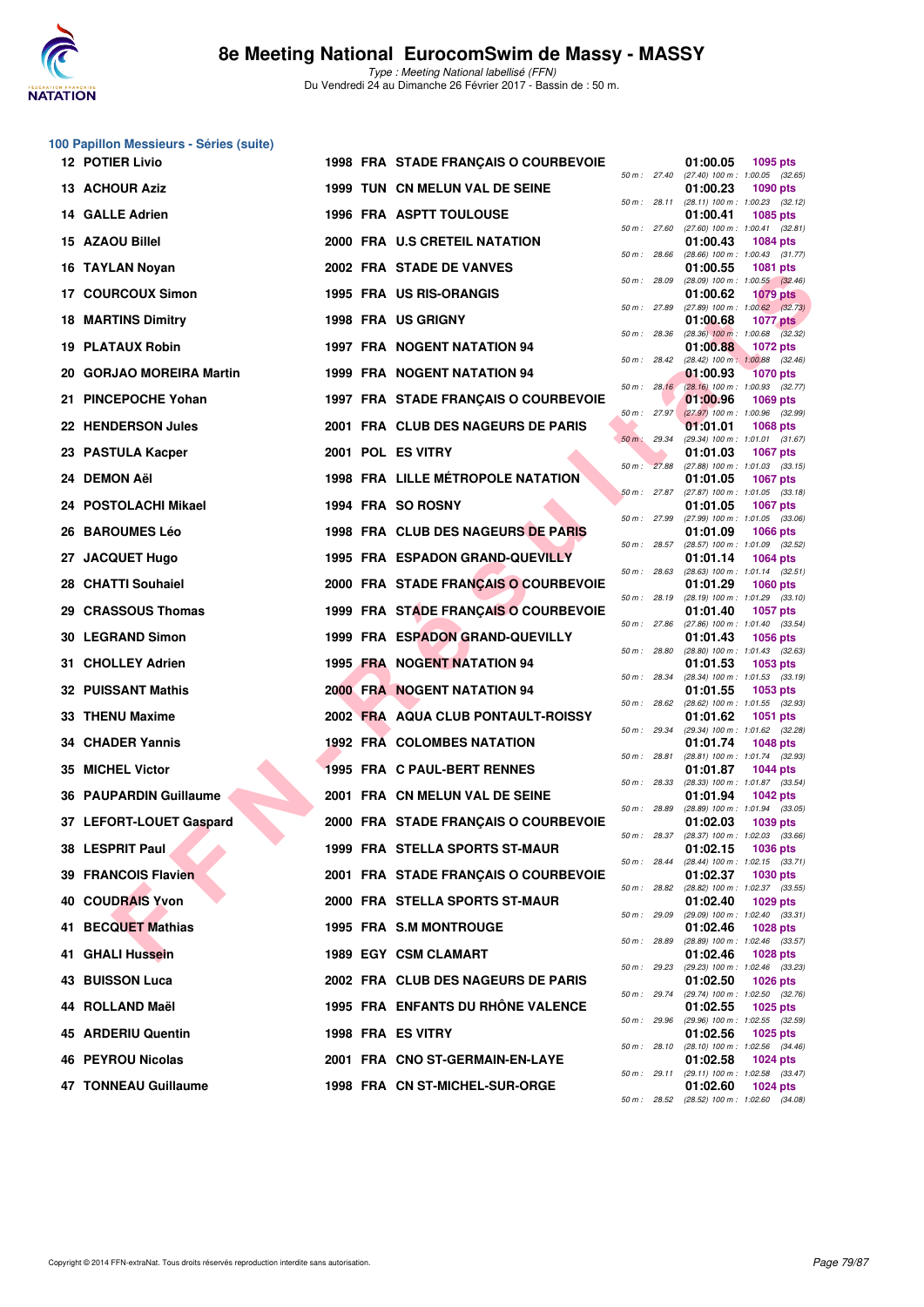

**100 Papillon Messieurs - Séries (suite)**

Type : Meeting National labellisé (FFN) Du Vendredi 24 au Dimanche 26 Février 2017 - Bassin de : 50 m.

| <b>12 POTIER Livio</b>    |                   | 1998 FRA STADE FRANÇAIS O COURBEVOIE     |              |                | 01:00.05<br><b>1095 pts</b>                                        |
|---------------------------|-------------------|------------------------------------------|--------------|----------------|--------------------------------------------------------------------|
| 13 ACHOUR Aziz            |                   | 1999 TUN CN MELUN VAL DE SEINE           |              | 50 m : 27.40   | $(27.40)$ 100 m : 1:00.05 $(32.65)$<br>01:00.23<br><b>1090 pts</b> |
| 14 GALLE Adrien           |                   | <b>1996 FRA ASPTT TOULOUSE</b>           |              | 50 m : 28.11   | (28.11) 100 m: 1:00.23 (32.12)<br>01:00.41<br><b>1085 pts</b>      |
| 15 AZAOU Billel           |                   | 2000 FRA U.S CRETEIL NATATION            |              | 50 m: 27.60    | $(27.60)$ 100 m : 1:00.41 $(32.81)$<br>01:00.43<br><b>1084 pts</b> |
| 16 TAYLAN Noyan           |                   | 2002 FRA STADE DE VANVES                 |              | 50 m: 28.66    | $(28.66)$ 100 m : 1:00.43 $(31.77)$<br>01:00.55<br><b>1081 pts</b> |
| 17 COURCOUX Simon         |                   | 1995 FRA US RIS-ORANGIS                  | 50 m : 28.09 |                | (28.09) 100 m : 1:00.55 (32.46)<br>01:00.62<br><b>1079 pts</b>     |
| <b>18 MARTINS Dimitry</b> |                   | 1998 FRA US GRIGNY                       | 50 m : 27.89 |                | $(27.89)$ 100 m : 1:00.62 $(32.73)$<br>01:00.68<br><b>1077 pts</b> |
| 19 PLATAUX Robin          |                   | 1997 FRA NOGENT NATATION 94              | 50 m : 28.36 |                | $(28.36)$ 100 m : 1:00.68 $(32.32)$<br>01:00.88<br><b>1072 pts</b> |
| 20 GORJAO MOREIRA Martin  |                   | 1999 FRA NOGENT NATATION 94              |              | 50 m: 28.42    | $(28.42)$ 100 m : 1:00.88 $(32.46)$<br>01:00.93<br><b>1070 pts</b> |
| 21 PINCEPOCHE Yohan       |                   | 1997 FRA STADE FRANÇAIS O COURBEVOIE     |              | $50 m$ : 28.16 | $(28.16)$ 100 m : 1:00.93 $(32.77)$<br>01:00.96<br>1069 pts        |
| 22 HENDERSON Jules        |                   | 2001 FRA CLUB DES NAGEURS DE PARIS       |              | 50 m: 27.97    | $(27.97)$ 100 m : 1:00.96 (32.99)<br>01:01.01<br><b>1068 pts</b>   |
| 23 PASTULA Kacper         | 2001 POL ES VITRY |                                          | 50 m : 29.34 |                | (29.34) 100 m: 1:01.01 (31.67)<br>01:01.03<br>1067 pts             |
| 24 DEMON Aël              |                   | <b>1998 FRA LILLE MÉTROPOLE NATATION</b> |              | 50 m: 27.88    | (27.88) 100 m: 1:01.03 (33.15)<br>01:01.05<br><b>1067 pts</b>      |
| 24 POSTOLACHI Mikael      |                   | 1994 FRA SO ROSNY                        |              | $50 m$ : 27.87 | (27.87) 100 m: 1:01.05 (33.18)<br>01:01.05<br><b>1067 pts</b>      |
| 26 BAROUMES Léo           |                   | 1998 FRA CLUB DES NAGEURS DE PARIS       |              | 50 m : 27.99   | (27.99) 100 m: 1:01.05 (33.06)<br>01:01.09<br><b>1066 pts</b>      |
| 27 JACQUET Hugo           |                   | 1995 FRA ESPADON GRAND-QUEVILLY          |              | 50 m: 28.57    | (28.57) 100 m: 1:01.09 (32.52)<br>01:01.14<br><b>1064 pts</b>      |
| 28 CHATTI Souhaiel        |                   | 2000 FRA STADE FRANÇAIS O COURBEVOIE     |              | 50 m: 28.63    | $(28.63)$ 100 m : 1:01.14 $(32.51)$<br>01:01.29<br><b>1060 pts</b> |
| 29 CRASSOUS Thomas        |                   | 1999 FRA STADE FRANÇAIS O COURBEVOIE     |              | 50 m: 28.19    | (28.19) 100 m: 1:01.29 (33.10)<br>01:01.40<br><b>1057 pts</b>      |
| 30 LEGRAND Simon          |                   | 1999 FRA ESPADON GRAND-QUEVILLY          | 50 m: 27.86  |                | $(27.86)$ 100 m : 1:01.40 $(33.54)$<br>01:01.43<br><b>1056 pts</b> |
| 31 CHOLLEY Adrien         |                   | <b>1995 FRA NOGENT NATATION 94</b>       | 50 m : 28.80 |                | (28.80) 100 m: 1:01.43 (32.63)<br>01:01.53<br>1053 pts             |
| 32 PUISSANT Mathis        |                   | <b>2000 FRA NOGENT NATATION 94</b>       | 50 m : 28.34 |                | (28.34) 100 m: 1:01.53 (33.19)<br>01:01.55<br>1053 pts             |
| 33 THENU Maxime           |                   | 2002 FRA AQUA CLUB PONTAULT-ROISSY       |              | 50 m: 28.62    | (28.62) 100 m: 1:01.55 (32.93)<br>01:01.62<br>1051 pts             |
| 34 CHADER Yannis          |                   | <b>1992 FRA COLOMBES NATATION</b>        |              | 50 m : 29.34   | (29.34) 100 m: 1:01.62 (32.28)<br>01:01.74<br><b>1048 pts</b>      |
| 35 MICHEL Victor          |                   | 1995 FRA C PAUL-BERT RENNES              | 50 m : 28.81 |                | (28.81) 100 m: 1:01.74 (32.93)<br>01:01.87<br><b>1044 pts</b>      |
| 36 PAUPARDIN Guillaume    |                   | 2001 FRA CN MELUN VAL DE SEINE           | 50 m: 28.33  |                | (28.33) 100 m: 1:01.87 (33.54)<br>01:01.94<br><b>1042 pts</b>      |
| 37 LEFORT-LOUET Gaspard   |                   | 2000 FRA STADE FRANÇAIS O COURBEVOIE     | 50 m : 28.89 |                | (28.89) 100 m: 1:01.94 (33.05)<br>01:02.03<br>1039 pts             |
| 38 LESPRIT Paul           |                   | 1999 FRA STELLA SPORTS ST-MAUR           |              | 50 m: 28.37    | (28.37) 100 m : 1:02.03 (33.66)<br>01:02.15<br>1036 pts            |
| 39 FRANCOIS Flavien       |                   | 2001 FRA STADE FRANCAIS O COURBEVOIE     |              | 50 m : 28.44   | $(28.44)$ 100 m : 1:02.15 $(33.71)$<br>01:02.37<br><b>1030 pts</b> |
| 40 COUDRAIS Yvon          |                   | 2000 FRA STELLA SPORTS ST-MAUR           |              | 50 m : 28.82   | (28.82) 100 m : 1:02.37 (33.55)<br>01:02.40<br>1029 pts            |
| 41 BECQUET Mathias        |                   | 1995 FRA S.M MONTROUGE                   |              | 50 m: 29.09    | (29.09) 100 m: 1:02.40 (33.31)<br>01:02.46<br><b>1028 pts</b>      |
| 41 GHALI Hussein          |                   | 1989 EGY CSM CLAMART                     | 50 m : 28.89 |                | (28.89) 100 m : 1:02.46 (33.57)<br>01:02.46<br>1028 pts            |
| <b>BUISSON Luca</b><br>43 |                   | 2002 FRA CLUB DES NAGEURS DE PARIS       |              | 50 m: 29.23    | (29.23) 100 m: 1:02.46 (33.23)<br>01:02.50<br><b>1026 pts</b>      |
| 44 ROLLAND Maël           |                   | 1995 FRA ENFANTS DU RHONE VALENCE        |              | 50 m : 29.74   | (29.74) 100 m : 1:02.50 (32.76)<br>01:02.55<br>1025 pts            |
| 45 ARDERIU Quentin        | 1998 FRA ES VITRY |                                          |              | 50 m: 29.96    | (29.96) 100 m : 1:02.55 (32.59)<br>01:02.56<br><b>1025 pts</b>     |
| 46 PEYROU Nicolas         |                   | 2001 FRA CNO ST-GERMAIN-EN-LAYE          |              | 50 m : 28.10   | (28.10) 100 m: 1:02.56 (34.46)<br>01:02.58<br>1024 pts             |
| 47 TONNEAU Guillaume      |                   | 1998 FRA CN ST-MICHEL-SUR-ORGE           |              | 50 m : 29.11   | (29.11) 100 m: 1:02.58 (33.47)<br>01:02.60<br>1024 pts             |
|                           |                   |                                          |              |                | 50 m: 28.52 (28.52) 100 m: 1:02.60 (34.08)                         |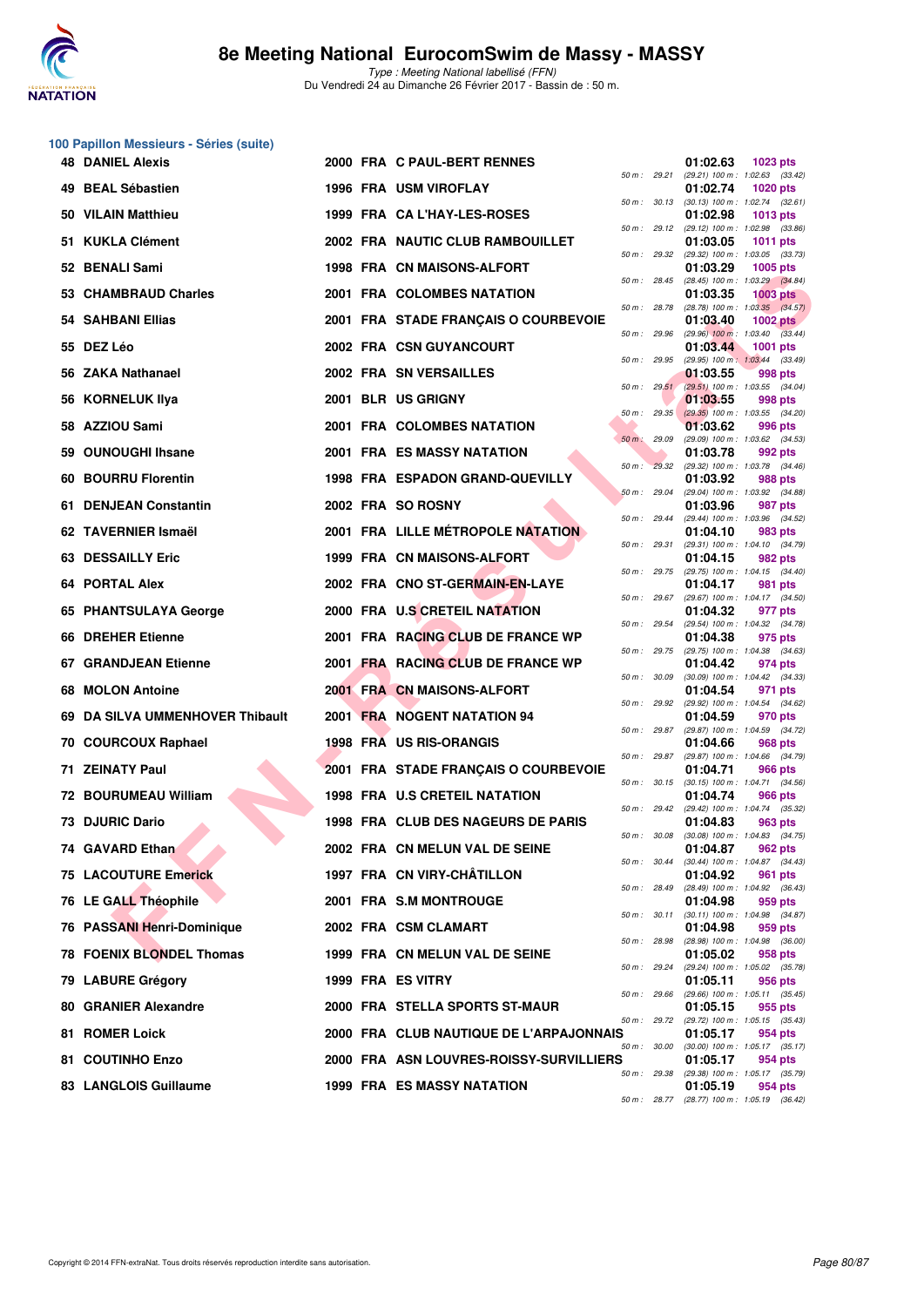

|     | 100 Papillon Messieurs - Séries (suite) |  |                                          |              |              |                                                          |                 |  |
|-----|-----------------------------------------|--|------------------------------------------|--------------|--------------|----------------------------------------------------------|-----------------|--|
|     | <b>48 DANIEL Alexis</b>                 |  | 2000 FRA C PAUL-BERT RENNES              |              | 50 m : 29.21 | 01:02.63<br>(29.21) 100 m: 1:02.63 (33.42)               | 1023 pts        |  |
|     | 49 BEAL Sébastien                       |  | 1996 FRA USM VIROFLAY                    | 50 m: 30.13  |              | 01:02.74<br>$(30.13)$ 100 m : 1:02.74 $(32.61)$          | <b>1020 pts</b> |  |
|     | 50 VILAIN Matthieu                      |  | 1999 FRA CA L'HAY-LES-ROSES              |              |              | 01:02.98                                                 | <b>1013 pts</b> |  |
|     | 51 KUKLA Clément                        |  | 2002 FRA NAUTIC CLUB RAMBOUILLET         | 50 m: 29.12  |              | (29.12) 100 m: 1:02.98 (33.86)<br>01:03.05               | 1011 pts        |  |
|     | 52 BENALI Sami                          |  | 1998 FRA CN MAISONS-ALFORT               | 50 m: 29.32  |              | (29.32) 100 m: 1:03.05 (33.73)<br>01:03.29               | 1005 pts        |  |
|     | 53 CHAMBRAUD Charles                    |  | 2001 FRA COLOMBES NATATION               | 50 m: 28.45  |              | (28.45) 100 m : 1:03.29 (34.84)<br>01:03.35              | <b>1003 pts</b> |  |
|     | 54 SAHBANI Ellias                       |  | 2001 FRA STADE FRANÇAIS O COURBEVOIE     | 50 m : 28.78 |              | (28.78) 100 m : 1:03.35 (34.57)<br>01:03.40              | 1002 $pts$      |  |
|     | 55 DEZ Léo                              |  | 2002 FRA CSN GUYANCOURT                  | 50 m: 29.96  |              | $(29.96)$ 100 m : 1:03.40 $(33.44)$<br>01:03.44          | <b>1001 pts</b> |  |
|     | 56 ZAKA Nathanael                       |  | 2002 FRA SN VERSAILLES                   | 50 m : 29.95 |              | (29.95) 100 m: 1:03.44 (33.49)<br>01:03.55               | 998 pts         |  |
|     | 56 KORNELUK Ilya                        |  | 2001 BLR US GRIGNY                       |              | 50 m: 29.51  | (29.51) 100 m: 1:03.55 (34.04)<br>01:03.55               | 998 pts         |  |
|     | 58 AZZIOU Sami                          |  | 2001 FRA COLOMBES NATATION               | 50 m : 29.35 |              | $(29.35)$ 100 m : 1:03.55 $(34.20)$<br>01:03.62          | 996 pts         |  |
| 59  | <b>OUNOUGHI Ihsane</b>                  |  | <b>2001 FRA ES MASSY NATATION</b>        | 50 m: 29.09  |              | (29.09) 100 m: 1:03.62 (34.53)<br>01:03.78               | 992 pts         |  |
| 60. | <b>BOURRU Florentin</b>                 |  | 1998 FRA ESPADON GRAND-QUEVILLY          |              | 50 m: 29.32  | (29.32) 100 m: 1:03.78 (34.46)<br>01:03.92               | 988 pts         |  |
|     | 61 DENJEAN Constantin                   |  | 2002 FRA SO ROSNY                        | 50 m: 29.04  |              | (29.04) 100 m: 1:03.92 (34.88)<br>01:03.96               | 987 pts         |  |
|     | 62 TAVERNIER Ismaël                     |  | <b>2001 FRA LILLE MÉTROPOLE NATATION</b> |              | 50 m : 29.44 | (29.44) 100 m : 1:03.96 (34.52)<br>01:04.10              | 983 pts         |  |
|     | 63 DESSAILLY Eric                       |  | 1999 FRA CN MAISONS-ALFORT               | 50 m : 29.31 |              | (29.31) 100 m: 1:04.10 (34.79)<br>01:04.15               | 982 pts         |  |
| 64  | <b>PORTAL Alex</b>                      |  | 2002 FRA CNO ST-GERMAIN-EN-LAYE          |              | 50 m : 29.75 | (29.75) 100 m: 1:04.15 (34.40)<br>01:04.17               | 981 pts         |  |
|     | 65 PHANTSULAYA George                   |  | 2000 FRA U.S CRETEIL NATATION            | 50 m: 29.67  |              | (29.67) 100 m : 1:04.17 (34.50)<br>01:04.32              | 977 pts         |  |
| 66  | <b>DREHER Etienne</b>                   |  | 2001 FRA RACING CLUB DE FRANCE WP        |              | 50 m : 29.54 | (29.54) 100 m: 1:04.32 (34.78)<br>01:04.38               | 975 pts         |  |
|     | <b>67 GRANDJEAN Etienne</b>             |  | 2001 FRA RACING CLUB DE FRANCE WP        |              | 50 m : 29.75 | (29.75) 100 m : 1:04.38 (34.63)<br>01:04.42              | 974 pts         |  |
| 68  | <b>MOLON Antoine</b>                    |  | 2001 FRA CN MAISONS-ALFORT               | 50 m : 30.09 |              | (30.09) 100 m: 1:04.42 (34.33)<br>01:04.54               | 971 pts         |  |
| 69. | DA SILVA UMMENHOVER Thibault            |  | 2001 FRA NOGENT NATATION 94              |              | 50 m : 29.92 | (29.92) 100 m: 1:04.54 (34.62)<br>01:04.59               | 970 pts         |  |
|     | 70 COURCOUX Raphael                     |  | 1998 FRA US RIS-ORANGIS                  |              | 50 m : 29.87 | (29.87) 100 m: 1:04.59 (34.72)<br>01:04.66               | 968 pts         |  |
|     | 71 ZEINATY Paul                         |  | 2001 FRA STADE FRANÇAIS O COURBEVOIE     |              | 50 m : 29.87 | (29.87) 100 m: 1:04.66 (34.79)<br>01:04.71               | 966 pts         |  |
|     | <b>72 BOURUMEAU William</b>             |  | 1998 FRA U.S CRETEIL NATATION            |              |              | 50 m: 30.15 (30.15) 100 m: 1:04.71 (34.56)<br>01:04.74   | 966 pts         |  |
|     | 73 DJURIC Dario                         |  | 1998 FRA CLUB DES NAGEURS DE PARIS       |              | 50 m : 29.42 | (29.42) 100 m : 1:04.74 (35.32)<br>01:04.83              | 963 pts         |  |
|     | 74 GAVARD Ethan                         |  | 2002 FRA CN MELUN VAL DE SEINE           | 50 m : 30.08 |              | $(30.08)$ 100 m : 1:04.83 $(34.75)$<br>01:04.87          | 962 pts         |  |
|     | <b>75 LACOUTURE Emerick</b>             |  | 1997 FRA CN VIRY-CHÂTILLON               | 50 m: 30.44  |              | (30.44) 100 m: 1:04.87 (34.43)<br>01:04.92               | 961 pts         |  |
|     | 76 LE GALL Théophile                    |  | 2001 FRA S.M MONTROUGE                   | 50 m : 28.49 |              | (28.49) 100 m : 1:04.92 (36.43)<br>01:04.98              | 959 pts         |  |
|     | 76 PASSANI Henri-Dominique              |  | 2002 FRA CSM CLAMART                     |              | 50 m : 30.11 | (30.11) 100 m: 1:04.98 (34.87)<br>01:04.98               | 959 pts         |  |
|     | <b>78 FOENIX BLONDEL Thomas</b>         |  | 1999 FRA CN MELUN VAL DE SEINE           | 50 m : 28.98 |              | (28.98) 100 m : 1:04.98 (36.00)<br>01:05.02              | 958 pts         |  |
|     | 79 LABURE Grégory                       |  | 1999 FRA ES VITRY                        |              | 50 m : 29.24 | (29.24) 100 m : 1:05.02 (35.78)<br>01:05.11              | 956 pts         |  |
|     | 80 GRANIER Alexandre                    |  | 2000 FRA STELLA SPORTS ST-MAUR           | 50 m: 29.66  |              | (29.66) 100 m: 1:05.11 (35.45)                           |                 |  |
|     | 81 ROMER Loick                          |  |                                          |              | 50 m : 29.72 | 01:05.15<br>(29.72) 100 m: 1:05.15 (35.43)               | 955 pts         |  |
|     |                                         |  | 2000 FRA CLUB NAUTIQUE DE L'ARPAJONNAIS  | 50 m : 30.00 |              | 01:05.17<br>$(30.00)$ 100 m : 1:05.17 $(35.17)$          | 954 pts         |  |
|     | 81 COUTINHO Enzo                        |  | 2000 FRA ASN LOUVRES-ROISSY-SURVILLIERS  | 50 m: 29.38  |              | 01:05.17<br>(29.38) 100 m : 1:05.17 (35.79)              | 954 pts         |  |
|     | 83 LANGLOIS Guillaume                   |  | 1999 FRA ES MASSY NATATION               |              |              | 01:05.19<br>50 m : 28.77 (28.77) 100 m : 1:05.19 (36.42) | 954 pts         |  |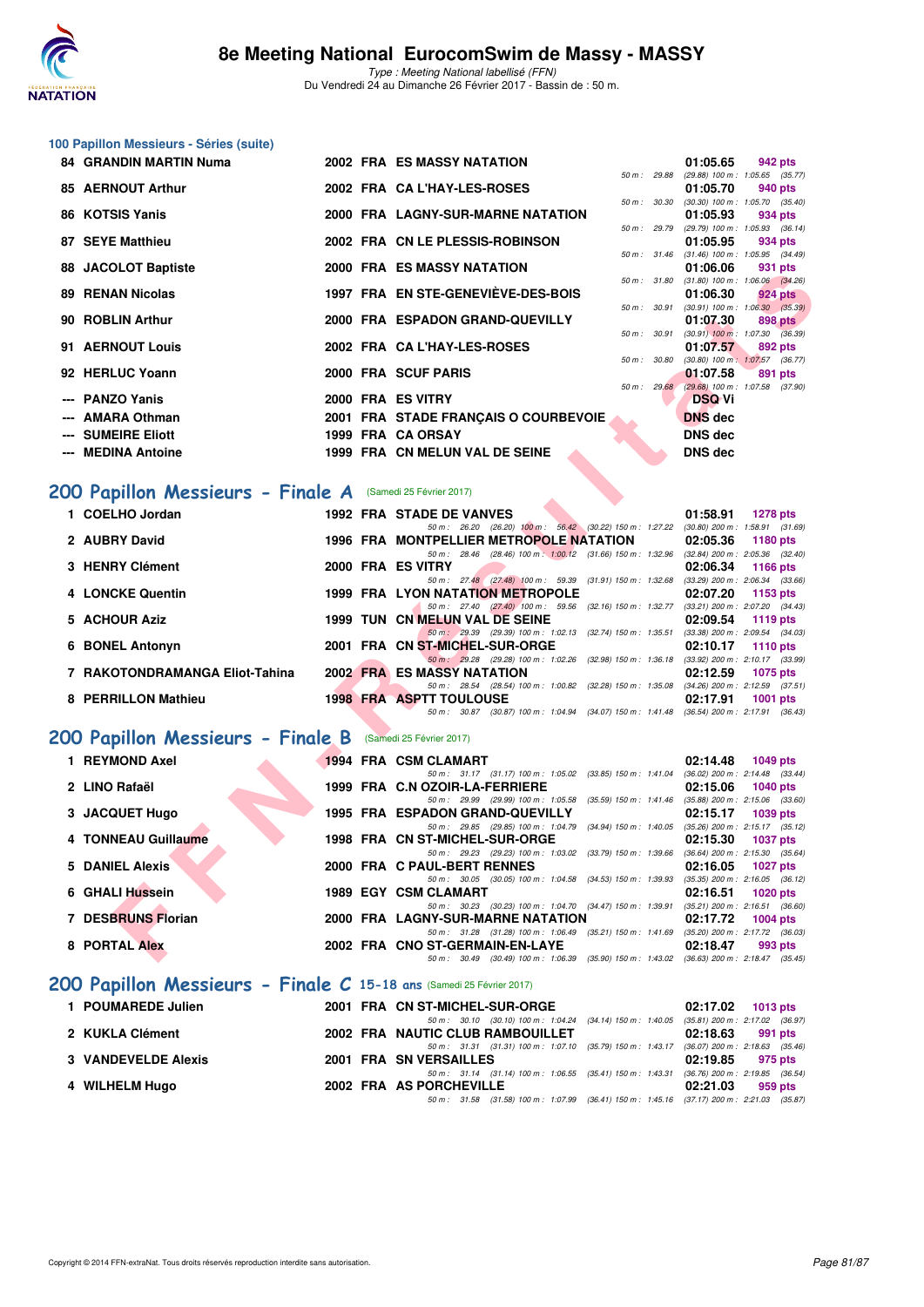

**100 Papillon Messieurs - Séries (suite)**

Type : Meeting National labellisé (FFN) Du Vendredi 24 au Dimanche 26 Février 2017 - Bassin de : 50 m.

| 84 GRANDIN MARTIN Numa                                               |  | 2002 FRA ES MASSY NATATION                                                                                                        | 01:05.65<br>942 pts                                                 |
|----------------------------------------------------------------------|--|-----------------------------------------------------------------------------------------------------------------------------------|---------------------------------------------------------------------|
| <b>85 AERNOUT Arthur</b>                                             |  | 50 m : 29.88<br>2002 FRA CA L'HAY-LES-ROSES                                                                                       | (29.88) 100 m: 1:05.65 (35.77)<br>01:05.70<br>940 pts               |
| 86 KOTSIS Yanis                                                      |  | 50 m : 30.30<br>2000 FRA LAGNY-SUR-MARNE NATATION                                                                                 | $(30.30)$ 100 m : 1:05.70 $(35.40)$<br>01:05.93<br>934 pts          |
| 87 SEYE Matthieu                                                     |  | 50 m : 29.79<br>2002 FRA CN LE PLESSIS-ROBINSON                                                                                   | (29.79) 100 m : 1:05.93 (36.14)<br>01:05.95<br>934 pts              |
| 88 JACOLOT Baptiste                                                  |  | 50 m: 31.46<br><b>2000 FRA ES MASSY NATATION</b>                                                                                  | $(31.46)$ 100 m : 1:05.95 $(34.49)$<br>01:06.06<br>931 pts          |
| <b>89 RENAN Nicolas</b>                                              |  | 1997 FRA EN STE-GENEVIÈVE-DES-BOIS                                                                                                | 50 m: 31.80 (31.80) 100 m: 1:06.06 (34.26)<br>01:06.30<br>924 pts   |
|                                                                      |  | 50 m : 30.91                                                                                                                      | $(30.91)$ 100 m : 1:06.30 $(35.39)$                                 |
| 90 ROBLIN Arthur                                                     |  | 2000 FRA ESPADON GRAND-QUEVILLY<br>50 m : 30.91                                                                                   | 01:07.30<br>898 pts<br>$(30.91)$ 100 m : 1:07.30 $(36.39)$          |
| 91 AERNOUT Louis                                                     |  | 2002 FRA CA L'HAY-LES-ROSES<br>50 m : 30.80                                                                                       | 01:07.57<br>892 pts<br>$(30.80)$ 100 m : 1:07.57 $(36.77)$          |
| 92 HERLUC Yoann                                                      |  | 2000 FRA SCUF PARIS                                                                                                               | 01:07.58<br>891 pts<br>50 m : 29.68 (29.68) 100 m : 1:07.58 (37.90) |
| --- PANZO Yanis                                                      |  | 2000 FRA ES VITRY                                                                                                                 | <b>DSQ Vi</b>                                                       |
| AMARA Othman                                                         |  | 2001 FRA STADE FRANÇAIS O COURBEVOIE                                                                                              | <b>DNS</b> dec                                                      |
| <b>SUMEIRE Eliott</b><br><b>MEDINA Antoine</b>                       |  | 1999 FRA CA ORSAY<br>1999 FRA CN MELUN VAL DE SEINE                                                                               | <b>DNS dec</b><br><b>DNS dec</b>                                    |
|                                                                      |  |                                                                                                                                   |                                                                     |
| 200 Papillon Messieurs - Finale A (Samedi 25 Février 2017)           |  |                                                                                                                                   |                                                                     |
| 1 COELHO Jordan                                                      |  | <b>1992 FRA STADE DE VANVES</b>                                                                                                   | 01:58.91<br><b>1278 pts</b>                                         |
| 2 AUBRY David                                                        |  | 50 m: 26.20 (26.20) 100 m: 56.42 (30.22) 150 m: 1.27.22 (30.80) 200 m: 1.58.91 (31.69)<br>1996 FRA MONTPELLIER METROPOLE NATATION | 02:05.36<br>1180 pts                                                |
| 3 HENRY Clément                                                      |  | 50 m: 28.46 (28.46) 100 m: 1:00.12 (31.66) 150 m: 1:32.96 (32.84) 200 m: 2:05.36 (32.40)<br>2000 FRA ES VITRY                     | 02:06.34<br>1166 pts                                                |
|                                                                      |  | 50 m: 27.48 (27.48) 100 m: 59.39 (31.91) 150 m: 1:32.68 (33.29) 200 m: 2:06.34 (33.66)                                            |                                                                     |
| 4 LONCKE Quentin                                                     |  | 1999 FRA LYON NATATION METROPOLE<br>50 m: 27.40 (27.40) 100 m: 59.56 (32.16) 150 m: 1:32.77 (33.21) 200 m: 2:07.20 (34.43)        | 02:07.20<br>1153 pts                                                |
| 5 ACHOUR Aziz                                                        |  | 1999 TUN CN MELUN VAL DE SEINE<br>50 m: 29.39 (29.39) 100 m: 1:02.13 (32.74) 150 m: 1:35.51 (33.38) 200 m: 2:09.54 (34.03)        | 02:09.54<br>1119 pts                                                |
| 6 BONEL Antonyn                                                      |  | 2001 FRA CN ST-MICHEL-SUR-ORGE<br>50 m: 29.28 (29.28) 100 m: 1:02.26 (32.98) 150 m: 1:36.18 (33.92) 200 m: 2:10.17 (33.99)        | 02:10.17<br><b>1110 pts</b>                                         |
| 7 RAKOTONDRAMANGA Eliot-Tahina                                       |  | <b>2002 FRA ES MASSY NATATION</b>                                                                                                 | 02:12.59<br><b>1075 pts</b>                                         |
| 8 PERRILLON Mathieu                                                  |  | 50 m: 28.54 (28.54) 100 m: 1:00.82 (32.28) 150 m: 1:35.08 (34.26) 200 m: 2:12.59 (37.51)<br><b>1998 FRA ASPTT TOULOUSE</b>        | 02:17.91<br>1001 $pts$                                              |
|                                                                      |  | 50 m: 30.87 (30.87) 100 m: 1:04.94 (34.07) 150 m: 1:41.48 (36.54) 200 m: 2:17.91 (36.43)                                          |                                                                     |
| 200 Papillon Messieurs - Finale B                                    |  | (Samedi 25 Février 2017)                                                                                                          |                                                                     |
| 1 REYMOND Axel                                                       |  | 1994 FRA CSM CLAMART                                                                                                              | 02:14.48<br>1049 pts                                                |
| 2 LINO Rafaël                                                        |  | 50 m: 31.17 (31.17) 100 m: 1:05.02 (33.85) 150 m: 1:41.04 (36.02) 200 m: 2:14.48 (33.44)<br>1999 FRA C.N OZOIR-LA-FERRIERE        | 02:15.06<br><b>1040 pts</b>                                         |
| 3 JACQUET Hugo                                                       |  | 50 m: 29.99 (29.99) 100 m: 1:05.58 (35.59) 150 m: 1:41.46 (35.88) 200 m: 2:15.06 (33.60)<br>1995 FRA ESPADON GRAND-QUEVILLY       | 02:15.17<br>1039 pts                                                |
| 4 TONNEAU Guillaume                                                  |  | 50 m: 29.85 (29.85) 100 m: 1:04.79 (34.94) 150 m: 1:40.05 (35.26) 200 m: 2:15.17 (35.12)                                          |                                                                     |
|                                                                      |  | 1998 FRA CN ST-MICHEL-SUR-ORGE<br>50 m: 29.23 (29.23) 100 m: 1:03.02 (33.79) 150 m: 1:39.66 (36.64) 200 m: 2:15.30 (35.64)        | 02:15.30<br>1037 pts                                                |
| <b>5 DANIEL Alexis</b>                                               |  | 2000 FRA C PAUL-BERT RENNES<br>50 m: 30.05 (30.05) 100 m: 1:04.58 (34.53) 150 m: 1:39.93 (35.35) 200 m: 2:16.05 (36.12)           | 02:16.05 1027 pts                                                   |
| 6 GHALI Hussein                                                      |  | <b>1989 EGY CSM CLAMART</b><br>50 m: 30.23 (30.23) 100 m: 1:04.70 (34.47) 150 m: 1:39.91 (35.21) 200 m: 2:16.51 (36.60)           | 02:16.51<br>1020 pts                                                |
| 7 DESBRUNS Florian                                                   |  | 2000 FRA LAGNY-SUR-MARNE NATATION                                                                                                 | 02:17.72<br>1004 pts                                                |
| 8 PORTAL Alex                                                        |  | 50 m: 31.28 (31.28) 100 m: 1:06.49 (35.21) 150 m: 1:41.69 (35.20) 200 m: 2:17.72 (36.03)<br>2002 FRA CNO ST-GERMAIN-EN-LAYE       | 02:18.47<br>993 pts                                                 |
|                                                                      |  | 50 m: 30.49 (30.49) 100 m: 1:06.39 (35.90) 150 m: 1:43.02 (36.63) 200 m: 2:18.47 (35.45)                                          |                                                                     |
| 200 Papillon Messieurs - Finale C 15-18 ans (Samedi 25 Février 2017) |  |                                                                                                                                   |                                                                     |
| 1 POUMAREDE Julien                                                   |  | 2001 FRA CN ST-MICHEL-SUR-ORGE                                                                                                    | 02:17.02<br>$1013$ pts                                              |
| 2 KUKLA Clément                                                      |  | 50 m: 30.10 (30.10) 100 m: 1:04.24 (34.14) 150 m: 1:40.05 (35.81) 200 m: 2:17.02 (36.97)<br>2002 FRA NAUTIC CLUB RAMBOUILLET      | 02:18.63<br>991 pts                                                 |
| 3 VANDEVELDE Alexis                                                  |  | 50 m: 31.31 (31.31) 100 m: 1:07.10 (35.79) 150 m: 1:43.17 (36.07) 200 m: 2:18.63 (35.46)<br>2001 FRA SN VERSAILLES                | 02:19.85<br>975 pts                                                 |
|                                                                      |  |                                                                                                                                   |                                                                     |

3 VANDEVELDE Alexis 1975 pts بـ 2001 FRA SN VERSAILLES بـ 2001 FRA SN VERSAILLES 1149.55 (96.76) 20:19.85 1975<br>50 1958 - 1.14 (31.14) 100 114 (31.14) 100 m : 1.06.55 (35.41) 150 m : 1.43.31 (36.76) 200 m : 2:19.85 (36.54<br>1

50 m : 31.58 (31.58) 100 m : 1:07.99 (36.41) 150 m : 1:45.16 (37.17) 200 m : 2:21.03 (35.87)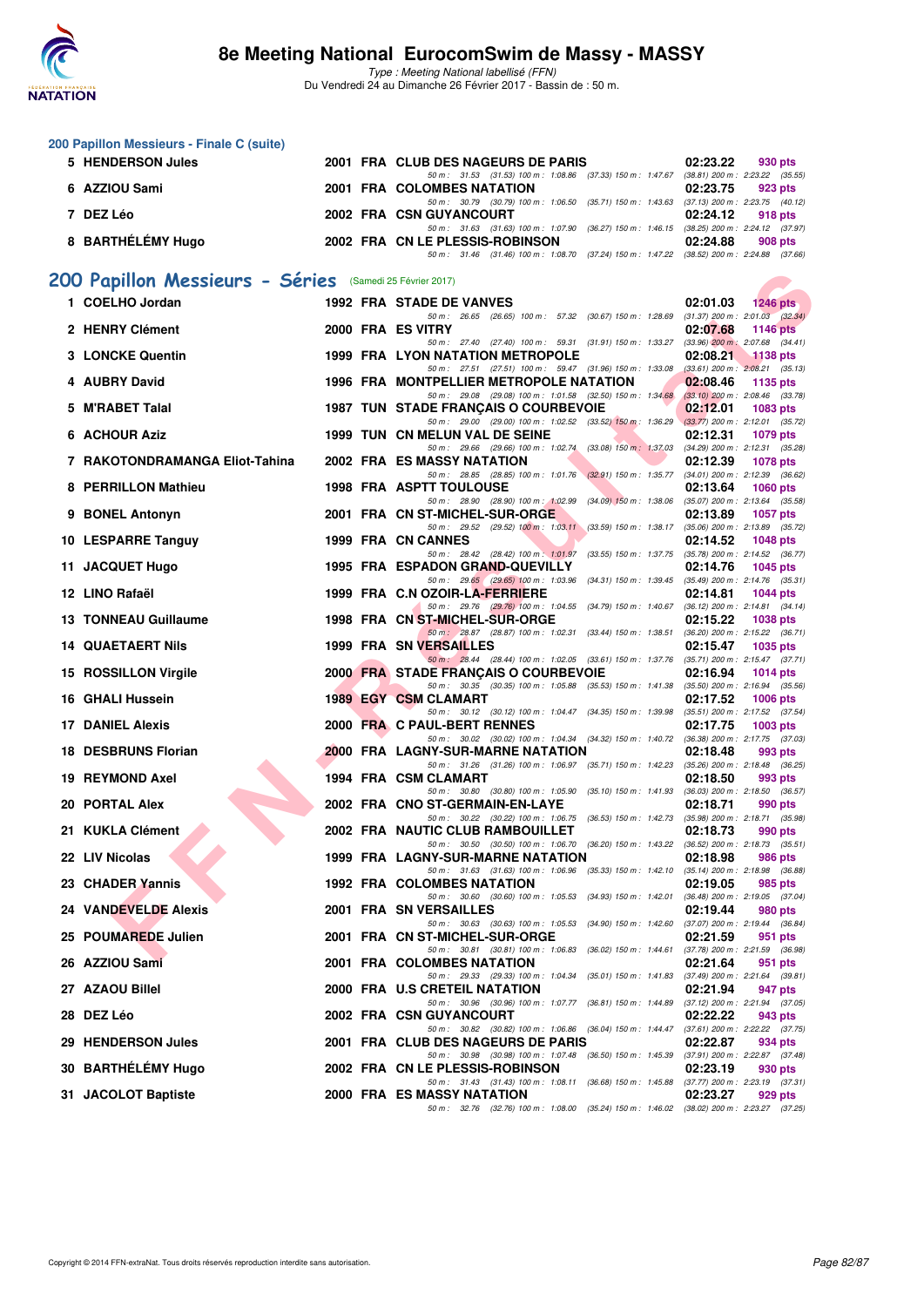

Type : Meeting National labellisé (FFN) Du Vendredi 24 au Dimanche 26 Février 2017 - Bassin de : 50 m.

|     | 200 Papillon Messieurs - Finale C (suite)                |  |                                                                                                                                      |                                                                |
|-----|----------------------------------------------------------|--|--------------------------------------------------------------------------------------------------------------------------------------|----------------------------------------------------------------|
|     | 5 HENDERSON Jules                                        |  | 2001 FRA CLUB DES NAGEURS DE PARIS                                                                                                   | 02:23.22<br>930 pts                                            |
|     | 6 AZZIOU Sami                                            |  | 50 m: 31.53 (31.53) 100 m: 1:08.86 (37.33) 150 m: 1:47.67 (38.81) 200 m: 2:23.22 (35.55)<br>2001 FRA COLOMBES NATATION               | 02:23.75<br>923 pts                                            |
|     | 7 DEZ Léo                                                |  | 50 m: 30.79 (30.79) 100 m: 1:06.50 (35.71) 150 m: 1:43.63 (37.13) 200 m: 2:23.75 (40.12)<br>2002 FRA CSN GUYANCOURT                  | 02:24.12<br>918 pts                                            |
|     | 8 BARTHÉLÉMY Hugo                                        |  | 50 m: 31.63 (31.63) 100 m: 1:07.90 (36.27) 150 m: 1:46.15 (38.25) 200 m: 2:24.12 (37.97)<br>2002 FRA CN LE PLESSIS-ROBINSON          | 02:24.88<br>908 pts                                            |
|     |                                                          |  | 50 m: 31.46 (31.46) 100 m: 1:08.70 (37.24) 150 m: 1:47.22 (38.52) 200 m: 2:24.88 (37.66)                                             |                                                                |
|     | 200 Papillon Messieurs - Séries (Samedi 25 Février 2017) |  |                                                                                                                                      |                                                                |
|     | 1 COELHO Jordan                                          |  | <b>1992 FRA STADE DE VANVES</b><br>50 m: 26.65 (26.65) 100 m: 57.32 (30.67) 150 m: 1:28.69 (31.37) 200 m: 2:01.03 (32.34)            | 02:01.03<br>1246 pts                                           |
|     | 2 HENRY Clément                                          |  | 2000 FRA ES VITRY                                                                                                                    | 02:07.68<br><b>1146 pts</b>                                    |
|     | 3 LONCKE Quentin                                         |  | 50 m: 27.40 (27.40) 100 m: 59.31 (31.91) 150 m: 1:33.27<br>1999 FRA LYON NATATION METROPOLE                                          | $(33.96)$ 200 m : 2:07.68 $(34.41)$<br>02:08.21<br>$-1138$ pts |
|     | 4 AUBRY David                                            |  | 50 m: 27.51 (27.51) 100 m: 59.47 (31.96) 150 m: 1:33.08<br>1996 FRA MONTPELLIER METROPOLE NATATION                                   | $(33.61)$ 200 m : $2:08.21$ $(35.13)$<br>02:08.46<br>1135 pts  |
|     | 5 M'RABET Talal                                          |  | 50 m: 29.08 (29.08) 100 m: 1:01.58 (32.50) 150 m: 1:34.68 (33.10) 200 m: 2:08.46 (33.78)<br>1987 TUN STADE FRANÇAIS O COURBEVOIE     | 02:12.01<br>1083 pts                                           |
|     | 6 ACHOUR Aziz                                            |  | 50 m: 29.00 (29.00) 100 m: 1:02.52 (33.52) 150 m: 1:36.29 (33.77) 200 m: 2:12.01 (35.72)<br>1999 TUN CN MELUN VAL DE SEINE           | 02:12.31<br>1079 pts                                           |
|     | 7 RAKOTONDRAMANGA Eliot-Tahina                           |  | 50 m: 29.66 (29.66) 100 m: 1:02.74 (33.08) 150 m: 1:37.03 (34.29) 200 m: 2:12.31 (35.28)<br>2002 FRA ES MASSY NATATION               | 02:12.39<br>1078 pts                                           |
|     | 8 PERRILLON Mathieu                                      |  | 50 m: 28.85 (28.85) 100 m: 1:01.76 (32.91) 150 m: 1:35.77 (34.01) 200 m: 2:12.39 (36.62)<br><b>1998 FRA ASPTT TOULOUSE</b>           | 02:13.64<br><b>1060 pts</b>                                    |
|     | 9 BONEL Antonyn                                          |  | 50 m: 28.90 (28.90) 100 m: 1:02.99 (34.09) 150 m: 1:38.06 (35.07) 200 m: 2:13.64 (35.58)<br>2001 FRA CN ST-MICHEL-SUR-ORGE           | 02:13.89<br>1057 pts                                           |
|     |                                                          |  | 50 m: 29.52 (29.52) 100 m: 1:03.11 (33.59) 150 m: 1:38.17 (35.06) 200 m: 2:13.89 (35.72)<br>1999 FRA CN CANNES                       |                                                                |
|     | 10 LESPARRE Tanguy                                       |  | 50 m: 28.42 (28.42) 100 m: 1:01.97 (33.55) 150 m: 1:37.75 (35.78) 200 m: 2:14.52 (36.77)                                             | 02:14.52<br>1048 pts                                           |
|     | 11 JACQUET Hugo                                          |  | 1995 FRA ESPADON GRAND-QUEVILLY<br>50 m: 29.65 (29.65) 100 m: 1:03.96 (34.31) 150 m: 1:39.45 (35.49) 200 m: 2:14.76 (35.31)          | 02:14.76<br>1045 pts                                           |
|     | 12 LINO Rafaël                                           |  | 1999 FRA C.N OZOIR-LA-FERRIERE<br>50 m: 29.76 (29.76) 100 m: 1:04.55 (34.79) 150 m: 1:40.67 (36.12) 200 m: 2:14.81 (34.14)           | 02:14.81<br><b>1044 pts</b>                                    |
|     | <b>13 TONNEAU Guillaume</b>                              |  | 1998 FRA CN ST-MICHEL-SUR-ORGE<br>50 m: 28.87 (28.87) 100 m: 1:02.31 (33.44) 150 m: 1:38.51 (36.20) 200 m: 2:15.22 (36.71)           | 02:15.22<br>1038 pts                                           |
|     | <b>14 QUAETAERT Nils</b>                                 |  | 1999 FRA SN VERSAILLES                                                                                                               | 02:15.47<br>1035 pts                                           |
|     | 15 ROSSILLON Virgile                                     |  | 50 m: 28.44 (28.44) 100 m: 1:02.05 (33.61) 150 m: 1:37.76 (35.71) 200 m: 2:15.47 (37.71)<br>2000 FRA STADE FRANÇAIS O COURBEVOIE     | 02:16.94<br>1014 $pts$                                         |
|     | 16 GHALI Hussein                                         |  | 50 m : 30.35 (30.35) 100 m : 1:05.88 (35.53) 150 m : 1:41.38 (35.50) 200 m : 2:16.94 (35.56)<br>1989 EGY CSM CLAMART                 | 02:17.52<br>1006 pts                                           |
|     | <b>17 DANIEL Alexis</b>                                  |  | 50 m: 30.12 (30.12) 100 m: 1:04.47 (34.35) 150 m: 1:39.98 (35.51) 200 m: 2:17.52 (37.54)<br>2000 FRA C PAUL-BERT RENNES              | 02:17.75<br>$1003$ pts                                         |
| 18. | <b>DESBRUNS Florian</b>                                  |  | 50 m: 30.02 (30.02) 100 m: 1:04.34 (34.32) 150 m: 1:40.72 (36.38) 200 m: 2:17.75 (37.03)<br><b>2000 FRA LAGNY-SUR-MARNE NATATION</b> | 02:18.48<br>993 pts                                            |
|     | 19 REYMOND Axel                                          |  | 50 m: 31.26 (31.26) 100 m: 1:06.97 (35.71) 150 m: 1:42.23 (35.26) 200 m: 2:18.48 (36.25)<br>1994 FRA CSM CLAMART                     | 02:18.50<br>993 pts                                            |
|     | 20 PORTAL Alex                                           |  | 50 m: 30.80 (30.80) 100 m: 1:05.90 (35.10) 150 m: 1:41.93 (36.03) 200 m: 2:18.50 (36.57)<br>2002 FRA CNO ST-GERMAIN-EN-LAYE          | 02:18.71<br>990 pts                                            |
|     |                                                          |  | 50 m : 30.22 (30.22) 100 m : 1:06.75 (36.53) 150 m : 1:42.73                                                                         | (35.98) 200 m : 2:18.71 (35.98)                                |
|     | 21 KUKLA Clément                                         |  | 2002 FRA NAUTIC CLUB RAMBOUILLET<br>50 m: 30.50 (30.50) 100 m: 1:06.70 (36.20) 150 m: 1:43.22                                        | 02:18.73<br>990 pts<br>$(36.52)$ 200 m : 2:18.73 $(35.51)$     |
|     | 22 LIV Nicolas                                           |  | 1999 FRA LAGNY-SUR-MARNE NATATION<br>50 m: 31.63 (31.63) 100 m: 1:06.96 (35.33) 150 m: 1:42.10 (35.14) 200 m: 2:18.98 (36.88)        | 02:18.98<br>986 pts                                            |
|     | 23 CHADER Yannis                                         |  | 1992 FRA COLOMBES NATATION<br>50 m : 30.60 (30.60) 100 m : 1:05.53 (34.93) 150 m : 1:42.01                                           | 02:19.05<br>985 pts<br>$(36.48)$ 200 m : 2:19.05 $(37.04)$     |
|     | 24 VANDEVELDE Alexis                                     |  | 2001 FRA SN VERSAILLES<br>50 m : 30.63 (30.63) 100 m : 1:05.53 (34.90) 150 m : 1:42.60                                               | 02:19.44<br>980 pts<br>(37.07) 200 m : 2:19.44 (36.84)         |
|     | 25 POUMAREDE Julien                                      |  | 2001 FRA CN ST-MICHEL-SUR-ORGE<br>50 m: 30.81 (30.81) 100 m: 1:06.83 (36.02) 150 m: 1:44.61                                          | 02:21.59<br>951 pts<br>(37.78) 200 m : 2:21.59 (36.98)         |
|     | 26 AZZIOU Sami                                           |  | 2001 FRA COLOMBES NATATION                                                                                                           | 02:21.64<br>951 pts                                            |
|     | 27 AZAOU Billel                                          |  | 50 m : 29.33 (29.33) 100 m : 1:04.34 (35.01) 150 m : 1:41.83<br>2000 FRA U.S CRETEIL NATATION                                        | $(37.49)$ 200 m : 2:21.64 $(39.81)$<br>02:21.94<br>947 pts     |
|     | 28 DEZ Léo                                               |  | 50 m : 30.96 (30.96) 100 m : 1:07.77 (36.81) 150 m : 1:44.89<br>2002 FRA CSN GUYANCOURT                                              | $(37.12)$ 200 m : 2:21.94 $(37.05)$<br>02:22.22<br>943 pts     |
|     | 29 HENDERSON Jules                                       |  | 50 m : 30.82 (30.82) 100 m : 1:06.86 (36.04) 150 m : 1:44.47<br>2001 FRA CLUB DES NAGEURS DE PARIS                                   | $(37.61)$ 200 m : 2:22.22 $(37.75)$<br>02:22.87<br>934 pts     |
|     | 30 BARTHÉLÉMY Hugo                                       |  | 50 m : 30.98 (30.98) 100 m : 1:07.48 (36.50) 150 m : 1:45.39<br>2002 FRA CN LE PLESSIS-ROBINSON                                      | $(37.91)$ 200 m : 2:22.87 $(37.48)$<br>02:23.19<br>930 pts     |
|     | 31 JACOLOT Baptiste                                      |  | 50 m: 31.43 (31.43) 100 m: 1:08.11 (36.68) 150 m: 1:45.88 (37.77) 200 m: 2:23.19 (37.31)<br>2000 FRA ES MASSY NATATION               | 02:23.27<br>929 pts                                            |
|     |                                                          |  | 50 m: 32.76 (32.76) 100 m: 1:08.00 (35.24) 150 m: 1:46.02 (38.02) 200 m: 2:23.27 (37.25)                                             |                                                                |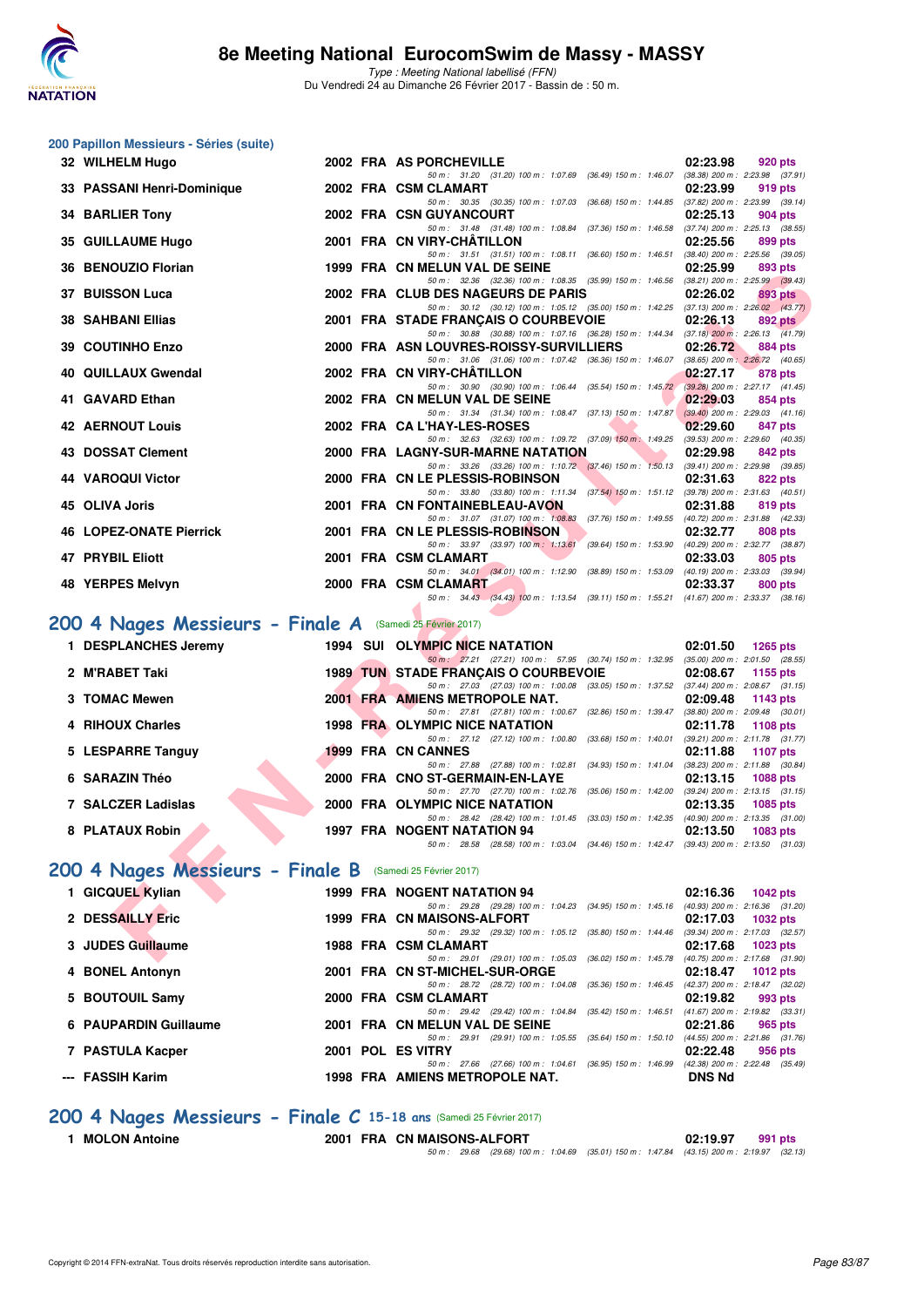

Type : Meeting National labellisé (FFN) Du Vendredi 24 au Dimanche 26 Février 2017 - Bassin de : 50 m.

#### **200 Papillon Messieurs - Séries (suite)**

| 32 WILHELM Hugo                                           |  | 2002 FRA AS PORCHEVILLE                                                                                                               | 02:23.98                                    | 920 pts         |
|-----------------------------------------------------------|--|---------------------------------------------------------------------------------------------------------------------------------------|---------------------------------------------|-----------------|
| 33 PASSANI Henri-Dominique                                |  | 50 m: 31.20 (31.20) 100 m: 1:07.69 (36.49) 150 m: 1:46.07<br>2002 FRA CSM CLAMART                                                     | (38.38) 200 m : 2:23.98 (37.91)<br>02:23.99 | 919 pts         |
|                                                           |  | 50 m: 30.35 (30.35) 100 m: 1:07.03 (36.68) 150 m: 1:44.85 (37.82) 200 m: 2:23.99 (39.14)                                              |                                             |                 |
| 34 BARLIER Tony                                           |  | 2002 FRA CSN GUYANCOURT<br>50 m: 31.48 (31.48) 100 m: 1:08.84 (37.36) 150 m: 1:46.58 (37.74) 200 m: 2:25.13 (38.55)                   | 02:25.13                                    | 904 pts         |
| 35 GUILLAUME Hugo                                         |  | 2001 FRA CN VIRY-CHATILLON                                                                                                            | 02:25.56                                    | 899 pts         |
| 36 BENOUZIO Florian                                       |  | 50 m: 31.51 (31.51) 100 m: 1:08.11 (36.60) 150 m: 1:46.51 (38.40) 200 m: 2:25.56 (39.05)<br>1999 FRA CN MELUN VAL DE SEINE            | 02:25.99                                    | 893 pts         |
|                                                           |  | 50 m: 32.36 (32.36) 100 m: 1:08.35 (35.99) 150 m: 1:46.56 (38.21) 200 m: 2:25.99 (39.43)                                              |                                             |                 |
| <b>37 BUISSON Luca</b>                                    |  | 2002 FRA CLUB DES NAGEURS DE PARIS<br>50 m: 30.12 (30.12) 100 m: 1:05.12 (35.00) 150 m: 1:42.25 (37.13) 200 m: 2:26.02 (43.77)        | 02:26.02                                    | 893 pts         |
| <b>38 SAHBANI Ellias</b>                                  |  | 2001 FRA STADE FRANÇAIS O COURBEVOIE                                                                                                  | 02:26.13                                    | 892 pts         |
|                                                           |  | 50 m: 30.88 (30.88) 100 m: 1:07.16 (36.28) 150 m: 1:44.34 (37.18) 200 m: 2:26.13 (41.79)                                              |                                             |                 |
| 39 COUTINHO Enzo                                          |  | 2000 FRA ASN LOUVRES-ROISSY-SURVILLIERS<br>50 m: 31.06 (31.06) 100 m: 1:07.42 (36.36) 150 m: 1:46.07 (38.65) 200 m: 2:26.72 (40.65)   | 02:26.72                                    | 884 pts         |
| 40 QUILLAUX Gwendal                                       |  | 2002 FRA CN VIRY-CHATILLON                                                                                                            | 02:27.17                                    | 878 pts         |
| 41 GAVARD Ethan                                           |  | 50 m: 30.90 (30.90) 100 m: 1:06.44 (35.54) 150 m: 1:45.72 (39.28) 200 m: 2:27.17 (41.45)<br>2002 FRA CN MELUN VAL DE SEINE            | 02:29.03                                    |                 |
|                                                           |  | 50 m: 31.34 (31.34) 100 m: 1:08.47 (37.13) 150 m: 1:47.87                                                                             | $(39.40)$ 200 m : 2:29.03 $(41.16)$         | 854 pts         |
| <b>42 AERNOUT Louis</b>                                   |  | 2002 FRA CA L'HAY-LES-ROSES                                                                                                           | 02:29.60                                    | 847 pts         |
| 43 DOSSAT Clement                                         |  | 50 m: 32.63 (32.63) 100 m: 1:09.72 (37.09) 150 m: 1:49.25 (39.53) 200 m: 2:29.60 (40.35)<br>2000 FRA LAGNY-SUR-MARNE NATATION         | 02:29.98                                    | 842 pts         |
|                                                           |  | 50 m: 33.26 (33.26) 100 m: 1:10.72 (37.46) 150 m: 1:50.13 (39.41) 200 m: 2:29.98 (39.85)                                              |                                             |                 |
| 44 VAROQUI Victor                                         |  | 2000 FRA CN LE PLESSIS-ROBINSON                                                                                                       | 02:31.63                                    | 822 pts         |
| 45 OLIVA Joris                                            |  | 50 m: 33.80 (33.80) 100 m: 1:11.34 (37.54) 150 m: 1:51.12 (39.78) 200 m: 2:31.63 (40.51)<br>2001 FRA CN FONTAINEBLEAU-AVON            | 02:31.88                                    | 819 pts         |
|                                                           |  | 50 m: 31.07 (31.07) 100 m: 1:08.83 (37.76) 150 m: 1:49.55 (40.72) 200 m: 2:31.88 (42.33)                                              |                                             |                 |
| <b>46 LOPEZ-ONATE Pierrick</b>                            |  | 2001 FRA CN LE PLESSIS-ROBINSON                                                                                                       | 02:32.77                                    | 808 pts         |
| <b>47 PRYBIL Eliott</b>                                   |  | 50 m : 33.97 (33.97) 100 m : 1:13.61 (39.64) 150 m : 1:53.90<br>2001 FRA CSM CLAMART                                                  | (40.29) 200 m : 2:32.77 (38.87)<br>02:33.03 | 805 pts         |
|                                                           |  | 50 m: 34.01 (34.01) 100 m: 1:12.90 (38.89) 150 m: 1:53.09 (40.19) 200 m: 2:33.03 (39.94)                                              |                                             |                 |
| 48 YERPES Melvyn                                          |  | 2000 FRA CSM CLAMART<br>50 m: 34.43 (34.43) 100 m: 1:13.54 (39.11) 150 m: 1:55.21 (41.67) 200 m: 2:33.37 (38.16)                      | 02:33.37                                    | 800 pts         |
|                                                           |  |                                                                                                                                       |                                             |                 |
| 200 4 Nages Messieurs - Finale A (Samedi 25 Février 2017) |  |                                                                                                                                       |                                             |                 |
| 1 DESPLANCHES Jeremy                                      |  | 1994 SUI OLYMPIC NICE NATATION                                                                                                        | 02:01.50                                    | <b>1265 pts</b> |
| 2 M'RABET Taki                                            |  | 50 m: 27.21 (27.21) 100 m: 57.95 (30.74) 150 m: 1:32.95 (35.00) 200 m: 2:01.50 (28.55)<br><b>1989 TUN STADE FRANÇAIS O COURBEVOIE</b> | 02:08.67                                    | 1155 pts        |
|                                                           |  | 50 m: 27.03 (27.03) 100 m: 1:00.08 (33.05) 150 m: 1:37.52 (37.44) 200 m: 2:08.67 (31.15)                                              |                                             |                 |
| 3 TOMAC Mewen                                             |  | 2001 FRA AMIENS METROPOLE NAT.                                                                                                        | 02:09.48                                    | 1143 pts        |
| 4 RIHOUX Charles                                          |  | 50 m: 27.81 (27.81) 100 m: 1:00.67 (32.86) 150 m: 1:39.47 (38.80) 200 m: 2:09.48 (30.01)<br>1998 FRA OLYMPIC NICE NATATION            | 02:11.78                                    | 1108 pts        |
|                                                           |  | 50 m: 27.12 (27.12) 100 m: 1:00.80 (33.68) 150 m: 1:40.01 (39.21) 200 m: 2:11.78 (31.77)                                              |                                             |                 |
| 5 LESPARRE Tanguy                                         |  | 1999 FRA CN CANNES                                                                                                                    | 02:11.88                                    | 1107 pts        |
| 6 SARAZIN Théo                                            |  | 50 m: 27.88 (27.88) 100 m: 1:02.81 (34.93) 150 m: 1:41.04 (38.23) 200 m: 2:11.88 (30.84)                                              |                                             |                 |
|                                                           |  | 2000 FRA CNO ST-GERMAIN-EN-LAYE<br>50 m: 27.70 (27.70) 100 m: 1:02.76 (35.06) 150 m: 1:42.00 (39.24) 200 m: 2:13.15 (31.15)           | 02:13.15                                    | <b>1088 pts</b> |
| 7 SALCZER Ladislas                                        |  | 2000 FRA OLYMPIC NICE NATATION                                                                                                        | 02:13.35                                    | 1085 pts        |
|                                                           |  | 50 m: 28.42 (28.42) 100 m: 1:01.45 (33.03) 150 m: 1:42.35 (40.90) 200 m: 2:13.35 (31.00)                                              |                                             |                 |
| 8 PLATAUX Robin                                           |  | <b>1997 FRA NOGENT NATATION 94</b><br>50 m: 28.58 (28.58) 100 m: 1:03.04 (34.46) 150 m: 1:42.47 (39.43) 200 m: 2:13.50 (31.03)        | 02:13.50                                    | 1083 pts        |
| 200 4 Nages Messieurs - Finale B (Samedi 25 Février 2017) |  |                                                                                                                                       |                                             |                 |
| 1 GICQUEL Kylian                                          |  | <b>1999 FRA NOGENT NATATION 94</b>                                                                                                    | 02:16.36                                    | <b>1042 pts</b> |
|                                                           |  | 50 m: 29.28 (29.28) 100 m: 1:04.23 (34.95) 150 m: 1:45.16 (40.93) 200 m: 2:16.36 (31.20)                                              |                                             |                 |
| 2 DESSAILLY Eric                                          |  | 1999 FRA CN MAISONS-ALFORT                                                                                                            | 02:17.03                                    | 1032 pts        |
| 3 JUDES Guillaume                                         |  | 50 m: 29.32 (29.32) 100 m: 1:05.12 (35.80) 150 m: 1:44.46 (39.34) 200 m: 2:17.03 (32.57)<br>1988 FRA CSM CLAMART                      |                                             |                 |
|                                                           |  | 50 m: 29.01 (29.01) 100 m: 1:05.03 (36.02) 150 m: 1:45.78 (40.75) 200 m: 2:17.68 (31.90)                                              | 02:17.68                                    | 1023 pts        |

## **[200 4 Nages Messieurs - Finale A](http://www.ffnatation.fr/webffn/resultats.php?idact=nat&go=epr&idcpt=42801&idepr=91)** (Samedi 25 Février 2017)

| 1 DESPLANCHES Jeremy |  | 1994 SUI OLYMPIC NICE NATATION                                                                         | 02:01.50 | 1265 pts                                          |
|----------------------|--|--------------------------------------------------------------------------------------------------------|----------|---------------------------------------------------|
| 2 M'RABET Taki       |  | 50 m: 27.21 (27.21) 100 m: 57.95 (30.74) 150 m: 1:32.95<br><b>1989 TUN STADE FRANCAIS O COURBEVOIE</b> | 02:08.67 | $(35.00)$ 200 m : 2:01.50 $(28.55)$<br>1155 $pts$ |
|                      |  | 50 m : 27.03 (27.03) 100 m : 1:00.08 (33.05) 150 m : 1:37.52                                           |          | $(37.44)$ 200 m : 2:08.67 $(31.15)$               |
| 3 TOMAC Mewen        |  | 2001 FRA AMIENS METROPOLE NAT.                                                                         | 02:09.48 | 1143 pts                                          |
|                      |  | 50 m: 27.81 (27.81) 100 m: 1:00.67 (32.86) 150 m: 1:39.47                                              |          | $(38.80)$ 200 m : 2:09.48 $(30.01)$               |
| 4 RIHOUX Charles     |  | 1998 FRA OLYMPIC NICE NATATION                                                                         |          | 02:11.78 1108 pts                                 |
|                      |  | 50 m: 27.12 (27.12) 100 m: 1:00.80 (33.68) 150 m: 1:40.01                                              |          | (39.21) 200 m: 2:11.78 (31.77                     |
| 5 LESPARRE Tanguy    |  | 1999 FRA CN CANNES                                                                                     | 02:11.88 | 1107 pts                                          |
|                      |  | 50 m: 27.88 (27.88) 100 m: 1:02.81 (34.93) 150 m: 1:41.04                                              |          | (38.23) 200 m : 2:11.88 (30.84                    |
| 6 SARAZIN Théo       |  | 2000 FRA CNO ST-GERMAIN-EN-LAYE                                                                        | 02:13.15 | 1088 pts                                          |
|                      |  | 50 m : 27.70 (27.70) 100 m : 1:02.76 (35.06) 150 m : 1:42.00                                           |          | (39.24) 200 m : 2:13.15 (31.15                    |
| 7 SALCZER Ladislas   |  | 2000 FRA OLYMPIC NICE NATATION                                                                         | 02:13.35 | 1085 pts                                          |
|                      |  | 50 m: 28.42 (28.42) 100 m: 1:01.45 (33.03) 150 m: 1:42.35                                              |          | $(40.90)$ 200 m : 2:13.35 $(31.00)$               |
| 8 PLATAUX Robin      |  | 1997 FRA NOGENT NATATION 94                                                                            | 02:13.50 | 1083 pts                                          |
|                      |  | 50 m : 28.58 (28.58) 100 m : 1:03.04 (34.46) 150 m : 1:42.47                                           |          | $(39.43)$ 200 m : 2:13.50 $(31.03)$               |

## **[200 4 Nages Messieurs - Finale B](http://www.ffnatation.fr/webffn/resultats.php?idact=nat&go=epr&idcpt=42801&idepr=91)** (Samedi 25 Février 2017)

| 1 GICQUEL Kylian      |  | <b>1999 FRA NOGENT NATATION 94</b>                           |                         | 02:16.36      | 1042 pts                            |
|-----------------------|--|--------------------------------------------------------------|-------------------------|---------------|-------------------------------------|
|                       |  | 50 m: 29.28 (29.28) 100 m: 1:04.23 (34.95) 150 m: 1:45.16    |                         |               | $(40.93)$ 200 m : 2:16.36 $(31.20)$ |
| 2 DESSAILLY Eric      |  | 1999 FRA CN MAISONS-ALFORT                                   |                         | 02:17.03      | 1032 pts                            |
|                       |  | 50 m: 29.32 (29.32) 100 m: 1:05.12 (35.80) 150 m: 1:44.46    |                         |               | $(39.34)$ 200 m : 2:17.03 $(32.57)$ |
| 3 JUDES Guillaume     |  | 1988 FRA CSM CLAMART                                         |                         | 02:17.68      | 1023 pts                            |
|                       |  | 50 m: 29.01 (29.01) 100 m: 1:05.03 (36.02) 150 m: 1:45.78    |                         |               | $(40.75)$ 200 m : 2:17.68 $(31.90)$ |
| 4 BONEL Antonyn       |  | 2001 FRA CN ST-MICHEL-SUR-ORGE                               |                         | 02:18.47      | 1012 $pts$                          |
|                       |  | 50 m : 28.72 (28.72) 100 m : 1:04.08 (35.36) 150 m : 1:46.45 |                         |               | (42.37) 200 m : 2:18.47 (32.02)     |
| 5 BOUTOUIL Samy       |  | 2000 FRA CSM CLAMART                                         |                         | 02:19.82      | 993 pts                             |
|                       |  | 50 m : 29.42 (29.42) 100 m : 1:04.84                         | (35.42) 150 m : 1:46.51 |               | $(41.67)$ 200 m : 2:19.82 $(33.31)$ |
| 6 PAUPARDIN Guillaume |  | 2001 FRA CN MELUN VAL DE SEINE                               |                         | 02:21.86      | 965 pts                             |
|                       |  | 50 m : 29.91 (29.91) 100 m : 1:05.55                         | (35.64) 150 m : 1.50.10 |               | $(44.55)$ 200 m : 2:21.86 $(31.76)$ |
| 7 PASTULA Kacper      |  | 2001 POL ES VITRY                                            |                         | 02:22.48      | 956 pts                             |
|                       |  | 50 m: 27.66 (27.66) 100 m: 1:04.61 (36.95) 150 m: 1:46.99    |                         |               | $(42.38)$ 200 m : 2:22.48 $(35.49)$ |
| --- FASSIH Karim      |  | 1998 FRA AMIENS METROPOLE NAT.                               |                         | <b>DNS Nd</b> |                                     |
|                       |  |                                                              |                         |               |                                     |

#### **[200 4 Nages Messieurs - Finale C](http://www.ffnatation.fr/webffn/resultats.php?idact=nat&go=epr&idcpt=42801&idepr=91) 15-18 ans** (Samedi 25 Février 2017)

**1 MOLON Antoine 2001 FRA CN MAISONS-ALFORT 02:19.97 991 pts**

50 m : 29.68 (29.68) 100 m : 1:04.69 (35.01) 150 m : 1:47.84 (43.15) 200 m : 2:19.97 (32.13)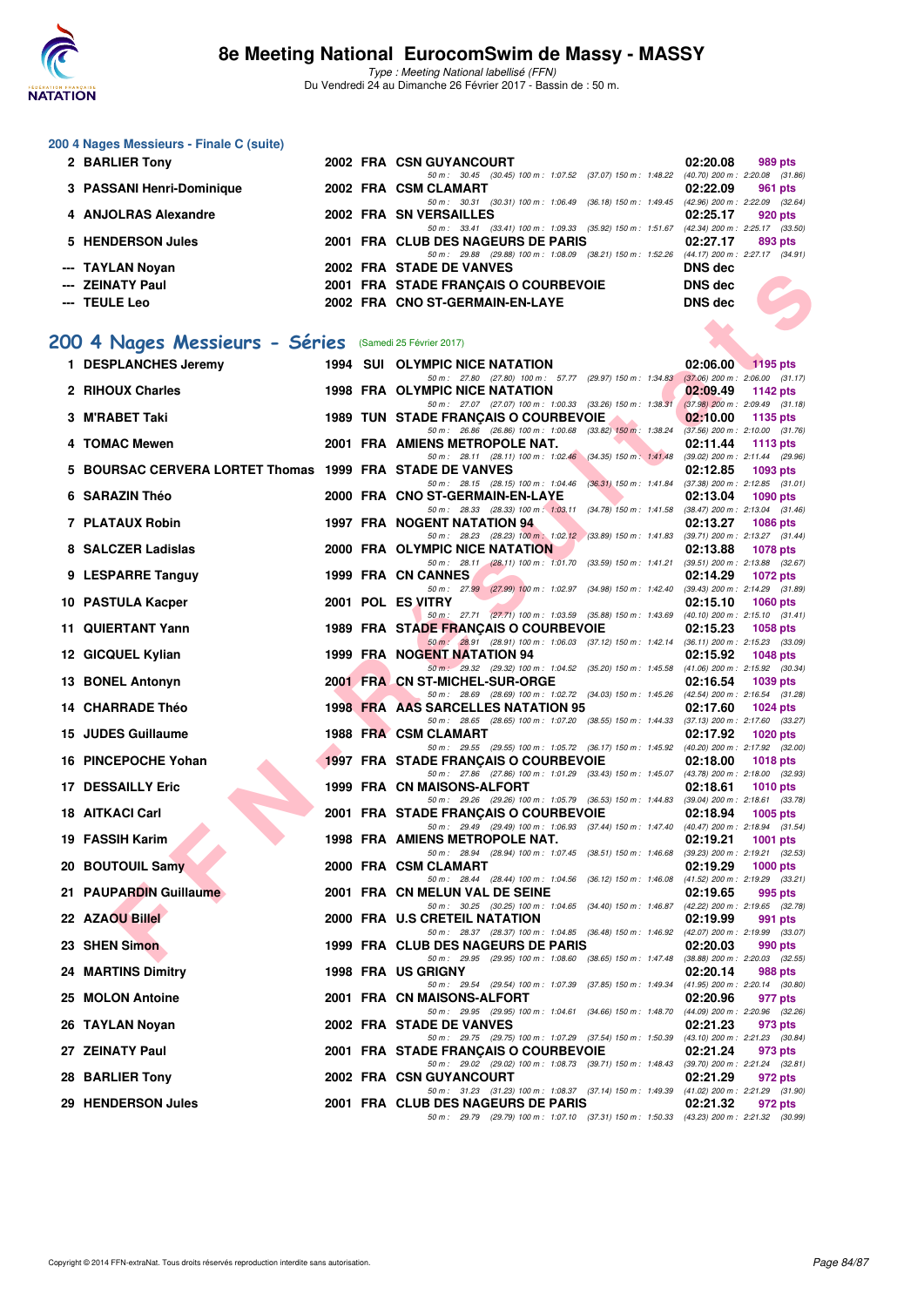

Type : Meeting National labellisé (FFN) Du Vendredi 24 au Dimanche 26 Février 2017 - Bassin de : 50 m.

#### **200 4 Nages Messieurs - Finale C (suite)**

| 2 BARLIER Tony            |  | 2002 FRA CSN GUYANCOURT                                   | 02:20.08       | 989 pts                             |
|---------------------------|--|-----------------------------------------------------------|----------------|-------------------------------------|
|                           |  | 50 m: 30.45 (30.45) 100 m: 1:07.52 (37.07) 150 m: 1:48.22 |                | $(40.70)$ 200 m : 2:20.08 $(31.86)$ |
| 3 PASSANI Henri-Dominique |  | 2002 FRA CSM CLAMART                                      | 02:22.09       | 961 pts                             |
|                           |  | 50 m: 30.31 (30.31) 100 m: 1:06.49 (36.18) 150 m: 1:49.45 |                | (42.96) 200 m : 2:22.09 (32.64)     |
| 4 ANJOLRAS Alexandre      |  | 2002 FRA SN VERSAILLES                                    | 02:25.17       | 920 pts                             |
|                           |  | 50 m: 33.41 (33.41) 100 m: 1:09.33 (35.92) 150 m: 1:51.67 |                | (42.34) 200 m : 2:25.17 (33.50)     |
| 5 HENDERSON Jules         |  | 2001 FRA CLUB DES NAGEURS DE PARIS                        | 02:27.17       | 893 pts                             |
|                           |  | 50 m: 29.88 (29.88) 100 m: 1:08.09 (38.21) 150 m: 1:52.26 |                | (44.17) 200 m : 2:27.17 (34.91)     |
| --- TAYLAN Novan          |  | 2002 FRA STADE DE VANVES                                  | DNS dec        |                                     |
| --- ZEINATY Paul          |  | 2001 FRA STADE FRANCAIS O COURBEVOIE                      | DNS dec        |                                     |
|                           |  |                                                           |                |                                     |
| --- TEULE Leo             |  | 2002 FRA CNO ST-GERMAIN-EN-LAYE                           | <b>DNS</b> dec |                                     |
|                           |  |                                                           |                |                                     |

### **[200 4 Nages Messieurs - Séries](http://www.ffnatation.fr/webffn/resultats.php?idact=nat&go=epr&idcpt=42801&idepr=91)** (Samedi 25 Février 2017)

| TA TEAN NOYAH                                            |  | ZUUZ FRA SIADE DE VANVES                                                                                                             | DING ACC       |                                     |
|----------------------------------------------------------|--|--------------------------------------------------------------------------------------------------------------------------------------|----------------|-------------------------------------|
| --- ZEINATY Paul                                         |  | 2001 FRA STADE FRANÇAIS O COURBEVOIE                                                                                                 | <b>DNS</b> dec |                                     |
| --- TEULE Leo                                            |  | 2002 FRA CNO ST-GERMAIN-EN-LAYE                                                                                                      | <b>DNS</b> dec |                                     |
|                                                          |  |                                                                                                                                      |                |                                     |
| 00 4 Nages Messieurs - Séries (Samedi 25 Février 2017)   |  |                                                                                                                                      |                |                                     |
| 1 DESPLANCHES Jeremy                                     |  | 1994 SUI OLYMPIC NICE NATATION                                                                                                       | 02:06.00       | $\sqrt{1195}$ pts                   |
| 2 RIHOUX Charles                                         |  | 50 m: 27.80 (27.80) 100 m: 57.77 (29.97) 150 m: 1.34.83 (37.06) 200 m: 2.06.00 (31.17)<br>1998 FRA OLYMPIC NICE NATATION             | 02:09.49       | 1142 pts                            |
|                                                          |  | 50 m: 27.07 (27.07) 100 m: 1:00.33 (33.26) 150 m: 1:38.31 (37.98) 200 m: 2:09.49 (31.18)                                             |                |                                     |
| 3 M'RABET Taki                                           |  | 1989 TUN STADE FRANÇAIS O COURBEVOIE<br>50 m: 26.86 (26.86) 100 m: 1:00.68 (33.82) 150 m: 1:38.24 (37.56) 200 m: 2:10.00 (31.76)     | 02:10.00       | 1135 pts                            |
| 4 TOMAC Mewen                                            |  | 2001 FRA AMIENS METROPOLE NAT.                                                                                                       | 02:11.44       | 1113 pts                            |
| 5 BOURSAC CERVERA LORTET Thomas 1999 FRA STADE DE VANVES |  | 50 m: 28.11 (28.11) 100 m: 1:02.46 (34.35) 150 m: 1:41.48 (39.02) 200 m: 2:11.44 (29.96)                                             | 02:12.85       | 1093 pts                            |
|                                                          |  | 50 m: 28.15 (28.15) 100 m: 1:04.46 (36.31) 150 m: 1:41.84 (37.38) 200 m: 2:12.85 (31.01)                                             |                |                                     |
| 6 SARAZIN Théo                                           |  | 2000 FRA CNO ST-GERMAIN-EN-LAYE<br>50 m: 28.33 (28.33) 100 m: 1:03.11 (34.78) 150 m: 1:41.58 (38.47) 200 m: 2:13.04 (31.46)          | 02:13.04       | 1090 pts                            |
| 7 PLATAUX Robin                                          |  | 1997 FRA NOGENT NATATION 94                                                                                                          | 02:13.27       | <b>1086 pts</b>                     |
| 8 SALCZER Ladislas                                       |  | 50 m: 28.23 (28.23) 100 m: 1:02.12 (33.89) 150 m: 1:41.83 (39.71) 200 m: 2:13.27 (31.44)                                             |                |                                     |
|                                                          |  | <b>2000 FRA OLYMPIC NICE NATATION</b><br>50 m: 28.11 (28.11) 100 m: 1:01.70 (33.59) 150 m: 1:41.21 (39.51) 200 m: 2:13.88 (32.67)    | 02:13.88       | 1078 pts                            |
| 9 LESPARRE Tanguy                                        |  | 1999 FRA CN CANNES                                                                                                                   | 02:14.29       | <b>1072 pts</b>                     |
| 10 PASTULA Kacper                                        |  | 50 m: 27.99 (27.99) 100 m: 1:02.97 (34.98) 150 m: 1:42.40 (39.43) 200 m: 2:14.29 (31.89)<br>2001 POL ES VITRY                        | 02:15.10       | <b>1060 pts</b>                     |
|                                                          |  | 50 m: 27.71 (27.71) 100 m: 1:03.59 (35.88) 150 m: 1:43.69 (40.10) 200 m: 2:15.10 (31.41)                                             |                |                                     |
| <b>11 QUIERTANT Yann</b>                                 |  | 1989 FRA STADE FRANÇAIS O COURBEVOIE<br>50 m : 28.91 (28.91) 100 m : 1:06.03 (37.12) 150 m : 1:42.14 (36.11) 200 m : 2:15.23 (33.09) | 02:15.23       | 1058 pts                            |
| 12 GICQUEL Kylian                                        |  | 1999 FRA NOGENT NATATION 94                                                                                                          | 02:15.92       | <b>1048 pts</b>                     |
| 13 BONEL Antonyn                                         |  | 50 m · 29.32 (29.32) 100 m · 1:04.52 (35.20) 150 m · 1:45.58 (41.06) 200 m · 2:15.92 (30.34)<br>2001 FRA CN ST-MICHEL-SUR-ORGE       | 02:16.54       | 1039 pts                            |
|                                                          |  | 50 m: 28.69 (28.69) 100 m: 1:02.72 (34.03) 150 m: 1:45.26 (42.54) 200 m: 2:16.54 (31.28)                                             |                |                                     |
| 14 CHARRADE Théo                                         |  | 1998 FRA AAS SARCELLES NATATION 95<br>50 m: 28.65 (28.65) 100 m: 1:07.20 (38.55) 150 m: 1:44.33 (37.13) 200 m: 2:17.60 (33.27)       | 02:17.60       | 1024 pts                            |
| 15 JUDES Guillaume                                       |  | 1988 FRA CSM CLAMART                                                                                                                 | 02:17.92       | 1020 pts                            |
| 16 PINCEPOCHE Yohan                                      |  | 50 m: 29.55 (29.55) 100 m: 1:05.72 (36.17) 150 m: 1:45.92 (40.20) 200 m: 2:17.92 (32.00)<br>1997 FRA STADE FRANÇAIS O COURBEVOIE     | 02:18.00       | <b>1018 pts</b>                     |
|                                                          |  | 50 m: 27.86 (27.86) 100 m: 1:01.29 (33.43) 150 m: 1:45.07 (43.78) 200 m: 2:18.00 (32.93)                                             |                |                                     |
| <b>17 DESSAILLY Eric</b>                                 |  | 1999 FRA CN MAISONS-ALFORT<br>50 m: 29.26 (29.26) 100 m: 1:05.79 (36.53) 150 m: 1:44.83 (39.04) 200 m: 2:18.61 (33.78)               | 02:18.61       | 1010 pts                            |
| 18 AITKACI Carl                                          |  | 2001 FRA STADE FRANÇAIS O COURBEVOIE                                                                                                 | 02:18.94       | <b>1005 pts</b>                     |
| 19 FASSIH Karim                                          |  | 50 m: 29.49 (29.49) 100 m: 1:06.93 (37.44) 150 m: 1:47.40 (40.47) 200 m: 2:18.94 (31.54)<br>1998 FRA AMIENS METROPOLE NAT.           | 02:19.21       | 1001 pts                            |
|                                                          |  | 50 m: 28.94 (28.94) 100 m: 1:07.45 (38.51) 150 m: 1:46.68 (39.23) 200 m: 2:19.21 (32.53)                                             |                |                                     |
| 20 BOUTOUIL Samy                                         |  | 2000 FRA CSM CLAMART<br>50 m: 28.44 (28.44) 100 m: 1:04.56 (36.12) 150 m: 1:46.08 (41.52) 200 m: 2:19.29 (33.21)                     | 02:19.29       | 1000 $pts$                          |
| 21 PAUPARDIN Guillaume                                   |  | 2001 FRA CN MELUN VAL DE SEINE                                                                                                       | 02:19.65       | 995 pts                             |
| 22 AZAOU Billel                                          |  | 50 m: 30.25 (30.25) 100 m: 1:04.65 (34.40) 150 m: 1:46.87 (42.22) 200 m: 2:19.65 (32.78)<br>2000 FRA U.S CRETEIL NATATION            |                | 991 pts                             |
|                                                          |  | 50 m: 28.37 (28.37) 100 m: 1:04.85 (36.48) 150 m: 1:46.92 (42.07) 200 m: 2:19.99 (33.07)                                             | 02:19.99       |                                     |
| 23 SHEN Simon                                            |  | 1999 FRA CLUB DES NAGEURS DE PARIS                                                                                                   | 02:20.03       | 990 pts                             |
| 24 MARTINS Dimitry                                       |  | 50 m: 29.95 (29.95) 100 m: 1:08.60 (38.65) 150 m: 1:47.48 (38.88) 200 m: 2:20.03 (32.55)<br>1998 FRA US GRIGNY                       | 02:20.14       | 988 pts                             |
|                                                          |  | 50 m: 29.54 (29.54) 100 m: 1:07.39 (37.85) 150 m: 1:49.34                                                                            |                | $(41.95)$ 200 m : 2:20.14 $(30.80)$ |
| 25 MOLON Antoine                                         |  | 2001 FRA CN MAISONS-ALFORT<br>50 m : 29.95 (29.95) 100 m : 1:04.61 (34.66) 150 m : 1:48.70 (44.09) 200 m : 2:20.96 (32.26)           | 02:20.96       | 977 pts                             |
| 26 TAYLAN Noyan                                          |  | 2002 FRA STADE DE VANVES                                                                                                             | 02:21.23       | 973 pts                             |
| 27 ZEINATY Paul                                          |  | 50 m: 29.75 (29.75) 100 m: 1:07.29 (37.54) 150 m: 1:50.39 (43.10) 200 m: 2:21.23 (30.84)<br>2001 FRA STADE FRANÇAIS O COURBEVOIE     | 02:21.24       | 973 pts                             |
|                                                          |  | 50 m : 29.02 (29.02) 100 m : 1:08.73 (39.71) 150 m : 1:48.43 (39.70) 200 m : 2:21.24 (32.81)                                         |                |                                     |
| 28 BARLIER Tony                                          |  | 2002 FRA CSN GUYANCOURT<br>50 m : 31.23 (31.23) 100 m : 1:08.37 (37.14) 150 m : 1:49.39 (41.02) 200 m : 2:21.29 (31.90)              | 02:21.29       | 972 pts                             |
| 29 HENDERSON Jules                                       |  | 2001 FRA CLUB DES NAGEURS DE PARIS                                                                                                   | 02:21.32       | 972 pts                             |
|                                                          |  | 50 m : 29.79 (29.79) 100 m : 1:07.10 (37.31) 150 m : 1:50.33 (43.23) 200 m : 2:21.32 (30.99)                                         |                |                                     |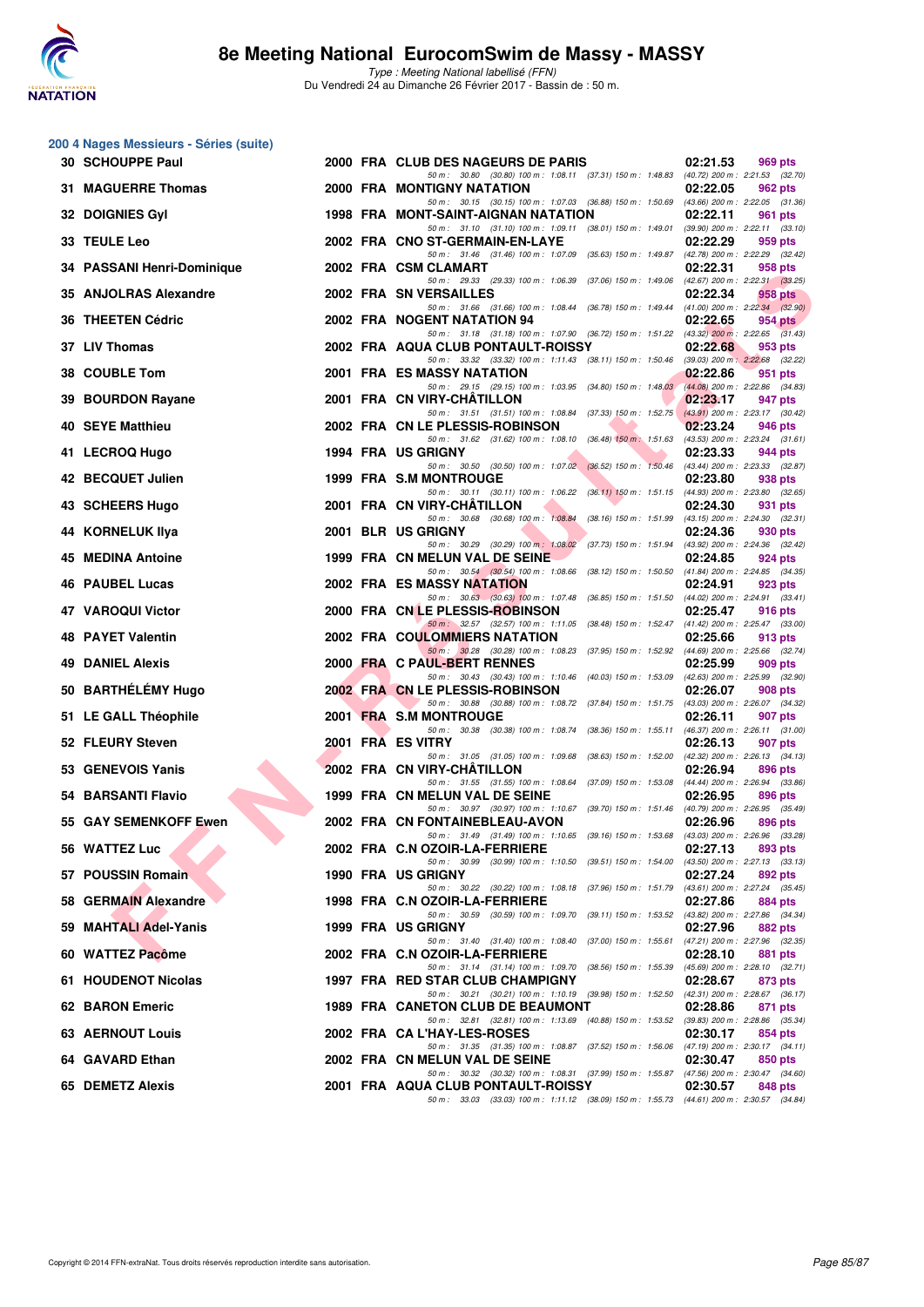

Type : Meeting National labellisé (FFN) Du Vendredi 24 au Dimanche 26 Février 2017 - Bassin de : 50 m.

|     | 200 4 Nages Messieurs - Séries (suite) |  |                                                                                                                                |          |                                                |
|-----|----------------------------------------|--|--------------------------------------------------------------------------------------------------------------------------------|----------|------------------------------------------------|
|     | 30 SCHOUPPE Paul                       |  | 2000 FRA CLUB DES NAGEURS DE PARIS<br>50 m: 30.80 (30.80) 100 m: 1:08.11 (37.31) 150 m: 1:48.83 (40.72) 200 m: 2:21.53 (32.70) | 02:21.53 | 969 pts                                        |
|     | <b>31 MAGUERRE Thomas</b>              |  | <b>2000 FRA MONTIGNY NATATION</b><br>50 m: 30.15 (30.15) 100 m: 1:07.03 (36.88) 150 m: 1:50.69 (43.66) 200 m: 2:22.05 (31.36)  | 02:22.05 | 962 pts                                        |
|     | 32 DOIGNIES Gyl                        |  | 1998 FRA MONT-SAINT-AIGNAN NATATION                                                                                            | 02:22.11 | 961 pts                                        |
|     | 33 TEULE Leo                           |  | 50 m: 31.10 (31.10) 100 m: 1:09.11 (38.01) 150 m: 1:49.01<br>2002 FRA CNO ST-GERMAIN-EN-LAYE                                   | 02:22.29 | $(39.90)$ 200 m : 2:22.11 $(33.10)$<br>959 pts |
|     | 34 PASSANI Henri-Dominique             |  | 50 m: 31.46 (31.46) 100 m: 1:07.09 (35.63) 150 m: 1:49.87<br>2002 FRA CSM CLAMART                                              | 02:22.31 | (42.78) 200 m : 2:22.29 (32.42)<br>958 pts     |
|     | 35 ANJOLRAS Alexandre                  |  | 50 m: 29.33 (29.33) 100 m: 1:06.39 (37.06) 150 m: 1:49.06<br>2002 FRA SN VERSAILLES                                            | 02:22.34 | (42.67) 200 m : 2:22.31 (33.25)<br>958 pts     |
|     | 36 THEETEN Cédric                      |  | 50 m: 31.66 (31.66) 100 m: 1:08.44 (36.78) 150 m: 1:49.44 (41.00) 200 m: 2:22.34 (32.90)<br>2002 FRA NOGENT NATATION 94        | 02:22.65 | 954 pts                                        |
|     | 37 LIV Thomas                          |  | 50 m: 31.18 (31.18) 100 m: 1:07.90 (36.72) 150 m: 1:51.22 (43.32) 200 m: 2:22.65 (31.43)<br>2002 FRA AQUA CLUB PONTAULT-ROISSY | 02:22.68 | 953 pts                                        |
|     | 38 COUBLE Tom                          |  | 50 m: 33.32 (33.32) 100 m: 1:11.43 (38.11) 150 m: 1:50.46 (39.03) 200 m: 2:22.68 (32.22)<br>2001 FRA ES MASSY NATATION         | 02:22.86 | 951 pts                                        |
|     | 39 BOURDON Rayane                      |  | 50 m: 29.15 (29.15) 100 m: 1:03.95 (34.80) 150 m: 1:48.03<br>2001 FRA CN VIRY-CHATILLON                                        | 02:23.17 | (44.08) 200 m : 2:22.86 (34.83)<br>947 pts     |
|     | 40 SEYE Matthieu                       |  | 50 m: 31.51 (31.51) 100 m: 1:08.84 (37.33) 150 m: 1:52.75<br>2002 FRA CN LE PLESSIS-ROBINSON                                   | 02:23.24 | $(43.91)$ 200 m : 2:23.17 (30.42)<br>946 pts   |
|     | 41 LECROQ Hugo                         |  | 50 m: 31.62 (31.62) 100 m: 1:08.10 (36.48) 150 m: 1:51.63<br>1994 FRA US GRIGNY                                                | 02:23.33 | (43.53) 200 m : 2:23.24 (31.61)<br>944 pts     |
|     | 42 BECQUET Julien                      |  | 50 m: 30.50 (30.50) 100 m: 1:07.02 (36.52) 150 m: 1:50.46 (43.44) 200 m: 2:23.33 (32.87)<br>1999 FRA S.M MONTROUGE             | 02:23.80 | 938 pts                                        |
|     | 43 SCHEERS Hugo                        |  | 50 m: 30.11 (30.11) 100 m: 1:06.22 (36.11) 150 m: 1:51.15 (44.93) 200 m: 2:23.80 (32.65)<br>2001 FRA CN VIRY-CHATILLON         | 02:24.30 | 931 pts                                        |
|     | <b>44 KORNELUK IIva</b>                |  | 50 m: 30.68 (30.68) 100 m: 1:08.84 (38.16) 150 m: 1:51.99 (43.15) 200 m: 2:24.30 (32.31)<br>2001 BLR US GRIGNY                 | 02:24.36 | 930 pts                                        |
|     | 45 MEDINA Antoine                      |  | 50 m: 30.29 (30.29) 100 m: 1:08.02 (37.73) 150 m: 1:51.94 (43.92) 200 m: 2:24.36 (32.42)<br>1999 FRA CN MELUN VAL DE SEINE     | 02:24.85 | 924 pts                                        |
|     | 46 PAUBEL Lucas                        |  | 50 m : 30.54 (30.54) 100 m : 1:08.66 (38.12) 150 m : 1:50.50<br>2002 FRA ES MASSY NATATION                                     | 02:24.91 | $(41.84)$ 200 m : 2:24.85 $(34.35)$<br>923 pts |
|     | 47 VAROQUI Victor                      |  | 50 m: 30.63 (30.63) 100 m: 1:07.48 (36.85) 150 m: 1:51.50 (44.02) 200 m: 2:24.91 (33.41)<br>2000 FRA CNLE PLESSIS-ROBINSON     | 02:25.47 | 916 pts                                        |
| 48. | <b>PAYET Valentin</b>                  |  | 50 m: 32.57 (32.57) 100 m: 1:11.05 (38.48) 150 m: 1:52.47 (41.42) 200 m: 2:25.47 (33.00)<br>2002 FRA COULOMMIERS NATATION      | 02:25.66 | 913 pts                                        |
|     | <b>49 DANIEL Alexis</b>                |  | 50 m: 30.28 (30.28) 100 m: 1:08.23 (37.95) 150 m: 1:52.92 (44.69) 200 m: 2:25.66 (32.74)<br>2000 FRA C PAUL-BERT RENNES        | 02:25.99 | 909 pts                                        |
|     | 50 BARTHÉLÉMY Hugo                     |  | 50 m: 30.43 (30.43) 100 m: 1:10.46 (40.03) 150 m: 1:53.09 (42.63) 200 m: 2:25.99 (32.90)<br>2002 FRA CN LE PLESSIS-ROBINSON    | 02:26.07 | 908 pts                                        |
|     | 51 LE GALL Théophile                   |  | 50 m: 30.88 (30.88) 100 m: 1:08.72 (37.84) 150 m: 1:51.75 (43.03) 200 m: 2:26.07 (34.32)<br>2001 FRA S.M MONTROUGE             | 02:26.11 | 907 pts                                        |
|     | 52 FLEURY Steven                       |  | 50 m : 30.38 (30.38) 100 m : 1:08.74 (38.36) 150 m : 1:55.11<br>2001 FRA ES VITRY                                              | 02:26.13 | (46.37) 200 m : 2:26.11 (31.00)<br>907 pts     |
|     | 53 GENEVOIS Yanis                      |  | 50 m: 31.05 (31.05) 100 m: 1:09.68 (38.63) 150 m: 1:52.00<br>2002 FRA CN VIRY-CHATILLON                                        | 02:26.94 | (42.32) 200 m : 2:26.13 (34.13)<br>896 pts     |
|     | 54 BARSANTI Flavio                     |  | 50 m: 31.55 (31.55) 100 m: 1:08.64 (37.09) 150 m: 1:53.08 (44.44) 200 m: 2:26.94 (33.86)<br>1999 FRA CN MELUN VAL DE SEINE     | 02:26.95 | 896 pts                                        |
|     | 55 GAY SEMENKOFF Ewen                  |  | 50 m: 30.97 (30.97) 100 m: 1:10.67 (39.70) 150 m: 1:51.46<br>2002 FRA CN FONTAINEBLEAU-AVON                                    | 02:26.96 | (40.79) 200 m : 2:26.95 (35.49)<br>896 pts     |
|     | 56 WATTEZ Luc                          |  | 50 m : 31.49 (31.49) 100 m : 1:10.65 (39.16) 150 m : 1:53.68 (43.03) 200 m : 2:26.96 (33.28)<br>2002 FRA C.N OZOIR-LA-FERRIERE | 02:27.13 | 893 pts                                        |
|     | 57 POUSSIN Romain                      |  | 50 m: 30.99 (30.99) 100 m: 1:10.50 (39.51) 150 m: 1:54.00 (43.50) 200 m: 2:27.13 (33.13)<br>1990 FRA US GRIGNY                 | 02:27.24 | 892 pts                                        |
|     | 58 GERMAIN Alexandre                   |  | 50 m: 30.22 (30.22) 100 m: 1:08.18 (37.96) 150 m: 1:51.79<br>1998 FRA C.N OZOIR-LA-FERRIERE                                    | 02:27.86 | (43.61) 200 m : 2:27.24 (35.45)<br>884 pts     |
|     | 59 MAHTALI Adel-Yanis                  |  | 50 m : 30.59 (30.59) 100 m : 1:09.70 (39.11) 150 m : 1:53.52<br>1999 FRA US GRIGNY                                             | 02:27.96 | (43.82) 200 m : 2:27.86 (34.34)<br>882 pts     |
|     | 60 WATTEZ Pacôme                       |  | 50 m: 31.40 (31.40) 100 m: 1:08.40 (37.00) 150 m: 1:55.61<br>2002 FRA C.N OZOIR-LA-FERRIERE                                    | 02:28.10 | (47.21) 200 m : 2:27.96 (32.35)<br>881 pts     |
|     | 61 HOUDENOT Nicolas                    |  | 50 m : 31.14 (31.14) 100 m : 1:09.70 (38.56) 150 m : 1:55.39<br>1997 FRA RED STAR CLUB CHAMPIGNY                               | 02:28.67 | (45.69) 200 m : 2:28.10 (32.71)<br>873 pts     |
|     | 62 BARON Emeric                        |  | 50 m: 30.21 (30.21) 100 m: 1:10.19 (39.98) 150 m: 1:52.50 (42.31) 200 m: 2:28.67 (36.17)<br>1989 FRA CANETON CLUB DE BEAUMONT  | 02:28.86 | 871 pts                                        |
|     | <b>63 AERNOUT Louis</b>                |  | 50 m: 32.81 (32.81) 100 m: 1:13.69 (40.88) 150 m: 1:53.52 (39.83) 200 m: 2:28.86 (35.34)<br>2002 FRA CA L'HAY-LES-ROSES        | 02:30.17 | 854 pts                                        |
|     | 64 GAVARD Ethan                        |  | 50 m: 31.35 (31.35) 100 m: 1:08.87 (37.52) 150 m: 1:56.06<br>2002 FRA CN MELUN VAL DE SEINE                                    | 02:30.47 | $(47.19)$ 200 m : 2:30.17 $(34.11)$<br>850 pts |
|     | 65 DEMETZ Alexis                       |  | 50 m: 30.32 (30.32) 100 m: 1:08.31 (37.99) 150 m: 1:55.87 (47.56) 200 m: 2:30.47 (34.60)<br>2001 FRA AQUA CLUB PONTAULT-ROISSY | 02:30.57 | 848 pts                                        |
|     |                                        |  | 50 m: 33.03 (33.03) 100 m: 1:11.12 (38.09) 150 m: 1:55.73 (44.61) 200 m: 2:30.57 (34.84)                                       |          |                                                |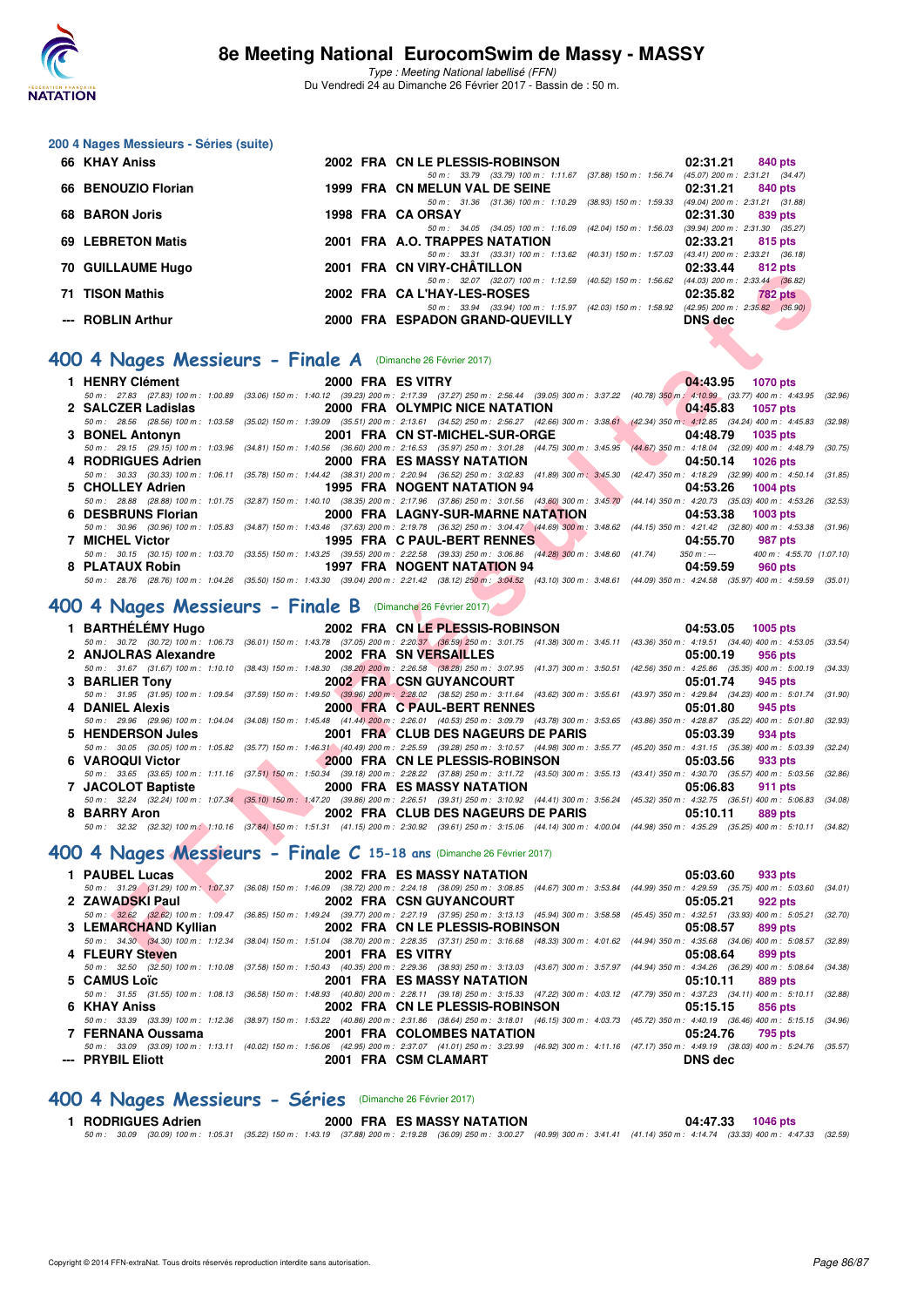

#### **200 4 Nages Messieurs - Séries (suite)**

| 66 KHAY Aniss       |  | 2002 FRA CN LE PLESSIS-ROBINSON                                 | 02:31.21       | 840 pts                                                 |
|---------------------|--|-----------------------------------------------------------------|----------------|---------------------------------------------------------|
|                     |  | 50 m: 33.79 (33.79) 100 m: 1:11.67                              |                | (37.88) 150 m : 1:56.74 (45.07) 200 m : 2:31.21 (34.47) |
| 66 BENOUZIO Florian |  | 1999 FRA CN MELUN VAL DE SEINE                                  | 02:31.21       | 840 pts                                                 |
|                     |  | (38.93) 150 m : 1:59.33<br>50 m : 31.36 (31.36) 100 m : 1:10.29 |                | $(49.04)$ 200 m : 2:31.21 $(31.88)$                     |
| 68 BARON Joris      |  | 1998 FRA CA ORSAY                                               | 02:31.30       | 839 pts                                                 |
|                     |  | (42.04) 150 m : 1:56.03<br>50 m: 34.05 (34.05) 100 m: 1:16.09   |                | $(39.94)$ 200 m : 2:31.30 $(35.27)$                     |
| 69 LEBRETON Matis   |  | 2001 FRA A.O. TRAPPES NATATION                                  | 02:33.21       | 815 pts                                                 |
|                     |  | 50 m : 33.31 (33.31) 100 m : 1:13.62                            |                | (40.31) 150 m : 1:57.03 (43.41) 200 m : 2:33.21 (36.18) |
| 70 GUILLAUME Hugo   |  | 2001 FRA CN VIRY-CHÄTILLON                                      | 02:33.44       | 812 pts                                                 |
|                     |  | 50 m: 32.07 (32.07) 100 m: 1:12.59<br>(40.52) 150 m : 1:56.62   |                | $(44.03)$ 200 m : 2:33.44 $(36.82)$                     |
| 71 TISON Mathis     |  | 2002 FRA CA L'HAY-LES-ROSES                                     | 02:35.82       | 782 pts                                                 |
|                     |  | 50 m : 33.94 (33.94) 100 m : 1:15.97                            |                | (42.03) 150 m : 1:58.92 (42.95) 200 m : 2:35.82 (36.90) |
| --- ROBLIN Arthur   |  | 2000 FRA ESPADON GRAND-QUEVILLY                                 | <b>DNS</b> dec |                                                         |

### **[400 4 Nages Messieurs - Finale A](http://www.ffnatation.fr/webffn/resultats.php?idact=nat&go=epr&idcpt=42801&idepr=92)** (Dimanche 26 Février 2017)

|                    | 1 HENRY Clément 2000 FRA ES VITRY                                                                                                                                                            | 04:43.95 1070 pts                     |
|--------------------|----------------------------------------------------------------------------------------------------------------------------------------------------------------------------------------------|---------------------------------------|
|                    | 50 m: 27.83 (27.83) 100 m: 1:00.89 (33.06) 150 m: 1:40.12 (39.23) 200 m: 2:17.39 (37.27) 250 m: 2:56.44 (39.05) 300 m: 3:37.22 (40.78) 350 m: 4:10.99 (33.77) 400 m: 4:43.95 (32.96)         |                                       |
|                    | 2 SALCZER Ladislas 2000 FRA OLYMPIC NICE NATATION                                                                                                                                            | $04:45.83$ 1057 pts                   |
|                    | 50 m: 28.56 (28.56) 100 m: 1:03.58 (35.02) 150 m: 1:39.09 (35.51) 200 m: 2:13.61 (34.52) 250 m: 2:56.27 (42.66) 300 m: 3:38.61 (42.34) 350 m: 4:12.85 (34.24) 400 m: 4:45.83 (32.98)         |                                       |
| 3 BONEL Antonyn    | 2001 FRA CN ST-MICHEL-SUR-ORGE 04:48.79 1035 pts                                                                                                                                             |                                       |
|                    | 50 m: 29.15 (29.15) 100 m: 1:03.96 (34.81) 150 m: 1:40.56 (36.60) 200 m: 2:16.53 (35.97) 250 m: 3:01.28 (44.75) 300 m: 3:45.95 (44.67) 350 m: 4:18.04 (32.09) 400 m: 4:48.79 (30.75)         |                                       |
| 4 RODRIGUES Adrien | 2000 FRA ES MASSY NATATION 04:50.14 1026 pts                                                                                                                                                 |                                       |
|                    | 50 m: 30.33 (30.33) 100 m: 1:06.11 (35.78) 150 m: 1:44.42 (38.31) 200 m: 2:20.94 (36.52) 250 m: 3:02.83 (41.89) 300 m: 3:45.30 (42.47) 350 m: 4:18.29 (32.99) 400 m: 4:50.14 (31.85)         |                                       |
|                    | 5 CHOLLEY Adrien 1995 FRA NOGENT NATATION 94                                                                                                                                                 | 04:53.26 1004 pts                     |
|                    | 50 m: 28.88 (28.88) 100 m: 1:01.75 (32.87) 150 m: 1:40.10 (38.35) 200 m: 2:17.96 (37.86) 250 m: 3:01.56 (43.60) 300 m: 3:45.70 (44.14) 350 m: 4:20.73 (35.03) 400 m: 4:53.26 (32.53)         |                                       |
|                    |                                                                                                                                                                                              |                                       |
|                    | 50 m : 30.96 (30.96) 100 m : 1:05.83 (34.87) 150 m : 1:43.46 (37.63) 200 m : 2:19.78 (36.32) 250 m : 3:04.47 (44.69) 300 m : 3:48.62 (44.15) 350 m : 4:21.42 (32.80) 400 m : 4:53.38 (31.96) |                                       |
| 7 MICHEL Victor    | 1995 FRA C PAUL-BERT RENNES                                                                                                                                                                  | 04:55.70<br>987 pts                   |
|                    | 50 m: 30.15 (30.15) 100 m: 1:03.70 (33.55) 150 m: 1:43.25 (39.55) 200 m: 2:22.58 (39.33) 250 m: 3:06.86 (44.28) 300 m: 3:48.60 (41.74)                                                       | 350 m : --- 400 m : 4:55.70 (1:07.10) |
|                    |                                                                                                                                                                                              | 04:59.59<br>960 pts                   |
|                    | 50 m: 28.76 (28.76) 100 m: 1:04.26 (35.50) 150 m: 1:43.30 (39.04) 200 m: 2:21.42 (38.12) 250 m: 3:04.52 (43.10) 300 m: 3:48.61 (44.09) 350 m: 4:24.58 (35.97) 400 m: 4:59.59 (35.01)         |                                       |

### [400 4 Nages Messieurs - Finale B](http://www.ffnatation.fr/webffn/resultats.php?idact=nat&go=epr&idcpt=42801&idepr=92) (Dimanche 26 Février 2017)

| IV QUILLAUNIE HUYV                                                                                                                                                                                                 |  |                   | <b>FRA CN VIRT-CHAHLLON</b>                                                                                            |  | U4.33.44       | $014$ pm                 |         |
|--------------------------------------------------------------------------------------------------------------------------------------------------------------------------------------------------------------------|--|-------------------|------------------------------------------------------------------------------------------------------------------------|--|----------------|--------------------------|---------|
| 71 TISON Mathis                                                                                                                                                                                                    |  |                   | 50 m: 32.07 (32.07) 100 m: 1:12.59 (40.52) 150 m: 1:56.62 (44.03) 200 m: 2:33.44 (36.82)<br>2002 FRA CAL'HAY-LES-ROSES |  | 02:35.82       | <b>782 pts</b>           |         |
|                                                                                                                                                                                                                    |  |                   | 50 m: 33.94 (33.94) 100 m: 1:15.97 (42.03) 150 m: 1:58.92 (42.95) 200 m: 2:35.82 (36.90)                               |  |                |                          |         |
| --- ROBLIN Arthur                                                                                                                                                                                                  |  |                   | 2000 FRA ESPADON GRAND-QUEVILLY                                                                                        |  | <b>DNS</b> dec |                          |         |
|                                                                                                                                                                                                                    |  |                   |                                                                                                                        |  |                |                          |         |
|                                                                                                                                                                                                                    |  |                   |                                                                                                                        |  |                |                          |         |
| 00 4 Nages Messieurs - Finale A (Dimanche 26 Février 2017)                                                                                                                                                         |  |                   |                                                                                                                        |  |                |                          |         |
| 1 HENRY Clément                                                                                                                                                                                                    |  | 2000 FRA ES VITRY |                                                                                                                        |  | 04:43.95       | <b>1070 pts</b>          |         |
| 50 m : 27.83 (27.83) 100 m : 1:00.89 (33.06) 150 m : 1:40.12 (39.23) 200 m : 2:17.39 (37.27) 250 m : 2:56.44 (39.05) 300 m : 3:37.22 (40.78) 350 m : 4:10.99 (33.77) 400 m : 4:43.95 (32.96)                       |  |                   |                                                                                                                        |  |                |                          |         |
| 2 SALCZER Ladislas                                                                                                                                                                                                 |  |                   | 2000 FRA OLYMPIC NICE NATATION                                                                                         |  | 04:45.83       | <b>1057 pts</b>          |         |
| 50 m: 28.56 (28.56) 100 m: 1:03.58 (35.02) 150 m: 1:39.09 (35.51) 200 m: 2:13.61 (34.52) 250 m: 2:56.27 (42.66) 300 m: 3:38.61 (42.34) 350 m: 4:12.85 (34.24) 400 m: 4:45.83 (32.98)                               |  |                   |                                                                                                                        |  |                |                          |         |
| 3 BONEL Antonyn                                                                                                                                                                                                    |  |                   | 2001 FRA CN ST-MICHEL-SUR-ORGE                                                                                         |  | 04:48.79       | <b>1035 pts</b>          |         |
| 50 m: 29.15 (29.15) 100 m: 1:03.96 (34.81) 150 m: 1:40.56 (36.60) 200 m: 2:16.53 (35.97) 250 m: 3:01.28 (44.75) 300 m: 3:45.95 (44.67) 350 m: 4:18.04 (32.09) 400 m: 4:48.79 (30.75)                               |  |                   |                                                                                                                        |  |                |                          |         |
| 4 RODRIGUES Adrien                                                                                                                                                                                                 |  |                   | 2000 FRA ES MASSY NATATION                                                                                             |  | 04:50.14       | 1026 pts                 |         |
| 50 m: 30.33 (30.33) 100 m: 1:06.11 (35.78) 150 m: 1:44.42 (38.31) 200 m: 2:20.94 (36.52) 250 m: 3:02.83 (41.89) 300 m: 3:45.30 (42.47) 350 m: 4:18.29 (32.99) 400 m: 4:50.14 (31.85)                               |  |                   |                                                                                                                        |  |                |                          |         |
| 5 CHOLLEY Adrien                                                                                                                                                                                                   |  |                   | 1995 FRA NOGENT NATATION 94                                                                                            |  | 04:53.26       | <b>1004 pts</b>          |         |
| 50 m: 28.88 (28.88) 100 m: 1:01.75 (32.87) 150 m: 1:40.10 (38.35) 200 m: 2:17.96 (37.86) 250 m: 3:01.56 (43.60) 300 m: 3:45.70 (44.14) 350 m: 4:20.73 (35.03) 400 m: 4:53.26 (32.53)                               |  |                   |                                                                                                                        |  |                |                          |         |
| 6 DESBRUNS Florian<br>50 m : 30.96 (30.96) 100 m : 1:05.83 (34.87) 150 m : 1:43.46 (37.63) 200 m : 2:19.78 (36.32) 250 m : 3:04.47 (44.69) 300 m : 3:48.62 (44.15) 350 m : 4:21.42 (32.80) 400 m : 4:53.38 (31.96) |  |                   | 2000 FRA LAGNY-SUR-MARNE NATATION                                                                                      |  | 04:53.38       | 1003 pts                 |         |
| <b>7 MICHEL Victor</b>                                                                                                                                                                                             |  |                   | 1995 FRA C PAUL-BERT RENNES                                                                                            |  | 04:55.70       | 987 pts                  |         |
| 50 m : 30.15 (30.15) 100 m : 1:03.70 (33.55) 150 m : 1:43.25 (39.55) 200 m : 2:22.58 (39.33) 250 m : 3:06.86 (44.28) 300 m : 3:48.60 (41.74)                                                                       |  |                   |                                                                                                                        |  | $350 m : -$    | 400 m: 4:55.70 (1:07.10) |         |
| 8 PLATAUX Robin                                                                                                                                                                                                    |  |                   | 1997 FRA NOGENT NATATION 94                                                                                            |  | 04:59.59       | 960 pts                  |         |
| 50 m: 28.76 (28.76) 100 m: 1:04.26 (35.50) 150 m: 1:43.30 (39.04) 200 m: 2:21.42 (38.12) 250 m: 3:04.52 (43.10) 300 m: 3:48.61 (44.09) 350 m: 4:24.58 (35.97) 400 m: 4:59.59 (35.01)                               |  |                   |                                                                                                                        |  |                |                          |         |
|                                                                                                                                                                                                                    |  |                   |                                                                                                                        |  |                |                          |         |
| 00 4 Nages Messieurs - Finale B (Dimanche 26 Février 2017)                                                                                                                                                         |  |                   |                                                                                                                        |  |                |                          |         |
|                                                                                                                                                                                                                    |  |                   |                                                                                                                        |  |                |                          |         |
|                                                                                                                                                                                                                    |  |                   |                                                                                                                        |  |                |                          |         |
| 1 BARTHÉLÉMY Hugo                                                                                                                                                                                                  |  |                   | 2002 FRA CN LE PLESSIS-ROBINSON                                                                                        |  | 04:53.05       | 1005 pts                 |         |
| 50 m: 30.72 (30.72) 100 m: 1:06.73 (36.01) 150 m: 1:43.78 (37.05) 200 m: 2:20.37 (36.59) 250 m: 3:01.75 (41.38) 300 m: 3:45.11 (43.36) 350 m: 4:19.51 (34.40) 400 m: 4:53.05 (33.54)<br>2 ANJOLRAS Alexandre       |  |                   |                                                                                                                        |  | 05:00.19       | 956 pts                  |         |
| 50 m : 31.67 (31.67) 100 m : 1:10.10 (38.43) 150 m : 1:48.30 (38.20) 200 m : 2:26.58 (38.28) 250 m : 3:07.95 (41.37) 300 m : 3:50.51 (42.56) 350 m : 4:25.86 (35.35) 400 m : 5:00.19 (34.33)                       |  |                   | 2002 FRA SN VERSAILLES                                                                                                 |  |                |                          |         |
| 3 BARLIER Tony                                                                                                                                                                                                     |  |                   | <b>2002 FRA CSN GUYANCOURT</b>                                                                                         |  | 05:01.74       | 945 pts                  |         |
| 50 m: 31.95 (31.95) 100 m: 1:09.54 (37.59) 150 m: 1:49.50 (39.96) 200 m: 2:28.02 (38.52) 250 m: 3:11.64 (43.62) 300 m: 3:55.61 (43.97) 350 m: 4:29.84 (34.23) 400 m: 5:01.74                                       |  |                   |                                                                                                                        |  |                |                          | (31.90) |
| <b>4 DANIEL Alexis</b>                                                                                                                                                                                             |  |                   | 2000 FRA C PAUL-BERT RENNES                                                                                            |  | 05:01.80       | 945 pts                  |         |
| 50 m: 29.96 (29.96) 100 m: 1:04.04 (34.08) 150 m: 1:45.48 (41.44) 200 m: 2:26.01 (40.53) 250 m: 3:09.79 (43.78) 300 m: 3:53.65 (43.86) 350 m: 4:28.87 (35.22) 400 m: 5:01.80                                       |  |                   |                                                                                                                        |  |                |                          | (32.93) |
| 5 HENDERSON Jules                                                                                                                                                                                                  |  |                   | 2001 FRA CLUB DES NAGEURS DE PARIS                                                                                     |  | 05:03.39       | 934 pts                  |         |
| 50 m: 30.05 (30.05) 100 m: 1:05.82 (35.77) 150 m: 1:46.31 (40.49) 200 m: 2:25.59 (39.28) 250 m: 3:10.57 (44.98) 300 m: 3:55.77 (45.20) 350 m: 4:31.15 (35.38) 400 m: 5:03.39                                       |  |                   |                                                                                                                        |  |                |                          | (32.24) |
| 6 VAROQUI Victor                                                                                                                                                                                                   |  |                   | 2000 FRA CN LE PLESSIS-ROBINSON                                                                                        |  | 05:03.56       | 933 pts                  |         |
| 50 m: 33.65 (33.65) 100 m: 1:11.16 (37.51) 150 m: 1:50.34 (39.18) 200 m: 2:28.22 (37.88) 250 m: 3:11.72 (43.50) 300 m: 3:55.13 (43.41) 350 m: 4:30.70 (35.57) 400 m: 5:03.56 (32.86)                               |  |                   |                                                                                                                        |  |                |                          |         |
| 7 JACOLOT Baptiste                                                                                                                                                                                                 |  |                   | 2000 FRA ES MASSY NATATION                                                                                             |  | 05:06.83       | 911 pts                  |         |
| 50 m: 32.24 (32.24) 100 m: 1:07.34 (35.10) 150 m: 1:47.20 (39.86) 200 m: 2:26.51 (39.31) 250 m: 3:10.92 (44.41) 300 m: 3:56.24 (45.32) 350 m: 4:32.75 (36.51) 400 m: 5:06.83 (34.08)                               |  |                   |                                                                                                                        |  |                |                          |         |
| 8 BARRY Aron                                                                                                                                                                                                       |  |                   | 2002 FRA CLUB DES NAGEURS DE PARIS                                                                                     |  | 05:10.11       | <b>889 pts</b>           |         |
| 50 m: 32.32 (32.32) 100 m: 1:10.16 (37.84) 150 m: 1:51.31 (41.15) 200 m: 2:30.92 (39.61) 250 m: 3:15.06 (44.14) 300 m: 4:00.04 (44.98) 350 m: 4:35.29 (35.25) 400 m: 5:10.11 (34.82)                               |  |                   |                                                                                                                        |  |                |                          |         |
|                                                                                                                                                                                                                    |  |                   |                                                                                                                        |  |                |                          |         |
| 00 4 Nages Messieurs - Finale C 15-18 ans (Dimanche 26 Février 2017)                                                                                                                                               |  |                   |                                                                                                                        |  |                |                          |         |
| 1 PAUBEL Lucas                                                                                                                                                                                                     |  |                   | <b>2002 FRA ES MASSY NATATION</b>                                                                                      |  | 05:03.60       | 933 pts                  |         |
| 50 m : 31.29 (31.29) 100 m : 1:07.37 (36.08) 150 m : 1:46.09 (38.72) 200 m : 2:24.18 (38.09) 250 m : 3:08.85 (44.67) 300 m : 3:53.84 (44.99) 350 m : 4:29.59 (35.75) 400 m : 5:03.60 (34.01)<br>$\sim$             |  |                   |                                                                                                                        |  |                |                          |         |
| 2 ZAWADSKI Paul                                                                                                                                                                                                    |  |                   | 2002 FRA CSN GUYANCOURT                                                                                                |  | 05:05.21       | 922 pts                  |         |
| 50 m : 32.62 (32.62) 100 m : 1:09.47 (36.85) 150 m : 1:49.24 (39.77) 200 m : 2:27.19 (37.95) 250 m : 3:13.13 (45.94) 300 m : 3:58.58 (45.45) 350 m : 4:32.51 (33.93) 400 m : 5:05.21 (32.70)                       |  |                   |                                                                                                                        |  |                |                          |         |
| 3 LEMARCHAND Kyllian                                                                                                                                                                                               |  |                   | 2002 FRA CN LE PLESSIS-ROBINSON                                                                                        |  | 05:08.57       | 899 pts                  |         |
| 50 m: 34.30 (34.30) 100 m: 1:12.34 (38.04) 150 m: 1:51.04 (38.70) 200 m: 2:28.35 (37.31) 250 m: 3:16.68 (48.33) 300 m: 4:01.62 (44.94) 350 m: 4:35.68 (34.06) 400 m: 5:08.57 (32.89)<br>4 FLEURY Steven            |  | 2001 FRA ES VITRY |                                                                                                                        |  | 05:08.64       | 899 pts                  |         |

# **[400 4 Nages Messieurs - Finale C](http://www.ffnatation.fr/webffn/resultats.php?idact=nat&go=epr&idcpt=42801&idepr=92) 15-18 ans** (Dimanche 26 Février 2017)

| 1 PAUBEL Lucas    | 2002 FRA ES MASSY NATATION<br><b>Contract Contract Contract Contract</b> | $05:03.60$ 933 pts                                                                                                                                                                            |
|-------------------|--------------------------------------------------------------------------|-----------------------------------------------------------------------------------------------------------------------------------------------------------------------------------------------|
|                   |                                                                          | 50 m : 31.29 (31.29) 100 m : 1:07.37 (36.08) 150 m : 1:46.09 (38.72) 200 m : 2:24.18 (38.09) 250 m : 3:08.85 (44.67) 300 m : 3:53.84 (44.99) 350 m : 4:29.59 (35.75) 400 m : 5:03.60 (34.01)  |
| 2 ZAWADSKI Paul   | 2002 FRA CSN GUYANCOURT                                                  | 05:05.21 922 pts                                                                                                                                                                              |
|                   |                                                                          | 50 m : (32.62 (32.62) 100 m : 1:09.47 (36.85) 150 m : 1:49.24 (39.77) 200 m : 2:27.19 (37.95) 250 m : 3:13.13 (45.94) 300 m : 3:58.58 (45.45) 350 m : 4:32.51 (33.93) 400 m : 5:05.21 (32.70) |
|                   | 3 LEMARCHAND Kyllian 2002 FRA CN LE PLESSIS-ROBINSON                     | 05:08.57<br>899 pts                                                                                                                                                                           |
|                   |                                                                          | 50 m: 34.30 (34.30) 100 m: 1:12.34 (38.04) 150 m: 1:51.04 (38.70) 200 m: 2:28.35 (37.31) 250 m: 3:16.68 (48.33) 300 m: 4:01.62 (44.94) 350 m: 4:35.68 (34.06) 400 m: 5:08.57 (32.89)          |
| 4 FLEURY Steven   | 2001 FRA ES VITRY                                                        | 05:08.64 899 pts                                                                                                                                                                              |
|                   |                                                                          | 50 m: 32.50 (32.50) 100 m: 1:10.08 (37.58) 150 m: 1:50.43 (40.35) 200 m: 2:29.36 (38.93) 250 m: 3:13.03 (43.67) 300 m: 3:57.97 (44.94) 350 m: 4:34.26 (36.29) 400 m: 5:08.64 (34.38)          |
| 5 CAMUS Loïc      | <b>2001 FRA ES MASSY NATATION</b>                                        | 05:10.11 889 pts                                                                                                                                                                              |
|                   |                                                                          | 50 m: 31.55 (31.55) 100 m: 1:08.13 (36.58) 150 m: 1:48.93 (40.80) 200 m: 2:28.11 (39.18) 250 m: 3:15.33 (47.22) 300 m: 4:03.12 (47.79) 350 m: 4:37.23 (34.11) 400 m: 5:10.11 (32.88)          |
| 6 KHAY Aniss      | 2002 FRA CN LE PLESSIS-ROBINSON                                          | 05:15.15<br>856 pts                                                                                                                                                                           |
|                   |                                                                          | 50 m: 33.39 (33.39) 100 m: 1:12.36 (38.97) 150 m: 1:53.22 (40.86) 200 m: 2:31.86 (38.64) 250 m: 3:18.01 (46.15) 300 m: 4:03.73 (45.72) 350 m: 4:40.19 (36.46) 400 m: 5:15.15 (34.96)          |
| 7 FERNANA Oussama | 2001 FRA COLOMBES NATATION                                               | 05:24.76<br>795 pts                                                                                                                                                                           |
|                   |                                                                          | 50 m: 33.09 (33.09) 100 m: 1:13.11 (40.02) 150 m: 1:56.06 (42.95) 200 m: 2:37.07 (41.01) 250 m: 3:23.99 (46.92) 300 m: 4:11.16 (47.17) 350 m: 4:49.19 (38.03) 400 m: 5:24.76 (35.57)          |
| --- PRYBIL Eliott | 2001 FRA CSM CLAMART                                                     | DNS dec                                                                                                                                                                                       |

#### **[400 4 Nages Messieurs - Séries](http://www.ffnatation.fr/webffn/resultats.php?idact=nat&go=epr&idcpt=42801&idepr=92)** (Dimanche 26 Février 2017)

#### **1 RODRIGUES Adrien 2000 FRA ES MASSY NATATION 04:47.33 1046 pts** 50 m : 30.09 (30.09) 100 m : 1:05.31 (35.22) 150 m : 1:43.19 (37.88) 200 m : 2:19.28 (36.09) 250 m : 3:00.27 (40.99) 300 m : 3:41.41 (41.14) 350 m : 4:14.74 (33.33) 400 m : 4:47.33 (32.59)